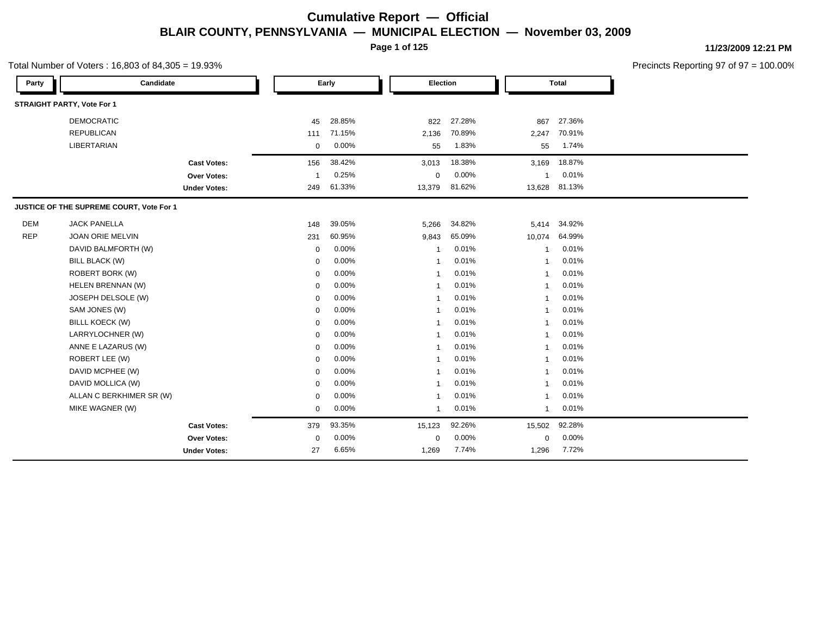**Page 1 of 125**

#### Total Number of Voters : 16,803 of 84,305 = 19.93%

**11/23/2009 12:21 PM**

| Party      | Candidate                                |                     |             | Early  | Election     |        |                | <b>Total</b> |
|------------|------------------------------------------|---------------------|-------------|--------|--------------|--------|----------------|--------------|
|            | <b>STRAIGHT PARTY, Vote For 1</b>        |                     |             |        |              |        |                |              |
|            | <b>DEMOCRATIC</b>                        |                     | 45          | 28.85% | 822          | 27.28% | 867            | 27.36%       |
|            | <b>REPUBLICAN</b>                        |                     | 111         | 71.15% | 2,136        | 70.89% | 2,247          | 70.91%       |
|            | LIBERTARIAN                              |                     | $\mathbf 0$ | 0.00%  | 55           | 1.83%  | 55             | 1.74%        |
|            |                                          | <b>Cast Votes:</b>  | 156         | 38.42% | 3,013        | 18.38% | 3,169          | 18.87%       |
|            |                                          | Over Votes:         |             | 0.25%  | 0            | 0.00%  | 1              | 0.01%        |
|            |                                          | <b>Under Votes:</b> | 249         | 61.33% | 13,379       | 81.62% | 13,628         | 81.13%       |
|            | JUSTICE OF THE SUPREME COURT, Vote For 1 |                     |             |        |              |        |                |              |
| <b>DEM</b> | <b>JACK PANELLA</b>                      |                     | 148         | 39.05% | 5,266        | 34.82% | 5,414          | 34.92%       |
| <b>REP</b> | JOAN ORIE MELVIN                         |                     | 231         | 60.95% | 9,843        | 65.09% | 10,074         | 64.99%       |
|            | DAVID BALMFORTH (W)                      |                     | $\mathbf 0$ | 0.00%  | 1            | 0.01%  | -1             | 0.01%        |
|            | <b>BILL BLACK (W)</b>                    |                     | $\mathbf 0$ | 0.00%  | $\mathbf{1}$ | 0.01%  | 1              | 0.01%        |
|            | <b>ROBERT BORK (W)</b>                   |                     | $\mathbf 0$ | 0.00%  | $\mathbf{1}$ | 0.01%  | $\overline{1}$ | 0.01%        |
|            | HELEN BRENNAN (W)                        |                     | $\mathbf 0$ | 0.00%  | $\mathbf{1}$ | 0.01%  | -1             | 0.01%        |
|            | JOSEPH DELSOLE (W)                       |                     | $\mathbf 0$ | 0.00%  | 1            | 0.01%  | -1             | 0.01%        |
|            | SAM JONES (W)                            |                     | $\mathbf 0$ | 0.00%  | $\mathbf{1}$ | 0.01%  | -1             | 0.01%        |
|            | <b>BILLL KOECK (W)</b>                   |                     | $\mathbf 0$ | 0.00%  | $\mathbf{1}$ | 0.01%  | -1             | 0.01%        |
|            | LARRYLOCHNER (W)                         |                     | 0           | 0.00%  | $\mathbf{1}$ | 0.01%  | -1             | 0.01%        |
|            | ANNE E LAZARUS (W)                       |                     | $\mathbf 0$ | 0.00%  | $\mathbf{1}$ | 0.01%  | 1              | 0.01%        |
|            | ROBERT LEE (W)                           |                     | $\mathbf 0$ | 0.00%  | $\mathbf{1}$ | 0.01%  | -1             | 0.01%        |
|            | DAVID MCPHEE (W)                         |                     | $\mathbf 0$ | 0.00%  | $\mathbf{1}$ | 0.01%  | -1             | 0.01%        |
|            | DAVID MOLLICA (W)                        |                     | $\mathbf 0$ | 0.00%  | $\mathbf{1}$ | 0.01%  | -1             | 0.01%        |
|            | ALLAN C BERKHIMER SR (W)                 |                     | $\mathbf 0$ | 0.00%  | $\mathbf{1}$ | 0.01%  | 1              | 0.01%        |
|            | MIKE WAGNER (W)                          |                     | $\mathbf 0$ | 0.00%  | $\mathbf{1}$ | 0.01%  | -1             | 0.01%        |
|            |                                          | <b>Cast Votes:</b>  | 379         | 93.35% | 15,123       | 92.26% | 15,502         | 92.28%       |
|            |                                          | <b>Over Votes:</b>  | 0           | 0.00%  | 0            | 0.00%  | 0              | 0.00%        |
|            |                                          | <b>Under Votes:</b> | 27          | 6.65%  | 1,269        | 7.74%  | 1,296          | 7.72%        |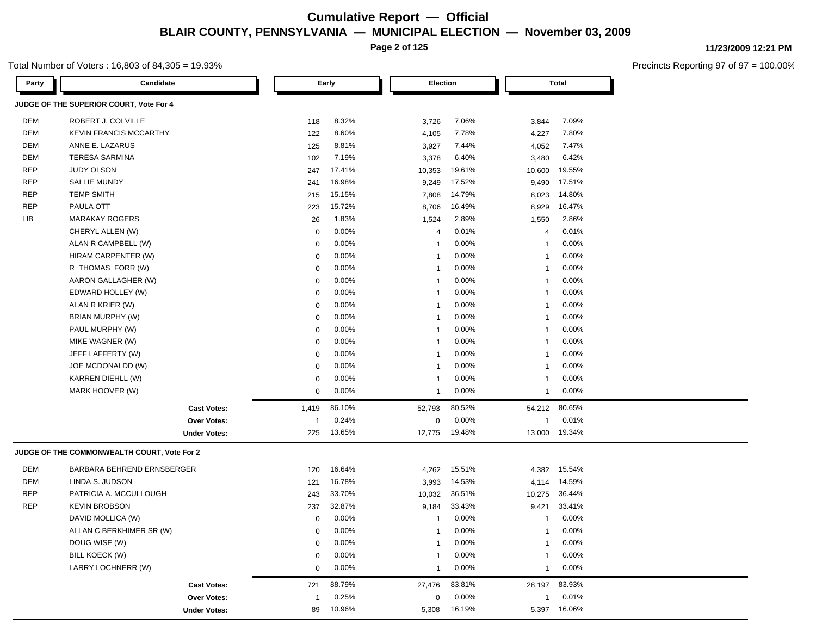**Page 2 of 125**

#### Total Number of Voters : 16,803 of 84,305 = 19.93%

| Party      | Candidate                                   |             | Early  | <b>Election</b> |        |                | <b>Total</b> |
|------------|---------------------------------------------|-------------|--------|-----------------|--------|----------------|--------------|
|            | JUDGE OF THE SUPERIOR COURT, Vote For 4     |             |        |                 |        |                |              |
| DEM        | ROBERT J. COLVILLE                          | 118         | 8.32%  | 3,726           | 7.06%  | 3,844          | 7.09%        |
| DEM        | <b>KEVIN FRANCIS MCCARTHY</b>               | 122         | 8.60%  | 4,105           | 7.78%  | 4,227          | 7.80%        |
| <b>DEM</b> | ANNE E. LAZARUS                             | 125         | 8.81%  | 3,927           | 7.44%  | 4,052          | 7.47%        |
| <b>DEM</b> | <b>TERESA SARMINA</b>                       | 102         | 7.19%  | 3,378           | 6.40%  | 3,480          | 6.42%        |
| <b>REP</b> | <b>JUDY OLSON</b>                           | 247         | 17.41% | 10,353          | 19.61% | 10,600         | 19.55%       |
| <b>REP</b> | <b>SALLIE MUNDY</b>                         | 241         | 16.98% | 9,249           | 17.52% | 9,490          | 17.51%       |
| <b>REP</b> | <b>TEMP SMITH</b>                           | 215         | 15.15% | 7,808           | 14.79% | 8,023          | 14.80%       |
| <b>REP</b> | PAULA OTT                                   | 223         | 15.72% | 8,706           | 16.49% | 8,929          | 16.47%       |
| LIB        | <b>MARAKAY ROGERS</b>                       | 26          | 1.83%  | 1,524           | 2.89%  | 1,550          | 2.86%        |
|            | CHERYL ALLEN (W)                            | 0           | 0.00%  | 4               | 0.01%  | 4              | 0.01%        |
|            | ALAN R CAMPBELL (W)                         | 0           | 0.00%  | $\mathbf{1}$    | 0.00%  | -1             | 0.00%        |
|            | HIRAM CARPENTER (W)                         | $\mathbf 0$ | 0.00%  | $\mathbf{1}$    | 0.00%  | -1             | 0.00%        |
|            | R THOMAS FORR (W)                           | 0           | 0.00%  | $\mathbf{1}$    | 0.00%  | -1             | 0.00%        |
|            | AARON GALLAGHER (W)                         | 0           | 0.00%  | $\mathbf{1}$    | 0.00%  | $\overline{1}$ | 0.00%        |
|            | EDWARD HOLLEY (W)                           | 0           | 0.00%  | $\mathbf{1}$    | 0.00%  | $\overline{1}$ | 0.00%        |
|            | ALAN R KRIER (W)                            | 0           | 0.00%  | $\mathbf{1}$    | 0.00%  | $\overline{1}$ | 0.00%        |
|            | BRIAN MURPHY (W)                            | 0           | 0.00%  | $\mathbf{1}$    | 0.00%  | $\overline{1}$ | 0.00%        |
|            | PAUL MURPHY (W)                             | 0           | 0.00%  | $\mathbf{1}$    | 0.00%  | $\overline{1}$ | 0.00%        |
|            | MIKE WAGNER (W)                             | 0           | 0.00%  | $\mathbf{1}$    | 0.00%  | $\overline{1}$ | 0.00%        |
|            | JEFF LAFFERTY (W)                           | 0           | 0.00%  | $\mathbf{1}$    | 0.00%  | -1             | 0.00%        |
|            | JOE MCDONALDD (W)                           | 0           | 0.00%  | $\mathbf{1}$    | 0.00%  | -1             | 0.00%        |
|            | KARREN DIEHLL (W)                           | 0           | 0.00%  | $\mathbf{1}$    | 0.00%  | $\overline{1}$ | 0.00%        |
|            | MARK HOOVER (W)                             | 0           | 0.00%  | 1               | 0.00%  | -1             | 0.00%        |
|            | <b>Cast Votes:</b>                          | 1,419       | 86.10% | 52,793          | 80.52% | 54,212         | 80.65%       |
|            | Over Votes:                                 | -1          | 0.24%  | 0               | 0.00%  | $\overline{1}$ | 0.01%        |
|            | <b>Under Votes:</b>                         | 225         | 13.65% | 12,775          | 19.48% | 13,000         | 19.34%       |
|            | JUDGE OF THE COMMONWEALTH COURT, Vote For 2 |             |        |                 |        |                |              |
| DEM        | BARBARA BEHREND ERNSBERGER                  | 120         | 16.64% | 4,262           | 15.51% | 4,382          | 15.54%       |
| DEM        | LINDA S. JUDSON                             | 121         | 16.78% | 3,993           | 14.53% | 4,114          | 14.59%       |
| <b>REP</b> | PATRICIA A. MCCULLOUGH                      | 243         | 33.70% | 10,032          | 36.51% | 10,275         | 36.44%       |
| <b>REP</b> | <b>KEVIN BROBSON</b>                        | 237         | 32.87% | 9,184           | 33.43% | 9,421          | 33.41%       |
|            | DAVID MOLLICA (W)                           | 0           | 0.00%  | -1              | 0.00%  | -1             | 0.00%        |
|            | ALLAN C BERKHIMER SR (W)                    | $\mathbf 0$ | 0.00%  | $\mathbf{1}$    | 0.00%  | $\mathbf{1}$   | 0.00%        |
|            | DOUG WISE (W)                               | 0           | 0.00%  | -1              | 0.00%  | $\mathbf 1$    | 0.00%        |
|            | BILL KOECK (W)                              | 0           | 0.00%  |                 | 0.00%  | 1              | 0.00%        |
|            | LARRY LOCHNERR (W)                          | 0           | 0.00%  | $\mathbf{1}$    | 0.00%  | $\mathbf 1$    | 0.00%        |
|            | <b>Cast Votes:</b>                          | 721         | 88.79% | 27,476          | 83.81% | 28,197         | 83.93%       |
|            | Over Votes:                                 | $\mathbf 1$ | 0.25%  | 0               | 0.00%  | $\mathbf{1}$   | 0.01%        |
|            | <b>Under Votes:</b>                         | 89          | 10.96% | 5,308           | 16.19% | 5,397          | 16.06%       |

**11/23/2009 12:21 PM**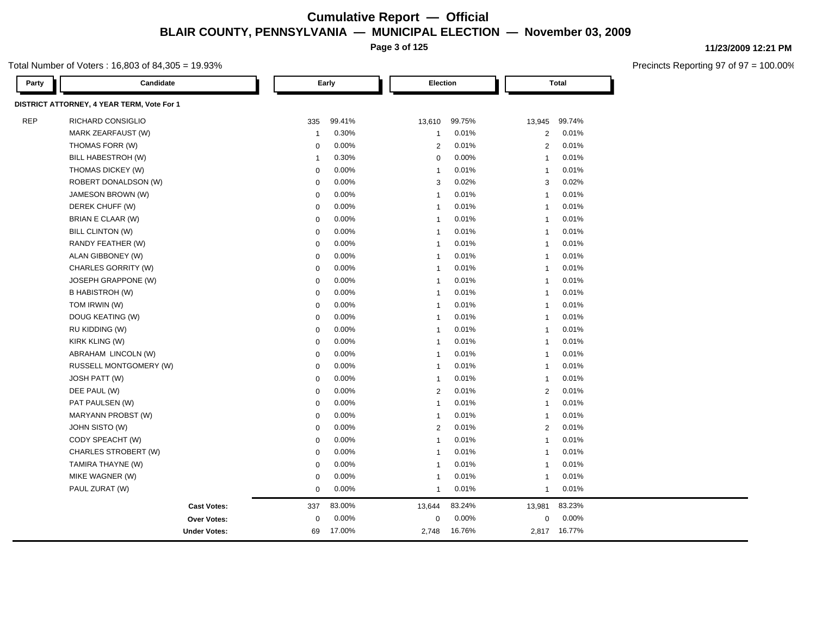**Page 3 of 125**

#### Total Number of Voters : 16,803 of 84,305 = 19.93%

| Party      | Candidate                                  |              | Early  |                | Election |                | Total  |  |
|------------|--------------------------------------------|--------------|--------|----------------|----------|----------------|--------|--|
|            | DISTRICT ATTORNEY, 4 YEAR TERM, Vote For 1 |              |        |                |          |                |        |  |
| <b>REP</b> | RICHARD CONSIGLIO                          | 335          | 99.41% | 13,610         | 99.75%   | 13,945         | 99.74% |  |
|            | MARK ZEARFAUST (W)                         | $\mathbf{1}$ | 0.30%  | $\mathbf{1}$   | 0.01%    | $\overline{2}$ | 0.01%  |  |
|            | THOMAS FORR (W)                            | $\mathbf 0$  | 0.00%  | $\overline{2}$ | 0.01%    | 2              | 0.01%  |  |
|            | BILL HABESTROH (W)                         | $\mathbf{1}$ | 0.30%  | $\mathbf 0$    | 0.00%    | $\overline{1}$ | 0.01%  |  |
|            | THOMAS DICKEY (W)                          | $\mathbf 0$  | 0.00%  | $\overline{1}$ | 0.01%    | $\overline{1}$ | 0.01%  |  |
|            | ROBERT DONALDSON (W)                       | $\mathbf 0$  | 0.00%  | 3              | 0.02%    | 3              | 0.02%  |  |
|            | JAMESON BROWN (W)                          | $\mathbf 0$  | 0.00%  | $\overline{1}$ | 0.01%    | $\overline{1}$ | 0.01%  |  |
|            | DEREK CHUFF (W)                            | $\mathbf 0$  | 0.00%  | $\mathbf{1}$   | 0.01%    | $\mathbf{1}$   | 0.01%  |  |
|            | BRIAN E CLAAR (W)                          | $\mathbf 0$  | 0.00%  | $\overline{1}$ | 0.01%    | $\overline{1}$ | 0.01%  |  |
|            | BILL CLINTON (W)                           | $\mathbf 0$  | 0.00%  | $\overline{1}$ | 0.01%    | $\overline{1}$ | 0.01%  |  |
|            | RANDY FEATHER (W)                          | $\mathbf 0$  | 0.00%  | $\overline{1}$ | 0.01%    | $\overline{1}$ | 0.01%  |  |
|            | ALAN GIBBONEY (W)                          | $\mathbf 0$  | 0.00%  | $\overline{1}$ | 0.01%    | $\overline{1}$ | 0.01%  |  |
|            | <b>CHARLES GORRITY (W)</b>                 | $\mathbf 0$  | 0.00%  | $\overline{1}$ | 0.01%    | $\overline{1}$ | 0.01%  |  |
|            | JOSEPH GRAPPONE (W)                        | $\mathbf 0$  | 0.00%  | $\overline{1}$ | 0.01%    | $\overline{1}$ | 0.01%  |  |
|            | B HABISTROH (W)                            | $\mathbf 0$  | 0.00%  | $\overline{1}$ | 0.01%    | $\overline{1}$ | 0.01%  |  |
|            | TOM IRWIN (W)                              | $\mathbf 0$  | 0.00%  | $\overline{1}$ | 0.01%    | $\overline{1}$ | 0.01%  |  |
|            | DOUG KEATING (W)                           | $\mathbf 0$  | 0.00%  | $\overline{1}$ | 0.01%    | $\overline{1}$ | 0.01%  |  |
|            | RU KIDDING (W)                             | $\mathbf 0$  | 0.00%  | $\overline{1}$ | 0.01%    | $\overline{1}$ | 0.01%  |  |
|            | KIRK KLING (W)                             | $\mathbf 0$  | 0.00%  | $\overline{1}$ | 0.01%    | $\overline{1}$ | 0.01%  |  |
|            | ABRAHAM LINCOLN (W)                        | $\mathbf 0$  | 0.00%  | $\overline{1}$ | 0.01%    | $\overline{1}$ | 0.01%  |  |
|            | RUSSELL MONTGOMERY (W)                     | $\mathbf 0$  | 0.00%  | $\overline{1}$ | 0.01%    | $\overline{1}$ | 0.01%  |  |
|            | JOSH PATT (W)                              | $\mathbf 0$  | 0.00%  | $\overline{1}$ | 0.01%    | $\mathbf{1}$   | 0.01%  |  |
|            | DEE PAUL (W)                               | $\mathbf 0$  | 0.00%  | $\overline{2}$ | 0.01%    | 2              | 0.01%  |  |
|            | PAT PAULSEN (W)                            | $\mathbf 0$  | 0.00%  | $\overline{1}$ | 0.01%    | $\overline{1}$ | 0.01%  |  |
|            | MARYANN PROBST (W)                         | $\mathbf 0$  | 0.00%  | $\overline{1}$ | 0.01%    | $\mathbf{1}$   | 0.01%  |  |
|            | JOHN SISTO (W)                             | $\mathbf 0$  | 0.00%  | $\overline{2}$ | 0.01%    | 2              | 0.01%  |  |
|            | CODY SPEACHT (W)                           | $\mathbf 0$  | 0.00%  | $\overline{1}$ | 0.01%    | $\overline{1}$ | 0.01%  |  |
|            | CHARLES STROBERT (W)                       | $\mathbf 0$  | 0.00%  | $\overline{1}$ | 0.01%    | $\overline{1}$ | 0.01%  |  |
|            | TAMIRA THAYNE (W)                          | $\mathbf 0$  | 0.00%  | $\overline{1}$ | 0.01%    | $\overline{1}$ | 0.01%  |  |
|            | MIKE WAGNER (W)                            | $\mathbf 0$  | 0.00%  | $\overline{1}$ | 0.01%    | $\overline{1}$ | 0.01%  |  |
|            | PAUL ZURAT (W)                             | $\pmb{0}$    | 0.00%  | $\overline{1}$ | 0.01%    | $\overline{1}$ | 0.01%  |  |
|            | <b>Cast Votes:</b>                         | 337          | 83.00% | 13,644         | 83.24%   | 13,981         | 83.23% |  |
|            | <b>Over Votes:</b>                         | $\mathbf 0$  | 0.00%  | $\mathbf 0$    | 0.00%    | 0              | 0.00%  |  |
|            | <b>Under Votes:</b>                        | 69           | 17.00% | 2,748          | 16.76%   | 2,817          | 16.77% |  |

**11/23/2009 12:21 PM**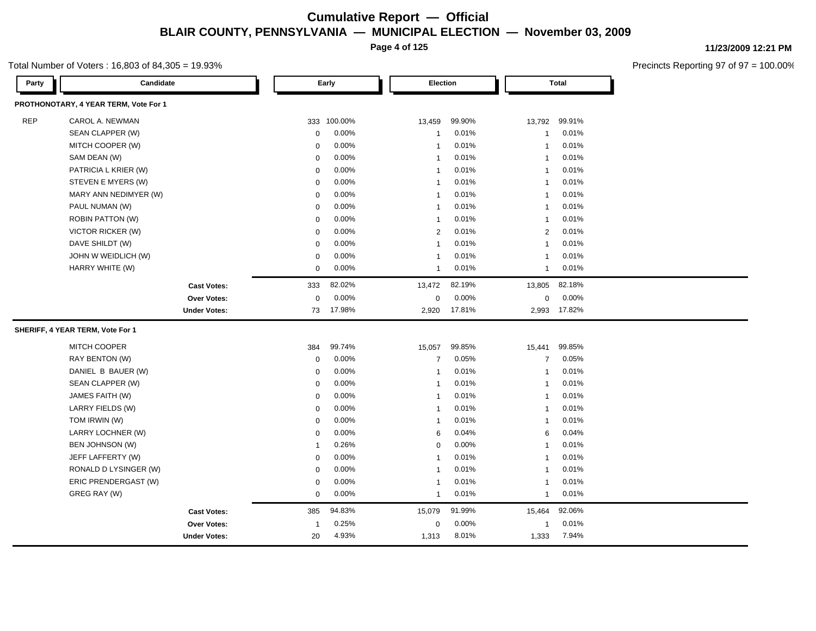**Page 4 of 125**

#### Total Number of Voters : 16,803 of 84,305 = 19.93%

**11/23/2009 12:21 PM**

| Party      | Candidate                             |                | Early       | Election       |        |                | <b>Total</b> |
|------------|---------------------------------------|----------------|-------------|----------------|--------|----------------|--------------|
|            | PROTHONOTARY, 4 YEAR TERM, Vote For 1 |                |             |                |        |                |              |
| <b>REP</b> | CAROL A. NEWMAN                       |                | 333 100.00% | 13,459         | 99.90% | 13,792         | 99.91%       |
|            | SEAN CLAPPER (W)                      | 0              | 0.00%       | $\mathbf{1}$   | 0.01%  | 1              | 0.01%        |
|            | MITCH COOPER (W)                      | $\mathbf 0$    | 0.00%       | $\mathbf{1}$   | 0.01%  | 1              | 0.01%        |
|            | SAM DEAN (W)                          | 0              | 0.00%       | $\mathbf{1}$   | 0.01%  | $\mathbf{1}$   | 0.01%        |
|            | PATRICIA L KRIER (W)                  | 0              | 0.00%       | $\mathbf{1}$   | 0.01%  | $\mathbf{1}$   | 0.01%        |
|            | STEVEN E MYERS (W)                    | 0              | 0.00%       | $\mathbf{1}$   | 0.01%  | -1             | 0.01%        |
|            | MARY ANN NEDIMYER (W)                 | 0              | 0.00%       | $\mathbf{1}$   | 0.01%  | -1             | 0.01%        |
|            | PAUL NUMAN (W)                        | 0              | 0.00%       | $\mathbf{1}$   | 0.01%  | -1             | 0.01%        |
|            | ROBIN PATTON (W)                      | 0              | 0.00%       | $\mathbf{1}$   | 0.01%  | -1             | 0.01%        |
|            | <b>VICTOR RICKER (W)</b>              | $\mathbf 0$    | 0.00%       | $\overline{2}$ | 0.01%  | 2              | 0.01%        |
|            | DAVE SHILDT (W)                       | 0              | 0.00%       | $\mathbf{1}$   | 0.01%  | -1             | 0.01%        |
|            | JOHN W WEIDLICH (W)                   | 0              | 0.00%       | $\mathbf{1}$   | 0.01%  | -1             | 0.01%        |
|            | HARRY WHITE (W)                       | 0              | 0.00%       | $\mathbf{1}$   | 0.01%  | $\mathbf{1}$   | 0.01%        |
|            | <b>Cast Votes:</b>                    | 333            | 82.02%      | 13,472         | 82.19% | 13,805         | 82.18%       |
|            | Over Votes:                           | 0              | 0.00%       | $\mathsf 0$    | 0.00%  | 0              | 0.00%        |
|            | <b>Under Votes:</b>                   | 73             | 17.98%      | 2,920          | 17.81% |                | 2,993 17.82% |
|            | SHERIFF, 4 YEAR TERM, Vote For 1      |                |             |                |        |                |              |
|            | <b>MITCH COOPER</b>                   | 384            | 99.74%      | 15,057         | 99.85% | 15,441         | 99.85%       |
|            | RAY BENTON (W)                        | 0              | 0.00%       | $\overline{7}$ | 0.05%  | $\overline{7}$ | 0.05%        |
|            | DANIEL B BAUER (W)                    | 0              | 0.00%       | $\mathbf{1}$   | 0.01%  | -1             | 0.01%        |
|            | SEAN CLAPPER (W)                      | 0              | 0.00%       | $\mathbf{1}$   | 0.01%  | -1             | 0.01%        |
|            | JAMES FAITH (W)                       | $\mathbf 0$    | 0.00%       | $\mathbf{1}$   | 0.01%  | -1             | 0.01%        |
|            | LARRY FIELDS (W)                      | 0              | 0.00%       | $\mathbf{1}$   | 0.01%  | -1             | 0.01%        |
|            | TOM IRWIN (W)                         | 0              | 0.00%       | $\mathbf{1}$   | 0.01%  | -1             | 0.01%        |
|            | LARRY LOCHNER (W)                     | 0              | 0.00%       | 6              | 0.04%  | 6              | 0.04%        |
|            | BEN JOHNSON (W)                       | 1              | 0.26%       | $\mathbf 0$    | 0.00%  | $\overline{1}$ | 0.01%        |
|            | JEFF LAFFERTY (W)                     | 0              | 0.00%       | $\mathbf{1}$   | 0.01%  | $\mathbf{1}$   | 0.01%        |
|            | RONALD D LYSINGER (W)                 | 0              | 0.00%       | $\mathbf{1}$   | 0.01%  | $\mathbf{1}$   | 0.01%        |
|            | ERIC PRENDERGAST (W)                  | 0              | 0.00%       | $\mathbf{1}$   | 0.01%  | $\overline{1}$ | 0.01%        |
|            | GREG RAY (W)                          | 0              | 0.00%       | $\mathbf{1}$   | 0.01%  | $\mathbf{1}$   | 0.01%        |
|            | <b>Cast Votes:</b>                    | 385            | 94.83%      | 15,079         | 91.99% | 15,464         | 92.06%       |
|            | <b>Over Votes:</b>                    | $\overline{1}$ | 0.25%       | $\mathbf 0$    | 0.00%  | 1              | 0.01%        |
|            | <b>Under Votes:</b>                   | 20             | 4.93%       | 1,313          | 8.01%  | 1,333          | 7.94%        |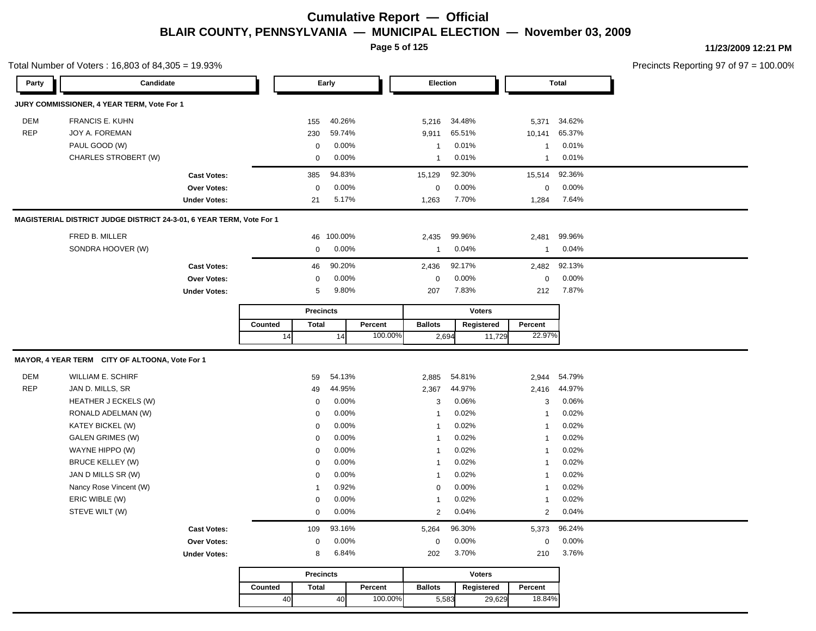**Page 5 of 125**

Total Number of Voters : 16,803 of 84,305 = 19.93%

**11/23/2009 12:21 PM**

| Party      | Candidate                                                            |                     |         | Early |                          |                |         | Election                       |       |                | <b>Total</b>      |                |
|------------|----------------------------------------------------------------------|---------------------|---------|-------|--------------------------|----------------|---------|--------------------------------|-------|----------------|-------------------|----------------|
|            | JURY COMMISSIONER, 4 YEAR TERM, Vote For 1                           |                     |         |       |                          |                |         |                                |       |                |                   |                |
| DEM        | <b>FRANCIS E. KUHN</b>                                               |                     |         |       | 155                      | 40.26%         |         | 5,216                          |       | 34.48%         | 5,371             | 34.62%         |
| <b>REP</b> | JOY A. FOREMAN                                                       |                     |         |       | 230                      | 59.74%         |         | 9,911                          |       | 65.51%         | 10,141            | 65.37%         |
|            | PAUL GOOD (W)                                                        |                     |         |       | 0                        | 0.00%          |         | $\mathbf{1}$                   |       | 0.01%          | $\mathbf{1}$      | 0.01%          |
|            | CHARLES STROBERT (W)                                                 |                     |         |       | 0                        | 0.00%          |         | $\mathbf{1}$                   |       | 0.01%          | $\mathbf{1}$      | 0.01%          |
|            |                                                                      | <b>Cast Votes:</b>  |         |       | 385                      | 94.83%         |         | 15,129                         |       | 92.30%         | 15,514            | 92.36%         |
|            |                                                                      | Over Votes:         |         |       | $\mathbf 0$              | 0.00%          |         | $\boldsymbol{0}$               |       | 0.00%          | $\mathbf 0$       | 0.00%          |
|            |                                                                      | <b>Under Votes:</b> |         |       | 21                       | 5.17%          |         | 1,263                          |       | 7.70%          | 1,284             | 7.64%          |
|            | MAGISTERIAL DISTRICT JUDGE DISTRICT 24-3-01, 6 YEAR TERM, Vote For 1 |                     |         |       |                          |                |         |                                |       |                |                   |                |
|            | FRED B. MILLER                                                       |                     |         |       | 46                       | 100.00%        |         | 2,435                          |       | 99.96%         | 2,481             | 99.96%         |
|            | SONDRA HOOVER (W)                                                    |                     |         |       | 0                        | 0.00%          |         | $\mathbf{1}$                   |       | 0.04%          | $\mathbf{1}$      | 0.04%          |
|            |                                                                      | <b>Cast Votes:</b>  |         |       | 46                       | 90.20%         |         | 2,436                          |       | 92.17%         | 2,482             | 92.13%         |
|            |                                                                      | Over Votes:         |         |       | 0                        | 0.00%          |         | $\boldsymbol{0}$               |       | 0.00%          | $\pmb{0}$         | 0.00%          |
|            |                                                                      | <b>Under Votes:</b> |         |       | 5                        | 9.80%          |         | 207                            |       | 7.83%          | 212               | 7.87%          |
|            |                                                                      |                     |         |       | <b>Precincts</b>         |                |         |                                |       | <b>Voters</b>  |                   |                |
|            |                                                                      |                     |         |       | <b>Total</b>             |                | Percent | <b>Ballots</b><br>Registered   |       |                | Percent           |                |
|            |                                                                      |                     |         | 14    |                          | 14             | 100.00% |                                | 2,694 | 11,729         | 22.97%            |                |
|            |                                                                      |                     |         |       |                          |                |         |                                |       |                |                   |                |
|            | MAYOR, 4 YEAR TERM CITY OF ALTOONA, Vote For 1                       |                     |         |       |                          |                |         |                                |       |                |                   |                |
| DEM        | <b>WILLIAM E. SCHIRF</b>                                             |                     |         |       | 59                       | 54.13%         |         | 2,885                          |       | 54.81%         | 2,944             | 54.79%         |
| <b>REP</b> | JAN D. MILLS, SR                                                     |                     |         |       | 49                       | 44.95%         |         | 2,367                          |       | 44.97%         | 2,416             | 44.97%         |
|            | HEATHER J ECKELS (W)                                                 |                     |         |       | $\mathbf 0$              | 0.00%          |         | 3                              |       | 0.06%          | 3                 | 0.06%          |
|            | RONALD ADELMAN (W)                                                   |                     |         |       | $\mathbf 0$              | 0.00%          |         | $\mathbf{1}$                   |       | 0.02%          | $\mathbf{1}$      | 0.02%          |
|            | KATEY BICKEL (W)                                                     |                     |         |       | $\mathbf 0$              | 0.00%          |         | $\mathbf{1}$                   |       | 0.02%          | $\mathbf{1}$      | 0.02%          |
|            | <b>GALEN GRIMES (W)</b>                                              |                     |         |       | 0                        | 0.00%          |         | $\mathbf{1}$                   |       | 0.02%          | -1                | 0.02%          |
|            | WAYNE HIPPO (W)                                                      |                     |         |       | $\mathbf 0$              | 0.00%          |         | $\mathbf{1}$                   |       | 0.02%          | $\mathbf{1}$      | 0.02%          |
|            | <b>BRUCE KELLEY (W)</b>                                              |                     |         |       | $\mathbf 0$              | 0.00%          |         | $\mathbf{1}$                   |       | 0.02%          | 1                 | 0.02%          |
|            | JAN D MILLS SR (W)                                                   |                     |         |       | $\mathbf 0$              | 0.00%          |         | $\mathbf{1}$                   |       | 0.02%          | $\mathbf{1}$      | 0.02%          |
|            | Nancy Rose Vincent (W)                                               |                     |         |       | $\mathbf{1}$             | 0.92%          |         | $\mathbf 0$                    |       | 0.00%          | $\mathbf{1}$      | 0.02%          |
|            | ERIC WIBLE (W)<br>STEVE WILT (W)                                     |                     |         |       | 0<br>$\mathsf{O}\xspace$ | 0.00%<br>0.00% |         | $\mathbf{1}$<br>$\overline{2}$ |       | 0.02%<br>0.04% | $\mathbf{1}$<br>2 | 0.02%<br>0.04% |
|            |                                                                      |                     |         |       |                          |                |         |                                |       |                |                   |                |
|            |                                                                      | <b>Cast Votes:</b>  |         |       | 109                      | 93.16%         |         | 5,264                          |       | 96.30%         | 5,373             | 96.24%         |
|            |                                                                      | <b>Over Votes:</b>  |         |       | $\mathbf 0$              | 0.00%          |         | $\mathbf 0$                    |       | 0.00%          | $\mathbf 0$       | 0.00%          |
|            |                                                                      | <b>Under Votes:</b> |         |       | 8                        | 6.84%          |         | 202                            |       | 3.70%          | 210               | 3.76%          |
|            |                                                                      |                     |         |       | <b>Precincts</b>         |                |         |                                |       | <b>Voters</b>  |                   |                |
|            |                                                                      |                     | Counted |       | <b>Total</b>             |                | Percent | <b>Ballots</b>                 |       | Registered     | Percent           |                |
|            |                                                                      |                     |         | 40    |                          | 40             | 100.00% |                                | 5,583 | 29,629         | 18.84%            |                |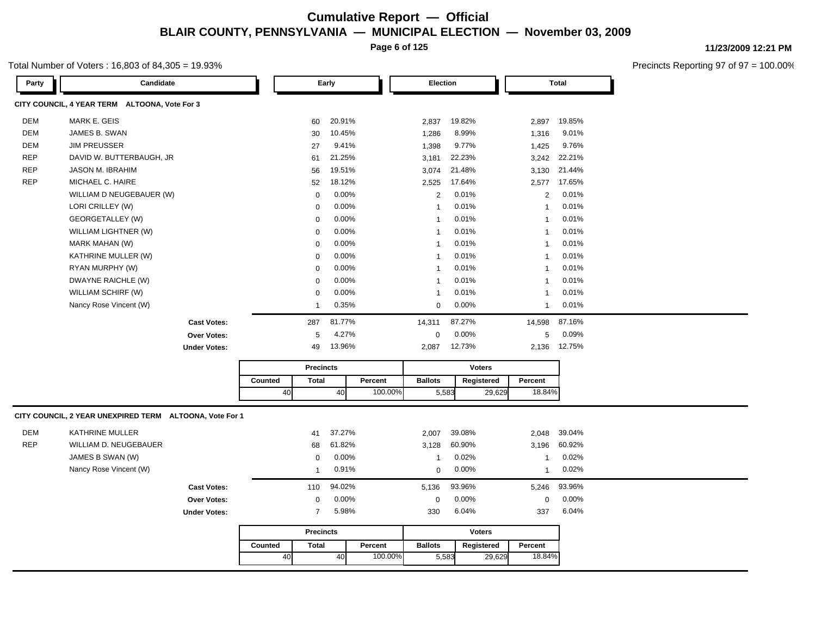**Page 6 of 125**

#### Total Number of Voters : 16,803 of 84,305 = 19.93%

| Party      | Candidate                                               |                     |         | Early            |        |         | <b>Election</b> |        |               | Total          |        |  |
|------------|---------------------------------------------------------|---------------------|---------|------------------|--------|---------|-----------------|--------|---------------|----------------|--------|--|
|            | CITY COUNCIL, 4 YEAR TERM ALTOONA, Vote For 3           |                     |         |                  |        |         |                 |        |               |                |        |  |
| DEM        | MARK E. GEIS                                            |                     |         | 60               | 20.91% |         | 2,837           | 19.82% |               | 2,897          | 19.85% |  |
| <b>DEM</b> | JAMES B. SWAN                                           |                     |         | 30               | 10.45% |         | 1,286           | 8.99%  |               | 1,316          | 9.01%  |  |
| DEM        | <b>JIM PREUSSER</b>                                     |                     |         | 27               | 9.41%  |         | 1,398           | 9.77%  |               | 1,425          | 9.76%  |  |
| <b>REP</b> | DAVID W. BUTTERBAUGH, JR                                |                     |         | 61               | 21.25% |         | 3,181           | 22.23% |               | 3,242          | 22.21% |  |
| <b>REP</b> | <b>JASON M. IBRAHIM</b>                                 |                     |         | 56               | 19.51% |         | 3,074           | 21.48% |               | 3,130          | 21.44% |  |
| <b>REP</b> | MICHAEL C. HAIRE                                        |                     |         | 52               | 18.12% |         | 2,525           | 17.64% |               | 2,577          | 17.65% |  |
|            | WILLIAM D NEUGEBAUER (W)                                |                     |         | $\mathbf 0$      | 0.00%  |         | 2               | 0.01%  |               | 2              | 0.01%  |  |
|            | LORI CRILLEY (W)                                        |                     |         | 0                | 0.00%  |         | $\mathbf{1}$    | 0.01%  |               | $\overline{1}$ | 0.01%  |  |
|            | GEORGETALLEY (W)                                        |                     |         | $\mathbf 0$      | 0.00%  |         | $\mathbf{1}$    | 0.01%  |               | $\mathbf{1}$   | 0.01%  |  |
|            | WILLIAM LIGHTNER (W)                                    |                     |         | $\mathbf 0$      | 0.00%  |         | $\mathbf{1}$    | 0.01%  |               | $\mathbf{1}$   | 0.01%  |  |
|            | MARK MAHAN (W)                                          |                     |         | $\mathbf 0$      | 0.00%  |         | $\mathbf{1}$    | 0.01%  |               | $\mathbf{1}$   | 0.01%  |  |
|            | KATHRINE MULLER (W)                                     |                     |         | 0                | 0.00%  |         | $\mathbf{1}$    | 0.01%  |               | $\mathbf{1}$   | 0.01%  |  |
|            | RYAN MURPHY (W)                                         |                     |         | $\mathbf 0$      | 0.00%  |         | $\mathbf{1}$    | 0.01%  |               | $\mathbf{1}$   | 0.01%  |  |
|            | DWAYNE RAICHLE (W)                                      |                     |         | $\Omega$         | 0.00%  |         | $\mathbf{1}$    | 0.01%  |               | $\overline{1}$ | 0.01%  |  |
|            | WILLIAM SCHIRF (W)                                      |                     |         | $\mathbf 0$      | 0.00%  |         | $\mathbf{1}$    | 0.01%  |               | $\mathbf{1}$   | 0.01%  |  |
|            | Nancy Rose Vincent (W)                                  |                     |         | -1               | 0.35%  |         | $\mathbf 0$     | 0.00%  |               | $\mathbf{1}$   | 0.01%  |  |
|            |                                                         | <b>Cast Votes:</b>  |         | 287              | 81.77% |         | 14,311          | 87.27% |               | 14,598         | 87.16% |  |
|            |                                                         | <b>Over Votes:</b>  |         | 5                | 4.27%  |         | $\mathbf 0$     | 0.00%  |               | 5              | 0.09%  |  |
|            |                                                         | <b>Under Votes:</b> |         | 49               | 13.96% |         | 2,087           | 12.73% |               | 2,136          | 12.75% |  |
|            |                                                         |                     |         | <b>Precincts</b> |        |         | <b>Voters</b>   |        |               |                |        |  |
|            |                                                         |                     | Counted | Total            |        | Percent | <b>Ballots</b>  |        | Registered    | Percent        |        |  |
|            |                                                         |                     | 40      |                  | 40     | 100.00% | 5,583           |        | 29,629        | 18.84%         |        |  |
|            |                                                         |                     |         |                  |        |         |                 |        |               |                |        |  |
|            | CITY COUNCIL, 2 YEAR UNEXPIRED TERM ALTOONA, Vote For 1 |                     |         |                  |        |         |                 |        |               |                |        |  |
| <b>DEM</b> | <b>KATHRINE MULLER</b>                                  |                     |         | 41               | 37.27% |         | 2,007           | 39.08% |               | 2,048          | 39.04% |  |
| <b>REP</b> | WILLIAM D. NEUGEBAUER                                   |                     |         | 68               | 61.82% |         | 3,128           | 60.90% |               | 3,196          | 60.92% |  |
|            | JAMES B SWAN (W)                                        |                     |         | $\mathbf 0$      | 0.00%  |         | $\mathbf{1}$    | 0.02%  |               | $\mathbf{1}$   | 0.02%  |  |
|            |                                                         |                     |         |                  |        |         |                 |        |               |                |        |  |
|            | Nancy Rose Vincent (W)                                  |                     |         | -1               | 0.91%  |         | $\mathbf 0$     | 0.00%  |               | $\mathbf{1}$   | 0.02%  |  |
|            |                                                         | <b>Cast Votes:</b>  |         | 110              | 94.02% |         | 5,136           | 93.96% |               | 5,246          | 93.96% |  |
|            |                                                         | <b>Over Votes:</b>  |         | $\mathbf 0$      | 0.00%  |         | $\mathbf 0$     | 0.00%  |               | 0              | 0.00%  |  |
|            |                                                         | <b>Under Votes:</b> |         | $\overline{7}$   | 5.98%  |         | 330             | 6.04%  |               | 337            | 6.04%  |  |
|            |                                                         |                     |         | <b>Precincts</b> |        |         |                 |        | <b>Voters</b> |                |        |  |
|            |                                                         |                     | Counted | <b>Total</b>     |        | Percent | <b>Ballots</b>  |        | Registered    | Percent        |        |  |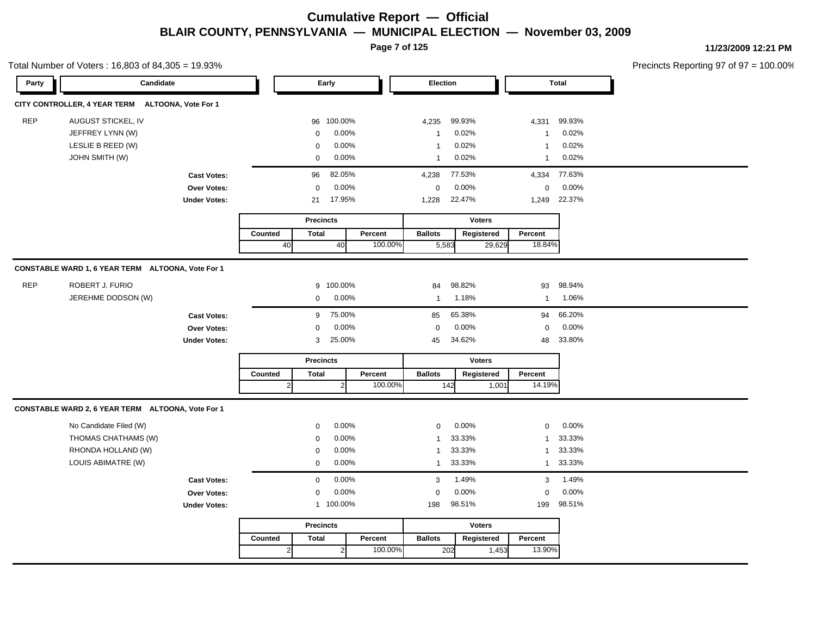**Page 7 of 125**

**11/23/2009 12:21 PM**

|            | Total Number of Voters: 16,803 of 84,305 = 19.93% |                     |              |                  |                |         |                |        |               |              |        | Precincts Reporting 97 of 97 |
|------------|---------------------------------------------------|---------------------|--------------|------------------|----------------|---------|----------------|--------|---------------|--------------|--------|------------------------------|
| Party      | Candidate                                         |                     |              |                  | Early          |         | Election       |        |               |              | Total  |                              |
|            | CITY CONTROLLER, 4 YEAR TERM ALTOONA, Vote For 1  |                     |              |                  |                |         |                |        |               |              |        |                              |
| <b>REP</b> | AUGUST STICKEL, IV                                |                     |              | 96               | 100.00%        |         | 4,235          | 99.93% |               | 4,331        | 99.93% |                              |
|            | JEFFREY LYNN (W)                                  |                     |              | $\mathbf 0$      | 0.00%          |         | $\mathbf{1}$   | 0.02%  |               | $\mathbf{1}$ | 0.02%  |                              |
|            | LESLIE B REED (W)                                 |                     |              | $\mathbf 0$      | 0.00%          |         | $\mathbf{1}$   | 0.02%  |               | $\mathbf{1}$ | 0.02%  |                              |
|            | <b>JOHN SMITH (W)</b>                             |                     |              | $\mathbf 0$      | 0.00%          |         | $\mathbf{1}$   | 0.02%  |               | $\mathbf{1}$ | 0.02%  |                              |
|            |                                                   | <b>Cast Votes:</b>  |              | 96               | 82.05%         |         | 4,238          | 77.53% |               | 4,334        | 77.63% |                              |
|            |                                                   | Over Votes:         |              | 0                | 0.00%          |         | 0              | 0.00%  |               | 0            | 0.00%  |                              |
|            |                                                   | <b>Under Votes:</b> |              | 21               | 17.95%         |         | 1,228          | 22.47% |               | 1,249        | 22.37% |                              |
|            |                                                   |                     |              | <b>Precincts</b> |                |         |                |        | <b>Voters</b> |              |        |                              |
|            |                                                   |                     | Counted      | <b>Total</b>     |                | Percent | <b>Ballots</b> |        | Registered    | Percent      |        |                              |
|            |                                                   |                     | 40           |                  | 40             | 100.00% |                | 5,583  | 29,629        | 18.84%       |        |                              |
|            | CONSTABLE WARD 1, 6 YEAR TERM ALTOONA, Vote For 1 |                     |              |                  |                |         |                |        |               |              |        |                              |
| <b>REP</b> | <b>ROBERT J. FURIO</b>                            |                     |              |                  | 9 100.00%      |         | 84             | 98.82% |               | 93           | 98.94% |                              |
|            | JEREHME DODSON (W)                                |                     |              | $\mathbf 0$      | 0.00%          |         | $\mathbf{1}$   | 1.18%  |               | $\mathbf{1}$ | 1.06%  |                              |
|            |                                                   | <b>Cast Votes:</b>  |              | 9                | 75.00%         |         | 85             | 65.38% |               | 94           | 66.20% |                              |
|            |                                                   | Over Votes:         |              | $\mathbf 0$      | 0.00%          |         | $\mathbf 0$    | 0.00%  |               | 0            | 0.00%  |                              |
|            |                                                   | <b>Under Votes:</b> |              | 3                | 25.00%         |         | 45             | 34.62% |               | 48           | 33.80% |                              |
|            |                                                   |                     |              | <b>Precincts</b> |                |         |                |        | <b>Voters</b> |              |        |                              |
|            |                                                   |                     | Counted      | <b>Total</b>     |                | Percent | <b>Ballots</b> |        | Registered    | Percent      |        |                              |
|            |                                                   |                     | $\mathbf{2}$ |                  | $\overline{2}$ | 100.00% |                | 142    | 1,001         | 14.19%       |        |                              |
|            | CONSTABLE WARD 2, 6 YEAR TERM ALTOONA, Vote For 1 |                     |              |                  |                |         |                |        |               |              |        |                              |
|            | No Candidate Filed (W)                            |                     |              | $\mathbf 0$      | 0.00%          |         | $\mathbf 0$    | 0.00%  |               | 0            | 0.00%  |                              |
|            | THOMAS CHATHAMS (W)                               |                     |              | $\mathbf 0$      | 0.00%          |         | $\mathbf{1}$   | 33.33% |               | $\mathbf{1}$ | 33.33% |                              |
|            | RHONDA HOLLAND (W)                                |                     |              | $\mathbf 0$      | 0.00%          |         | $\mathbf{1}$   | 33.33% |               | $\mathbf{1}$ | 33.33% |                              |
|            | LOUIS ABIMATRE (W)                                |                     |              | $\mathbf 0$      | 0.00%          |         | $\mathbf{1}$   | 33.33% |               | $\mathbf{1}$ | 33.33% |                              |
|            |                                                   | <b>Cast Votes:</b>  |              | $\mathbf 0$      | 0.00%          |         | 3              | 1.49%  |               | 3            | 1.49%  |                              |
|            |                                                   | Over Votes:         |              | $\mathbf 0$      | 0.00%          |         | $\mathbf 0$    | 0.00%  |               | $\mathbf 0$  | 0.00%  |                              |
|            |                                                   | <b>Under Votes:</b> |              |                  | 1 100.00%      |         | 198            | 98.51% |               | 199          | 98.51% |                              |
|            |                                                   |                     |              | <b>Precincts</b> |                |         |                |        | <b>Voters</b> |              |        |                              |
|            |                                                   |                     | Counted      | <b>Total</b>     |                | Percent | <b>Ballots</b> |        | Registered    | Percent      |        |                              |
|            |                                                   |                     |              | $\mathbf{2}$     | $\overline{2}$ | 100.00% |                | 202    | 1,453         | 13.90%       |        |                              |
|            |                                                   |                     |              |                  |                |         |                |        |               |              |        |                              |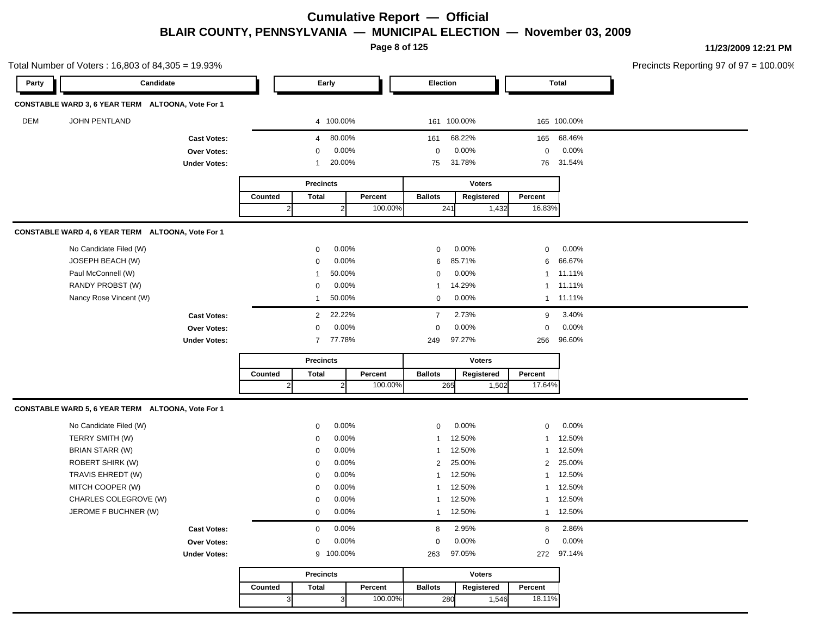**Page 8 of 125**

|            | Total Number of Voters: 16,803 of 84,305 = 19.93% |                     |              |                  |                |         |                |               |                |              | Precincts Reporting 97 of 97 = 100.00% |
|------------|---------------------------------------------------|---------------------|--------------|------------------|----------------|---------|----------------|---------------|----------------|--------------|----------------------------------------|
| Party      | Candidate                                         |                     |              |                  | Early          |         | Election       |               |                | <b>Total</b> |                                        |
|            | CONSTABLE WARD 3, 6 YEAR TERM ALTOONA, Vote For 1 |                     |              |                  |                |         |                |               |                |              |                                        |
| <b>DEM</b> | <b>JOHN PENTLAND</b>                              |                     |              |                  | 4 100.00%      |         | 161 100.00%    |               |                | 165 100.00%  |                                        |
|            |                                                   | <b>Cast Votes:</b>  |              | $\overline{4}$   | 80.00%         |         | 161            | 68.22%        | 165            | 68.46%       |                                        |
|            |                                                   | Over Votes:         |              | $\mathbf 0$      | 0.00%          |         | $\mathbf 0$    | 0.00%         | $\mathbf 0$    | 0.00%        |                                        |
|            |                                                   | <b>Under Votes:</b> |              | -1               | 20.00%         |         | 75             | 31.78%        | 76             | 31.54%       |                                        |
|            |                                                   |                     |              | <b>Precincts</b> |                |         |                | <b>Voters</b> |                |              |                                        |
|            |                                                   |                     | Counted      | <b>Total</b>     |                | Percent | <b>Ballots</b> | Registered    | Percent        |              |                                        |
|            |                                                   |                     | $\mathbf{2}$ |                  | $\overline{2}$ | 100.00% | 241            | 1,432         | 16.83%         |              |                                        |
|            | CONSTABLE WARD 4, 6 YEAR TERM ALTOONA, Vote For 1 |                     |              |                  |                |         |                |               |                |              |                                        |
|            | No Candidate Filed (W)                            |                     |              | 0                | 0.00%          |         | 0              | 0.00%         | $\mathbf 0$    | 0.00%        |                                        |
|            | JOSEPH BEACH (W)                                  |                     |              | 0                | 0.00%          |         | 6              | 85.71%        | 6              | 66.67%       |                                        |
|            | Paul McConnell (W)                                |                     |              | $\mathbf{1}$     | 50.00%         |         | 0              | 0.00%         | $\mathbf{1}$   | 11.11%       |                                        |
|            | RANDY PROBST (W)                                  |                     |              | 0                | 0.00%          |         | -1             | 14.29%        | $\mathbf{1}$   | 11.11%       |                                        |
|            | Nancy Rose Vincent (W)                            |                     |              | 1                | 50.00%         |         | 0              | 0.00%         | $\mathbf{1}$   | 11.11%       |                                        |
|            |                                                   | <b>Cast Votes:</b>  |              | $\overline{2}$   | 22.22%         |         | $\overline{7}$ | 2.73%         | 9              | 3.40%        |                                        |
|            |                                                   | Over Votes:         |              | $\mathbf 0$      | 0.00%          |         | 0              | 0.00%         | $\mathbf 0$    | 0.00%        |                                        |
|            |                                                   | <b>Under Votes:</b> |              |                  | 7 77.78%       |         | 249            | 97.27%        | 256            | 96.60%       |                                        |
|            |                                                   |                     |              | <b>Precincts</b> |                |         |                | <b>Voters</b> |                |              |                                        |
|            |                                                   |                     | Counted      | <b>Total</b>     |                | Percent | <b>Ballots</b> | Registered    | Percent        |              |                                        |
|            |                                                   |                     | $\vert$ 2    |                  | 2              | 100.00% | 265            | 1,502         | 17.64%         |              |                                        |
|            | CONSTABLE WARD 5, 6 YEAR TERM ALTOONA, Vote For 1 |                     |              |                  |                |         |                |               |                |              |                                        |
|            | No Candidate Filed (W)                            |                     |              | 0                | 0.00%          |         | 0              | 0.00%         | $\mathbf 0$    | 0.00%        |                                        |
|            | TERRY SMITH (W)                                   |                     |              | $\mathbf 0$      | 0.00%          |         |                | 12.50%        | $\mathbf{1}$   | 12.50%       |                                        |
|            | BRIAN STARR (W)                                   |                     |              | $\mathbf 0$      | 0.00%          |         |                | 12.50%        | $\mathbf{1}$   | 12.50%       |                                        |
|            | <b>ROBERT SHIRK (W)</b>                           |                     |              | $\mathbf 0$      | 0.00%          |         | $\overline{2}$ | 25.00%        | $\overline{2}$ | 25.00%       |                                        |
|            | TRAVIS EHREDT (W)                                 |                     |              | 0                | 0.00%          |         |                | 12.50%        | $\mathbf{1}$   | 12.50%       |                                        |
|            | MITCH COOPER (W)                                  |                     |              | $\mathbf 0$      | 0.00%          |         |                | 12.50%        | 1              | 12.50%       |                                        |
|            | CHARLES COLEGROVE (W)                             |                     |              | $\mathbf 0$      | 0.00%          |         |                | 12.50%        | $\mathbf{1}$   | 12.50%       |                                        |
|            | JEROME F BUCHNER (W)                              |                     |              | $\mathbf 0$      | 0.00%          |         |                | 1 12.50%      |                | 1 12.50%     |                                        |
|            |                                                   | <b>Cast Votes:</b>  |              | $\mathbf 0$      | 0.00%          |         | 8              | 2.95%         | 8              | 2.86%        |                                        |
|            |                                                   | Over Votes:         |              | $\mathbf 0$      | 0.00%          |         | 0              | 0.00%         | $\mathbf 0$    | 0.00%        |                                        |
|            |                                                   | <b>Under Votes:</b> |              |                  | 9 100.00%      |         | 263            | 97.05%        | 272            | 97.14%       |                                        |
|            |                                                   |                     |              | <b>Precincts</b> |                |         |                | <b>Voters</b> |                |              |                                        |
|            |                                                   |                     | Counted      | <b>Total</b>     |                | Percent | <b>Ballots</b> | Registered    | Percent        |              |                                        |
|            |                                                   |                     | $\vert$ 3    |                  | $\mathbf{3}$   | 100.00% | 280            | 1,546         | 18.11%         |              |                                        |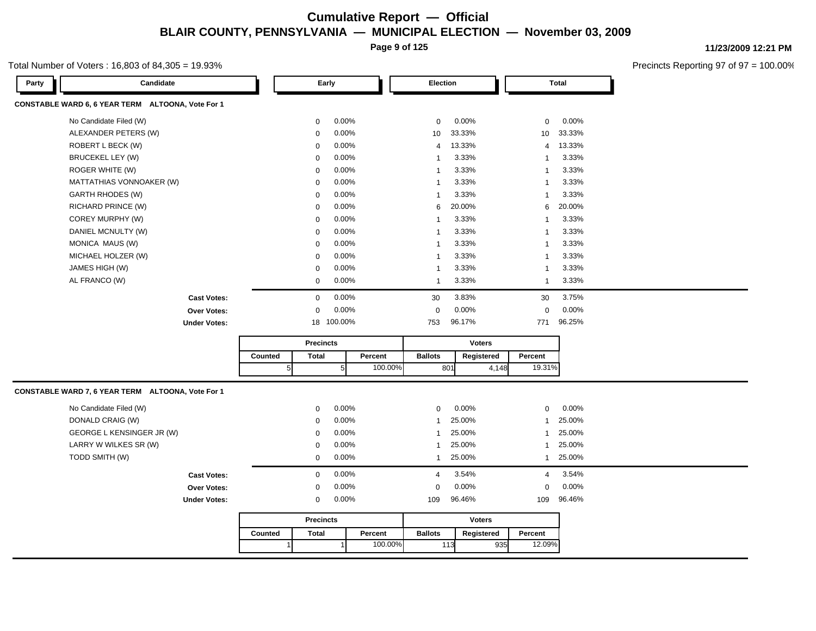**Page 9 of 125**

#### Total Number of Voters : 16,803 of 84,305 = 19.93%

**11/23/2009 12:21 PM**

| Party | Candidate                                         |         |   | Early            |                 |         | Election       |        |               |                | <b>Total</b> |
|-------|---------------------------------------------------|---------|---|------------------|-----------------|---------|----------------|--------|---------------|----------------|--------------|
|       | CONSTABLE WARD 6, 6 YEAR TERM ALTOONA, Vote For 1 |         |   |                  |                 |         |                |        |               |                |              |
|       | No Candidate Filed (W)                            |         |   | 0                | 0.00%           |         | $\mathbf 0$    | 0.00%  |               | $\mathbf 0$    | 0.00%        |
|       | ALEXANDER PETERS (W)                              |         |   | 0                | 0.00%           |         | 10             | 33.33% |               | 10             | 33.33%       |
|       | ROBERT L BECK (W)                                 |         |   | 0                | 0.00%           |         | $\overline{4}$ | 13.33% |               | 4              | 13.33%       |
|       | BRUCEKEL LEY (W)                                  |         |   | 0                | 0.00%           |         | $\overline{1}$ | 3.33%  |               | -1             | 3.33%        |
|       | ROGER WHITE (W)                                   |         |   | 0                | 0.00%           |         | $\overline{1}$ | 3.33%  |               | $\mathbf{1}$   | 3.33%        |
|       | MATTATHIAS VONNOAKER (W)                          |         |   | $\mathbf 0$      | 0.00%           |         | $\overline{1}$ | 3.33%  |               | -1             | 3.33%        |
|       | <b>GARTH RHODES (W)</b>                           |         |   | $\mathbf 0$      | 0.00%           |         | $\overline{1}$ | 3.33%  |               | -1             | 3.33%        |
|       | RICHARD PRINCE (W)                                |         |   | $\mathbf 0$      | 0.00%           |         | 6              | 20.00% |               | 6              | 20.00%       |
|       | COREY MURPHY (W)                                  |         |   | 0                | 0.00%           |         | $\mathbf{1}$   | 3.33%  |               | $\overline{1}$ | 3.33%        |
|       | DANIEL MCNULTY (W)                                |         |   | 0                | 0.00%           |         | $\mathbf{1}$   | 3.33%  |               | $\mathbf{1}$   | 3.33%        |
|       | MONICA MAUS (W)                                   |         |   | $\mathbf 0$      | 0.00%           |         | $\overline{1}$ | 3.33%  |               | -1             | 3.33%        |
|       | MICHAEL HOLZER (W)                                |         |   | $\mathbf 0$      | 0.00%           |         | $\mathbf{1}$   | 3.33%  |               | -1             | 3.33%        |
|       | JAMES HIGH (W)                                    |         |   | 0                | 0.00%           |         | $\mathbf{1}$   | 3.33%  |               | $\mathbf{1}$   | 3.33%        |
|       | AL FRANCO (W)                                     |         |   | 0                | 0.00%           |         | $\overline{1}$ | 3.33%  |               | $\mathbf{1}$   | 3.33%        |
|       | <b>Cast Votes:</b>                                |         |   | $\mathbf 0$      | 0.00%           |         | 30             | 3.83%  |               | 30             | 3.75%        |
|       | Over Votes:                                       |         |   | $\mathbf 0$      | 0.00%           |         | $\mathbf 0$    | 0.00%  |               | $\Omega$       | 0.00%        |
|       | <b>Under Votes:</b>                               |         |   |                  | 18 100.00%      |         | 753            | 96.17% |               | 771            | 96.25%       |
|       |                                                   |         |   | <b>Precincts</b> |                 |         |                |        | <b>Voters</b> |                |              |
|       |                                                   | Counted |   | <b>Total</b>     |                 | Percent | <b>Ballots</b> |        | Registered    | Percent        |              |
|       |                                                   |         | 5 |                  | $5\overline{)}$ | 100.00% |                | 801    | 4,148         | 19.31%         |              |
|       |                                                   |         |   |                  |                 |         |                |        |               |                |              |
|       | CONSTABLE WARD 7, 6 YEAR TERM ALTOONA, Vote For 1 |         |   |                  |                 |         |                |        |               |                |              |
|       | No Candidate Filed (W)                            |         |   | 0                | 0.00%           |         | $\mathbf 0$    | 0.00%  |               | $\mathbf 0$    | 0.00%        |
|       | DONALD CRAIG (W)                                  |         |   | 0                | 0.00%           |         | $\mathbf{1}$   | 25.00% |               | $\mathbf{1}$   | 25.00%       |
|       | GEORGE L KENSINGER JR (W)                         |         |   | 0                | 0.00%           |         | 1              | 25.00% |               | 1              | 25.00%       |
|       | LARRY W WILKES SR (W)                             |         |   | 0                | $0.00\%$        |         | $\mathbf{1}$   | 25.00% |               | 1              | 25.00%       |
|       | TODD SMITH (W)                                    |         |   | $\mathbf 0$      | 0.00%           |         | $\mathbf{1}$   | 25.00% |               | $\mathbf{1}$   | 25.00%       |
|       | <b>Cast Votes:</b>                                |         |   | $\mathbf{0}$     | 0.00%           |         | $\overline{4}$ | 3.54%  |               | 4              | 3.54%        |
|       | <b>Over Votes:</b>                                |         |   | $\mathbf 0$      | 0.00%           |         | $\mathbf 0$    | 0.00%  |               | $\mathbf 0$    | 0.00%        |
|       | <b>Under Votes:</b>                               |         |   | 0                | 0.00%           |         | 109            | 96.46% |               | 109            | 96.46%       |
|       |                                                   |         |   | <b>Precincts</b> |                 |         |                |        | <b>Voters</b> |                |              |
|       |                                                   | Counted |   | <b>Total</b>     |                 | Percent | <b>Ballots</b> |        | Registered    | Percent        |              |
|       |                                                   |         |   |                  | 1               | 100.00% |                | 113    | 935           | 12.09%         |              |
|       |                                                   |         |   |                  |                 |         |                |        |               |                |              |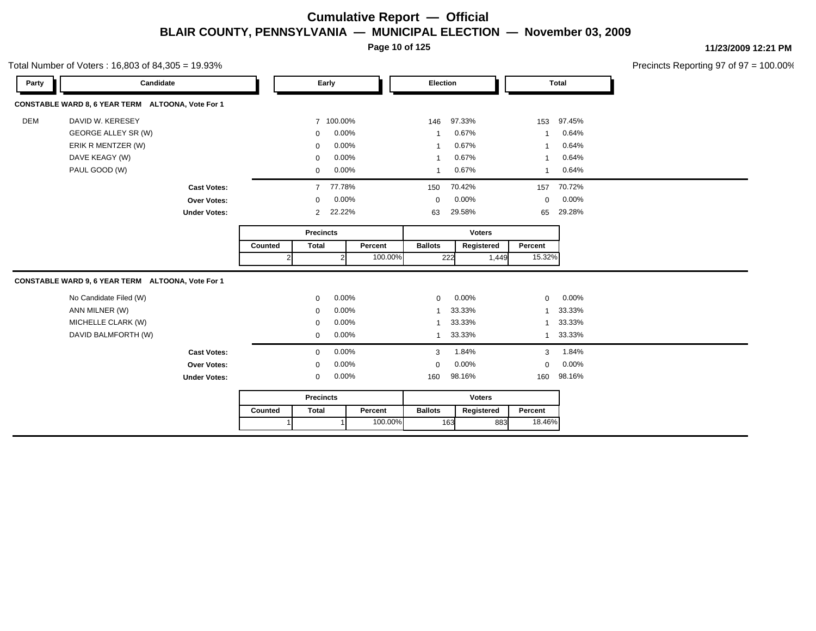**Page 10 of 125**

Total Number of Voters : 16,803 of 84,305 = 19.93%

**11/23/2009 12:21 PM**

| Party      | Candidate                                         |                     |                  |                  | Early         |               | Election       |     |               |              | <b>Total</b> |
|------------|---------------------------------------------------|---------------------|------------------|------------------|---------------|---------------|----------------|-----|---------------|--------------|--------------|
|            | CONSTABLE WARD 8, 6 YEAR TERM ALTOONA, Vote For 1 |                     |                  |                  |               |               |                |     |               |              |              |
| <b>DEM</b> | DAVID W. KERESEY                                  |                     |                  |                  | 7 100.00%     |               | 146            |     | 97.33%        | 153          | 97.45%       |
|            | GEORGE ALLEY SR (W)                               |                     |                  | $\mathbf 0$      | 0.00%         |               | $\mathbf{1}$   |     | 0.67%         | $\mathbf 1$  | 0.64%        |
|            | ERIK R MENTZER (W)                                |                     |                  | $\Omega$         | 0.00%         |               | $\mathbf{1}$   |     | 0.67%         | $\mathbf 1$  | 0.64%        |
|            | DAVE KEAGY (W)                                    |                     |                  | $\Omega$         | 0.00%         |               | $\mathbf{1}$   |     | 0.67%         | $\mathbf 1$  | 0.64%        |
|            | PAUL GOOD (W)                                     |                     |                  | 0                | 0.00%         |               | $\mathbf{1}$   |     | 0.67%         | $\mathbf{1}$ | 0.64%        |
|            |                                                   | <b>Cast Votes:</b>  |                  |                  | 7 77.78%      |               | 150            |     | 70.42%        | 157          | 70.72%       |
|            |                                                   | <b>Over Votes:</b>  |                  | $\mathbf{0}$     | 0.00%         |               | $\mathbf 0$    |     | 0.00%         | $\mathbf 0$  | 0.00%        |
|            |                                                   | <b>Under Votes:</b> |                  | $2^{\circ}$      | 22.22%        |               | 63             |     | 29.58%        | 65           | 29.28%       |
|            |                                                   |                     | <b>Precincts</b> |                  |               | <b>Voters</b> |                |     |               |              |              |
|            |                                                   |                     | Counted          | <b>Total</b>     |               | Percent       | <b>Ballots</b> |     | Registered    | Percent      |              |
|            |                                                   |                     |                  | 2                | $\mathcal{P}$ | 100.00%       |                | 222 | 1,449         | 15.32%       |              |
|            | CONSTABLE WARD 9, 6 YEAR TERM ALTOONA, Vote For 1 |                     |                  |                  |               |               |                |     |               |              |              |
|            | No Candidate Filed (W)                            |                     |                  | $\mathbf{0}$     | 0.00%         |               | $\Omega$       |     | 0.00%         | $\Omega$     | 0.00%        |
|            | ANN MILNER (W)                                    |                     |                  | $\mathbf 0$      | 0.00%         |               | $\mathbf{1}$   |     | 33.33%        | $\mathbf{1}$ | 33.33%       |
|            | MICHELLE CLARK (W)                                |                     |                  | $\Omega$         | 0.00%         |               | $\mathbf{1}$   |     | 33.33%        | $\mathbf{1}$ | 33.33%       |
|            | DAVID BALMFORTH (W)                               |                     |                  | $\mathbf 0$      | 0.00%         |               | $\mathbf{1}$   |     | 33.33%        | $\mathbf{1}$ | 33.33%       |
|            |                                                   | <b>Cast Votes:</b>  |                  | $\mathbf 0$      | 0.00%         |               | 3              |     | 1.84%         | 3            | 1.84%        |
|            |                                                   |                     |                  |                  |               |               |                |     |               |              |              |
|            |                                                   | <b>Over Votes:</b>  |                  | 0                | 0.00%         |               | 0              |     | 0.00%         | $\mathbf 0$  | 0.00%        |
|            |                                                   | <b>Under Votes:</b> |                  | $\mathbf 0$      | 0.00%         |               | 160            |     | 98.16%        | 160          | 98.16%       |
|            |                                                   |                     |                  | <b>Precincts</b> |               |               |                |     | <b>Voters</b> |              |              |
|            |                                                   |                     | Counted          | <b>Total</b>     |               | Percent       | <b>Ballots</b> |     | Registered    | Percent      |              |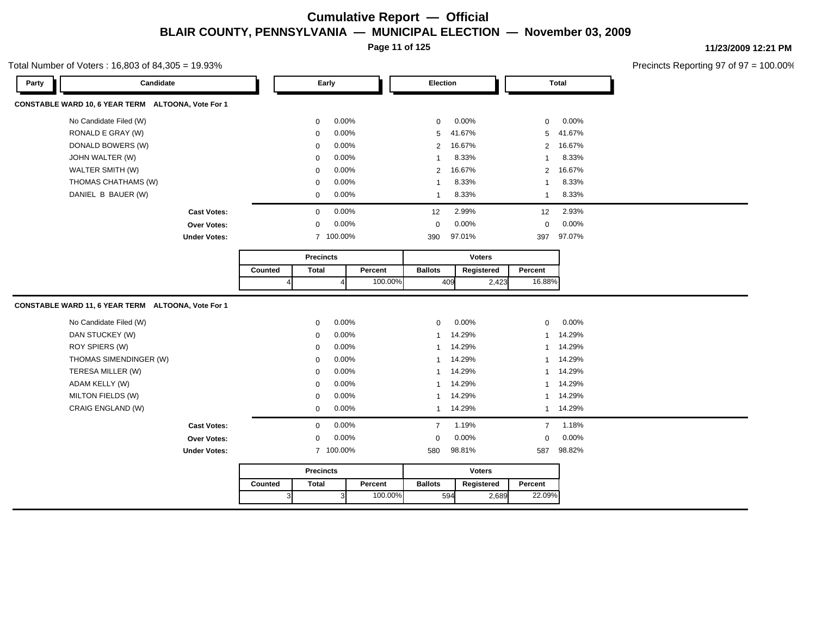**Page 11 of 125**

#### Total Number of Voters : 16,803 of 84,305 = 19.93%

**11/23/2009 12:21 PM**

| Candidate<br>Party                                 |                     |         |                | Early            |         | <b>Election</b> |        |               |                | <b>Total</b> |  |
|----------------------------------------------------|---------------------|---------|----------------|------------------|---------|-----------------|--------|---------------|----------------|--------------|--|
| CONSTABLE WARD 10, 6 YEAR TERM ALTOONA, Vote For 1 |                     |         |                |                  |         |                 |        |               |                |              |  |
| No Candidate Filed (W)                             |                     |         | $\mathbf 0$    | 0.00%            |         | $\mathbf 0$     | 0.00%  |               | $\mathbf 0$    | 0.00%        |  |
| RONALD E GRAY (W)                                  |                     |         | $\mathbf 0$    | 0.00%            |         | 5               | 41.67% |               | 5              | 41.67%       |  |
| DONALD BOWERS (W)                                  |                     |         | $\Omega$       | 0.00%            |         | 2               | 16.67% |               | $\overline{2}$ | 16.67%       |  |
| JOHN WALTER (W)                                    |                     |         | $\Omega$       | 0.00%            |         | $\overline{1}$  | 8.33%  |               | $\mathbf{1}$   | 8.33%        |  |
| WALTER SMITH (W)                                   |                     |         | $\mathbf 0$    | 0.00%            |         | $\overline{2}$  | 16.67% |               | $\overline{2}$ | 16.67%       |  |
| THOMAS CHATHAMS (W)                                |                     |         | $\mathbf 0$    | 0.00%            |         | $\overline{1}$  | 8.33%  |               | $\mathbf{1}$   | 8.33%        |  |
| DANIEL B BAUER (W)                                 |                     |         | $\mathbf 0$    | 0.00%            |         | $\overline{1}$  | 8.33%  |               | $\mathbf{1}$   | 8.33%        |  |
|                                                    | <b>Cast Votes:</b>  |         | $\mathbf 0$    | 0.00%            |         | 12              | 2.99%  |               | 12             | 2.93%        |  |
|                                                    | <b>Over Votes:</b>  |         | $\mathbf 0$    | 0.00%            |         | $\mathbf 0$     | 0.00%  |               | $\mathbf 0$    | 0.00%        |  |
|                                                    | <b>Under Votes:</b> |         |                | 7 100.00%        |         | 390             | 97.01% |               | 397            | 97.07%       |  |
|                                                    |                     |         |                | <b>Precincts</b> |         |                 |        | <b>Voters</b> |                |              |  |
|                                                    |                     | Counted | <b>Total</b>   |                  | Percent | <b>Ballots</b>  |        | Registered    | Percent        |              |  |
|                                                    |                     |         | $\overline{4}$ | $\overline{4}$   | 100.00% |                 | 409    | 2,423         | 16.88%         |              |  |
| CONSTABLE WARD 11, 6 YEAR TERM ALTOONA, Vote For 1 |                     |         |                |                  |         |                 |        |               |                |              |  |
| No Candidate Filed (W)                             |                     |         | $\mathbf 0$    | 0.00%            |         | $\mathbf 0$     | 0.00%  |               | $\mathbf 0$    | 0.00%        |  |
| DAN STUCKEY (W)                                    |                     |         | $\mathbf 0$    | 0.00%            |         | $\overline{1}$  | 14.29% |               | $\mathbf{1}$   | 14.29%       |  |
| ROY SPIERS (W)                                     |                     |         | $\mathbf 0$    | 0.00%            |         | $\overline{1}$  | 14.29% |               |                | 1 14.29%     |  |
| THOMAS SIMENDINGER (W)                             |                     |         | $\Omega$       | 0.00%            |         | $\mathbf{1}$    | 14.29% |               |                | 1 14.29%     |  |
| TERESA MILLER (W)                                  |                     |         | $\mathbf 0$    | 0.00%            |         | $\mathbf 1$     | 14.29% |               | $\mathbf{1}$   | 14.29%       |  |
| ADAM KELLY (W)                                     |                     |         | $\mathbf 0$    | 0.00%            |         | $\mathbf{1}$    | 14.29% |               |                | 1 14.29%     |  |
| MILTON FIELDS (W)                                  |                     |         | $\mathbf 0$    | 0.00%            |         | $\mathbf{1}$    | 14.29% |               | $\mathbf{1}$   | 14.29%       |  |
| CRAIG ENGLAND (W)                                  |                     |         | $\mathbf 0$    | 0.00%            |         | $\mathbf{1}$    | 14.29% |               |                | 1 14.29%     |  |
|                                                    | <b>Cast Votes:</b>  |         | $\Omega$       | 0.00%            |         | $\overline{7}$  | 1.19%  |               | $\overline{7}$ | 1.18%        |  |
|                                                    | Over Votes:         |         | $\mathbf 0$    | 0.00%            |         | $\mathbf 0$     | 0.00%  |               | $\mathbf 0$    | 0.00%        |  |
|                                                    | <b>Under Votes:</b> |         |                |                  |         |                 | 98.81% |               | 587            | 98.82%       |  |
|                                                    |                     |         |                | 7 100.00%        |         | 580             |        |               |                |              |  |
|                                                    |                     |         |                | <b>Precincts</b> |         |                 |        | <b>Voters</b> |                |              |  |
|                                                    |                     | Counted | <b>Total</b>   |                  | Percent | <b>Ballots</b>  |        | Registered    | Percent        |              |  |
|                                                    |                     |         | $\vert$ 3      | $\mathbf{3}$     | 100.00% |                 | 594    | 2,689         | 22.09%         |              |  |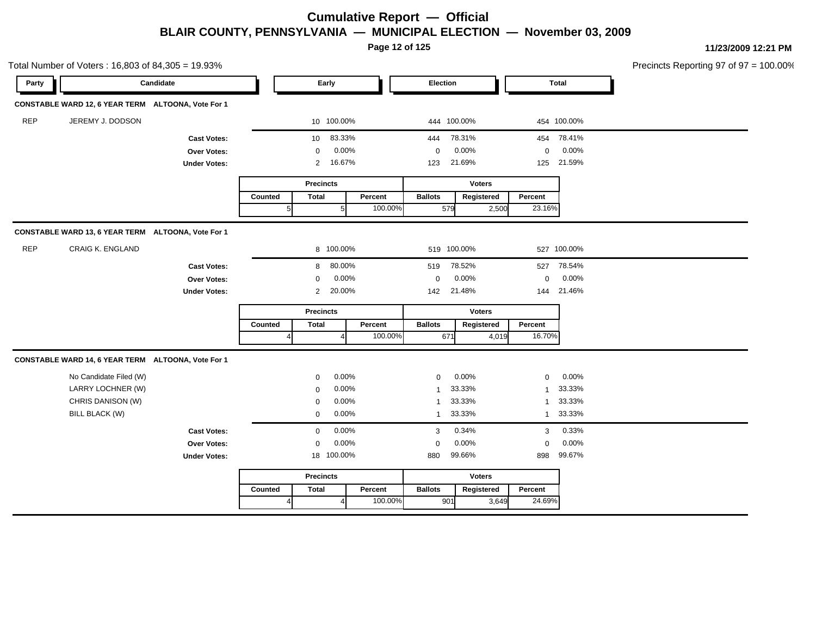**Page 12 of 125**

|            | Total Number of Voters: 16,803 of 84,305 = 19.93%  |                     |                |                  |                |         |                |               |              |             | Precincts Reporting 97 of 97 = 100.00% |
|------------|----------------------------------------------------|---------------------|----------------|------------------|----------------|---------|----------------|---------------|--------------|-------------|----------------------------------------|
| Party      |                                                    | Candidate           |                | Early            |                |         | Election       |               |              | Total       |                                        |
|            | CONSTABLE WARD 12, 6 YEAR TERM ALTOONA, Vote For 1 |                     |                |                  |                |         |                |               |              |             |                                        |
| <b>REP</b> | JEREMY J. DODSON                                   |                     |                | 10 100.00%       |                |         | 444 100.00%    |               |              | 454 100.00% |                                        |
|            |                                                    | <b>Cast Votes:</b>  |                | 10               | 83.33%         |         | 444            | 78.31%        |              | 454 78.41%  |                                        |
|            |                                                    | Over Votes:         |                | 0                | 0.00%          |         | $\mathbf 0$    | 0.00%         | 0            | 0.00%       |                                        |
|            |                                                    | <b>Under Votes:</b> |                |                  | 2 16.67%       |         | 123            | 21.69%        | 125          | 21.59%      |                                        |
|            |                                                    |                     |                | <b>Precincts</b> |                |         |                | <b>Voters</b> |              |             |                                        |
|            |                                                    |                     | Counted        | <b>Total</b>     |                | Percent | <b>Ballots</b> | Registered    | Percent      |             |                                        |
|            |                                                    |                     | 5 <sub>l</sub> |                  | $\sqrt{5}$     | 100.00% | 579            | 2,500         | 23.16%       |             |                                        |
|            | CONSTABLE WARD 13, 6 YEAR TERM ALTOONA, Vote For 1 |                     |                |                  |                |         |                |               |              |             |                                        |
| <b>REP</b> | <b>CRAIG K. ENGLAND</b>                            |                     |                |                  | 8 100.00%      |         | 519 100.00%    |               |              | 527 100.00% |                                        |
|            |                                                    | <b>Cast Votes:</b>  |                | 8                | 80.00%         |         | 519            | 78.52%        | 527          | 78.54%      |                                        |
|            |                                                    | Over Votes:         |                | 0                | 0.00%          |         | $\mathbf 0$    | 0.00%         | $\mathsf 0$  | 0.00%       |                                        |
|            |                                                    | <b>Under Votes:</b> |                | $\overline{2}$   | 20.00%         |         | 142            | 21.48%        | 144          | 21.46%      |                                        |
|            |                                                    |                     |                | <b>Precincts</b> |                |         |                | <b>Voters</b> |              |             |                                        |
|            |                                                    |                     | Counted        | <b>Total</b>     |                | Percent | <b>Ballots</b> | Registered    | Percent      |             |                                        |
|            |                                                    |                     | 4              |                  |                | 100.00% | 671            | 4,019         | 16.70%       |             |                                        |
|            | CONSTABLE WARD 14, 6 YEAR TERM ALTOONA, Vote For 1 |                     |                |                  |                |         |                |               |              |             |                                        |
|            | No Candidate Filed (W)                             |                     |                | 0                | 0.00%          |         | $\mathbf 0$    | 0.00%         | $\mathsf 0$  | 0.00%       |                                        |
|            | LARRY LOCHNER (W)                                  |                     |                | 0                | 0.00%          |         | -1             | 33.33%        | $\mathbf{1}$ | 33.33%      |                                        |
|            | CHRIS DANISON (W)                                  |                     |                | $\mathbf 0$      | 0.00%          |         | $\overline{1}$ | 33.33%        | $\mathbf{1}$ | 33.33%      |                                        |
|            | <b>BILL BLACK (W)</b>                              |                     |                | $\mathbf 0$      | 0.00%          |         | $\overline{1}$ | 33.33%        | $\mathbf{1}$ | 33.33%      |                                        |
|            |                                                    | <b>Cast Votes:</b>  |                | $\mathbf 0$      | 0.00%          |         | 3              | 0.34%         | 3            | 0.33%       |                                        |
|            |                                                    | Over Votes:         |                | $\mathbf 0$      | 0.00%          |         | $\mathbf 0$    | 0.00%         | $\mathbf 0$  | 0.00%       |                                        |
|            |                                                    | <b>Under Votes:</b> |                | 18 100.00%       |                |         | 880            | 99.66%        | 898          | 99.67%      |                                        |
|            |                                                    |                     |                | <b>Precincts</b> |                |         |                | <b>Voters</b> |              |             |                                        |
|            |                                                    |                     | Counted        | <b>Total</b>     |                | Percent | <b>Ballots</b> | Registered    | Percent      |             |                                        |
|            |                                                    |                     | $\vert$        |                  | $\overline{4}$ | 100.00% | 901            | 3,649         | 24.69%       |             |                                        |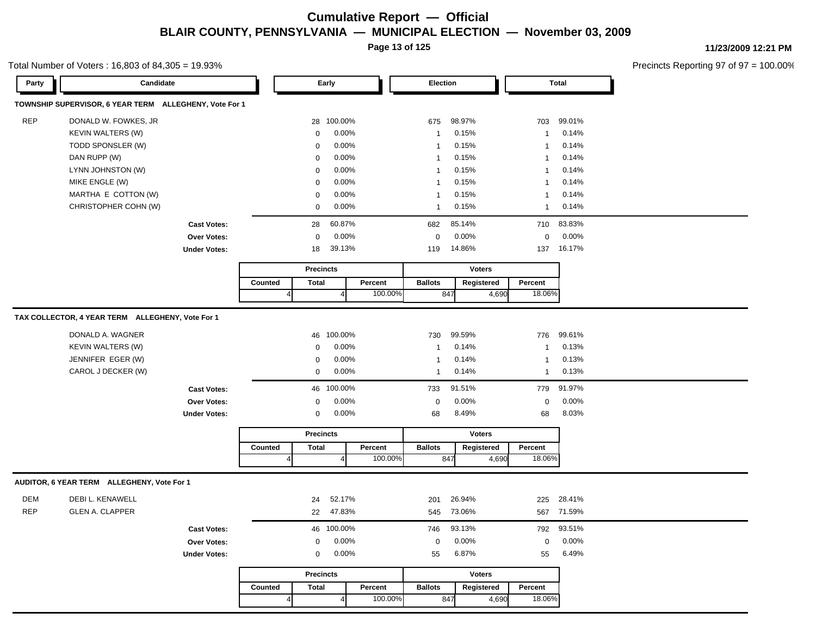**Page 13 of 125**

#### Total Number of Voters : 16,803 of 84,305 = 19.93%

**11/23/2009 12:21 PM**

| Party      | Candidate                                              |                     |         |                         | Early          |                    | Election       |                   |       |                   | Total  |
|------------|--------------------------------------------------------|---------------------|---------|-------------------------|----------------|--------------------|----------------|-------------------|-------|-------------------|--------|
|            | TOWNSHIP SUPERVISOR, 6 YEAR TERM ALLEGHENY, Vote For 1 |                     |         |                         |                |                    |                |                   |       |                   |        |
| <b>REP</b> | DONALD W. FOWKES, JR                                   |                     |         |                         | 28 100.00%     |                    | 675            | 98.97%            |       | 703               | 99.01% |
|            | <b>KEVIN WALTERS (W)</b>                               |                     |         | $\mathbf 0$             | 0.00%          |                    | $\overline{1}$ | 0.15%             |       | $\mathbf{1}$      | 0.14%  |
|            | TODD SPONSLER (W)                                      |                     |         | $\mathbf 0$             | 0.00%          |                    | $\overline{1}$ | 0.15%             |       | $\mathbf{1}$      | 0.14%  |
|            | DAN RUPP (W)                                           |                     |         | 0                       | 0.00%          |                    | $\overline{1}$ | 0.15%             |       | $\mathbf{1}$      | 0.14%  |
|            | LYNN JOHNSTON (W)                                      |                     |         | $\mathbf 0$             | 0.00%          |                    | $\overline{1}$ | 0.15%             |       | $\mathbf{1}$      | 0.14%  |
|            | MIKE ENGLE (W)                                         |                     |         | $\mathbf 0$             | 0.00%          |                    | $\overline{1}$ | 0.15%             |       | $\mathbf{1}$      | 0.14%  |
|            | MARTHA E COTTON (W)                                    |                     |         | $\mathbf 0$             | 0.00%          |                    | $\overline{1}$ | 0.15%             |       | $\mathbf{1}$      | 0.14%  |
|            | CHRISTOPHER COHN (W)                                   |                     |         | $\mathbf 0$             | 0.00%          |                    | $\overline{1}$ | 0.15%             |       | $\mathbf{1}$      | 0.14%  |
|            |                                                        | <b>Cast Votes:</b>  |         | 28                      | 60.87%         |                    | 682            | 85.14%            |       | 710               | 83.83% |
|            |                                                        | <b>Over Votes:</b>  |         | $\mathsf 0$             | 0.00%          |                    | $\mathbf 0$    | 0.00%             |       | $\mathbf 0$       | 0.00%  |
|            |                                                        | <b>Under Votes:</b> |         | 18                      | 39.13%         |                    | 119            | 14.86%            |       | 137               | 16.17% |
|            |                                                        |                     |         | <b>Precincts</b>        |                |                    |                | <b>Voters</b>     |       |                   |        |
|            |                                                        |                     | Counted | <b>Total</b>            |                | Percent            | <b>Ballots</b> | Registered        |       | Percent           |        |
|            |                                                        |                     |         | $\overline{A}$          | $\overline{4}$ | 100.00%            |                | 847               | 4,690 | 18.06%            |        |
|            |                                                        |                     |         |                         |                |                    |                |                   |       |                   |        |
|            | TAX COLLECTOR, 4 YEAR TERM ALLEGHENY, Vote For 1       |                     |         |                         |                |                    |                |                   |       |                   |        |
|            | DONALD A. WAGNER                                       |                     |         |                         | 46 100.00%     |                    | 730            | 99.59%            |       | 776               | 99.61% |
|            | <b>KEVIN WALTERS (W)</b>                               |                     |         | $\mathbf 0$             | 0.00%          |                    | $\overline{1}$ | 0.14%             |       | 1                 | 0.13%  |
|            | JENNIFER EGER (W)                                      |                     |         | $\mathbf 0$             | 0.00%          |                    | $\overline{1}$ | 0.14%             |       | $\mathbf{1}$      | 0.13%  |
|            | CAROL J DECKER (W)                                     |                     |         | $\mathbf 0$             | 0.00%          |                    | $\mathbf{1}$   | 0.14%             |       | $\mathbf{1}$      | 0.13%  |
|            |                                                        | <b>Cast Votes:</b>  |         |                         | 46 100.00%     |                    | 733            | 91.51%            |       | 779               | 91.97% |
|            |                                                        | Over Votes:         |         | $\mathbf 0$             | 0.00%          |                    | $\mathbf 0$    | 0.00%             |       | $\mathbf 0$       | 0.00%  |
|            |                                                        | <b>Under Votes:</b> |         | $\mathbf 0$             | 0.00%          |                    | 68             | 8.49%             |       | 68                | 8.03%  |
|            |                                                        |                     |         |                         |                |                    |                |                   |       |                   |        |
|            |                                                        |                     |         | <b>Precincts</b>        |                |                    |                | <b>Voters</b>     |       |                   |        |
|            |                                                        |                     | Counted | <b>Total</b><br>$\vert$ | $\overline{4}$ | Percent<br>100.00% | <b>Ballots</b> | Registered<br>847 | 4,690 | Percent<br>18.06% |        |
|            |                                                        |                     |         |                         |                |                    |                |                   |       |                   |        |
|            | AUDITOR, 6 YEAR TERM ALLEGHENY, Vote For 1             |                     |         |                         |                |                    |                |                   |       |                   |        |
| <b>DEM</b> | DEBI L. KENAWELL                                       |                     |         | 24                      | 52.17%         |                    | 201            | 26.94%            |       | 225               | 28.41% |
| <b>REP</b> | <b>GLEN A. CLAPPER</b>                                 |                     |         | 22                      | 47.83%         |                    | 545            | 73.06%            |       | 567               | 71.59% |
|            |                                                        | <b>Cast Votes:</b>  |         |                         | 46 100.00%     |                    | 746            | 93.13%            |       | 792               | 93.51% |
|            |                                                        | <b>Over Votes:</b>  |         | $\mathbf 0$             | 0.00%          |                    | $\pmb{0}$      | 0.00%             |       | $\boldsymbol{0}$  | 0.00%  |
|            |                                                        | <b>Under Votes:</b> |         | $\mathsf 0$             | 0.00%          |                    | 55             | 6.87%             |       | 55                | 6.49%  |
|            |                                                        |                     |         | <b>Precincts</b>        |                |                    |                | <b>Voters</b>     |       |                   |        |
|            |                                                        |                     | Counted | <b>Total</b>            |                | Percent            | <b>Ballots</b> | Registered        |       | Percent           |        |
|            |                                                        |                     |         | 4                       | $\overline{4}$ | 100.00%            |                | 847               | 4,690 | 18.06%            |        |
|            |                                                        |                     |         |                         |                |                    |                |                   |       |                   |        |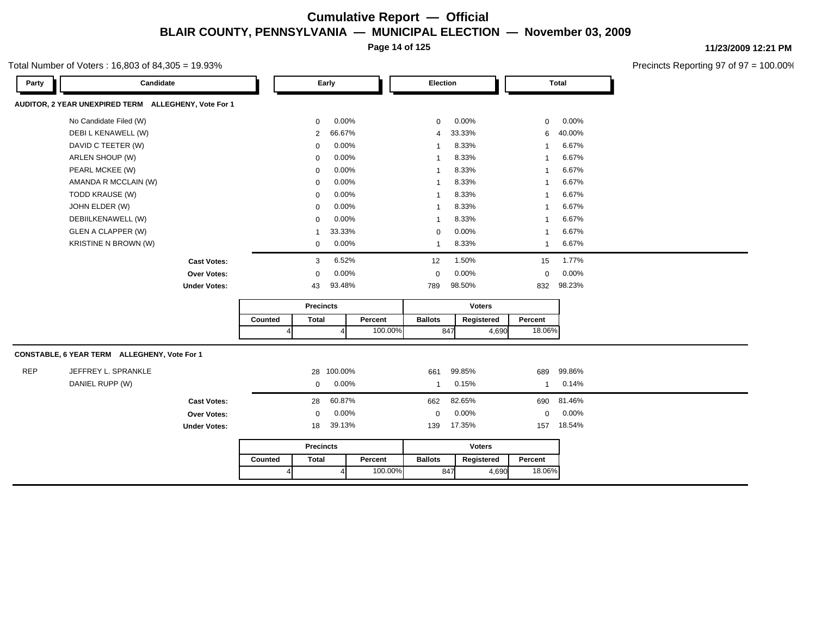**Page 14 of 125**

#### Total Number of Voters : 16,803 of 84,305 = 19.93%

**11/23/2009 12:21 PM**

| AUDITOR, 2 YEAR UNEXPIRED TERM ALLEGHENY, Vote For 1<br>No Candidate Filed (W)<br>0.00%<br>$0.00\%$<br>$\mathbf 0$<br>0<br>$\mathbf 0$<br>DEBI L KENAWELL (W)<br>66.67%<br>33.33%<br>6<br>2<br>4 |        |
|--------------------------------------------------------------------------------------------------------------------------------------------------------------------------------------------------|--------|
|                                                                                                                                                                                                  |        |
|                                                                                                                                                                                                  | 0.00%  |
|                                                                                                                                                                                                  | 40.00% |
| DAVID C TEETER (W)<br>0.00%<br>8.33%<br>$\Omega$<br>1                                                                                                                                            | 6.67%  |
| ARLEN SHOUP (W)<br>8.33%<br>0.00%<br>$\Omega$<br>1                                                                                                                                               | 6.67%  |
| PEARL MCKEE (W)<br>8.33%<br>0.00%<br>$\Omega$<br>1                                                                                                                                               | 6.67%  |
| AMANDA R MCCLAIN (W)<br>0.00%<br>8.33%<br>$\Omega$<br>1                                                                                                                                          | 6.67%  |
| TODD KRAUSE (W)<br>0.00%<br>8.33%<br>$\Omega$<br>1                                                                                                                                               | 6.67%  |
| JOHN ELDER (W)<br>0.00%<br>8.33%<br>$\Omega$<br>-1                                                                                                                                               | 6.67%  |
| DEBIILKENAWELL (W)<br>0.00%<br>8.33%<br>$\Omega$<br>1                                                                                                                                            | 6.67%  |
| <b>GLEN A CLAPPER (W)</b><br>33.33%<br>0.00%<br>0<br>-1                                                                                                                                          | 6.67%  |
| KRISTINE N BROWN (W)<br>0.00%<br>8.33%<br>0<br>1<br>$\mathbf{1}$                                                                                                                                 | 6.67%  |
| 6.52%<br>1.50%<br>12<br>15<br><b>Cast Votes:</b><br>3                                                                                                                                            | 1.77%  |
| 0.00%<br>0.00%<br>$\mathbf 0$<br>Over Votes:<br>$\mathbf 0$<br>$\mathbf 0$                                                                                                                       | 0.00%  |
| 98.50%<br>93.48%<br><b>Under Votes:</b><br>43<br>789<br>832                                                                                                                                      | 98.23% |
| <b>Precincts</b><br>Voters                                                                                                                                                                       |        |
| <b>Total</b><br><b>Ballots</b><br>Counted<br>Percent<br>Registered<br>Percent                                                                                                                    |        |
| 100.00%<br>18.06%<br>847<br>4,690<br>$\overline{4}$<br>4                                                                                                                                         |        |
| CONSTABLE, 6 YEAR TERM ALLEGHENY, Vote For 1                                                                                                                                                     |        |
| <b>REP</b><br>JEFFREY L. SPRANKLE<br>100.00%<br>99.85%<br>28<br>661<br>689                                                                                                                       | 99.86% |
| DANIEL RUPP (W)<br>0.00%<br>0.15%<br>$\mathbf 0$<br>$\mathbf{1}$<br>-1                                                                                                                           | 0.14%  |
| 60.87%<br>82.65%<br>662<br>690<br>28<br><b>Cast Votes:</b>                                                                                                                                       | 81.46% |
| 0.00%<br>0.00%<br>Over Votes:<br>$\mathbf 0$<br>$\mathbf 0$<br>$\mathbf 0$                                                                                                                       | 0.00%  |
| 17.35%<br>39.13%<br>139<br>157<br><b>Under Votes:</b><br>18                                                                                                                                      | 18.54% |
| <b>Voters</b><br><b>Precincts</b>                                                                                                                                                                |        |
| <b>Ballots</b><br>Percent<br>Counted<br><b>Total</b><br>Percent<br>Registered                                                                                                                    |        |
| 100.00%<br>18.06%<br>847<br>4,690<br>$\Delta$                                                                                                                                                    |        |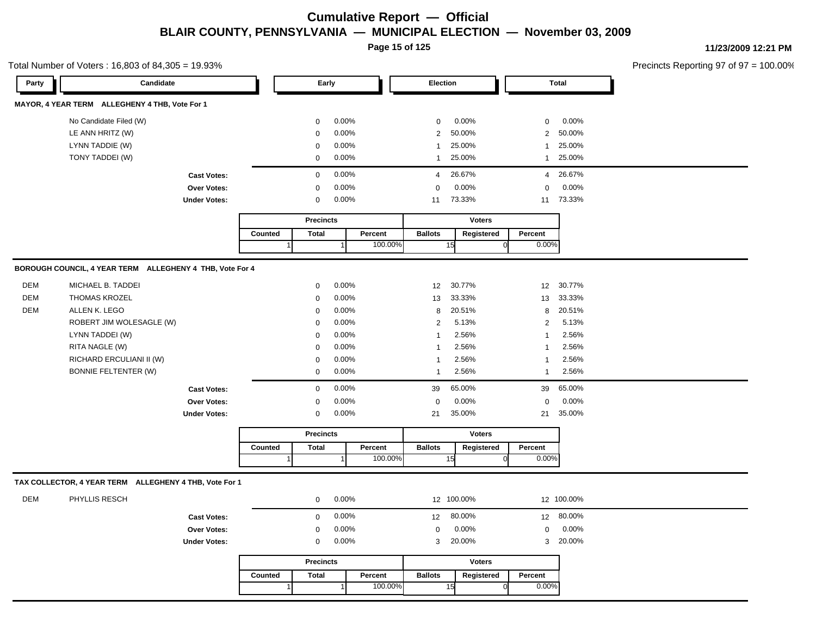**Page 15 of 125**

**11/23/2009 12:21 PM**

|            | Total Number of Voters: 16,803 of 84,305 = 19.93%        |                     |         |                  |       |         |                |    |               |              |              | Precincts Reporting 97 of 97 |
|------------|----------------------------------------------------------|---------------------|---------|------------------|-------|---------|----------------|----|---------------|--------------|--------------|------------------------------|
| Party      | Candidate                                                |                     |         | Early            |       |         | Election       |    |               |              | <b>Total</b> |                              |
|            | MAYOR, 4 YEAR TERM ALLEGHENY 4 THB, Vote For 1           |                     |         |                  |       |         |                |    |               |              |              |                              |
|            | No Candidate Filed (W)                                   |                     |         | 0                | 0.00% |         | 0              |    | 0.00%         | 0            | 0.00%        |                              |
|            | LE ANN HRITZ (W)                                         |                     |         | 0                | 0.00% |         | $\overline{2}$ |    | 50.00%        | 2            | 50.00%       |                              |
|            | LYNN TADDIE (W)                                          |                     |         | 0                | 0.00% |         | 1              |    | 25.00%        | $\mathbf{1}$ | 25.00%       |                              |
|            | TONY TADDEI (W)                                          |                     |         | 0                | 0.00% |         | 1              |    | 25.00%        | 1            | 25.00%       |                              |
|            |                                                          | <b>Cast Votes:</b>  |         | $\mathbf 0$      | 0.00% |         | 4              |    | 26.67%        |              | 4 26.67%     |                              |
|            |                                                          | Over Votes:         |         | 0                | 0.00% |         | $\mathbf 0$    |    | 0.00%         | 0            | 0.00%        |                              |
|            |                                                          | <b>Under Votes:</b> |         | 0                | 0.00% |         | 11             |    | 73.33%        |              | 11 73.33%    |                              |
|            |                                                          |                     |         | <b>Precincts</b> |       |         |                |    | <b>Voters</b> |              |              |                              |
|            |                                                          |                     | Counted | <b>Total</b>     |       | Percent | <b>Ballots</b> |    | Registered    | Percent      |              |                              |
|            |                                                          |                     |         |                  |       | 100.00% |                | 15 |               | 0.00%        |              |                              |
|            | BOROUGH COUNCIL, 4 YEAR TERM ALLEGHENY 4 THB, Vote For 4 |                     |         |                  |       |         |                |    |               |              |              |                              |
| <b>DEM</b> | MICHAEL B. TADDEI                                        |                     |         | 0                | 0.00% |         | 12             |    | 30.77%        | 12           | 30.77%       |                              |
| <b>DEM</b> | <b>THOMAS KROZEL</b>                                     |                     |         | $\mathbf 0$      | 0.00% |         | 13             |    | 33.33%        | 13           | 33.33%       |                              |
| DEM        | ALLEN K. LEGO                                            |                     |         | $\mathbf 0$      | 0.00% |         | 8              |    | 20.51%        | 8            | 20.51%       |                              |
|            | ROBERT JIM WOLESAGLE (W)                                 |                     |         | $\mathbf 0$      | 0.00% |         | $\overline{2}$ |    | 5.13%         | 2            | 5.13%        |                              |
|            | LYNN TADDEI (W)                                          |                     |         | $\mathbf 0$      | 0.00% |         | $\mathbf{1}$   |    | 2.56%         | 1            | 2.56%        |                              |
|            | RITA NAGLE (W)                                           |                     |         | $\mathbf 0$      | 0.00% |         | $\mathbf{1}$   |    | 2.56%         | -1           | 2.56%        |                              |
|            | RICHARD ERCULIANI II (W)                                 |                     |         | $\mathbf 0$      | 0.00% |         | $\mathbf{1}$   |    | 2.56%         | 1            | 2.56%        |                              |
|            | <b>BONNIE FELTENTER (W)</b>                              |                     |         | $\mathbf 0$      | 0.00% |         | $\mathbf{1}$   |    | 2.56%         | $\mathbf{1}$ | 2.56%        |                              |
|            |                                                          | <b>Cast Votes:</b>  |         | $\mathbf 0$      | 0.00% |         | 39             |    | 65.00%        | 39           | 65.00%       |                              |
|            |                                                          | Over Votes:         |         | 0                | 0.00% |         | 0              |    | 0.00%         | 0            | 0.00%        |                              |
|            |                                                          | <b>Under Votes:</b> |         | 0                | 0.00% |         | 21             |    | 35.00%        | 21           | 35.00%       |                              |
|            |                                                          |                     |         | <b>Precincts</b> |       |         |                |    | <b>Voters</b> |              |              |                              |
|            |                                                          |                     | Counted | <b>Total</b>     |       | Percent | <b>Ballots</b> |    | Registered    | Percent      |              |                              |
|            |                                                          |                     |         |                  |       | 100.00% |                | 15 | $\Omega$      | 0.00%        |              |                              |
|            | TAX COLLECTOR, 4 YEAR TERM ALLEGHENY 4 THB, Vote For 1   |                     |         |                  |       |         |                |    |               |              |              |                              |
| <b>DEM</b> | PHYLLIS RESCH                                            |                     |         | 0                | 0.00% |         |                |    | 12 100.00%    |              | 12 100.00%   |                              |
|            |                                                          | <b>Cast Votes:</b>  |         | $\mathsf{O}$     | 0.00% |         |                |    | 12 80.00%     |              | 12 80.00%    |                              |
|            |                                                          | Over Votes:         |         | 0                | 0.00% |         | 0              |    | 0.00%         | 0            | 0.00%        |                              |
|            |                                                          | <b>Under Votes:</b> |         | $\mathbf 0$      | 0.00% |         | 3              |    | 20.00%        | 3            | 20.00%       |                              |
|            |                                                          |                     |         | <b>Precincts</b> |       |         |                |    | <b>Voters</b> |              |              |                              |
|            |                                                          |                     | Counted | <b>Total</b>     |       | Percent | <b>Ballots</b> |    | Registered    | Percent      |              |                              |
|            |                                                          |                     |         | $\mathbf 1$      |       | 100.00% |                | 15 | $\Omega$      | 0.00%        |              |                              |
|            |                                                          |                     |         |                  |       |         |                |    |               |              |              |                              |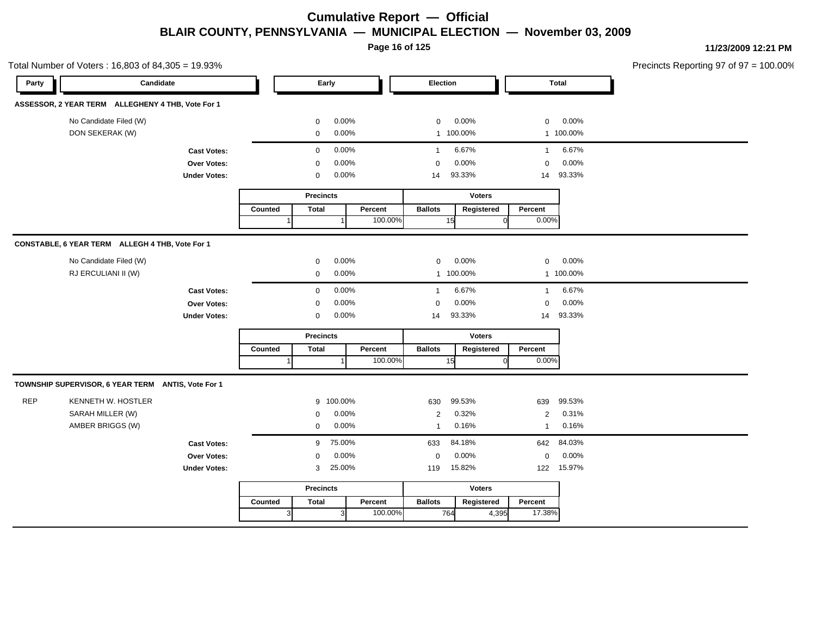**Page 16 of 125**

|                                                   | Total Number of Voters: 16,803 of 84,305 = 19.93%  |         |                  |           |         |                |                |                |           | Precincts Reporting 97 of 97 = 100.00% |
|---------------------------------------------------|----------------------------------------------------|---------|------------------|-----------|---------|----------------|----------------|----------------|-----------|----------------------------------------|
| Party                                             | Candidate                                          |         |                  | Early     |         | Election       |                |                | Total     |                                        |
| ASSESSOR, 2 YEAR TERM ALLEGHENY 4 THB, Vote For 1 |                                                    |         |                  |           |         |                |                |                |           |                                        |
| No Candidate Filed (W)                            |                                                    |         | $\mathbf{0}$     | 0.00%     |         | $\mathbf 0$    | 0.00%          | $\mathbf 0$    | 0.00%     |                                        |
| DON SEKERAK (W)                                   |                                                    |         | $\mathbf 0$      | 0.00%     |         |                | 1 100.00%      |                | 1 100.00% |                                        |
|                                                   | <b>Cast Votes:</b>                                 |         | $\mathbf{0}$     | 0.00%     |         | $\overline{1}$ | 6.67%          | $\mathbf{1}$   | 6.67%     |                                        |
|                                                   | Over Votes:                                        |         | $\Omega$         | 0.00%     |         | $\Omega$       | 0.00%          | $\mathbf 0$    | 0.00%     |                                        |
|                                                   | <b>Under Votes:</b>                                |         | 0                | 0.00%     |         | 14             | 93.33%         | 14             | 93.33%    |                                        |
|                                                   |                                                    |         | <b>Precincts</b> |           |         |                | <b>Voters</b>  |                |           |                                        |
|                                                   |                                                    | Counted | <b>Total</b>     |           | Percent | <b>Ballots</b> | Registered     | Percent        |           |                                        |
|                                                   |                                                    |         |                  |           | 100.00% |                | 15<br>$\Omega$ | 0.00%          |           |                                        |
| CONSTABLE, 6 YEAR TERM ALLEGH 4 THB, Vote For 1   |                                                    |         |                  |           |         |                |                |                |           |                                        |
| No Candidate Filed (W)                            |                                                    |         | $\mathbf 0$      | 0.00%     |         | $\mathbf 0$    | 0.00%          | $\mathbf 0$    | 0.00%     |                                        |
| RJ ERCULIANI II (W)                               |                                                    |         | $\mathbf 0$      | 0.00%     |         |                | 1 100.00%      |                | 1 100.00% |                                        |
|                                                   | <b>Cast Votes:</b>                                 |         | $\mathbf 0$      | 0.00%     |         | $\overline{1}$ | 6.67%          | $\mathbf{1}$   | 6.67%     |                                        |
|                                                   | Over Votes:                                        |         | $\mathbf 0$      | 0.00%     |         | $\mathbf 0$    | 0.00%          | $\mathbf 0$    | 0.00%     |                                        |
|                                                   | <b>Under Votes:</b>                                |         | $\mathbf 0$      | 0.00%     |         | 14             | 93.33%         | 14             | 93.33%    |                                        |
|                                                   |                                                    |         | <b>Precincts</b> |           |         |                | <b>Voters</b>  |                |           |                                        |
|                                                   |                                                    | Counted | <b>Total</b>     |           | Percent | <b>Ballots</b> | Registered     | Percent        |           |                                        |
|                                                   |                                                    |         |                  |           | 100.00% |                | 15             | 0.00%          |           |                                        |
|                                                   | TOWNSHIP SUPERVISOR, 6 YEAR TERM ANTIS, Vote For 1 |         |                  |           |         |                |                |                |           |                                        |
| <b>REP</b><br>KENNETH W. HOSTLER                  |                                                    |         |                  | 9 100.00% |         | 630            | 99.53%         | 639            | 99.53%    |                                        |
| SARAH MILLER (W)                                  |                                                    |         | $\mathbf 0$      | 0.00%     |         | $\overline{2}$ | 0.32%          | $\overline{2}$ | 0.31%     |                                        |
| AMBER BRIGGS (W)                                  |                                                    |         | $\mathbf 0$      | 0.00%     |         | $\overline{1}$ | 0.16%          | $\mathbf{1}$   | 0.16%     |                                        |
|                                                   | <b>Cast Votes:</b>                                 |         | 9                | 75.00%    |         | 633            | 84.18%         | 642            | 84.03%    |                                        |
|                                                   | Over Votes:                                        |         | $\mathbf{0}$     | 0.00%     |         | $\mathbf 0$    | 0.00%          | $\mathbf 0$    | 0.00%     |                                        |
|                                                   | <b>Under Votes:</b>                                |         | 3                | 25.00%    |         | 119            | 15.82%         | 122            | 15.97%    |                                        |
|                                                   |                                                    |         | <b>Precincts</b> |           |         |                | <b>Voters</b>  |                |           |                                        |
|                                                   |                                                    |         |                  |           |         |                |                |                |           |                                        |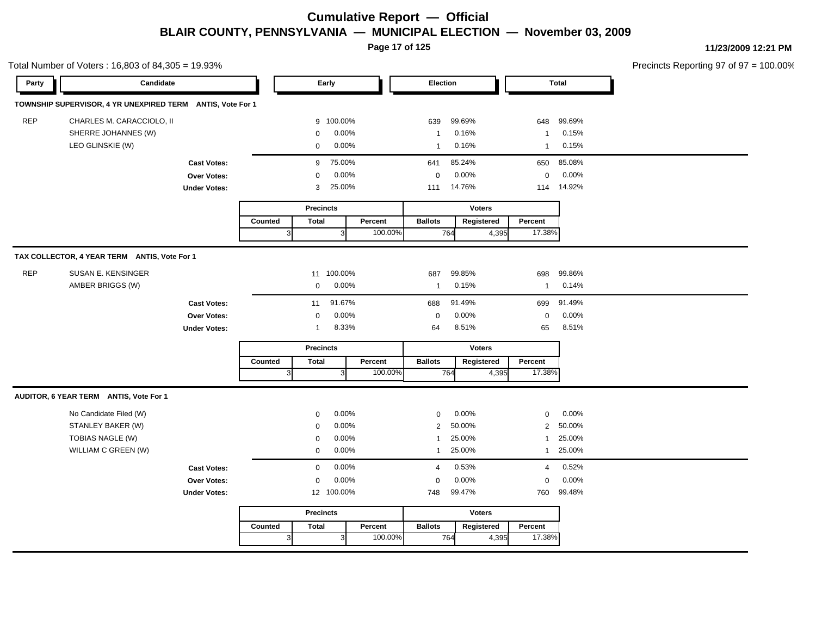**Page 17 of 125**

| Party      | Candidate                                                  |                     |                |                  | Early        |         | Election       |        |               |                | <b>Total</b> |  |
|------------|------------------------------------------------------------|---------------------|----------------|------------------|--------------|---------|----------------|--------|---------------|----------------|--------------|--|
|            | TOWNSHIP SUPERVISOR, 4 YR UNEXPIRED TERM ANTIS, Vote For 1 |                     |                |                  |              |         |                |        |               |                |              |  |
| <b>REP</b> | CHARLES M. CARACCIOLO, II                                  |                     |                | 9                | 100.00%      |         | 639            | 99.69% |               | 648            | 99.69%       |  |
|            | SHERRE JOHANNES (W)                                        |                     |                | $\mathbf 0$      | 0.00%        |         | $\overline{1}$ | 0.16%  |               | $\mathbf{1}$   | 0.15%        |  |
|            | LEO GLINSKIE (W)                                           |                     |                | $\mathbf 0$      | 0.00%        |         | $\mathbf{1}$   | 0.16%  |               | $\mathbf{1}$   | 0.15%        |  |
|            |                                                            | <b>Cast Votes:</b>  |                | 9                | 75.00%       |         | 641            | 85.24% |               | 650            | 85.08%       |  |
|            |                                                            | Over Votes:         |                | $\mathbf 0$      | 0.00%        |         | $\mathbf 0$    | 0.00%  |               | $\mathbf 0$    | 0.00%        |  |
|            |                                                            | <b>Under Votes:</b> |                | 3                | 25.00%       |         | 111            | 14.76% |               | 114            | 14.92%       |  |
|            |                                                            |                     |                | <b>Precincts</b> |              |         |                |        | <b>Voters</b> |                |              |  |
|            |                                                            |                     | Counted        | <b>Total</b>     |              | Percent | <b>Ballots</b> |        | Registered    | Percent        |              |  |
|            |                                                            |                     | 3              |                  |              | 100.00% |                | 764    | 4,395         | 17.38%         |              |  |
|            | TAX COLLECTOR, 4 YEAR TERM ANTIS, Vote For 1               |                     |                |                  |              |         |                |        |               |                |              |  |
| <b>REP</b> | SUSAN E. KENSINGER                                         |                     |                | 11               | 100.00%      |         | 687            | 99.85% |               | 698            | 99.86%       |  |
|            | AMBER BRIGGS (W)                                           |                     |                | $\mathbf 0$      | 0.00%        |         | $\mathbf{1}$   | 0.15%  |               | $\mathbf{1}$   | 0.14%        |  |
|            |                                                            | <b>Cast Votes:</b>  |                | 11               | 91.67%       |         | 688            | 91.49% |               | 699            | 91.49%       |  |
|            |                                                            | Over Votes:         |                | $\mathbf 0$      | 0.00%        |         | $\mathbf 0$    | 0.00%  |               | $\mathbf 0$    | 0.00%        |  |
|            |                                                            | <b>Under Votes:</b> |                | $\mathbf{1}$     | 8.33%        |         | 64             | 8.51%  |               | 65             | 8.51%        |  |
|            |                                                            |                     |                | <b>Precincts</b> |              |         |                |        | <b>Voters</b> |                |              |  |
|            |                                                            |                     | Counted        | <b>Total</b>     |              | Percent | <b>Ballots</b> |        | Registered    | Percent        |              |  |
|            |                                                            |                     | $\overline{3}$ |                  |              | 100.00% |                | 764    | 4,395         | 17.38%         |              |  |
|            | AUDITOR, 6 YEAR TERM ANTIS, Vote For 1                     |                     |                |                  |              |         |                |        |               |                |              |  |
|            | No Candidate Filed (W)                                     |                     |                | 0                | 0.00%        |         | 0              | 0.00%  |               | $\mathbf 0$    | 0.00%        |  |
|            | STANLEY BAKER (W)                                          |                     |                | $\mathbf 0$      | 0.00%        |         | $\overline{2}$ | 50.00% |               | $\overline{2}$ | 50.00%       |  |
|            | TOBIAS NAGLE (W)                                           |                     |                | $\mathbf 0$      | 0.00%        |         | $\mathbf{1}$   | 25.00% |               | $\mathbf{1}$   | 25.00%       |  |
|            | WILLIAM C GREEN (W)                                        |                     |                | 0                | 0.00%        |         | $\mathbf{1}$   | 25.00% |               | $\mathbf{1}$   | 25.00%       |  |
|            |                                                            | <b>Cast Votes:</b>  |                | $\mathbf 0$      | 0.00%        |         | $\overline{4}$ | 0.53%  |               | $\overline{4}$ | 0.52%        |  |
|            |                                                            | Over Votes:         |                | $\mathbf 0$      | 0.00%        |         | $\mathbf 0$    | 0.00%  |               | $\mathbf 0$    | 0.00%        |  |
|            |                                                            | <b>Under Votes:</b> |                |                  | 12 100.00%   |         | 748            | 99.47% |               | 760            | 99.48%       |  |
|            |                                                            |                     |                | <b>Precincts</b> |              |         |                |        | <b>Voters</b> |                |              |  |
|            |                                                            |                     | Counted        | <b>Total</b>     |              | Percent | <b>Ballots</b> |        | Registered    | Percent        |              |  |
|            |                                                            |                     | 3              |                  | $\mathbf{3}$ | 100.00% |                | 764    | 4,395         | 17.38%         |              |  |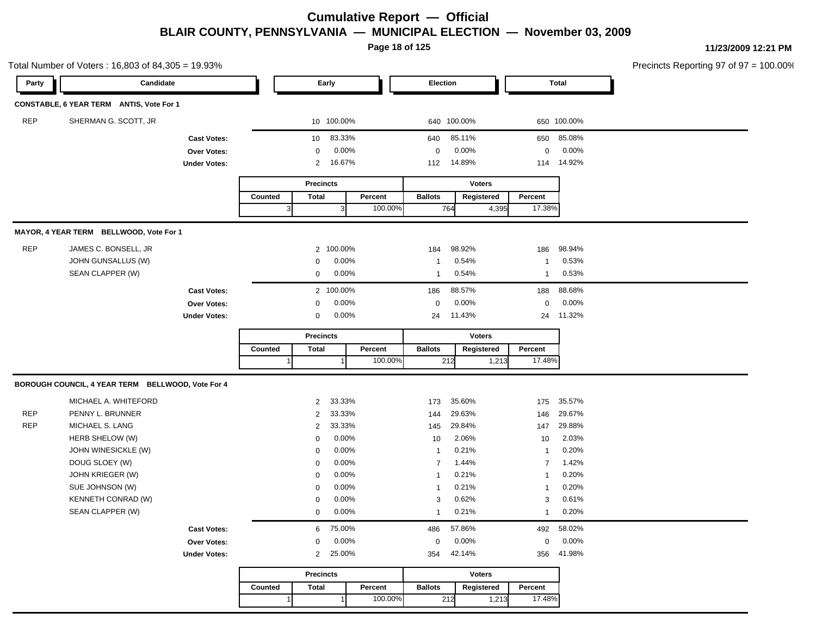**Page 18 of 125**

|            | Total Number of Voters: 16,803 of 84,305 = 19.93% |                     |         |                  |              |         |                |        |               |                |              | Precincts Reporting 97 of 97 = 100.00% |
|------------|---------------------------------------------------|---------------------|---------|------------------|--------------|---------|----------------|--------|---------------|----------------|--------------|----------------------------------------|
| Party      | Candidate                                         |                     |         |                  | Early        |         | Election       |        |               |                | <b>Total</b> |                                        |
|            | CONSTABLE, 6 YEAR TERM ANTIS, Vote For 1          |                     |         |                  |              |         |                |        |               |                |              |                                        |
| <b>REP</b> | SHERMAN G. SCOTT, JR                              |                     |         |                  | 10 100.00%   |         | 640 100.00%    |        |               |                | 650 100.00%  |                                        |
|            |                                                   | <b>Cast Votes:</b>  |         | 10 <sup>°</sup>  | 83.33%       |         | 640            | 85.11% |               | 650            | 85.08%       |                                        |
|            |                                                   | Over Votes:         |         | 0                | 0.00%        |         | $\mathbf 0$    | 0.00%  |               | $\mathbf 0$    | 0.00%        |                                        |
|            |                                                   | <b>Under Votes:</b> |         | 2                | 16.67%       |         | 112            | 14.89% |               | 114            | 14.92%       |                                        |
|            |                                                   |                     |         | <b>Precincts</b> |              |         |                |        | <b>Voters</b> |                |              |                                        |
|            |                                                   |                     | Counted | <b>Total</b>     |              | Percent | <b>Ballots</b> |        | Registered    | Percent        |              |                                        |
|            |                                                   |                     |         | $\mathbf{3}$     | $\mathbf{3}$ | 100.00% |                | 764    | 4,395         | 17.38%         |              |                                        |
|            | MAYOR, 4 YEAR TERM BELLWOOD, Vote For 1           |                     |         |                  |              |         |                |        |               |                |              |                                        |
| <b>REP</b> | JAMES C. BONSELL, JR                              |                     |         |                  | 2 100.00%    |         | 184            | 98.92% |               | 186            | 98.94%       |                                        |
|            | JOHN GUNSALLUS (W)                                |                     |         | 0                | 0.00%        |         | -1             | 0.54%  |               | 1              | 0.53%        |                                        |
|            | SEAN CLAPPER (W)                                  |                     |         | 0                | 0.00%        |         | -1             | 0.54%  |               | $\mathbf{1}$   | 0.53%        |                                        |
|            |                                                   | <b>Cast Votes:</b>  |         |                  | 2 100.00%    |         | 186            | 88.57% |               | 188            | 88.68%       |                                        |
|            |                                                   | Over Votes:         |         | 0                | 0.00%        |         | $\mathbf 0$    | 0.00%  |               | $\mathbf 0$    | 0.00%        |                                        |
|            |                                                   | <b>Under Votes:</b> |         | 0                | 0.00%        |         | 24             | 11.43% |               | 24             | 11.32%       |                                        |
|            |                                                   |                     |         | <b>Precincts</b> |              |         |                |        | <b>Voters</b> |                |              |                                        |
|            |                                                   |                     | Counted | Total            |              | Percent | <b>Ballots</b> |        | Registered    | Percent        |              |                                        |
|            |                                                   |                     |         |                  |              | 100.00% |                | 212    | 1,213         | 17.48%         |              |                                        |
|            | BOROUGH COUNCIL, 4 YEAR TERM BELLWOOD, Vote For 4 |                     |         |                  |              |         |                |        |               |                |              |                                        |
|            | MICHAEL A. WHITEFORD                              |                     |         | $\overline{2}$   | 33.33%       |         | 173            | 35.60% |               | 175            | 35.57%       |                                        |
| <b>REP</b> | PENNY L. BRUNNER                                  |                     |         | 2                | 33.33%       |         | 144            | 29.63% |               | 146            | 29.67%       |                                        |
| <b>REP</b> | MICHAEL S. LANG                                   |                     |         | $\overline{2}$   | 33.33%       |         | 145            | 29.84% |               | 147            | 29.88%       |                                        |
|            | HERB SHELOW (W)                                   |                     |         | 0                | 0.00%        |         | 10             | 2.06%  |               | 10             | 2.03%        |                                        |
|            | JOHN WINESICKLE (W)                               |                     |         | $\mathbf 0$      | 0.00%        |         | $\overline{1}$ | 0.21%  |               | $\mathbf{1}$   | 0.20%        |                                        |
|            | DOUG SLOEY (W)                                    |                     |         | $\mathbf 0$      | 0.00%        |         | $\overline{7}$ | 1.44%  |               | $\overline{7}$ | 1.42%        |                                        |
|            | JOHN KRIEGER (W)                                  |                     |         | 0                | 0.00%        |         | -1             | 0.21%  |               | $\mathbf{1}$   | 0.20%        |                                        |
|            | SUE JOHNSON (W)                                   |                     |         | 0                | 0.00%        |         | -1             | 0.21%  |               | $\mathbf{1}$   | 0.20%        |                                        |
|            | KENNETH CONRAD (W)                                |                     |         | 0                | 0.00%        |         | 3              | 0.62%  |               | 3              | 0.61%        |                                        |
|            | SEAN CLAPPER (W)                                  |                     |         | 0                | 0.00%        |         | -1             | 0.21%  |               | $\mathbf{1}$   | 0.20%        |                                        |
|            |                                                   | <b>Cast Votes:</b>  |         | 6                | 75.00%       |         | 486            | 57.86% |               |                | 492 58.02%   |                                        |
|            |                                                   | <b>Over Votes:</b>  |         | $\mathbf 0$      | 0.00%        |         | 0              | 0.00%  |               | $\mathbf 0$    | 0.00%        |                                        |
|            |                                                   | <b>Under Votes:</b> |         | 2                | 25.00%       |         | 354            | 42.14% |               | 356            | 41.98%       |                                        |
|            |                                                   |                     |         | <b>Precincts</b> |              |         |                |        | <b>Voters</b> |                |              |                                        |
|            |                                                   |                     | Counted | Total            |              | Percent | <b>Ballots</b> |        | Registered    | Percent        |              |                                        |
|            |                                                   |                     |         |                  |              |         |                |        |               | 17.48%         |              |                                        |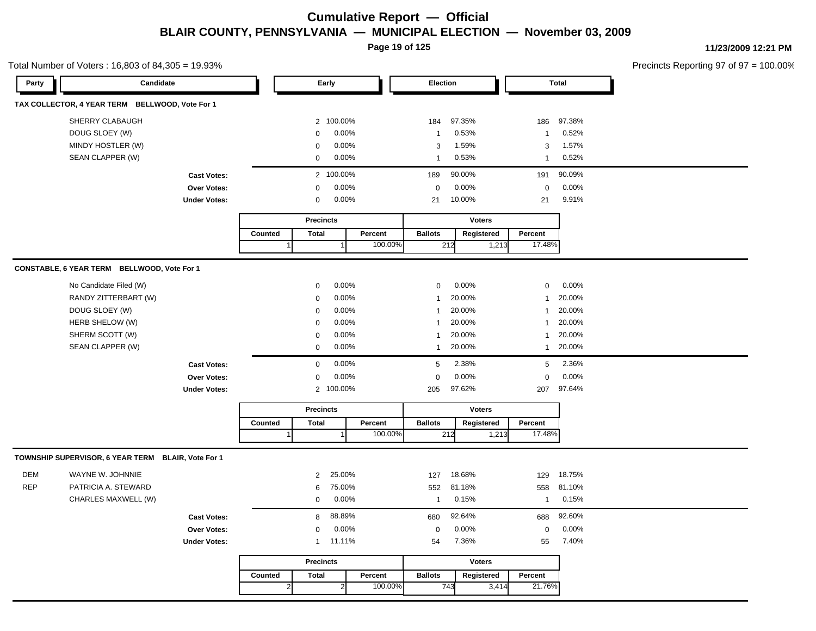**Page 19 of 125**

**11/23/2009 12:21 PM**

Total Number of Voters : 16,803 of 84,305 = 19.93%

| Party                    | Candidate                                                                                                                  |                                                          |         | Early                                                                                  |                                                                                   |                    | Election                                                                                                    |                                                                                     |                             |                                                                                                   | <b>Total</b>                                                                        |  |  |
|--------------------------|----------------------------------------------------------------------------------------------------------------------------|----------------------------------------------------------|---------|----------------------------------------------------------------------------------------|-----------------------------------------------------------------------------------|--------------------|-------------------------------------------------------------------------------------------------------------|-------------------------------------------------------------------------------------|-----------------------------|---------------------------------------------------------------------------------------------------|-------------------------------------------------------------------------------------|--|--|
|                          | TAX COLLECTOR, 4 YEAR TERM BELLWOOD, Vote For 1                                                                            |                                                          |         |                                                                                        |                                                                                   |                    |                                                                                                             |                                                                                     |                             |                                                                                                   |                                                                                     |  |  |
|                          | SHERRY CLABAUGH<br>DOUG SLOEY (W)<br>MINDY HOSTLER (W)                                                                     |                                                          |         | $\Omega$<br>$\Omega$                                                                   | 2 100.00%<br>0.00%<br>0.00%                                                       |                    | 184<br>$\mathbf{1}$<br>3                                                                                    | 97.35%<br>0.53%<br>1.59%                                                            |                             | 186<br>$\mathbf{1}$<br>3                                                                          | 97.38%<br>0.52%<br>1.57%                                                            |  |  |
|                          | SEAN CLAPPER (W)                                                                                                           |                                                          |         | $\mathbf 0$                                                                            | 0.00%                                                                             |                    | $\mathbf{1}$                                                                                                | 0.53%                                                                               |                             | $\mathbf{1}$                                                                                      | 0.52%                                                                               |  |  |
|                          |                                                                                                                            | <b>Cast Votes:</b><br>Over Votes:                        |         | $\Omega$                                                                               | 2 100.00%<br>0.00%                                                                |                    | 189<br>$\mathbf 0$                                                                                          | 90.00%<br>0.00%                                                                     |                             | 191<br>0                                                                                          | 90.09%<br>0.00%                                                                     |  |  |
|                          |                                                                                                                            | <b>Under Votes:</b>                                      |         | 0                                                                                      | 0.00%                                                                             |                    | 21                                                                                                          | 10.00%                                                                              |                             | 21                                                                                                | 9.91%                                                                               |  |  |
|                          |                                                                                                                            |                                                          |         | <b>Precincts</b>                                                                       |                                                                                   |                    |                                                                                                             |                                                                                     | <b>Voters</b>               |                                                                                                   |                                                                                     |  |  |
|                          |                                                                                                                            |                                                          | Counted | <b>Total</b>                                                                           | $\mathbf 1$                                                                       | Percent<br>100.00% | <b>Ballots</b>                                                                                              | 212                                                                                 | Registered<br>1,213         | Percent<br>17.48%                                                                                 |                                                                                     |  |  |
|                          | CONSTABLE, 6 YEAR TERM BELLWOOD, Vote For 1                                                                                |                                                          |         |                                                                                        |                                                                                   |                    |                                                                                                             |                                                                                     |                             |                                                                                                   |                                                                                     |  |  |
|                          | No Candidate Filed (W)<br>RANDY ZITTERBART (W)<br>DOUG SLOEY (W)<br>HERB SHELOW (W)<br>SHERM SCOTT (W)<br>SEAN CLAPPER (W) | <b>Cast Votes:</b><br>Over Votes:<br><b>Under Votes:</b> |         | $\mathbf 0$<br>0<br>0<br>$\mathbf 0$<br>$\mathbf 0$<br>$\mathbf 0$<br>$\mathbf 0$<br>0 | 0.00%<br>0.00%<br>0.00%<br>0.00%<br>0.00%<br>0.00%<br>0.00%<br>0.00%<br>2 100.00% |                    | $\mathbf 0$<br>$\mathbf{1}$<br>1<br>$\mathbf{1}$<br>$\mathbf{1}$<br>$\mathbf{1}$<br>5<br>$\mathbf 0$<br>205 | 0.00%<br>20.00%<br>20.00%<br>20.00%<br>20.00%<br>20.00%<br>2.38%<br>0.00%<br>97.62% |                             | $\mathbf 0$<br>1<br>$\mathbf{1}$<br>$\mathbf{1}$<br>$\mathbf{1}$<br>$\mathbf{1}$<br>5<br>0<br>207 | 0.00%<br>20.00%<br>20.00%<br>20.00%<br>20.00%<br>20.00%<br>2.36%<br>0.00%<br>97.64% |  |  |
|                          |                                                                                                                            |                                                          | Counted | <b>Precincts</b><br><b>Total</b>                                                       |                                                                                   | Percent            | <b>Ballots</b>                                                                                              |                                                                                     | <b>Voters</b><br>Registered | Percent                                                                                           |                                                                                     |  |  |
|                          |                                                                                                                            |                                                          |         |                                                                                        |                                                                                   | 100.00%            |                                                                                                             | 212                                                                                 | 1,213                       | 17.48%                                                                                            |                                                                                     |  |  |
|                          | TOWNSHIP SUPERVISOR, 6 YEAR TERM BLAIR, Vote For 1                                                                         |                                                          |         |                                                                                        |                                                                                   |                    |                                                                                                             |                                                                                     |                             |                                                                                                   |                                                                                     |  |  |
| <b>DEM</b><br><b>REP</b> | WAYNE W. JOHNNIE<br>PATRICIA A. STEWARD<br>CHARLES MAXWELL (W)                                                             |                                                          |         | 2<br>6<br>$\mathbf 0$                                                                  | 25.00%<br>75.00%<br>0.00%                                                         |                    | 127<br>552<br>$\mathbf{1}$                                                                                  | 18.68%<br>81.18%<br>0.15%                                                           |                             | 129<br>558<br>$\mathbf{1}$                                                                        | 18.75%<br>81.10%<br>0.15%                                                           |  |  |
|                          |                                                                                                                            | <b>Cast Votes:</b>                                       |         | 8                                                                                      | 88.89%                                                                            |                    | 680                                                                                                         | 92.64%                                                                              |                             | 688                                                                                               | 92.60%                                                                              |  |  |
|                          |                                                                                                                            | Over Votes:                                              |         | $\mathbf 0$                                                                            | 0.00%                                                                             |                    | $\mathbf 0$                                                                                                 | 0.00%                                                                               |                             | 0                                                                                                 | 0.00%                                                                               |  |  |
|                          |                                                                                                                            | <b>Under Votes:</b>                                      |         | $\mathbf{1}$                                                                           | 11.11%                                                                            |                    | 54                                                                                                          | 7.36%                                                                               |                             | 55                                                                                                | 7.40%                                                                               |  |  |
|                          |                                                                                                                            |                                                          |         | <b>Precincts</b>                                                                       |                                                                                   |                    |                                                                                                             |                                                                                     | <b>Voters</b>               |                                                                                                   |                                                                                     |  |  |
|                          |                                                                                                                            |                                                          | Counted | <b>Total</b><br>$\overline{2}$                                                         | 2 <sup>1</sup>                                                                    | Percent<br>100.00% | <b>Ballots</b>                                                                                              | 743                                                                                 | Registered<br>3,414         | Percent<br>21.76%                                                                                 |                                                                                     |  |  |
|                          |                                                                                                                            |                                                          |         |                                                                                        |                                                                                   |                    |                                                                                                             |                                                                                     |                             |                                                                                                   |                                                                                     |  |  |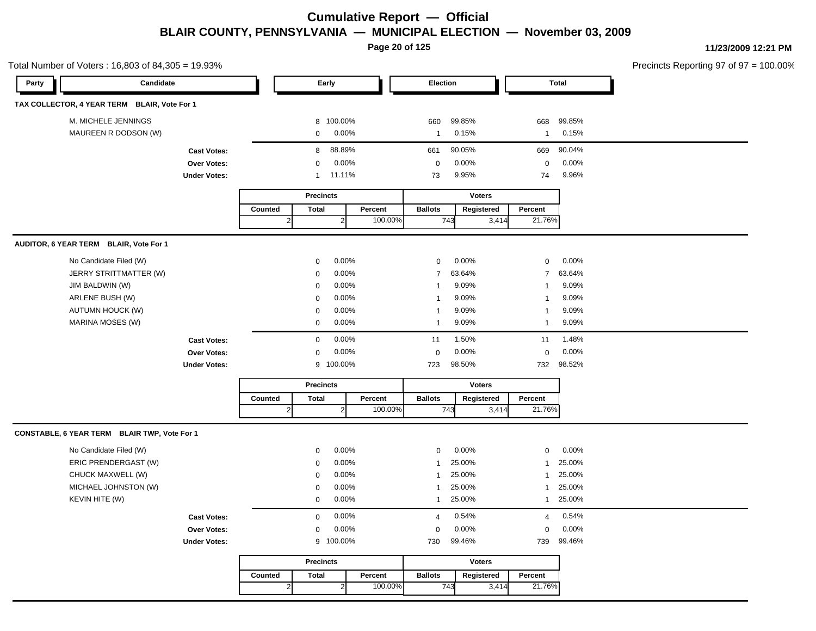**Page 20 of 125**

|       | Total Number of Voters: 16,803 of 84,305 = 19.93% |                     |                |                  |                |                    |                |               |                |              | Precincts Reporting 97 of 97 = 100.00% |
|-------|---------------------------------------------------|---------------------|----------------|------------------|----------------|--------------------|----------------|---------------|----------------|--------------|----------------------------------------|
| Party | Candidate                                         |                     |                |                  | Early          |                    | Election       |               |                | <b>Total</b> |                                        |
|       | TAX COLLECTOR, 4 YEAR TERM BLAIR, Vote For 1      |                     |                |                  |                |                    |                |               |                |              |                                        |
|       | M. MICHELE JENNINGS                               |                     |                |                  | 8 100.00%      |                    | 660            | 99.85%        | 668            | 99.85%       |                                        |
|       | MAUREEN R DODSON (W)                              |                     |                | $\mathbf 0$      | 0.00%          |                    | $\mathbf{1}$   | 0.15%         | $\mathbf{1}$   | 0.15%        |                                        |
|       |                                                   | <b>Cast Votes:</b>  |                | 8                | 88.89%         |                    | 661            | 90.05%        | 669            | 90.04%       |                                        |
|       |                                                   | Over Votes:         |                | $\mathbf 0$      | $0.00\%$       |                    | $\mathbf 0$    | 0.00%         | $\mathbf 0$    | 0.00%        |                                        |
|       |                                                   | <b>Under Votes:</b> |                | $\mathbf{1}$     | 11.11%         |                    | 73             | 9.95%         | 74             | 9.96%        |                                        |
|       |                                                   |                     |                | <b>Precincts</b> |                |                    |                | <b>Voters</b> |                |              |                                        |
|       |                                                   |                     | Counted        | <b>Total</b>     | 2 <sub>l</sub> | Percent<br>100.00% | <b>Ballots</b> | Registered    | Percent        |              |                                        |
|       |                                                   |                     | $\overline{2}$ |                  |                |                    | 743            | 3,414         | 21.76%         |              |                                        |
|       | AUDITOR, 6 YEAR TERM BLAIR, Vote For 1            |                     |                |                  |                |                    |                |               |                |              |                                        |
|       | No Candidate Filed (W)                            |                     |                | $\mathbf 0$      | 0.00%          |                    | 0              | 0.00%         | $\mathsf 0$    | 0.00%        |                                        |
|       | JERRY STRITTMATTER (W)                            |                     |                | $\mathbf 0$      | 0.00%          |                    | $\overline{7}$ | 63.64%        | $\overline{7}$ | 63.64%       |                                        |
|       | JIM BALDWIN (W)                                   |                     |                | $\mathbf 0$      | 0.00%          |                    | -1             | 9.09%         | $\mathbf{1}$   | 9.09%        |                                        |
|       | ARLENE BUSH (W)                                   |                     |                | $\mathbf 0$      | 0.00%          |                    |                | 9.09%         | $\mathbf{1}$   | 9.09%        |                                        |
|       | <b>AUTUMN HOUCK (W)</b>                           |                     |                | $\mathbf 0$      | 0.00%          |                    | -1             | 9.09%         | $\mathbf{1}$   | 9.09%        |                                        |
|       | MARINA MOSES (W)                                  |                     |                | $\mathbf 0$      | 0.00%          |                    | -1             | 9.09%         | $\mathbf{1}$   | 9.09%        |                                        |
|       |                                                   | <b>Cast Votes:</b>  |                | $\mathbf 0$      | 0.00%          |                    | 11             | 1.50%         | 11             | 1.48%        |                                        |
|       |                                                   | <b>Over Votes:</b>  |                | $\mathbf 0$      | 0.00%          |                    | $\mathbf 0$    | 0.00%         | $\mathbf 0$    | 0.00%        |                                        |
|       |                                                   | <b>Under Votes:</b> |                |                  | 9 100.00%      |                    | 723            | 98.50%        | 732            | 98.52%       |                                        |
|       |                                                   |                     |                | <b>Precincts</b> |                |                    |                | <b>Voters</b> |                |              |                                        |
|       |                                                   |                     | Counted        | <b>Total</b>     |                | Percent            | <b>Ballots</b> | Registered    | Percent        |              |                                        |
|       |                                                   |                     | $\overline{2}$ |                  | $\overline{2}$ | 100.00%            | 743            | 3,414         | 21.76%         |              |                                        |
|       | CONSTABLE, 6 YEAR TERM BLAIR TWP, Vote For 1      |                     |                |                  |                |                    |                |               |                |              |                                        |
|       | No Candidate Filed (W)                            |                     |                | $\mathbf 0$      | 0.00%          |                    | $\mathbf 0$    | 0.00%         | $\mathbf 0$    | 0.00%        |                                        |
|       | ERIC PRENDERGAST (W)                              |                     |                | $\mathbf 0$      | 0.00%          |                    |                | 25.00%        | $\mathbf{1}$   | 25.00%       |                                        |
|       | CHUCK MAXWELL (W)                                 |                     |                | 0                | 0.00%          |                    | -1             | 25.00%        | $\mathbf{1}$   | 25.00%       |                                        |
|       | MICHAEL JOHNSTON (W)                              |                     |                | $\mathbf 0$      | 0.00%          |                    | $\mathbf{1}$   | 25.00%        | $\mathbf{1}$   | 25.00%       |                                        |
|       | KEVIN HITE (W)                                    |                     |                | $\mathbf 0$      | 0.00%          |                    | $\mathbf{1}$   | 25.00%        | $\mathbf{1}$   | 25.00%       |                                        |
|       |                                                   | <b>Cast Votes:</b>  |                | $\mathbf 0$      | 0.00%          |                    | $\overline{4}$ | 0.54%         | $\overline{4}$ | 0.54%        |                                        |
|       |                                                   | <b>Over Votes:</b>  |                | $\mathbf 0$      | 0.00%          |                    | $\mathbf 0$    | 0.00%         | $\mathbf 0$    | 0.00%        |                                        |
|       |                                                   | <b>Under Votes:</b> |                |                  | 9 100.00%      |                    | 730            | 99.46%        | 739            | 99.46%       |                                        |
|       |                                                   |                     |                | <b>Precincts</b> |                |                    |                | <b>Voters</b> |                |              |                                        |
|       |                                                   |                     |                |                  |                |                    |                |               |                |              |                                        |
|       |                                                   |                     | Counted        | <b>Total</b>     |                | Percent            | <b>Ballots</b> | Registered    | Percent        |              |                                        |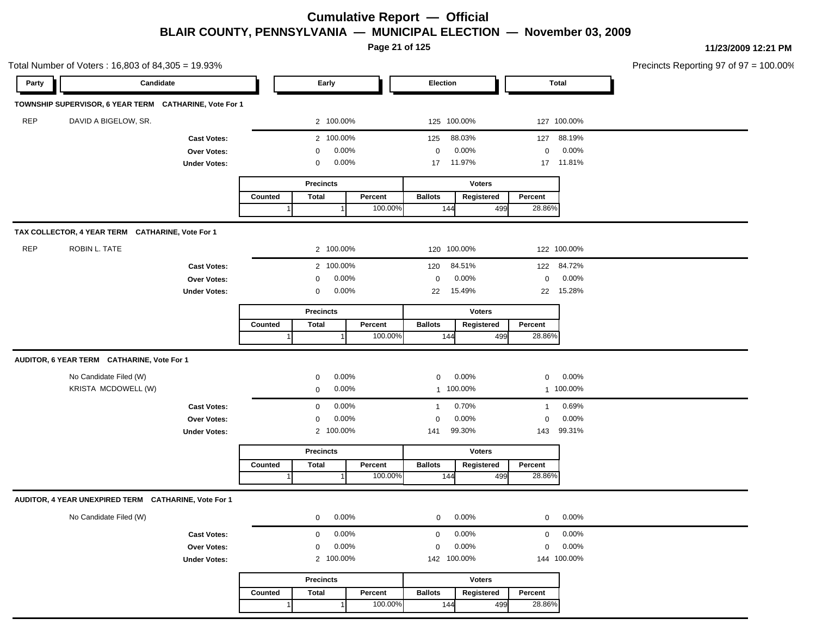**Page 21 of 125**

| Candidate<br><b>Election</b><br><b>Total</b><br>Party<br>Early<br>TOWNSHIP SUPERVISOR, 6 YEAR TERM CATHARINE, Vote For 1<br><b>REP</b><br>DAVID A BIGELOW, SR.<br>2 100.00%<br>125 100.00%<br>127 100.00%<br>2 100.00%<br>88.03%<br>88.19%<br>125<br>127<br><b>Cast Votes:</b><br>0.00%<br>0.00%<br>0.00%<br>$\mathbf 0$<br>0<br>Over Votes:<br>0<br>0.00%<br>11.97%<br>17 11.81%<br><b>Under Votes:</b><br>0<br>17<br><b>Voters</b><br><b>Precincts</b><br><b>Total</b><br>Percent<br><b>Ballots</b><br>Registered<br>Percent<br>Counted<br>100.00%<br>28.86%<br>144<br>499<br>TAX COLLECTOR, 4 YEAR TERM CATHARINE, Vote For 1<br><b>REP</b><br>ROBIN L. TATE<br>2 100.00%<br>120 100.00%<br>122 100.00%<br>2 100.00%<br>84.51%<br>122 84.72%<br>120<br><b>Cast Votes:</b><br>0.00%<br>0.00%<br>0.00%<br>$\mathbf 0$<br>Over Votes:<br>0<br>0<br>0.00%<br>15.49%<br>15.28%<br>$\mathbf 0$<br>22<br><b>Under Votes:</b><br>22<br><b>Precincts</b><br><b>Voters</b><br><b>Total</b><br>Percent<br><b>Ballots</b><br>Percent<br>Counted<br>Registered<br>28.86%<br>100.00%<br>144<br>499 |  |
|-----------------------------------------------------------------------------------------------------------------------------------------------------------------------------------------------------------------------------------------------------------------------------------------------------------------------------------------------------------------------------------------------------------------------------------------------------------------------------------------------------------------------------------------------------------------------------------------------------------------------------------------------------------------------------------------------------------------------------------------------------------------------------------------------------------------------------------------------------------------------------------------------------------------------------------------------------------------------------------------------------------------------------------------------------------------------------------------|--|
|                                                                                                                                                                                                                                                                                                                                                                                                                                                                                                                                                                                                                                                                                                                                                                                                                                                                                                                                                                                                                                                                                         |  |
|                                                                                                                                                                                                                                                                                                                                                                                                                                                                                                                                                                                                                                                                                                                                                                                                                                                                                                                                                                                                                                                                                         |  |
|                                                                                                                                                                                                                                                                                                                                                                                                                                                                                                                                                                                                                                                                                                                                                                                                                                                                                                                                                                                                                                                                                         |  |
|                                                                                                                                                                                                                                                                                                                                                                                                                                                                                                                                                                                                                                                                                                                                                                                                                                                                                                                                                                                                                                                                                         |  |
|                                                                                                                                                                                                                                                                                                                                                                                                                                                                                                                                                                                                                                                                                                                                                                                                                                                                                                                                                                                                                                                                                         |  |
|                                                                                                                                                                                                                                                                                                                                                                                                                                                                                                                                                                                                                                                                                                                                                                                                                                                                                                                                                                                                                                                                                         |  |
|                                                                                                                                                                                                                                                                                                                                                                                                                                                                                                                                                                                                                                                                                                                                                                                                                                                                                                                                                                                                                                                                                         |  |
|                                                                                                                                                                                                                                                                                                                                                                                                                                                                                                                                                                                                                                                                                                                                                                                                                                                                                                                                                                                                                                                                                         |  |
|                                                                                                                                                                                                                                                                                                                                                                                                                                                                                                                                                                                                                                                                                                                                                                                                                                                                                                                                                                                                                                                                                         |  |
|                                                                                                                                                                                                                                                                                                                                                                                                                                                                                                                                                                                                                                                                                                                                                                                                                                                                                                                                                                                                                                                                                         |  |
|                                                                                                                                                                                                                                                                                                                                                                                                                                                                                                                                                                                                                                                                                                                                                                                                                                                                                                                                                                                                                                                                                         |  |
|                                                                                                                                                                                                                                                                                                                                                                                                                                                                                                                                                                                                                                                                                                                                                                                                                                                                                                                                                                                                                                                                                         |  |
|                                                                                                                                                                                                                                                                                                                                                                                                                                                                                                                                                                                                                                                                                                                                                                                                                                                                                                                                                                                                                                                                                         |  |
|                                                                                                                                                                                                                                                                                                                                                                                                                                                                                                                                                                                                                                                                                                                                                                                                                                                                                                                                                                                                                                                                                         |  |
|                                                                                                                                                                                                                                                                                                                                                                                                                                                                                                                                                                                                                                                                                                                                                                                                                                                                                                                                                                                                                                                                                         |  |
|                                                                                                                                                                                                                                                                                                                                                                                                                                                                                                                                                                                                                                                                                                                                                                                                                                                                                                                                                                                                                                                                                         |  |
|                                                                                                                                                                                                                                                                                                                                                                                                                                                                                                                                                                                                                                                                                                                                                                                                                                                                                                                                                                                                                                                                                         |  |
| AUDITOR, 6 YEAR TERM CATHARINE, Vote For 1                                                                                                                                                                                                                                                                                                                                                                                                                                                                                                                                                                                                                                                                                                                                                                                                                                                                                                                                                                                                                                              |  |
| No Candidate Filed (W)<br>0.00%<br>0.00%<br>0.00%<br>$\mathbf 0$<br>$\mathbf 0$<br>$\mathbf 0$                                                                                                                                                                                                                                                                                                                                                                                                                                                                                                                                                                                                                                                                                                                                                                                                                                                                                                                                                                                          |  |
| KRISTA MCDOWELL (W)<br>0.00%<br>1 100.00%<br>1 100.00%<br>$\mathbf 0$                                                                                                                                                                                                                                                                                                                                                                                                                                                                                                                                                                                                                                                                                                                                                                                                                                                                                                                                                                                                                   |  |
| 0.00%<br>0.70%<br>0.69%<br>$\mathbf 0$<br><b>Cast Votes:</b><br>$\mathbf{1}$<br>-1                                                                                                                                                                                                                                                                                                                                                                                                                                                                                                                                                                                                                                                                                                                                                                                                                                                                                                                                                                                                      |  |
| 0.00%<br>0.00%<br>0.00%<br>Over Votes:<br>$\mathbf 0$<br>$\mathbf 0$<br>0                                                                                                                                                                                                                                                                                                                                                                                                                                                                                                                                                                                                                                                                                                                                                                                                                                                                                                                                                                                                               |  |
| 99.30%<br>99.31%<br>2 100.00%<br>143<br><b>Under Votes:</b><br>141                                                                                                                                                                                                                                                                                                                                                                                                                                                                                                                                                                                                                                                                                                                                                                                                                                                                                                                                                                                                                      |  |
| <b>Precincts</b><br><b>Voters</b>                                                                                                                                                                                                                                                                                                                                                                                                                                                                                                                                                                                                                                                                                                                                                                                                                                                                                                                                                                                                                                                       |  |
| <b>Ballots</b><br>Registered<br>Counted<br><b>Total</b><br>Percent<br>Percent                                                                                                                                                                                                                                                                                                                                                                                                                                                                                                                                                                                                                                                                                                                                                                                                                                                                                                                                                                                                           |  |
| 100.00%<br>28.86%<br>144<br>499<br>-1                                                                                                                                                                                                                                                                                                                                                                                                                                                                                                                                                                                                                                                                                                                                                                                                                                                                                                                                                                                                                                                   |  |
| AUDITOR, 4 YEAR UNEXPIRED TERM CATHARINE, Vote For 1                                                                                                                                                                                                                                                                                                                                                                                                                                                                                                                                                                                                                                                                                                                                                                                                                                                                                                                                                                                                                                    |  |
| 0.00%<br>0.00%<br>0.00%<br>No Candidate Filed (W)<br>$\mathbf 0$<br>$\mathbf 0$<br>$\mathbf 0$                                                                                                                                                                                                                                                                                                                                                                                                                                                                                                                                                                                                                                                                                                                                                                                                                                                                                                                                                                                          |  |
| 0.00%<br>0.00%<br>0.00%<br>$\mathsf{O}$<br>$\mathbf 0$<br>$\mathbf 0$<br><b>Cast Votes:</b>                                                                                                                                                                                                                                                                                                                                                                                                                                                                                                                                                                                                                                                                                                                                                                                                                                                                                                                                                                                             |  |
| 0.00%<br>0.00%<br>0.00%<br>$\mathbf 0$<br>Over Votes:<br>$\mathbf 0$<br>$\mathbf 0$                                                                                                                                                                                                                                                                                                                                                                                                                                                                                                                                                                                                                                                                                                                                                                                                                                                                                                                                                                                                     |  |
| 144 100.00%<br>2 100.00%<br>142 100.00%<br><b>Under Votes:</b>                                                                                                                                                                                                                                                                                                                                                                                                                                                                                                                                                                                                                                                                                                                                                                                                                                                                                                                                                                                                                          |  |
| <b>Precincts</b><br><b>Voters</b>                                                                                                                                                                                                                                                                                                                                                                                                                                                                                                                                                                                                                                                                                                                                                                                                                                                                                                                                                                                                                                                       |  |
| <b>Total</b><br>Percent<br><b>Ballots</b><br>Registered<br>Percent<br>Counted                                                                                                                                                                                                                                                                                                                                                                                                                                                                                                                                                                                                                                                                                                                                                                                                                                                                                                                                                                                                           |  |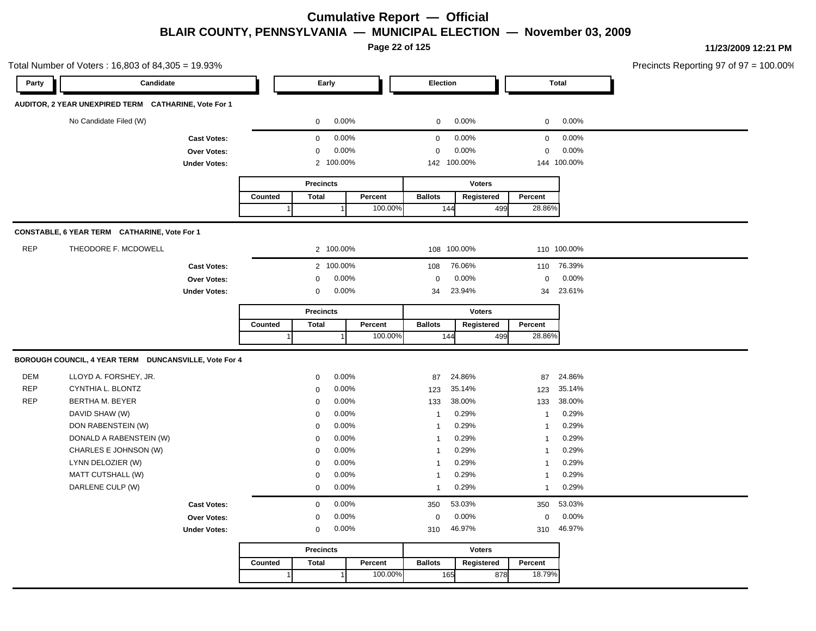**Page 22 of 125**

Total Number of Voters : 16,803 of 84,305 = 19.93% Precincts Reporting 97 of 97 = 100.00% **Party Candidate Early Election Total AUDITOR, 2 YEAR UNEXPIRED TERM CATHARINE, Vote For 1** No Candidate Filed (W)  $0.00\%$  0.00% 0 0.00% 0 0.00% 0 0.00% **Cast Votes:** 0 0.00% 0 0.00% 0 0.00% **Over Votes:** 0 0.00% Under Votes: 2 100.00% 0.00% 0 100.00% 142 144 0.00% 0 0.00% 100.00% 100.00% **Precincts Counted** 1 **Percent** Ballots 1 100.00% **Voters** 144 499 **Ballots Registered Percent** 28.86% **CONSTABLE, 6 YEAR TERM CATHARINE, Vote For 1** REP THEODORE F. MCDOWELL **100.00%** 2 100.00% 108 100.00% 108 100.00% 110 100.00% **Cast Votes:** 2 100.00% 108 76.06% 110 76.39% **Over Votes:** 0 0.00% **Under Votes:** 0 0.00% 0 0.00% 34 34 23.94% 34 23.61% 0.00% 0 0.00% 23.94% 23.61% **Precincts Counted** 1 **Percent** | **Ballots**  1 100.00% **Voters** 144 499 **Ballots Registered Percent** 28.86% **BOROUGH COUNCIL, 4 YEAR TERM DUNCANSVILLE, Vote For 4** DEM LLOYD A. FORSHEY, JR. 0 0.00% 87 24.86% 87 24.86% REP CYNTHIA L. BLONTZ 0 0.00% 123 35.14% 123 35.14% REP BERTHA M. BEYER 0 0.00% 133 38.00% 133 38.00% DAVID SHAW (W) 0 0.00% 1 0.29% 1 0.29% DON RABENSTEIN (W) 0 0.00% 1 0.29% 1 0.29% DONALD A RABENSTEIN (W) 0 0.00% 1 0.29% 1 0.29% CHARLES E JOHNSON (W) 0 0.00% 1 0.29% 1 0.29% LYNN DELOZIER (W) 0 0.00% 1 0.29% 1 0.29% MATT CUTSHALL (W) 80 000 1 0.29% 1 0.29% 1 0.29% 1 0.29% 1 0.29% 1 0.29% 1 0.29% 1 0.29% 1 0.29% 1 0.29% 1 0.29% 1 0.29% 1 0.29% 1 0.29% 1 0.29% 1 0.29% 1 0.29% 1 0.29% 1 0.29% 1 0.29% 1 0.29% 1 0.29% 1 0.29% 1 0.29% 1 0.2 DARLENE CULP (W) 0 0.00% 1 0.29% 1 0.29% **Cast Votes:** 0 0.00% 350 53.03% 350 53.03% **Over Votes:** 0 0.00% **Under Votes:** 0 0.00% 0 0.00% 310 310 0.00% 0 0.00% 46.97% 46.97% **Precincts Counted** 1 **Percent** | **Ballots**  1 100.00% **Voters** 165 878 **Ballots Registered Percent** 878 18.79%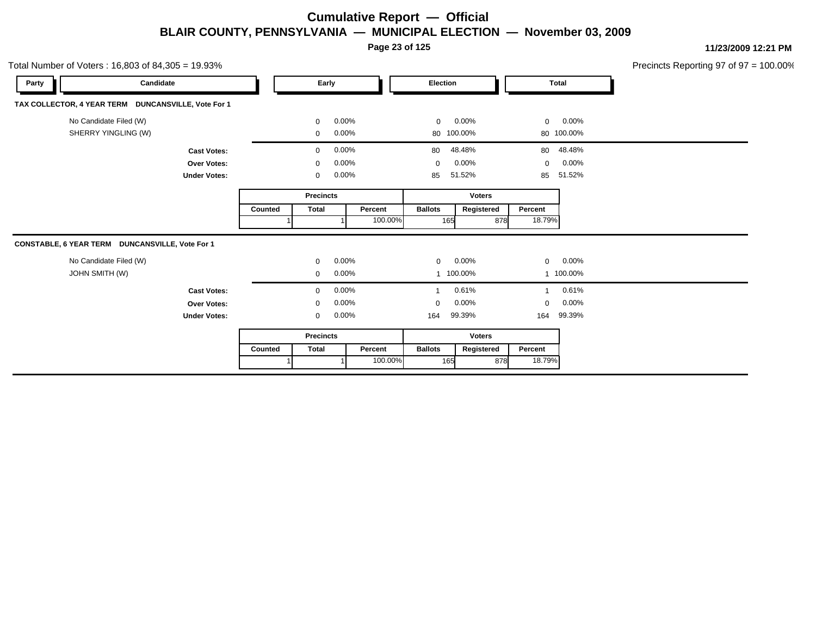**Page 23 of 125**

|       | Total Number of Voters: 16,803 of 84,305 = 19.93%   |                     |         |                       |         |                |               |                |                  | Precincts Reporting 97 of 97 = 100.00% |  |
|-------|-----------------------------------------------------|---------------------|---------|-----------------------|---------|----------------|---------------|----------------|------------------|----------------------------------------|--|
| Party | Candidate                                           |                     |         | Early                 |         | Election       |               | Total          |                  |                                        |  |
|       | TAX COLLECTOR, 4 YEAR TERM DUNCANSVILLE, Vote For 1 |                     |         |                       |         |                |               |                |                  |                                        |  |
|       | No Candidate Filed (W)                              |                     |         | $0.00\%$<br>$\Omega$  |         | $\mathbf 0$    | 0.00%         | $\overline{0}$ | $0.00\%$         |                                        |  |
|       | SHERRY YINGLING (W)                                 |                     |         | 0.00%<br>$\mathbf 0$  |         |                | 80 100.00%    |                | 80 100.00%       |                                        |  |
|       |                                                     | <b>Cast Votes:</b>  |         | $0.00\%$<br>$\Omega$  |         |                | 80 48.48%     |                | 80 48.48%        |                                        |  |
|       |                                                     | Over Votes:         |         | 0.00%                 |         | 0              | 0.00%         | $\mathbf{0}$   | 0.00%            |                                        |  |
|       |                                                     | <b>Under Votes:</b> |         | $0.00\%$<br>0         |         | 85             | 51.52%        |                | 85 51.52%        |                                        |  |
|       |                                                     |                     |         | <b>Precincts</b>      |         |                | <b>Voters</b> |                |                  |                                        |  |
|       |                                                     |                     | Counted | Total                 | Percent | <b>Ballots</b> | Registered    | Percent        |                  |                                        |  |
|       |                                                     |                     |         |                       | 100.00% | 165            | 878           | 18.79%         |                  |                                        |  |
|       | CONSTABLE, 6 YEAR TERM DUNCANSVILLE, Vote For 1     |                     |         |                       |         |                |               |                |                  |                                        |  |
|       | No Candidate Filed (W)                              |                     |         | 0.00%<br>$\Omega$     |         | $\mathbf{0}$   | 0.00%         |                | $0\qquad 0.00\%$ |                                        |  |
|       | <b>JOHN SMITH (W)</b>                               |                     |         | 0.00%<br>$\mathbf{0}$ |         |                | 100.00%       |                | 1 100.00%        |                                        |  |
|       |                                                     | <b>Cast Votes:</b>  |         | 0.00%<br>$\Omega$     |         |                | 0.61%         | $\overline{1}$ | 0.61%            |                                        |  |
|       |                                                     | <b>Over Votes:</b>  |         | 0.00%                 |         | 0              | 0.00%         | $\Omega$       | 0.00%            |                                        |  |
|       |                                                     | <b>Under Votes:</b> |         | 0.00%<br>$\mathbf{0}$ |         | 164            | 99.39%        |                | 164 99.39%       |                                        |  |
|       |                                                     |                     |         | <b>Precincts</b>      |         |                | <b>Voters</b> |                |                  |                                        |  |
|       |                                                     |                     | Counted | Total                 | Percent | <b>Ballots</b> | Registered    | Percent        |                  |                                        |  |
|       |                                                     |                     |         |                       | 100.00% | 165            | 878           | 18.79%         |                  |                                        |  |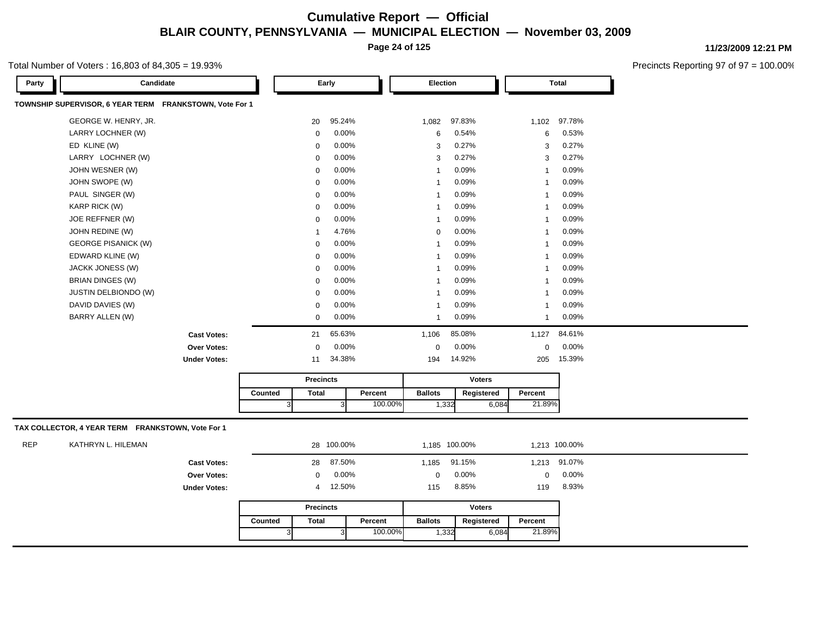**Page 24 of 125**

#### Total Number of Voters : 16,803 of 84,305 = 19.93%

Precincts Reporting 97 of 97 = 100.00%

| Candidate<br>Party                                      |             | Early    | Election                 |        |              | <b>Total</b> |  |
|---------------------------------------------------------|-------------|----------|--------------------------|--------|--------------|--------------|--|
| TOWNSHIP SUPERVISOR, 6 YEAR TERM FRANKSTOWN, Vote For 1 |             |          |                          |        |              |              |  |
| GEORGE W. HENRY, JR.                                    | 20          | 95.24%   | 1,082                    | 97.83% | 1,102        | 97.78%       |  |
| LARRY LOCHNER (W)                                       | $\mathbf 0$ | 0.00%    | 6                        | 0.54%  | 6            | 0.53%        |  |
| ED KLINE (W)                                            | 0           | 0.00%    | 3                        | 0.27%  | 3            | 0.27%        |  |
| LARRY LOCHNER (W)                                       | 0           | 0.00%    | 3                        | 0.27%  | 3            | 0.27%        |  |
| JOHN WESNER (W)                                         | $\mathbf 0$ | 0.00%    | -1                       | 0.09%  | $\mathbf{1}$ | 0.09%        |  |
| JOHN SWOPE (W)                                          | 0           | 0.00%    | -1                       | 0.09%  | $\mathbf{1}$ | 0.09%        |  |
| PAUL SINGER (W)                                         | 0           | 0.00%    | $\overline{\mathbf{1}}$  | 0.09%  | 1            | 0.09%        |  |
| <b>KARP RICK (W)</b>                                    | $\mathbf 0$ | 0.00%    | $\overline{\phantom{a}}$ | 0.09%  | 1            | 0.09%        |  |
| JOE REFFNER (W)                                         | 0           | 0.00%    | $\overline{\phantom{a}}$ | 0.09%  | 1            | 0.09%        |  |
| JOHN REDINE (W)                                         |             | 4.76%    | 0                        | 0.00%  | 1            | 0.09%        |  |
| <b>GEORGE PISANICK (W)</b>                              | 0           | 0.00%    | $\overline{\phantom{a}}$ | 0.09%  | 1            | 0.09%        |  |
| EDWARD KLINE (W)                                        | 0           | 0.00%    | -1                       | 0.09%  | 1            | 0.09%        |  |
| JACKK JONESS (W)                                        | 0           | 0.00%    | $\overline{\phantom{a}}$ | 0.09%  | 1            | 0.09%        |  |
| BRIAN DINGES (W)                                        | $\mathbf 0$ | $0.00\%$ | $\overline{\phantom{a}}$ | 0.09%  | 1            | 0.09%        |  |
| <b>JUSTIN DELBIONDO (W)</b>                             | 0           | 0.00%    |                          | 0.09%  | 1            | 0.09%        |  |
| DAVID DAVIES (W)                                        | $\mathbf 0$ | $0.00\%$ | -1                       | 0.09%  | 1            | 0.09%        |  |
| BARRY ALLEN (W)                                         | 0           | 0.00%    | -1                       | 0.09%  | 1            | 0.09%        |  |
| <b>Cast Votes:</b>                                      | 21          | 65.63%   | 1,106                    | 85.08% | 1,127        | 84.61%       |  |
| Over Votes:                                             | 0           | $0.00\%$ | $\Omega$                 | 0.00%  | $\mathbf 0$  | 0.00%        |  |
| <b>Under Votes:</b>                                     | 11          | 34.38%   | 194                      | 14.92% | 205          | 15.39%       |  |

|         | <b>Precincts</b> |         |                | <b>Voters</b> |         |
|---------|------------------|---------|----------------|---------------|---------|
| Counted | Total            | Percent | <b>Ballots</b> | Reaistered    | Percent |
|         | ادب              | 100.00% | . 332          | 6.084         | 21.89%  |

#### **TAX COLLECTOR, 4 YEAR TERM FRANKSTOWN, Vote For 1**

| <b>REP</b> | KATHRYN L. HILEMAN |                     |         |                  | 28 100.00% |          | 1.185 100.00%  |          | 1.213 100.00% |              |          |
|------------|--------------------|---------------------|---------|------------------|------------|----------|----------------|----------|---------------|--------------|----------|
|            |                    | <b>Cast Votes:</b>  |         | 28               | 87.50%     |          | 1,185          | 91.15%   |               | 1,213 91.07% |          |
|            |                    | <b>Over Votes:</b>  |         | $\mathbf{0}$     |            | $0.00\%$ | $\Omega$       | $0.00\%$ |               | $\Omega$     | $0.00\%$ |
|            |                    | <b>Under Votes:</b> | 4       |                  | 12.50%     |          | 115            | 8.85%    |               | 119          | 8.93%    |
|            |                    |                     |         | <b>Precincts</b> |            |          |                |          | Voters        |              |          |
|            |                    |                     | Counted | <b>Total</b>     |            | Percent  | <b>Ballots</b> |          | Registered    | Percent      |          |
|            |                    |                     |         |                  |            | 100.00%  |                | 1,332    | 6,084         | 21.89%       |          |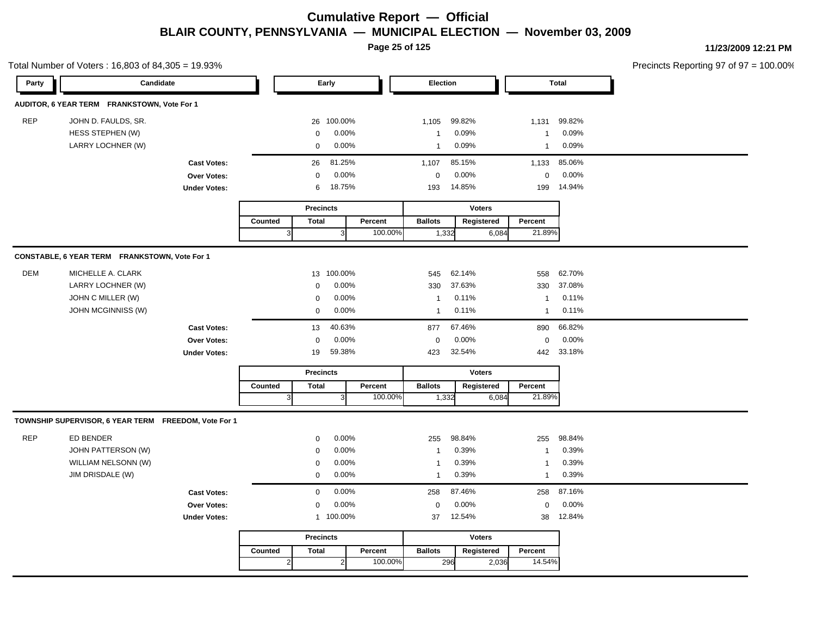Total Number of Voters : 16,803 of 84,305 = 19.93%

**Page 25 of 125**

**11/23/2009 12:21 PM**

| Party      | Candidate                                            |                     |         |                  | Early          |         | Election         |        |               |                | <b>Total</b> |  |
|------------|------------------------------------------------------|---------------------|---------|------------------|----------------|---------|------------------|--------|---------------|----------------|--------------|--|
|            | AUDITOR, 6 YEAR TERM FRANKSTOWN, Vote For 1          |                     |         |                  |                |         |                  |        |               |                |              |  |
| <b>REP</b> | JOHN D. FAULDS, SR.                                  |                     |         | 26               | 100.00%        |         | 1,105            | 99.82% |               | 1,131          | 99.82%       |  |
|            | HESS STEPHEN (W)                                     |                     |         | 0                | 0.00%          |         | $\mathbf{1}$     | 0.09%  |               | -1             | 0.09%        |  |
|            | LARRY LOCHNER (W)                                    |                     |         | $\mathbf 0$      | 0.00%          |         | $\mathbf{1}$     | 0.09%  |               | $\overline{1}$ | 0.09%        |  |
|            |                                                      | <b>Cast Votes:</b>  |         | 26               | 81.25%         |         | 1,107            | 85.15% |               | 1,133          | 85.06%       |  |
|            |                                                      | Over Votes:         |         | $\mathbf 0$      | 0.00%          |         | $\boldsymbol{0}$ | 0.00%  |               | 0              | 0.00%        |  |
|            |                                                      | <b>Under Votes:</b> |         | 6                | 18.75%         |         | 193              | 14.85% |               | 199            | 14.94%       |  |
|            |                                                      |                     |         | <b>Precincts</b> |                |         |                  |        | <b>Voters</b> |                |              |  |
|            |                                                      |                     | Counted | <b>Total</b>     |                | Percent | <b>Ballots</b>   |        | Registered    | Percent        |              |  |
|            |                                                      |                     | 3       |                  | 3I             | 100.00% |                  | 1,332  | 6,084         | 21.89%         |              |  |
|            |                                                      |                     |         |                  |                |         |                  |        |               |                |              |  |
|            | CONSTABLE, 6 YEAR TERM FRANKSTOWN, Vote For 1        |                     |         |                  |                |         |                  |        |               |                |              |  |
| <b>DEM</b> | MICHELLE A. CLARK                                    |                     |         | 13               | 100.00%        |         | 545              | 62.14% |               | 558            | 62.70%       |  |
|            | LARRY LOCHNER (W)                                    |                     |         | $\mathbf 0$      | 0.00%          |         | 330              | 37.63% |               | 330            | 37.08%       |  |
|            | JOHN C MILLER (W)                                    |                     |         | $\Omega$         | 0.00%          |         | $\mathbf{1}$     | 0.11%  |               | -1             | 0.11%        |  |
|            | JOHN MCGINNISS (W)                                   |                     |         | $\mathbf 0$      | 0.00%          |         | $\mathbf{1}$     | 0.11%  |               | $\overline{1}$ | 0.11%        |  |
|            |                                                      | <b>Cast Votes:</b>  |         | 13               | 40.63%         |         | 877              | 67.46% |               | 890            | 66.82%       |  |
|            |                                                      | Over Votes:         |         | 0                | 0.00%          |         | $\mathbf 0$      | 0.00%  |               | $\mathbf 0$    | 0.00%        |  |
|            |                                                      | <b>Under Votes:</b> |         | 19               | 59.38%         |         | 423              | 32.54% |               |                | 442 33.18%   |  |
|            |                                                      |                     |         | <b>Precincts</b> |                |         |                  |        | <b>Voters</b> |                |              |  |
|            |                                                      |                     | Counted | <b>Total</b>     |                | Percent | <b>Ballots</b>   |        | Registered    | Percent        |              |  |
|            |                                                      |                     | 3       |                  | 3 <sup>1</sup> | 100.00% |                  | 1,332  | 6,084         | 21.89%         |              |  |
|            | TOWNSHIP SUPERVISOR, 6 YEAR TERM FREEDOM, Vote For 1 |                     |         |                  |                |         |                  |        |               |                |              |  |
| <b>REP</b> | ED BENDER                                            |                     |         | $\mathbf 0$      | 0.00%          |         | 255              | 98.84% |               | 255            | 98.84%       |  |
|            | JOHN PATTERSON (W)                                   |                     |         | 0                | 0.00%          |         | $\mathbf{1}$     | 0.39%  |               | $\overline{1}$ | 0.39%        |  |
|            | WILLIAM NELSONN (W)                                  |                     |         | 0                | 0.00%          |         | $\mathbf{1}$     | 0.39%  |               | $\overline{1}$ | 0.39%        |  |
|            | JIM DRISDALE (W)                                     |                     |         | $\mathbf 0$      | 0.00%          |         | $\mathbf{1}$     | 0.39%  |               | $\overline{1}$ | 0.39%        |  |
|            |                                                      | <b>Cast Votes:</b>  |         | $\mathbf 0$      | 0.00%          |         | 258              | 87.46% |               | 258            | 87.16%       |  |
|            |                                                      | Over Votes:         |         | 0                | 0.00%          |         | $\pmb{0}$        | 0.00%  |               | $\mathbf 0$    | 0.00%        |  |
|            |                                                      | <b>Under Votes:</b> |         |                  | 1 100.00%      |         | 37               | 12.54% |               | 38             | 12.84%       |  |
|            |                                                      |                     |         |                  |                |         |                  |        |               |                |              |  |
|            |                                                      |                     |         | <b>Precincts</b> |                |         |                  |        | <b>Voters</b> |                |              |  |
|            |                                                      |                     | Counted | <b>Total</b>     |                | Percent | <b>Ballots</b>   |        | Registered    | Percent        |              |  |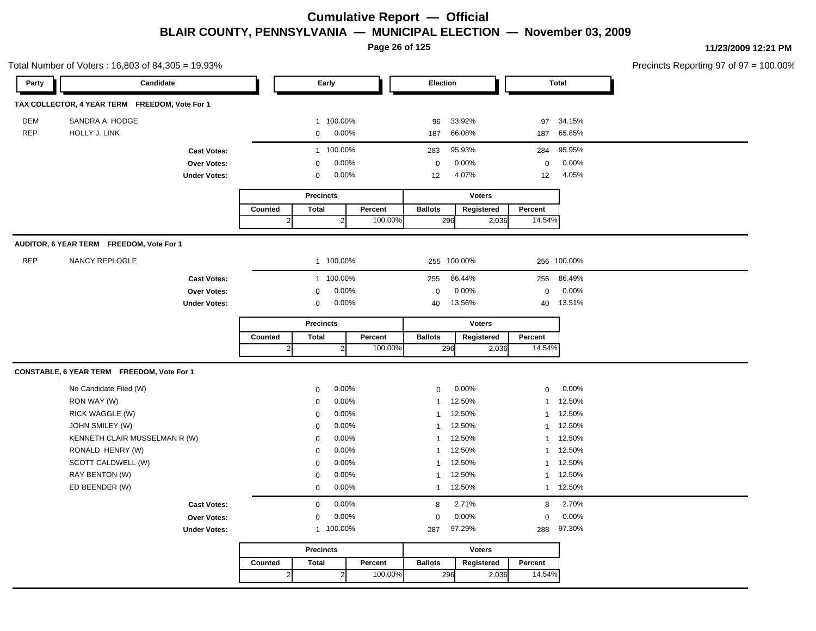**Page 26 of 125**

|            | Total Number of Voters: 16,803 of 84,305 = 19.93% |                     |         |                            |         |                |               |                     |             | Precincts Reporting 97 of 97 = 100.00% |  |
|------------|---------------------------------------------------|---------------------|---------|----------------------------|---------|----------------|---------------|---------------------|-------------|----------------------------------------|--|
| Party      | Candidate                                         |                     |         | Early                      |         | Election       |               | <b>Total</b>        |             |                                        |  |
|            | TAX COLLECTOR, 4 YEAR TERM FREEDOM, Vote For 1    |                     |         |                            |         |                |               |                     |             |                                        |  |
| <b>DEM</b> | SANDRA A. HODGE                                   |                     |         | 1 100.00%                  |         | 96             | 33.92%        | 97                  | 34.15%      |                                        |  |
| <b>REP</b> | HOLLY J. LINK                                     |                     |         | $0.00\%$<br>$\overline{0}$ |         | 187            | 66.08%        |                     | 187 65.85%  |                                        |  |
|            |                                                   | <b>Cast Votes:</b>  |         | 1 100.00%                  |         | 283            | 95.93%        | 284                 | 95.95%      |                                        |  |
|            |                                                   | Over Votes:         |         | 0.00%<br>$\Omega$          |         | $\mathbf 0$    | 0.00%         | $\mathsf{O}\xspace$ | 0.00%       |                                        |  |
|            |                                                   | <b>Under Votes:</b> |         | $0.00\%$<br>$\mathbf 0$    |         | 12             | 4.07%         | 12                  | 4.05%       |                                        |  |
|            |                                                   |                     |         | <b>Precincts</b>           |         |                | <b>Voters</b> |                     |             |                                        |  |
|            |                                                   |                     | Counted | <b>Total</b>               | Percent | <b>Ballots</b> | Registered    | Percent             |             |                                        |  |
|            |                                                   |                     |         | $\overline{2}$             | 100.00% | 296            | 2,036         | 14.54%              |             |                                        |  |
|            |                                                   |                     |         |                            |         |                |               |                     |             |                                        |  |
|            | AUDITOR, 6 YEAR TERM FREEDOM, Vote For 1          |                     |         |                            |         |                |               |                     |             |                                        |  |
| REP        | NANCY REPLOGLE                                    |                     |         | 1 100.00%                  |         |                | 255 100.00%   |                     | 256 100.00% |                                        |  |
|            |                                                   | <b>Cast Votes:</b>  |         | 1 100.00%                  |         | 255            | 86.44%        |                     | 256 86.49%  |                                        |  |
|            |                                                   | Over Votes:         |         | 0.00%<br>$\mathbf 0$       |         | $\Omega$       | 0.00%         | $\mathbf 0$         | 0.00%       |                                        |  |
|            |                                                   | <b>Under Votes:</b> |         | $0.00\%$<br>$\mathbf 0$    |         | 40             | 13.56%        |                     | 40 13.51%   |                                        |  |
|            |                                                   |                     |         | <b>Precincts</b>           |         |                | <b>Voters</b> |                     |             |                                        |  |
|            |                                                   |                     | Counted | <b>Total</b>               | Percent | <b>Ballots</b> | Registered    | Percent             |             |                                        |  |
|            |                                                   |                     |         | $\overline{2}$             | 100.00% | 296            | 2,036         | 14.54%              |             |                                        |  |
|            | CONSTABLE, 6 YEAR TERM FREEDOM, Vote For 1        |                     |         |                            |         |                |               |                     |             |                                        |  |
|            | No Candidate Filed (W)                            |                     |         | 0.00%<br>$\mathbf 0$       |         | $\mathbf 0$    | $0.00\%$      | $\overline{0}$      | $0.00\%$    |                                        |  |
|            | RON WAY (W)                                       |                     |         | 0.00%<br>$\Omega$          |         | 1              | 12.50%        |                     | 1 12.50%    |                                        |  |
|            | RICK WAGGLE (W)                                   |                     |         | 0.00%<br>$\Omega$          |         |                | 1 12.50%      |                     | 1 12.50%    |                                        |  |
|            | JOHN SMILEY (W)                                   |                     |         | 0.00%<br>$\mathbf 0$       |         |                | 1 12.50%      |                     | 1 12.50%    |                                        |  |
|            | KENNETH CLAIR MUSSELMAN R (W)                     |                     |         | 0.00%<br>0                 |         |                | 1 12.50%      |                     | 1 12.50%    |                                        |  |
|            | RONALD HENRY (W)                                  |                     |         | 0.00%<br>$\Omega$          |         | $\mathbf{1}$   | 12.50%        |                     | 1 12.50%    |                                        |  |
|            | SCOTT CALDWELL (W)                                |                     |         | 0.00%<br>$\mathbf 0$       |         |                | 1 12.50%      |                     | 1 12.50%    |                                        |  |
|            | RAY BENTON (W)                                    |                     |         | 0.00%<br>$\mathbf 0$       |         |                | 1 12.50%      |                     | 1 12.50%    |                                        |  |
|            | ED BEENDER (W)                                    |                     |         | 0.00%<br>$\mathbf{0}$      |         |                | 1 12.50%      |                     | 1 12.50%    |                                        |  |
|            |                                                   | <b>Cast Votes:</b>  |         | 0.00%<br>$\mathbf{0}$      |         | 8              | 2.71%         |                     | 8 2.70%     |                                        |  |
|            |                                                   | Over Votes:         |         | $0.00\%$<br>$\mathbf 0$    |         | 0              | $0.00\%$      | $\mathbf 0$         | $0.00\%$    |                                        |  |
|            |                                                   | <b>Under Votes:</b> |         | 1 100.00%                  |         | 287            | 97.29%        |                     | 288 97.30%  |                                        |  |
|            |                                                   |                     |         | <b>Precincts</b>           |         |                | <b>Voters</b> |                     |             |                                        |  |
|            |                                                   |                     |         |                            |         |                |               |                     |             |                                        |  |
|            |                                                   |                     | Counted | <b>Total</b>               | Percent | <b>Ballots</b> | Registered    | Percent             |             |                                        |  |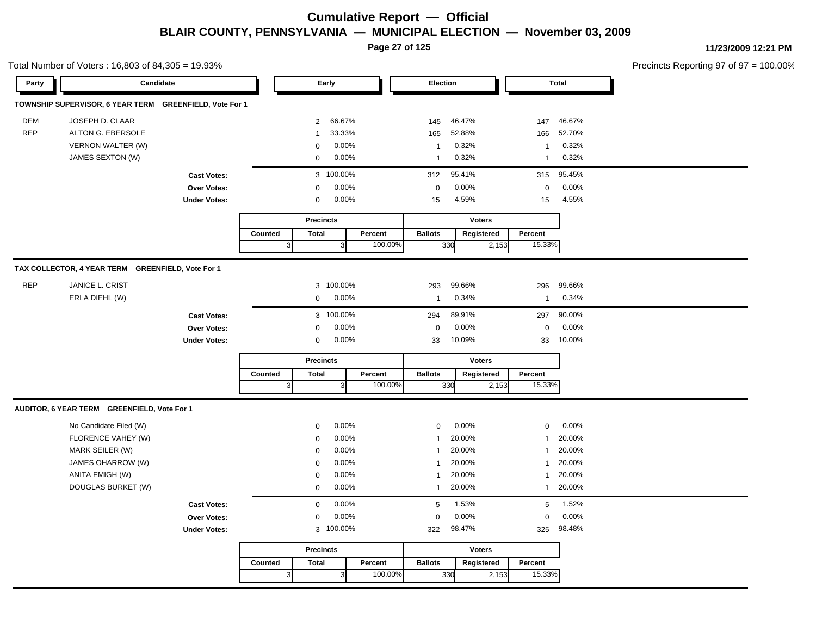**Page 27 of 125**

Total Number of Voters : 16,803 of 84,305 = 19.93%

**11/23/2009 12:21 PM**

| Party      | Candidate                                               |                     |         |                |                  | Early          |         | Election       |        |               |              | <b>Total</b> |  |  |
|------------|---------------------------------------------------------|---------------------|---------|----------------|------------------|----------------|---------|----------------|--------|---------------|--------------|--------------|--|--|
|            | TOWNSHIP SUPERVISOR, 6 YEAR TERM GREENFIELD, Vote For 1 |                     |         |                |                  |                |         |                |        |               |              |              |  |  |
| <b>DEM</b> | JOSEPH D. CLAAR                                         |                     |         |                | $\mathbf{2}$     | 66.67%         |         | 145            | 46.47% |               | 147          | 46.67%       |  |  |
| <b>REP</b> | ALTON G. EBERSOLE                                       |                     |         |                | 1                | 33.33%         |         | 165            | 52.88% |               | 166          | 52.70%       |  |  |
|            | VERNON WALTER (W)                                       |                     |         |                | 0                | 0.00%          |         | $\overline{1}$ | 0.32%  |               | $\mathbf{1}$ | 0.32%        |  |  |
|            | JAMES SEXTON (W)                                        |                     |         |                | $\mathbf{0}$     | 0.00%          |         | $\overline{1}$ | 0.32%  |               | $\mathbf{1}$ | 0.32%        |  |  |
|            |                                                         | <b>Cast Votes:</b>  |         |                |                  | 3 100.00%      |         | 312            | 95.41% |               | 315          | 95.45%       |  |  |
|            |                                                         | <b>Over Votes:</b>  |         |                | $\mathbf 0$      | 0.00%          |         | $\mathbf 0$    | 0.00%  |               | $\mathbf 0$  | 0.00%        |  |  |
|            |                                                         | <b>Under Votes:</b> |         |                | 0                | 0.00%          |         | 15             | 4.59%  |               | 15           | 4.55%        |  |  |
|            |                                                         |                     |         |                | <b>Precincts</b> |                |         |                |        | <b>Voters</b> |              |              |  |  |
|            |                                                         |                     | Counted |                | <b>Total</b>     |                | Percent | <b>Ballots</b> |        | Registered    | Percent      |              |  |  |
|            |                                                         |                     |         | 3 <sup>1</sup> |                  | $\overline{3}$ | 100.00% |                | 330    | 2,153         | 15.33%       |              |  |  |
|            | TAX COLLECTOR, 4 YEAR TERM GREENFIELD, Vote For 1       |                     |         |                |                  |                |         |                |        |               |              |              |  |  |
| <b>REP</b> | JANICE L. CRIST                                         |                     |         |                |                  | 3 100.00%      |         | 293            | 99.66% |               | 296          | 99.66%       |  |  |
|            | ERLA DIEHL (W)                                          |                     |         |                | 0                | 0.00%          |         | $\overline{1}$ | 0.34%  |               | $\mathbf{1}$ | 0.34%        |  |  |
|            |                                                         | <b>Cast Votes:</b>  |         |                |                  | 3 100.00%      |         | 294            | 89.91% |               | 297          | 90.00%       |  |  |
|            |                                                         | <b>Over Votes:</b>  |         |                | 0                | 0.00%          |         | $\mathbf 0$    | 0.00%  |               | $\pmb{0}$    | 0.00%        |  |  |
|            |                                                         | <b>Under Votes:</b> |         |                | $\mathbf 0$      | 0.00%          |         | 33             | 10.09% |               | 33           | 10.00%       |  |  |
|            |                                                         |                     |         |                | <b>Precincts</b> |                |         |                |        | <b>Voters</b> |              |              |  |  |
|            |                                                         |                     | Counted |                | <b>Total</b>     |                | Percent | <b>Ballots</b> |        | Registered    | Percent      |              |  |  |
|            |                                                         |                     |         | 3 <sub>o</sub> |                  | 3              | 100.00% |                | 330    | 2,153         | 15.33%       |              |  |  |
|            | AUDITOR, 6 YEAR TERM GREENFIELD, Vote For 1             |                     |         |                |                  |                |         |                |        |               |              |              |  |  |
|            | No Candidate Filed (W)                                  |                     |         |                | 0                | 0.00%          |         | $\mathbf 0$    | 0.00%  |               | $\mathbf 0$  | 0.00%        |  |  |
|            | FLORENCE VAHEY (W)                                      |                     |         |                | 0                | 0.00%          |         | $\mathbf{1}$   | 20.00% |               | 1            | 20.00%       |  |  |
|            | MARK SEILER (W)                                         |                     |         |                | $\mathbf 0$      | 0.00%          |         | $\overline{1}$ | 20.00% |               | $\mathbf{1}$ | 20.00%       |  |  |
|            | JAMES OHARROW (W)                                       |                     |         |                | 0                | 0.00%          |         | $\overline{1}$ | 20.00% |               | $\mathbf{1}$ | 20.00%       |  |  |
|            | ANITA EMIGH (W)                                         |                     |         |                | 0                | 0.00%          |         | $\overline{1}$ | 20.00% |               | $\mathbf{1}$ | 20.00%       |  |  |
|            | DOUGLAS BURKET (W)                                      |                     |         |                | 0                | 0.00%          |         | $\mathbf{1}$   | 20.00% |               | $\mathbf{1}$ | 20.00%       |  |  |
|            |                                                         | <b>Cast Votes:</b>  |         |                | $\mathbf 0$      | 0.00%          |         | 5              | 1.53%  |               | 5            | 1.52%        |  |  |
|            |                                                         | Over Votes:         |         |                | 0                | 0.00%          |         | $\mathbf 0$    | 0.00%  |               | $\mathbf 0$  | 0.00%        |  |  |
|            |                                                         | <b>Under Votes:</b> |         |                |                  | 3 100.00%      |         | 322            | 98.47% |               | 325          | 98.48%       |  |  |
|            |                                                         |                     |         |                | <b>Precincts</b> |                |         |                |        | <b>Voters</b> |              |              |  |  |
|            |                                                         |                     | Counted |                | <b>Total</b>     |                | Percent | <b>Ballots</b> |        | Registered    | Percent      |              |  |  |
|            |                                                         |                     |         | 3 <sup>l</sup> |                  | $\overline{3}$ | 100.00% |                | 330    | 2,153         | 15.33%       |              |  |  |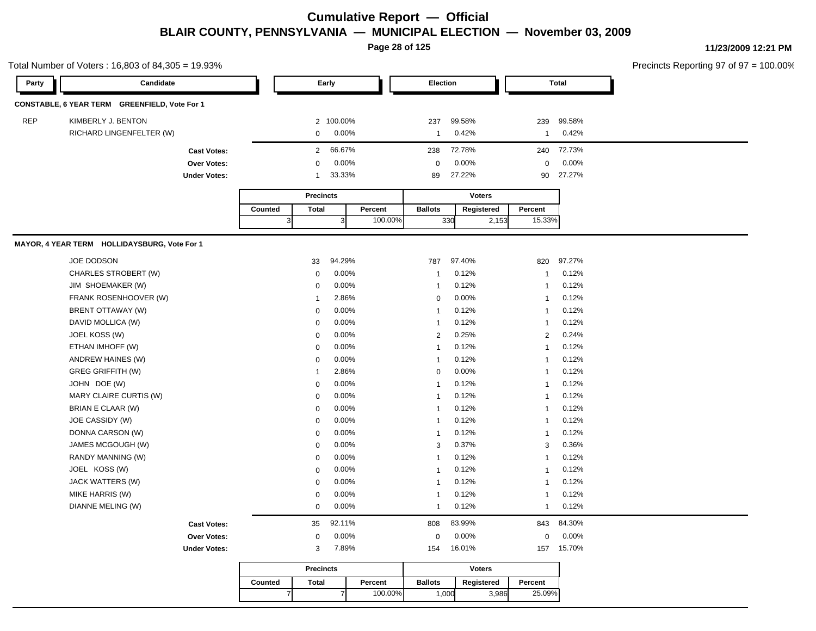**Page 28 of 125**

| Party      | Candidate                                     |                     |                | Early                    |         | Election       |                             |                | <b>Total</b> |  |
|------------|-----------------------------------------------|---------------------|----------------|--------------------------|---------|----------------|-----------------------------|----------------|--------------|--|
|            | CONSTABLE, 6 YEAR TERM GREENFIELD, Vote For 1 |                     |                |                          |         |                |                             |                |              |  |
| <b>REP</b> |                                               |                     |                |                          |         |                |                             |                |              |  |
|            | KIMBERLY J. BENTON                            |                     |                | 2 100.00%                |         | 237            | 99.58%                      | 239            | 99.58%       |  |
|            | RICHARD LINGENFELTER (W)                      |                     |                | 0.00%<br>0               |         | $\overline{1}$ | 0.42%                       | $\mathbf{1}$   | 0.42%        |  |
|            |                                               | <b>Cast Votes:</b>  |                | 66.67%<br>$\overline{2}$ |         | 238            | 72.78%                      | 240            | 72.73%       |  |
|            |                                               | Over Votes:         |                | 0.00%<br>$\mathbf 0$     |         | $\Omega$       | 0.00%                       | $\mathbf 0$    | 0.00%        |  |
|            |                                               | <b>Under Votes:</b> |                | 33.33%<br>$\mathbf{1}$   |         | 89             | 27.22%                      | 90             | 27.27%       |  |
|            |                                               |                     |                | <b>Precincts</b>         |         |                | <b>Voters</b>               |                |              |  |
|            |                                               |                     | Counted        | <b>Total</b>             | Percent | <b>Ballots</b> | Registered                  | Percent        |              |  |
|            |                                               |                     | 3 <sup>l</sup> | 3                        | 100.00% |                | 330<br>2,153                | 15.33%         |              |  |
|            | MAYOR, 4 YEAR TERM HOLLIDAYSBURG, Vote For 1  |                     |                |                          |         |                |                             |                |              |  |
|            |                                               |                     |                |                          |         |                |                             |                |              |  |
|            | JOE DODSON                                    |                     |                | 94.29%<br>33             |         | 787            | 97.40%                      | 820            | 97.27%       |  |
|            | CHARLES STROBERT (W)                          |                     |                | 0.00%<br>$\mathbf 0$     |         | -1             | 0.12%                       | $\mathbf{1}$   | 0.12%        |  |
|            | JIM SHOEMAKER (W)                             |                     |                | 0.00%<br>$\mathbf 0$     |         | $\overline{1}$ | 0.12%                       | $\mathbf{1}$   | 0.12%        |  |
|            | FRANK ROSENHOOVER (W)                         |                     |                | 2.86%<br>$\overline{1}$  |         | 0              | 0.00%                       | $\mathbf{1}$   | 0.12%        |  |
|            | BRENT OTTAWAY (W)                             |                     |                | 0.00%<br>$\mathbf 0$     |         | $\mathbf{1}$   | 0.12%                       | $\mathbf{1}$   | 0.12%        |  |
|            | DAVID MOLLICA (W)                             |                     |                | 0.00%<br>$\mathbf 0$     |         | $\mathbf{1}$   | 0.12%                       | $\mathbf{1}$   | 0.12%        |  |
|            | JOEL KOSS (W)                                 |                     |                | 0.00%<br>$\mathbf 0$     |         | $\overline{2}$ | 0.25%                       | $\overline{2}$ | 0.24%        |  |
|            | ETHAN IMHOFF (W)                              |                     |                | 0.00%<br>$\mathbf 0$     |         | $\overline{1}$ | 0.12%                       | $\overline{1}$ | 0.12%        |  |
|            | ANDREW HAINES (W)                             |                     |                | $\mathbf 0$<br>0.00%     |         | 1              | 0.12%                       | $\mathbf{1}$   | 0.12%        |  |
|            | <b>GREG GRIFFITH (W)</b>                      |                     |                | 2.86%<br>$\mathbf{1}$    |         | 0              | 0.00%                       | $\mathbf{1}$   | 0.12%        |  |
|            | JOHN DOE (W)                                  |                     |                | 0.00%<br>$\mathbf 0$     |         | -1             | 0.12%                       | $\mathbf{1}$   | 0.12%        |  |
|            | MARY CLAIRE CURTIS (W)                        |                     |                | 0.00%<br>$\mathbf 0$     |         | $\mathbf{1}$   | 0.12%                       | $\mathbf{1}$   | 0.12%        |  |
|            | BRIAN E CLAAR (W)                             |                     |                | 0.00%<br>$\mathbf 0$     |         | $\mathbf{1}$   | 0.12%                       | $\mathbf{1}$   | 0.12%        |  |
|            | JOE CASSIDY (W)                               |                     |                | 0.00%<br>$\mathbf 0$     |         | $\mathbf{1}$   | 0.12%                       | $\mathbf{1}$   | 0.12%        |  |
|            | DONNA CARSON (W)                              |                     |                | 0.00%<br>$\mathbf 0$     |         | $\mathbf{1}$   | 0.12%                       | $\mathbf{1}$   | 0.12%        |  |
|            | JAMES MCGOUGH (W)                             |                     |                | $\mathbf 0$<br>0.00%     |         | 3              | 0.37%                       | 3              | 0.36%        |  |
|            | RANDY MANNING (W)                             |                     |                | 0.00%<br>$\mathbf 0$     |         | $\overline{1}$ | 0.12%                       | $\overline{1}$ | 0.12%        |  |
|            | JOEL KOSS (W)                                 |                     |                | 0.00%<br>$\mathbf 0$     |         | 1              | 0.12%                       | $\mathbf{1}$   | 0.12%        |  |
|            | JACK WATTERS (W)                              |                     |                | 0.00%<br>$\mathbf 0$     |         | $\mathbf{1}$   | 0.12%                       | $\mathbf{1}$   | 0.12%        |  |
|            | MIKE HARRIS (W)                               |                     |                | 0.00%<br>$\mathbf 0$     |         | $\overline{1}$ | 0.12%                       | $\mathbf{1}$   | 0.12%        |  |
|            | DIANNE MELING (W)                             |                     |                | 0.00%<br>$\mathbf 0$     |         | $\mathbf{1}$   | 0.12%                       | $\mathbf{1}$   | 0.12%        |  |
|            |                                               | <b>Cast Votes:</b>  |                | 92.11%<br>35             |         | 808            | 83.99%                      | 843            | 84.30%       |  |
|            |                                               | <b>Over Votes:</b>  |                | 0.00%<br>$\mathbf 0$     |         | $\mathbf 0$    | 0.00%                       | 0              | 0.00%        |  |
|            |                                               | <b>Under Votes:</b> |                | 7.89%<br>3               |         | 154            | 16.01%                      | 157            | 15.70%       |  |
|            |                                               |                     |                |                          |         |                |                             |                |              |  |
|            |                                               |                     |                | <b>Dracincts</b>         |         |                | <b><i><u>Motore</u></i></b> |                |              |  |

|         | <b>Precincts</b> |         |                | <b>Voters</b> |         |
|---------|------------------|---------|----------------|---------------|---------|
| Counted | Total            | Percent | <b>Ballots</b> | Registered    | Percent |
|         |                  | 100.00% | 000            | 3,986         | 25.09%  |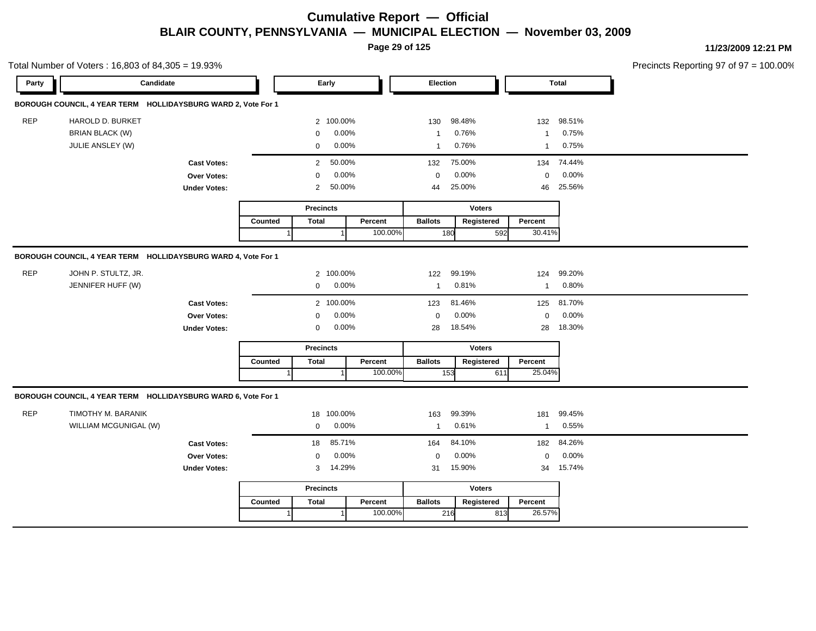**Page 29 of 125**

| Party | Candidate                                                     |                     |         | Early                    |         | Election       |               |              | <b>Total</b> |  |
|-------|---------------------------------------------------------------|---------------------|---------|--------------------------|---------|----------------|---------------|--------------|--------------|--|
|       | BOROUGH COUNCIL, 4 YEAR TERM HOLLIDAYSBURG WARD 2, Vote For 1 |                     |         |                          |         |                |               |              |              |  |
| REP   | HAROLD D. BURKET                                              |                     |         | 2 100.00%                |         | 130            | 98.48%        |              | 132 98.51%   |  |
|       | <b>BRIAN BLACK (W)</b>                                        |                     |         | 0.00%<br>$\Omega$        |         | $\mathbf{1}$   | 0.76%         |              | 1 0.75%      |  |
|       | JULIE ANSLEY (W)                                              |                     |         | $0.00\%$<br>$\mathbf 0$  |         | $\mathbf{1}$   | 0.76%         |              | 1 0.75%      |  |
|       |                                                               | <b>Cast Votes:</b>  |         | 50.00%<br>$\overline{2}$ |         | 132            | 75.00%        |              | 134 74.44%   |  |
|       |                                                               | Over Votes:         |         | 0.00%<br>$\Omega$        |         | $\Omega$       | 0.00%         | $\mathbf 0$  | $0.00\%$     |  |
|       |                                                               | <b>Under Votes:</b> |         | 50.00%<br>$2^{\circ}$    |         | 44             | 25.00%        | 46           | 25.56%       |  |
|       |                                                               |                     |         | <b>Precincts</b>         |         |                | <b>Voters</b> |              |              |  |
|       |                                                               |                     | Counted | Total                    | Percent | <b>Ballots</b> | Registered    | Percent      |              |  |
|       |                                                               |                     |         |                          | 100.00% |                | 180<br>592    | 30.41%       |              |  |
|       | BOROUGH COUNCIL, 4 YEAR TERM HOLLIDAYSBURG WARD 4, Vote For 1 |                     |         |                          |         |                |               |              |              |  |
| REP   | JOHN P. STULTZ, JR.                                           |                     |         | 2 100.00%                |         | 122            | 99.19%        |              | 124 99.20%   |  |
|       | JENNIFER HUFF (W)                                             |                     |         | $0.00\%$<br>$\mathbf 0$  |         | $\mathbf{1}$   | 0.81%         | $\mathbf{1}$ | 0.80%        |  |
|       |                                                               | <b>Cast Votes:</b>  |         | 2 100.00%                |         | 123            | 81.46%        |              | 125 81.70%   |  |
|       |                                                               | Over Votes:         |         | $0.00\%$<br>$\mathbf 0$  |         | $\mathbf 0$    | 0.00%         | $\mathbf 0$  | 0.00%        |  |
|       |                                                               | <b>Under Votes:</b> |         | $0.00\%$<br>$\mathbf 0$  |         | 28             | 18.54%        | 28           | 18.30%       |  |
|       |                                                               |                     |         | <b>Precincts</b>         |         |                | <b>Voters</b> |              |              |  |
|       |                                                               |                     | Counted | Total                    | Percent | <b>Ballots</b> | Registered    | Percent      |              |  |
|       |                                                               |                     |         |                          | 100.00% |                | 153<br>611    | 25.04%       |              |  |
|       |                                                               |                     |         |                          |         |                |               |              |              |  |
|       | BOROUGH COUNCIL, 4 YEAR TERM HOLLIDAYSBURG WARD 6, Vote For 1 |                     |         |                          |         |                |               |              |              |  |
| REP   | TIMOTHY M. BARANIK                                            |                     |         | 18 100.00%               |         | 163            | 99.39%        | 181          | 99.45%       |  |
|       | WILLIAM MCGUNIGAL (W)                                         |                     |         | 0.00%<br>$\mathbf 0$     |         | $\mathbf{1}$   | 0.61%         | $\mathbf{1}$ | 0.55%        |  |
|       |                                                               | <b>Cast Votes:</b>  |         | 85.71%<br>18             |         | 164            | 84.10%        |              | 182 84.26%   |  |
|       |                                                               | Over Votes:         |         | 0.00%<br>$\mathbf 0$     |         | $\mathbf 0$    | 0.00%         | $\mathbf 0$  | 0.00%        |  |
|       |                                                               | <b>Under Votes:</b> |         | 14.29%<br>3 <sup>1</sup> |         | 31             | 15.90%        |              | 34 15.74%    |  |
|       |                                                               |                     |         | <b>Precincts</b>         |         |                | <b>Voters</b> |              |              |  |
|       |                                                               |                     | Counted | <b>Total</b>             | Percent | <b>Ballots</b> | Registered    | Percent      |              |  |
|       |                                                               |                     |         |                          | 100.00% |                | 216           | 26.57%       |              |  |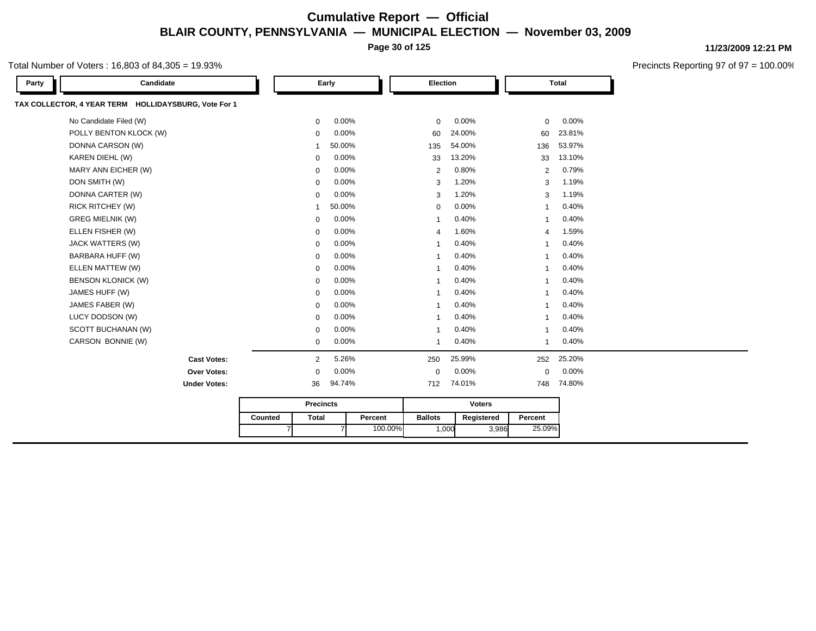**Page 30 of 125**

#### Total Number of Voters : 16,803 of 84,305 = 19.93%

| Candidate<br>Party                                   |         |                  | Early  |         | Election                 |               |                | <b>Total</b> |
|------------------------------------------------------|---------|------------------|--------|---------|--------------------------|---------------|----------------|--------------|
| TAX COLLECTOR, 4 YEAR TERM HOLLIDAYSBURG, Vote For 1 |         |                  |        |         |                          |               |                |              |
| No Candidate Filed (W)                               |         | $\mathbf 0$      | 0.00%  |         | $\mathbf 0$              | 0.00%         | $\mathbf 0$    | 0.00%        |
| POLLY BENTON KLOCK (W)                               |         | 0                | 0.00%  |         | 60                       | 24.00%        | 60             | 23.81%       |
| DONNA CARSON (W)                                     |         | 1                | 50.00% |         | 135                      | 54.00%        | 136            | 53.97%       |
| KAREN DIEHL (W)                                      |         | $\mathbf 0$      | 0.00%  |         | 33                       | 13.20%        | 33             | 13.10%       |
| MARY ANN EICHER (W)                                  |         | 0                | 0.00%  |         | $\overline{2}$           | 0.80%         | $\overline{2}$ | 0.79%        |
| DON SMITH (W)                                        |         | $\mathbf 0$      | 0.00%  |         | 3                        | 1.20%         | 3              | 1.19%        |
| DONNA CARTER (W)                                     |         | $\mathbf 0$      | 0.00%  |         | 3                        | 1.20%         | 3              | 1.19%        |
| <b>RICK RITCHEY (W)</b>                              |         | -1               | 50.00% |         | $\mathbf 0$              | 0.00%         | -1             | 0.40%        |
| <b>GREG MIELNIK (W)</b>                              |         | $\mathbf 0$      | 0.00%  |         | -1                       | 0.40%         | -1             | 0.40%        |
| ELLEN FISHER (W)                                     |         | $\mathbf 0$      | 0.00%  |         | $\overline{4}$           | 1.60%         | 4              | 1.59%        |
| JACK WATTERS (W)                                     |         | $\mathbf 0$      | 0.00%  |         | $\overline{1}$           | 0.40%         | $\overline{1}$ | 0.40%        |
| BARBARA HUFF (W)                                     |         | $\mathbf 0$      | 0.00%  |         | -1                       | 0.40%         | $\overline{1}$ | 0.40%        |
| ELLEN MATTEW (W)                                     |         | $\mathbf 0$      | 0.00%  |         | -1                       | 0.40%         | $\overline{1}$ | 0.40%        |
| <b>BENSON KLONICK (W)</b>                            |         | $\mathbf 0$      | 0.00%  |         | -1                       | 0.40%         | $\overline{1}$ | 0.40%        |
| JAMES HUFF (W)                                       |         | $\mathbf 0$      | 0.00%  |         | -1                       | 0.40%         | $\overline{1}$ | 0.40%        |
| JAMES FABER (W)                                      |         | 0                | 0.00%  |         | 1                        | 0.40%         | $\overline{1}$ | 0.40%        |
| LUCY DODSON (W)                                      |         | $\mathbf 0$      | 0.00%  |         | -1                       | 0.40%         | -1             | 0.40%        |
| SCOTT BUCHANAN (W)                                   |         | $\mathbf 0$      | 0.00%  |         | $\overline{\phantom{a}}$ | 0.40%         | $\overline{1}$ | 0.40%        |
| CARSON BONNIE (W)                                    |         | $\mathbf 0$      | 0.00%  |         | 1                        | 0.40%         | 1              | 0.40%        |
| <b>Cast Votes:</b>                                   |         | $\overline{2}$   | 5.26%  |         | 250                      | 25.99%        | 252            | 25.20%       |
| Over Votes:                                          |         | $\mathbf 0$      | 0.00%  |         | $\mathbf 0$              | 0.00%         | 0              | 0.00%        |
| <b>Under Votes:</b>                                  |         | 36               | 94.74% |         | 712                      | 74.01%        | 748            | 74.80%       |
|                                                      |         | <b>Precincts</b> |        |         |                          | <b>Voters</b> |                |              |
|                                                      | Counted | <b>Total</b>     |        | Percent | <b>Ballots</b>           | Registered    | Percent        |              |
|                                                      | 7       |                  |        | 100.00% | 1,000                    | 3,986         | 25.09%         |              |

**11/23/2009 12:21 PM**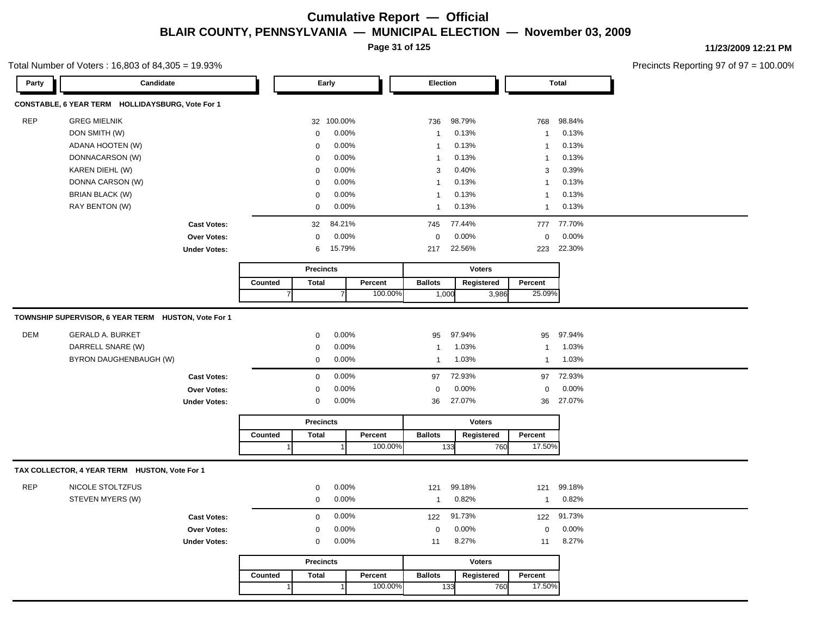**Page 31 of 125**

Total Number of Voters : 16,803 of 84,305 = 19.93%

**11/23/2009 12:21 PM**

| Party      | Candidate                                           |                     |         |                | Early            |                |         | Election       |        |               |                         | <b>Total</b> |
|------------|-----------------------------------------------------|---------------------|---------|----------------|------------------|----------------|---------|----------------|--------|---------------|-------------------------|--------------|
|            | CONSTABLE, 6 YEAR TERM HOLLIDAYSBURG, Vote For 1    |                     |         |                |                  |                |         |                |        |               |                         |              |
| <b>REP</b> | <b>GREG MIELNIK</b>                                 |                     |         |                |                  | 32 100.00%     |         | 736            | 98.79% |               | 768                     | 98.84%       |
|            | DON SMITH (W)                                       |                     |         |                | $\mathsf 0$      | 0.00%          |         | $\mathbf{1}$   | 0.13%  |               | $\overline{1}$          | 0.13%        |
|            | ADANA HOOTEN (W)                                    |                     |         |                | 0                | 0.00%          |         | $\mathbf{1}$   | 0.13%  |               | $\overline{1}$          | 0.13%        |
|            | DONNACARSON (W)                                     |                     |         |                | $\mathbf 0$      | 0.00%          |         | $\mathbf{1}$   | 0.13%  |               | $\overline{\mathbf{1}}$ | 0.13%        |
|            | KAREN DIEHL (W)                                     |                     |         |                | 0                | 0.00%          |         | 3              | 0.40%  |               | 3                       | 0.39%        |
|            | DONNA CARSON (W)                                    |                     |         |                | $\mathbf 0$      | 0.00%          |         | $\mathbf{1}$   | 0.13%  |               | -1                      | 0.13%        |
|            | <b>BRIAN BLACK (W)</b>                              |                     |         |                | $\mathbf 0$      | 0.00%          |         | $\mathbf{1}$   | 0.13%  |               | $\mathbf 1$             | 0.13%        |
|            | RAY BENTON (W)                                      |                     |         |                | $\mathbf 0$      | 0.00%          |         | $\mathbf{1}$   | 0.13%  |               | $\overline{1}$          | 0.13%        |
|            |                                                     | <b>Cast Votes:</b>  |         |                | 32               | 84.21%         |         | 745            | 77.44% |               | 777                     | 77.70%       |
|            |                                                     | Over Votes:         |         |                | $\mathbf 0$      | 0.00%          |         | $\mathbf 0$    | 0.00%  |               | $\mathbf 0$             | 0.00%        |
|            |                                                     | <b>Under Votes:</b> |         |                | 6                | 15.79%         |         | 217            | 22.56% |               | 223                     | 22.30%       |
|            |                                                     |                     |         |                | <b>Precincts</b> |                |         |                |        | <b>Voters</b> |                         |              |
|            |                                                     |                     | Counted |                | <b>Total</b>     |                | Percent | <b>Ballots</b> |        | Registered    | Percent                 |              |
|            |                                                     |                     |         | $\overline{7}$ |                  | $\overline{7}$ | 100.00% | 1,000          |        | 3,986         | 25.09%                  |              |
|            | TOWNSHIP SUPERVISOR, 6 YEAR TERM HUSTON, Vote For 1 |                     |         |                |                  |                |         |                |        |               |                         |              |
| <b>DEM</b> | <b>GERALD A. BURKET</b>                             |                     |         |                | $\mathbf 0$      | 0.00%          |         | 95             | 97.94% |               | 95                      | 97.94%       |
|            | DARRELL SNARE (W)                                   |                     |         |                | 0                | 0.00%          |         | $\mathbf{1}$   | 1.03%  |               | $\overline{1}$          | 1.03%        |
|            | BYRON DAUGHENBAUGH (W)                              |                     |         |                | 0                | 0.00%          |         | $\mathbf{1}$   | 1.03%  |               | $\overline{1}$          | 1.03%        |
|            |                                                     | <b>Cast Votes:</b>  |         |                | $\mathbf 0$      | 0.00%          |         | 97             | 72.93% |               | 97                      | 72.93%       |
|            |                                                     | Over Votes:         |         |                | $\mathbf 0$      | 0.00%          |         | $\mathbf 0$    | 0.00%  |               | $\mathbf 0$             | 0.00%        |
|            |                                                     | <b>Under Votes:</b> |         |                | $\mathbf 0$      | 0.00%          |         | 36             | 27.07% |               | 36                      | 27.07%       |
|            |                                                     |                     |         |                | <b>Precincts</b> |                |         |                |        | <b>Voters</b> |                         |              |
|            |                                                     |                     | Counted |                | <b>Total</b>     |                | Percent | <b>Ballots</b> |        | Registered    | Percent                 |              |
|            |                                                     |                     |         |                |                  |                | 100.00% |                | 133    | 760           | 17.50%                  |              |
|            | TAX COLLECTOR, 4 YEAR TERM HUSTON, Vote For 1       |                     |         |                |                  |                |         |                |        |               |                         |              |
| <b>REP</b> | NICOLE STOLTZFUS                                    |                     |         |                | 0                | 0.00%          |         | 121            | 99.18% |               | 121                     | 99.18%       |
|            | STEVEN MYERS (W)                                    |                     |         |                | 0                | 0.00%          |         | $\mathbf{1}$   | 0.82%  |               | $\overline{1}$          | 0.82%        |
|            |                                                     | <b>Cast Votes:</b>  |         |                | $\mathbf 0$      | 0.00%          |         | 122            | 91.73% |               | 122                     | 91.73%       |
|            |                                                     | Over Votes:         |         |                | $\mathbf 0$      | 0.00%          |         | $\mathbf 0$    | 0.00%  |               | $\mathbf 0$             | 0.00%        |
|            |                                                     | <b>Under Votes:</b> |         |                | 0                | 0.00%          |         | 11             | 8.27%  |               | 11                      | 8.27%        |
|            |                                                     |                     |         |                | <b>Precincts</b> |                |         |                |        | <b>Voters</b> |                         |              |
|            |                                                     |                     | Counted |                | <b>Total</b>     |                | Percent | <b>Ballots</b> |        | Registered    | Percent                 |              |
|            |                                                     |                     |         |                |                  |                | 100.00% |                | 133    | 760           | 17.50%                  |              |
|            |                                                     |                     |         |                |                  |                |         |                |        |               |                         |              |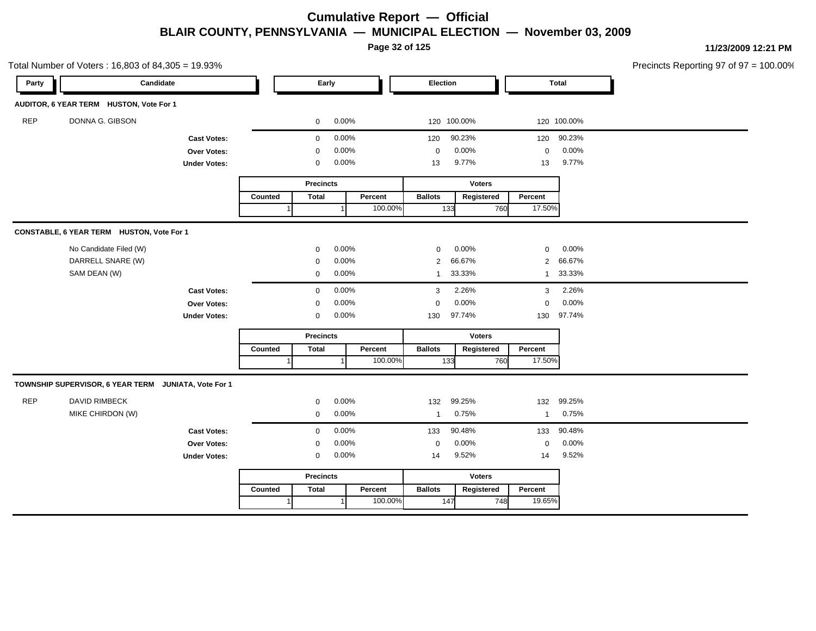**Page 32 of 125**

|            | Total Number of Voters: 16,803 of 84,305 = 19.93%    |                     |                |                  |           |         |                |               |                |              | Precincts Reporting 97 of 97 = 100.00% |
|------------|------------------------------------------------------|---------------------|----------------|------------------|-----------|---------|----------------|---------------|----------------|--------------|----------------------------------------|
| Party      | Candidate                                            |                     |                |                  | Early     |         | Election       |               |                | <b>Total</b> |                                        |
|            | AUDITOR, 6 YEAR TERM HUSTON, Vote For 1              |                     |                |                  |           |         |                |               |                |              |                                        |
| <b>REP</b> | DONNA G. GIBSON                                      |                     |                | 0                | 0.00%     |         |                | 120 100.00%   |                | 120 100.00%  |                                        |
|            |                                                      | <b>Cast Votes:</b>  |                | 0                | 0.00%     |         | 120            | 90.23%        |                | 120 90.23%   |                                        |
|            |                                                      | Over Votes:         |                | 0                | 0.00%     |         | $\mathbf 0$    | 0.00%         | $\mathbf 0$    | 0.00%        |                                        |
|            |                                                      | <b>Under Votes:</b> |                | 0                | 0.00%     |         | 13             | 9.77%         | 13             | 9.77%        |                                        |
|            |                                                      |                     |                | <b>Precincts</b> |           |         |                | <b>Voters</b> |                |              |                                        |
|            |                                                      |                     | Counted        | <b>Total</b>     |           | Percent | <b>Ballots</b> | Registered    | Percent        |              |                                        |
|            |                                                      |                     |                |                  |           | 100.00% | 133            | 760           | 17.50%         |              |                                        |
|            | CONSTABLE, 6 YEAR TERM HUSTON, Vote For 1            |                     |                |                  |           |         |                |               |                |              |                                        |
|            | No Candidate Filed (W)                               |                     |                | 0                | 0.00%     |         | 0              | 0.00%         | $\mathbf 0$    | 0.00%        |                                        |
|            | DARRELL SNARE (W)                                    |                     |                | 0                | 0.00%     |         | 2              | 66.67%        | $\overline{2}$ | 66.67%       |                                        |
|            | SAM DEAN (W)                                         |                     |                | $\mathbf 0$      | 0.00%     |         | $\mathbf{1}$   | 33.33%        | $\mathbf{1}$   | 33.33%       |                                        |
|            |                                                      | <b>Cast Votes:</b>  |                | $\mathbf 0$      | 0.00%     |         | 3              | 2.26%         | 3              | 2.26%        |                                        |
|            |                                                      | Over Votes:         |                | $\mathbf 0$      | 0.00%     |         | $\mathbf 0$    | 0.00%         | $\mathbf 0$    | 0.00%        |                                        |
|            |                                                      | <b>Under Votes:</b> |                | $\mathbf 0$      | 0.00%     |         | 130            | 97.74%        | 130            | 97.74%       |                                        |
|            |                                                      |                     |                | <b>Precincts</b> |           |         |                | <b>Voters</b> |                |              |                                        |
|            |                                                      |                     | Counted        | <b>Total</b>     |           | Percent | <b>Ballots</b> | Registered    | Percent        |              |                                        |
|            |                                                      |                     | $\overline{1}$ |                  | $\vert$ 1 | 100.00% | 133            | 760           | 17.50%         |              |                                        |
|            | TOWNSHIP SUPERVISOR, 6 YEAR TERM JUNIATA, Vote For 1 |                     |                |                  |           |         |                |               |                |              |                                        |
| <b>REP</b> | <b>DAVID RIMBECK</b>                                 |                     |                | 0                | 0.00%     |         | 132            | 99.25%        | 132            | 99.25%       |                                        |
|            | MIKE CHIRDON (W)                                     |                     |                | 0                | 0.00%     |         | $\overline{1}$ | 0.75%         | $\mathbf{1}$   | 0.75%        |                                        |
|            |                                                      | <b>Cast Votes:</b>  |                | $\mathbf{0}$     | 0.00%     |         | 133            | 90.48%        | 133            | 90.48%       |                                        |
|            |                                                      | Over Votes:         |                | 0                | 0.00%     |         | $\mathbf 0$    | 0.00%         | $\mathbf 0$    | 0.00%        |                                        |
|            |                                                      | <b>Under Votes:</b> |                | 0                | 0.00%     |         | 14             | 9.52%         | 14             | 9.52%        |                                        |
|            |                                                      |                     |                | <b>Precincts</b> |           |         |                | Voters        |                |              |                                        |
|            |                                                      |                     | Counted        | <b>Total</b>     |           | Percent | <b>Ballots</b> | Registered    | Percent        |              |                                        |
|            |                                                      |                     | $\mathbf{1}$   |                  | -1        | 100.00% | 147            | 748           | 19.65%         |              |                                        |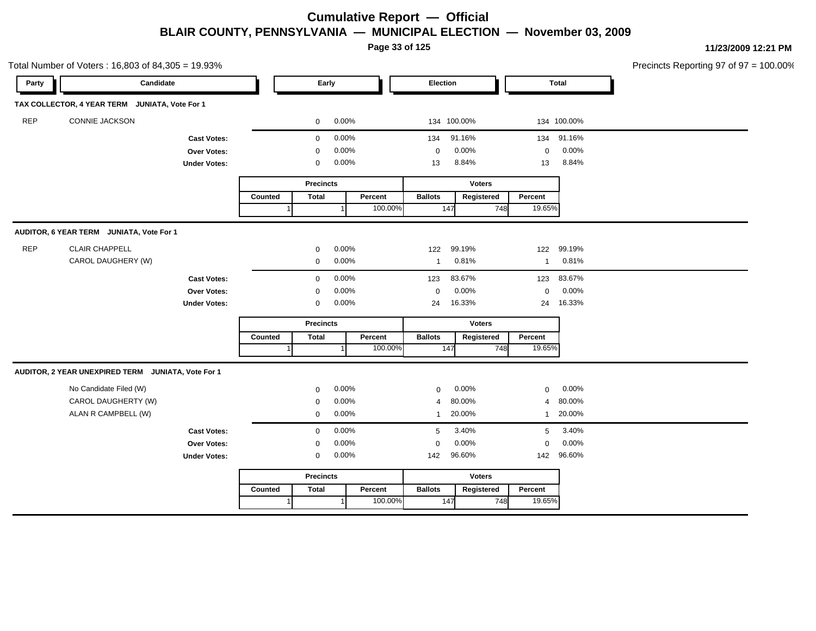**Page 33 of 125**

|            | Total Number of Voters: 16,803 of 84,305 = 19.93%  |                     |         |                  |       |         |                |               |                |              | Precincts Reporting 97 of 97 = 100.00% |
|------------|----------------------------------------------------|---------------------|---------|------------------|-------|---------|----------------|---------------|----------------|--------------|----------------------------------------|
| Party      | Candidate                                          |                     |         | Early            |       |         | Election       |               |                | <b>Total</b> |                                        |
|            | TAX COLLECTOR, 4 YEAR TERM JUNIATA, Vote For 1     |                     |         |                  |       |         |                |               |                |              |                                        |
| <b>REP</b> | CONNIE JACKSON                                     |                     |         | 0                | 0.00% |         |                | 134 100.00%   |                | 134 100.00%  |                                        |
|            |                                                    | <b>Cast Votes:</b>  |         | $\mathbf 0$      | 0.00% |         | 134            | 91.16%        |                | 134 91.16%   |                                        |
|            |                                                    | Over Votes:         |         | $\mathbf 0$      | 0.00% |         | 0              | 0.00%         | $\mathbf 0$    | 0.00%        |                                        |
|            |                                                    | <b>Under Votes:</b> |         | $\mathbf 0$      | 0.00% |         | 13             | 8.84%         | 13             | 8.84%        |                                        |
|            |                                                    |                     |         | <b>Precincts</b> |       |         |                | <b>Voters</b> |                |              |                                        |
|            |                                                    |                     | Counted | <b>Total</b>     |       | Percent | <b>Ballots</b> | Registered    | Percent        |              |                                        |
|            |                                                    |                     |         |                  |       | 100.00% | 147            | 748           | 19.65%         |              |                                        |
|            | AUDITOR, 6 YEAR TERM JUNIATA, Vote For 1           |                     |         |                  |       |         |                |               |                |              |                                        |
| <b>REP</b> | CLAIR CHAPPELL                                     |                     |         | 0                | 0.00% |         | 122            | 99.19%        | 122            | 99.19%       |                                        |
|            | CAROL DAUGHERY (W)                                 |                     |         | $\mathbf 0$      | 0.00% |         | $\overline{1}$ | 0.81%         | $\mathbf{1}$   | 0.81%        |                                        |
|            |                                                    | <b>Cast Votes:</b>  |         | 0                | 0.00% |         | 123            | 83.67%        | 123            | 83.67%       |                                        |
|            |                                                    | Over Votes:         |         | $\mathbf 0$      | 0.00% |         | $\pmb{0}$      | 0.00%         | $\mathbf 0$    | 0.00%        |                                        |
|            |                                                    | <b>Under Votes:</b> |         | 0                | 0.00% |         | 24             | 16.33%        | 24             | 16.33%       |                                        |
|            |                                                    |                     |         | <b>Precincts</b> |       |         |                | <b>Voters</b> |                |              |                                        |
|            |                                                    |                     | Counted | <b>Total</b>     |       | Percent | <b>Ballots</b> | Registered    | Percent        |              |                                        |
|            |                                                    |                     |         |                  |       | 100.00% | 147            |               | 19.65%<br>748  |              |                                        |
|            | AUDITOR, 2 YEAR UNEXPIRED TERM JUNIATA, Vote For 1 |                     |         |                  |       |         |                |               |                |              |                                        |
|            | No Candidate Filed (W)                             |                     |         | $\mathbf 0$      | 0.00% |         | 0              | 0.00%         | $\mathbf 0$    | 0.00%        |                                        |
|            | CAROL DAUGHERTY (W)                                |                     |         | $\mathbf 0$      | 0.00% |         | 4              | 80.00%        | $\overline{4}$ | 80.00%       |                                        |
|            | ALAN R CAMPBELL (W)                                |                     |         | 0                | 0.00% |         | -1             | 20.00%        | $\mathbf{1}$   | 20.00%       |                                        |
|            |                                                    | <b>Cast Votes:</b>  |         | $\mathbf 0$      | 0.00% |         | 5              | 3.40%         | 5              | 3.40%        |                                        |
|            |                                                    | Over Votes:         |         | 0                | 0.00% |         | $\mathbf 0$    | 0.00%         | $\mathbf 0$    | 0.00%        |                                        |
|            |                                                    | <b>Under Votes:</b> |         | 0                | 0.00% |         | 142            | 96.60%        | 142            | 96.60%       |                                        |
|            |                                                    |                     |         | <b>Precincts</b> |       |         |                | Voters        |                |              |                                        |
|            |                                                    |                     | Counted | <b>Total</b>     |       | Percent | <b>Ballots</b> | Registered    | Percent        |              |                                        |
|            |                                                    |                     |         |                  |       | 100.00% | 147            |               | 19.65%<br>748  |              |                                        |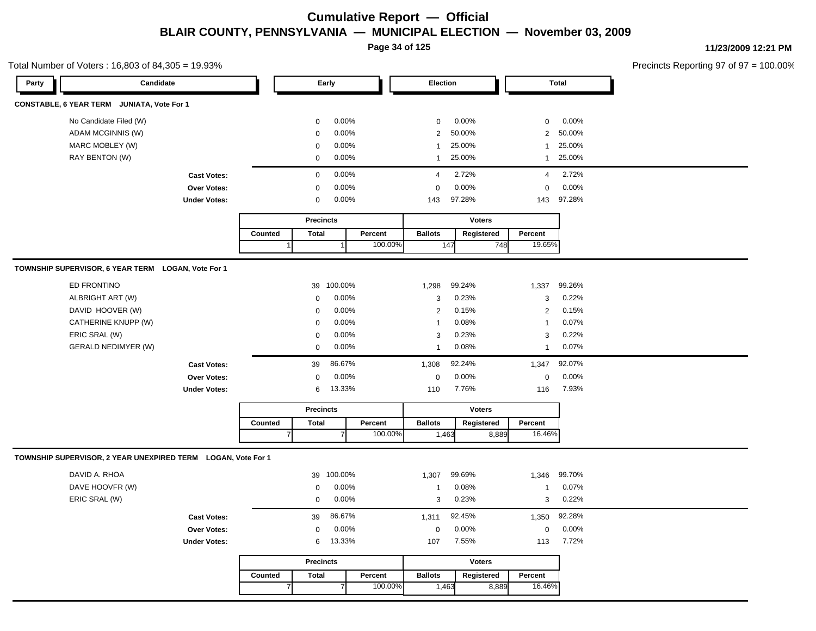**Page 34 of 125**

#### Total Number of Voters : 16,803 of 84,305 = 19.93%

**11/23/2009 12:21 PM**

| Party | Candidate                                                    |                     |                |                  | Early      |         | <b>Election</b> |               |                 | <b>Total</b> |  |  |
|-------|--------------------------------------------------------------|---------------------|----------------|------------------|------------|---------|-----------------|---------------|-----------------|--------------|--|--|
|       | CONSTABLE, 6 YEAR TERM JUNIATA, Vote For 1                   |                     |                |                  |            |         |                 |               |                 |              |  |  |
|       | No Candidate Filed (W)                                       |                     |                | $\mathbf 0$      | 0.00%      |         | $\mathbf 0$     | 0.00%         | $\mathbf 0$     | 0.00%        |  |  |
|       | ADAM MCGINNIS (W)                                            |                     |                | $\mathbf 0$      | 0.00%      |         | $\overline{2}$  | 50.00%        | $\overline{2}$  | 50.00%       |  |  |
|       | MARC MOBLEY (W)                                              |                     |                | $\mathbf 0$      | 0.00%      |         | $\mathbf{1}$    | 25.00%        | $\mathbf{1}$    | 25.00%       |  |  |
|       | RAY BENTON (W)                                               |                     |                | $\pmb{0}$        | 0.00%      |         | $\mathbf{1}$    | 25.00%        | $\mathbf{1}$    | 25.00%       |  |  |
|       |                                                              | <b>Cast Votes:</b>  |                | $\pmb{0}$        | 0.00%      |         | $\overline{4}$  | 2.72%         | 4               | 2.72%        |  |  |
|       |                                                              | Over Votes:         |                | $\mathbf 0$      | 0.00%      |         | 0               | 0.00%         | $\mathbf 0$     | 0.00%        |  |  |
|       |                                                              | <b>Under Votes:</b> |                | $\mathbf 0$      | 0.00%      |         | 143             | 97.28%        | 143             | 97.28%       |  |  |
|       |                                                              |                     |                | <b>Precincts</b> |            |         |                 | <b>Voters</b> |                 |              |  |  |
|       |                                                              |                     | Counted        | <b>Total</b>     |            | Percent | <b>Ballots</b>  | Registered    | Percent         |              |  |  |
|       |                                                              |                     |                |                  |            | 100.00% |                 | 147           | 19.65%<br>748   |              |  |  |
|       | TOWNSHIP SUPERVISOR, 6 YEAR TERM LOGAN, Vote For 1           |                     |                |                  |            |         |                 |               |                 |              |  |  |
|       | ED FRONTINO                                                  |                     |                |                  | 39 100.00% |         | 1,298           | 99.24%        | 1,337           | 99.26%       |  |  |
|       | ALBRIGHT ART (W)                                             |                     |                | $\mathbf 0$      | 0.00%      |         | 3               | 0.23%         | 3               | 0.22%        |  |  |
|       | DAVID HOOVER (W)                                             |                     |                | $\mathbf 0$      | 0.00%      |         | $\overline{2}$  | 0.15%         | $\overline{2}$  | 0.15%        |  |  |
|       | CATHERINE KNUPP (W)                                          |                     |                | $\mathbf 0$      | 0.00%      |         | $\mathbf{1}$    | 0.08%         | $\overline{1}$  | 0.07%        |  |  |
|       | ERIC SRAL (W)                                                |                     |                | 0                | 0.00%      |         | 3               | 0.23%         | 3               | 0.22%        |  |  |
|       | <b>GERALD NEDIMYER (W)</b>                                   |                     |                | 0                | 0.00%      |         | $\mathbf{1}$    | 0.08%         | $\mathbf{1}$    | 0.07%        |  |  |
|       |                                                              | <b>Cast Votes:</b>  |                | 39               | 86.67%     |         | 1,308           | 92.24%        | 1,347           | 92.07%       |  |  |
|       |                                                              | Over Votes:         |                | $\mathbf 0$      | 0.00%      |         | $\mathbf 0$     | 0.00%         | $\mathbf 0$     | 0.00%        |  |  |
|       |                                                              | <b>Under Votes:</b> |                | 6                | 13.33%     |         | 110             | 7.76%         | 116             | 7.93%        |  |  |
|       |                                                              |                     |                | <b>Precincts</b> |            |         |                 | <b>Voters</b> |                 |              |  |  |
|       |                                                              |                     | Counted        | <b>Total</b>     |            | Percent | <b>Ballots</b>  | Registered    | Percent         |              |  |  |
|       |                                                              |                     |                |                  |            | 100.00% | 1,463           |               | 16.46%<br>8,889 |              |  |  |
|       | TOWNSHIP SUPERVISOR, 2 YEAR UNEXPIRED TERM LOGAN, Vote For 1 |                     |                |                  |            |         |                 |               |                 |              |  |  |
|       | DAVID A. RHOA                                                |                     |                | 39               | 100.00%    |         | 1,307           | 99.69%        | 1,346           | 99.70%       |  |  |
|       | DAVE HOOVFR (W)                                              |                     |                | $\mathbf 0$      | 0.00%      |         | $\mathbf{1}$    | 0.08%         | $\mathbf{1}$    | 0.07%        |  |  |
|       | ERIC SRAL (W)                                                |                     |                | $\pmb{0}$        | 0.00%      |         | 3               | 0.23%         | $\sqrt{3}$      | 0.22%        |  |  |
|       |                                                              | <b>Cast Votes:</b>  |                | 39               | 86.67%     |         | 1,311           | 92.45%        | 1,350           | 92.28%       |  |  |
|       |                                                              | Over Votes:         |                | $\mathbf 0$      | 0.00%      |         | 0               | 0.00%         | $\mathbf 0$     | 0.00%        |  |  |
|       |                                                              | <b>Under Votes:</b> |                | 6                | 13.33%     |         | 107             | 7.55%         | 113             | 7.72%        |  |  |
|       |                                                              |                     |                | <b>Precincts</b> |            |         |                 | <b>Voters</b> |                 |              |  |  |
|       |                                                              |                     | Counted        | <b>Total</b>     |            | Percent | <b>Ballots</b>  | Registered    | Percent         |              |  |  |
|       |                                                              |                     | $\overline{7}$ |                  |            | 100.00% | 1,463           |               | 8,889<br>16.46% |              |  |  |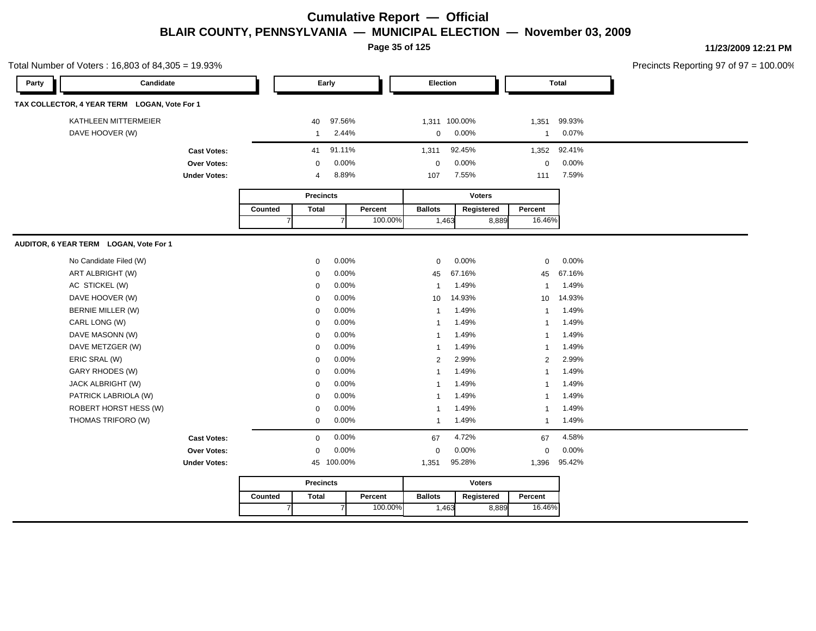**Page 35 of 125**

**11/23/2009 12:21 PM**

| Total Number of Voters: 16,803 of 84,305 = 19.93% |                     |         |                  |                |         |                |               |               |                         |        | Precincts Reporting 97 of 97 = |
|---------------------------------------------------|---------------------|---------|------------------|----------------|---------|----------------|---------------|---------------|-------------------------|--------|--------------------------------|
| Party                                             | Candidate           |         |                  | Early          |         | Election       |               |               |                         | Total  |                                |
| TAX COLLECTOR, 4 YEAR TERM LOGAN, Vote For 1      |                     |         |                  |                |         |                |               |               |                         |        |                                |
| KATHLEEN MITTERMEIER                              |                     |         | 40               | 97.56%         |         |                | 1,311 100.00% |               | 1,351                   | 99.93% |                                |
| DAVE HOOVER (W)                                   |                     |         | $\mathbf{1}$     | 2.44%          |         | 0              | 0.00%         |               | $\overline{\mathbf{1}}$ | 0.07%  |                                |
|                                                   | <b>Cast Votes:</b>  |         | 41               | 91.11%         |         | 1,311          | 92.45%        |               | 1,352                   | 92.41% |                                |
|                                                   | Over Votes:         |         | $\mathbf 0$      | 0.00%          |         | $\mathbf 0$    | 0.00%         |               | $\mathbf 0$             | 0.00%  |                                |
|                                                   | <b>Under Votes:</b> |         | 4                | 8.89%          |         | 107            | 7.55%         |               | 111                     | 7.59%  |                                |
|                                                   |                     |         | <b>Precincts</b> |                |         |                |               | <b>Voters</b> |                         |        |                                |
|                                                   |                     | Counted | <b>Total</b>     |                | Percent | <b>Ballots</b> |               | Registered    | Percent                 |        |                                |
|                                                   |                     |         |                  | $\overline{7}$ | 100.00% | 1,463          |               | 8,889         | 16.46%                  |        |                                |
| AUDITOR, 6 YEAR TERM LOGAN, Vote For 1            |                     |         |                  |                |         |                |               |               |                         |        |                                |
| No Candidate Filed (W)                            |                     |         | 0                | 0.00%          |         | $\mathbf 0$    | 0.00%         |               | $\mathbf 0$             | 0.00%  |                                |
| ART ALBRIGHT (W)                                  |                     |         | $\mathbf 0$      | 0.00%          |         | 45             | 67.16%        |               | 45                      | 67.16% |                                |
| AC STICKEL (W)                                    |                     |         | 0                | 0.00%          |         | $\mathbf{1}$   | 1.49%         |               | $\overline{1}$          | 1.49%  |                                |
| DAVE HOOVER (W)                                   |                     |         | 0                | 0.00%          |         | 10             | 14.93%        |               | 10                      | 14.93% |                                |
| BERNIE MILLER (W)                                 |                     |         | 0                | 0.00%          |         | 1              | 1.49%         |               | $\overline{1}$          | 1.49%  |                                |
| CARL LONG (W)                                     |                     |         | 0                | 0.00%          |         | 1              | 1.49%         |               | $\overline{1}$          | 1.49%  |                                |
| DAVE MASONN (W)                                   |                     |         | $\mathbf 0$      | 0.00%          |         | 1              | 1.49%         |               | $\overline{\mathbf{1}}$ | 1.49%  |                                |
| DAVE METZGER (W)                                  |                     |         | $\mathbf 0$      | 0.00%          |         | 1              | 1.49%         |               | $\overline{1}$          | 1.49%  |                                |
| ERIC SRAL (W)                                     |                     |         | $\mathbf 0$      | 0.00%          |         | $\overline{2}$ | 2.99%         |               | $\overline{2}$          | 2.99%  |                                |
| GARY RHODES (W)                                   |                     |         | $\mathbf 0$      | 0.00%          |         | 1              | 1.49%         |               | $\overline{1}$          | 1.49%  |                                |
| JACK ALBRIGHT (W)                                 |                     |         | 0                | 0.00%          |         | 1              | 1.49%         |               | $\overline{1}$          | 1.49%  |                                |
| PATRICK LABRIOLA (W)                              |                     |         | 0                | 0.00%          |         | 1              | 1.49%         |               | $\overline{1}$          | 1.49%  |                                |
| ROBERT HORST HESS (W)                             |                     |         | 0                | 0.00%          |         | 1              | 1.49%         |               | $\overline{1}$          | 1.49%  |                                |
| THOMAS TRIFORO (W)                                |                     |         | 0                | 0.00%          |         | $\mathbf{1}$   | 1.49%         |               | $\overline{\mathbf{1}}$ | 1.49%  |                                |
|                                                   | <b>Cast Votes:</b>  |         | $\mathbf 0$      | 0.00%          |         | 67             | 4.72%         |               | 67                      | 4.58%  |                                |
|                                                   | <b>Over Votes:</b>  |         | $\mathbf 0$      | 0.00%          |         | $\mathbf 0$    | 0.00%         |               | $\mathbf 0$             | 0.00%  |                                |
|                                                   | <b>Under Votes:</b> |         |                  | 45 100.00%     |         | 1,351          | 95.28%        |               | 1,396                   | 95.42% |                                |
|                                                   |                     |         | <b>Precincts</b> |                |         |                |               | Voters        |                         |        |                                |
|                                                   |                     | Counted | Total            |                | Percent | <b>Ballots</b> |               | Registered    | Percent                 |        |                                |
|                                                   |                     |         |                  | $\overline{7}$ | 100.00% | 1,463          |               | 8,889         | 16.46%                  |        |                                |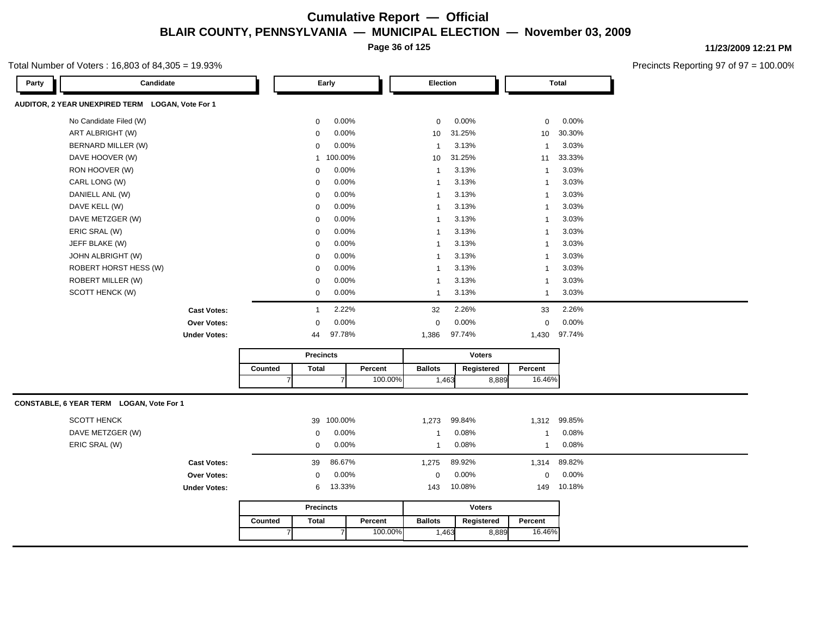**Page 36 of 125**

#### Total Number of Voters : 16,803 of 84,305 = 19.93%

**11/23/2009 12:21 PM**

| Candidate<br>Party                               |         |                  | Early   |         | Election       |        |               |              | <b>Total</b> |
|--------------------------------------------------|---------|------------------|---------|---------|----------------|--------|---------------|--------------|--------------|
| AUDITOR, 2 YEAR UNEXPIRED TERM LOGAN, Vote For 1 |         |                  |         |         |                |        |               |              |              |
| No Candidate Filed (W)                           |         | $\mathbf 0$      | 0.00%   |         | $\mathbf 0$    | 0.00%  |               | 0            | 0.00%        |
| ART ALBRIGHT (W)                                 |         | $\mathbf 0$      | 0.00%   |         | 10             | 31.25% |               | 10           | 30.30%       |
| BERNARD MILLER (W)                               |         | $\mathbf 0$      | 0.00%   |         | $\mathbf{1}$   | 3.13%  |               | $\mathbf{1}$ | 3.03%        |
| DAVE HOOVER (W)                                  |         | $\mathbf{1}$     | 100.00% |         | 10             | 31.25% |               | 11           | 33.33%       |
| RON HOOVER (W)                                   |         | $\mathbf 0$      | 0.00%   |         | $\mathbf{1}$   | 3.13%  |               | $\mathbf{1}$ | 3.03%        |
| CARL LONG (W)                                    |         | $\mathbf 0$      | 0.00%   |         | $\mathbf{1}$   | 3.13%  |               | $\mathbf{1}$ | 3.03%        |
| DANIELL ANL (W)                                  |         | $\mathbf 0$      | 0.00%   |         | $\mathbf{1}$   | 3.13%  |               | $\mathbf{1}$ | 3.03%        |
| DAVE KELL (W)                                    |         | $\mathbf 0$      | 0.00%   |         | $\mathbf{1}$   | 3.13%  |               | $\mathbf{1}$ | 3.03%        |
| DAVE METZGER (W)                                 |         | $\mathbf 0$      | 0.00%   |         | $\mathbf{1}$   | 3.13%  |               | $\mathbf{1}$ | 3.03%        |
| ERIC SRAL (W)                                    |         | $\mathbf 0$      | 0.00%   |         | $\mathbf{1}$   | 3.13%  |               | 1            | 3.03%        |
| JEFF BLAKE (W)                                   |         | $\mathbf 0$      | 0.00%   |         | $\mathbf{1}$   | 3.13%  |               | $\mathbf{1}$ | 3.03%        |
| JOHN ALBRIGHT (W)                                |         | $\mathbf 0$      | 0.00%   |         | $\mathbf{1}$   | 3.13%  |               | $\mathbf{1}$ | 3.03%        |
| ROBERT HORST HESS (W)                            |         | $\mathbf 0$      | 0.00%   |         | $\mathbf{1}$   | 3.13%  |               | $\mathbf{1}$ | 3.03%        |
| ROBERT MILLER (W)                                |         | $\mathbf 0$      | 0.00%   |         | $\mathbf{1}$   | 3.13%  |               | $\mathbf{1}$ | 3.03%        |
| SCOTT HENCK (W)                                  |         | $\mathbf 0$      | 0.00%   |         | $\mathbf{1}$   | 3.13%  |               | $\mathbf{1}$ | 3.03%        |
| <b>Cast Votes:</b>                               |         | $\mathbf{1}$     | 2.22%   |         | 32             | 2.26%  |               | 33           | 2.26%        |
| Over Votes:                                      |         | $\Omega$         | 0.00%   |         | $\mathbf 0$    | 0.00%  |               | $\mathbf 0$  | 0.00%        |
| <b>Under Votes:</b>                              |         | 44               | 97.78%  |         | 1,386          | 97.74% |               |              | 1,430 97.74% |
|                                                  |         | <b>Precincts</b> |         |         |                |        | <b>Voters</b> |              |              |
|                                                  | Counted | <b>Total</b>     |         | Percent | <b>Ballots</b> |        | Registered    | Percent      |              |
|                                                  |         | $\overline{7}$   |         | 100.00% |                | 1,463  | 8,889         | 16.46%       |              |
| CONSTABLE, 6 YEAR TERM LOGAN, Vote For 1         |         |                  |         |         |                |        |               |              |              |
| <b>SCOTT HENCK</b>                               |         | 39               | 100.00% |         | 1,273          | 99.84% |               | 1,312        | 99.85%       |
| DAVE METZGER (W)                                 |         | 0                | 0.00%   |         | $\mathbf{1}$   | 0.08%  |               | 1            | 0.08%        |
| ERIC SRAL (W)                                    |         | $\mathbf 0$      | 0.00%   |         | $\mathbf{1}$   | 0.08%  |               | $\mathbf{1}$ | 0.08%        |
| <b>Cast Votes:</b>                               |         | 39               | 86.67%  |         | 1,275          | 89.92% |               | 1,314        | 89.82%       |
| Over Votes:                                      |         | $\mathbf 0$      | 0.00%   |         | 0              | 0.00%  |               | 0            | 0.00%        |
| <b>Under Votes:</b>                              |         | 6                | 13.33%  |         | 143            | 10.08% |               | 149          | 10.18%       |
|                                                  |         | <b>Precincts</b> |         |         |                |        | Voters        |              |              |
|                                                  | Counted | <b>Total</b>     |         | Percent | <b>Ballots</b> |        | Registered    | Percent      |              |
|                                                  |         | $\overline{7}$   |         | 100.00% |                | 1,463  | 8,889         | 16.46%       |              |
|                                                  |         |                  |         |         |                |        |               |              |              |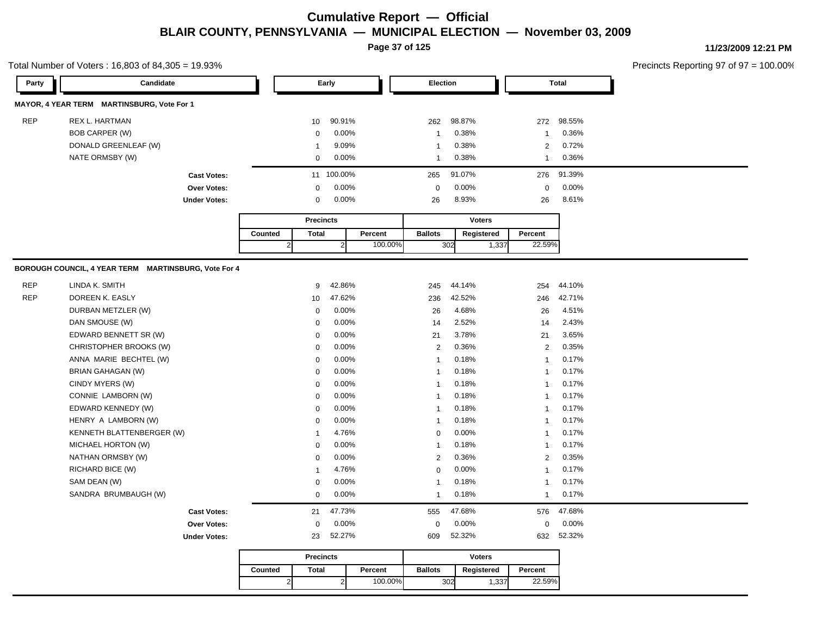**Page 37 of 125**

#### Total Number of Voters : 16,803 of 84,305 = 19.93%

**11/23/2009 12:21 PM**

| Party      | Candidate                                            |                |                         | Early          |         | Election       |        |               |                | <b>Total</b> |
|------------|------------------------------------------------------|----------------|-------------------------|----------------|---------|----------------|--------|---------------|----------------|--------------|
|            | MAYOR, 4 YEAR TERM MARTINSBURG, Vote For 1           |                |                         |                |         |                |        |               |                |              |
| <b>REP</b> | <b>REX L. HARTMAN</b>                                |                | 10                      | 90.91%         |         | 262            | 98.87% |               | 272            | 98.55%       |
|            | <b>BOB CARPER (W)</b>                                |                | 0                       | 0.00%          |         | $\mathbf{1}$   | 0.38%  |               | $\mathbf{1}$   | 0.36%        |
|            | DONALD GREENLEAF (W)                                 |                | $\overline{1}$          | 9.09%          |         | $\mathbf{1}$   | 0.38%  |               | $\overline{2}$ | 0.72%        |
|            | NATE ORMSBY (W)                                      |                | $\mathbf 0$             | 0.00%          |         | $\mathbf{1}$   | 0.38%  |               | $\mathbf{1}$   | 0.36%        |
|            | <b>Cast Votes:</b>                                   |                | 11                      | 100.00%        |         | 265            | 91.07% |               | 276            | 91.39%       |
|            | Over Votes:                                          |                | $\mathbf 0$             | 0.00%          |         | $\mathbf 0$    | 0.00%  |               | 0              | 0.00%        |
|            | <b>Under Votes:</b>                                  |                | $\mathbf 0$             | 0.00%          |         | 26             | 8.93%  |               | 26             | 8.61%        |
|            |                                                      |                |                         |                |         |                |        |               |                |              |
|            |                                                      |                | <b>Precincts</b>        |                |         |                |        | <b>Voters</b> |                |              |
|            |                                                      | Counted        | <b>Total</b>            |                | Percent | <b>Ballots</b> |        | Registered    | Percent        |              |
|            |                                                      | $\overline{2}$ |                         | $\overline{2}$ | 100.00% |                | 302    | 1,337         | 22.59%         |              |
|            | BOROUGH COUNCIL, 4 YEAR TERM MARTINSBURG, Vote For 4 |                |                         |                |         |                |        |               |                |              |
| <b>REP</b> | LINDA K. SMITH                                       |                | 9                       | 42.86%         |         | 245            | 44.14% |               | 254            | 44.10%       |
| <b>REP</b> | DOREEN K. EASLY                                      |                | 10                      | 47.62%         |         | 236            | 42.52% |               | 246            | 42.71%       |
|            | DURBAN METZLER (W)                                   |                | $\mathbf 0$             | 0.00%          |         | 26             | 4.68%  |               | 26             | 4.51%        |
|            | DAN SMOUSE (W)                                       |                | $\mathbf 0$             | 0.00%          |         | 14             | 2.52%  |               | 14             | 2.43%        |
|            | EDWARD BENNETT SR (W)                                |                | $\mathbf 0$             | 0.00%          |         | 21             | 3.78%  |               | 21             | 3.65%        |
|            | CHRISTOPHER BROOKS (W)                               |                | $\mathbf 0$             | 0.00%          |         | 2              | 0.36%  |               | $\overline{2}$ | 0.35%        |
|            | ANNA MARIE BECHTEL (W)                               |                | $\mathbf 0$             | 0.00%          |         | $\mathbf{1}$   | 0.18%  |               | $\mathbf{1}$   | 0.17%        |
|            | <b>BRIAN GAHAGAN (W)</b>                             |                | $\mathbf 0$             | 0.00%          |         | $\mathbf{1}$   | 0.18%  |               | $\mathbf{1}$   | 0.17%        |
|            | CINDY MYERS (W)                                      |                | $\mathbf 0$             | 0.00%          |         | $\mathbf{1}$   | 0.18%  |               | $\mathbf{1}$   | 0.17%        |
|            | CONNIE LAMBORN (W)                                   |                | $\mathbf 0$             | 0.00%          |         | $\mathbf{1}$   | 0.18%  |               | $\mathbf{1}$   | 0.17%        |
|            | EDWARD KENNEDY (W)                                   |                | $\mathbf 0$             | 0.00%          |         | $\mathbf{1}$   | 0.18%  |               | $\mathbf{1}$   | 0.17%        |
|            | HENRY A LAMBORN (W)                                  |                | $\mathbf 0$             | 0.00%          |         | $\mathbf{1}$   | 0.18%  |               | $\mathbf{1}$   | 0.17%        |
|            | KENNETH BLATTENBERGER (W)                            |                | $\overline{\mathbf{1}}$ | 4.76%          |         | 0              | 0.00%  |               | $\mathbf{1}$   | 0.17%        |
|            | MICHAEL HORTON (W)                                   |                | $\mathbf 0$             | 0.00%          |         | $\mathbf{1}$   | 0.18%  |               | $\mathbf{1}$   | 0.17%        |
|            | NATHAN ORMSBY (W)                                    |                | $\mathbf 0$             | 0.00%          |         | 2              | 0.36%  |               | $\overline{2}$ | 0.35%        |
|            | RICHARD BICE (W)                                     |                | -1                      | 4.76%          |         | $\mathbf 0$    | 0.00%  |               | $\mathbf{1}$   | 0.17%        |
|            | SAM DEAN (W)                                         |                | $\mathbf 0$             | 0.00%          |         | $\mathbf{1}$   | 0.18%  |               | 1              | 0.17%        |
|            | SANDRA BRUMBAUGH (W)                                 |                | $\mathbf 0$             | 0.00%          |         | $\mathbf{1}$   | 0.18%  |               | $\mathbf{1}$   | 0.17%        |
|            | <b>Cast Votes:</b>                                   |                | 21                      | 47.73%         |         | 555            | 47.68% |               | 576            | 47.68%       |
|            | Over Votes:                                          |                | $\mathbf 0$             | 0.00%          |         | 0              | 0.00%  |               | $\mathbf 0$    | 0.00%        |
|            | <b>Under Votes:</b>                                  |                | 23                      | 52.27%         |         | 609            | 52.32% |               | 632            | 52.32%       |
|            |                                                      |                | <b>Precincts</b>        |                |         |                |        | <b>Voters</b> |                |              |
|            |                                                      | Counted        | <b>Total</b>            |                | Percent | <b>Ballots</b> |        | Registered    | Percent        |              |
|            |                                                      | 2 <sub>l</sub> |                         | 2              | 100.00% |                | 302    | 1,337         | 22.59%         |              |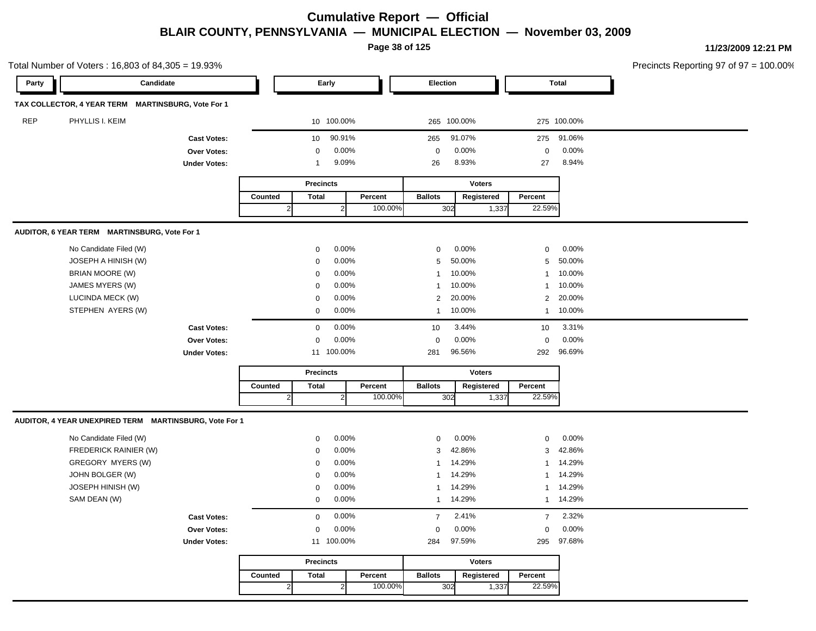**Page 38 of 125**

|            | Total Number of Voters: 16,803 of 84,305 = 19.93%      |                     |              |                  |                |         |                |               |       |                |              | Precincts Reporting 97 of 97 = 100.00% |
|------------|--------------------------------------------------------|---------------------|--------------|------------------|----------------|---------|----------------|---------------|-------|----------------|--------------|----------------------------------------|
| Party      | Candidate                                              |                     |              |                  | Early          |         | Election       |               |       |                | <b>Total</b> |                                        |
|            | TAX COLLECTOR, 4 YEAR TERM MARTINSBURG, Vote For 1     |                     |              |                  |                |         |                |               |       |                |              |                                        |
| <b>REP</b> | PHYLLIS I. KEIM                                        |                     |              |                  | 10 100.00%     |         | 265 100.00%    |               |       |                | 275 100.00%  |                                        |
|            |                                                        | <b>Cast Votes:</b>  |              | 10               | 90.91%         |         | 265            | 91.07%        |       | 275            | 91.06%       |                                        |
|            |                                                        | Over Votes:         |              | 0                | 0.00%          |         | $\mathbf 0$    | 0.00%         |       | $\mathbf 0$    | 0.00%        |                                        |
|            |                                                        | <b>Under Votes:</b> |              | 1                | 9.09%          |         | 26             | 8.93%         |       | 27             | 8.94%        |                                        |
|            |                                                        |                     |              | <b>Precincts</b> |                |         |                | <b>Voters</b> |       |                |              |                                        |
|            |                                                        |                     | Counted      | <b>Total</b>     |                | Percent | <b>Ballots</b> | Registered    |       | Percent        |              |                                        |
|            |                                                        |                     | $\mathbf{2}$ |                  | $\overline{2}$ | 100.00% | 302            |               | 1,337 | 22.59%         |              |                                        |
|            | AUDITOR, 6 YEAR TERM MARTINSBURG, Vote For 1           |                     |              |                  |                |         |                |               |       |                |              |                                        |
|            | No Candidate Filed (W)                                 |                     |              | $\mathbf 0$      | 0.00%          |         | $\mathbf 0$    | 0.00%         |       | $\mathbf 0$    | 0.00%        |                                        |
|            | JOSEPH A HINISH (W)                                    |                     |              | 0                | 0.00%          |         | 5              | 50.00%        |       | 5              | 50.00%       |                                        |
|            | BRIAN MOORE (W)                                        |                     |              | $\mathbf 0$      | 0.00%          |         | 1              | 10.00%        |       | $\mathbf{1}$   | 10.00%       |                                        |
|            | JAMES MYERS (W)                                        |                     |              | $\mathbf 0$      | 0.00%          |         |                | 10.00%        |       | -1             | 10.00%       |                                        |
|            | LUCINDA MECK (W)                                       |                     |              | 0                | 0.00%          |         | 2              | 20.00%        |       | $\overline{2}$ | 20.00%       |                                        |
|            | STEPHEN AYERS (W)                                      |                     |              | 0                | 0.00%          |         | 1              | 10.00%        |       | $\mathbf{1}$   | 10.00%       |                                        |
|            |                                                        | <b>Cast Votes:</b>  |              | $\mathbf 0$      | 0.00%          |         | 10             | 3.44%         |       | 10             | 3.31%        |                                        |
|            |                                                        | Over Votes:         |              | $\mathbf 0$      | 0.00%          |         | 0              | 0.00%         |       | $\mathbf 0$    | 0.00%        |                                        |
|            |                                                        | <b>Under Votes:</b> |              |                  | 11 100.00%     |         | 281            | 96.56%        |       | 292            | 96.69%       |                                        |
|            |                                                        |                     |              | <b>Precincts</b> |                |         |                | <b>Voters</b> |       |                |              |                                        |
|            |                                                        |                     | Counted      | <b>Total</b>     |                | Percent | <b>Ballots</b> | Registered    |       | Percent        |              |                                        |
|            |                                                        |                     | $\mathbf{2}$ |                  | $\overline{2}$ | 100.00% | 302            |               | 1,337 | 22.59%         |              |                                        |
|            | AUDITOR, 4 YEAR UNEXPIRED TERM MARTINSBURG, Vote For 1 |                     |              |                  |                |         |                |               |       |                |              |                                        |
|            | No Candidate Filed (W)                                 |                     |              | 0                | 0.00%          |         | 0              | 0.00%         |       | $\mathbf 0$    | 0.00%        |                                        |
|            | FREDERICK RAINIER (W)                                  |                     |              | 0                | 0.00%          |         | 3              | 42.86%        |       | 3              | 42.86%       |                                        |
|            | GREGORY MYERS (W)                                      |                     |              | $\mathbf 0$      | 0.00%          |         | -1             | 14.29%        |       | $\mathbf{1}$   | 14.29%       |                                        |
|            | JOHN BOLGER (W)                                        |                     |              | $\mathbf 0$      | 0.00%          |         | 1              | 14.29%        |       | $\mathbf{1}$   | 14.29%       |                                        |
|            | JOSEPH HINISH (W)                                      |                     |              | 0                | 0.00%          |         | 1              | 14.29%        |       | $\mathbf{1}$   | 14.29%       |                                        |
|            | SAM DEAN (W)                                           |                     |              | $\mathbf 0$      | 0.00%          |         |                | 1 14.29%      |       |                | 1 14.29%     |                                        |
|            |                                                        | <b>Cast Votes:</b>  |              | $\Omega$         | $0.00\%$       |         | $7^{\circ}$    | 2.41%         |       | 7              | 2.32%        |                                        |
|            |                                                        | Over Votes:         |              |                  | $0 0.00\%$     |         | $\overline{0}$ | $0.00\%$      |       | $\mathbf{0}$   | $0.00\%$     |                                        |
|            |                                                        | <b>Under Votes:</b> |              |                  | 11 100.00%     |         | 284            | 97.59%        |       | 295            | 97.68%       |                                        |
|            |                                                        |                     |              | <b>Precincts</b> |                |         |                | Voters        |       |                |              |                                        |
|            |                                                        |                     | Counted      | Total            |                | Percent | <b>Ballots</b> | Registered    |       | Percent        |              |                                        |
|            |                                                        |                     |              |                  |                |         |                | 302           | 1,337 |                |              |                                        |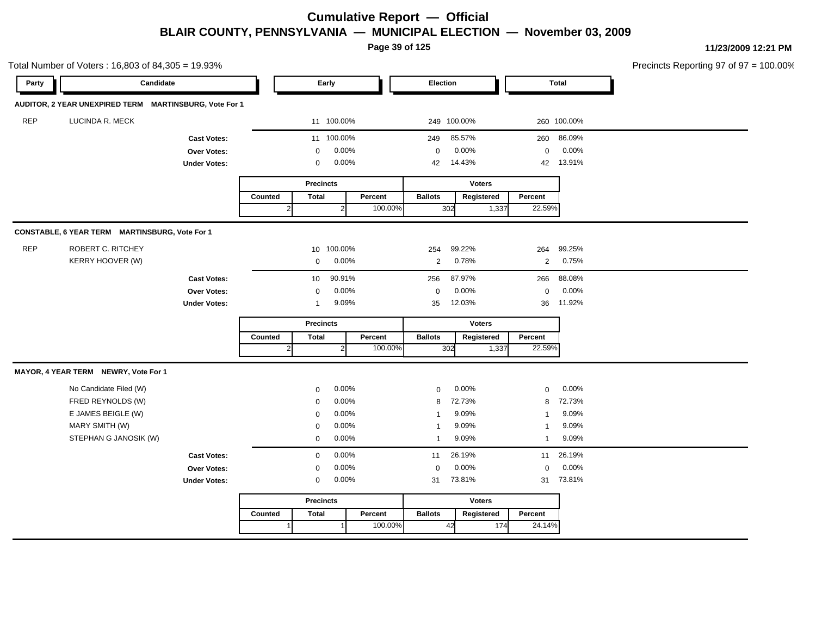**Page 39 of 125**

|            | Total Number of Voters: 16,803 of 84,305 = 19.93%      |                     |              |                  |                |         |                |               |                |             | Precincts Reporting 97 of 97 = 100.00% |
|------------|--------------------------------------------------------|---------------------|--------------|------------------|----------------|---------|----------------|---------------|----------------|-------------|----------------------------------------|
| Party      | Candidate                                              |                     |              |                  | Early          |         | Election       |               |                | Total       |                                        |
|            | AUDITOR, 2 YEAR UNEXPIRED TERM MARTINSBURG, Vote For 1 |                     |              |                  |                |         |                |               |                |             |                                        |
| <b>REP</b> | LUCINDA R. MECK                                        |                     |              |                  | 11 100.00%     |         | 249 100.00%    |               |                | 260 100.00% |                                        |
|            |                                                        | <b>Cast Votes:</b>  |              |                  | 11 100.00%     |         | 249            | 85.57%        |                | 260 86.09%  |                                        |
|            |                                                        | Over Votes:         |              | 0                | 0.00%          |         | $\mathbf 0$    | $0.00\%$      | $\mathbf 0$    | 0.00%       |                                        |
|            |                                                        | <b>Under Votes:</b> |              | 0                | 0.00%          |         | 42             | 14.43%        |                | 42 13.91%   |                                        |
|            |                                                        |                     |              | <b>Precincts</b> |                |         |                | <b>Voters</b> |                |             |                                        |
|            |                                                        |                     | Counted      | <b>Total</b>     |                | Percent | <b>Ballots</b> | Registered    | Percent        |             |                                        |
|            |                                                        |                     | $\mathbf{2}$ |                  | $\overline{2}$ | 100.00% | 302            | 1,337         | 22.59%         |             |                                        |
|            | CONSTABLE, 6 YEAR TERM MARTINSBURG, Vote For 1         |                     |              |                  |                |         |                |               |                |             |                                        |
| <b>REP</b> | ROBERT C. RITCHEY                                      |                     |              |                  | 10 100.00%     |         | 254            | 99.22%        | 264            | 99.25%      |                                        |
|            | KERRY HOOVER (W)                                       |                     |              | 0                | 0.00%          |         | $\overline{2}$ | 0.78%         | $\overline{2}$ | 0.75%       |                                        |
|            |                                                        | <b>Cast Votes:</b>  |              | 10               | 90.91%         |         | 256            | 87.97%        | 266            | 88.08%      |                                        |
|            |                                                        | Over Votes:         |              | $\mathbf 0$      | 0.00%          |         | $\mathbf 0$    | 0.00%         | $\mathbf 0$    | 0.00%       |                                        |
|            |                                                        | <b>Under Votes:</b> |              | $\overline{1}$   | 9.09%          |         | 35             | 12.03%        |                | 36 11.92%   |                                        |
|            |                                                        |                     |              | <b>Precincts</b> |                |         |                | <b>Voters</b> |                |             |                                        |
|            |                                                        |                     | Counted      | <b>Total</b>     |                | Percent | <b>Ballots</b> | Registered    | Percent        |             |                                        |
|            |                                                        |                     | 2            |                  | $\overline{2}$ | 100.00% | 302            | 1,337         | 22.59%         |             |                                        |
|            | MAYOR, 4 YEAR TERM NEWRY, Vote For 1                   |                     |              |                  |                |         |                |               |                |             |                                        |
|            | No Candidate Filed (W)                                 |                     |              | 0                | 0.00%          |         | $\mathbf 0$    | 0.00%         | $\mathbf 0$    | 0.00%       |                                        |
|            | FRED REYNOLDS (W)                                      |                     |              | $\mathbf 0$      | 0.00%          |         | 8              | 72.73%        | 8              | 72.73%      |                                        |
|            | E JAMES BEIGLE (W)                                     |                     |              | $\mathbf 0$      | 0.00%          |         | -1             | 9.09%         | $\mathbf{1}$   | 9.09%       |                                        |
|            | MARY SMITH (W)                                         |                     |              | 0                | 0.00%          |         | -1             | 9.09%         | $\mathbf{1}$   | 9.09%       |                                        |
|            | STEPHAN G JANOSIK (W)                                  |                     |              | $\mathbf 0$      | 0.00%          |         | $\overline{1}$ | 9.09%         | $\mathbf{1}$   | 9.09%       |                                        |
|            |                                                        | <b>Cast Votes:</b>  |              | $\mathbf 0$      | 0.00%          |         | 11             | 26.19%        | 11             | 26.19%      |                                        |
|            |                                                        | Over Votes:         |              | 0                | 0.00%          |         | $\mathbf 0$    | 0.00%         | $\mathbf 0$    | 0.00%       |                                        |
|            |                                                        | <b>Under Votes:</b> |              | 0                | 0.00%          |         | 31             | 73.81%        |                | 31 73.81%   |                                        |
|            |                                                        |                     |              | <b>Precincts</b> |                |         |                | <b>Voters</b> |                |             |                                        |
|            |                                                        |                     | Counted      | <b>Total</b>     |                | Percent | <b>Ballots</b> | Registered    | Percent        |             |                                        |
|            |                                                        |                     | 1            |                  | $\overline{1}$ | 100.00% | 42             | 174           | 24.14%         |             |                                        |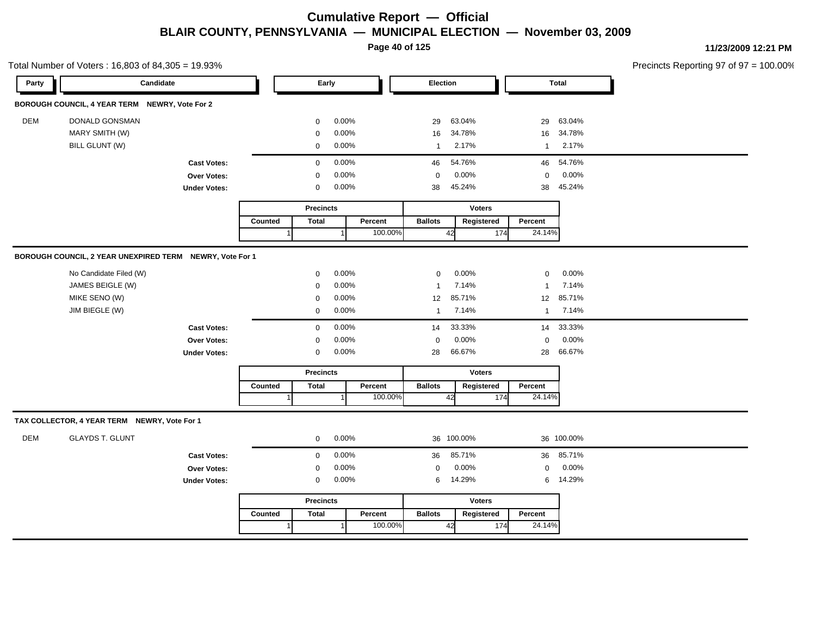**Page 40 of 125**

| Precincts Reporting 97 of $97 = 100.00\%$ |
|-------------------------------------------|
|-------------------------------------------|

|            | Total Number of Voters: 16,803 of 84,305 = 19.93%        |                     |         |                  |       |         |                |               |              |              | Precincts Reporting 97 of 97 : |
|------------|----------------------------------------------------------|---------------------|---------|------------------|-------|---------|----------------|---------------|--------------|--------------|--------------------------------|
| Party      | Candidate                                                |                     |         | Early            |       |         | Election       |               |              | <b>Total</b> |                                |
|            | BOROUGH COUNCIL, 4 YEAR TERM NEWRY, Vote For 2           |                     |         |                  |       |         |                |               |              |              |                                |
| <b>DEM</b> | DONALD GONSMAN                                           |                     |         | $\mathbf 0$      | 0.00% |         | 29             | 63.04%        | 29           | 63.04%       |                                |
|            | MARY SMITH (W)                                           |                     |         | 0                | 0.00% |         | 16             | 34.78%        | 16           | 34.78%       |                                |
|            | BILL GLUNT (W)                                           |                     |         | $\mathbf 0$      | 0.00% |         | $\mathbf{1}$   | 2.17%         | $\mathbf{1}$ | 2.17%        |                                |
|            |                                                          | <b>Cast Votes:</b>  |         | $\mathbf 0$      | 0.00% |         | 46             | 54.76%        | 46           | 54.76%       |                                |
|            |                                                          | Over Votes:         |         | 0                | 0.00% |         | $\mathbf 0$    | 0.00%         | $\mathbf 0$  | 0.00%        |                                |
|            |                                                          | <b>Under Votes:</b> |         | $\mathbf 0$      | 0.00% |         | 38             | 45.24%        | 38           | 45.24%       |                                |
|            |                                                          |                     |         | Precincts        |       |         |                | <b>Voters</b> |              |              |                                |
|            |                                                          |                     | Counted | <b>Total</b>     |       | Percent | <b>Ballots</b> | Registered    | Percent      |              |                                |
|            |                                                          |                     | -1      |                  |       | 100.00% |                | 42<br>174     | 24.14%       |              |                                |
|            | BOROUGH COUNCIL, 2 YEAR UNEXPIRED TERM NEWRY, Vote For 1 |                     |         |                  |       |         |                |               |              |              |                                |
|            | No Candidate Filed (W)                                   |                     |         | $\mathbf 0$      | 0.00% |         | $\mathbf 0$    | 0.00%         | $\mathbf 0$  | 0.00%        |                                |
|            | JAMES BEIGLE (W)                                         |                     |         | $\mathbf 0$      | 0.00% |         | $\mathbf{1}$   | 7.14%         | $\mathbf{1}$ | 7.14%        |                                |
|            | MIKE SENO (W)                                            |                     |         | $\mathbf 0$      | 0.00% |         | 12             | 85.71%        | 12           | 85.71%       |                                |
|            | JIM BIEGLE (W)                                           |                     |         | $\mathbf 0$      | 0.00% |         | $\mathbf{1}$   | 7.14%         | $\mathbf{1}$ | 7.14%        |                                |
|            |                                                          | <b>Cast Votes:</b>  |         | $\mathsf 0$      | 0.00% |         | 14             | 33.33%        | 14           | 33.33%       |                                |
|            |                                                          | Over Votes:         |         | $\mathbf 0$      | 0.00% |         | $\mathbf 0$    | 0.00%         | $\mathbf 0$  | 0.00%        |                                |
|            |                                                          | <b>Under Votes:</b> |         | 0                | 0.00% |         | 28             | 66.67%        | 28           | 66.67%       |                                |
|            |                                                          |                     |         | <b>Precincts</b> |       |         |                | <b>Voters</b> |              |              |                                |
|            |                                                          |                     | Counted | <b>Total</b>     |       | Percent | <b>Ballots</b> | Registered    | Percent      |              |                                |
|            |                                                          |                     |         |                  |       | 100.00% |                | 42<br>174     | 24.14%       |              |                                |
|            | TAX COLLECTOR, 4 YEAR TERM NEWRY, Vote For 1             |                     |         |                  |       |         |                |               |              |              |                                |
| <b>DEM</b> | <b>GLAYDS T. GLUNT</b>                                   |                     |         | $\mathbf 0$      | 0.00% |         |                | 36 100.00%    |              | 36 100.00%   |                                |
|            |                                                          | <b>Cast Votes:</b>  |         | $\mathbf 0$      | 0.00% |         | 36             | 85.71%        | 36           | 85.71%       |                                |
|            |                                                          | Over Votes:         |         | $\mathbf 0$      | 0.00% |         | $\mathbf 0$    | 0.00%         | $\pmb{0}$    | 0.00%        |                                |
|            |                                                          | <b>Under Votes:</b> |         | 0                | 0.00% |         | 6              | 14.29%        | 6            | 14.29%       |                                |
|            |                                                          |                     |         | <b>Precincts</b> |       |         |                | <b>Voters</b> |              |              |                                |
|            |                                                          |                     | Counted | <b>Total</b>     |       | Percent | <b>Ballots</b> | Registered    | Percent      |              |                                |
|            |                                                          |                     |         |                  |       | 100.00% |                | 42<br>174     | 24.14%       |              |                                |
|            |                                                          |                     |         |                  |       |         |                |               |              |              |                                |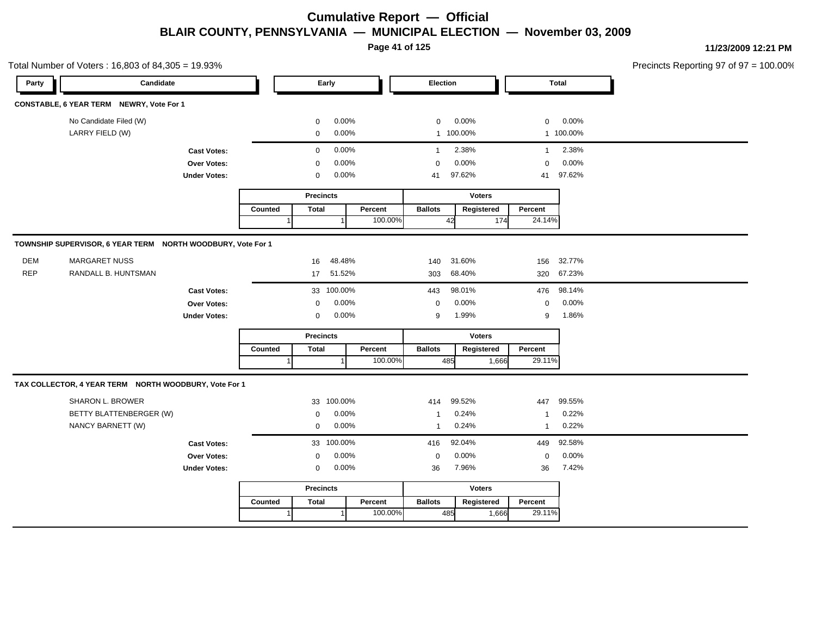**Page 41 of 125**

Precincts Reporting 97 of 97 = 100.00% **Party Candidate Early Election Total** No Candidate Filed (W)  $0.00\%$  0.00% 0 0.00% 0 0.00% 0 0.00% LARRY FIELD (W) 0 0.00% 1 100.00% 1 100.00% **Cast Votes:** 0 0.00% 1 2.38% 1 2.38% **Over Votes:** 0 0.00% **Under Votes:** 0 0.00% 0 41 97.62% 41 41 97.62% 97.62% 0.00% 0 0.00% **Precincts** Counted | Total 1 **Percent** Ballots 1 100.00% **Voters** 42 **Ballots Registered Percent** 24.14% **TOWNSHIP SUPERVISOR, 6 YEAR TERM NORTH WOODBURY, Vote For 1** DEM MARGARET NUSS 16 48.48% 140 31.60% 156 32.77% REP RANDALL B. HUNTSMAN 17 51.52% 303 68.40% 320 67.23% **Cast Votes:** 33 100.00% 443 98.01% 476 98.14% **Over Votes:** 0 0.00% **Under Votes:** 0 0.00% 0 g 1.99% 9 9 1.99% 1.86% 0.00% 0 0.00%

|         |       | <b>Precincts</b> |         |                | <b>Voters</b> |         |
|---------|-------|------------------|---------|----------------|---------------|---------|
| Counted | Total |                  | Percent | <b>Ballots</b> | Registered    | Percent |
|         |       |                  | 100.00% | 485            | 1.666         | 29.11%  |

#### **TAX COLLECTOR, 4 YEAR TERM NORTH WOODBURY, Vote For 1**

| SHARON L. BROWER<br>BETTY BLATTENBERGER (W)<br>NANCY BARNETT (W) | 33 100.00%<br>$0.00\%$<br>$\Omega$<br>$0.00\%$<br>$\Omega$ | 99.52%<br>414<br>0.24%<br>0.24% | 99.55%<br>447<br>0.22%<br>0.22% |  |
|------------------------------------------------------------------|------------------------------------------------------------|---------------------------------|---------------------------------|--|
| <b>Cast Votes:</b>                                               | 33 100.00%                                                 | 92.04%<br>416                   | 449 92.58%                      |  |
| <b>Over Votes:</b>                                               | $0.00\%$<br>$\Omega$                                       | 0.00%<br>$\Omega$               | $0.00\%$<br>$\Omega$            |  |
| <b>Under Votes:</b>                                              | $0.00\%$<br>0                                              | 7.96%<br>36                     | 7.42%<br>36                     |  |

|         | <b>Precincts</b> |          | <b>Voters</b>  |            |         |  |  |  |  |  |  |
|---------|------------------|----------|----------------|------------|---------|--|--|--|--|--|--|
| Counted | Total            | Percent  | <b>Ballots</b> | Registered | Percent |  |  |  |  |  |  |
|         |                  | 100.00%I | 485            | 1.666l     | 29.11%  |  |  |  |  |  |  |

**11/23/2009 12:21 PM**

Total Number of Voters : 16,803 of 84,305 = 19.93%

**CONSTABLE, 6 YEAR TERM NEWRY, Vote For 1**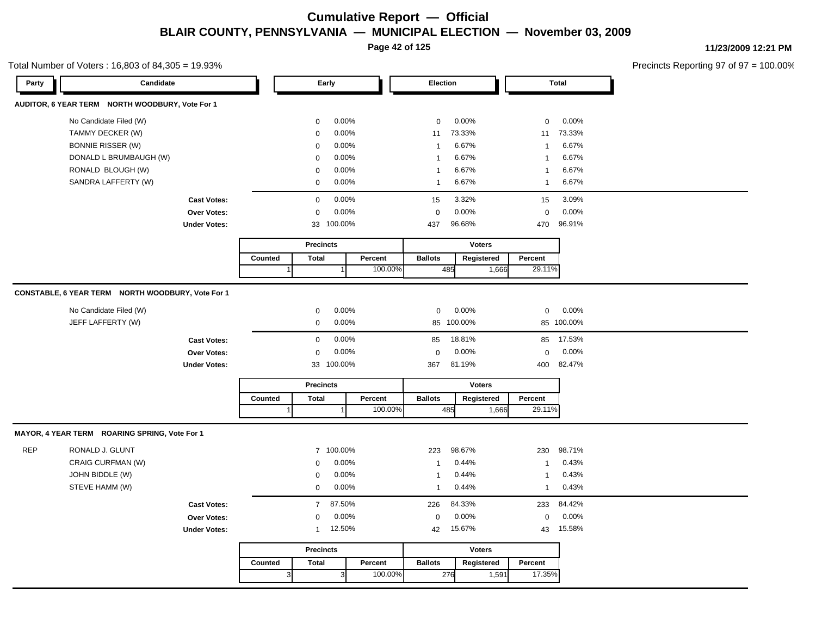**Page 42 of 125**

#### Total Number of Voters : 16,803 of 84,305 = 19.93%

**11/23/2009 12:21 PM**

| Party      | Candidate                                         |                     |         |                  | Early        |         | Election       |               |                | <b>Total</b>   |  |
|------------|---------------------------------------------------|---------------------|---------|------------------|--------------|---------|----------------|---------------|----------------|----------------|--|
|            | AUDITOR, 6 YEAR TERM NORTH WOODBURY, Vote For 1   |                     |         |                  |              |         |                |               |                |                |  |
|            | No Candidate Filed (W)                            |                     |         | 0                | 0.00%        |         | $\mathbf 0$    | 0.00%         | $\mathbf 0$    | 0.00%          |  |
|            | TAMMY DECKER (W)                                  |                     |         | 0                | 0.00%        |         | 11             | 73.33%        | 11             | 73.33%         |  |
|            | <b>BONNIE RISSER (W)</b>                          |                     |         | 0                | 0.00%        |         | $\overline{1}$ | 6.67%         | $\overline{1}$ | 6.67%          |  |
|            | DONALD L BRUMBAUGH (W)                            |                     |         | 0                | 0.00%        |         | $\mathbf{1}$   | 6.67%         | $\mathbf{1}$   | 6.67%          |  |
|            | RONALD BLOUGH (W)                                 |                     |         | 0                | 0.00%        |         | $\overline{1}$ | 6.67%         | $\mathbf{1}$   | 6.67%          |  |
|            | SANDRA LAFFERTY (W)                               |                     |         | $\mathbf 0$      | 0.00%        |         | $\mathbf{1}$   | 6.67%         | $\mathbf{1}$   | 6.67%          |  |
|            |                                                   | <b>Cast Votes:</b>  |         | 0                | 0.00%        |         | 15             | 3.32%         | 15             | 3.09%          |  |
|            |                                                   | <b>Over Votes:</b>  |         | $\mathbf 0$      | 0.00%        |         | $\mathbf 0$    | 0.00%         | $\mathbf 0$    | 0.00%          |  |
|            |                                                   | <b>Under Votes:</b> |         |                  | 33 100.00%   |         | 437            | 96.68%        | 470            | 96.91%         |  |
|            |                                                   |                     |         | <b>Precincts</b> |              |         |                | <b>Voters</b> |                |                |  |
|            |                                                   |                     | Counted | <b>Total</b>     |              | Percent | <b>Ballots</b> | Registered    | Percent        |                |  |
|            |                                                   |                     |         | $\mathbf 1$      | $\mathbf{1}$ | 100.00% | 485            | 1,666         | 29.11%         |                |  |
|            |                                                   |                     |         |                  |              |         |                |               |                |                |  |
|            | CONSTABLE, 6 YEAR TERM NORTH WOODBURY, Vote For 1 |                     |         |                  |              |         |                |               |                |                |  |
|            | No Candidate Filed (W)                            |                     |         | 0                | 0.00%        |         | $\mathbf 0$    | 0.00%         | $\mathbf 0$    | 0.00%          |  |
|            | JEFF LAFFERTY (W)                                 |                     |         | 0                | 0.00%        |         |                | 85 100.00%    |                | 85 100.00%     |  |
|            |                                                   | <b>Cast Votes:</b>  |         | $\mathbf 0$      | 0.00%        |         | 85             | 18.81%        | 85             | 17.53%         |  |
|            |                                                   | Over Votes:         |         | $\mathbf 0$      | 0.00%        |         | $\pmb{0}$      | 0.00%         | $\mathbf 0$    | 0.00%          |  |
|            |                                                   | <b>Under Votes:</b> |         |                  | 33 100.00%   |         | 367            | 81.19%        | 400            | 82.47%         |  |
|            |                                                   |                     |         | <b>Precincts</b> |              |         |                | <b>Voters</b> |                |                |  |
|            |                                                   |                     | Counted | <b>Total</b>     |              | Percent | <b>Ballots</b> | Registered    | Percent        |                |  |
|            |                                                   |                     |         |                  |              | 100.00% | 485            | 1,666         | 29.11%         |                |  |
|            |                                                   |                     |         |                  |              |         |                |               |                |                |  |
|            | MAYOR, 4 YEAR TERM ROARING SPRING, Vote For 1     |                     |         |                  |              |         |                |               |                |                |  |
| <b>REP</b> | RONALD J. GLUNT                                   |                     |         |                  | 7 100.00%    |         | 223            | 98.67%        | 230            | 98.71%         |  |
|            | CRAIG CURFMAN (W)                                 |                     |         | 0                | 0.00%        |         | $\mathbf{1}$   | 0.44%         | $\overline{1}$ | 0.43%          |  |
|            | JOHN BIDDLE (W)                                   |                     |         | 0                | 0.00%        |         | $\mathbf{1}$   | 0.44%         | -1             | 0.43%<br>0.43% |  |
|            | STEVE HAMM (W)                                    |                     |         | 0                | 0.00%        |         | $\mathbf{1}$   | 0.44%         | $\mathbf{1}$   |                |  |
|            |                                                   | <b>Cast Votes:</b>  |         | $\overline{7}$   | 87.50%       |         | 226            | 84.33%        | 233            | 84.42%         |  |
|            |                                                   | <b>Over Votes:</b>  |         | $\mathbf 0$      | 0.00%        |         | $\mathbf 0$    | 0.00%         | $\mathbf 0$    | 0.00%          |  |
|            |                                                   | <b>Under Votes:</b> |         | $\mathbf{1}$     | 12.50%       |         | 42             | 15.67%        | 43             | 15.58%         |  |
|            |                                                   |                     |         |                  |              |         |                |               |                |                |  |
|            |                                                   |                     |         | <b>Precincts</b> |              |         |                | <b>Voters</b> |                |                |  |
|            |                                                   |                     | Counted | <b>Total</b>     |              | Percent | <b>Ballots</b> | Registered    | Percent        |                |  |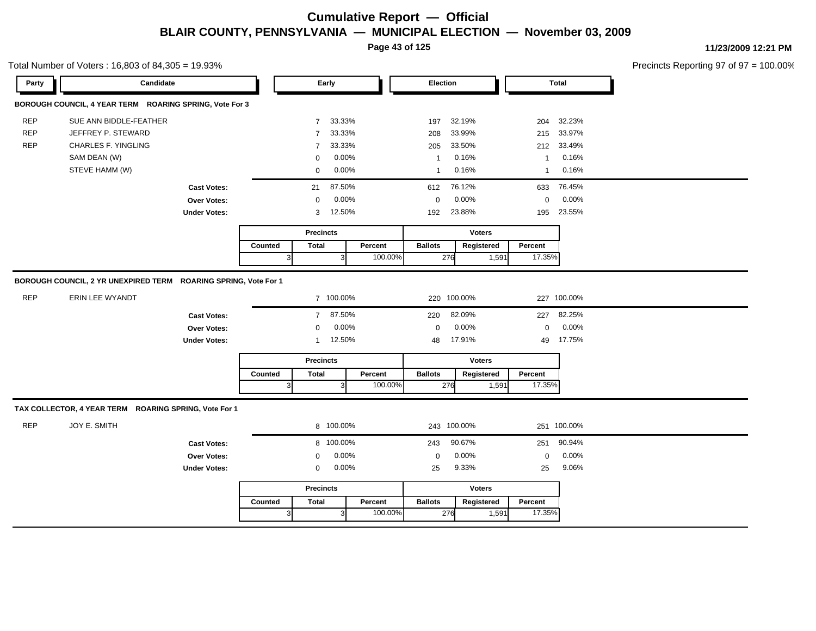**Page 43 of 125**

Total Number of Voters : 16,803 of 84,305 = 19.93%

**11/23/2009 12:21 PM**

| Party      | Candidate                                                       |                     |         |                  | Early            |         | Election       |               |                | <b>Total</b> |  |
|------------|-----------------------------------------------------------------|---------------------|---------|------------------|------------------|---------|----------------|---------------|----------------|--------------|--|
|            | BOROUGH COUNCIL, 4 YEAR TERM ROARING SPRING, Vote For 3         |                     |         |                  |                  |         |                |               |                |              |  |
| <b>REP</b> | SUE ANN BIDDLE-FEATHER                                          |                     |         | $7^{\circ}$      | 33.33%           |         | 197            | 32.19%        | 204            | 32.23%       |  |
| <b>REP</b> | JEFFREY P. STEWARD                                              |                     |         | $\overline{7}$   | 33.33%           |         | 208            | 33.99%        | 215            | 33.97%       |  |
| <b>REP</b> | <b>CHARLES F. YINGLING</b>                                      |                     |         | $\overline{7}$   | 33.33%           |         | 205            | 33.50%        | 212            | 33.49%       |  |
|            | SAM DEAN (W)                                                    |                     |         | $\mathbf 0$      | 0.00%            |         | $\overline{1}$ | 0.16%         | $\overline{1}$ | 0.16%        |  |
|            | STEVE HAMM (W)                                                  |                     |         | 0                | 0.00%            |         | $\mathbf{1}$   | 0.16%         | $\mathbf{1}$   | 0.16%        |  |
|            |                                                                 | <b>Cast Votes:</b>  |         | 21               | 87.50%           |         | 612            | 76.12%        | 633            | 76.45%       |  |
|            |                                                                 | <b>Over Votes:</b>  |         | $\mathbf 0$      | 0.00%            |         | $\mathbf 0$    | 0.00%         | $\mathbf 0$    | 0.00%        |  |
|            |                                                                 | <b>Under Votes:</b> |         | 3                | 12.50%           |         | 192            | 23.88%        | 195            | 23.55%       |  |
|            |                                                                 |                     |         |                  | <b>Precincts</b> |         |                | <b>Voters</b> |                |              |  |
|            |                                                                 |                     | Counted | <b>Total</b>     |                  | Percent | <b>Ballots</b> | Registered    | Percent        |              |  |
|            |                                                                 |                     |         | 3 <sup>l</sup>   | 3 <sup>1</sup>   | 100.00% | 276            | 1,591         | 17.35%         |              |  |
|            | BOROUGH COUNCIL, 2 YR UNEXPIRED TERM ROARING SPRING, Vote For 1 |                     |         |                  |                  |         |                |               |                |              |  |
| <b>REP</b> |                                                                 |                     |         |                  |                  |         |                |               |                |              |  |
|            | ERIN LEE WYANDT                                                 |                     |         |                  | 7 100.00%        |         |                | 220 100.00%   |                | 227 100.00%  |  |
|            |                                                                 | <b>Cast Votes:</b>  |         |                  | 7 87.50%         |         | 220            | 82.09%        | 227            | 82.25%       |  |
|            |                                                                 | Over Votes:         |         | $\mathbf 0$      | 0.00%            |         | $\mathbf 0$    | 0.00%         | $\mathbf 0$    | 0.00%        |  |
|            |                                                                 | <b>Under Votes:</b> |         | 1                | 12.50%           |         | 48             | 17.91%        | 49             | 17.75%       |  |
|            |                                                                 |                     |         |                  | <b>Precincts</b> |         |                | <b>Voters</b> |                |              |  |
|            |                                                                 |                     | Counted | <b>Total</b>     |                  | Percent | <b>Ballots</b> | Registered    | Percent        |              |  |
|            |                                                                 |                     |         | $\vert$ 3        | $\mathbf{3}$     | 100.00% | 276            | 1,591         | 17.35%         |              |  |
|            | TAX COLLECTOR, 4 YEAR TERM ROARING SPRING, Vote For 1           |                     |         |                  |                  |         |                |               |                |              |  |
| <b>REP</b> | JOY E. SMITH                                                    |                     |         |                  | 8 100.00%        |         |                | 243 100.00%   |                | 251 100.00%  |  |
|            |                                                                 |                     |         |                  |                  |         |                |               |                |              |  |
|            |                                                                 | <b>Cast Votes:</b>  |         |                  | 8 100.00%        |         | 243            | 90.67%        | 251            | 90.94%       |  |
|            |                                                                 | <b>Over Votes:</b>  |         | $\mathbf 0$      | 0.00%            |         | $\mathbf 0$    | 0.00%         | $\mathbf 0$    | 0.00%        |  |
|            |                                                                 | <b>Under Votes:</b> |         | $\mathbf 0$      | 0.00%            |         | 25             | 9.33%         | 25             | 9.06%        |  |
|            |                                                                 |                     |         | <b>Precincts</b> |                  |         |                | <b>Voters</b> |                |              |  |
|            |                                                                 |                     | Counted | <b>Total</b>     |                  | Percent | <b>Ballots</b> | Registered    | Percent        |              |  |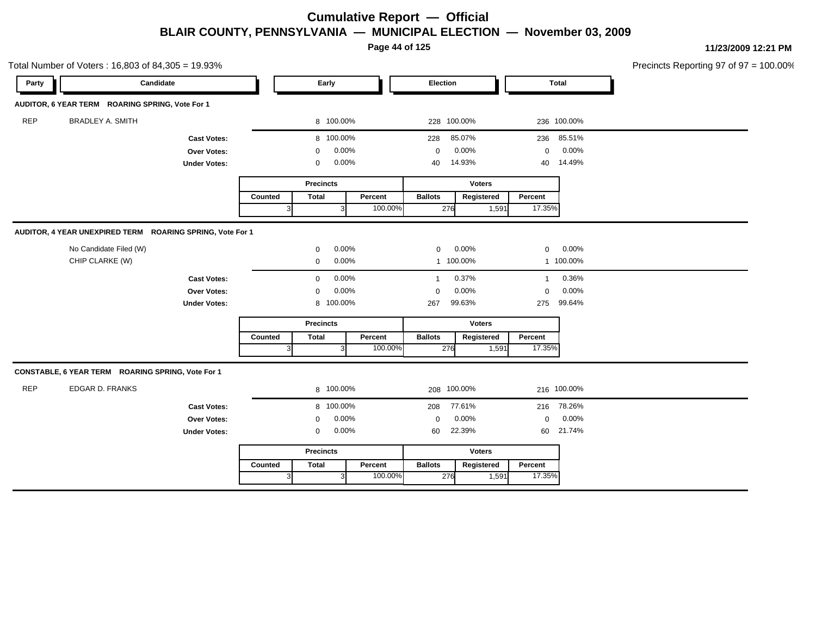**Page 44 of 125**

| Candidate<br>Election<br><b>Total</b><br>Party<br>Early<br>AUDITOR, 6 YEAR TERM ROARING SPRING, Vote For 1<br><b>REP</b><br><b>BRADLEY A. SMITH</b><br>8 100.00%<br>228 100.00%<br>236 100.00%<br>8 100.00%<br>85.07%<br>236 85.51%<br><b>Cast Votes:</b><br>228<br>0.00%<br>0.00%<br>0.00%<br>Over Votes:<br>$\mathbf 0$<br>$\mathbf 0$<br>$\mathbf 0$<br>0.00%<br>14.93%<br>14.49%<br><b>Under Votes:</b><br>0<br>40<br>40<br><b>Voters</b><br><b>Precincts</b><br><b>Total</b><br><b>Ballots</b><br>Registered<br>Percent<br>Counted<br>Percent<br>100.00%<br>17.35%<br>276<br>1,591<br>$\vert$ 3<br>3<br>AUDITOR, 4 YEAR UNEXPIRED TERM ROARING SPRING, Vote For 1<br>No Candidate Filed (W)<br>0.00%<br>0.00%<br>0.00%<br>0<br>$\mathbf 0$<br>$\mathbf 0$<br>CHIP CLARKE (W)<br>0.00%<br>1 100.00%<br>1 100.00%<br>$\mathbf 0$<br>0.00%<br>0.37%<br>0.36%<br>0<br><b>Cast Votes:</b><br>$\overline{1}$<br>$\mathbf{1}$<br>0.00%<br>0.00%<br>0.00%<br><b>Over Votes:</b><br>$\mathbf 0$<br>$\mathbf 0$<br>$\mathbf 0$<br>8 100.00%<br>99.63%<br>275 99.64%<br><b>Under Votes:</b><br>267<br><b>Voters</b><br><b>Precincts</b><br><b>Ballots</b><br><b>Total</b><br>Percent<br>Registered<br>Percent<br>Counted<br>100.00%<br>276<br>17.35%<br>1,591<br>3<br>3<br>CONSTABLE, 6 YEAR TERM ROARING SPRING, Vote For 1<br><b>REP</b><br><b>EDGAR D. FRANKS</b><br>8 100.00%<br>208 100.00%<br>216 100.00%<br>8 100.00%<br>77.61%<br>216 78.26%<br>208<br><b>Cast Votes:</b><br>0.00%<br>0.00%<br>0.00%<br>$\mathbf 0$<br><b>Over Votes:</b><br>$\mathbf 0$<br>$\mathbf 0$<br>22.39%<br>0.00%<br>60 21.74%<br>60<br><b>Under Votes:</b><br>$\mathbf 0$<br><b>Precincts</b><br><b>Voters</b> | Total Number of Voters: 16,803 of 84,305 = 19.93% |  |  |  |  | Precincts Reporting 97 of 97 = 100.00% |
|--------------------------------------------------------------------------------------------------------------------------------------------------------------------------------------------------------------------------------------------------------------------------------------------------------------------------------------------------------------------------------------------------------------------------------------------------------------------------------------------------------------------------------------------------------------------------------------------------------------------------------------------------------------------------------------------------------------------------------------------------------------------------------------------------------------------------------------------------------------------------------------------------------------------------------------------------------------------------------------------------------------------------------------------------------------------------------------------------------------------------------------------------------------------------------------------------------------------------------------------------------------------------------------------------------------------------------------------------------------------------------------------------------------------------------------------------------------------------------------------------------------------------------------------------------------------------------------------------------------------------------------------------------------------------------------------|---------------------------------------------------|--|--|--|--|----------------------------------------|
|                                                                                                                                                                                                                                                                                                                                                                                                                                                                                                                                                                                                                                                                                                                                                                                                                                                                                                                                                                                                                                                                                                                                                                                                                                                                                                                                                                                                                                                                                                                                                                                                                                                                                            |                                                   |  |  |  |  |                                        |
|                                                                                                                                                                                                                                                                                                                                                                                                                                                                                                                                                                                                                                                                                                                                                                                                                                                                                                                                                                                                                                                                                                                                                                                                                                                                                                                                                                                                                                                                                                                                                                                                                                                                                            |                                                   |  |  |  |  |                                        |
|                                                                                                                                                                                                                                                                                                                                                                                                                                                                                                                                                                                                                                                                                                                                                                                                                                                                                                                                                                                                                                                                                                                                                                                                                                                                                                                                                                                                                                                                                                                                                                                                                                                                                            |                                                   |  |  |  |  |                                        |
|                                                                                                                                                                                                                                                                                                                                                                                                                                                                                                                                                                                                                                                                                                                                                                                                                                                                                                                                                                                                                                                                                                                                                                                                                                                                                                                                                                                                                                                                                                                                                                                                                                                                                            |                                                   |  |  |  |  |                                        |
|                                                                                                                                                                                                                                                                                                                                                                                                                                                                                                                                                                                                                                                                                                                                                                                                                                                                                                                                                                                                                                                                                                                                                                                                                                                                                                                                                                                                                                                                                                                                                                                                                                                                                            |                                                   |  |  |  |  |                                        |
|                                                                                                                                                                                                                                                                                                                                                                                                                                                                                                                                                                                                                                                                                                                                                                                                                                                                                                                                                                                                                                                                                                                                                                                                                                                                                                                                                                                                                                                                                                                                                                                                                                                                                            |                                                   |  |  |  |  |                                        |
|                                                                                                                                                                                                                                                                                                                                                                                                                                                                                                                                                                                                                                                                                                                                                                                                                                                                                                                                                                                                                                                                                                                                                                                                                                                                                                                                                                                                                                                                                                                                                                                                                                                                                            |                                                   |  |  |  |  |                                        |
|                                                                                                                                                                                                                                                                                                                                                                                                                                                                                                                                                                                                                                                                                                                                                                                                                                                                                                                                                                                                                                                                                                                                                                                                                                                                                                                                                                                                                                                                                                                                                                                                                                                                                            |                                                   |  |  |  |  |                                        |
|                                                                                                                                                                                                                                                                                                                                                                                                                                                                                                                                                                                                                                                                                                                                                                                                                                                                                                                                                                                                                                                                                                                                                                                                                                                                                                                                                                                                                                                                                                                                                                                                                                                                                            |                                                   |  |  |  |  |                                        |
|                                                                                                                                                                                                                                                                                                                                                                                                                                                                                                                                                                                                                                                                                                                                                                                                                                                                                                                                                                                                                                                                                                                                                                                                                                                                                                                                                                                                                                                                                                                                                                                                                                                                                            |                                                   |  |  |  |  |                                        |
|                                                                                                                                                                                                                                                                                                                                                                                                                                                                                                                                                                                                                                                                                                                                                                                                                                                                                                                                                                                                                                                                                                                                                                                                                                                                                                                                                                                                                                                                                                                                                                                                                                                                                            |                                                   |  |  |  |  |                                        |
|                                                                                                                                                                                                                                                                                                                                                                                                                                                                                                                                                                                                                                                                                                                                                                                                                                                                                                                                                                                                                                                                                                                                                                                                                                                                                                                                                                                                                                                                                                                                                                                                                                                                                            |                                                   |  |  |  |  |                                        |
|                                                                                                                                                                                                                                                                                                                                                                                                                                                                                                                                                                                                                                                                                                                                                                                                                                                                                                                                                                                                                                                                                                                                                                                                                                                                                                                                                                                                                                                                                                                                                                                                                                                                                            |                                                   |  |  |  |  |                                        |
|                                                                                                                                                                                                                                                                                                                                                                                                                                                                                                                                                                                                                                                                                                                                                                                                                                                                                                                                                                                                                                                                                                                                                                                                                                                                                                                                                                                                                                                                                                                                                                                                                                                                                            |                                                   |  |  |  |  |                                        |
|                                                                                                                                                                                                                                                                                                                                                                                                                                                                                                                                                                                                                                                                                                                                                                                                                                                                                                                                                                                                                                                                                                                                                                                                                                                                                                                                                                                                                                                                                                                                                                                                                                                                                            |                                                   |  |  |  |  |                                        |
|                                                                                                                                                                                                                                                                                                                                                                                                                                                                                                                                                                                                                                                                                                                                                                                                                                                                                                                                                                                                                                                                                                                                                                                                                                                                                                                                                                                                                                                                                                                                                                                                                                                                                            |                                                   |  |  |  |  |                                        |
|                                                                                                                                                                                                                                                                                                                                                                                                                                                                                                                                                                                                                                                                                                                                                                                                                                                                                                                                                                                                                                                                                                                                                                                                                                                                                                                                                                                                                                                                                                                                                                                                                                                                                            |                                                   |  |  |  |  |                                        |
|                                                                                                                                                                                                                                                                                                                                                                                                                                                                                                                                                                                                                                                                                                                                                                                                                                                                                                                                                                                                                                                                                                                                                                                                                                                                                                                                                                                                                                                                                                                                                                                                                                                                                            |                                                   |  |  |  |  |                                        |
|                                                                                                                                                                                                                                                                                                                                                                                                                                                                                                                                                                                                                                                                                                                                                                                                                                                                                                                                                                                                                                                                                                                                                                                                                                                                                                                                                                                                                                                                                                                                                                                                                                                                                            |                                                   |  |  |  |  |                                        |
|                                                                                                                                                                                                                                                                                                                                                                                                                                                                                                                                                                                                                                                                                                                                                                                                                                                                                                                                                                                                                                                                                                                                                                                                                                                                                                                                                                                                                                                                                                                                                                                                                                                                                            |                                                   |  |  |  |  |                                        |
|                                                                                                                                                                                                                                                                                                                                                                                                                                                                                                                                                                                                                                                                                                                                                                                                                                                                                                                                                                                                                                                                                                                                                                                                                                                                                                                                                                                                                                                                                                                                                                                                                                                                                            |                                                   |  |  |  |  |                                        |
|                                                                                                                                                                                                                                                                                                                                                                                                                                                                                                                                                                                                                                                                                                                                                                                                                                                                                                                                                                                                                                                                                                                                                                                                                                                                                                                                                                                                                                                                                                                                                                                                                                                                                            |                                                   |  |  |  |  |                                        |
|                                                                                                                                                                                                                                                                                                                                                                                                                                                                                                                                                                                                                                                                                                                                                                                                                                                                                                                                                                                                                                                                                                                                                                                                                                                                                                                                                                                                                                                                                                                                                                                                                                                                                            |                                                   |  |  |  |  |                                        |
| <b>Total</b><br>Percent<br><b>Ballots</b><br>Registered<br>Percent<br>Counted                                                                                                                                                                                                                                                                                                                                                                                                                                                                                                                                                                                                                                                                                                                                                                                                                                                                                                                                                                                                                                                                                                                                                                                                                                                                                                                                                                                                                                                                                                                                                                                                              |                                                   |  |  |  |  |                                        |
| 100.00%<br>276<br>17.35%<br>$\vert 3 \vert$<br>1,591                                                                                                                                                                                                                                                                                                                                                                                                                                                                                                                                                                                                                                                                                                                                                                                                                                                                                                                                                                                                                                                                                                                                                                                                                                                                                                                                                                                                                                                                                                                                                                                                                                       |                                                   |  |  |  |  |                                        |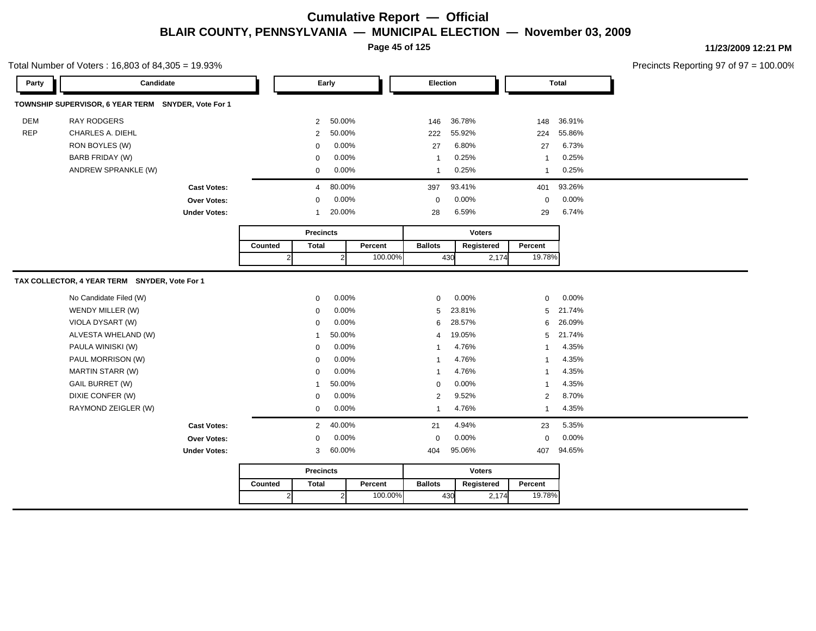**Page 45 of 125**

#### Total Number of Voters : 16,803 of 84,305 = 19.93%

**11/23/2009 12:21 PM**

| Party      | Candidate                                           |                     | Early   |              |                  |                | Election |                |        | <b>Total</b>  |                |        |
|------------|-----------------------------------------------------|---------------------|---------|--------------|------------------|----------------|----------|----------------|--------|---------------|----------------|--------|
|            | TOWNSHIP SUPERVISOR, 6 YEAR TERM SNYDER, Vote For 1 |                     |         |              |                  |                |          |                |        |               |                |        |
| <b>DEM</b> | <b>RAY RODGERS</b>                                  |                     |         |              | $\overline{2}$   | 50.00%         |          | 146            | 36.78% |               | 148            | 36.91% |
| <b>REP</b> | <b>CHARLES A. DIEHL</b>                             |                     |         |              | $\overline{2}$   | 50.00%         |          | 222            | 55.92% |               | 224            | 55.86% |
|            | RON BOYLES (W)                                      |                     |         |              | 0                | 0.00%          |          | 27             | 6.80%  |               | 27             | 6.73%  |
|            | <b>BARB FRIDAY (W)</b>                              |                     |         |              | $\mathbf 0$      | 0.00%          |          | $\mathbf{1}$   | 0.25%  |               | $\mathbf 1$    | 0.25%  |
|            | ANDREW SPRANKLE (W)                                 |                     |         |              | 0                | 0.00%          |          | $\mathbf{1}$   | 0.25%  |               | $\mathbf{1}$   | 0.25%  |
|            |                                                     | <b>Cast Votes:</b>  |         |              | $\overline{4}$   | 80.00%         |          | 397            | 93.41% |               | 401            | 93.26% |
|            |                                                     | <b>Over Votes:</b>  |         |              | 0                | 0.00%          |          | $\mathbf 0$    | 0.00%  |               | $\mathbf 0$    | 0.00%  |
|            |                                                     | <b>Under Votes:</b> |         |              | $\mathbf 1$      | 20.00%         |          | 28             | 6.59%  |               | 29             | 6.74%  |
|            |                                                     |                     |         |              | <b>Precincts</b> |                |          |                |        | <b>Voters</b> |                |        |
|            |                                                     |                     | Counted |              | <b>Total</b>     |                | Percent  | <b>Ballots</b> |        | Registered    | Percent        |        |
|            |                                                     |                     |         | $\mathbf{2}$ |                  | $\overline{2}$ | 100.00%  |                | 430    | 2,174         | 19.78%         |        |
|            | TAX COLLECTOR, 4 YEAR TERM SNYDER, Vote For 1       |                     |         |              |                  |                |          |                |        |               |                |        |
|            | No Candidate Filed (W)                              |                     |         |              | $\mathbf{0}$     | 0.00%          |          | $\mathbf 0$    | 0.00%  |               | $\Omega$       | 0.00%  |
|            | WENDY MILLER (W)                                    |                     |         |              | 0                | 0.00%          |          | 5              | 23.81% |               | 5              | 21.74% |
|            | VIOLA DYSART (W)                                    |                     |         |              | 0                | 0.00%          |          | 6              | 28.57% |               | 6              | 26.09% |
|            | ALVESTA WHELAND (W)                                 |                     |         |              | -1               | 50.00%         |          | $\overline{4}$ | 19.05% |               | 5              | 21.74% |
|            | PAULA WINISKI (W)                                   |                     |         |              | $\mathbf 0$      | 0.00%          |          | $\overline{1}$ | 4.76%  |               | $\mathbf{1}$   | 4.35%  |
|            | PAUL MORRISON (W)                                   |                     |         |              | $\mathbf 0$      | 0.00%          |          | $\mathbf{1}$   | 4.76%  |               | $\mathbf{1}$   | 4.35%  |
|            | MARTIN STARR (W)                                    |                     |         |              | 0                | 0.00%          |          | $\mathbf{1}$   | 4.76%  |               | 1              | 4.35%  |
|            | <b>GAIL BURRET (W)</b>                              |                     |         |              | -1               | 50.00%         |          | 0              | 0.00%  |               | 1              | 4.35%  |
|            | DIXIE CONFER (W)                                    |                     |         |              | 0                | 0.00%          |          | 2              | 9.52%  |               | $\overline{2}$ | 8.70%  |
|            | RAYMOND ZEIGLER (W)                                 |                     |         |              | 0                | 0.00%          |          | $\mathbf{1}$   | 4.76%  |               | $\mathbf{1}$   | 4.35%  |
|            |                                                     | <b>Cast Votes:</b>  |         |              | $\overline{2}$   | 40.00%         |          | 21             | 4.94%  |               | 23             | 5.35%  |
|            |                                                     | <b>Over Votes:</b>  |         |              | 0                | 0.00%          |          | $\mathbf 0$    | 0.00%  |               | $\mathbf 0$    | 0.00%  |
|            |                                                     | <b>Under Votes:</b> |         |              | 3                | 60.00%         |          | 404            | 95.06% |               | 407            | 94.65% |
|            |                                                     |                     |         |              | <b>Precincts</b> |                |          |                |        | <b>Voters</b> |                |        |
|            |                                                     |                     | Counted |              | <b>Total</b>     |                | Percent  | <b>Ballots</b> |        | Registered    | Percent        |        |
|            |                                                     |                     |         | $\vert$ 2    |                  | $\mathbf{2}$   | 100.00%  |                | 430    | 2,174         | 19.78%         |        |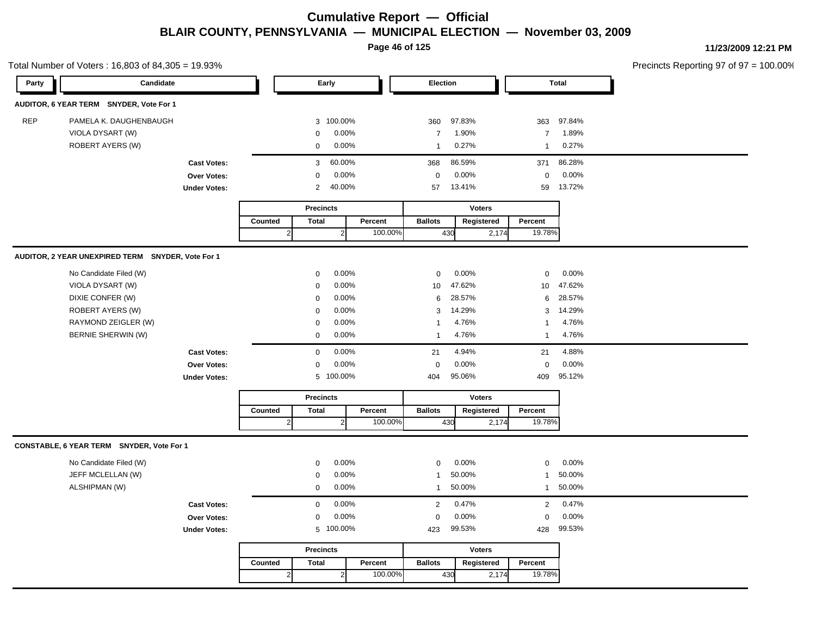**Page 46 of 125**

**11/23/2009 12:21 PM**

|            | Total Number of Voters: 16,803 of 84,305 = 19.93% |                     |         |                  |              |         |                 |               |                |        | Precincts Reporting 97 of 97 = |
|------------|---------------------------------------------------|---------------------|---------|------------------|--------------|---------|-----------------|---------------|----------------|--------|--------------------------------|
| Party      | Candidate                                         |                     |         |                  | Early        |         | Election        |               |                | Total  |                                |
|            | AUDITOR, 6 YEAR TERM SNYDER, Vote For 1           |                     |         |                  |              |         |                 |               |                |        |                                |
| <b>REP</b> | PAMELA K. DAUGHENBAUGH                            |                     |         |                  | 3 100.00%    |         | 360             | 97.83%        | 363            | 97.84% |                                |
|            | VIOLA DYSART (W)                                  |                     |         | 0                | 0.00%        |         | $\overline{7}$  | 1.90%         | $\overline{7}$ | 1.89%  |                                |
|            | ROBERT AYERS (W)                                  |                     |         | 0                | $0.00\%$     |         | $\mathbf{1}$    | 0.27%         | $\mathbf{1}$   | 0.27%  |                                |
|            |                                                   | <b>Cast Votes:</b>  |         | 3                | 60.00%       |         | 368             | 86.59%        | 371            | 86.28% |                                |
|            |                                                   | Over Votes:         |         | 0                | 0.00%        |         | $\mathsf 0$     | 0.00%         | $\mathbf 0$    | 0.00%  |                                |
|            |                                                   | <b>Under Votes:</b> |         | $\overline{2}$   | 40.00%       |         | 57              | 13.41%        | 59             | 13.72% |                                |
|            |                                                   |                     |         | <b>Precincts</b> |              |         |                 | <b>Voters</b> |                |        |                                |
|            |                                                   |                     | Counted | <b>Total</b>     |              | Percent | <b>Ballots</b>  | Registered    | Percent        |        |                                |
|            |                                                   |                     |         | $\overline{2}$   | $2 \vert$    | 100.00% | 430             | 2,174         | 19.78%         |        |                                |
|            | AUDITOR, 2 YEAR UNEXPIRED TERM SNYDER, Vote For 1 |                     |         |                  |              |         |                 |               |                |        |                                |
|            | No Candidate Filed (W)                            |                     |         | 0                | 0.00%        |         | 0               | 0.00%         | $\pmb{0}$      | 0.00%  |                                |
|            | VIOLA DYSART (W)                                  |                     |         | 0                | 0.00%        |         | 10 <sup>1</sup> | 47.62%        | 10             | 47.62% |                                |
|            | DIXIE CONFER (W)                                  |                     |         | 0                | 0.00%        |         | 6               | 28.57%        | 6              | 28.57% |                                |
|            | ROBERT AYERS (W)                                  |                     |         | 0                | 0.00%        |         | 3               | 14.29%        | 3              | 14.29% |                                |
|            | RAYMOND ZEIGLER (W)                               |                     |         | 0                | 0.00%        |         | 1               | 4.76%         | $\mathbf{1}$   | 4.76%  |                                |
|            | BERNIE SHERWIN (W)                                |                     |         | 0                | 0.00%        |         | $\mathbf{1}$    | 4.76%         | $\mathbf{1}$   | 4.76%  |                                |
|            |                                                   | <b>Cast Votes:</b>  |         | 0                | 0.00%        |         | 21              | 4.94%         | 21             | 4.88%  |                                |
|            |                                                   | Over Votes:         |         | 0                | 0.00%        |         | $\mathbf 0$     | 0.00%         | 0              | 0.00%  |                                |
|            |                                                   | <b>Under Votes:</b> |         |                  | 5 100.00%    |         | 404             | 95.06%        | 409            | 95.12% |                                |
|            |                                                   |                     |         | <b>Precincts</b> |              |         |                 | <b>Voters</b> |                |        |                                |
|            |                                                   |                     | Counted | <b>Total</b>     |              | Percent | <b>Ballots</b>  | Registered    | Percent        |        |                                |
|            |                                                   |                     |         | $\sqrt{2}$       | $\mathbf{2}$ | 100.00% | 430             | 2,174         | 19.78%         |        |                                |
|            | CONSTABLE, 6 YEAR TERM SNYDER, Vote For 1         |                     |         |                  |              |         |                 |               |                |        |                                |
|            | No Candidate Filed (W)                            |                     |         | 0                | 0.00%        |         | 0               | 0.00%         | $\mathsf 0$    | 0.00%  |                                |
|            | JEFF MCLELLAN (W)                                 |                     |         | 0                | 0.00%        |         | $\mathbf{1}$    | 50.00%        | $\mathbf{1}$   | 50.00% |                                |
|            | ALSHIPMAN (W)                                     |                     |         | 0                | 0.00%        |         | $\mathbf{1}$    | 50.00%        | $\mathbf{1}$   | 50.00% |                                |
|            |                                                   | <b>Cast Votes:</b>  |         | 0                | 0.00%        |         | $\overline{2}$  | 0.47%         | $\overline{2}$ | 0.47%  |                                |
|            |                                                   | Over Votes:         |         | 0                | 0.00%        |         | $\mathbf 0$     | 0.00%         | $\mathbf 0$    | 0.00%  |                                |
|            |                                                   | <b>Under Votes:</b> |         |                  | 5 100.00%    |         | 423             | 99.53%        | 428            | 99.53% |                                |
|            |                                                   |                     |         | <b>Precincts</b> |              |         |                 | <b>Voters</b> |                |        |                                |
|            |                                                   |                     | Counted | <b>Total</b>     |              | Percent | <b>Ballots</b>  | Registered    | Percent        |        |                                |
|            |                                                   |                     |         |                  |              | 100.00% |                 |               |                |        |                                |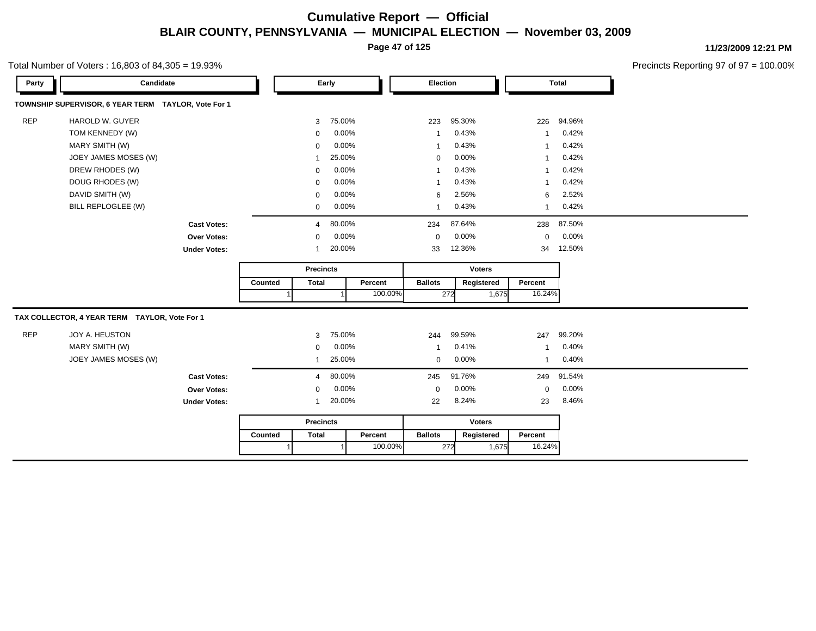**Page 47 of 125**

#### Total Number of Voters : 16,803 of 84,305 = 19.93%

**11/23/2009 12:21 PM**

| Party      | Candidate                                           |                     |         | Early            |        | Election |                          |        | <b>Total</b>  |                          |        |
|------------|-----------------------------------------------------|---------------------|---------|------------------|--------|----------|--------------------------|--------|---------------|--------------------------|--------|
|            | TOWNSHIP SUPERVISOR, 6 YEAR TERM TAYLOR, Vote For 1 |                     |         |                  |        |          |                          |        |               |                          |        |
| <b>REP</b> | HAROLD W. GUYER                                     |                     |         | 3                | 75.00% |          | 223                      | 95.30% |               | 226                      | 94.96% |
|            | TOM KENNEDY (W)                                     |                     |         | $\mathbf 0$      | 0.00%  |          | $\overline{\phantom{a}}$ | 0.43%  |               | $\overline{\phantom{a}}$ | 0.42%  |
|            | MARY SMITH (W)                                      |                     |         | 0                | 0.00%  |          | $\overline{\phantom{a}}$ | 0.43%  |               | $\overline{\phantom{a}}$ | 0.42%  |
|            | JOEY JAMES MOSES (W)                                |                     |         | 1                | 25.00% |          | $\mathbf 0$              | 0.00%  |               | $\overline{\phantom{a}}$ | 0.42%  |
|            | DREW RHODES (W)                                     |                     |         | $\mathbf 0$      | 0.00%  |          | $\overline{\phantom{a}}$ | 0.43%  |               | $\overline{\phantom{a}}$ | 0.42%  |
|            | DOUG RHODES (W)                                     |                     |         | 0                | 0.00%  |          | $\overline{\phantom{a}}$ | 0.43%  |               | -1                       | 0.42%  |
|            | DAVID SMITH (W)                                     |                     |         | $\mathbf 0$      | 0.00%  |          | 6                        | 2.56%  |               | 6                        | 2.52%  |
|            | BILL REPLOGLEE (W)                                  |                     |         | $\mathbf 0$      | 0.00%  |          | $\overline{\phantom{a}}$ | 0.43%  |               | 1                        | 0.42%  |
|            |                                                     | <b>Cast Votes:</b>  |         | 4                | 80.00% |          | 234                      | 87.64% |               | 238                      | 87.50% |
|            |                                                     | Over Votes:         |         | 0                | 0.00%  |          | $\mathbf 0$              | 0.00%  |               | $\mathbf 0$              | 0.00%  |
|            |                                                     | <b>Under Votes:</b> |         | $\mathbf 1$      | 20.00% |          | 33                       | 12.36% |               | 34                       | 12.50% |
|            |                                                     |                     |         | <b>Precincts</b> |        |          |                          |        | <b>Voters</b> |                          |        |
|            |                                                     |                     | Counted | <b>Total</b>     |        | Percent  | <b>Ballots</b>           |        | Registered    | Percent                  |        |
|            |                                                     |                     |         |                  |        | 100.00%  |                          | 272    | 1,675         | 16.24%                   |        |
|            | TAX COLLECTOR, 4 YEAR TERM TAYLOR, Vote For 1       |                     |         |                  |        |          |                          |        |               |                          |        |
| <b>REP</b> | JOY A. HEUSTON                                      |                     |         | 3                | 75.00% |          | 244                      | 99.59% |               | 247                      | 99.20% |
|            | MARY SMITH (W)                                      |                     |         | $\mathbf 0$      | 0.00%  |          | -1                       | 0.41%  |               | 1                        | 0.40%  |
|            | JOEY JAMES MOSES (W)                                |                     |         | 1                | 25.00% |          | $\mathbf 0$              | 0.00%  |               | $\mathbf{1}$             | 0.40%  |
|            |                                                     | <b>Cast Votes:</b>  |         | 4                | 80.00% |          | 245                      | 91.76% |               | 249                      | 91.54% |
|            |                                                     | Over Votes:         |         | $\mathbf 0$      | 0.00%  |          | $\mathbf 0$              | 0.00%  |               | $\mathbf 0$              | 0.00%  |
|            |                                                     | <b>Under Votes:</b> |         | 1                | 20.00% |          | 22                       | 8.24%  |               | 23                       | 8.46%  |
|            |                                                     |                     |         | <b>Precincts</b> |        |          |                          |        | <b>Voters</b> |                          |        |
|            |                                                     |                     | Counted | <b>Total</b>     |        | Percent  | <b>Ballots</b>           |        | Registered    | Percent                  |        |
|            |                                                     |                     |         |                  |        | 100.00%  |                          | 272    | 1,675         | 16.24%                   |        |
|            |                                                     |                     |         |                  |        |          |                          |        |               |                          |        |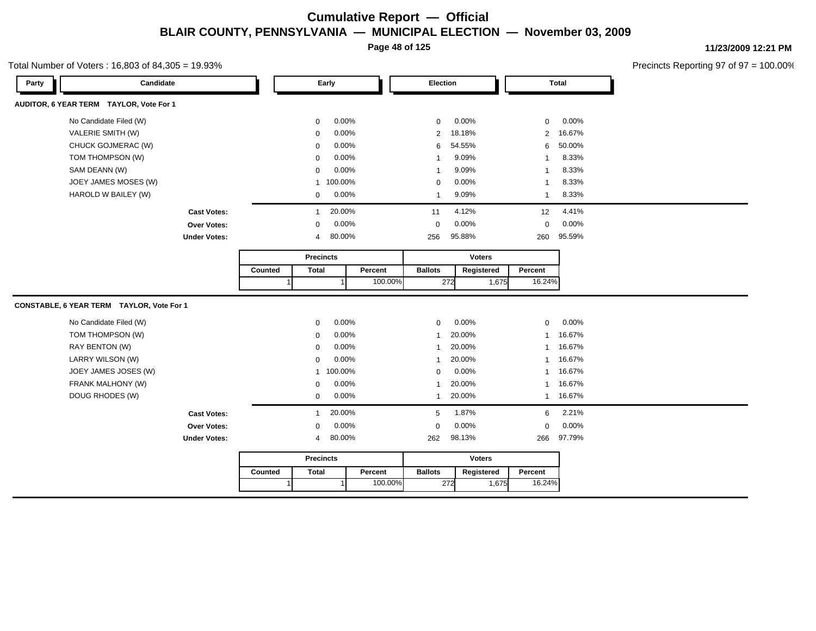**Page 48 of 125**

#### Total Number of Voters : 16,803 of 84,305 = 19.93%

**11/23/2009 12:21 PM**

| Candidate                                 |         |                  | Early          |         | Election       |               |       |                         | Total  |
|-------------------------------------------|---------|------------------|----------------|---------|----------------|---------------|-------|-------------------------|--------|
| AUDITOR, 6 YEAR TERM TAYLOR, Vote For 1   |         |                  |                |         |                |               |       |                         |        |
| No Candidate Filed (W)                    |         | 0                | 0.00%          |         | $\mathbf 0$    | 0.00%         |       | 0                       | 0.00%  |
| VALERIE SMITH (W)                         |         | $\mathbf 0$      | 0.00%          |         | $\overline{2}$ | 18.18%        |       | $\overline{2}$          | 16.67% |
| CHUCK GOJMERAC (W)                        |         | $\mathbf 0$      | 0.00%          |         | 6              | 54.55%        |       | 6                       | 50.00% |
| TOM THOMPSON (W)                          |         | $\Omega$         | $0.00\%$       |         | $\overline{1}$ | 9.09%         |       | $\overline{1}$          | 8.33%  |
| SAM DEANN (W)                             |         | $\mathbf 0$      | 0.00%          |         | $\overline{1}$ | 9.09%         |       | $\overline{\mathbf{1}}$ | 8.33%  |
| JOEY JAMES MOSES (W)                      |         | $\mathbf{1}$     | 100.00%        |         | $\mathbf 0$    | 0.00%         |       | $\overline{1}$          | 8.33%  |
| HAROLD W BAILEY (W)                       |         | 0                | 0.00%          |         | $\overline{1}$ | 9.09%         |       | $\mathbf{1}$            | 8.33%  |
| <b>Cast Votes:</b>                        |         | $\mathbf{1}$     | 20.00%         |         | 11             | 4.12%         |       | 12                      | 4.41%  |
| Over Votes:                               |         | $\mathbf 0$      | 0.00%          |         | $\mathbf 0$    | 0.00%         |       | 0                       | 0.00%  |
| <b>Under Votes:</b>                       |         | 4                | 80.00%         |         | 256            | 95.88%        |       | 260                     | 95.59% |
|                                           |         | <b>Precincts</b> |                |         |                | <b>Voters</b> |       |                         |        |
|                                           | Counted | <b>Total</b>     |                | Percent | <b>Ballots</b> | Registered    |       | Percent                 |        |
|                                           |         |                  | $\overline{ }$ | 100.00% |                | 272           | 1,675 | 16.24%                  |        |
| CONSTABLE, 6 YEAR TERM TAYLOR, Vote For 1 |         |                  |                |         |                |               |       |                         |        |
| No Candidate Filed (W)                    |         | 0                | 0.00%          |         | $\mathbf 0$    | 0.00%         |       | $\mathbf 0$             | 0.00%  |
| TOM THOMPSON (W)                          |         | $\mathbf 0$      | 0.00%          |         | -1             | 20.00%        |       | $\mathbf{1}$            | 16.67% |
| RAY BENTON (W)                            |         | 0                | 0.00%          |         | $\mathbf{1}$   | 20.00%        |       | $\mathbf{1}$            | 16.67% |
| LARRY WILSON (W)                          |         | 0                | 0.00%          |         | 1              | 20.00%        |       | $\mathbf{1}$            | 16.67% |
| JOEY JAMES JOSES (W)                      |         | $\mathbf{1}$     | 100.00%        |         | $\mathbf 0$    | 0.00%         |       | $\mathbf{1}$            | 16.67% |
| FRANK MALHONY (W)                         |         | 0                | 0.00%          |         | $\overline{1}$ | 20.00%        |       | $\mathbf{1}$            | 16.67% |
| DOUG RHODES (W)                           |         |                  | 0.00%          |         | 1              | 20.00%        |       | $\mathbf{1}$            | 16.67% |
|                                           |         | 0                |                |         |                |               |       |                         |        |
| <b>Cast Votes:</b>                        |         | $\mathbf{1}$     | 20.00%         |         | 5              | 1.87%         |       | 6                       | 2.21%  |
| Over Votes:                               |         | $\mathbf 0$      | 0.00%          |         | $\mathbf 0$    | 0.00%         |       | 0                       | 0.00%  |
| <b>Under Votes:</b>                       |         | 4                | 80.00%         |         | 262            | 98.13%        |       | 266                     | 97.79% |
|                                           |         | <b>Precincts</b> |                |         |                | <b>Voters</b> |       |                         |        |
|                                           | Counted | <b>Total</b>     |                | Percent | <b>Ballots</b> | Registered    |       | Percent                 |        |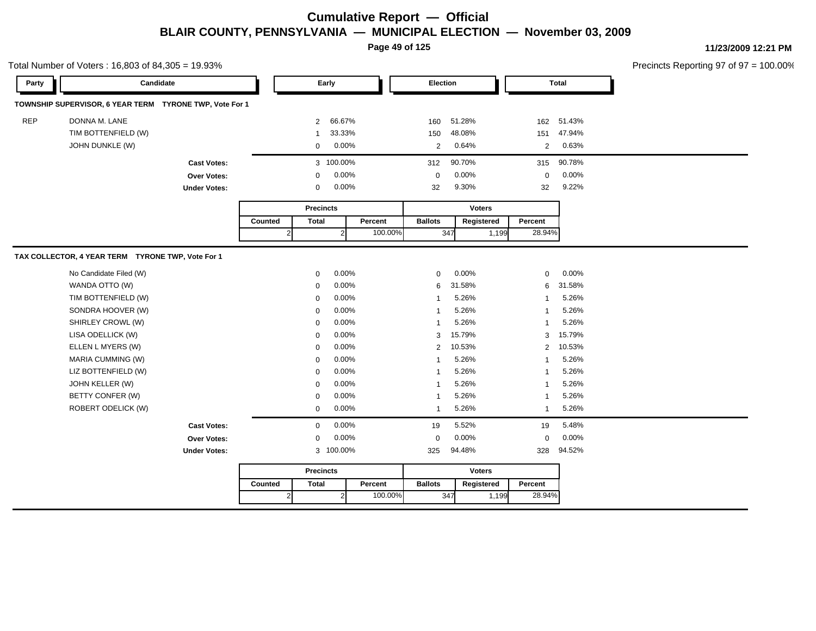**Page 49 of 125**

**11/23/2009 12:21 PM**

Total Number of Voters : 16,803 of 84,305 = 19.93%

| Party      | Candidate                                               |                     |         | Early            |                | Election |                |               |       | <b>Total</b>   |          |
|------------|---------------------------------------------------------|---------------------|---------|------------------|----------------|----------|----------------|---------------|-------|----------------|----------|
|            | TOWNSHIP SUPERVISOR, 6 YEAR TERM TYRONE TWP, Vote For 1 |                     |         |                  |                |          |                |               |       |                |          |
| <b>REP</b> | DONNA M. LANE                                           |                     |         | $\overline{2}$   | 66.67%         |          | 160            | 51.28%        |       | 162            | 51.43%   |
|            | TIM BOTTENFIELD (W)                                     |                     |         | 1                | 33.33%         |          | 150            | 48.08%        |       | 151            | 47.94%   |
|            | JOHN DUNKLE (W)                                         |                     |         | $\mathbf 0$      | 0.00%          |          | 2              | 0.64%         |       | 2              | 0.63%    |
|            |                                                         | <b>Cast Votes:</b>  |         |                  | 3 100.00%      |          | 312            | 90.70%        |       | 315            | 90.78%   |
|            |                                                         | <b>Over Votes:</b>  |         | 0                | 0.00%          |          | $\mathbf 0$    | 0.00%         |       | 0              | 0.00%    |
|            |                                                         | <b>Under Votes:</b> |         | $\mathbf 0$      | 0.00%          |          | 32             | 9.30%         |       | 32             | 9.22%    |
|            |                                                         |                     |         | <b>Precincts</b> |                |          |                | <b>Voters</b> |       |                |          |
|            |                                                         |                     | Counted | <b>Total</b>     |                | Percent  | <b>Ballots</b> | Registered    |       | Percent        |          |
|            |                                                         |                     |         | $\overline{2}$   | $\overline{2}$ | 100.00%  | 347            |               | 1,199 | 28.94%         |          |
|            | TAX COLLECTOR, 4 YEAR TERM TYRONE TWP, Vote For 1       |                     |         |                  |                |          |                |               |       |                |          |
|            |                                                         |                     |         |                  |                |          |                |               |       |                |          |
|            | No Candidate Filed (W)                                  |                     |         | $\Omega$         | 0.00%          |          | $\Omega$       | 0.00%         |       | $\Omega$       | $0.00\%$ |
|            | WANDA OTTO (W)                                          |                     |         | $\mathbf 0$      | 0.00%          |          | 6              | 31.58%        |       | 6              | 31.58%   |
|            | TIM BOTTENFIELD (W)                                     |                     |         | $\mathbf 0$      | 0.00%          |          | $\overline{1}$ | 5.26%         |       | $\overline{1}$ | 5.26%    |
|            | SONDRA HOOVER (W)                                       |                     |         | $\mathbf 0$      | 0.00%          |          | $\mathbf{1}$   | 5.26%         |       | $\overline{1}$ | 5.26%    |
|            | SHIRLEY CROWL (W)                                       |                     |         | $\mathbf 0$      | 0.00%          |          | $\overline{1}$ | 5.26%         |       | -1             | 5.26%    |
|            | LISA ODELLICK (W)                                       |                     |         | $\mathbf 0$      | 0.00%          |          | 3              | 15.79%        |       | 3              | 15.79%   |
|            | ELLEN L MYERS (W)                                       |                     |         | $\mathbf 0$      | 0.00%          |          | 2              | 10.53%        |       | 2              | 10.53%   |
|            | MARIA CUMMING (W)                                       |                     |         | $\Omega$         | 0.00%          |          | $\overline{1}$ | 5.26%         |       | $\mathbf{1}$   | 5.26%    |
|            | LIZ BOTTENFIELD (W)                                     |                     |         | $\Omega$         | 0.00%          |          | $\overline{1}$ | 5.26%         |       | $\overline{1}$ | 5.26%    |
|            | JOHN KELLER (W)                                         |                     |         | $\mathbf 0$      | 0.00%          |          | $\mathbf{1}$   | 5.26%         |       | $\overline{1}$ | 5.26%    |
|            | BETTY CONFER (W)                                        |                     |         | $\mathbf 0$      | 0.00%          |          | $\overline{1}$ | 5.26%         |       | $\overline{1}$ | 5.26%    |
|            | ROBERT ODELICK (W)                                      |                     |         | $\mathbf 0$      | 0.00%          |          | $\overline{1}$ | 5.26%         |       | $\overline{1}$ | 5.26%    |
|            |                                                         | <b>Cast Votes:</b>  |         | $\mathbf 0$      | 0.00%          |          | 19             | 5.52%         |       | 19             | 5.48%    |
|            |                                                         | Over Votes:         |         | $\mathbf 0$      | 0.00%          |          | $\mathbf 0$    | 0.00%         |       | 0              | 0.00%    |
|            |                                                         | <b>Under Votes:</b> |         |                  | 3 100.00%      |          | 325            | 94.48%        |       | 328            | 94.52%   |
|            |                                                         |                     |         | <b>Precincts</b> |                |          |                | <b>Voters</b> |       |                |          |
|            |                                                         |                     | Counted | <b>Total</b>     |                | Percent  | <b>Ballots</b> | Registered    |       | Percent        |          |
|            |                                                         |                     |         | $\overline{2}$   | $\overline{2}$ | 100.00%  | 347            |               | 1,199 | 28.94%         |          |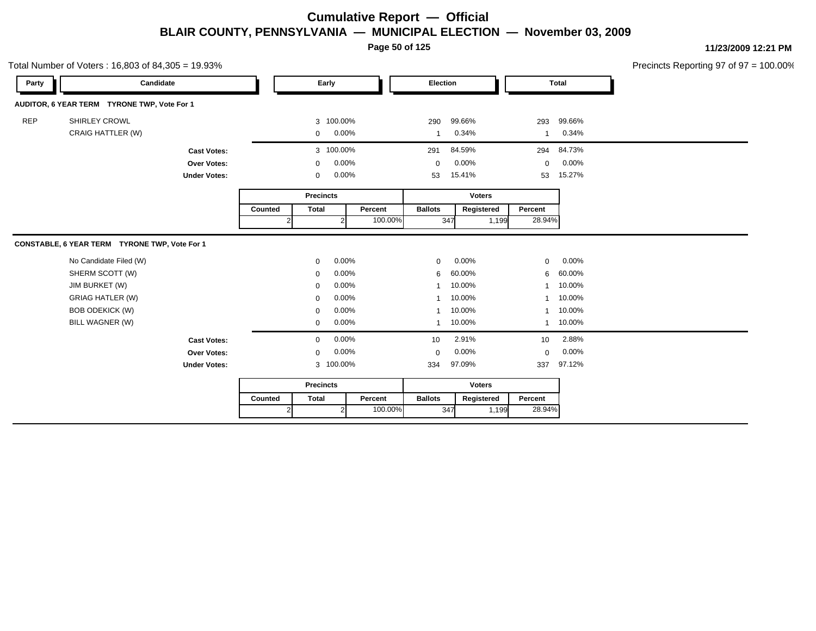**Page 50 of 125**

**11/23/2009 12:21 PM** Precincts Reporting 97 of 97 = 100.00%

|            | Total Number of Voters: 16,803 of 84,305 = 19.93% |                     |         |                  |           |         |                |        |               |                |              | Precincts Reporting 97 of 97 = $\overline{ }$ |
|------------|---------------------------------------------------|---------------------|---------|------------------|-----------|---------|----------------|--------|---------------|----------------|--------------|-----------------------------------------------|
| Party      | Candidate                                         |                     |         |                  | Early     |         | Election       |        |               |                | <b>Total</b> |                                               |
|            | AUDITOR, 6 YEAR TERM TYRONE TWP, Vote For 1       |                     |         |                  |           |         |                |        |               |                |              |                                               |
| <b>REP</b> | SHIRLEY CROWL                                     |                     |         |                  | 3 100.00% |         | 290            | 99.66% |               | 293            | 99.66%       |                                               |
|            | CRAIG HATTLER (W)                                 |                     |         | 0                | 0.00%     |         | -1             | 0.34%  |               | -1             | 0.34%        |                                               |
|            |                                                   | <b>Cast Votes:</b>  |         |                  | 3 100.00% |         | 291            | 84.59% |               | 294            | 84.73%       |                                               |
|            |                                                   | Over Votes:         |         | $\mathbf 0$      | 0.00%     |         | $\mathbf 0$    | 0.00%  |               | $\mathbf 0$    | 0.00%        |                                               |
|            |                                                   | <b>Under Votes:</b> |         | 0                | 0.00%     |         | 53             | 15.41% |               | 53             | 15.27%       |                                               |
|            |                                                   |                     |         | <b>Precincts</b> |           |         |                |        | <b>Voters</b> |                |              |                                               |
|            |                                                   |                     | Counted | <b>Total</b>     |           | Percent | <b>Ballots</b> |        | Registered    | Percent        |              |                                               |
|            |                                                   |                     |         |                  | 2         | 100.00% |                | 347    | 1,199         | 28.94%         |              |                                               |
|            | CONSTABLE, 6 YEAR TERM TYRONE TWP, Vote For 1     |                     |         |                  |           |         |                |        |               |                |              |                                               |
|            | No Candidate Filed (W)                            |                     |         | 0                | 0.00%     |         | 0              | 0.00%  |               | 0              | 0.00%        |                                               |
|            | SHERM SCOTT (W)                                   |                     |         | 0                | 0.00%     |         | 6              | 60.00% |               | 6              | 60.00%       |                                               |
|            | JIM BURKET (W)                                    |                     |         | $\Omega$         | 0.00%     |         |                | 10.00% |               | 1              | 10.00%       |                                               |
|            | <b>GRIAG HATLER (W)</b>                           |                     |         | 0                | 0.00%     |         |                | 10.00% |               | 1              | 10.00%       |                                               |
|            | <b>BOB ODEKICK (W)</b>                            |                     |         | 0                | 0.00%     |         |                | 10.00% |               | $\mathbf{1}$   | 10.00%       |                                               |
|            | BILL WAGNER (W)                                   |                     |         | 0                | 0.00%     |         | 1              | 10.00% |               | $\overline{1}$ | 10.00%       |                                               |
|            |                                                   | <b>Cast Votes:</b>  |         | $\mathbf{0}$     | 0.00%     |         | 10             | 2.91%  |               | 10             | 2.88%        |                                               |
|            |                                                   | Over Votes:         |         | 0                | 0.00%     |         | $\mathbf 0$    | 0.00%  |               | 0              | 0.00%        |                                               |
|            |                                                   | <b>Under Votes:</b> |         |                  | 3 100.00% |         | 334            | 97.09% |               | 337            | 97.12%       |                                               |
|            |                                                   |                     |         | <b>Precincts</b> |           |         |                |        | <b>Voters</b> |                |              |                                               |
|            |                                                   |                     | Counted | <b>Total</b>     |           | Percent | <b>Ballots</b> |        | Registered    | Percent        |              |                                               |

2 100.00%

347 1,199

28.94%

2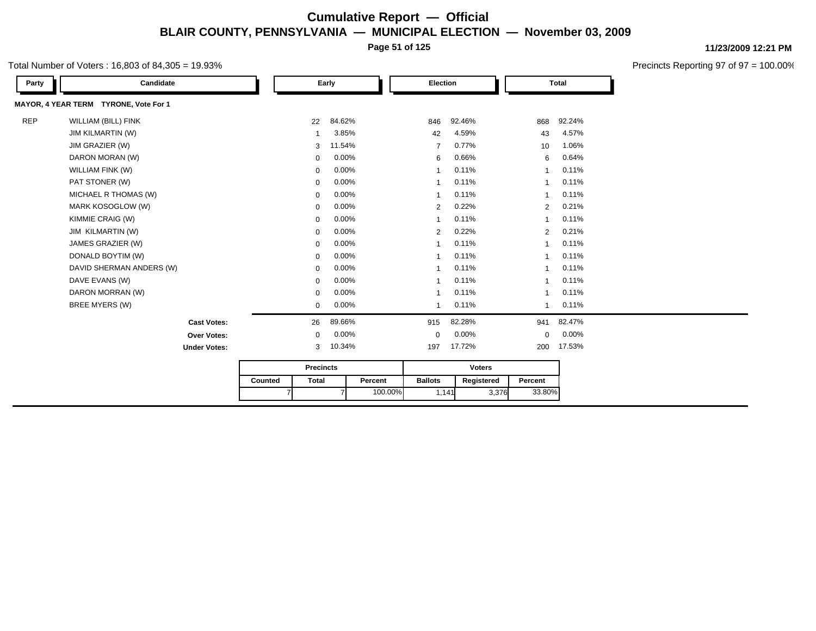**Page 51 of 125**

#### Total Number of Voters : 16,803 of 84,305 = 19.93%

**11/23/2009 12:21 PM**

Precincts Reporting 97 of 97 = 100.00%

| Party      | Candidate                             |         |                  | Early  |         | Election       |               | <b>Total</b>   |        |  |
|------------|---------------------------------------|---------|------------------|--------|---------|----------------|---------------|----------------|--------|--|
|            | MAYOR, 4 YEAR TERM TYRONE, Vote For 1 |         |                  |        |         |                |               |                |        |  |
| <b>REP</b> | <b>WILLIAM (BILL) FINK</b>            |         | 22               | 84.62% |         | 846            | 92.46%        | 868            | 92.24% |  |
|            | <b>JIM KILMARTIN (W)</b>              |         | -1               | 3.85%  |         | 42             | 4.59%         | 43             | 4.57%  |  |
|            | JIM GRAZIER (W)                       |         | 3                | 11.54% |         | $\overline{7}$ | 0.77%         | 10             | 1.06%  |  |
|            | DARON MORAN (W)                       |         | $\mathbf 0$      | 0.00%  |         | 6              | 0.66%         | 6              | 0.64%  |  |
|            | WILLIAM FINK (W)                      |         | $\mathbf 0$      | 0.00%  |         | $\overline{ }$ | 0.11%         | 1              | 0.11%  |  |
|            | PAT STONER (W)                        |         | $\mathbf 0$      | 0.00%  |         | $\overline{1}$ | 0.11%         | 1              | 0.11%  |  |
|            | MICHAEL R THOMAS (W)                  |         | $\mathbf 0$      | 0.00%  |         | $\overline{1}$ | 0.11%         | 1              | 0.11%  |  |
|            | MARK KOSOGLOW (W)                     |         | $\mathbf 0$      | 0.00%  |         | 2              | 0.22%         | 2              | 0.21%  |  |
|            | KIMMIE CRAIG (W)                      |         | $\mathbf 0$      | 0.00%  |         | $\mathbf{1}$   | 0.11%         | 1              | 0.11%  |  |
|            | JIM KILMARTIN (W)                     |         | $\mathbf 0$      | 0.00%  |         | 2              | 0.22%         | 2              | 0.21%  |  |
|            | JAMES GRAZIER (W)                     |         | 0                | 0.00%  |         | $\mathbf{1}$   | 0.11%         | $\overline{1}$ | 0.11%  |  |
|            | DONALD BOYTIM (W)                     |         | 0                | 0.00%  |         | $\mathbf{1}$   | 0.11%         | 1              | 0.11%  |  |
|            | DAVID SHERMAN ANDERS (W)              |         | $\mathbf 0$      | 0.00%  |         | $\mathbf{1}$   | 0.11%         | $\mathbf 1$    | 0.11%  |  |
|            | DAVE EVANS (W)                        |         | $\mathbf 0$      | 0.00%  |         | $\overline{1}$ | 0.11%         | 1              | 0.11%  |  |
|            | DARON MORRAN (W)                      |         | $\mathbf 0$      | 0.00%  |         | $\overline{1}$ | 0.11%         | $\overline{1}$ | 0.11%  |  |
|            | BREE MYERS (W)                        |         | $\mathbf 0$      | 0.00%  |         | $\mathbf 1$    | 0.11%         | $\mathbf 1$    | 0.11%  |  |
|            | <b>Cast Votes:</b>                    |         | 26               | 89.66% |         | 915            | 82.28%        | 941            | 82.47% |  |
|            | <b>Over Votes:</b>                    |         | $\mathbf 0$      | 0.00%  |         | $\Omega$       | 0.00%         | $\mathbf 0$    | 0.00%  |  |
|            | <b>Under Votes:</b>                   |         | 3                | 10.34% |         | 197            | 17.72%        | 200            | 17.53% |  |
|            |                                       |         | <b>Precincts</b> |        |         |                | <b>Voters</b> |                |        |  |
|            |                                       | Counted | <b>Total</b>     |        | Percent | <b>Ballots</b> | Registered    | Percent        |        |  |

7 100.00%

1,141 3,376

33.80%

7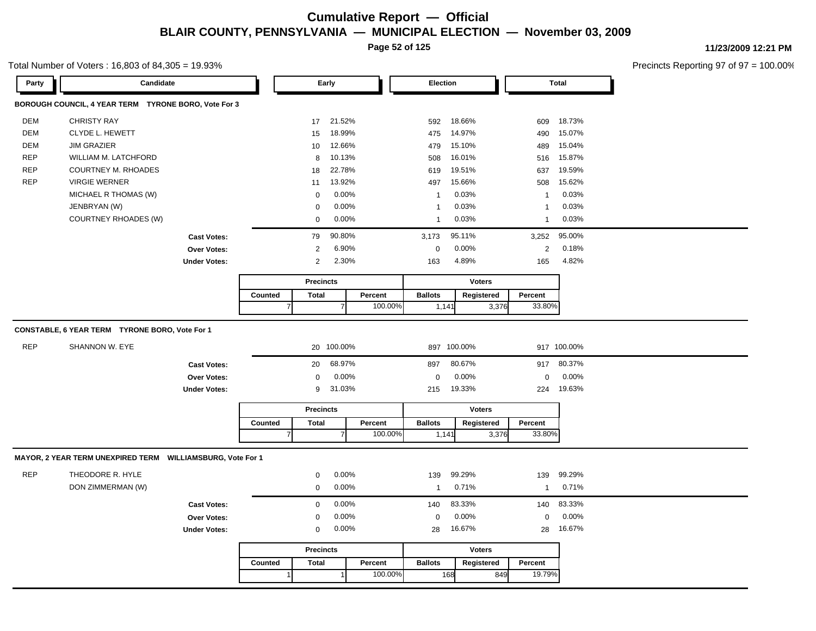**Page 52 of 125**

#### Total Number of Voters : 16,803 of 84,305 = 19.93%

| Party      | Candidate                                                  |                     |         |                  | Early          |         | Election       |               |       | <b>Total</b>   |             |
|------------|------------------------------------------------------------|---------------------|---------|------------------|----------------|---------|----------------|---------------|-------|----------------|-------------|
|            | BOROUGH COUNCIL, 4 YEAR TERM TYRONE BORO, Vote For 3       |                     |         |                  |                |         |                |               |       |                |             |
| <b>DEM</b> | <b>CHRISTY RAY</b>                                         |                     |         | 17               | 21.52%         |         | 592            | 18.66%        |       | 609            | 18.73%      |
| DEM        | CLYDE L. HEWETT                                            |                     |         | 15               | 18.99%         |         | 475            | 14.97%        |       | 490            | 15.07%      |
| DEM        | <b>JIM GRAZIER</b>                                         |                     |         | 10               | 12.66%         |         | 479            | 15.10%        |       | 489            | 15.04%      |
| <b>REP</b> | WILLIAM M. LATCHFORD                                       |                     |         | 8                | 10.13%         |         | 508            | 16.01%        |       | 516            | 15.87%      |
| <b>REP</b> | <b>COURTNEY M. RHOADES</b>                                 |                     |         | 18               | 22.78%         |         | 619            | 19.51%        |       | 637            | 19.59%      |
| <b>REP</b> | <b>VIRGIE WERNER</b>                                       |                     |         | 11               | 13.92%         |         | 497            | 15.66%        |       | 508            | 15.62%      |
|            | MICHAEL R THOMAS (W)                                       |                     |         | 0                | 0.00%          |         | $\overline{1}$ | 0.03%         |       | $\overline{1}$ | 0.03%       |
|            | JENBRYAN (W)                                               |                     |         | 0                | 0.00%          |         | $\overline{1}$ | 0.03%         |       | $\overline{1}$ | 0.03%       |
|            | <b>COURTNEY RHOADES (W)</b>                                |                     |         | $\mathbf 0$      | 0.00%          |         | $\overline{1}$ | 0.03%         |       | $\overline{1}$ | 0.03%       |
|            |                                                            | <b>Cast Votes:</b>  |         | 79               | 90.80%         |         | 3,173          | 95.11%        |       | 3,252          | 95.00%      |
|            |                                                            | Over Votes:         |         | $\overline{2}$   | 6.90%          |         | $\pmb{0}$      | 0.00%         |       | $\overline{c}$ | 0.18%       |
|            |                                                            | <b>Under Votes:</b> |         | 2                | 2.30%          |         | 163            | 4.89%         |       | 165            | 4.82%       |
|            |                                                            |                     |         | <b>Precincts</b> |                |         |                | <b>Voters</b> |       |                |             |
|            |                                                            |                     | Counted | <b>Total</b>     |                | Percent | <b>Ballots</b> | Registered    |       | Percent        |             |
|            |                                                            |                     |         |                  | $\overline{7}$ | 100.00% | 1,141          |               | 3,376 | 33.80%         |             |
|            |                                                            |                     |         |                  |                |         |                |               |       |                |             |
|            | CONSTABLE, 6 YEAR TERM TYRONE BORO, Vote For 1             |                     |         |                  |                |         |                |               |       |                |             |
| <b>REP</b> | SHANNON W. EYE                                             |                     |         |                  | 20 100.00%     |         |                | 897 100.00%   |       |                | 917 100.00% |
|            |                                                            | <b>Cast Votes:</b>  |         | 20               | 68.97%         |         | 897            | 80.67%        |       | 917            | 80.37%      |
|            |                                                            | <b>Over Votes:</b>  |         | 0                | 0.00%          |         | $\mathbf 0$    | 0.00%         |       | 0              | 0.00%       |
|            |                                                            | <b>Under Votes:</b> |         | 9                | 31.03%         |         | 215            | 19.33%        |       | 224            | 19.63%      |
|            |                                                            |                     |         | <b>Precincts</b> |                |         |                | <b>Voters</b> |       |                |             |
|            |                                                            |                     | Counted | <b>Total</b>     |                | Percent | <b>Ballots</b> | Registered    |       | Percent        |             |
|            |                                                            |                     |         | $\overline{7}$   | $\overline{7}$ | 100.00% | 1,141          |               | 3,376 | 33.80%         |             |
|            |                                                            |                     |         |                  |                |         |                |               |       |                |             |
|            | MAYOR, 2 YEAR TERM UNEXPIRED TERM WILLIAMSBURG, Vote For 1 |                     |         |                  |                |         |                |               |       |                |             |
| <b>REP</b> | THEODORE R. HYLE                                           |                     |         | 0                | 0.00%          |         | 139            | 99.29%        |       | 139            | 99.29%      |
|            | DON ZIMMERMAN (W)                                          |                     |         | 0                | 0.00%          |         | $\mathbf{1}$   | 0.71%         |       | $\mathbf{1}$   | 0.71%       |
|            |                                                            | <b>Cast Votes:</b>  |         | 0                | 0.00%          |         | 140            | 83.33%        |       | 140            | 83.33%      |
|            |                                                            | <b>Over Votes:</b>  |         | 0                | 0.00%          |         | $\mathbf 0$    | 0.00%         |       | $\mathbf 0$    | 0.00%       |
|            |                                                            | <b>Under Votes:</b> |         | $\mathbf 0$      | 0.00%          |         | 28             | 16.67%        |       | 28             | 16.67%      |
|            |                                                            |                     |         | <b>Precincts</b> |                |         |                | <b>Voters</b> |       |                |             |
|            |                                                            |                     | Counted | <b>Total</b>     |                | Percent | <b>Ballots</b> | Registered    |       | Percent        |             |
|            |                                                            |                     |         | $\mathbf{1}$     | 1              | 100.00% |                | 168           | 849   | 19.79%         |             |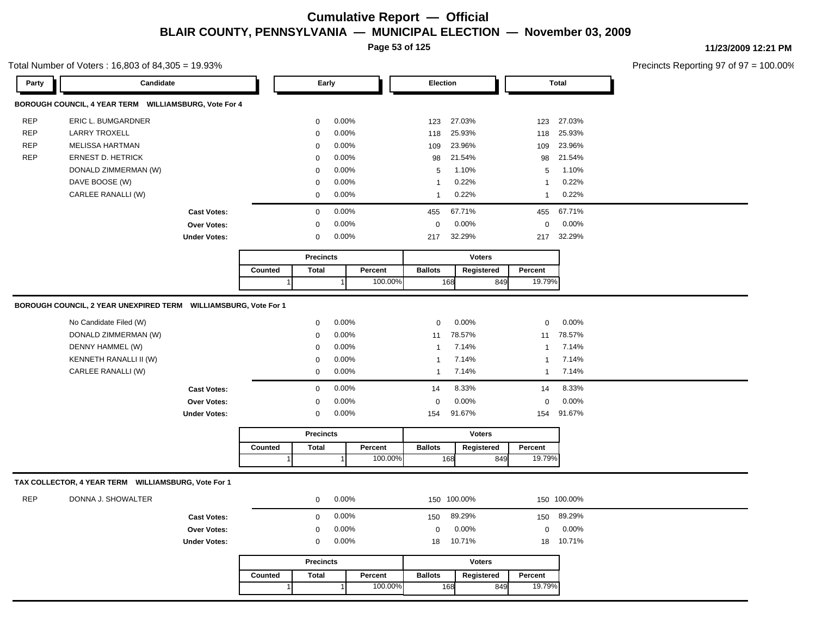**Page 53 of 125**

#### Total Number of Voters : 16,803 of 84,305 = 19.93%

**11/23/2009 12:21 PM**

| BOROUGH COUNCIL, 4 YEAR TERM WILLIAMSBURG, Vote For 4<br><b>REP</b><br>ERIC L. BUMGARDNER<br>0.00%<br>27.03%<br>27.03%<br>$\mathbf 0$<br>123<br>123<br><b>REP</b><br><b>LARRY TROXELL</b><br>0.00%<br>25.93%<br>25.93%<br>$\mathbf 0$<br>118<br>118<br><b>REP</b><br><b>MELISSA HARTMAN</b><br>0.00%<br>23.96%<br>23.96%<br>$\mathbf 0$<br>109<br>109<br><b>REP</b><br><b>ERNEST D. HETRICK</b><br>0.00%<br>21.54%<br>21.54%<br>98<br>$\mathbf 0$<br>98<br>DONALD ZIMMERMAN (W)<br>0.00%<br>1.10%<br>1.10%<br>$\mathbf 0$<br>5<br>5<br>DAVE BOOSE (W)<br>0.00%<br>0.22%<br>0.22%<br>$\mathbf 0$<br>$\mathbf{1}$<br>$\overline{1}$<br>CARLEE RANALLI (W)<br>0.00%<br>0.22%<br>0.22%<br>$\mathbf 0$<br>$\mathbf{1}$<br>$\mathbf{1}$<br>0.00%<br>67.71%<br>67.71%<br><b>Cast Votes:</b><br>$\mathbf 0$<br>455<br>455<br>Over Votes:<br>$\mathsf 0$<br>0.00%<br>$\mathbf 0$<br>0.00%<br>$\mathbf 0$<br>0.00%<br>32.29%<br><b>Under Votes:</b><br>0.00%<br>32.29%<br>$\mathbf 0$<br>217<br>217<br><b>Voters</b><br><b>Precincts</b><br>Counted<br>Percent<br><b>Ballots</b><br>Registered<br>Percent<br><b>Total</b><br>100.00%<br>19.79%<br>168<br>849<br>BOROUGH COUNCIL, 2 YEAR UNEXPIRED TERM WILLIAMSBURG, Vote For 1<br>0.00%<br>No Candidate Filed (W)<br>0.00%<br>0.00%<br>$\mathbf 0$<br>$\mathbf 0$<br>$\mathbf 0$<br>DONALD ZIMMERMAN (W)<br>0.00%<br>78.57%<br>78.57%<br>$\mathbf 0$<br>11<br>11<br>DENNY HAMMEL (W)<br>0.00%<br>7.14%<br>7.14%<br>$\mathbf 0$<br>$\mathbf{1}$<br>$\mathbf{1}$<br>KENNETH RANALLI II (W)<br>0.00%<br>7.14%<br>7.14%<br>$\mathbf 0$<br>$\mathbf{1}$<br>-1<br>CARLEE RANALLI (W)<br>0.00%<br>7.14%<br>7.14%<br>$\mathbf 0$<br>$\mathbf{1}$<br>$\mathbf{1}$<br>0.00%<br>8.33%<br>8.33%<br>14<br>14<br><b>Cast Votes:</b><br>$\mathbf 0$<br>0.00%<br>0.00%<br>0.00%<br>Over Votes:<br>0<br>0<br>0<br>0.00%<br>91.67%<br>91.67%<br><b>Under Votes:</b><br>$\mathbf 0$<br>154<br>154<br><b>Precincts</b><br><b>Voters</b><br><b>Ballots</b><br>Registered<br>Counted<br><b>Total</b><br>Percent<br>Percent<br>100.00%<br>19.79%<br>168<br>849<br>TAX COLLECTOR, 4 YEAR TERM WILLIAMSBURG, Vote For 1<br><b>REP</b><br>DONNA J. SHOWALTER<br>0.00%<br>150 100.00%<br>150 100.00%<br>$\mathbf 0$<br>0.00%<br>89.29%<br>89.29%<br>$\mathbf 0$<br>150<br><b>Cast Votes:</b><br>150<br>0.00%<br>0.00%<br>0.00%<br><b>Over Votes:</b><br>$\mathbf 0$<br>$\mathbf 0$<br>$\mathbf 0$<br>10.71%<br>10.71%<br>0.00%<br><b>Under Votes:</b><br>$\mathbf 0$<br>18<br>18<br><b>Precincts</b><br><b>Voters</b><br><b>Total</b><br>Percent<br><b>Ballots</b><br>Registered<br>Percent<br>Counted<br>100.00%<br>19.79%<br>168<br>849 | Party | Candidate |  | Early |  | Election |  | <b>Total</b> |
|-------------------------------------------------------------------------------------------------------------------------------------------------------------------------------------------------------------------------------------------------------------------------------------------------------------------------------------------------------------------------------------------------------------------------------------------------------------------------------------------------------------------------------------------------------------------------------------------------------------------------------------------------------------------------------------------------------------------------------------------------------------------------------------------------------------------------------------------------------------------------------------------------------------------------------------------------------------------------------------------------------------------------------------------------------------------------------------------------------------------------------------------------------------------------------------------------------------------------------------------------------------------------------------------------------------------------------------------------------------------------------------------------------------------------------------------------------------------------------------------------------------------------------------------------------------------------------------------------------------------------------------------------------------------------------------------------------------------------------------------------------------------------------------------------------------------------------------------------------------------------------------------------------------------------------------------------------------------------------------------------------------------------------------------------------------------------------------------------------------------------------------------------------------------------------------------------------------------------------------------------------------------------------------------------------------------------------------------------------------------------------------------------------------------------------------------------------------------------------------------------------------------------------------------------------------------------------------------------------------------------------------------------------|-------|-----------|--|-------|--|----------|--|--------------|
|                                                                                                                                                                                                                                                                                                                                                                                                                                                                                                                                                                                                                                                                                                                                                                                                                                                                                                                                                                                                                                                                                                                                                                                                                                                                                                                                                                                                                                                                                                                                                                                                                                                                                                                                                                                                                                                                                                                                                                                                                                                                                                                                                                                                                                                                                                                                                                                                                                                                                                                                                                                                                                                       |       |           |  |       |  |          |  |              |
|                                                                                                                                                                                                                                                                                                                                                                                                                                                                                                                                                                                                                                                                                                                                                                                                                                                                                                                                                                                                                                                                                                                                                                                                                                                                                                                                                                                                                                                                                                                                                                                                                                                                                                                                                                                                                                                                                                                                                                                                                                                                                                                                                                                                                                                                                                                                                                                                                                                                                                                                                                                                                                                       |       |           |  |       |  |          |  |              |
|                                                                                                                                                                                                                                                                                                                                                                                                                                                                                                                                                                                                                                                                                                                                                                                                                                                                                                                                                                                                                                                                                                                                                                                                                                                                                                                                                                                                                                                                                                                                                                                                                                                                                                                                                                                                                                                                                                                                                                                                                                                                                                                                                                                                                                                                                                                                                                                                                                                                                                                                                                                                                                                       |       |           |  |       |  |          |  |              |
|                                                                                                                                                                                                                                                                                                                                                                                                                                                                                                                                                                                                                                                                                                                                                                                                                                                                                                                                                                                                                                                                                                                                                                                                                                                                                                                                                                                                                                                                                                                                                                                                                                                                                                                                                                                                                                                                                                                                                                                                                                                                                                                                                                                                                                                                                                                                                                                                                                                                                                                                                                                                                                                       |       |           |  |       |  |          |  |              |
|                                                                                                                                                                                                                                                                                                                                                                                                                                                                                                                                                                                                                                                                                                                                                                                                                                                                                                                                                                                                                                                                                                                                                                                                                                                                                                                                                                                                                                                                                                                                                                                                                                                                                                                                                                                                                                                                                                                                                                                                                                                                                                                                                                                                                                                                                                                                                                                                                                                                                                                                                                                                                                                       |       |           |  |       |  |          |  |              |
|                                                                                                                                                                                                                                                                                                                                                                                                                                                                                                                                                                                                                                                                                                                                                                                                                                                                                                                                                                                                                                                                                                                                                                                                                                                                                                                                                                                                                                                                                                                                                                                                                                                                                                                                                                                                                                                                                                                                                                                                                                                                                                                                                                                                                                                                                                                                                                                                                                                                                                                                                                                                                                                       |       |           |  |       |  |          |  |              |
|                                                                                                                                                                                                                                                                                                                                                                                                                                                                                                                                                                                                                                                                                                                                                                                                                                                                                                                                                                                                                                                                                                                                                                                                                                                                                                                                                                                                                                                                                                                                                                                                                                                                                                                                                                                                                                                                                                                                                                                                                                                                                                                                                                                                                                                                                                                                                                                                                                                                                                                                                                                                                                                       |       |           |  |       |  |          |  |              |
|                                                                                                                                                                                                                                                                                                                                                                                                                                                                                                                                                                                                                                                                                                                                                                                                                                                                                                                                                                                                                                                                                                                                                                                                                                                                                                                                                                                                                                                                                                                                                                                                                                                                                                                                                                                                                                                                                                                                                                                                                                                                                                                                                                                                                                                                                                                                                                                                                                                                                                                                                                                                                                                       |       |           |  |       |  |          |  |              |
|                                                                                                                                                                                                                                                                                                                                                                                                                                                                                                                                                                                                                                                                                                                                                                                                                                                                                                                                                                                                                                                                                                                                                                                                                                                                                                                                                                                                                                                                                                                                                                                                                                                                                                                                                                                                                                                                                                                                                                                                                                                                                                                                                                                                                                                                                                                                                                                                                                                                                                                                                                                                                                                       |       |           |  |       |  |          |  |              |
|                                                                                                                                                                                                                                                                                                                                                                                                                                                                                                                                                                                                                                                                                                                                                                                                                                                                                                                                                                                                                                                                                                                                                                                                                                                                                                                                                                                                                                                                                                                                                                                                                                                                                                                                                                                                                                                                                                                                                                                                                                                                                                                                                                                                                                                                                                                                                                                                                                                                                                                                                                                                                                                       |       |           |  |       |  |          |  |              |
|                                                                                                                                                                                                                                                                                                                                                                                                                                                                                                                                                                                                                                                                                                                                                                                                                                                                                                                                                                                                                                                                                                                                                                                                                                                                                                                                                                                                                                                                                                                                                                                                                                                                                                                                                                                                                                                                                                                                                                                                                                                                                                                                                                                                                                                                                                                                                                                                                                                                                                                                                                                                                                                       |       |           |  |       |  |          |  |              |
|                                                                                                                                                                                                                                                                                                                                                                                                                                                                                                                                                                                                                                                                                                                                                                                                                                                                                                                                                                                                                                                                                                                                                                                                                                                                                                                                                                                                                                                                                                                                                                                                                                                                                                                                                                                                                                                                                                                                                                                                                                                                                                                                                                                                                                                                                                                                                                                                                                                                                                                                                                                                                                                       |       |           |  |       |  |          |  |              |
|                                                                                                                                                                                                                                                                                                                                                                                                                                                                                                                                                                                                                                                                                                                                                                                                                                                                                                                                                                                                                                                                                                                                                                                                                                                                                                                                                                                                                                                                                                                                                                                                                                                                                                                                                                                                                                                                                                                                                                                                                                                                                                                                                                                                                                                                                                                                                                                                                                                                                                                                                                                                                                                       |       |           |  |       |  |          |  |              |
|                                                                                                                                                                                                                                                                                                                                                                                                                                                                                                                                                                                                                                                                                                                                                                                                                                                                                                                                                                                                                                                                                                                                                                                                                                                                                                                                                                                                                                                                                                                                                                                                                                                                                                                                                                                                                                                                                                                                                                                                                                                                                                                                                                                                                                                                                                                                                                                                                                                                                                                                                                                                                                                       |       |           |  |       |  |          |  |              |
|                                                                                                                                                                                                                                                                                                                                                                                                                                                                                                                                                                                                                                                                                                                                                                                                                                                                                                                                                                                                                                                                                                                                                                                                                                                                                                                                                                                                                                                                                                                                                                                                                                                                                                                                                                                                                                                                                                                                                                                                                                                                                                                                                                                                                                                                                                                                                                                                                                                                                                                                                                                                                                                       |       |           |  |       |  |          |  |              |
|                                                                                                                                                                                                                                                                                                                                                                                                                                                                                                                                                                                                                                                                                                                                                                                                                                                                                                                                                                                                                                                                                                                                                                                                                                                                                                                                                                                                                                                                                                                                                                                                                                                                                                                                                                                                                                                                                                                                                                                                                                                                                                                                                                                                                                                                                                                                                                                                                                                                                                                                                                                                                                                       |       |           |  |       |  |          |  |              |
|                                                                                                                                                                                                                                                                                                                                                                                                                                                                                                                                                                                                                                                                                                                                                                                                                                                                                                                                                                                                                                                                                                                                                                                                                                                                                                                                                                                                                                                                                                                                                                                                                                                                                                                                                                                                                                                                                                                                                                                                                                                                                                                                                                                                                                                                                                                                                                                                                                                                                                                                                                                                                                                       |       |           |  |       |  |          |  |              |
|                                                                                                                                                                                                                                                                                                                                                                                                                                                                                                                                                                                                                                                                                                                                                                                                                                                                                                                                                                                                                                                                                                                                                                                                                                                                                                                                                                                                                                                                                                                                                                                                                                                                                                                                                                                                                                                                                                                                                                                                                                                                                                                                                                                                                                                                                                                                                                                                                                                                                                                                                                                                                                                       |       |           |  |       |  |          |  |              |
|                                                                                                                                                                                                                                                                                                                                                                                                                                                                                                                                                                                                                                                                                                                                                                                                                                                                                                                                                                                                                                                                                                                                                                                                                                                                                                                                                                                                                                                                                                                                                                                                                                                                                                                                                                                                                                                                                                                                                                                                                                                                                                                                                                                                                                                                                                                                                                                                                                                                                                                                                                                                                                                       |       |           |  |       |  |          |  |              |
|                                                                                                                                                                                                                                                                                                                                                                                                                                                                                                                                                                                                                                                                                                                                                                                                                                                                                                                                                                                                                                                                                                                                                                                                                                                                                                                                                                                                                                                                                                                                                                                                                                                                                                                                                                                                                                                                                                                                                                                                                                                                                                                                                                                                                                                                                                                                                                                                                                                                                                                                                                                                                                                       |       |           |  |       |  |          |  |              |
|                                                                                                                                                                                                                                                                                                                                                                                                                                                                                                                                                                                                                                                                                                                                                                                                                                                                                                                                                                                                                                                                                                                                                                                                                                                                                                                                                                                                                                                                                                                                                                                                                                                                                                                                                                                                                                                                                                                                                                                                                                                                                                                                                                                                                                                                                                                                                                                                                                                                                                                                                                                                                                                       |       |           |  |       |  |          |  |              |
|                                                                                                                                                                                                                                                                                                                                                                                                                                                                                                                                                                                                                                                                                                                                                                                                                                                                                                                                                                                                                                                                                                                                                                                                                                                                                                                                                                                                                                                                                                                                                                                                                                                                                                                                                                                                                                                                                                                                                                                                                                                                                                                                                                                                                                                                                                                                                                                                                                                                                                                                                                                                                                                       |       |           |  |       |  |          |  |              |
|                                                                                                                                                                                                                                                                                                                                                                                                                                                                                                                                                                                                                                                                                                                                                                                                                                                                                                                                                                                                                                                                                                                                                                                                                                                                                                                                                                                                                                                                                                                                                                                                                                                                                                                                                                                                                                                                                                                                                                                                                                                                                                                                                                                                                                                                                                                                                                                                                                                                                                                                                                                                                                                       |       |           |  |       |  |          |  |              |
|                                                                                                                                                                                                                                                                                                                                                                                                                                                                                                                                                                                                                                                                                                                                                                                                                                                                                                                                                                                                                                                                                                                                                                                                                                                                                                                                                                                                                                                                                                                                                                                                                                                                                                                                                                                                                                                                                                                                                                                                                                                                                                                                                                                                                                                                                                                                                                                                                                                                                                                                                                                                                                                       |       |           |  |       |  |          |  |              |
|                                                                                                                                                                                                                                                                                                                                                                                                                                                                                                                                                                                                                                                                                                                                                                                                                                                                                                                                                                                                                                                                                                                                                                                                                                                                                                                                                                                                                                                                                                                                                                                                                                                                                                                                                                                                                                                                                                                                                                                                                                                                                                                                                                                                                                                                                                                                                                                                                                                                                                                                                                                                                                                       |       |           |  |       |  |          |  |              |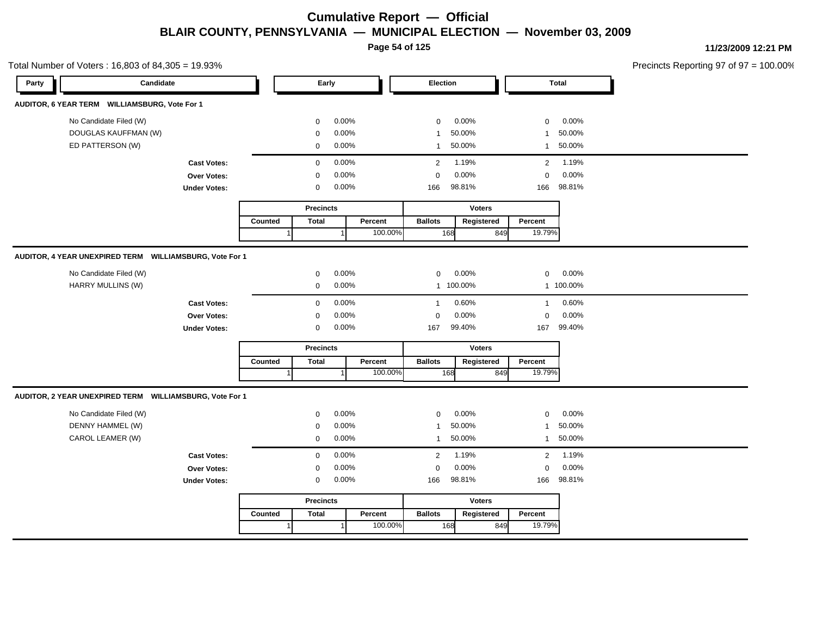**Page 54 of 125**

| Precincts Reporting 97 of 97 |           |                |               |           |                |         |          |                  |         |                     | Total Number of Voters: 16,803 of 84,305 = 19.93%       |       |
|------------------------------|-----------|----------------|---------------|-----------|----------------|---------|----------|------------------|---------|---------------------|---------------------------------------------------------|-------|
|                              | Total     |                |               |           | Election       |         |          | Early            |         |                     | Candidate                                               | Party |
|                              |           |                |               |           |                |         |          |                  |         |                     | AUDITOR, 6 YEAR TERM WILLIAMSBURG, Vote For 1           |       |
|                              | 0.00%     | 0              |               | 0.00%     | $\mathbf 0$    |         | 0.00%    | 0                |         |                     | No Candidate Filed (W)                                  |       |
|                              | 50.00%    | $\mathbf{1}$   |               | 50.00%    | $\mathbf{1}$   |         | 0.00%    | 0                |         |                     | DOUGLAS KAUFFMAN (W)                                    |       |
|                              | 50.00%    | $\mathbf{1}$   |               | 50.00%    | $\mathbf{1}$   |         | 0.00%    | $\mathbf 0$      |         |                     | ED PATTERSON (W)                                        |       |
|                              | 1.19%     | $\overline{2}$ |               | 1.19%     | $\overline{2}$ |         | 0.00%    | $\mathbf 0$      |         | <b>Cast Votes:</b>  |                                                         |       |
|                              | 0.00%     | $\mathsf 0$    |               | 0.00%     | $\pmb{0}$      |         | 0.00%    | 0                |         | Over Votes:         |                                                         |       |
|                              | 98.81%    | 166            |               | 98.81%    | 166            |         | $0.00\%$ | 0                |         | <b>Under Votes:</b> |                                                         |       |
|                              |           |                | <b>Voters</b> |           |                |         |          | <b>Precincts</b> |         |                     |                                                         |       |
|                              |           | Percent        | Registered    |           | <b>Ballots</b> | Percent |          | <b>Total</b>     | Counted |                     |                                                         |       |
|                              |           | 19.79%         | 849           | 168       |                | 100.00% |          |                  |         |                     |                                                         |       |
|                              |           |                |               |           |                |         |          |                  |         |                     | AUDITOR, 4 YEAR UNEXPIRED TERM WILLIAMSBURG, Vote For 1 |       |
|                              | 0.00%     | $\mathbf 0$    |               | 0.00%     | $\mathbf 0$    |         | 0.00%    | $\mathbf 0$      |         |                     | No Candidate Filed (W)                                  |       |
|                              | 1 100.00% |                |               | 1 100.00% |                |         | 0.00%    | $\mathbf 0$      |         |                     | HARRY MULLINS (W)                                       |       |
|                              | 0.60%     | $\mathbf{1}$   |               | 0.60%     | $\mathbf{1}$   |         | 0.00%    | $\mathbf 0$      |         | <b>Cast Votes:</b>  |                                                         |       |
|                              | 0.00%     | $\mathsf 0$    |               | 0.00%     | $\mathbf 0$    |         | 0.00%    | 0                |         | Over Votes:         |                                                         |       |
|                              | 99.40%    | 167            |               | 99.40%    | 167            |         | 0.00%    | $\mathbf 0$      |         | <b>Under Votes:</b> |                                                         |       |
|                              |           |                | <b>Voters</b> |           |                |         |          | <b>Precincts</b> |         |                     |                                                         |       |
|                              |           | Percent        | Registered    |           | <b>Ballots</b> | Percent |          | <b>Total</b>     | Counted |                     |                                                         |       |
|                              |           | 19.79%         | 849           | 168       |                | 100.00% | 1        |                  |         |                     |                                                         |       |
|                              |           |                |               |           |                |         |          |                  |         |                     | AUDITOR, 2 YEAR UNEXPIRED TERM WILLIAMSBURG, Vote For 1 |       |
|                              | 0.00%     | $\mathbf 0$    |               | 0.00%     | $\mathbf 0$    |         | 0.00%    | 0                |         |                     | No Candidate Filed (W)                                  |       |
|                              | 50.00%    | $\mathbf{1}$   |               | 50.00%    | $\mathbf{1}$   |         | 0.00%    | 0                |         |                     | DENNY HAMMEL (W)                                        |       |
|                              | 50.00%    | $\mathbf{1}$   |               | 50.00%    | $\mathbf{1}$   |         | 0.00%    | 0                |         |                     | CAROL LEAMER (W)                                        |       |
|                              | 1.19%     | $\overline{c}$ |               | 1.19%     | $\overline{2}$ |         | 0.00%    | $\mathbf 0$      |         | <b>Cast Votes:</b>  |                                                         |       |
|                              | 0.00%     | $\mathbf 0$    |               | 0.00%     | $\mathbf 0$    |         | 0.00%    | 0                |         | Over Votes:         |                                                         |       |
|                              | 98.81%    | 166            |               | 98.81%    | 166            |         | 0.00%    | 0                |         | <b>Under Votes:</b> |                                                         |       |
|                              |           |                |               |           |                |         |          |                  |         |                     |                                                         |       |
|                              |           |                | <b>Voters</b> |           |                |         |          | <b>Precincts</b> |         |                     |                                                         |       |
|                              |           | Percent        | Registered    |           | <b>Ballots</b> | Percent |          | <b>Total</b>     | Counted |                     |                                                         |       |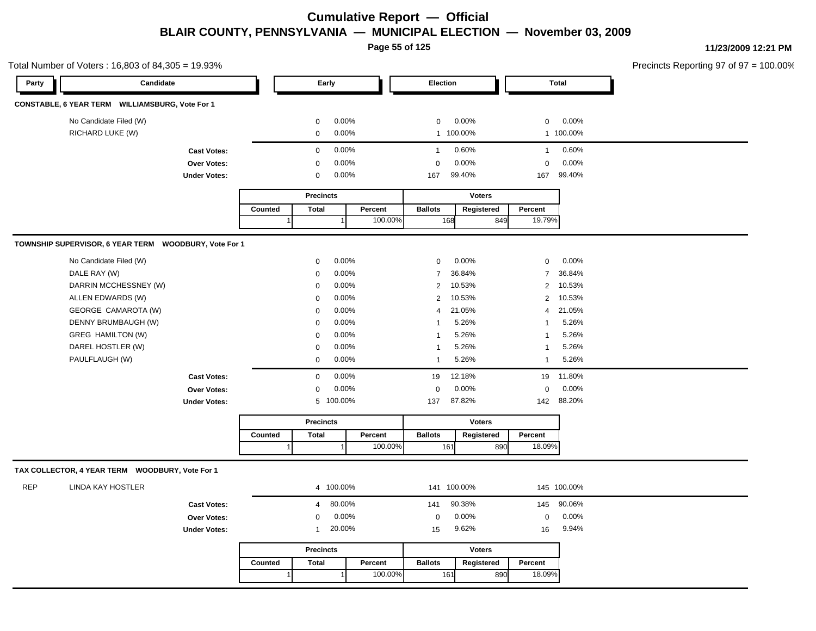**Page 55 of 125**

|       | Total Number of Voters: 16,803 of 84,305 = 19.93%     |                     |         |                          |              |                |               |                |              | Precincts Reporting 97 of 97 = 100.00% |
|-------|-------------------------------------------------------|---------------------|---------|--------------------------|--------------|----------------|---------------|----------------|--------------|----------------------------------------|
| Party | Candidate                                             |                     |         | Early                    |              | Election       |               |                | <b>Total</b> |                                        |
|       | CONSTABLE, 6 YEAR TERM WILLIAMSBURG, Vote For 1       |                     |         |                          |              |                |               |                |              |                                        |
|       | No Candidate Filed (W)                                |                     |         | $\mathbf 0$              | 0.00%        | $\mathbf 0$    | 0.00%         | $\overline{0}$ | $0.00\%$     |                                        |
|       | RICHARD LUKE (W)                                      |                     |         | $\overline{0}$           | 0.00%        |                | 1 100.00%     |                | 1 100.00%    |                                        |
|       |                                                       | <b>Cast Votes:</b>  |         | $\overline{0}$           | 0.00%        | $\mathbf{1}$   | 0.60%         | $\overline{1}$ | 0.60%        |                                        |
|       |                                                       | Over Votes:         |         | $\mathbf 0$              | 0.00%        | $\Omega$       | 0.00%         | $\mathbf 0$    | 0.00%        |                                        |
|       |                                                       | <b>Under Votes:</b> |         | $\mathbf 0$              | 0.00%        | 167            | 99.40%        |                | 167 99.40%   |                                        |
|       |                                                       |                     |         | <b>Precincts</b>         |              |                | <b>Voters</b> |                |              |                                        |
|       |                                                       |                     | Counted | <b>Total</b>             | Percent      | <b>Ballots</b> | Registered    | Percent        |              |                                        |
|       |                                                       |                     |         |                          | 100.00%      |                | 849<br>168    | 19.79%         |              |                                        |
|       |                                                       |                     |         |                          |              |                |               |                |              |                                        |
|       | TOWNSHIP SUPERVISOR, 6 YEAR TERM WOODBURY, Vote For 1 |                     |         |                          |              |                |               |                |              |                                        |
|       | No Candidate Filed (W)                                |                     |         | 0                        | 0.00%        | $\mathbf 0$    | 0.00%         | $\mathbf 0$    | $0.00\%$     |                                        |
|       | DALE RAY (W)                                          |                     |         | $\Omega$                 | 0.00%        | $\overline{7}$ | 36.84%        |                | 7 36.84%     |                                        |
|       | DARRIN MCCHESSNEY (W)                                 |                     |         | 0                        | $0.00\%$     |                | 2 10.53%      |                | 2 10.53%     |                                        |
|       | ALLEN EDWARDS (W)                                     |                     |         | $\mathbf 0$              | 0.00%        |                | 2 10.53%      |                | 2 10.53%     |                                        |
|       | GEORGE CAMAROTA (W)                                   |                     |         | $\mathbf 0$              | 0.00%        | $\overline{4}$ | 21.05%        |                | 4 21.05%     |                                        |
|       | DENNY BRUMBAUGH (W)                                   |                     |         | $\Omega$                 | 0.00%        | 1              | 5.26%         | $\overline{1}$ | 5.26%        |                                        |
|       | GREG HAMILTON (W)                                     |                     |         | $\Omega$                 | 0.00%        | $\mathbf{1}$   | 5.26%         | $\overline{1}$ | 5.26%        |                                        |
|       | DAREL HOSTLER (W)                                     |                     |         | 0                        | 0.00%        | 1              | 5.26%         | $\overline{1}$ | 5.26%        |                                        |
|       | PAULFLAUGH (W)                                        |                     |         | $\mathbf 0$              | 0.00%        | $\mathbf{1}$   | 5.26%         | $\mathbf{1}$   | 5.26%        |                                        |
|       |                                                       | <b>Cast Votes:</b>  |         | $\overline{0}$           | 0.00%        |                | 19 12.18%     |                | 19 11.80%    |                                        |
|       |                                                       | Over Votes:         |         | $\mathbf 0$              | 0.00%        | $\mathbf{0}$   | 0.00%         | $\mathbf 0$    | $0.00\%$     |                                        |
|       |                                                       | <b>Under Votes:</b> |         | 5 100.00%                |              | 137            | 87.82%        |                | 142 88.20%   |                                        |
|       |                                                       |                     |         | <b>Precincts</b>         |              |                | <b>Voters</b> |                |              |                                        |
|       |                                                       |                     | Counted | <b>Total</b>             | Percent      | <b>Ballots</b> | Registered    | Percent        |              |                                        |
|       |                                                       |                     |         |                          | 100.00%      |                | 161<br>890    | 18.09%         |              |                                        |
|       | TAX COLLECTOR, 4 YEAR TERM WOODBURY, Vote For 1       |                     |         |                          |              |                |               |                |              |                                        |
|       |                                                       |                     |         |                          |              |                |               |                |              |                                        |
| REP   | LINDA KAY HOSTLER                                     |                     |         | 4 100.00%                |              |                | 141 100.00%   |                | 145 100.00%  |                                        |
|       |                                                       | <b>Cast Votes:</b>  |         | 80.00%<br>$\overline{4}$ |              | 141            | 90.38%        |                | 145 90.06%   |                                        |
|       |                                                       | Over Votes:         |         | $\Omega$                 | 0.00%        | $\mathbf 0$    | 0.00%         | $\mathbf 0$    | 0.00%        |                                        |
|       |                                                       | <b>Under Votes:</b> |         | 20.00%<br>$\mathbf 1$    |              | 15             | 9.62%         | 16             | 9.94%        |                                        |
|       |                                                       |                     |         | <b>Precincts</b>         |              |                | <b>Voters</b> |                |              |                                        |
|       |                                                       |                     | Counted | <b>Total</b>             | Percent      | <b>Ballots</b> | Registered    | Percent        |              |                                        |
|       |                                                       |                     |         |                          | 100.00%<br>1 |                | 890<br>161    | 18.09%         |              |                                        |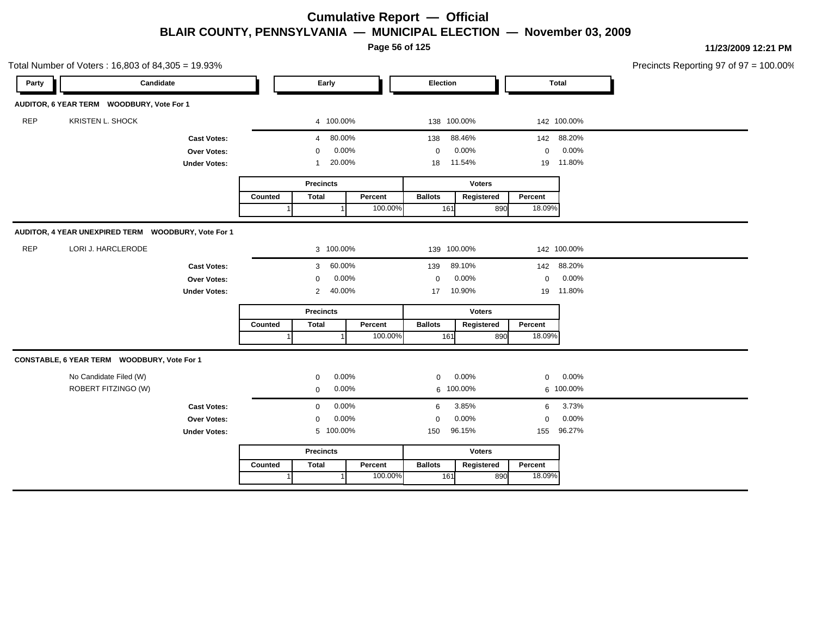**Page 56 of 125**

**11/23/2009 12:21 PM**

| Total Number of Voters: 16,803 of 84,305 = 19.93% |                                                     |                     |         |                          |         |                |               |             |              | Precincts Reporting 97 of 97 = 1 |
|---------------------------------------------------|-----------------------------------------------------|---------------------|---------|--------------------------|---------|----------------|---------------|-------------|--------------|----------------------------------|
| Party                                             | Candidate                                           |                     |         | Early                    |         | Election       |               |             | <b>Total</b> |                                  |
|                                                   | AUDITOR, 6 YEAR TERM WOODBURY, Vote For 1           |                     |         |                          |         |                |               |             |              |                                  |
| <b>REP</b>                                        | KRISTEN L. SHOCK                                    |                     |         | 4 100.00%                |         |                | 138 100.00%   |             | 142 100.00%  |                                  |
|                                                   |                                                     | <b>Cast Votes:</b>  |         | 80.00%<br>4              |         | 138            | 88.46%        | 142         | 88.20%       |                                  |
|                                                   |                                                     | Over Votes:         |         | 0.00%<br>$\Omega$        |         | 0              | 0.00%         | $\mathbf 0$ | 0.00%        |                                  |
|                                                   | <b>Under Votes:</b>                                 |                     |         | 20.00%<br>1              |         | 18             | 11.54%        |             | 19 11.80%    |                                  |
|                                                   |                                                     |                     |         | <b>Precincts</b>         |         |                | <b>Voters</b> |             |              |                                  |
|                                                   |                                                     |                     | Counted | <b>Total</b>             | Percent | <b>Ballots</b> | Registered    | Percent     |              |                                  |
|                                                   |                                                     |                     |         |                          | 100.00% | 161            | 890           | 18.09%      |              |                                  |
|                                                   | AUDITOR, 4 YEAR UNEXPIRED TERM WOODBURY, Vote For 1 |                     |         |                          |         |                |               |             |              |                                  |
| <b>REP</b>                                        | LORI J. HARCLERODE                                  |                     |         | 3 100.00%                |         |                | 139 100.00%   |             | 142 100.00%  |                                  |
|                                                   |                                                     | <b>Cast Votes:</b>  |         | 60.00%<br>3              |         | 139            | 89.10%        | 142         | 88.20%       |                                  |
|                                                   |                                                     | Over Votes:         |         | 0.00%<br>0               |         | $\mathbf 0$    | 0.00%         | $\mathbf 0$ | 0.00%        |                                  |
|                                                   |                                                     | <b>Under Votes:</b> |         | 40.00%<br>$\overline{c}$ |         | 10.90%<br>17   |               |             | 19 11.80%    |                                  |
|                                                   |                                                     |                     |         | <b>Precincts</b>         |         | <b>Voters</b>  |               |             |              |                                  |
|                                                   |                                                     |                     | Counted | <b>Total</b>             | Percent | <b>Ballots</b> | Registered    | Percent     |              |                                  |
|                                                   |                                                     |                     |         |                          | 100.00% | 161            | 890           | 18.09%      |              |                                  |
|                                                   | CONSTABLE, 6 YEAR TERM WOODBURY, Vote For 1         |                     |         |                          |         |                |               |             |              |                                  |
|                                                   | No Candidate Filed (W)                              |                     |         | 0.00%<br>0               |         | 0              | 0.00%         | 0           | 0.00%        |                                  |
|                                                   | ROBERT FITZINGO (W)                                 |                     |         | 0.00%<br>$\mathbf 0$     |         |                | 6 100.00%     |             | 6 100.00%    |                                  |
|                                                   |                                                     | <b>Cast Votes:</b>  |         | 0.00%<br>$\mathbf 0$     |         | 6              | 3.85%         | 6           | 3.73%        |                                  |
|                                                   |                                                     | Over Votes:         |         | 0.00%<br>0               |         | $\mathbf 0$    | 0.00%         | 0           | 0.00%        |                                  |
|                                                   |                                                     | <b>Under Votes:</b> |         | 5 100.00%                |         | 150            | 96.15%        | 155         | 96.27%       |                                  |
|                                                   |                                                     |                     |         | <b>Precincts</b>         |         |                | <b>Voters</b> |             |              |                                  |
|                                                   |                                                     |                     | Counted | <b>Total</b>             | Percent | <b>Ballots</b> | Registered    | Percent     |              |                                  |
|                                                   |                                                     |                     |         |                          | 100.00% | 161            | 890           | 18.09%      |              |                                  |

 $100.00\%$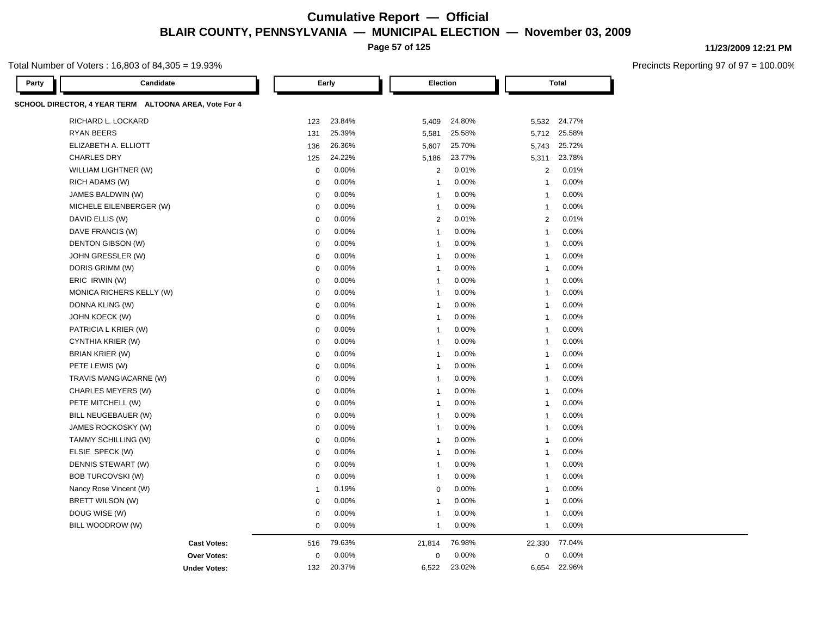**Page 57 of 125**

#### Total Number of Voters : 16,803 of 84,305 = 19.93%

| Candidate<br>Party                                    |                | Early  | <b>Election</b>          |        |                         | <b>Total</b> |  |
|-------------------------------------------------------|----------------|--------|--------------------------|--------|-------------------------|--------------|--|
| SCHOOL DIRECTOR, 4 YEAR TERM ALTOONA AREA, Vote For 4 |                |        |                          |        |                         |              |  |
| RICHARD L. LOCKARD                                    | 123            | 23.84% | 5,409                    | 24.80% | 5,532                   | 24.77%       |  |
| <b>RYAN BEERS</b>                                     | 131            | 25.39% | 5,581                    | 25.58% | 5,712                   | 25.58%       |  |
| ELIZABETH A. ELLIOTT                                  | 136            | 26.36% | 5,607                    | 25.70% | 5,743                   | 25.72%       |  |
| <b>CHARLES DRY</b>                                    | 125            | 24.22% | 5,186                    | 23.77% | 5,311                   | 23.78%       |  |
| WILLIAM LIGHTNER (W)                                  | $\mathbf 0$    | 0.00%  | 2                        | 0.01%  | $\overline{2}$          | 0.01%        |  |
| RICH ADAMS (W)                                        | 0              | 0.00%  | $\overline{1}$           | 0.00%  | $\overline{1}$          | 0.00%        |  |
| JAMES BALDWIN (W)                                     | $\mathbf 0$    | 0.00%  | 1                        | 0.00%  | $\overline{1}$          | 0.00%        |  |
| MICHELE EILENBERGER (W)                               | $\mathbf 0$    | 0.00%  | $\overline{\phantom{a}}$ | 0.00%  | $\overline{1}$          | 0.00%        |  |
| DAVID ELLIS (W)                                       | $\mathbf 0$    | 0.00%  | $\overline{2}$           | 0.01%  | $\overline{2}$          | 0.01%        |  |
| DAVE FRANCIS (W)                                      | $\mathbf 0$    | 0.00%  | 1                        | 0.00%  | $\overline{1}$          | 0.00%        |  |
| DENTON GIBSON (W)                                     | $\mathbf 0$    | 0.00%  | $\overline{\phantom{a}}$ | 0.00%  | $\overline{1}$          | 0.00%        |  |
| JOHN GRESSLER (W)                                     | $\mathbf 0$    | 0.00%  | 1                        | 0.00%  | $\mathbf{1}$            | 0.00%        |  |
| DORIS GRIMM (W)                                       | $\pmb{0}$      | 0.00%  | -1                       | 0.00%  | $\overline{1}$          | 0.00%        |  |
| ERIC IRWIN (W)                                        | $\mathbf 0$    | 0.00%  | $\overline{\phantom{a}}$ | 0.00%  | 1                       | 0.00%        |  |
| MONICA RICHERS KELLY (W)                              | $\mathbf 0$    | 0.00%  | $\overline{1}$           | 0.00%  | $\overline{1}$          | 0.00%        |  |
| DONNA KLING (W)                                       | $\mathbf 0$    | 0.00%  | $\overline{1}$           | 0.00%  | $\overline{1}$          | 0.00%        |  |
| JOHN KOECK (W)                                        | $\mathbf 0$    | 0.00%  | $\overline{\phantom{a}}$ | 0.00%  | $\overline{\mathbf{1}}$ | 0.00%        |  |
| PATRICIA L KRIER (W)                                  | 0              | 0.00%  | $\overline{1}$           | 0.00%  | $\mathbf{1}$            | 0.00%        |  |
| CYNTHIA KRIER (W)                                     | $\mathbf 0$    | 0.00%  | 1                        | 0.00%  | $\overline{1}$          | 0.00%        |  |
| <b>BRIAN KRIER (W)</b>                                | $\pmb{0}$      | 0.00%  | $\overline{\phantom{a}}$ | 0.00%  | 1                       | 0.00%        |  |
| PETE LEWIS (W)                                        | $\mathbf 0$    | 0.00%  | $\overline{1}$           | 0.00%  | $\overline{1}$          | 0.00%        |  |
| TRAVIS MANGIACARNE (W)                                | $\mathbf 0$    | 0.00%  | $\overline{\phantom{a}}$ | 0.00%  | $\overline{1}$          | 0.00%        |  |
| CHARLES MEYERS (W)                                    | $\mathbf 0$    | 0.00%  | -1                       | 0.00%  | $\overline{1}$          | 0.00%        |  |
| PETE MITCHELL (W)                                     | $\mathbf 0$    | 0.00%  | 1                        | 0.00%  | $\mathbf{1}$            | 0.00%        |  |
| BILL NEUGEBAUER (W)                                   | $\pmb{0}$      | 0.00%  | -1                       | 0.00%  | $\overline{1}$          | 0.00%        |  |
| JAMES ROCKOSKY (W)                                    | $\mathbf 0$    | 0.00%  | $\overline{\phantom{a}}$ | 0.00%  | 1                       | 0.00%        |  |
| TAMMY SCHILLING (W)                                   | $\mathbf 0$    | 0.00%  | $\overline{1}$           | 0.00%  | $\overline{1}$          | 0.00%        |  |
| ELSIE SPECK (W)                                       | $\mathbf 0$    | 0.00%  | $\overline{1}$           | 0.00%  | $\overline{1}$          | 0.00%        |  |
| DENNIS STEWART (W)                                    | $\mathbf 0$    | 0.00%  | $\overline{\phantom{a}}$ | 0.00%  | $\overline{1}$          | 0.00%        |  |
| <b>BOB TURCOVSKI (W)</b>                              | 0              | 0.00%  | $\overline{1}$           | 0.00%  | $\overline{1}$          | 0.00%        |  |
| Nancy Rose Vincent (W)                                | $\overline{1}$ | 0.19%  | $\mathbf 0$              | 0.00%  | $\overline{1}$          | 0.00%        |  |
| BRETT WILSON (W)                                      | $\pmb{0}$      | 0.00%  | $\overline{\phantom{a}}$ | 0.00%  | 1                       | 0.00%        |  |
| DOUG WISE (W)                                         | $\mathbf 0$    | 0.00%  | $\overline{\phantom{a}}$ | 0.00%  | 1                       | 0.00%        |  |
| BILL WOODROW (W)                                      | $\mathbf 0$    | 0.00%  | $\mathbf{1}$             | 0.00%  | $\overline{1}$          | 0.00%        |  |
| <b>Cast Votes:</b>                                    | 516            | 79.63% | 21,814                   | 76.98% | 22,330                  | 77.04%       |  |
| <b>Over Votes:</b>                                    | $\mathbf 0$    | 0.00%  | $\mathbf 0$              | 0.00%  | 0                       | 0.00%        |  |
| <b>Under Votes:</b>                                   | 132            | 20.37% | 6,522                    | 23.02% | 6,654                   | 22.96%       |  |

**11/23/2009 12:21 PM**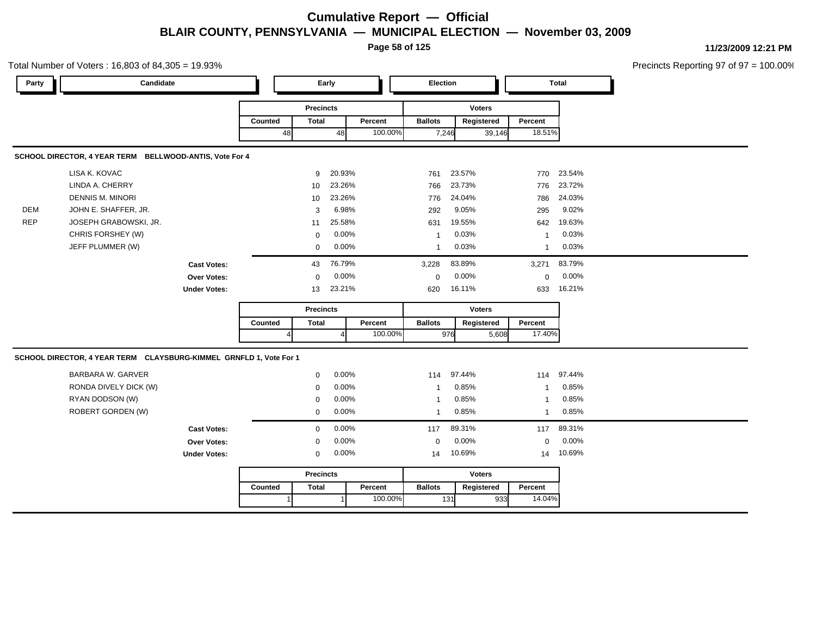**Page 58 of 125**

Total Number of Voters : 16,803 of 84,305 = 19.93% Precincts Reporting 97 of 97 = 100.00% **Party Candidate Early Election Total Precincts Counted** 48 **Percent** Ballots 48 100.00% **Voters** 7,246 39,146 **Ballots Registered Percent** 18.51% **SCHOOL DIRECTOR, 4 YEAR TERM BELLWOOD-ANTIS, Vote For 4** LISA K. KOVAC 9 20.93% 761 23.57% 770 23.54% LINDA A. CHERRY 10 23.26% 766 23.73% 776 23.72% DENNIS M. MINORI 10 23.26% 776 24.04% 786 24.03% DEM JOHN E. SHAFFER, JR. 3 6.98% 292 9.05% 295 9.02% REP JOSEPH GRABOWSKI, JR. 11 25.58% 631 19.55% 631 19.55% 642 19.63% CHRIS FORSHEY (W) 0 0.00% 1 0.03% 1 0.03% JEFF PLUMMER (W) 0 0.00% 1 0.03% 1 0.03% **Cast Votes:** 43 76.79% 3,228 83.89% 3,271 83.79% **Over Votes:** 0 0.00% Under Votes: 13 23.21% 0.00% 0 23.21% 620 633 0.00% 0 0.00% 16.11% 16.21% **Precincts Counted** 4 **Percent** | **Ballots** 4 100.00% **Voters** 976 5,608 **Ballots Registered Percent** 17.40% **SCHOOL DIRECTOR, 4 YEAR TERM CLAYSBURG-KIMMEL GRNFLD 1, Vote For 1** BARBARA W. GARVER 0 0.00% 114 97.44% 114 97.44% RONDA DIVELY DICK (W) 0 0.00% 1 0.85% 1 0.85% RYAN DODSON (W) 0 0.00% 1 0.85% 1 0.85% ROBERT GORDEN (W) 0 0.00% 1 0.85% 1 0.85% **Cast Votes:** 0 0.00% 117 89.31% 117 89.31% **Over Votes:** 0 **Under Votes:** 0 0.00% 0 0.00% 14 10.69% 14 10.69% 0.00% 0 0.00% 10.69% 10.69% **Precincts Counted** 1 **Percent** | **Ballots**  1 100.00% **Voters** 131 933 **Ballots Registered Percent** 14.04%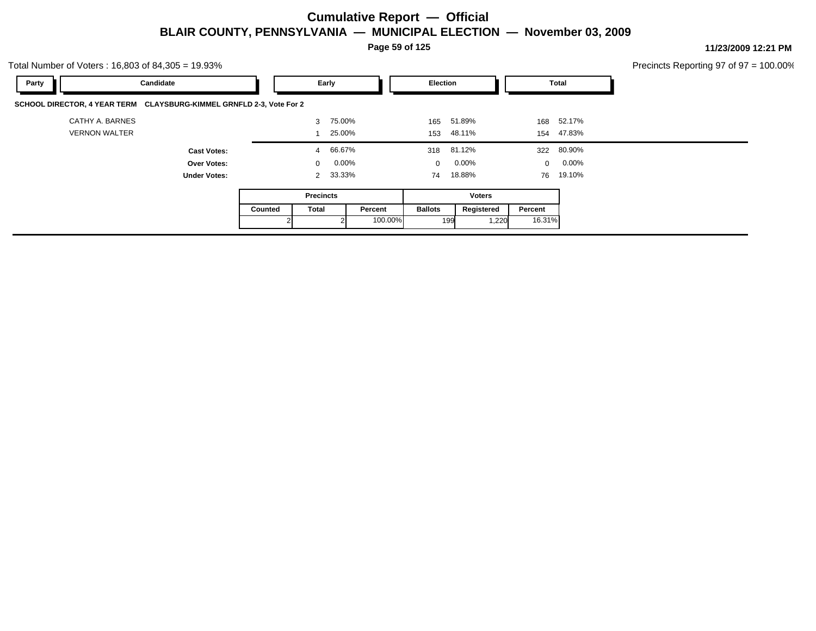**Page 59 of 125**

|       | Total Number of Voters: 16,803 of 84,305 = 19.93%                    |         |                      |         |                |                 |         |                 | Precincts Reporting 97 of 97 = 100.00% |  |
|-------|----------------------------------------------------------------------|---------|----------------------|---------|----------------|-----------------|---------|-----------------|----------------------------------------|--|
| Party | Candidate                                                            |         | Early                |         | Election       |                 |         | Total           |                                        |  |
|       | SCHOOL DIRECTOR, 4 YEAR TERM CLAYSBURG-KIMMEL GRNFLD 2-3, Vote For 2 |         |                      |         |                |                 |         |                 |                                        |  |
|       | CATHY A. BARNES                                                      |         | 75.00%<br>3          |         |                | 165 51.89%      |         | 168 52.17%      |                                        |  |
|       | <b>VERNON WALTER</b>                                                 |         | 25.00%               |         |                | 153 48.11%      |         | 154 47.83%      |                                        |  |
|       | <b>Cast Votes:</b>                                                   |         | 66.67%<br>4          |         |                | 318 81.12%      |         | 322 80.90%      |                                        |  |
|       | <b>Over Votes:</b>                                                   |         | $0.00\%$<br>$\Omega$ |         |                | $0\quad 0.00\%$ |         | $0\quad 0.00\%$ |                                        |  |
|       | <b>Under Votes:</b>                                                  |         | 2 33.33%             |         |                | 74 18.88%       |         | 76 19.10%       |                                        |  |
|       |                                                                      |         | <b>Precincts</b>     |         |                | Voters          |         |                 |                                        |  |
|       |                                                                      | Counted | Total                | Percent | <b>Ballots</b> | Registered      | Percent |                 |                                        |  |
|       |                                                                      |         |                      | 100.00% |                | 1,220<br>199    | 16.31%  |                 |                                        |  |
|       |                                                                      |         |                      |         |                |                 |         |                 |                                        |  |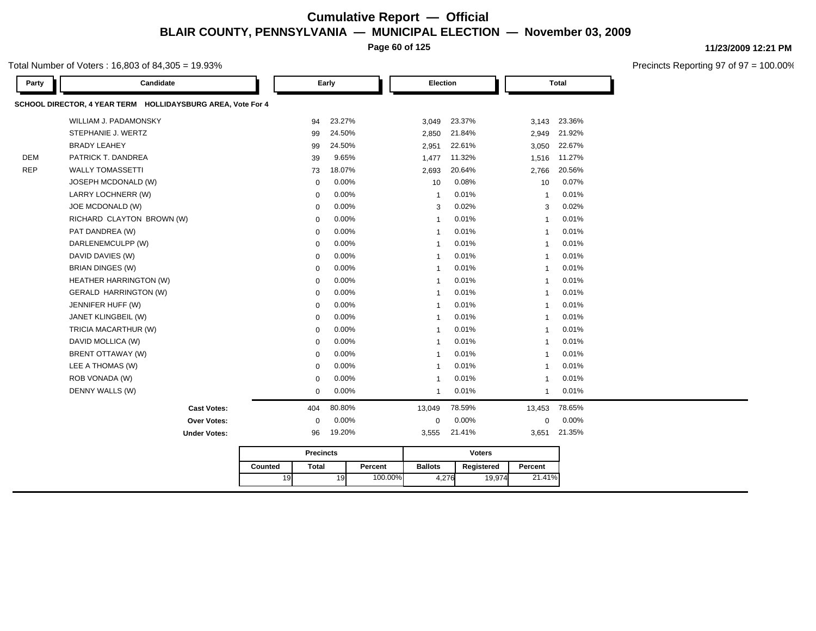**Page 60 of 125**

#### Total Number of Voters : 16,803 of 84,305 = 19.93%

| Party      | Candidate                                                   |         | Early            |        |         | <b>Election</b> |                 |                | Total  |
|------------|-------------------------------------------------------------|---------|------------------|--------|---------|-----------------|-----------------|----------------|--------|
|            | SCHOOL DIRECTOR, 4 YEAR TERM HOLLIDAYSBURG AREA, Vote For 4 |         |                  |        |         |                 |                 |                |        |
|            | WILLIAM J. PADAMONSKY                                       |         | 94               | 23.27% |         | 3,049           | 23.37%          | 3,143          | 23.36% |
|            | STEPHANIE J. WERTZ                                          |         | 99               | 24.50% |         | 2,850           | 21.84%          | 2,949          | 21.92% |
|            | <b>BRADY LEAHEY</b>                                         |         | 99               | 24.50% |         | 2,951           | 22.61%          | 3,050          | 22.67% |
| <b>DEM</b> | PATRICK T. DANDREA                                          |         | 39               | 9.65%  |         | 1,477           | 11.32%          | 1,516          | 11.27% |
| <b>REP</b> | <b>WALLY TOMASSETTI</b>                                     |         | 73               | 18.07% |         | 2,693           | 20.64%          | 2,766          | 20.56% |
|            | JOSEPH MCDONALD (W)                                         |         | $\mathbf 0$      | 0.00%  |         | 10              | 0.08%           | 10             | 0.07%  |
|            | LARRY LOCHNERR (W)                                          |         | $\mathbf 0$      | 0.00%  |         | $\mathbf{1}$    | 0.01%           | $\overline{1}$ | 0.01%  |
|            | JOE MCDONALD (W)                                            |         | $\mathbf 0$      | 0.00%  |         | 3               | 0.02%           | 3              | 0.02%  |
|            | RICHARD CLAYTON BROWN (W)                                   |         | $\mathbf 0$      | 0.00%  |         | $\mathbf{1}$    | 0.01%           | $\overline{1}$ | 0.01%  |
|            | PAT DANDREA (W)                                             |         | $\mathbf 0$      | 0.00%  |         | $\mathbf{1}$    | 0.01%           | $\overline{1}$ | 0.01%  |
|            | DARLENEMCULPP (W)                                           |         | $\mathbf 0$      | 0.00%  |         | $\overline{1}$  | 0.01%           | $\overline{1}$ | 0.01%  |
|            | DAVID DAVIES (W)                                            |         | $\mathbf 0$      | 0.00%  |         | $\overline{1}$  | 0.01%           | $\mathbf{1}$   | 0.01%  |
|            | <b>BRIAN DINGES (W)</b>                                     |         | $\mathbf 0$      | 0.00%  |         | $\mathbf{1}$    | 0.01%           | $\mathbf{1}$   | 0.01%  |
|            | HEATHER HARRINGTON (W)                                      |         | $\mathbf 0$      | 0.00%  |         | $\overline{1}$  | 0.01%           | $\overline{1}$ | 0.01%  |
|            | <b>GERALD HARRINGTON (W)</b>                                |         | $\mathbf 0$      | 0.00%  |         | $\mathbf 1$     | 0.01%           | $\mathbf{1}$   | 0.01%  |
|            | JENNIFER HUFF (W)                                           |         | $\mathbf 0$      | 0.00%  |         | $\mathbf{1}$    | 0.01%           | $\mathbf{1}$   | 0.01%  |
|            | JANET KLINGBEIL (W)                                         |         | $\mathbf 0$      | 0.00%  |         | $\overline{1}$  | 0.01%           | $\overline{1}$ | 0.01%  |
|            | TRICIA MACARTHUR (W)                                        |         | $\mathbf 0$      | 0.00%  |         | $\overline{1}$  | 0.01%           | $\overline{1}$ | 0.01%  |
|            | DAVID MOLLICA (W)                                           |         | $\mathbf 0$      | 0.00%  |         | $\overline{1}$  | 0.01%           | $\mathbf{1}$   | 0.01%  |
|            | BRENT OTTAWAY (W)                                           |         | $\mathbf 0$      | 0.00%  |         | $\mathbf{1}$    | 0.01%           | $\mathbf{1}$   | 0.01%  |
|            | LEE A THOMAS (W)                                            |         | $\mathbf 0$      | 0.00%  |         | $\mathbf{1}$    | 0.01%           | $\mathbf{1}$   | 0.01%  |
|            | ROB VONADA (W)                                              |         | $\mathbf 0$      | 0.00%  |         | $\overline{1}$  | 0.01%           | $\overline{1}$ | 0.01%  |
|            | DENNY WALLS (W)                                             |         | $\mathsf 0$      | 0.00%  |         | $\mathbf{1}$    | 0.01%           | $\mathbf{1}$   | 0.01%  |
|            | <b>Cast Votes:</b>                                          |         | 404              | 80.80% |         | 13,049          | 78.59%          | 13,453         | 78.65% |
|            | Over Votes:                                                 |         | $\mathbf 0$      | 0.00%  |         | $\mathsf 0$     | 0.00%           | $\mathsf 0$    | 0.00%  |
|            | <b>Under Votes:</b>                                         |         | 96               | 19.20% |         | 3,555           | 21.41%          | 3,651          | 21.35% |
|            |                                                             |         | <b>Precincts</b> |        |         |                 | <b>Voters</b>   |                |        |
|            |                                                             | Counted | <b>Total</b>     |        | Percent | <b>Ballots</b>  | Registered      | Percent        |        |
|            |                                                             | 19      |                  | 19     | 100.00% |                 | 4,276<br>19,974 | 21.41%         |        |

**11/23/2009 12:21 PM**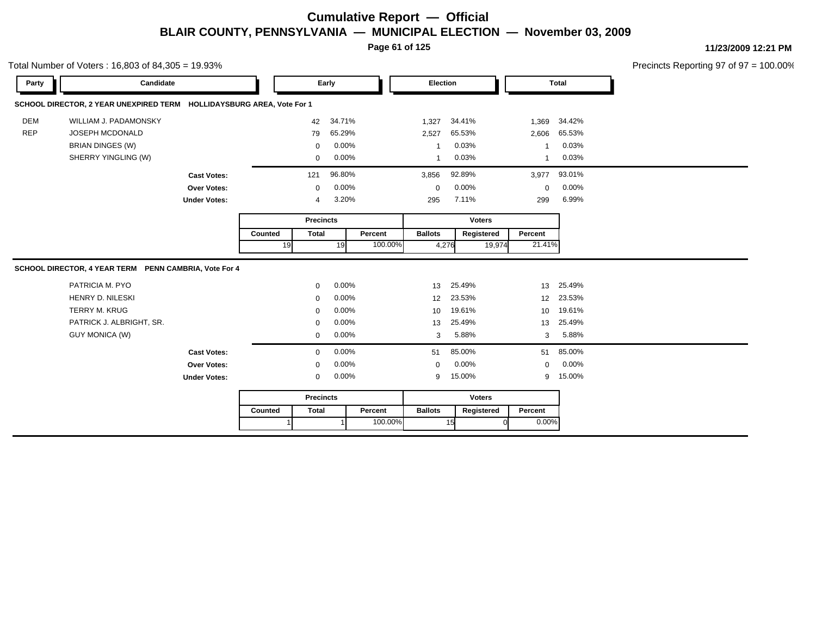**Page 61 of 125**

Total Number of Voters : 16,803 of 84,305 = 19.93%

**11/23/2009 12:21 PM**

| Candidate<br>Party                                                    |         | Early            |        |         | Election       |               |        | <b>Total</b>    |        |
|-----------------------------------------------------------------------|---------|------------------|--------|---------|----------------|---------------|--------|-----------------|--------|
| SCHOOL DIRECTOR, 2 YEAR UNEXPIRED TERM HOLLIDAYSBURG AREA, Vote For 1 |         |                  |        |         |                |               |        |                 |        |
| <b>DEM</b><br>WILLIAM J. PADAMONSKY                                   |         | 42               | 34.71% |         | 1,327          | 34.41%        |        | 1,369           | 34.42% |
| <b>REP</b><br>JOSEPH MCDONALD                                         |         | 79               | 65.29% |         | 2,527          | 65.53%        |        | 2,606           | 65.53% |
| <b>BRIAN DINGES (W)</b>                                               |         | 0                | 0.00%  |         | -1             | 0.03%         |        |                 | 0.03%  |
| SHERRY YINGLING (W)                                                   |         | 0                | 0.00%  |         | $\mathbf 1$    | 0.03%         |        |                 | 0.03%  |
| <b>Cast Votes:</b>                                                    |         | 121              | 96.80% |         | 3,856          | 92.89%        |        | 3,977           | 93.01% |
| Over Votes:                                                           |         | $\mathbf 0$      | 0.00%  |         | 0              | 0.00%         |        | $\mathbf 0$     | 0.00%  |
| <b>Under Votes:</b>                                                   |         | 4                | 3.20%  |         | 295            | 7.11%         |        | 299             | 6.99%  |
|                                                                       |         | <b>Precincts</b> |        |         |                | <b>Voters</b> |        |                 |        |
|                                                                       | Counted | <b>Total</b>     |        | Percent | <b>Ballots</b> | Registered    |        | Percent         |        |
|                                                                       | 19      |                  | 19     | 100.00% | 4,276          |               | 19,974 | 21.41%          |        |
| SCHOOL DIRECTOR, 4 YEAR TERM PENN CAMBRIA, Vote For 4                 |         |                  |        |         |                |               |        |                 |        |
| PATRICIA M. PYO                                                       |         |                  |        |         |                |               |        |                 |        |
|                                                                       |         | $\mathbf 0$      | 0.00%  |         | 13             | 25.49%        |        | 13              | 25.49% |
| HENRY D. NILESKI                                                      |         | $\Omega$         | 0.00%  |         | 12             | 23.53%        |        | 12 <sup>2</sup> | 23.53% |
| <b>TERRY M. KRUG</b>                                                  |         | $\Omega$         | 0.00%  |         | 10             | 19.61%        |        | 10 <sup>°</sup> | 19.61% |
| PATRICK J. ALBRIGHT, SR.                                              |         | 0                | 0.00%  |         | 13             | 25.49%        |        | 13              | 25.49% |
| <b>GUY MONICA (W)</b>                                                 |         | 0                | 0.00%  |         | 3              | 5.88%         |        | 3               | 5.88%  |
| <b>Cast Votes:</b>                                                    |         | 0                | 0.00%  |         | 51             | 85.00%        |        | 51              | 85.00% |
| Over Votes:                                                           |         | 0                | 0.00%  |         | $\mathbf 0$    | 0.00%         |        | $\mathbf 0$     | 0.00%  |
| <b>Under Votes:</b>                                                   |         | $\mathbf 0$      | 0.00%  |         | 9              | 15.00%        |        | 9               | 15.00% |
|                                                                       |         | <b>Precincts</b> |        |         |                | <b>Voters</b> |        |                 |        |
|                                                                       | Counted | <b>Total</b>     |        | Percent | <b>Ballots</b> | Registered    |        | Percent         |        |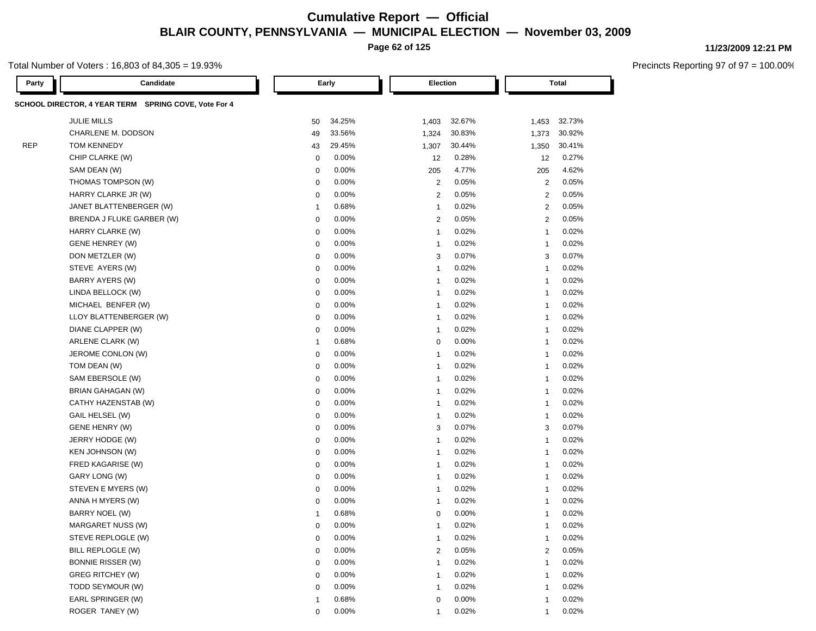**Page 62 of 125**

#### Total Number of Voters : 16,803 of 84,305 = 19.93%

| Party      | Candidate                                            |              | Early    | Election       |        |                | <b>Total</b> |
|------------|------------------------------------------------------|--------------|----------|----------------|--------|----------------|--------------|
|            | SCHOOL DIRECTOR, 4 YEAR TERM SPRING COVE, Vote For 4 |              |          |                |        |                |              |
|            | <b>JULIE MILLS</b>                                   | 50           | 34.25%   | 1,403          | 32.67% | 1,453          | 32.73%       |
|            | CHARLENE M. DODSON                                   | 49           | 33.56%   | 1,324          | 30.83% | 1,373          | 30.92%       |
| <b>REP</b> | <b>TOM KENNEDY</b>                                   | 43           | 29.45%   | 1,307          | 30.44% | 1,350          | 30.41%       |
|            | CHIP CLARKE (W)                                      | $\mathbf 0$  | 0.00%    | 12             | 0.28%  | 12             | 0.27%        |
|            | SAM DEAN (W)                                         | 0            | 0.00%    | 205            | 4.77%  | 205            | 4.62%        |
|            | THOMAS TOMPSON (W)                                   | 0            | 0.00%    | $\overline{2}$ | 0.05%  | $\overline{2}$ | 0.05%        |
|            | HARRY CLARKE JR (W)                                  | 0            | 0.00%    | $\overline{2}$ | 0.05%  | 2              | 0.05%        |
|            | JANET BLATTENBERGER (W)                              | $\mathbf{1}$ | 0.68%    | $\mathbf{1}$   | 0.02%  | $\overline{2}$ | 0.05%        |
|            | BRENDA J FLUKE GARBER (W)                            | 0            | 0.00%    | $\overline{2}$ | 0.05%  | 2              | 0.05%        |
|            | HARRY CLARKE (W)                                     | $\mathbf 0$  | 0.00%    | $\overline{1}$ | 0.02%  | $\overline{1}$ | 0.02%        |
|            | <b>GENE HENREY (W)</b>                               | $\mathbf 0$  | 0.00%    | $\overline{1}$ | 0.02%  | $\overline{1}$ | 0.02%        |
|            | DON METZLER (W)                                      | $\mathbf 0$  | 0.00%    | 3              | 0.07%  | 3              | 0.07%        |
|            | STEVE AYERS (W)                                      | $\mathbf 0$  | 0.00%    | $\overline{1}$ | 0.02%  | $\overline{1}$ | 0.02%        |
|            | BARRY AYERS (W)                                      | $\mathbf 0$  | 0.00%    | $\overline{1}$ | 0.02%  | $\overline{1}$ | 0.02%        |
|            | LINDA BELLOCK (W)                                    | $\mathbf 0$  | 0.00%    | $\overline{1}$ | 0.02%  | $\overline{1}$ | 0.02%        |
|            | MICHAEL BENFER (W)                                   | $\mathbf 0$  | 0.00%    | $\overline{1}$ | 0.02%  | $\mathbf{1}$   | 0.02%        |
|            | LLOY BLATTENBERGER (W)                               | $\mathbf 0$  | 0.00%    | $\overline{1}$ | 0.02%  | $\overline{1}$ | 0.02%        |
|            | DIANE CLAPPER (W)                                    | $\mathbf 0$  | 0.00%    | $\overline{1}$ | 0.02%  | $\overline{1}$ | 0.02%        |
|            | ARLENE CLARK (W)                                     | $\mathbf{1}$ | 0.68%    | 0              | 0.00%  | $\overline{1}$ | 0.02%        |
|            | JEROME CONLON (W)                                    | $\mathbf 0$  | 0.00%    | $\overline{1}$ | 0.02%  | -1             | 0.02%        |
|            | TOM DEAN (W)                                         | 0            | 0.00%    | $\overline{1}$ | 0.02%  | $\mathbf{1}$   | 0.02%        |
|            | SAM EBERSOLE (W)                                     | $\mathbf 0$  | 0.00%    | $\overline{1}$ | 0.02%  | $\overline{1}$ | 0.02%        |
|            | BRIAN GAHAGAN (W)                                    | $\mathbf 0$  | 0.00%    | $\overline{1}$ | 0.02%  | $\mathbf{1}$   | 0.02%        |
|            | CATHY HAZENSTAB (W)                                  | $\mathbf 0$  | 0.00%    | $\overline{1}$ | 0.02%  | $\mathbf{1}$   | 0.02%        |
|            | GAIL HELSEL (W)                                      | $\mathbf 0$  | 0.00%    | $\overline{1}$ | 0.02%  | $\mathbf{1}$   | 0.02%        |
|            | GENE HENRY (W)                                       | $\mathbf 0$  | 0.00%    | 3              | 0.07%  | 3              | 0.07%        |
|            | JERRY HODGE (W)                                      | $\mathbf 0$  | 0.00%    | $\overline{1}$ | 0.02%  | $\overline{1}$ | 0.02%        |
|            | <b>KEN JOHNSON (W)</b>                               | $\mathbf 0$  | 0.00%    | $\overline{1}$ | 0.02%  | $\overline{1}$ | 0.02%        |
|            | FRED KAGARISE (W)                                    | $\mathbf 0$  | 0.00%    | $\overline{1}$ | 0.02%  | $\overline{1}$ | 0.02%        |
|            | GARY LONG (W)                                        | $\mathbf 0$  | 0.00%    | $\overline{1}$ | 0.02%  | $\overline{1}$ | 0.02%        |
|            | STEVEN E MYERS (W)                                   | 0            | 0.00%    | $\overline{1}$ | 0.02%  | $\mathbf{1}$   | 0.02%        |
|            | ANNA H MYERS (W)                                     | 0            | 0.00%    | -1             | 0.02%  | $\mathbf{1}$   | 0.02%        |
|            | BARRY NOEL (W)                                       | -1           | 0.68%    | 0              | 0.00%  | 1              | 0.02%        |
|            | MARGARET NUSS (W)                                    | $\Omega$     | 0.00%    | -1             | 0.02%  | -1             | 0.02%        |
|            | STEVE REPLOGLE (W)                                   | 0            | $0.00\%$ | 1              | 0.02%  | 1              | 0.02%        |
|            | BILL REPLOGLE (W)                                    | $\mathbf 0$  | 0.00%    | $\overline{2}$ | 0.05%  | $\overline{2}$ | 0.05%        |
|            | <b>BONNIE RISSER (W)</b>                             | 0            | 0.00%    | $\overline{1}$ | 0.02%  | $\mathbf{1}$   | 0.02%        |
|            | <b>GREG RITCHEY (W)</b>                              | 0            | 0.00%    | -1             | 0.02%  | 1              | 0.02%        |
|            | TODD SEYMOUR (W)                                     | 0            | 0.00%    | -1             | 0.02%  | -1             | 0.02%        |
|            | EARL SPRINGER (W)                                    | -1           | 0.68%    | $\mathbf 0$    | 0.00%  | 1              | 0.02%        |
|            | ROGER TANEY (W)                                      | $\mathbf 0$  | 0.00%    | $\overline{1}$ | 0.02%  | $\overline{1}$ | 0.02%        |

#### **11/23/2009 12:21 PM**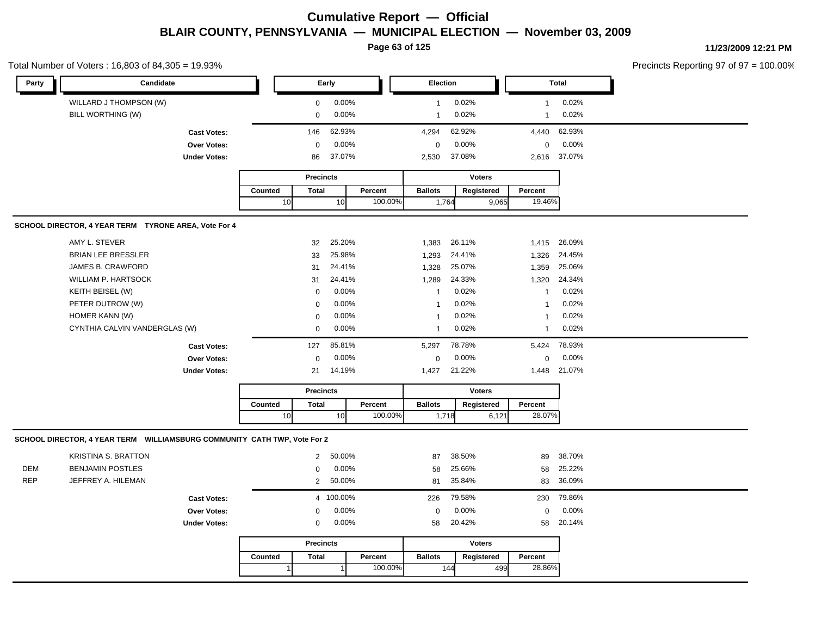**Page 63 of 125**

**11/23/2009 12:21 PM**

#### Total Number of Voters : 16,803 of 84,305 = 19.93%

| Party      | Candidate                                                                |                                    |              |                  | Early     |         | Election       |        |               |                  | Total        |
|------------|--------------------------------------------------------------------------|------------------------------------|--------------|------------------|-----------|---------|----------------|--------|---------------|------------------|--------------|
|            | WILLARD J THOMPSON (W)                                                   |                                    |              | 0                | 0.00%     |         | $\overline{1}$ | 0.02%  |               | $\mathbf{1}$     | 0.02%        |
|            | BILL WORTHING (W)                                                        |                                    |              | $\mathbf 0$      | 0.00%     |         | $\mathbf{1}$   | 0.02%  |               | $\mathbf{1}$     | 0.02%        |
|            |                                                                          |                                    |              | 146              | 62.93%    |         | 4,294          | 62.92% |               | 4,440            | 62.93%       |
|            |                                                                          | <b>Cast Votes:</b>                 |              |                  | 0.00%     |         | $\mathbf 0$    | 0.00%  |               | $\boldsymbol{0}$ | 0.00%        |
|            |                                                                          | Over Votes:<br><b>Under Votes:</b> |              | 0<br>86          | 37.07%    |         | 2,530          | 37.08% |               | 2,616            | 37.07%       |
|            |                                                                          |                                    |              |                  |           |         |                |        |               |                  |              |
|            |                                                                          |                                    |              | <b>Precincts</b> |           |         |                |        | <b>Voters</b> |                  |              |
|            |                                                                          |                                    | Counted      | <b>Total</b>     |           | Percent | <b>Ballots</b> |        | Registered    | Percent          |              |
|            |                                                                          |                                    | 10           |                  | 10        | 100.00% | 1,764          |        | 9,065         | 19.46%           |              |
|            | SCHOOL DIRECTOR, 4 YEAR TERM TYRONE AREA, Vote For 4                     |                                    |              |                  |           |         |                |        |               |                  |              |
|            | AMY L. STEVER                                                            |                                    |              | 32               | 25.20%    |         | 1,383          | 26.11% |               |                  | 1.415 26.09% |
|            | <b>BRIAN LEE BRESSLER</b>                                                |                                    |              | 33               | 25.98%    |         | 1,293          | 24.41% |               | 1,326            | 24.45%       |
|            | <b>JAMES B. CRAWFORD</b>                                                 |                                    |              | 31               | 24.41%    |         | 1,328          | 25.07% |               | 1,359            | 25.06%       |
|            | <b>WILLIAM P. HARTSOCK</b>                                               |                                    |              | 31               | 24.41%    |         | 1,289          | 24.33% |               |                  | 1,320 24.34% |
|            | KEITH BEISEL (W)                                                         |                                    |              | $\pmb{0}$        | 0.00%     |         | $\mathbf{1}$   | 0.02%  |               | $\mathbf{1}$     | 0.02%        |
|            | PETER DUTROW (W)                                                         |                                    |              | $\mathbf 0$      | 0.00%     |         | $\overline{1}$ | 0.02%  |               | $\mathbf{1}$     | 0.02%        |
|            | HOMER KANN (W)                                                           |                                    |              | 0                | 0.00%     |         | $\overline{1}$ | 0.02%  |               | $\mathbf{1}$     | 0.02%        |
|            | CYNTHIA CALVIN VANDERGLAS (W)                                            |                                    |              | $\mathbf 0$      | 0.00%     |         | $\overline{1}$ | 0.02%  |               | $\mathbf{1}$     | 0.02%        |
|            |                                                                          | <b>Cast Votes:</b>                 |              | 127              | 85.81%    |         | 5,297          | 78.78% |               | 5,424            | 78.93%       |
|            |                                                                          | Over Votes:                        |              | $\mathbf 0$      | 0.00%     |         | $\mathbf 0$    | 0.00%  |               | $\mathsf 0$      | 0.00%        |
|            |                                                                          | <b>Under Votes:</b>                |              | 21               | 14.19%    |         | 1,427          | 21.22% |               | 1,448            | 21.07%       |
|            |                                                                          |                                    |              | <b>Precincts</b> |           |         |                |        | <b>Voters</b> |                  |              |
|            |                                                                          |                                    | Counted      | <b>Total</b>     |           | Percent | <b>Ballots</b> |        | Registered    | Percent          |              |
|            |                                                                          |                                    | 10           |                  | 10        | 100.00% |                | 1,718  | 6,121         | 28.07%           |              |
|            | SCHOOL DIRECTOR, 4 YEAR TERM WILLIAMSBURG COMMUNITY CATH TWP, Vote For 2 |                                    |              |                  |           |         |                |        |               |                  |              |
|            | <b>KRISTINA S. BRATTON</b>                                               |                                    |              | $\overline{2}$   | 50.00%    |         | 87             | 38.50% |               | 89               | 38.70%       |
| <b>DEM</b> | <b>BENJAMIN POSTLES</b>                                                  |                                    |              | 0                | 0.00%     |         | 58             | 25.66% |               | 58               | 25.22%       |
| <b>REP</b> | JEFFREY A. HILEMAN                                                       |                                    |              | $\overline{2}$   | 50.00%    |         | 81             | 35.84% |               | 83               | 36.09%       |
|            |                                                                          | <b>Cast Votes:</b>                 |              |                  | 4 100.00% |         | 226            | 79.58% |               | 230              | 79.86%       |
|            |                                                                          | Over Votes:                        |              | $\pmb{0}$        | 0.00%     |         | $\mathbf 0$    | 0.00%  |               | $\mathsf 0$      | 0.00%        |
|            |                                                                          | <b>Under Votes:</b>                |              | 0                | 0.00%     |         | 58             | 20.42% |               | 58               | 20.14%       |
|            |                                                                          |                                    |              | <b>Precincts</b> |           |         |                |        | <b>Voters</b> |                  |              |
|            |                                                                          |                                    | Counted      | <b>Total</b>     |           | Percent | <b>Ballots</b> |        | Registered    | Percent          |              |
|            |                                                                          |                                    | $\mathbf{1}$ |                  | $\vert$   | 100.00% |                | 144    | 499           | 28.86%           |              |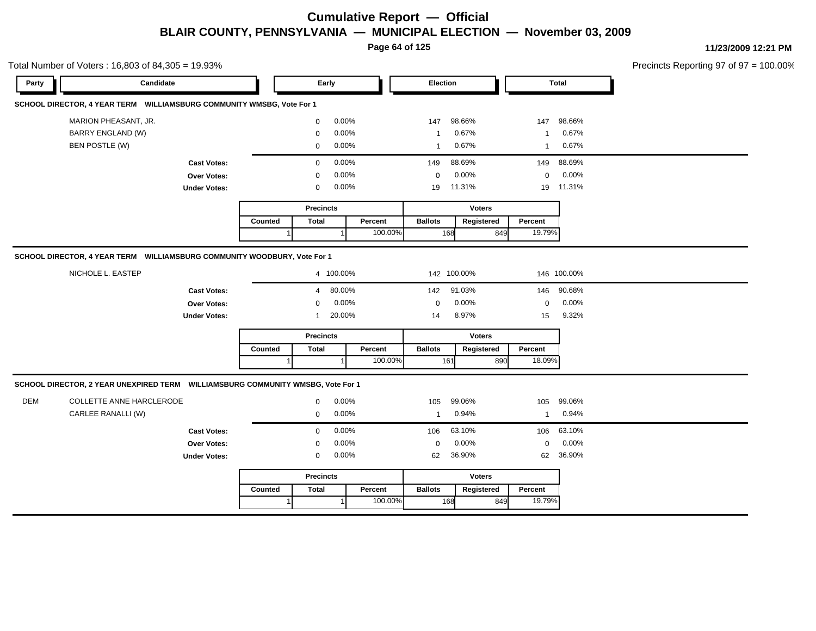**Page 64 of 125**

| Party      | Candidate                                                                       |                                    |         | Early                                                                 |         | Election          |                                 |                   | Total          |  |
|------------|---------------------------------------------------------------------------------|------------------------------------|---------|-----------------------------------------------------------------------|---------|-------------------|---------------------------------|-------------------|----------------|--|
|            | SCHOOL DIRECTOR, 4 YEAR TERM WILLIAMSBURG COMMUNITY WMSBG, Vote For 1           |                                    |         |                                                                       |         |                   |                                 |                   |                |  |
|            | MARION PHEASANT, JR.                                                            |                                    |         | $0.00\%$<br>$\mathbf 0$                                               |         | 147               | 98.66%                          | 147               | 98.66%         |  |
|            | <b>BARRY ENGLAND (W)</b>                                                        |                                    |         | 0.00%<br>$\Omega$                                                     |         | -1                | 0.67%                           | $\mathbf{1}$      | 0.67%          |  |
|            | BEN POSTLE (W)                                                                  |                                    |         | $0.00\%$<br>$\mathbf 0$                                               |         | $\mathbf{1}$      | 0.67%                           | $\overline{1}$    | 0.67%          |  |
|            |                                                                                 |                                    |         | 0.00%                                                                 |         | 149               | 88.69%                          |                   | 149 88.69%     |  |
|            |                                                                                 | <b>Cast Votes:</b><br>Over Votes:  |         | $\mathbf 0$<br>0.00%<br>$\mathbf 0$                                   |         | $\mathbf 0$       | 0.00%                           | $\overline{0}$    | $0.00\%$       |  |
|            |                                                                                 | <b>Under Votes:</b>                |         | 0.00%<br>$\mathbf 0$                                                  |         | 19                | 11.31%                          |                   | 19 11.31%      |  |
|            |                                                                                 |                                    |         |                                                                       |         |                   |                                 |                   |                |  |
|            |                                                                                 |                                    |         | <b>Precincts</b>                                                      |         |                   | <b>Voters</b>                   |                   |                |  |
|            |                                                                                 |                                    | Counted | <b>Total</b>                                                          | Percent | <b>Ballots</b>    | Registered                      | Percent           |                |  |
|            |                                                                                 |                                    |         |                                                                       | 100.00% | 168               | 849                             | 19.79%            |                |  |
|            |                                                                                 | Over Votes:<br><b>Under Votes:</b> |         | 0.00%<br>$\mathbf{0}$<br>20.00%<br>$\overline{1}$<br><b>Precincts</b> |         | $\mathbf 0$<br>14 | 0.00%<br>8.97%<br><b>Voters</b> | $\mathbf 0$<br>15 | 0.00%<br>9.32% |  |
|            |                                                                                 |                                    | Counted | <b>Total</b>                                                          | Percent | <b>Ballots</b>    | Registered                      | Percent           |                |  |
|            |                                                                                 |                                    |         |                                                                       | 100.00% | 161               | 890                             | 18.09%            |                |  |
|            |                                                                                 |                                    |         |                                                                       |         |                   |                                 |                   |                |  |
|            | SCHOOL DIRECTOR, 2 YEAR UNEXPIRED TERM WILLIAMSBURG COMMUNITY WMSBG, Vote For 1 |                                    |         |                                                                       |         |                   |                                 |                   |                |  |
|            | COLLETTE ANNE HARCLERODE                                                        |                                    |         | $0.00\%$<br>$\mathbf 0$                                               |         | 105               | 99.06%                          | 105               | 99.06%         |  |
|            | CARLEE RANALLI (W)                                                              |                                    |         | $0.00\%$<br>$\mathbf 0$                                               |         | $\overline{1}$    | 0.94%                           | $\overline{1}$    | 0.94%          |  |
| <b>DEM</b> |                                                                                 | <b>Cast Votes:</b>                 |         | 0.00%<br>$\mathbf 0$                                                  |         | 106               | 63.10%                          |                   | 106 63.10%     |  |
|            |                                                                                 | Over Votes:                        |         | 0.00%<br>$\mathbf 0$                                                  |         | $\mathbf 0$       | 0.00%                           | $\mathbf{0}$      | 0.00%          |  |
|            |                                                                                 | <b>Under Votes:</b>                |         | 0.00%<br>$\overline{0}$                                               |         | 62                | 36.90%                          |                   | 62 36.90%      |  |
|            |                                                                                 |                                    |         | <b>Precincts</b>                                                      |         |                   | <b>Voters</b>                   |                   |                |  |
|            |                                                                                 |                                    | Counted | <b>Total</b>                                                          | Percent | <b>Ballots</b>    | Registered                      | Percent<br>19.79% |                |  |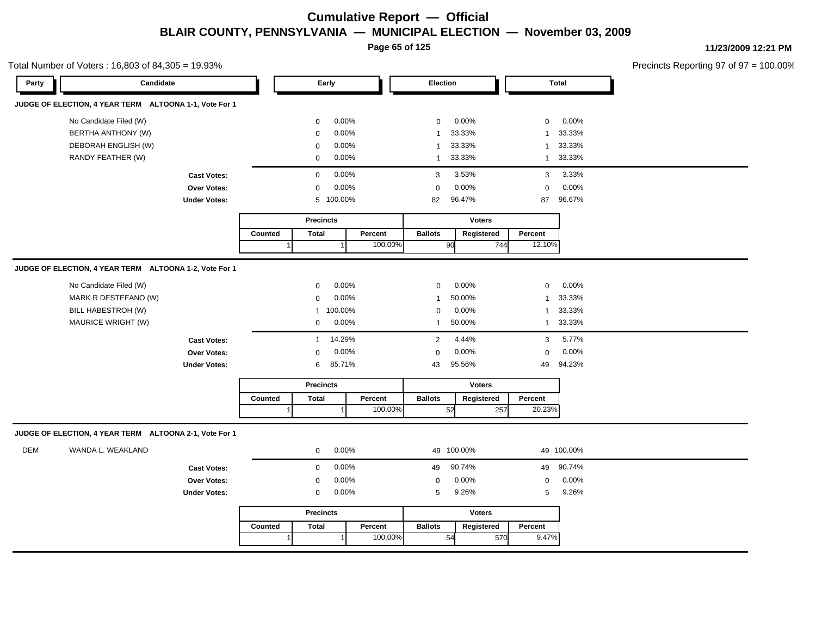**Page 65 of 125**

Total Number of Voters : 16,803 of 84,305 = 19.93%

**11/23/2009 12:21 PM**

| Party | Candidate                                              |                     | Early   |                  |                |         | Election       |               |         | <b>Total</b>           |  |
|-------|--------------------------------------------------------|---------------------|---------|------------------|----------------|---------|----------------|---------------|---------|------------------------|--|
|       | JUDGE OF ELECTION, 4 YEAR TERM ALTOONA 1-1, Vote For 1 |                     |         |                  |                |         |                |               |         |                        |  |
|       | No Candidate Filed (W)                                 |                     |         | $\mathbf 0$      | 0.00%          |         | $\mathbf 0$    | 0.00%         |         | 0.00%<br>$\mathbf 0$   |  |
|       | BERTHA ANTHONY (W)                                     |                     |         | $\mathbf 0$      | 0.00%          |         | $\mathbf{1}$   | 33.33%        |         | 33.33%<br>-1           |  |
|       | DEBORAH ENGLISH (W)                                    |                     |         | $\mathbf 0$      | 0.00%          |         | $\mathbf{1}$   | 33.33%        |         | 33.33%<br>$\mathbf{1}$ |  |
|       | RANDY FEATHER (W)                                      |                     |         | $\mathbf 0$      | 0.00%          |         | $\mathbf{1}$   | 33.33%        |         | 33.33%<br>$\mathbf{1}$ |  |
|       |                                                        | <b>Cast Votes:</b>  |         | $\mathbf 0$      | 0.00%          |         | 3              | 3.53%         |         | 3.33%<br>3             |  |
|       |                                                        | Over Votes:         |         | $\mathsf 0$      | 0.00%          |         | $\mathbf 0$    | 0.00%         |         | 0.00%<br>$\mathbf 0$   |  |
|       |                                                        | <b>Under Votes:</b> |         |                  | 5 100.00%      |         | 82             | 96.47%        |         | 96.67%<br>87           |  |
|       |                                                        |                     |         | <b>Precincts</b> |                |         |                | <b>Voters</b> |         |                        |  |
|       |                                                        |                     | Counted | <b>Total</b>     |                | Percent | <b>Ballots</b> | Registered    | Percent |                        |  |
|       |                                                        |                     |         |                  |                | 100.00% |                | 90            | 744     | 12.10%                 |  |
|       | JUDGE OF ELECTION, 4 YEAR TERM ALTOONA 1-2, Vote For 1 |                     |         |                  |                |         |                |               |         |                        |  |
|       | No Candidate Filed (W)                                 |                     |         | $\mathsf 0$      | 0.00%          |         | $\mathbf 0$    | 0.00%         |         | 0.00%<br>$\mathbf 0$   |  |
|       | MARK R DESTEFANO (W)                                   |                     |         | $\mathbf 0$      | 0.00%          |         | $\mathbf{1}$   | 50.00%        |         | 33.33%<br>$\mathbf{1}$ |  |
|       | BILL HABESTROH (W)                                     |                     |         |                  | 1 100.00%      |         | $\mathbf 0$    | 0.00%         |         | 33.33%<br>$\mathbf{1}$ |  |
|       | MAURICE WRIGHT (W)                                     |                     |         | 0                | 0.00%          |         | $\mathbf{1}$   | 50.00%        |         | 33.33%<br>$\mathbf{1}$ |  |
|       |                                                        | <b>Cast Votes:</b>  |         | $\mathbf{1}$     | 14.29%         |         | 2              | 4.44%         |         | 5.77%<br>3             |  |
|       |                                                        | Over Votes:         |         | $\mathsf 0$      | 0.00%          |         | $\mathbf 0$    | 0.00%         |         | 0.00%<br>$\mathbf 0$   |  |
|       |                                                        | <b>Under Votes:</b> |         | 6                | 85.71%         |         | 43             | 95.56%        |         | 94.23%<br>49           |  |
|       |                                                        |                     |         | <b>Precincts</b> |                |         |                | <b>Voters</b> |         |                        |  |
|       |                                                        |                     | Counted | <b>Total</b>     |                | Percent | <b>Ballots</b> | Registered    | Percent |                        |  |
|       |                                                        |                     |         |                  | $\overline{1}$ | 100.00% |                | 52            | 257     | 20.23%                 |  |
|       | JUDGE OF ELECTION, 4 YEAR TERM ALTOONA 2-1, Vote For 1 |                     |         |                  |                |         |                |               |         |                        |  |
| DEM   | WANDA L. WEAKLAND                                      |                     |         | $\mathbf 0$      | 0.00%          |         |                | 49 100.00%    |         | 49 100.00%             |  |
|       |                                                        | <b>Cast Votes:</b>  |         | $\mathbf 0$      | 0.00%          |         | 49             | 90.74%        |         | 90.74%<br>49           |  |
|       |                                                        | Over Votes:         |         | $\mathbf 0$      | 0.00%          |         | $\mathbf 0$    | 0.00%         |         | 0.00%<br>$\mathbf 0$   |  |
|       |                                                        | <b>Under Votes:</b> |         | $\mathbf 0$      | $0.00\%$       |         | 5              | 9.26%         |         | 9.26%<br>5             |  |
|       |                                                        |                     |         | <b>Precincts</b> |                |         |                | <b>Voters</b> |         |                        |  |
|       |                                                        |                     | Counted | <b>Total</b>     |                | Percent | <b>Ballots</b> | Registered    | Percent |                        |  |
|       |                                                        |                     |         |                  |                | 100.00% |                | 54            | 570     | 9.47%                  |  |
|       |                                                        |                     |         |                  |                |         |                |               |         |                        |  |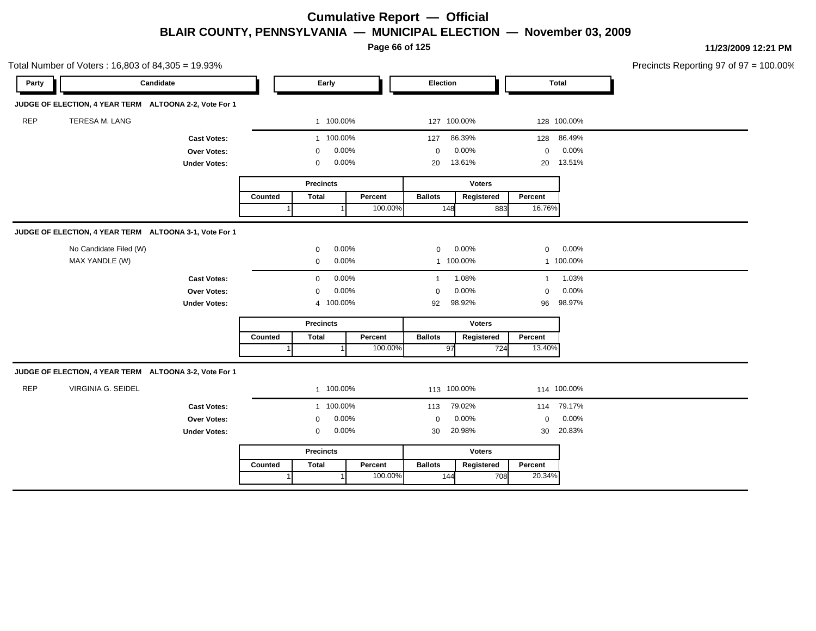**Page 66 of 125**

| Total Number of Voters: 16,803 of 84,305 = 19.93% |                                                        |                     |         |                  |       |         |                |               |              |              | Precincts Reporting 97 of 97 = 100.00% |  |
|---------------------------------------------------|--------------------------------------------------------|---------------------|---------|------------------|-------|---------|----------------|---------------|--------------|--------------|----------------------------------------|--|
| Party                                             | Candidate                                              |                     |         | Early            |       |         | Election       |               |              | <b>Total</b> |                                        |  |
|                                                   | JUDGE OF ELECTION, 4 YEAR TERM ALTOONA 2-2, Vote For 1 |                     |         |                  |       |         |                |               |              |              |                                        |  |
| REP                                               | TERESA M. LANG                                         |                     |         | 1 100.00%        |       |         | 127 100.00%    |               |              | 128 100.00%  |                                        |  |
|                                                   | <b>Cast Votes:</b>                                     |                     |         | 1 100.00%        |       |         | 127            | 86.39%        |              | 128 86.49%   |                                        |  |
|                                                   |                                                        | Over Votes:         |         | 0                | 0.00% |         | $\mathbf 0$    | 0.00%         | $\mathbf 0$  | 0.00%        |                                        |  |
|                                                   | <b>Under Votes:</b>                                    |                     |         | 0                | 0.00% |         | 20             | 13.61%        | 20           | 13.51%       |                                        |  |
|                                                   |                                                        |                     |         | <b>Precincts</b> |       |         |                | <b>Voters</b> |              |              |                                        |  |
|                                                   |                                                        |                     | Counted | <b>Total</b>     |       | Percent | <b>Ballots</b> | Registered    | Percent      |              |                                        |  |
|                                                   |                                                        |                     |         |                  |       | 100.00% | 148            | 883           | 16.76%       |              |                                        |  |
|                                                   | JUDGE OF ELECTION, 4 YEAR TERM ALTOONA 3-1, Vote For 1 |                     |         |                  |       |         |                |               |              |              |                                        |  |
|                                                   | No Candidate Filed (W)                                 |                     |         | $\mathbf 0$      | 0.00% |         | $\mathbf 0$    | 0.00%         | $\mathbf 0$  | 0.00%        |                                        |  |
|                                                   | MAX YANDLE (W)                                         |                     |         | $\mathbf 0$      | 0.00% |         |                | 1 100.00%     |              | 1 100.00%    |                                        |  |
|                                                   |                                                        | <b>Cast Votes:</b>  |         | $\mathbf 0$      | 0.00% |         | $\mathbf{1}$   | 1.08%         | $\mathbf{1}$ | 1.03%        |                                        |  |
|                                                   |                                                        | <b>Over Votes:</b>  |         | $\mathbf 0$      | 0.00% |         | $\mathbf 0$    | 0.00%         | $\mathbf 0$  | 0.00%        |                                        |  |
|                                                   |                                                        | <b>Under Votes:</b> |         | 4 100.00%        |       |         | 92             | 98.92%        | 96           | 98.97%       |                                        |  |
|                                                   |                                                        |                     |         | <b>Precincts</b> |       |         |                | <b>Voters</b> |              |              |                                        |  |
|                                                   |                                                        |                     | Counted | <b>Total</b>     |       | Percent | <b>Ballots</b> | Registered    | Percent      |              |                                        |  |
|                                                   |                                                        |                     |         |                  |       | 100.00% | 97             | 724           | 13.40%       |              |                                        |  |
|                                                   | JUDGE OF ELECTION, 4 YEAR TERM ALTOONA 3-2, Vote For 1 |                     |         |                  |       |         |                |               |              |              |                                        |  |
| <b>REP</b>                                        | VIRGINIA G. SEIDEL                                     |                     |         | 1 100.00%        |       |         | 113 100.00%    |               |              | 114 100.00%  |                                        |  |
|                                                   |                                                        | <b>Cast Votes:</b>  |         | 1 100.00%        |       |         | 113            | 79.02%        |              | 114 79.17%   |                                        |  |
|                                                   |                                                        | <b>Over Votes:</b>  |         | $\mathbf{0}$     | 0.00% |         | $\mathbf 0$    | 0.00%         | $\mathbf 0$  | 0.00%        |                                        |  |
|                                                   |                                                        | <b>Under Votes:</b> |         | $\mathbf 0$      | 0.00% |         | 30             | 20.98%        | 30           | 20.83%       |                                        |  |
|                                                   |                                                        |                     |         | <b>Precincts</b> |       |         |                | <b>Voters</b> |              |              |                                        |  |
|                                                   |                                                        |                     | Counted | <b>Total</b>     |       | Percent | <b>Ballots</b> | Registered    | Percent      |              |                                        |  |
|                                                   |                                                        |                     |         |                  |       | 100.00% | 144            | 708           | 20.34%       |              |                                        |  |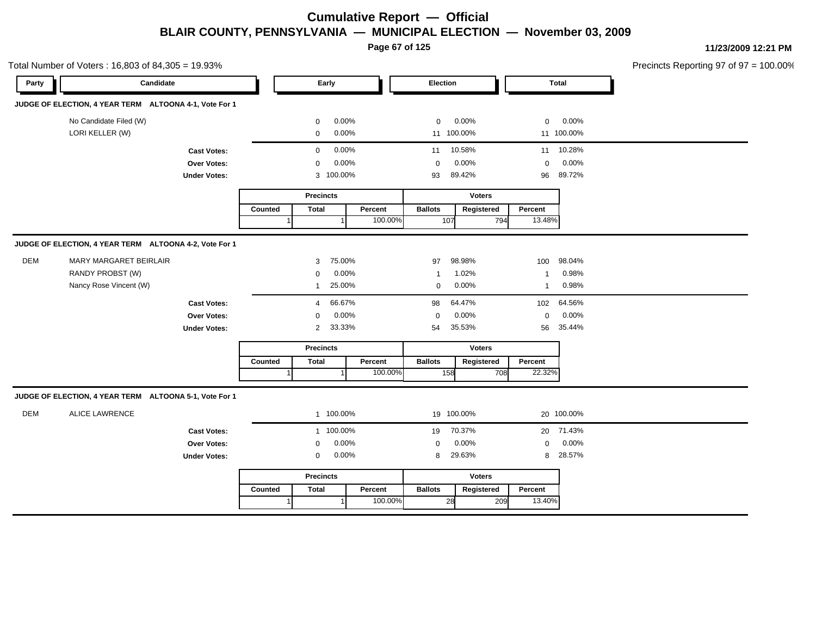**Page 67 of 125**

| Total Number of Voters: 16,803 of 84,305 = 19.93% |                                                        |                     |         |                  |                        |                         |               |              | Precincts Reporting 97 of 97 = 100.00% |  |
|---------------------------------------------------|--------------------------------------------------------|---------------------|---------|------------------|------------------------|-------------------------|---------------|--------------|----------------------------------------|--|
| Party                                             | Candidate                                              |                     |         | Early            |                        | Election                |               |              | <b>Total</b>                           |  |
|                                                   | JUDGE OF ELECTION, 4 YEAR TERM ALTOONA 4-1, Vote For 1 |                     |         |                  |                        |                         |               |              |                                        |  |
|                                                   | No Candidate Filed (W)                                 |                     |         | $\mathbf 0$      | 0.00%                  | $\mathbf 0$             | 0.00%         | $\mathbf 0$  | 0.00%                                  |  |
|                                                   | LORI KELLER (W)                                        |                     |         | 0                | 0.00%                  | 11 100.00%              |               |              | 11 100.00%                             |  |
|                                                   |                                                        | <b>Cast Votes:</b>  |         | $\mathbf 0$      | 0.00%                  | 11                      | 10.58%        |              | 11 10.28%                              |  |
|                                                   |                                                        | Over Votes:         |         | $\mathbf 0$      | 0.00%                  | $\mathbf 0$             | 0.00%         | $\mathbf 0$  | 0.00%                                  |  |
|                                                   |                                                        | <b>Under Votes:</b> |         | 3 100.00%        |                        | 93                      | 89.42%        | 96           | 89.72%                                 |  |
|                                                   |                                                        |                     |         | <b>Precincts</b> |                        |                         | <b>Voters</b> |              |                                        |  |
|                                                   |                                                        |                     | Counted | <b>Total</b>     | Percent                | <b>Ballots</b>          | Registered    | Percent      |                                        |  |
|                                                   |                                                        |                     |         |                  | 100.00%                | 107                     | 794           | 13.48%       |                                        |  |
|                                                   | JUDGE OF ELECTION, 4 YEAR TERM ALTOONA 4-2, Vote For 1 |                     |         |                  |                        |                         |               |              |                                        |  |
| <b>DEM</b>                                        | <b>MARY MARGARET BEIRLAIR</b>                          |                     |         | 3                | 75.00%                 | 97                      | 98.98%        | 100          | 98.04%                                 |  |
|                                                   | RANDY PROBST (W)                                       |                     |         | $\mathbf 0$      | 0.00%                  | $\overline{\mathbf{1}}$ | 1.02%         | $\mathbf{1}$ | 0.98%                                  |  |
|                                                   | Nancy Rose Vincent (W)                                 |                     |         | $\mathbf{1}$     | 25.00%                 | 0                       | 0.00%         | $\mathbf{1}$ | 0.98%                                  |  |
|                                                   |                                                        | <b>Cast Votes:</b>  |         | 4                | 66.67%                 | 98                      | 64.47%        | 102          | 64.56%                                 |  |
|                                                   |                                                        | Over Votes:         |         | 0                | 0.00%                  | $\mathbf 0$             | 0.00%         | $\mathbf 0$  | 0.00%                                  |  |
|                                                   |                                                        | <b>Under Votes:</b> |         | $\overline{2}$   | 33.33%                 | 54                      | 35.53%        | 56           | 35.44%                                 |  |
|                                                   |                                                        |                     |         | <b>Precincts</b> |                        |                         | <b>Voters</b> |              |                                        |  |
|                                                   |                                                        |                     | Counted | <b>Total</b>     | Percent                | <b>Ballots</b>          | Registered    | Percent      |                                        |  |
|                                                   |                                                        |                     |         |                  | 100.00%                | 158                     | 708           | 22.32%       |                                        |  |
|                                                   | JUDGE OF ELECTION, 4 YEAR TERM ALTOONA 5-1, Vote For 1 |                     |         |                  |                        |                         |               |              |                                        |  |
| <b>DEM</b>                                        | <b>ALICE LAWRENCE</b>                                  |                     |         | 1 100.00%        |                        | 19 100.00%              |               |              | 20 100.00%                             |  |
|                                                   |                                                        | <b>Cast Votes:</b>  |         | 1 100.00%        |                        | 19                      | 70.37%        |              | 20 71.43%                              |  |
|                                                   |                                                        | Over Votes:         |         | $\mathbf 0$      | 0.00%                  | $\mathbf 0$             | 0.00%         | $\mathbf 0$  | 0.00%                                  |  |
|                                                   |                                                        | <b>Under Votes:</b> |         | 0                | 0.00%                  | 8                       | 29.63%        | 8            | 28.57%                                 |  |
|                                                   |                                                        |                     |         | <b>Precincts</b> |                        |                         | Voters        |              |                                        |  |
|                                                   |                                                        |                     | Counted | <b>Total</b>     | Percent                | <b>Ballots</b>          | Registered    | Percent      |                                        |  |
|                                                   |                                                        |                     | 1       |                  | 100.00%<br>$\mathbf 1$ | 28                      | 209           | 13.40%       |                                        |  |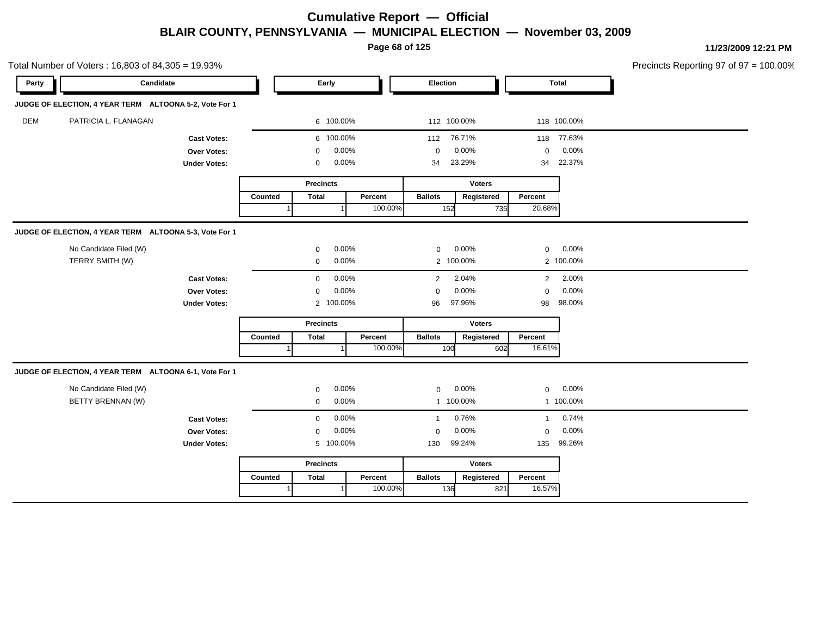**Page 68 of 125**

**11/23/2009 12:21 PM**

|            | Total Number of Voters: 16,803 of 84,305 = 19.93%      |                     |         |                      |         |                |               |                |              | Precincts Reporting 97 of 97 = 1 |
|------------|--------------------------------------------------------|---------------------|---------|----------------------|---------|----------------|---------------|----------------|--------------|----------------------------------|
| Party      | Candidate                                              |                     |         | Early                |         | Election       |               |                | <b>Total</b> |                                  |
|            | JUDGE OF ELECTION, 4 YEAR TERM ALTOONA 5-2, Vote For 1 |                     |         |                      |         |                |               |                |              |                                  |
| <b>DEM</b> | PATRICIA L. FLANAGAN                                   |                     |         | 6 100.00%            |         | 112 100.00%    |               |                | 118 100.00%  |                                  |
|            |                                                        | <b>Cast Votes:</b>  |         | 6 100.00%            |         | 112            | 76.71%        |                | 118 77.63%   |                                  |
|            |                                                        | Over Votes:         |         | 0.00%<br>0           |         | 0              | 0.00%         | 0              | 0.00%        |                                  |
|            |                                                        | <b>Under Votes:</b> |         | 0.00%<br>$\mathbf 0$ |         | 34             | 23.29%        | 34             | 22.37%       |                                  |
|            |                                                        |                     |         | <b>Precincts</b>     |         |                | <b>Voters</b> |                |              |                                  |
|            |                                                        |                     | Counted | <b>Total</b>         | Percent | <b>Ballots</b> | Registered    | Percent        |              |                                  |
|            |                                                        |                     |         |                      | 100.00% | 152            | 735           | 20.68%         |              |                                  |
|            | JUDGE OF ELECTION, 4 YEAR TERM ALTOONA 5-3, Vote For 1 |                     |         |                      |         |                |               |                |              |                                  |
|            | No Candidate Filed (W)                                 |                     |         | 0.00%<br>$\mathbf 0$ |         | $\mathbf{0}$   | 0.00%         | $\mathbf 0$    | 0.00%        |                                  |
|            | TERRY SMITH (W)                                        |                     |         | 0.00%<br>0           |         |                | 2 100.00%     |                | 2 100.00%    |                                  |
|            |                                                        | <b>Cast Votes:</b>  |         | 0.00%<br>0           |         | $\overline{2}$ | 2.04%         | $\overline{2}$ | 2.00%        |                                  |
|            |                                                        | Over Votes:         |         | 0.00%<br>$\mathbf 0$ |         | $\Omega$       | 0.00%         | $\mathbf 0$    | 0.00%        |                                  |
|            |                                                        | <b>Under Votes:</b> |         | 2 100.00%            |         | 96             | 97.96%        | 98             | 98.00%       |                                  |
|            |                                                        |                     |         | <b>Precincts</b>     |         |                | <b>Voters</b> |                |              |                                  |
|            |                                                        |                     | Counted | <b>Total</b>         | Percent | <b>Ballots</b> | Registered    | Percent        |              |                                  |
|            |                                                        |                     |         |                      | 100.00% | 100            | 602           | 16.61%         |              |                                  |
|            | JUDGE OF ELECTION, 4 YEAR TERM ALTOONA 6-1, Vote For 1 |                     |         |                      |         |                |               |                |              |                                  |
|            | No Candidate Filed (W)                                 |                     |         | 0.00%<br>$\mathbf 0$ |         | 0              | 0.00%         | 0              | 0.00%        |                                  |
|            | BETTY BRENNAN (W)                                      |                     |         | 0.00%<br>0           |         |                | 1 100.00%     |                | 1 100.00%    |                                  |
|            |                                                        | <b>Cast Votes:</b>  |         | 0.00%<br>$\mathbf 0$ |         | $\overline{1}$ | 0.76%         | $\mathbf{1}$   | 0.74%        |                                  |
|            |                                                        | Over Votes:         |         | 0.00%<br>$\mathbf 0$ |         | $\mathbf 0$    | 0.00%         | $\mathbf 0$    | 0.00%        |                                  |
|            |                                                        | <b>Under Votes:</b> |         | 5 100.00%            |         | 130            | 99.24%        | 135            | 99.26%       |                                  |
|            |                                                        |                     |         | <b>Precincts</b>     |         |                | <b>Voters</b> |                |              |                                  |
|            |                                                        |                     | Counted | <b>Total</b>         | Percent | <b>Ballots</b> | Registered    | Percent        |              |                                  |
|            |                                                        |                     |         |                      | 100.00% | 136            | 821           | 16.57%         |              |                                  |

 $100.00\%$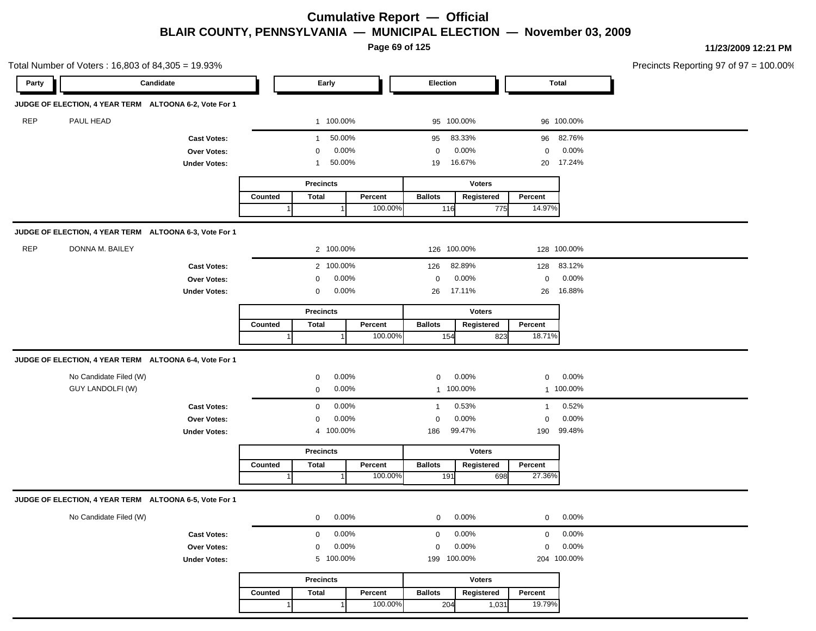**Page 69 of 125**

|            | Total Number of Voters: 16,803 of 84,305 = 19.93%      |                     |         |                        |         |                |               |              |             | Precincts Reporting 97 of 97 = 100.00% |
|------------|--------------------------------------------------------|---------------------|---------|------------------------|---------|----------------|---------------|--------------|-------------|----------------------------------------|
| Party      | Candidate                                              |                     |         | Early                  |         | Election       |               |              | Total       |                                        |
|            | JUDGE OF ELECTION, 4 YEAR TERM ALTOONA 6-2, Vote For 1 |                     |         |                        |         |                |               |              |             |                                        |
| REP        | PAUL HEAD                                              |                     |         | 1 100.00%              |         | 95 100.00%     |               |              | 96 100.00%  |                                        |
|            |                                                        | <b>Cast Votes:</b>  |         | 50.00%<br>$\mathbf{1}$ |         | 95             | 83.33%        |              | 96 82.76%   |                                        |
|            |                                                        | Over Votes:         |         | 0                      | 0.00%   | 0              | 0.00%         | 0            | 0.00%       |                                        |
|            |                                                        | <b>Under Votes:</b> |         | 50.00%<br>1            |         | 19             | 16.67%        | 20           | 17.24%      |                                        |
|            |                                                        |                     |         | <b>Precincts</b>       |         |                | <b>Voters</b> |              |             |                                        |
|            |                                                        |                     | Counted | <b>Total</b>           | Percent | <b>Ballots</b> | Registered    | Percent      |             |                                        |
|            |                                                        |                     |         |                        | 100.00% | 116            | 775           | 14.97%       |             |                                        |
|            | JUDGE OF ELECTION, 4 YEAR TERM ALTOONA 6-3, Vote For 1 |                     |         |                        |         |                |               |              |             |                                        |
| <b>REP</b> | DONNA M. BAILEY                                        |                     |         | 2 100.00%              |         | 126 100.00%    |               |              | 128 100.00% |                                        |
|            |                                                        | <b>Cast Votes:</b>  |         | 2 100.00%              |         | 126            | 82.89%        | 128          | 83.12%      |                                        |
|            |                                                        | Over Votes:         |         | 0                      | 0.00%   | 0              | 0.00%         | $\mathbf 0$  | 0.00%       |                                        |
|            |                                                        | <b>Under Votes:</b> |         | 0                      | 0.00%   | 26             | 17.11%        | 26           | 16.88%      |                                        |
|            |                                                        |                     |         | <b>Precincts</b>       |         |                | <b>Voters</b> |              |             |                                        |
|            |                                                        |                     | Counted | <b>Total</b>           | Percent | <b>Ballots</b> | Registered    | Percent      |             |                                        |
|            |                                                        |                     |         |                        | 100.00% | 154            | 823           | 18.71%       |             |                                        |
|            | JUDGE OF ELECTION, 4 YEAR TERM ALTOONA 6-4, Vote For 1 |                     |         |                        |         |                |               |              |             |                                        |
|            | No Candidate Filed (W)                                 |                     |         | 0                      | 0.00%   | 0              | 0.00%         | 0            | 0.00%       |                                        |
|            | <b>GUY LANDOLFI (W)</b>                                |                     |         | 0                      | 0.00%   | 1 100.00%      |               |              | 1 100.00%   |                                        |
|            |                                                        | <b>Cast Votes:</b>  |         | $\mathbf 0$            | 0.00%   | -1             | 0.53%         | $\mathbf{1}$ | 0.52%       |                                        |
|            |                                                        | Over Votes:         |         | 0                      | 0.00%   | 0              | 0.00%         | $\mathbf 0$  | 0.00%       |                                        |
|            |                                                        | <b>Under Votes:</b> |         | 4 100.00%              |         | 186            | 99.47%        | 190          | 99.48%      |                                        |
|            |                                                        |                     |         | <b>Precincts</b>       |         |                | <b>Voters</b> |              |             |                                        |
|            |                                                        |                     | Counted | <b>Total</b>           | Percent | <b>Ballots</b> | Registered    | Percent      |             |                                        |
|            |                                                        |                     |         |                        | 100.00% | 191            | 698           | 27.36%       |             |                                        |
|            | JUDGE OF ELECTION, 4 YEAR TERM ALTOONA 6-5, Vote For 1 |                     |         |                        |         |                |               |              |             |                                        |
|            | No Candidate Filed (W)                                 |                     |         | 0                      | 0.00%   | $\mathbf{0}$   | 0.00%         | 0            | 0.00%       |                                        |
|            |                                                        | <b>Cast Votes:</b>  |         | 0                      | 0.00%   | 0              | 0.00%         | 0            | 0.00%       |                                        |
|            |                                                        | Over Votes:         |         | $\mathbf 0$            | 0.00%   | $\mathbf 0$    | 0.00%         | $\mathbf 0$  | 0.00%       |                                        |
|            |                                                        | <b>Under Votes:</b> |         | 5 100.00%              |         | 199 100.00%    |               |              | 204 100.00% |                                        |
|            |                                                        |                     |         | <b>Precincts</b>       |         |                | <b>Voters</b> |              |             |                                        |
|            |                                                        |                     | Counted | Total                  | Percent | <b>Ballots</b> | Registered    | Percent      |             |                                        |
|            |                                                        |                     |         |                        | 100.00% | 204            | 1,031         | 19.79%       |             |                                        |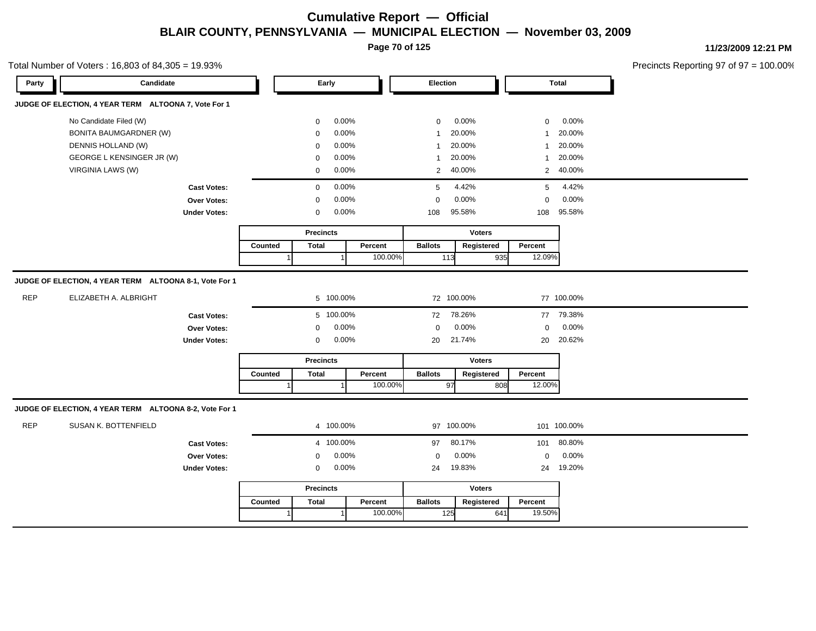**Page 70 of 125**

**11/23/2009 12:21 PM**

Precincts Reporting 97 of 97 = 100.00%

| Party      | Candidate                                                                                                                       |                                                          |         | Early                                                                                                                                                                                        |                    | Election                                                                                    |                                                                           |                                                                                        | <b>Total</b>                                                                |
|------------|---------------------------------------------------------------------------------------------------------------------------------|----------------------------------------------------------|---------|----------------------------------------------------------------------------------------------------------------------------------------------------------------------------------------------|--------------------|---------------------------------------------------------------------------------------------|---------------------------------------------------------------------------|----------------------------------------------------------------------------------------|-----------------------------------------------------------------------------|
|            | JUDGE OF ELECTION, 4 YEAR TERM ALTOONA 7, Vote For 1                                                                            |                                                          |         |                                                                                                                                                                                              |                    |                                                                                             |                                                                           |                                                                                        |                                                                             |
|            | No Candidate Filed (W)<br><b>BONITA BAUMGARDNER (W)</b><br>DENNIS HOLLAND (W)<br>GEORGE L KENSINGER JR (W)<br>VIRGINIA LAWS (W) | <b>Cast Votes:</b><br>Over Votes:<br><b>Under Votes:</b> |         | 0.00%<br>$\mathbf 0$<br>0.00%<br>$\mathbf 0$<br>0.00%<br>$\mathbf 0$<br>0.00%<br>$\mathbf 0$<br>0.00%<br>$\mathbf 0$<br>0.00%<br>$\mathbf 0$<br>0.00%<br>$\mathbf 0$<br>0.00%<br>$\mathbf 0$ |                    | $\mathbf 0$<br>$\mathbf{1}$<br>$\mathbf{1}$<br>$\mathbf{1}$<br>2<br>5<br>$\mathbf 0$<br>108 | 0.00%<br>20.00%<br>20.00%<br>20.00%<br>40.00%<br>4.42%<br>0.00%<br>95.58% | $\mathbf 0$<br>$\mathbf{1}$<br>$\mathbf{1}$<br>$\mathbf{1}$<br>5<br>$\mathbf 0$<br>108 | 0.00%<br>20.00%<br>20.00%<br>20.00%<br>2 40.00%<br>4.42%<br>0.00%<br>95.58% |
|            |                                                                                                                                 |                                                          | Counted | <b>Precincts</b><br><b>Total</b><br>$\mathbf{1}$                                                                                                                                             | Percent<br>100.00% | <b>Ballots</b><br>113                                                                       | <b>Voters</b><br>Registered<br>935                                        | Percent<br>12.09%                                                                      |                                                                             |
|            | JUDGE OF ELECTION, 4 YEAR TERM ALTOONA 8-1, Vote For 1                                                                          |                                                          |         |                                                                                                                                                                                              |                    |                                                                                             |                                                                           |                                                                                        |                                                                             |
| <b>REP</b> | ELIZABETH A. ALBRIGHT                                                                                                           |                                                          |         | 5 100.00%                                                                                                                                                                                    |                    | 72 100.00%                                                                                  |                                                                           |                                                                                        | 77 100.00%                                                                  |
|            |                                                                                                                                 | <b>Cast Votes:</b><br>Over Votes:<br><b>Under Votes:</b> |         | 5 100.00%<br>0.00%<br>$\mathbf 0$<br>0.00%<br>$\mathbf 0$                                                                                                                                    |                    | 72<br>$\mathbf 0$<br>20                                                                     | 78.26%<br>0.00%<br>21.74%                                                 | $\mathbf 0$<br>20                                                                      | 77 79.38%<br>0.00%<br>20.62%                                                |
|            |                                                                                                                                 |                                                          |         | <b>Precincts</b>                                                                                                                                                                             |                    |                                                                                             | <b>Voters</b>                                                             |                                                                                        |                                                                             |
|            |                                                                                                                                 |                                                          | Counted | <b>Total</b>                                                                                                                                                                                 | Percent<br>100.00% | <b>Ballots</b><br>97                                                                        | Registered<br>808                                                         | Percent<br>12.00%                                                                      |                                                                             |
|            | JUDGE OF ELECTION, 4 YEAR TERM ALTOONA 8-2, Vote For 1                                                                          |                                                          |         |                                                                                                                                                                                              |                    |                                                                                             |                                                                           |                                                                                        |                                                                             |
| <b>REP</b> | SUSAN K. BOTTENFIELD                                                                                                            |                                                          |         | 4 100.00%                                                                                                                                                                                    |                    | 97 100.00%                                                                                  |                                                                           |                                                                                        | 101 100.00%                                                                 |
|            |                                                                                                                                 | <b>Cast Votes:</b><br>Over Votes:<br><b>Under Votes:</b> |         | 4 100.00%<br>0.00%<br>0<br>0.00%<br>0                                                                                                                                                        |                    | 97<br>$\mathbf 0$<br>24                                                                     | 80.17%<br>0.00%<br>19.83%                                                 | 101<br>$\mathbf 0$<br>24                                                               | 80.80%<br>0.00%<br>19.20%                                                   |
|            |                                                                                                                                 |                                                          |         | <b>Precincts</b>                                                                                                                                                                             |                    |                                                                                             | <b>Voters</b>                                                             |                                                                                        |                                                                             |
|            |                                                                                                                                 |                                                          | Counted | <b>Total</b>                                                                                                                                                                                 | Percent<br>100.00% | <b>Ballots</b><br>125                                                                       | Registered<br>641                                                         | Percent<br>19.50%                                                                      |                                                                             |

#### Total Number of Voters : 16,803 of 84,305 = 19.93%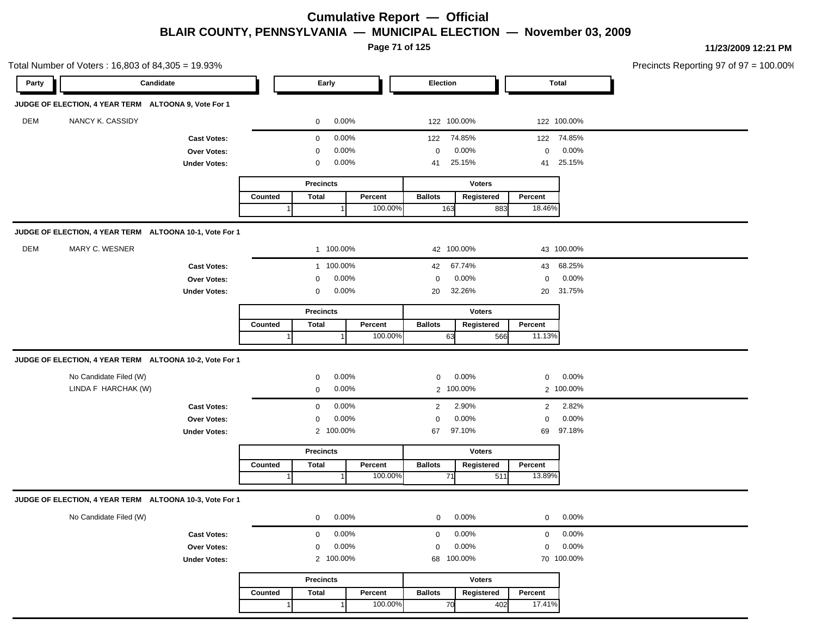**Page 71 of 125**

|       | Total Number of Voters: 16,803 of 84,305 = 19.93%       |                     |         |                  |       |         |                |               |                |              | Precincts Reporting 97 of 97 = 100.00% |
|-------|---------------------------------------------------------|---------------------|---------|------------------|-------|---------|----------------|---------------|----------------|--------------|----------------------------------------|
| Party | Candidate                                               |                     |         | Early            |       |         | Election       |               |                | <b>Total</b> |                                        |
|       | JUDGE OF ELECTION, 4 YEAR TERM ALTOONA 9, Vote For 1    |                     |         |                  |       |         |                |               |                |              |                                        |
| DEM   | NANCY K. CASSIDY                                        |                     |         | 0                | 0.00% |         | 122 100.00%    |               |                | 122 100.00%  |                                        |
|       |                                                         | <b>Cast Votes:</b>  |         | $\mathbf 0$      | 0.00% |         | 122            | 74.85%        |                | 122 74.85%   |                                        |
|       |                                                         | Over Votes:         |         | 0                | 0.00% |         | 0              | 0.00%         | $\mathbf 0$    | 0.00%        |                                        |
|       |                                                         | <b>Under Votes:</b> |         | 0                | 0.00% |         | 41             | 25.15%        | 41             | 25.15%       |                                        |
|       |                                                         |                     |         | <b>Precincts</b> |       |         |                | <b>Voters</b> |                |              |                                        |
|       |                                                         |                     | Counted | <b>Total</b>     |       | Percent | <b>Ballots</b> | Registered    | Percent        |              |                                        |
|       |                                                         |                     |         |                  |       | 100.00% | 163            | 883           | 18.46%         |              |                                        |
|       | JUDGE OF ELECTION, 4 YEAR TERM ALTOONA 10-1, Vote For 1 |                     |         |                  |       |         |                |               |                |              |                                        |
| DEM   | MARY C. WESNER                                          |                     |         | 1 100.00%        |       |         | 42 100.00%     |               |                | 43 100.00%   |                                        |
|       |                                                         | <b>Cast Votes:</b>  |         | 1 100.00%        |       |         | 42             | 67.74%        |                | 43 68.25%    |                                        |
|       |                                                         | Over Votes:         |         | 0                | 0.00% |         | $\mathbf 0$    | 0.00%         | $\mathbf 0$    | 0.00%        |                                        |
|       |                                                         | <b>Under Votes:</b> |         | 0                | 0.00% |         | 20             | 32.26%        | 20             | 31.75%       |                                        |
|       |                                                         |                     |         | <b>Precincts</b> |       |         |                | <b>Voters</b> |                |              |                                        |
|       |                                                         |                     | Counted | Total            |       | Percent | <b>Ballots</b> | Registered    | Percent        |              |                                        |
|       |                                                         |                     |         |                  |       | 100.00% | 63             | 566           | 11.13%         |              |                                        |
|       | JUDGE OF ELECTION, 4 YEAR TERM ALTOONA 10-2, Vote For 1 |                     |         |                  |       |         |                |               |                |              |                                        |
|       | No Candidate Filed (W)                                  |                     |         | 0                | 0.00% |         | 0              | 0.00%         | $\mathbf 0$    | 0.00%        |                                        |
|       | LINDA F HARCHAK (W)                                     |                     |         | 0                | 0.00% |         |                | 2 100.00%     |                | 2 100.00%    |                                        |
|       |                                                         | <b>Cast Votes:</b>  |         | $\mathbf 0$      | 0.00% |         | 2              | 2.90%         | $\overline{2}$ | 2.82%        |                                        |
|       |                                                         | Over Votes:         |         | 0                | 0.00% |         | 0              | 0.00%         | $\mathbf 0$    | 0.00%        |                                        |
|       |                                                         | <b>Under Votes:</b> |         | 2 100.00%        |       |         | 67             | 97.10%        | 69             | 97.18%       |                                        |
|       |                                                         |                     |         | <b>Precincts</b> |       |         |                | <b>Voters</b> |                |              |                                        |
|       |                                                         |                     | Counted | <b>Total</b>     |       | Percent | <b>Ballots</b> | Registered    | Percent        |              |                                        |
|       |                                                         |                     |         |                  |       | 100.00% | 71             | 511           | 13.89%         |              |                                        |
|       | JUDGE OF ELECTION, 4 YEAR TERM ALTOONA 10-3, Vote For 1 |                     |         |                  |       |         |                |               |                |              |                                        |
|       | No Candidate Filed (W)                                  |                     |         | 0                | 0.00% |         | $\mathbf{0}$   | 0.00%         | 0              | 0.00%        |                                        |
|       |                                                         | <b>Cast Votes:</b>  |         | $\mathbf 0$      | 0.00% |         | 0              | 0.00%         | $\mathbf{0}$   | 0.00%        |                                        |
|       |                                                         | Over Votes:         |         | $\mathbf 0$      | 0.00% |         | $\mathbf 0$    | 0.00%         | $\mathbf 0$    | 0.00%        |                                        |
|       |                                                         | <b>Under Votes:</b> |         | 2 100.00%        |       |         | 68 100.00%     |               |                | 70 100.00%   |                                        |
|       |                                                         |                     |         | Precincts        |       |         |                | <b>Voters</b> |                |              |                                        |
|       |                                                         |                     | Counted | <b>Total</b>     |       | Percent | <b>Ballots</b> | Registered    | Percent        |              |                                        |
|       |                                                         |                     |         |                  |       | 100.00% | 70             | 402           | 17.41%         |              |                                        |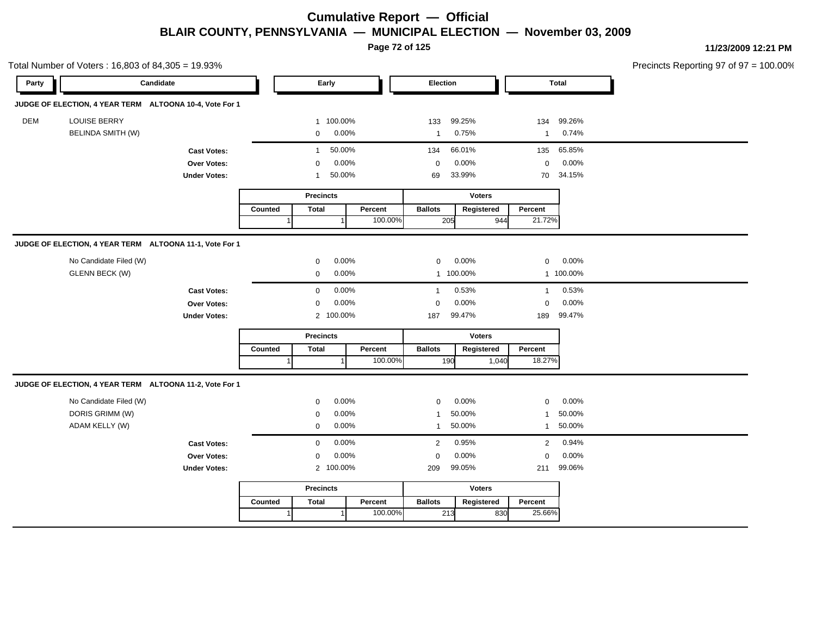**Page 72 of 125**

|       | Total Number of Voters: 16,803 of 84,305 = 19.93%       |                     |                       |                         |         |                      |               |                |            | Precincts Reporting 97 of 97 = 100.00% |
|-------|---------------------------------------------------------|---------------------|-----------------------|-------------------------|---------|----------------------|---------------|----------------|------------|----------------------------------------|
| Party | Candidate                                               |                     |                       | Early                   |         |                      | Election      | <b>Total</b>   |            |                                        |
|       | JUDGE OF ELECTION, 4 YEAR TERM ALTOONA 10-4, Vote For 1 |                     |                       |                         |         |                      |               |                |            |                                        |
| DEM   | <b>LOUISE BERRY</b>                                     |                     |                       | 1 100.00%               |         | 133                  | 99.25%        |                | 134 99.26% |                                        |
|       | <b>BELINDA SMITH (W)</b>                                |                     | 0.00%<br>$\mathbf{0}$ |                         |         | $\mathbf{1}$         | 0.75%         |                | 1 0.74%    |                                        |
|       |                                                         | <b>Cast Votes:</b>  |                       | 50.00%<br>$\mathbf{1}$  |         | 134                  | 66.01%        |                | 135 65.85% |                                        |
|       |                                                         | Over Votes:         |                       | 0.00%<br>$\mathbf 0$    |         |                      | 0.00%         | $\overline{0}$ | 0.00%      |                                        |
|       |                                                         | <b>Under Votes:</b> |                       | 50.00%<br>1             |         | 69                   | 33.99%        |                | 70 34.15%  |                                        |
|       |                                                         |                     |                       | <b>Precincts</b>        |         | <b>Voters</b>        |               |                |            |                                        |
|       |                                                         |                     | Counted               | <b>Total</b>            | Percent | <b>Ballots</b>       | Registered    | Percent        |            |                                        |
|       |                                                         |                     |                       |                         | 100.00% | 205                  | 944           | 21.72%         |            |                                        |
|       | JUDGE OF ELECTION, 4 YEAR TERM ALTOONA 11-1, Vote For 1 |                     |                       |                         |         |                      |               |                |            |                                        |
|       | No Candidate Filed (W)                                  |                     |                       | 0.00%<br>$\mathbf 0$    |         | $\mathbf 0$          | $0.00\%$      |                | $0$ 0.00%  |                                        |
|       | <b>GLENN BECK (W)</b>                                   |                     |                       | $0.00\%$<br>$\mathbf 0$ |         |                      | 1 100.00%     |                | 1 100.00%  |                                        |
|       |                                                         | <b>Cast Votes:</b>  |                       | 0.00%<br>$\overline{0}$ |         | $\overline{1}$       | 0.53%         |                | 1 0.53%    |                                        |
|       |                                                         | Over Votes:         |                       | 0.00%<br>$\mathbf 0$    |         | $\Omega$             | 0.00%         | $\Omega$       | 0.00%      |                                        |
|       |                                                         | <b>Under Votes:</b> |                       | 2 100.00%               |         | 187                  | 99.47%        | 189            | 99.47%     |                                        |
|       |                                                         |                     | <b>Precincts</b>      |                         |         |                      | <b>Voters</b> |                |            |                                        |
|       |                                                         |                     | Counted               | Total                   | Percent | <b>Ballots</b>       | Registered    | Percent        |            |                                        |
|       |                                                         |                     |                       |                         | 100.00% | 190                  | 1,040         | 18.27%         |            |                                        |
|       | JUDGE OF ELECTION, 4 YEAR TERM ALTOONA 11-2, Vote For 1 |                     |                       |                         |         |                      |               |                |            |                                        |
|       | No Candidate Filed (W)                                  |                     |                       | 0.00%<br>$\Omega$       |         | $\mathbf{0}$         | 0.00%         | $\mathbf 0$    | $0.00\%$   |                                        |
|       | DORIS GRIMM (W)                                         |                     |                       | 0.00%<br>$\Omega$       |         |                      | 50.00%        | $\mathbf{1}$   | 50.00%     |                                        |
|       | ADAM KELLY (W)                                          |                     |                       | 0.00%<br>$\mathbf 0$    |         | $\mathbf{1}$         | 50.00%        |                | 1 50.00%   |                                        |
|       |                                                         | <b>Cast Votes:</b>  |                       | 0.00%<br>$\overline{0}$ |         | $\overline{2}$       | 0.95%         |                | 2 0.94%    |                                        |
|       | Over Votes:                                             |                     | 0.00%<br>$\mathbf 0$  |                         |         | 0.00%<br>$\mathbf 0$ |               | $\mathbf 0$    | 0.00%      |                                        |
|       |                                                         | <b>Under Votes:</b> |                       | 2 100.00%               |         | 99.05%<br>209        |               |                | 211 99.06% |                                        |
|       |                                                         |                     |                       | <b>Precincts</b>        |         |                      | <b>Voters</b> |                |            |                                        |
|       |                                                         |                     | Counted               | <b>Total</b>            | Percent | <b>Ballots</b>       | Registered    | Percent        |            |                                        |
|       |                                                         |                     |                       | 1                       | 100.00% | 213                  | 830           | 25.66%         |            |                                        |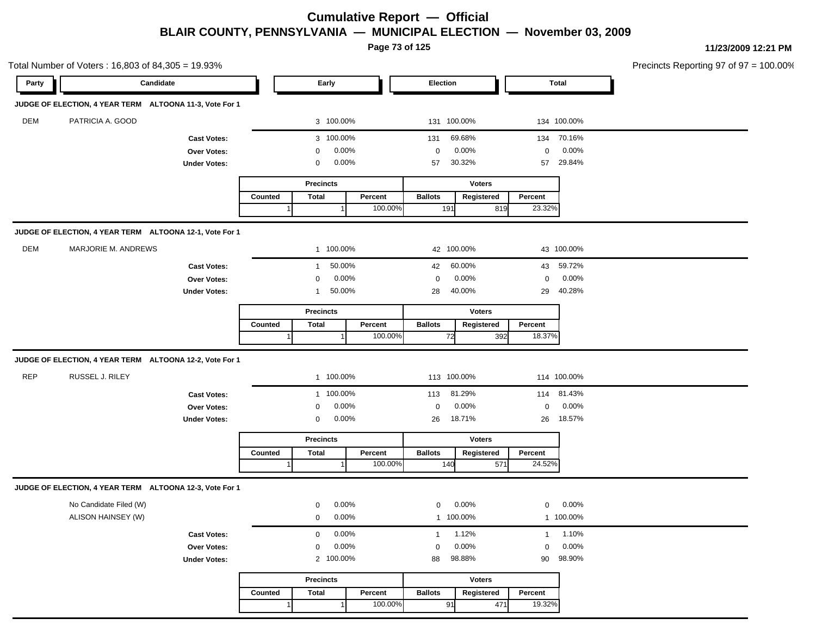**Page 73 of 125**

|            | Total Number of Voters: 16,803 of 84,305 = 19.93%       |                     |         |                  |          |                |               |              |              | Precincts Reporting 97 of 97 = 100.00% |
|------------|---------------------------------------------------------|---------------------|---------|------------------|----------|----------------|---------------|--------------|--------------|----------------------------------------|
| Party      | Candidate                                               |                     |         | Early            |          | Election       |               |              | <b>Total</b> |                                        |
|            | JUDGE OF ELECTION, 4 YEAR TERM ALTOONA 11-3, Vote For 1 |                     |         |                  |          |                |               |              |              |                                        |
| DEM        | PATRICIA A. GOOD                                        |                     |         | 3 100.00%        |          | 131 100.00%    |               |              | 134 100.00%  |                                        |
|            |                                                         | <b>Cast Votes:</b>  |         | 3 100.00%        |          | 131            | 69.68%        | 134          | 70.16%       |                                        |
|            |                                                         | Over Votes:         |         | 0                | 0.00%    | $\mathbf 0$    | 0.00%         | $\mathbf 0$  | 0.00%        |                                        |
|            |                                                         | <b>Under Votes:</b> |         | $\mathbf 0$      | $0.00\%$ | 57             | 30.32%        | 57           | 29.84%       |                                        |
|            |                                                         |                     |         | <b>Precincts</b> |          |                | <b>Voters</b> |              |              |                                        |
|            |                                                         |                     | Counted | <b>Total</b>     | Percent  | <b>Ballots</b> | Registered    | Percent      |              |                                        |
|            |                                                         |                     |         |                  | 100.00%  | 191            | 819           | 23.32%       |              |                                        |
|            | JUDGE OF ELECTION, 4 YEAR TERM ALTOONA 12-1, Vote For 1 |                     |         |                  |          |                |               |              |              |                                        |
| DEM        | MARJORIE M. ANDREWS                                     |                     |         | 1 100.00%        |          | 42 100.00%     |               |              | 43 100.00%   |                                        |
|            |                                                         | <b>Cast Votes:</b>  |         | $\mathbf{1}$     | 50.00%   | 42             | 60.00%        |              | 43 59.72%    |                                        |
|            |                                                         | Over Votes:         |         | $\mathbf 0$      | 0.00%    | $\mathbf 0$    | 0.00%         | $\mathbf 0$  | 0.00%        |                                        |
|            |                                                         | <b>Under Votes:</b> |         | $\mathbf{1}$     | 50.00%   | 28             | 40.00%        | 29           | 40.28%       |                                        |
|            |                                                         |                     |         | <b>Precincts</b> |          |                | <b>Voters</b> |              |              |                                        |
|            |                                                         |                     | Counted | <b>Total</b>     | Percent  | <b>Ballots</b> | Registered    | Percent      |              |                                        |
|            |                                                         |                     |         |                  | 100.00%  | 72             | 392           | 18.37%       |              |                                        |
|            | JUDGE OF ELECTION, 4 YEAR TERM ALTOONA 12-2, Vote For 1 |                     |         |                  |          |                |               |              |              |                                        |
| <b>REP</b> | RUSSEL J. RILEY                                         |                     |         | 1 100.00%        |          | 113 100.00%    |               |              | 114 100.00%  |                                        |
|            |                                                         | <b>Cast Votes:</b>  |         | 1 100.00%        |          | 113            | 81.29%        |              | 114 81.43%   |                                        |
|            |                                                         | Over Votes:         |         | 0                | 0.00%    | 0              | 0.00%         | $\mathbf 0$  | 0.00%        |                                        |
|            |                                                         | <b>Under Votes:</b> |         | 0                | 0.00%    | 26             | 18.71%        | 26           | 18.57%       |                                        |
|            |                                                         |                     |         | <b>Precincts</b> |          |                | <b>Voters</b> |              |              |                                        |
|            |                                                         |                     | Counted | <b>Total</b>     | Percent  | <b>Ballots</b> | Registered    | Percent      |              |                                        |
|            |                                                         |                     |         |                  | 100.00%  | 140            | 571           | 24.52%       |              |                                        |
|            | JUDGE OF ELECTION, 4 YEAR TERM ALTOONA 12-3, Vote For 1 |                     |         |                  |          |                |               |              |              |                                        |
|            | No Candidate Filed (W)                                  |                     |         | $\mathbf 0$      | 0.00%    | $\mathbf{0}$   | 0.00%         | 0            | 0.00%        |                                        |
|            | ALISON HAINSEY (W)                                      |                     |         | $\mathbf 0$      | 0.00%    | 1 100.00%      |               |              | 1 100.00%    |                                        |
|            |                                                         | <b>Cast Votes:</b>  |         | $\mathbf 0$      | $0.00\%$ | $\mathbf{1}$   | 1.12%         | $\mathbf{1}$ | 1.10%        |                                        |
|            |                                                         | Over Votes:         |         | $\mathbf 0$      | 0.00%    | $\mathbf 0$    | 0.00%         | $\mathbf 0$  | 0.00%        |                                        |
|            |                                                         | <b>Under Votes:</b> |         | 2                | 100.00%  | 88             | 98.88%        | 90           | 98.90%       |                                        |
|            |                                                         |                     |         | <b>Precincts</b> |          |                | Voters        |              |              |                                        |
|            |                                                         |                     | Counted | <b>Total</b>     | Percent  | <b>Ballots</b> | Registered    | Percent      |              |                                        |
|            |                                                         |                     |         |                  | 100.00%  | 91             | 471           | 19.32%       |              |                                        |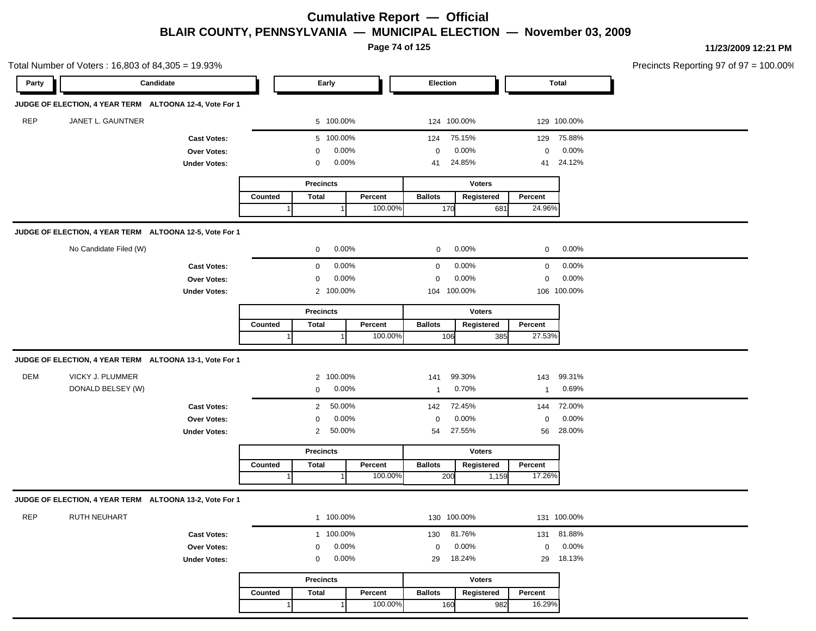**Page 74 of 125**

|            | Total Number of Voters: 16,803 of 84,305 = 19.93%       |                     |         |                  |         |                |               |              |              | Precincts Reporting 97 of 97 = 100.00% |
|------------|---------------------------------------------------------|---------------------|---------|------------------|---------|----------------|---------------|--------------|--------------|----------------------------------------|
| Party      | Candidate                                               |                     |         | Early            |         | Election       |               |              | <b>Total</b> |                                        |
|            | JUDGE OF ELECTION, 4 YEAR TERM ALTOONA 12-4, Vote For 1 |                     |         |                  |         |                |               |              |              |                                        |
| <b>REP</b> | JANET L. GAUNTNER                                       |                     |         | 5 100.00%        |         |                | 124 100.00%   |              | 129 100.00%  |                                        |
|            |                                                         | <b>Cast Votes:</b>  |         | 5 100.00%        |         | 124            | 75.15%        | 129          | 75.88%       |                                        |
|            |                                                         | Over Votes:         |         | 0                | 0.00%   | 0              | 0.00%         | $\mathbf 0$  | 0.00%        |                                        |
|            |                                                         | <b>Under Votes:</b> |         | 0                | 0.00%   | 41             | 24.85%        | 41           | 24.12%       |                                        |
|            |                                                         |                     |         | <b>Precincts</b> |         |                | <b>Voters</b> |              |              |                                        |
|            |                                                         |                     | Counted | <b>Total</b>     | Percent | <b>Ballots</b> | Registered    | Percent      |              |                                        |
|            |                                                         |                     |         |                  | 100.00% | 170            | 681           | 24.96%       |              |                                        |
|            | JUDGE OF ELECTION, 4 YEAR TERM ALTOONA 12-5, Vote For 1 |                     |         |                  |         |                |               |              |              |                                        |
|            | No Candidate Filed (W)                                  |                     |         | $\mathbf 0$      | 0.00%   | 0              | 0.00%         | $\mathbf 0$  | 0.00%        |                                        |
|            |                                                         | <b>Cast Votes:</b>  |         | $\mathbf 0$      | 0.00%   | $\mathbf 0$    | 0.00%         | $\mathbf{0}$ | 0.00%        |                                        |
|            |                                                         | Over Votes:         |         | $\mathbf 0$      | 0.00%   | 0              | 0.00%         | $\mathbf 0$  | 0.00%        |                                        |
|            |                                                         | <b>Under Votes:</b> |         | 2 100.00%        |         | 104 100.00%    |               |              | 106 100.00%  |                                        |
|            |                                                         |                     |         | <b>Precincts</b> |         |                | <b>Voters</b> |              |              |                                        |
|            |                                                         |                     | Counted | <b>Total</b>     | Percent | <b>Ballots</b> | Registered    | Percent      |              |                                        |
|            |                                                         |                     |         |                  | 100.00% | 106            | 385           | 27.53%       |              |                                        |
|            | JUDGE OF ELECTION, 4 YEAR TERM ALTOONA 13-1, Vote For 1 |                     |         |                  |         |                |               |              |              |                                        |
| <b>DEM</b> | VICKY J. PLUMMER                                        |                     |         | 2 100.00%        |         | 141            | 99.30%        | 143          | 99.31%       |                                        |
|            | DONALD BELSEY (W)                                       |                     |         | 0                | 0.00%   | $\mathbf{1}$   | 0.70%         | $\mathbf{1}$ | 0.69%        |                                        |
|            |                                                         | <b>Cast Votes:</b>  |         | $\overline{2}$   | 50.00%  | 142            | 72.45%        | 144          | 72.00%       |                                        |
|            |                                                         | Over Votes:         |         | 0                | 0.00%   | 0              | 0.00%         | $\mathbf 0$  | 0.00%        |                                        |
|            |                                                         | <b>Under Votes:</b> |         | $\overline{2}$   | 50.00%  | 54             | 27.55%        | 56           | 28.00%       |                                        |
|            |                                                         |                     |         | <b>Precincts</b> |         |                | <b>Voters</b> |              |              |                                        |
|            |                                                         |                     | Counted | <b>Total</b>     | Percent | <b>Ballots</b> | Registered    | Percent      |              |                                        |
|            |                                                         |                     |         |                  | 100.00% | 200            | 1,159         | 17.26%       |              |                                        |
|            | JUDGE OF ELECTION, 4 YEAR TERM ALTOONA 13-2, Vote For 1 |                     |         |                  |         |                |               |              |              |                                        |
| <b>REP</b> | <b>RUTH NEUHART</b>                                     |                     |         | 1 100.00%        |         | 130 100.00%    |               |              | 131 100.00%  |                                        |
|            |                                                         | <b>Cast Votes:</b>  |         | 1 100.00%        |         | 130            | 81.76%        |              | 131 81.88%   |                                        |
|            |                                                         | Over Votes:         |         | $\mathbf 0$      | 0.00%   | 0              | 0.00%         | $\mathbf 0$  | 0.00%        |                                        |
|            |                                                         |                     |         | $\mathbf 0$      | 0.00%   | 29             | 18.24%        | 29           | 18.13%       |                                        |
|            |                                                         | <b>Under Votes:</b> |         |                  |         |                |               |              |              |                                        |
|            |                                                         |                     |         | <b>Precincts</b> |         |                | Voters        |              |              |                                        |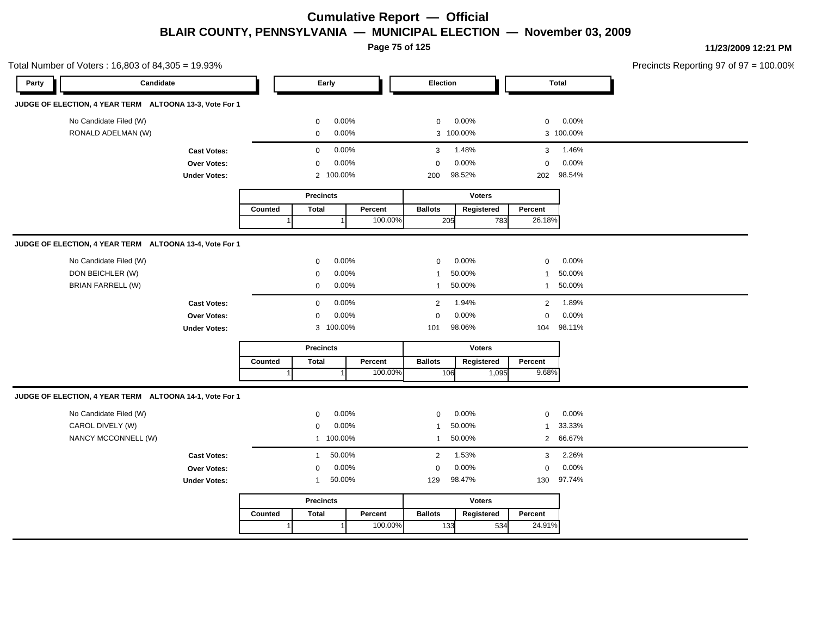**Page 75 of 125**

|       | Total Number of Voters: 16,803 of 84,305 = 19.93%       |                     |         |                  |           |         |                |               |                |              | Precincts Reporting 97 of 97 = 100.00% |
|-------|---------------------------------------------------------|---------------------|---------|------------------|-----------|---------|----------------|---------------|----------------|--------------|----------------------------------------|
| Party | Candidate                                               |                     |         |                  | Early     |         | Election       |               |                | <b>Total</b> |                                        |
|       | JUDGE OF ELECTION, 4 YEAR TERM ALTOONA 13-3, Vote For 1 |                     |         |                  |           |         |                |               |                |              |                                        |
|       | No Candidate Filed (W)                                  |                     |         | 0                | 0.00%     |         | $\mathbf 0$    | 0.00%         | $\mathbf 0$    | 0.00%        |                                        |
|       | RONALD ADELMAN (W)                                      |                     |         | 0                | 0.00%     |         |                | 3 100.00%     |                | 3 100.00%    |                                        |
|       |                                                         | <b>Cast Votes:</b>  |         | $\mathbf 0$      | 0.00%     |         | 3              | 1.48%         | 3              | 1.46%        |                                        |
|       |                                                         | Over Votes:         |         | $\mathbf{0}$     | 0.00%     |         | $\mathbf 0$    | 0.00%         | $\mathbf 0$    | 0.00%        |                                        |
|       |                                                         | <b>Under Votes:</b> |         |                  | 2 100.00% |         | 200            | 98.52%        |                | 202 98.54%   |                                        |
|       |                                                         |                     |         | <b>Precincts</b> |           |         |                | <b>Voters</b> |                |              |                                        |
|       |                                                         |                     | Counted | <b>Total</b>     |           | Percent | <b>Ballots</b> | Registered    | Percent        |              |                                        |
|       |                                                         |                     |         |                  |           | 100.00% | 205            | 783           | 26.18%         |              |                                        |
|       | JUDGE OF ELECTION, 4 YEAR TERM ALTOONA 13-4, Vote For 1 |                     |         |                  |           |         |                |               |                |              |                                        |
|       | No Candidate Filed (W)                                  |                     |         | 0                | 0.00%     |         | 0              | 0.00%         | $\mathbf 0$    | 0.00%        |                                        |
|       | DON BEICHLER (W)                                        |                     |         | 0                | 0.00%     |         | -1             | 50.00%        | $\mathbf{1}$   | 50.00%       |                                        |
|       | <b>BRIAN FARRELL (W)</b>                                |                     |         | $\mathbf{0}$     | 0.00%     |         | $\mathbf{1}$   | 50.00%        | $\mathbf{1}$   | 50.00%       |                                        |
|       |                                                         | <b>Cast Votes:</b>  |         | 0                | 0.00%     |         | $\overline{2}$ | 1.94%         | $\overline{2}$ | 1.89%        |                                        |
|       |                                                         | Over Votes:         |         | 0                | 0.00%     |         | $\mathbf 0$    | 0.00%         | 0              | 0.00%        |                                        |
|       |                                                         | <b>Under Votes:</b> |         |                  | 3 100.00% |         | 101            | 98.06%        | 104            | 98.11%       |                                        |
|       |                                                         |                     |         | <b>Precincts</b> |           |         |                | <b>Voters</b> |                |              |                                        |
|       |                                                         |                     | Counted | <b>Total</b>     |           | Percent | <b>Ballots</b> | Registered    | Percent        |              |                                        |
|       |                                                         |                     |         |                  |           | 100.00% | 106            | 1,095         | 9.68%          |              |                                        |
|       | JUDGE OF ELECTION, 4 YEAR TERM ALTOONA 14-1, Vote For 1 |                     |         |                  |           |         |                |               |                |              |                                        |
|       | No Candidate Filed (W)                                  |                     |         | 0                | 0.00%     |         | 0              | 0.00%         | $\mathbf 0$    | 0.00%        |                                        |
|       | CAROL DIVELY (W)                                        |                     |         | $\mathbf 0$      | 0.00%     |         | $\mathbf{1}$   | 50.00%        | $\mathbf{1}$   | 33.33%       |                                        |
|       | NANCY MCCONNELL (W)                                     |                     |         |                  | 1 100.00% |         | $\mathbf{1}$   | 50.00%        |                | 2 66.67%     |                                        |
|       |                                                         | <b>Cast Votes:</b>  |         | $\mathbf{1}$     | 50.00%    |         | $\overline{2}$ | 1.53%         | 3              | 2.26%        |                                        |
|       |                                                         | Over Votes:         |         | $\mathbf 0$      | 0.00%     |         | $\mathbf 0$    | 0.00%         | $\mathbf 0$    | 0.00%        |                                        |
|       |                                                         | <b>Under Votes:</b> |         | $\mathbf{1}$     | 50.00%    |         | 129            | 98.47%        |                | 130 97.74%   |                                        |
|       |                                                         |                     |         | <b>Precincts</b> |           |         |                | <b>Voters</b> |                |              |                                        |
|       |                                                         |                     | Counted | <b>Total</b>     |           | Percent | <b>Ballots</b> | Registered    | Percent        |              |                                        |
|       |                                                         |                     | 1       |                  |           | 100.00% | 133            | 534           | 24.91%         |              |                                        |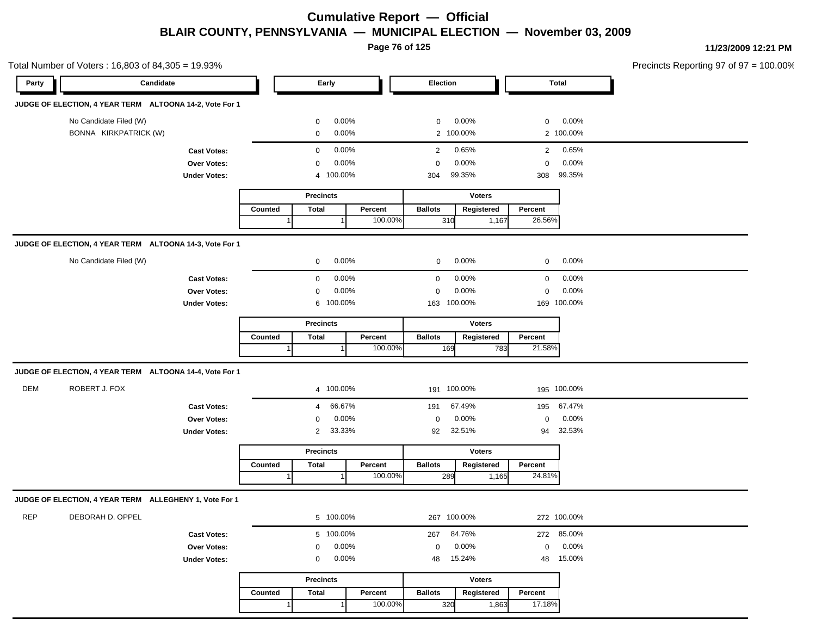**Page 76 of 125**

|            | Total Number of Voters: 16,803 of 84,305 = 19.93%       |                     |                                    |                  |          |                |               |                |              | Precincts Reporting 97 of 97 = 100.00% |
|------------|---------------------------------------------------------|---------------------|------------------------------------|------------------|----------|----------------|---------------|----------------|--------------|----------------------------------------|
| Party      | Candidate                                               |                     |                                    | Early            |          | Election       |               |                | <b>Total</b> |                                        |
|            | JUDGE OF ELECTION, 4 YEAR TERM ALTOONA 14-2, Vote For 1 |                     |                                    |                  |          |                |               |                |              |                                        |
|            | No Candidate Filed (W)                                  |                     |                                    | 0                | 0.00%    | $\mathbf{0}$   | 0.00%         | $\mathbf 0$    | 0.00%        |                                        |
|            | BONNA KIRKPATRICK (W)                                   |                     |                                    | $\mathbf 0$      | 0.00%    |                | 2 100.00%     |                | 2 100.00%    |                                        |
|            |                                                         | <b>Cast Votes:</b>  |                                    | $\mathbf 0$      | 0.00%    | $\overline{2}$ | 0.65%         | $\overline{2}$ | 0.65%        |                                        |
|            |                                                         | Over Votes:         |                                    | $\mathbf 0$      | 0.00%    | 0              | 0.00%         | $\mathbf 0$    | 0.00%        |                                        |
|            |                                                         | <b>Under Votes:</b> |                                    | 4                | 100.00%  | 304            | 99.35%        | 308            | 99.35%       |                                        |
|            |                                                         |                     |                                    | <b>Precincts</b> |          |                | <b>Voters</b> |                |              |                                        |
|            |                                                         |                     | Counted                            | <b>Total</b>     | Percent  | <b>Ballots</b> | Registered    | Percent        |              |                                        |
|            |                                                         |                     |                                    |                  | 100.00%  | 310            | 1,167         | 26.56%         |              |                                        |
|            | JUDGE OF ELECTION, 4 YEAR TERM ALTOONA 14-3, Vote For 1 |                     |                                    |                  |          |                |               |                |              |                                        |
|            | No Candidate Filed (W)                                  |                     |                                    | $\mathbf{0}$     | 0.00%    | $\mathbf{0}$   | 0.00%         | $\mathbf{0}$   | $0.00\%$     |                                        |
|            |                                                         | <b>Cast Votes:</b>  |                                    | $\mathbf 0$      | 0.00%    | 0              | 0.00%         | 0              | 0.00%        |                                        |
|            |                                                         | <b>Over Votes:</b>  |                                    | $\mathbf 0$      | $0.00\%$ | $\mathbf 0$    | 0.00%         | $\mathbf 0$    | 0.00%        |                                        |
|            |                                                         | <b>Under Votes:</b> |                                    | 6 100.00%        |          | 163            | 100.00%       |                | 169 100.00%  |                                        |
|            |                                                         |                     |                                    | <b>Precincts</b> |          |                | <b>Voters</b> |                |              |                                        |
|            |                                                         |                     | Counted<br><b>Total</b><br>Percent |                  |          | <b>Ballots</b> | Registered    | Percent        |              |                                        |
|            |                                                         |                     |                                    |                  | 100.00%  | 169            | 783           | 21.58%         |              |                                        |
|            | JUDGE OF ELECTION, 4 YEAR TERM ALTOONA 14-4, Vote For 1 |                     |                                    |                  |          |                |               |                |              |                                        |
| <b>DEM</b> | ROBERT J. FOX                                           |                     |                                    | 4 100.00%        |          | 191 100.00%    |               |                | 195 100.00%  |                                        |
|            |                                                         | <b>Cast Votes:</b>  |                                    | 4                | 66.67%   | 191            | 67.49%        | 195            | 67.47%       |                                        |
|            |                                                         | Over Votes:         |                                    | 0                | 0.00%    | $\mathbf 0$    | 0.00%         | $\mathbf 0$    | 0.00%        |                                        |
|            |                                                         | <b>Under Votes:</b> |                                    | $\overline{2}$   | 33.33%   | 92             | 32.51%        | 94             | 32.53%       |                                        |
|            |                                                         |                     |                                    | <b>Precincts</b> |          |                | <b>Voters</b> |                |              |                                        |
|            |                                                         |                     | Counted                            | <b>Total</b>     | Percent  | <b>Ballots</b> | Registered    | Percent        |              |                                        |
|            |                                                         |                     |                                    |                  | 100.00%  | 289            | 1,165         | 24.81%         |              |                                        |
|            | JUDGE OF ELECTION, 4 YEAR TERM ALLEGHENY 1, Vote For 1  |                     |                                    |                  |          |                |               |                |              |                                        |
| <b>REP</b> | DEBORAH D. OPPEL                                        |                     |                                    | 5 100.00%        |          | 267 100.00%    |               |                | 272 100.00%  |                                        |
|            |                                                         | <b>Cast Votes:</b>  |                                    | 5 100.00%        |          | 267            | 84.76%        |                | 272 85.00%   |                                        |
|            |                                                         | Over Votes:         |                                    | 0                | 0.00%    | 0              | 0.00%         | $\mathbf 0$    | 0.00%        |                                        |
|            |                                                         | <b>Under Votes:</b> |                                    | 0                | 0.00%    | 48             | 15.24%        | 48             | 15.00%       |                                        |
|            |                                                         |                     |                                    | <b>Precincts</b> |          |                | <b>Voters</b> |                |              |                                        |
|            |                                                         |                     | Counted                            | <b>Total</b>     | Percent  | <b>Ballots</b> | Registered    | Percent        |              |                                        |
|            |                                                         |                     |                                    |                  | 100.00%  | 320            | 1,863         | 17.18%         |              |                                        |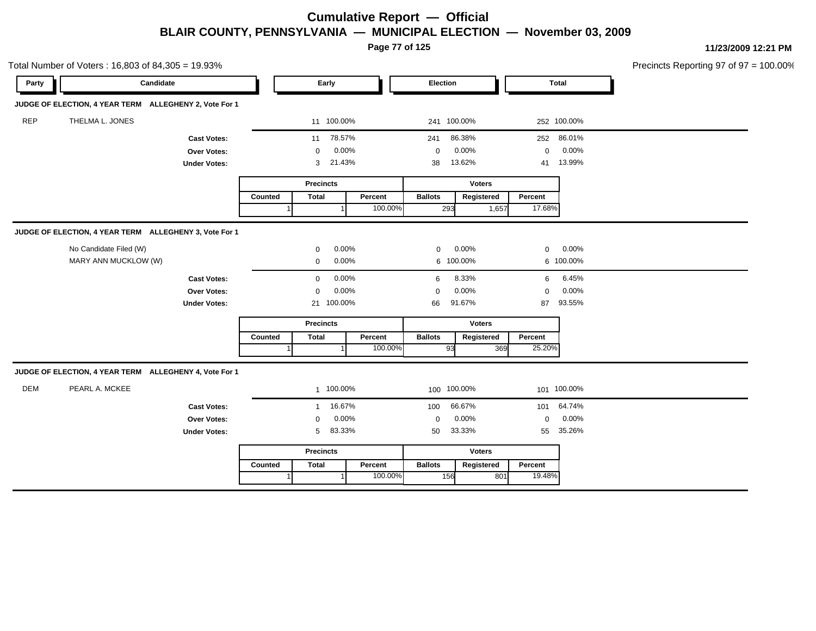**Page 77 of 125**

|            | Total Number of Voters: 16,803 of 84,305 = 19.93%      |                     |         |                      |            |         |                |               |             |              | Precincts Reporting 97 of 97 = 100.00% |
|------------|--------------------------------------------------------|---------------------|---------|----------------------|------------|---------|----------------|---------------|-------------|--------------|----------------------------------------|
| Party      | Candidate                                              |                     |         |                      | Early      |         | Election       |               |             | <b>Total</b> |                                        |
|            | JUDGE OF ELECTION, 4 YEAR TERM ALLEGHENY 2, Vote For 1 |                     |         |                      |            |         |                |               |             |              |                                        |
| <b>REP</b> | THELMA L. JONES                                        |                     |         |                      | 11 100.00% |         |                | 241 100.00%   |             | 252 100.00%  |                                        |
|            |                                                        | <b>Cast Votes:</b>  |         | 11                   | 78.57%     |         | 241            | 86.38%        |             | 252 86.01%   |                                        |
|            |                                                        | Over Votes:         |         | $\mathbf{0}$         | 0.00%      |         | $\mathbf 0$    | 0.00%         | $\mathbf 0$ | 0.00%        |                                        |
|            |                                                        | <b>Under Votes:</b> |         | 3                    | 21.43%     |         | 38             | 13.62%        | 41          | 13.99%       |                                        |
|            |                                                        |                     |         | <b>Precincts</b>     |            |         |                | <b>Voters</b> |             |              |                                        |
|            |                                                        |                     | Counted | <b>Total</b>         |            | Percent | <b>Ballots</b> | Registered    | Percent     |              |                                        |
|            |                                                        |                     |         |                      |            | 100.00% | 293            | 1,657         | 17.68%      |              |                                        |
|            | JUDGE OF ELECTION, 4 YEAR TERM ALLEGHENY 3, Vote For 1 |                     |         |                      |            |         |                |               |             |              |                                        |
|            | No Candidate Filed (W)                                 |                     |         | 0                    | 0.00%      |         | $\mathbf{0}$   | 0.00%         | $\mathbf 0$ | 0.00%        |                                        |
|            | MARY ANN MUCKLOW (W)                                   |                     |         | 0.00%<br>$\mathbf 0$ |            |         |                | 6 100.00%     |             | 6 100.00%    |                                        |
|            |                                                        | <b>Cast Votes:</b>  |         | $\mathbf 0$          | 0.00%      |         | 6              | 8.33%         | 6           | 6.45%        |                                        |
|            |                                                        | Over Votes:         |         | $\Omega$             | 0.00%      |         | $\mathbf 0$    | 0.00%         | $\mathbf 0$ | 0.00%        |                                        |
|            |                                                        | <b>Under Votes:</b> |         |                      | 21 100.00% |         | 66             | 91.67%        | 87          | 93.55%       |                                        |
|            |                                                        |                     |         | <b>Precincts</b>     |            |         |                | <b>Voters</b> |             |              |                                        |
|            |                                                        |                     | Counted | <b>Total</b>         |            | Percent | <b>Ballots</b> | Registered    | Percent     |              |                                        |
|            |                                                        |                     |         |                      |            | 100.00% | 93             | 369           | 25.20%      |              |                                        |
|            | JUDGE OF ELECTION, 4 YEAR TERM ALLEGHENY 4, Vote For 1 |                     |         |                      |            |         |                |               |             |              |                                        |
| <b>DEM</b> | PEARL A. MCKEE                                         |                     |         |                      | 1 100.00%  |         |                | 100 100.00%   |             | 101 100.00%  |                                        |
|            |                                                        | <b>Cast Votes:</b>  |         | $\mathbf{1}$         | 16.67%     |         | 100            | 66.67%        | 101         | 64.74%       |                                        |
|            |                                                        | Over Votes:         |         | $\mathbf 0$          | 0.00%      |         | $\mathbf 0$    | 0.00%         | $\mathbf 0$ | 0.00%        |                                        |
|            |                                                        | <b>Under Votes:</b> |         | 5                    | 83.33%     |         | 50             | 33.33%        | 55          | 35.26%       |                                        |
|            |                                                        |                     |         | <b>Precincts</b>     |            |         |                | <b>Voters</b> |             |              |                                        |
|            |                                                        |                     | Counted | <b>Total</b>         |            | Percent | <b>Ballots</b> | Registered    | Percent     |              |                                        |
|            |                                                        |                     |         |                      |            | 100.00% | 156            | 801           | 19.48%      |              |                                        |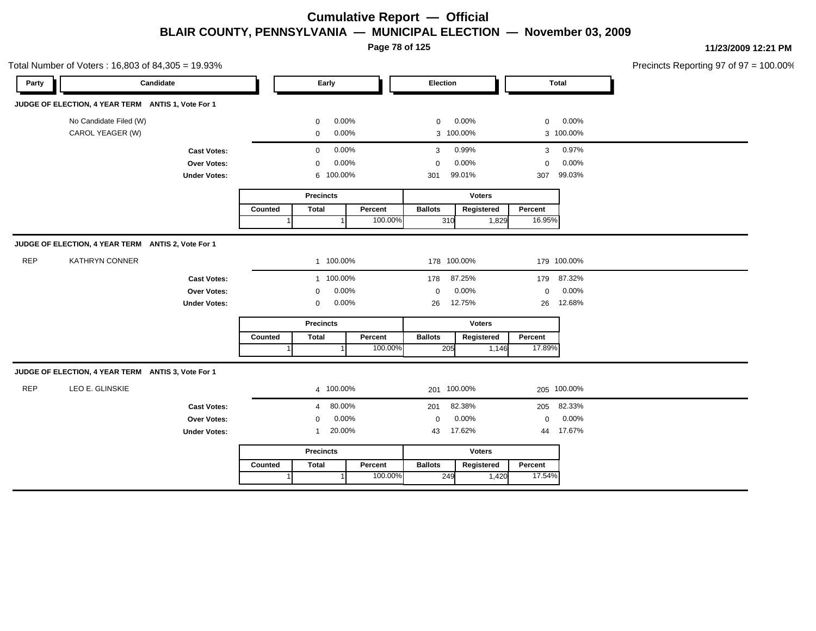**Page 78 of 125**

Total Number of Voters : 16,803 of 84,305 = 19.93% Precincts Reporting 97 of 97 = 100.00% **Party Candidate Early Election Total JUDGE OF ELECTION, 4 YEAR TERM ANTIS 1, Vote For 1** No Candidate Filed (W)  $0.00\%$  0.00% 0 0.00% 0 0.00% 0 0.00% CAROL YEAGER (W) 0 0.00% 3 100.00% 3 100.00% **Cast Votes:** 0 0.00% 3 0.99% 3 0.97% **Over Votes:** 0 0.00% **Under Votes:** 0.00% 0 100.00% 301 307 99.01% 99.03% 0.00% 0 0.00% **Precincts** Counted | Total 1 **Percent** Ballots 1 100.00% **Voters** 310 1,829 **Ballots Registered Percent** 16.95% **JUDGE OF ELECTION, 4 YEAR TERM ANTIS 2, Vote For 1** REP KATHRYN CONNER 1 100.00% 178 100.00% 179 100.00% **Cast Votes:** 1 100.00% 178 87.25% 179 87.32% **Over Votes:** 0 0.00% **Under Votes:** 0 0.00% 0 0.00% 26 26 0.00% 0 0.00% 12.75% 12.68% **Precincts Counted** 1 **Percent** | **Ballots**  1 100.00% **Voters** 205 1,146 **Ballots Registered Percent** 17.89% **JUDGE OF ELECTION, 4 YEAR TERM ANTIS 3, Vote For 1** REP LEO E. GLINSKIE 4 100.00% 201 100.00% 205 100.00% **Cast Votes:** 4 80.00% 201 82.38% 205 82.33% **Over Votes:** 0 0.00% Under Votes: 1 20.00% 0.00% 0 43 17.62% 43 44 17.62% 17.67% 0.00% 0 0.00% **Precincts Counted**  $1$ **Percent Ballots**  1 100.00% **Voters** 249 1,420 **Ballots Registered Percent** 17.54%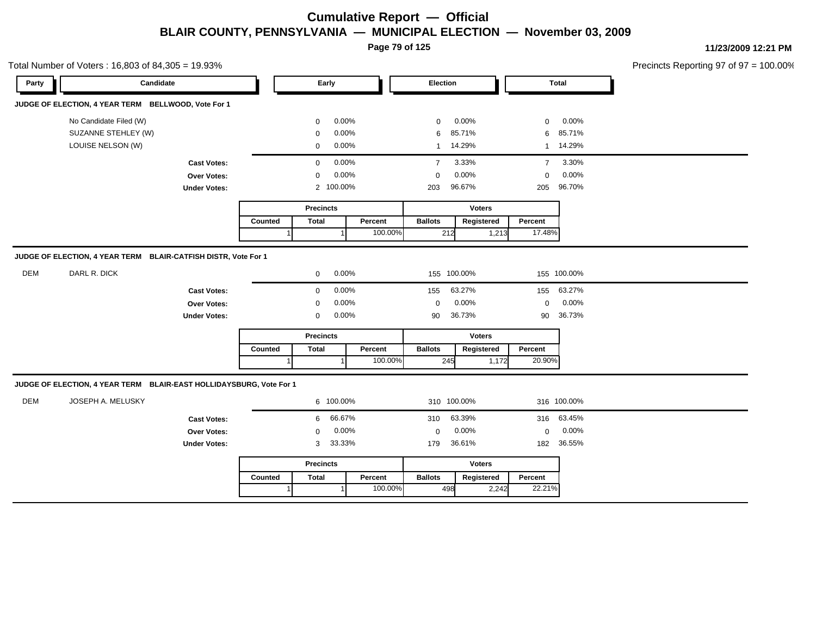**Page 79 of 125**

| Party      | Candidate                                                                      |                     |                      |                  | Early     |         | Election                |               |                | <b>Total</b> |  |
|------------|--------------------------------------------------------------------------------|---------------------|----------------------|------------------|-----------|---------|-------------------------|---------------|----------------|--------------|--|
|            | JUDGE OF ELECTION, 4 YEAR TERM BELLWOOD, Vote For 1                            |                     |                      |                  |           |         |                         |               |                |              |  |
|            | No Candidate Filed (W)                                                         |                     |                      | $\mathbf 0$      | 0.00%     |         | $\mathbf 0$             | 0.00%         | $\mathbf 0$    | 0.00%        |  |
|            | SUZANNE STEHLEY (W)                                                            |                     |                      | $\mathbf 0$      | 0.00%     |         | 6                       | 85.71%        | 6              | 85.71%       |  |
|            | LOUISE NELSON (W)                                                              |                     |                      | $\mathbf 0$      | 0.00%     |         |                         | 1 14.29%      |                | 1 14.29%     |  |
|            |                                                                                | <b>Cast Votes:</b>  |                      | $\mathbf 0$      | 0.00%     |         | 3.33%<br>$\overline{7}$ |               | $\overline{7}$ | 3.30%        |  |
|            |                                                                                | Over Votes:         |                      | 0                | 0.00%     |         | $\mathbf 0$             | 0.00%         | $\mathbf 0$    | 0.00%        |  |
|            |                                                                                | <b>Under Votes:</b> |                      | $\overline{2}$   | 100.00%   |         | 203                     | 96.67%        | 205            | 96.70%       |  |
|            |                                                                                |                     |                      | <b>Precincts</b> |           |         | <b>Voters</b>           |               |                |              |  |
|            |                                                                                |                     |                      | <b>Total</b>     |           | Percent | <b>Ballots</b>          | Registered    | Percent        |              |  |
|            |                                                                                |                     |                      |                  |           | 100.00% | 212                     | 1,213         | 17.48%         |              |  |
|            | JUDGE OF ELECTION, 4 YEAR TERM BLAIR-CATFISH DISTR, Vote For 1<br>DARL R. DICK |                     |                      |                  |           |         |                         |               |                |              |  |
| DEM        |                                                                                |                     | 0.00%<br>$\mathbf 0$ |                  |           |         | 155 100.00%             |               |                | 155 100.00%  |  |
|            |                                                                                | <b>Cast Votes:</b>  | 0.00%<br>$\mathbf 0$ |                  |           |         | 155                     | 63.27%        | 155            | 63.27%       |  |
|            |                                                                                | Over Votes:         | 0.00%<br>$\mathbf 0$ |                  |           |         | $\mathbf 0$             | 0.00%         | $\mathbf 0$    | $0.00\%$     |  |
|            |                                                                                | <b>Under Votes:</b> |                      | $\mathbf 0$      | 0.00%     |         | 90                      | 36.73%        | 90             | 36.73%       |  |
|            |                                                                                |                     |                      | <b>Precincts</b> |           |         |                         | <b>Voters</b> |                |              |  |
|            |                                                                                |                     | Counted              | <b>Total</b>     |           | Percent | <b>Ballots</b>          | Registered    | Percent        |              |  |
|            |                                                                                |                     |                      |                  | f         | 100.00% | 245                     | 1,172         | 20.90%         |              |  |
|            | JUDGE OF ELECTION, 4 YEAR TERM BLAIR-EAST HOLLIDAYSBURG, Vote For 1            |                     |                      |                  |           |         |                         |               |                |              |  |
| <b>DEM</b> | JOSEPH A. MELUSKY                                                              |                     |                      |                  | 6 100.00% |         | 310 100.00%             |               |                | 316 100.00%  |  |
|            |                                                                                | <b>Cast Votes:</b>  |                      | 6                | 66.67%    |         | 310                     | 63.39%        | 316            | 63.45%       |  |
|            |                                                                                | Over Votes:         |                      | $\mathbf 0$      | 0.00%     |         | $\mathbf 0$             | $0.00\%$      | $\mathbf 0$    | 0.00%        |  |
|            |                                                                                | <b>Under Votes:</b> |                      | 3                | 33.33%    |         | 179                     | 36.61%        | 182            | 36.55%       |  |
|            |                                                                                |                     |                      | <b>Precincts</b> |           |         |                         | <b>Voters</b> |                |              |  |
|            |                                                                                |                     | Counted              | <b>Total</b>     |           | Percent | <b>Ballots</b>          | Registered    | Percent        |              |  |
|            |                                                                                |                     |                      |                  |           | 100.00% | 498                     | 2,242         | 22.21%         |              |  |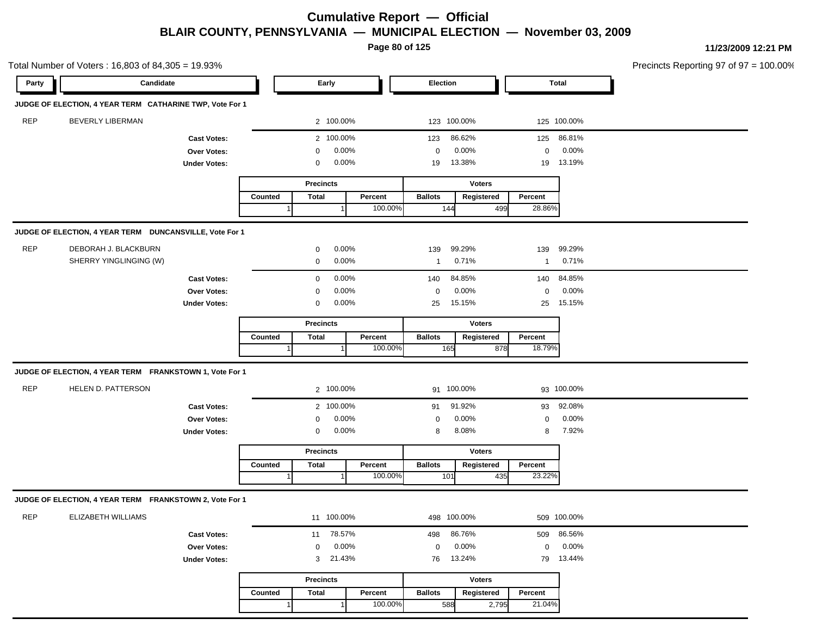**Page 80 of 125**

|            | Total Number of Voters: 16,803 of 84,305 = 19.93%        |                     |                         |                  |              |         |                |               |              |              | Precincts Reporting 97 of 97 = 100.00% |
|------------|----------------------------------------------------------|---------------------|-------------------------|------------------|--------------|---------|----------------|---------------|--------------|--------------|----------------------------------------|
| Party      | Candidate                                                |                     |                         |                  | Early        |         | Election       |               |              | <b>Total</b> |                                        |
|            | JUDGE OF ELECTION, 4 YEAR TERM CATHARINE TWP, Vote For 1 |                     |                         |                  |              |         |                |               |              |              |                                        |
| <b>REP</b> | BEVERLY LIBERMAN                                         |                     |                         |                  | 2 100.00%    |         | 123 100.00%    |               |              | 125 100.00%  |                                        |
|            |                                                          | <b>Cast Votes:</b>  |                         |                  | 2 100.00%    |         | 123            | 86.62%        | 125          | 86.81%       |                                        |
|            |                                                          | Over Votes:         |                         | 0                | 0.00%        |         | 0              | 0.00%         | $\mathbf 0$  | 0.00%        |                                        |
|            |                                                          | <b>Under Votes:</b> |                         | 0                | 0.00%        |         | 19             | 13.38%        | 19           | 13.19%       |                                        |
|            |                                                          |                     |                         | <b>Precincts</b> |              |         |                | <b>Voters</b> |              |              |                                        |
|            |                                                          |                     | Counted                 | <b>Total</b>     |              | Percent | <b>Ballots</b> | Registered    | Percent      |              |                                        |
|            |                                                          |                     |                         |                  |              | 100.00% | 144            | 499           | 28.86%       |              |                                        |
|            | JUDGE OF ELECTION, 4 YEAR TERM DUNCANSVILLE, Vote For 1  |                     |                         |                  |              |         |                |               |              |              |                                        |
| <b>REP</b> | DEBORAH J. BLACKBURN                                     |                     |                         | 0                | 0.00%        |         | 139            | 99.29%        | 139          | 99.29%       |                                        |
|            | SHERRY YINGLINGING (W)                                   |                     |                         | 0                | 0.00%        |         | -1             | 0.71%         | $\mathbf{1}$ | 0.71%        |                                        |
|            |                                                          | <b>Cast Votes:</b>  |                         | 0                | 0.00%        |         | 140            | 84.85%        | 140          | 84.85%       |                                        |
|            |                                                          | Over Votes:         |                         | 0                | 0.00%        |         | 0              | 0.00%         | $\mathbf 0$  | 0.00%        |                                        |
|            |                                                          | <b>Under Votes:</b> |                         | 0                | 0.00%        |         | 25             | 15.15%        | 25           | 15.15%       |                                        |
|            |                                                          |                     | <b>Precincts</b>        |                  |              |         |                | <b>Voters</b> |              |              |                                        |
|            |                                                          |                     | <b>Total</b><br>Counted |                  |              | Percent | <b>Ballots</b> | Registered    | Percent      |              |                                        |
|            |                                                          |                     |                         |                  |              | 100.00% | 165            | 878           | 18.79%       |              |                                        |
|            | JUDGE OF ELECTION, 4 YEAR TERM FRANKSTOWN 1, Vote For 1  |                     |                         |                  |              |         |                |               |              |              |                                        |
| <b>REP</b> | HELEN D. PATTERSON                                       |                     |                         |                  | 2 100.00%    |         | 91 100.00%     |               |              | 93 100.00%   |                                        |
|            |                                                          | <b>Cast Votes:</b>  |                         |                  | 2 100.00%    |         | 91             | 91.92%        | 93           | 92.08%       |                                        |
|            |                                                          | Over Votes:         |                         | 0                | 0.00%        |         | 0              | 0.00%         | $\mathbf 0$  | 0.00%        |                                        |
|            |                                                          | <b>Under Votes:</b> |                         | 0                | 0.00%        |         | 8              | 8.08%         | 8            | 7.92%        |                                        |
|            |                                                          |                     |                         | <b>Precincts</b> |              |         |                | <b>Voters</b> |              |              |                                        |
|            |                                                          |                     | Counted                 | <b>Total</b>     |              | Percent | <b>Ballots</b> | Registered    | Percent      |              |                                        |
|            |                                                          |                     |                         |                  |              | 100.00% | 101            | 435           | 23.22%       |              |                                        |
|            | JUDGE OF ELECTION, 4 YEAR TERM FRANKSTOWN 2, Vote For 1  |                     |                         |                  |              |         |                |               |              |              |                                        |
| <b>REP</b> | ELIZABETH WILLIAMS                                       |                     |                         |                  | 11 100.00%   |         | 498 100.00%    |               |              | 509 100.00%  |                                        |
|            |                                                          | <b>Cast Votes:</b>  |                         |                  | 11 78.57%    |         | 498            | 86.76%        | 509          | 86.56%       |                                        |
|            |                                                          | Over Votes:         |                         | $\mathbf{0}$     | 0.00%        |         | $\mathbf 0$    | 0.00%         | $\mathbf 0$  | 0.00%        |                                        |
|            |                                                          | <b>Under Votes:</b> |                         | 3                | 21.43%       |         | 76             | 13.24%        | 79           | 13.44%       |                                        |
|            |                                                          |                     |                         | <b>Precincts</b> |              |         | <b>Voters</b>  |               |              |              |                                        |
|            |                                                          |                     | Counted                 | <b>Total</b>     |              | Percent | <b>Ballots</b> | Registered    | Percent      |              |                                        |
|            |                                                          |                     | $\overline{1}$          |                  | $\mathbf{1}$ | 100.00% | 588            | 2,795         | 21.04%       |              |                                        |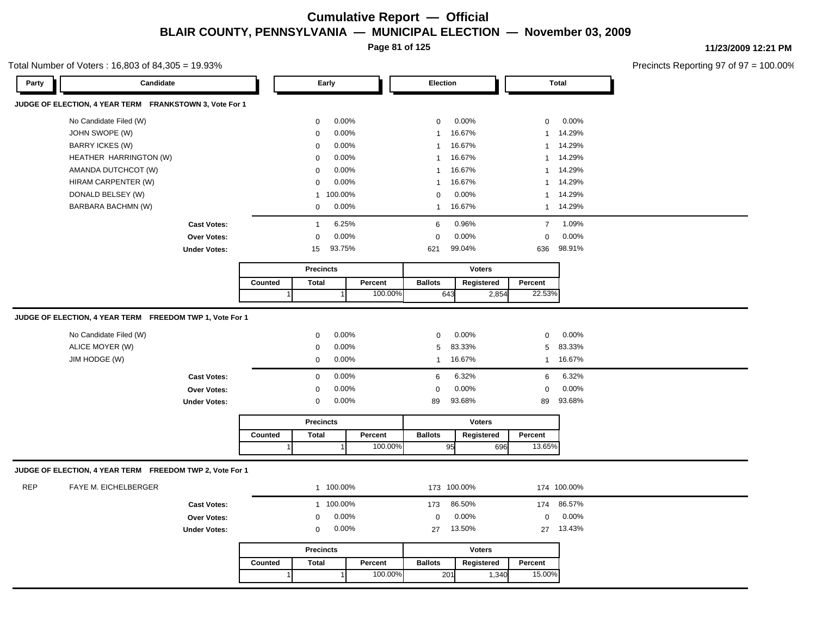**Page 81 of 125**

#### Total Number of Voters : 16,803 of 84,305 = 19.93%

**11/23/2009 12:21 PM**

Precincts Reporting 97 of 97 = 100.00%

| Party      | Candidate                                                |                     |         | Early                   |         | Election       |               |                | <b>Total</b> |
|------------|----------------------------------------------------------|---------------------|---------|-------------------------|---------|----------------|---------------|----------------|--------------|
|            | JUDGE OF ELECTION, 4 YEAR TERM FRANKSTOWN 3, Vote For 1  |                     |         |                         |         |                |               |                |              |
|            | No Candidate Filed (W)                                   |                     |         | 0.00%<br>$\mathbf 0$    |         | 0              | 0.00%         | $\mathbf 0$    | 0.00%        |
|            | JOHN SWOPE (W)                                           |                     |         | 0.00%<br>$\mathbf 0$    |         | $\mathbf{1}$   | 16.67%        | $\overline{1}$ | 14.29%       |
|            | <b>BARRY ICKES (W)</b>                                   |                     |         | 0.00%<br>$\mathbf 0$    |         | $\mathbf{1}$   | 16.67%        | $\overline{1}$ | 14.29%       |
|            | HEATHER HARRINGTON (W)                                   |                     |         | 0.00%<br>$\mathbf 0$    |         | $\mathbf{1}$   | 16.67%        | $\overline{1}$ | 14.29%       |
|            | AMANDA DUTCHCOT (W)                                      |                     |         | 0.00%<br>$\mathbf 0$    |         | $\mathbf{1}$   | 16.67%        | $\overline{1}$ | 14.29%       |
|            | HIRAM CARPENTER (W)                                      |                     |         | 0.00%<br>$\mathbf 0$    |         | -1             | 16.67%        | $\overline{1}$ | 14.29%       |
|            | DONALD BELSEY (W)                                        |                     |         | 100.00%<br>$\mathbf{1}$ |         | $\mathbf 0$    | 0.00%         | $\overline{1}$ | 14.29%       |
|            | BARBARA BACHMN (W)                                       |                     |         | 0.00%<br>$\mathbf 0$    |         | $\mathbf{1}$   | 16.67%        | $\mathbf{1}$   | 14.29%       |
|            |                                                          | <b>Cast Votes:</b>  |         | 6.25%<br>$\overline{1}$ |         | 6              | 0.96%         | $\overline{7}$ | 1.09%        |
|            |                                                          | <b>Over Votes:</b>  |         | 0.00%<br>$\mathbf 0$    |         | $\mathbf 0$    | 0.00%         | $\mathbf 0$    | 0.00%        |
|            |                                                          | <b>Under Votes:</b> |         | 93.75%<br>15            |         | 621            | 99.04%        | 636            | 98.91%       |
|            |                                                          |                     |         | <b>Precincts</b>        |         |                | <b>Voters</b> |                |              |
|            |                                                          |                     | Counted | <b>Total</b>            | Percent | <b>Ballots</b> | Registered    | Percent        |              |
|            |                                                          |                     |         |                         | 100.00% | 643            | 2,854         | 22.53%         |              |
|            | JUDGE OF ELECTION, 4 YEAR TERM FREEDOM TWP 1, Vote For 1 |                     |         |                         |         |                |               |                |              |
|            | No Candidate Filed (W)                                   |                     |         | 0.00%<br>$\mathbf 0$    |         | 0              | 0.00%         | $\mathbf 0$    | 0.00%        |
|            | ALICE MOYER (W)                                          |                     |         | 0.00%<br>$\mathbf 0$    |         | 5              | 83.33%        | 5              | 83.33%       |
|            | JIM HODGE (W)                                            |                     |         | $\mathbf 0$<br>0.00%    |         | $\mathbf{1}$   | 16.67%        | $\mathbf{1}$   | 16.67%       |
|            |                                                          |                     |         | 0.00%                   |         |                | 6.32%         |                | 6.32%        |
|            |                                                          | <b>Cast Votes:</b>  |         | $\mathbf 0$<br>0.00%    |         | 6              | 0.00%         | 6              | 0.00%        |
|            |                                                          | Over Votes:         |         | $\mathbf 0$             |         | $\mathbf 0$    |               | $\mathbf 0$    |              |
|            |                                                          | <b>Under Votes:</b> |         | 0.00%<br>$\mathbf 0$    |         | 89             | 93.68%        | 89             | 93.68%       |
|            |                                                          |                     |         | <b>Precincts</b>        |         |                | <b>Voters</b> |                |              |
|            |                                                          |                     | Counted | <b>Total</b>            | Percent | <b>Ballots</b> | Registered    | Percent        |              |
|            |                                                          |                     |         |                         | 100.00% | 95             | 696           | 13.65%         |              |
|            | JUDGE OF ELECTION, 4 YEAR TERM FREEDOM TWP 2, Vote For 1 |                     |         |                         |         |                |               |                |              |
| <b>REP</b> | FAYE M. EICHELBERGER                                     |                     |         | 1 100.00%               |         |                | 173 100.00%   |                | 174 100.00%  |
|            |                                                          | <b>Cast Votes:</b>  |         | 1 100.00%               |         | 173            | 86.50%        | 174            | 86.57%       |
|            |                                                          | <b>Over Votes:</b>  |         | 0.00%<br>$\mathbf 0$    |         | $\mathbf 0$    | 0.00%         | $\mathbf 0$    | 0.00%        |
|            |                                                          | <b>Under Votes:</b> |         | 0.00%<br>$\mathbf 0$    |         | 27             | 13.50%        | 27             | 13.43%       |
|            |                                                          |                     |         | <b>Precincts</b>        |         |                | <b>Voters</b> |                |              |
|            |                                                          |                     | Counted | <b>Total</b>            | Percent | <b>Ballots</b> | Registered    | Percent        |              |
|            |                                                          |                     |         |                         | 100.00% | 201            | 1,340         | 15.00%         |              |
|            |                                                          |                     |         |                         |         |                |               |                |              |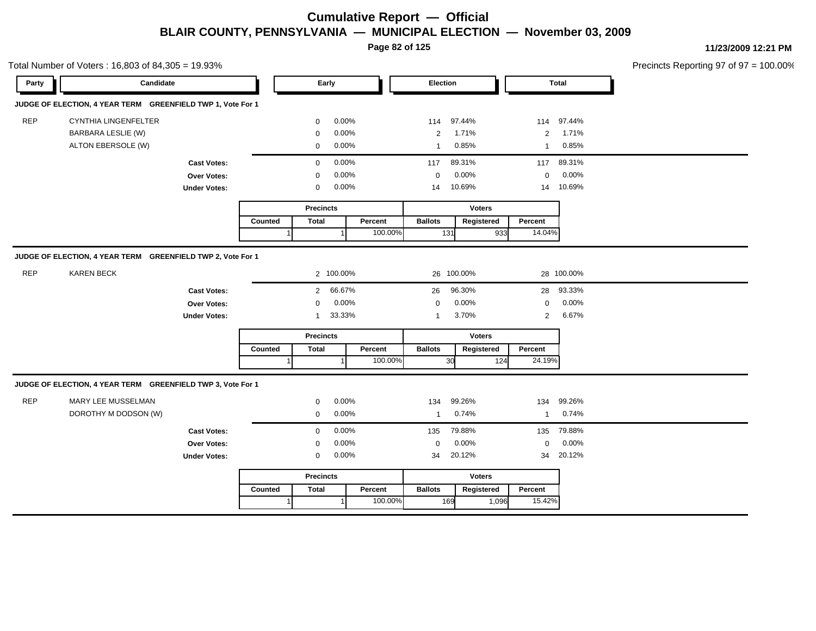**Page 82 of 125**

**11/23/2009 12:21 PM**

Precincts Reporting 97 of 97 = 100.00%

|            | Total Number of Voters: 16,803 of 84,305 = 19.93%           |                     |         |                            |                |         |                                |                |                                |                | Precincts Reporting 97 of 97 = |
|------------|-------------------------------------------------------------|---------------------|---------|----------------------------|----------------|---------|--------------------------------|----------------|--------------------------------|----------------|--------------------------------|
| Party      | Candidate                                                   |                     |         | Early                      |                |         | Election                       |                |                                | <b>Total</b>   |                                |
|            | JUDGE OF ELECTION, 4 YEAR TERM GREENFIELD TWP 1, Vote For 1 |                     |         |                            |                |         |                                |                |                                |                |                                |
| <b>REP</b> | <b>CYNTHIA LINGENFELTER</b>                                 |                     |         | $\Omega$                   | 0.00%          |         | 114                            | 97.44%         | 114                            | 97.44%         |                                |
|            | BARBARA LESLIE (W)<br>ALTON EBERSOLE (W)                    |                     |         | $\mathbf 0$<br>$\mathbf 0$ | 0.00%<br>0.00% |         | $\overline{c}$<br>$\mathbf{1}$ | 1.71%<br>0.85% | $\overline{2}$<br>$\mathbf{1}$ | 1.71%<br>0.85% |                                |
|            |                                                             | <b>Cast Votes:</b>  |         | $\mathbf 0$                | 0.00%          |         | 117                            | 89.31%         | 117                            | 89.31%         |                                |
|            |                                                             | Over Votes:         |         | $\mathbf 0$                | 0.00%          |         | $\mathbf 0$                    | 0.00%          | $\mathbf 0$                    | 0.00%          |                                |
|            |                                                             | <b>Under Votes:</b> |         | $\mathbf 0$                | 0.00%          |         | 14                             | 10.69%         | 14                             | 10.69%         |                                |
|            |                                                             |                     |         | <b>Precincts</b>           |                |         |                                | <b>Voters</b>  |                                |                |                                |
|            |                                                             |                     | Counted | <b>Total</b>               |                | Percent | <b>Ballots</b>                 | Registered     | Percent                        |                |                                |
|            |                                                             |                     |         |                            | $\overline{1}$ | 100.00% | 131                            |                | 14.04%<br>933                  |                |                                |
|            | JUDGE OF ELECTION, 4 YEAR TERM GREENFIELD TWP 2, Vote For 1 |                     |         |                            |                |         |                                |                |                                |                |                                |
| <b>REP</b> | <b>KAREN BECK</b>                                           |                     |         |                            | 2 100.00%      |         |                                | 26 100.00%     |                                | 28 100.00%     |                                |
|            |                                                             | <b>Cast Votes:</b>  |         | $\overline{2}$             | 66.67%         |         | 26                             | 96.30%         | 28                             | 93.33%         |                                |
|            |                                                             | Over Votes:         |         | $\mathbf 0$                | 0.00%          |         | $\mathbf 0$                    | 0.00%          | $\mathbf 0$                    | 0.00%          |                                |
|            |                                                             | <b>Under Votes:</b> |         | $\mathbf{1}$               | 33.33%         |         | $\mathbf{1}$                   | 3.70%          | $\overline{2}$                 | 6.67%          |                                |
|            |                                                             |                     |         | <b>Precincts</b>           |                |         |                                | <b>Voters</b>  |                                |                |                                |
|            |                                                             |                     | Counted | <b>Total</b>               |                | Percent | <b>Ballots</b>                 | Registered     | Percent                        |                |                                |
|            |                                                             |                     |         |                            |                | 100.00% |                                | 30             | 24.19%<br>124                  |                |                                |
|            | JUDGE OF ELECTION, 4 YEAR TERM GREENFIELD TWP 3, Vote For 1 |                     |         |                            |                |         |                                |                |                                |                |                                |
| <b>REP</b> | MARY LEE MUSSELMAN                                          |                     |         | $\mathbf 0$                | $0.00\%$       |         | 134                            | 99.26%         | 134                            | 99.26%         |                                |
|            | DOROTHY M DODSON (W)                                        |                     |         | $\mathbf 0$                | 0.00%          |         | $\mathbf{1}$                   | 0.74%          | $\mathbf{1}$                   | 0.74%          |                                |
|            |                                                             | <b>Cast Votes:</b>  |         | $\mathbf 0$                | 0.00%          |         | 135                            | 79.88%         | 135                            | 79.88%         |                                |
|            |                                                             | Over Votes:         |         | $\mathbf 0$                | 0.00%          |         | $\mathbf 0$                    | 0.00%          | $\mathbf 0$                    | 0.00%          |                                |
|            |                                                             | <b>Under Votes:</b> |         | $\mathbf 0$                | 0.00%          |         | 34                             | 20.12%         | 34                             | 20.12%         |                                |
|            |                                                             |                     |         | Precincts                  |                |         |                                | <b>Voters</b>  |                                |                |                                |
|            |                                                             |                     | Counted | <b>Total</b>               |                | Percent | <b>Ballots</b>                 | Registered     | Percent                        |                |                                |
|            |                                                             |                     |         |                            |                | 100.00% |                                | 169<br>1,096   | 15.42%                         |                |                                |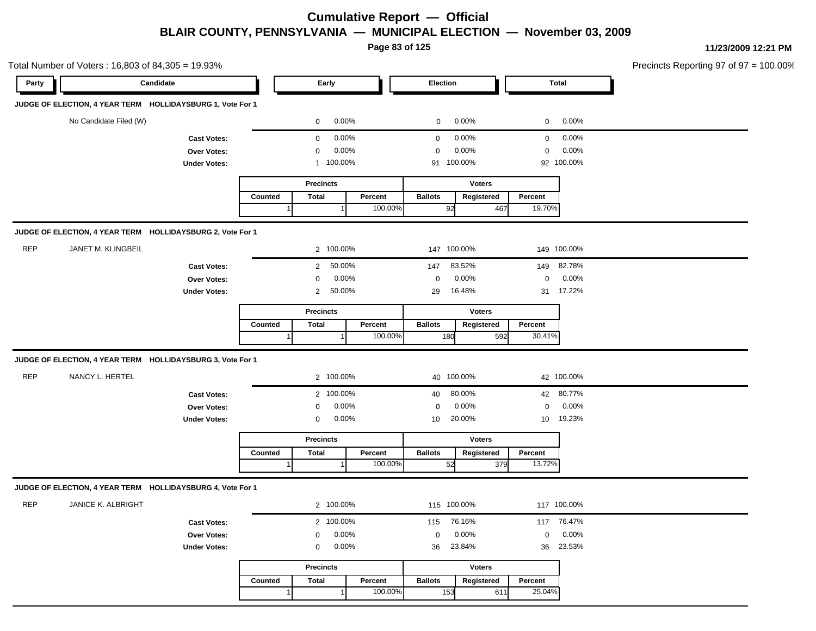**Page 83 of 125**

**11/23/2009 12:21 PM**

|            | Total Number of Voters: 16,803 of 84,305 = 19.93%          |                     |         |                          |         |                |               |                  |             | Precincts Reporting 97 of 97 = 100.00% |
|------------|------------------------------------------------------------|---------------------|---------|--------------------------|---------|----------------|---------------|------------------|-------------|----------------------------------------|
| Party      | Candidate                                                  |                     |         | Early                    |         | Election       |               |                  | Total       |                                        |
|            | JUDGE OF ELECTION, 4 YEAR TERM HOLLIDAYSBURG 1, Vote For 1 |                     |         |                          |         |                |               |                  |             |                                        |
|            | No Candidate Filed (W)                                     |                     |         | $\mathbf 0$              | 0.00%   | $\mathbf 0$    | 0.00%         | $\mathbf 0$      | 0.00%       |                                        |
|            |                                                            | <b>Cast Votes:</b>  |         | $\mathbf 0$              | 0.00%   | $\mathbf 0$    | 0.00%         | $\mathbf 0$      | 0.00%       |                                        |
|            |                                                            | Over Votes:         |         | 0                        | 0.00%   | 0              | 0.00%         | $\mathbf 0$      | 0.00%       |                                        |
|            |                                                            | <b>Under Votes:</b> |         | 1 100.00%                |         | 91 100.00%     |               |                  | 92 100.00%  |                                        |
|            |                                                            |                     |         | <b>Precincts</b>         |         |                | <b>Voters</b> |                  |             |                                        |
|            |                                                            |                     | Counted | <b>Total</b>             | Percent | <b>Ballots</b> | Registered    | Percent          |             |                                        |
|            |                                                            |                     |         |                          | 100.00% | 92             | 467           | 19.70%           |             |                                        |
|            | JUDGE OF ELECTION, 4 YEAR TERM HOLLIDAYSBURG 2, Vote For 1 |                     |         |                          |         |                |               |                  |             |                                        |
| <b>REP</b> | JANET M. KLINGBEIL                                         |                     |         | 2 100.00%                |         | 147 100.00%    |               |                  | 149 100.00% |                                        |
|            |                                                            | <b>Cast Votes:</b>  |         | 2 50.00%                 |         | 147            | 83.52%        |                  | 149 82.78%  |                                        |
|            |                                                            | Over Votes:         |         | $\mathbf 0$              | 0.00%   | $\mathbf 0$    | 0.00%         | $\mathbf 0$      | 0.00%       |                                        |
|            |                                                            | <b>Under Votes:</b> |         | 50.00%<br>$\overline{2}$ |         | 29             | 16.48%        |                  | 31 17.22%   |                                        |
|            |                                                            |                     |         | <b>Precincts</b>         |         |                | <b>Voters</b> |                  |             |                                        |
|            |                                                            |                     | Counted | <b>Total</b>             | Percent | <b>Ballots</b> | Registered    | Percent          |             |                                        |
|            |                                                            |                     |         |                          | 100.00% | 180            | 592           | 30.41%           |             |                                        |
|            | JUDGE OF ELECTION, 4 YEAR TERM HOLLIDAYSBURG 3, Vote For 1 |                     |         |                          |         |                |               |                  |             |                                        |
| <b>REP</b> | NANCY L. HERTEL                                            |                     |         | 2 100.00%                |         | 40 100.00%     |               |                  | 42 100.00%  |                                        |
|            |                                                            | <b>Cast Votes:</b>  |         | 2 100.00%                |         | 40             | 80.00%        |                  | 42 80.77%   |                                        |
|            |                                                            | Over Votes:         |         | $\mathbf 0$              | 0.00%   | $\mathbf 0$    | 0.00%         | $\mathbf 0$      | 0.00%       |                                        |
|            |                                                            | <b>Under Votes:</b> |         | $\mathbf 0$              | 0.00%   | 10             | 20.00%        | 10 <sup>10</sup> | 19.23%      |                                        |
|            |                                                            |                     |         | <b>Precincts</b>         |         |                | <b>Voters</b> |                  |             |                                        |
|            |                                                            |                     | Counted | <b>Total</b>             | Percent | <b>Ballots</b> | Registered    | Percent          |             |                                        |
|            |                                                            |                     |         |                          | 100.00% | 52             | 379           | 13.72%           |             |                                        |
|            | JUDGE OF ELECTION, 4 YEAR TERM HOLLIDAYSBURG 4, Vote For 1 |                     |         |                          |         |                |               |                  |             |                                        |
| <b>REP</b> | JANICE K. ALBRIGHT                                         |                     |         | 2 100.00%                |         | 115 100.00%    |               |                  | 117 100.00% |                                        |
|            |                                                            | <b>Cast Votes:</b>  |         | 2 100.00%                |         | 115            | 76.16%        | 117              | 76.47%      |                                        |
|            |                                                            | Over Votes:         |         | $\mathbf 0$              | 0.00%   | $\mathbf 0$    | 0.00%         | $\mathbf 0$      | 0.00%       |                                        |
|            |                                                            | <b>Under Votes:</b> |         | $\mathbf 0$              | 0.00%   | 36             | 23.84%        | 36               | 23.53%      |                                        |
|            |                                                            |                     |         | <b>Precincts</b>         |         |                | <b>Voters</b> |                  |             |                                        |
|            |                                                            |                     | Counted | <b>Total</b>             | Percent | <b>Ballots</b> | Registered    | Percent          |             |                                        |

1 100.00%

153 611

25.04%

1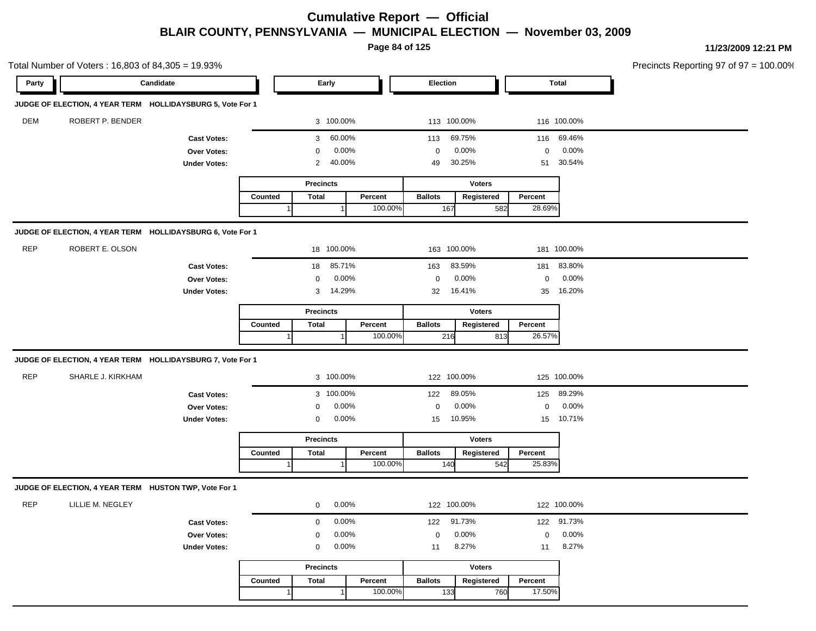**Page 84 of 125**

|            | Total Number of Voters: 16,803 of 84,305 = 19.93%          |                     |         |                  |                |         |                |               |             |              | Precincts Reporting 97 of 97 = 100.00% |
|------------|------------------------------------------------------------|---------------------|---------|------------------|----------------|---------|----------------|---------------|-------------|--------------|----------------------------------------|
| Party      | Candidate                                                  |                     |         | Early            |                |         | Election       |               |             | <b>Total</b> |                                        |
|            | JUDGE OF ELECTION, 4 YEAR TERM HOLLIDAYSBURG 5, Vote For 1 |                     |         |                  |                |         |                |               |             |              |                                        |
| <b>DEM</b> | ROBERT P. BENDER                                           |                     |         |                  | 3 100.00%      |         | 113 100.00%    |               |             | 116 100.00%  |                                        |
|            |                                                            | <b>Cast Votes:</b>  |         | 3                | 60.00%         |         | 113            | 69.75%        |             | 116 69.46%   |                                        |
|            |                                                            | Over Votes:         |         | $\mathbf 0$      | 0.00%          |         | $\mathbf 0$    | 0.00%         | $\mathbf 0$ | 0.00%        |                                        |
|            |                                                            | <b>Under Votes:</b> |         | $\overline{2}$   | 40.00%         |         | 49             | 30.25%        | 51          | 30.54%       |                                        |
|            |                                                            |                     |         | <b>Precincts</b> |                |         |                | <b>Voters</b> |             |              |                                        |
|            |                                                            |                     | Counted | <b>Total</b>     |                | Percent | <b>Ballots</b> | Registered    | Percent     |              |                                        |
|            |                                                            |                     |         |                  |                | 100.00% | 167            | 582           | 28.69%      |              |                                        |
|            | JUDGE OF ELECTION, 4 YEAR TERM HOLLIDAYSBURG 6, Vote For 1 |                     |         |                  |                |         |                |               |             |              |                                        |
| <b>REP</b> | ROBERT E. OLSON                                            |                     |         |                  | 18 100.00%     |         |                | 163 100.00%   |             | 181 100.00%  |                                        |
|            |                                                            | <b>Cast Votes:</b>  |         | 18               | 85.71%         |         | 163            | 83.59%        | 181         | 83.80%       |                                        |
|            |                                                            | Over Votes:         |         | $\mathsf 0$      | 0.00%          |         | $\mathbf 0$    | 0.00%         | $\mathbf 0$ | 0.00%        |                                        |
|            |                                                            | <b>Under Votes:</b> |         | 3                | 14.29%         |         | 32             | 16.41%        |             | 35 16.20%    |                                        |
|            |                                                            |                     |         | <b>Precincts</b> |                |         |                | <b>Voters</b> |             |              |                                        |
|            |                                                            |                     | Counted | <b>Total</b>     |                | Percent | <b>Ballots</b> | Registered    | Percent     |              |                                        |
|            |                                                            |                     |         |                  | $\overline{1}$ | 100.00% | 216            | 813           | 26.57%      |              |                                        |
|            | JUDGE OF ELECTION, 4 YEAR TERM HOLLIDAYSBURG 7, Vote For 1 |                     |         |                  |                |         |                |               |             |              |                                        |
| <b>REP</b> | SHARLE J. KIRKHAM                                          |                     |         |                  | 3 100.00%      |         |                | 122 100.00%   |             | 125 100.00%  |                                        |
|            |                                                            | <b>Cast Votes:</b>  |         |                  | 3 100.00%      |         | 122            | 89.05%        |             | 125 89.29%   |                                        |
|            |                                                            | Over Votes:         |         | $\mathbf 0$      | 0.00%          |         | $\mathbf 0$    | 0.00%         | $\mathbf 0$ | 0.00%        |                                        |
|            |                                                            | <b>Under Votes:</b> |         | $\mathbf 0$      | 0.00%          |         | 15             | 10.95%        |             | 15 10.71%    |                                        |
|            |                                                            |                     |         | <b>Precincts</b> |                |         |                | <b>Voters</b> |             |              |                                        |
|            |                                                            |                     | Counted | <b>Total</b>     |                | Percent | <b>Ballots</b> | Registered    | Percent     |              |                                        |
|            |                                                            |                     |         |                  |                | 100.00% | 140            | 542           | 25.83%      |              |                                        |
|            | JUDGE OF ELECTION, 4 YEAR TERM HUSTON TWP, Vote For 1      |                     |         |                  |                |         |                |               |             |              |                                        |
| <b>REP</b> | LILLIE M. NEGLEY                                           |                     |         | $\mathbf 0$      | 0.00%          |         | 122 100.00%    |               |             | 122 100.00%  |                                        |
|            |                                                            | <b>Cast Votes:</b>  |         | $\mathbf 0$      | 0.00%          |         | 122            | 91.73%        |             | 122 91.73%   |                                        |
|            |                                                            | Over Votes:         |         | $\mathbf 0$      | 0.00%          |         | $\mathbf 0$    | 0.00%         | $\mathbf 0$ | 0.00%        |                                        |
|            |                                                            | <b>Under Votes:</b> |         | $\mathsf 0$      | 0.00%          |         | 11             | 8.27%         | 11          | 8.27%        |                                        |
|            |                                                            |                     |         | <b>Precincts</b> |                |         |                | <b>Voters</b> |             |              |                                        |
|            |                                                            |                     | Counted | <b>Total</b>     |                | Percent | <b>Ballots</b> | Registered    | Percent     |              |                                        |
|            |                                                            |                     | 1       |                  | $\overline{1}$ | 100.00% | 133            | 760           | 17.50%      |              |                                        |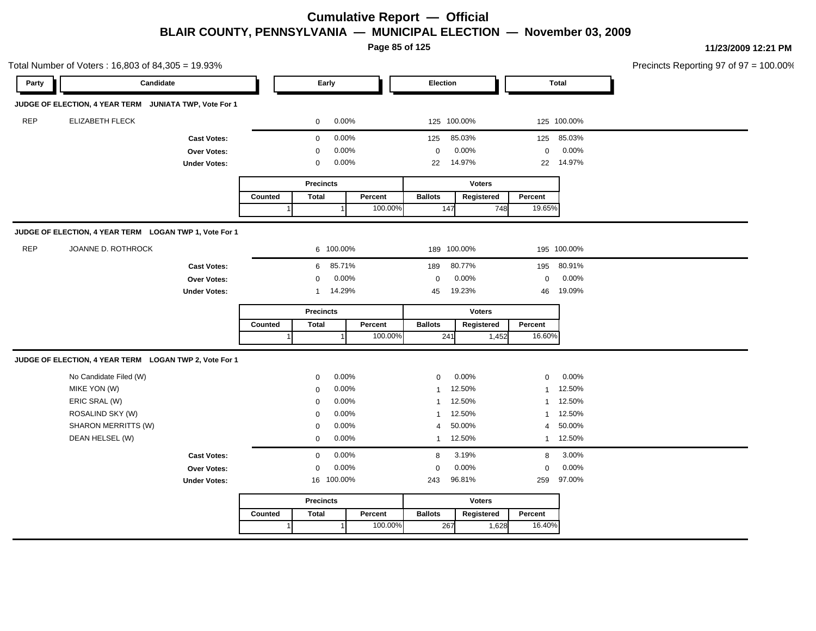**Page 85 of 125**

|            | Total Number of Voters: 16,803 of 84,305 = 19.93%      |                     |         |                  |                |         |                |               |       |              |             | Precincts Reporting 97 of 97 = 100.00% |
|------------|--------------------------------------------------------|---------------------|---------|------------------|----------------|---------|----------------|---------------|-------|--------------|-------------|----------------------------------------|
| Party      | Candidate                                              |                     |         |                  | Early          |         | Election       |               |       | <b>Total</b> |             |                                        |
|            | JUDGE OF ELECTION, 4 YEAR TERM JUNIATA TWP, Vote For 1 |                     |         |                  |                |         |                |               |       |              |             |                                        |
| <b>REP</b> | <b>ELIZABETH FLECK</b>                                 |                     |         | 0                | 0.00%          |         |                | 125 100.00%   |       |              | 125 100.00% |                                        |
|            |                                                        | <b>Cast Votes:</b>  |         | $\mathbf 0$      | 0.00%          |         | 125            | 85.03%        |       | 125          | 85.03%      |                                        |
|            |                                                        | Over Votes:         |         | $\mathbf{0}$     | 0.00%          |         | $\mathbf 0$    | 0.00%         |       | $\mathbf 0$  | 0.00%       |                                        |
|            |                                                        | <b>Under Votes:</b> |         | 0                | 0.00%          |         | 22             | 14.97%        |       | 22           | 14.97%      |                                        |
|            |                                                        |                     |         | <b>Precincts</b> |                |         |                | <b>Voters</b> |       |              |             |                                        |
|            |                                                        |                     | Counted | <b>Total</b>     |                | Percent | <b>Ballots</b> | Registered    |       | Percent      |             |                                        |
|            |                                                        |                     |         |                  |                | 100.00% | 147            |               | 748   | 19.65%       |             |                                        |
|            | JUDGE OF ELECTION, 4 YEAR TERM LOGAN TWP 1, Vote For 1 |                     |         |                  |                |         |                |               |       |              |             |                                        |
| <b>REP</b> | JOANNE D. ROTHROCK                                     |                     |         |                  | 6 100.00%      |         |                | 189 100.00%   |       |              | 195 100.00% |                                        |
|            |                                                        | <b>Cast Votes:</b>  |         | 6                | 85.71%         |         | 189            | 80.77%        |       | 195          | 80.91%      |                                        |
|            |                                                        | Over Votes:         |         | $\Omega$         | 0.00%          |         | $\mathbf 0$    | 0.00%         |       | $\mathbf 0$  | 0.00%       |                                        |
|            |                                                        | <b>Under Votes:</b> |         | $\mathbf{1}$     | 14.29%         |         | 45             | 19.23%        |       | 46           | 19.09%      |                                        |
|            |                                                        |                     |         | <b>Precincts</b> |                |         |                | <b>Voters</b> |       |              |             |                                        |
|            |                                                        |                     | Counted | <b>Total</b>     |                | Percent | <b>Ballots</b> | Registered    |       | Percent      |             |                                        |
|            |                                                        |                     |         |                  |                | 100.00% | 241            |               | 1,452 | 16.60%       |             |                                        |
|            | JUDGE OF ELECTION, 4 YEAR TERM LOGAN TWP 2, Vote For 1 |                     |         |                  |                |         |                |               |       |              |             |                                        |
|            | No Candidate Filed (W)                                 |                     |         | $\mathbf 0$      | 0.00%          |         | $\mathbf 0$    | 0.00%         |       | $\mathbf 0$  | 0.00%       |                                        |
|            | MIKE YON (W)                                           |                     |         | $\mathbf 0$      | 0.00%          |         | $\mathbf 1$    | 12.50%        |       | $\mathbf{1}$ | 12.50%      |                                        |
|            | ERIC SRAL (W)                                          |                     |         | $\Omega$         | 0.00%          |         | 1              | 12.50%        |       | $\mathbf{1}$ | 12.50%      |                                        |
|            | ROSALIND SKY (W)                                       |                     |         | $\Omega$         | 0.00%          |         | 1              | 12.50%        |       | $\mathbf{1}$ | 12.50%      |                                        |
|            | SHARON MERRITTS (W)                                    |                     |         | $\mathbf 0$      | 0.00%          |         | 4              | 50.00%        |       | 4            | 50.00%      |                                        |
|            | DEAN HELSEL (W)                                        |                     |         | $\mathbf 0$      | 0.00%          |         |                | 1 12.50%      |       |              | 1 12.50%    |                                        |
|            |                                                        | <b>Cast Votes:</b>  |         | $\mathbf{0}$     | 0.00%          |         | 8              | 3.19%         |       | 8            | 3.00%       |                                        |
|            |                                                        | Over Votes:         |         | $\mathbf 0$      | 0.00%          |         | $\mathbf 0$    | 0.00%         |       | $\mathbf 0$  | 0.00%       |                                        |
|            |                                                        | <b>Under Votes:</b> |         |                  | 16 100.00%     |         | 243            | 96.81%        |       | 259          | 97.00%      |                                        |
|            |                                                        |                     |         | <b>Precincts</b> |                |         |                | <b>Voters</b> |       |              |             |                                        |
|            |                                                        |                     | Counted | <b>Total</b>     |                | Percent | <b>Ballots</b> | Registered    |       | Percent      |             |                                        |
|            |                                                        |                     | 1       |                  | $\overline{1}$ | 100.00% | 267            |               | 1,628 | 16.40%       |             |                                        |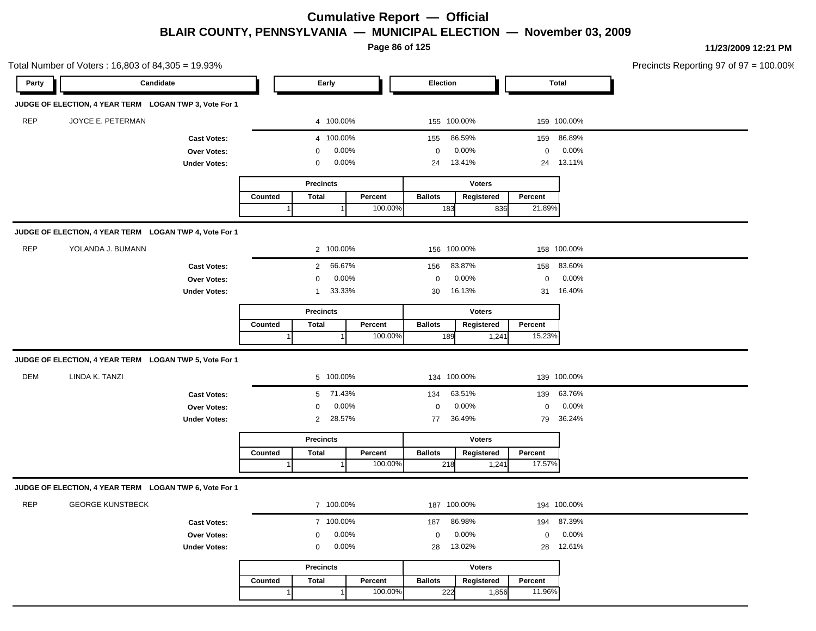**Page 86 of 125**

**11/23/2009 12:21 PM**

|            | Total Number of Voters: 16,803 of 84,305 = 19.93%      |                     |         |                          |         |                |               |             |              | Precincts Reporting 97 of 97 = 100.00% |
|------------|--------------------------------------------------------|---------------------|---------|--------------------------|---------|----------------|---------------|-------------|--------------|----------------------------------------|
| Party      | Candidate                                              |                     |         | Early                    |         | Election       |               |             | <b>Total</b> |                                        |
|            | JUDGE OF ELECTION, 4 YEAR TERM LOGAN TWP 3, Vote For 1 |                     |         |                          |         |                |               |             |              |                                        |
| <b>REP</b> | JOYCE E. PETERMAN                                      |                     |         | 4 100.00%                |         | 155 100.00%    |               |             | 159 100.00%  |                                        |
|            |                                                        | <b>Cast Votes:</b>  |         | 4 100.00%                |         | 155            | 86.59%        | 159         | 86.89%       |                                        |
|            |                                                        | Over Votes:         |         | 0.00%<br>0               |         | $\mathbf 0$    | 0.00%         | $\mathbf 0$ | 0.00%        |                                        |
|            |                                                        | <b>Under Votes:</b> |         | 0.00%<br>$\mathbf 0$     |         | 24             | 13.41%        | 24          | 13.11%       |                                        |
|            |                                                        |                     |         | <b>Precincts</b>         |         |                | <b>Voters</b> |             |              |                                        |
|            |                                                        |                     | Counted | <b>Total</b>             | Percent | <b>Ballots</b> | Registered    | Percent     |              |                                        |
|            |                                                        |                     |         |                          | 100.00% | 183            | 836           | 21.89%      |              |                                        |
|            | JUDGE OF ELECTION, 4 YEAR TERM LOGAN TWP 4, Vote For 1 |                     |         |                          |         |                |               |             |              |                                        |
| <b>REP</b> | YOLANDA J. BUMANN                                      |                     |         | 2 100.00%                |         | 156 100.00%    |               |             | 158 100.00%  |                                        |
|            |                                                        | <b>Cast Votes:</b>  |         | 2 66.67%                 |         | 156            | 83.87%        | 158         | 83.60%       |                                        |
|            |                                                        | Over Votes:         |         | 0.00%<br>$\mathbf 0$     |         | $\mathbf 0$    | 0.00%         | $\mathbf 0$ | 0.00%        |                                        |
|            |                                                        | <b>Under Votes:</b> |         | 33.33%<br>$\mathbf{1}$   |         | 30             | 16.13%        | 31          | 16.40%       |                                        |
|            |                                                        |                     |         | <b>Precincts</b>         |         |                | <b>Voters</b> |             |              |                                        |
|            |                                                        |                     | Counted | <b>Total</b>             | Percent | <b>Ballots</b> | Registered    | Percent     |              |                                        |
|            |                                                        |                     |         |                          | 100.00% | 189            | 1,241         | 15.23%      |              |                                        |
|            | JUDGE OF ELECTION, 4 YEAR TERM LOGAN TWP 5, Vote For 1 |                     |         |                          |         |                |               |             |              |                                        |
| <b>DEM</b> | LINDA K. TANZI                                         |                     |         | 5 100.00%                |         | 134 100.00%    |               |             | 139 100.00%  |                                        |
|            |                                                        | <b>Cast Votes:</b>  |         | 71.43%<br>5              |         | 134            | 63.51%        | 139         | 63.76%       |                                        |
|            |                                                        | Over Votes:         |         | 0.00%<br>$\mathbf 0$     |         | $\mathbf 0$    | 0.00%         | $\mathbf 0$ | 0.00%        |                                        |
|            |                                                        | <b>Under Votes:</b> |         | 28.57%<br>$\overline{2}$ |         | 77             | 36.49%        | 79          | 36.24%       |                                        |
|            |                                                        |                     |         | <b>Precincts</b>         |         |                | <b>Voters</b> |             |              |                                        |
|            |                                                        |                     | Counted | <b>Total</b>             | Percent | <b>Ballots</b> | Registered    | Percent     |              |                                        |
|            |                                                        |                     |         |                          | 100.00% | 218            | 1,241         | 17.57%      |              |                                        |
|            | JUDGE OF ELECTION, 4 YEAR TERM LOGAN TWP 6, Vote For 1 |                     |         |                          |         |                |               |             |              |                                        |
| <b>REP</b> | <b>GEORGE KUNSTBECK</b>                                |                     |         | 7 100.00%                |         | 187 100.00%    |               |             | 194 100.00%  |                                        |
|            |                                                        | <b>Cast Votes:</b>  |         | 7 100.00%                |         | 187            | 86.98%        | 194         | 87.39%       |                                        |
|            |                                                        | Over Votes:         |         | 0.00%<br>$\mathbf 0$     |         | $\mathbf 0$    | 0.00%         | $\mathbf 0$ | 0.00%        |                                        |
|            |                                                        | <b>Under Votes:</b> |         | 0.00%<br>$\mathbf 0$     |         | 28             | 13.02%        | 28          | 12.61%       |                                        |
|            |                                                        |                     |         | <b>Precincts</b>         |         |                | <b>Voters</b> |             |              |                                        |
|            |                                                        |                     | Counted | <b>Total</b>             | Percent | <b>Ballots</b> | Registered    | Percent     |              |                                        |

1

1 100.00%

222 1,856

11.96%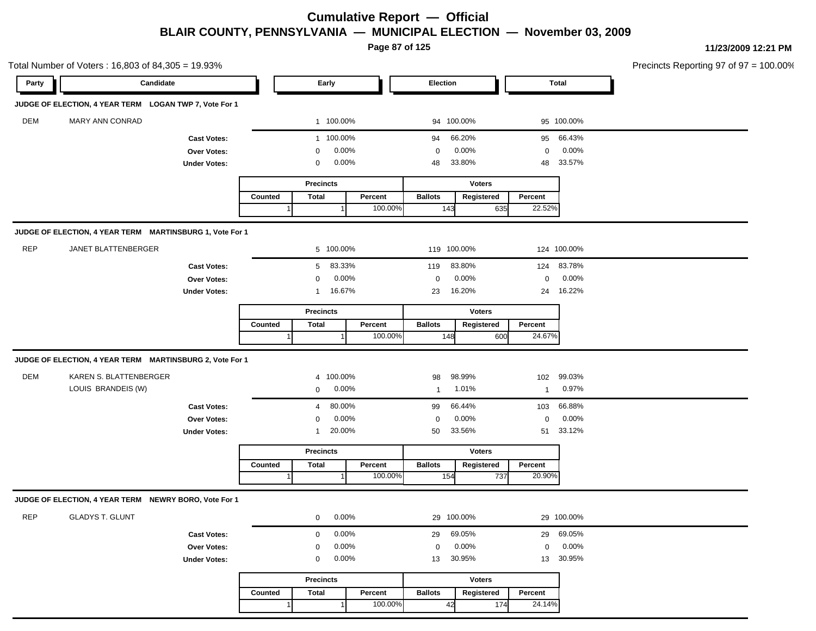**Page 87 of 125**

| Candidate<br>Election<br><b>Total</b><br>Party<br>Early<br>JUDGE OF ELECTION, 4 YEAR TERM LOGAN TWP 7, Vote For 1<br><b>DEM</b><br>MARY ANN CONRAD<br>1 100.00%<br>94 100.00%<br>95 100.00%<br>1 100.00%<br>66.20%<br>66.43%<br><b>Cast Votes:</b><br>94<br>95<br>0.00%<br>0.00%<br>0.00%<br>$\mathbf 0$<br><b>Over Votes:</b><br>0<br>0<br>0.00%<br>33.80%<br>33.57%<br><b>Under Votes:</b><br>0<br>48<br>48<br><b>Voters</b><br><b>Precincts</b><br><b>Total</b><br>Percent<br><b>Ballots</b><br>Percent<br>Counted<br>Registered<br>22.52%<br>100.00%<br>143<br>635<br>1<br>JUDGE OF ELECTION, 4 YEAR TERM MARTINSBURG 1, Vote For 1<br><b>REP</b><br>JANET BLATTENBERGER<br>5 100.00%<br>119 100.00%<br>124 100.00%<br>83.33%<br>83.80%<br>83.78%<br>5<br>119<br>124<br><b>Cast Votes:</b><br>0.00%<br>0.00%<br>0.00%<br>$\mathbf 0$<br>Over Votes:<br>0<br>0<br>16.67%<br>16.20%<br>16.22%<br>23<br>24<br><b>Under Votes:</b><br>$\mathbf{1}$<br><b>Voters</b><br><b>Precincts</b><br><b>Ballots</b><br>Percent<br>Counted<br>Total<br>Percent<br>Registered<br>24.67%<br>100.00%<br>148<br>600<br>JUDGE OF ELECTION, 4 YEAR TERM MARTINSBURG 2, Vote For 1<br>DEM<br>KAREN S. BLATTENBERGER<br>4 100.00%<br>98.99%<br>99.03%<br>102<br>98<br>LOUIS BRANDEIS (W)<br>0.00%<br>1.01%<br>0.97%<br>0<br>$\mathbf{1}$<br>$\mathbf{1}$<br>80.00%<br>66.44%<br>66.88%<br>99<br>103<br><b>Cast Votes:</b><br>4<br>0.00%<br>0.00%<br>0.00%<br>Over Votes:<br>$\mathbf 0$<br>0<br>0<br>20.00%<br>33.56%<br>33.12%<br>50<br><b>Under Votes:</b><br>51<br>1<br><b>Precincts</b><br><b>Voters</b><br><b>Ballots</b><br>Registered<br>Total<br>Percent<br>Percent<br>Counted<br>100.00%<br>154<br>20.90%<br>737<br>JUDGE OF ELECTION, 4 YEAR TERM NEWRY BORO, Vote For 1<br><b>REP</b><br><b>GLADYS T. GLUNT</b><br>0.00%<br>29 100.00%<br>29 100.00%<br>0<br>0.00%<br>69.05%<br>69.05%<br>29<br>29<br><b>Cast Votes:</b><br>0<br>0.00%<br>0.00%<br>0.00%<br>$\mathbf 0$<br>Over Votes:<br>$\mathbf 0$<br>0<br>0.00%<br>30.95%<br>30.95%<br><b>Under Votes:</b><br>13<br>13<br>0 | Total Number of Voters: 16,803 of 84,305 = 19.93% |  |                  |  |               |  | Precincts Reporting 97 of 97 = 100.00% |
|-------------------------------------------------------------------------------------------------------------------------------------------------------------------------------------------------------------------------------------------------------------------------------------------------------------------------------------------------------------------------------------------------------------------------------------------------------------------------------------------------------------------------------------------------------------------------------------------------------------------------------------------------------------------------------------------------------------------------------------------------------------------------------------------------------------------------------------------------------------------------------------------------------------------------------------------------------------------------------------------------------------------------------------------------------------------------------------------------------------------------------------------------------------------------------------------------------------------------------------------------------------------------------------------------------------------------------------------------------------------------------------------------------------------------------------------------------------------------------------------------------------------------------------------------------------------------------------------------------------------------------------------------------------------------------------------------------------------------------------------------------------------------------------------------------------------------------------------------------------------------------------------------------------------------------------------------------------------------------------------------------------------------------------------------------------------------|---------------------------------------------------|--|------------------|--|---------------|--|----------------------------------------|
|                                                                                                                                                                                                                                                                                                                                                                                                                                                                                                                                                                                                                                                                                                                                                                                                                                                                                                                                                                                                                                                                                                                                                                                                                                                                                                                                                                                                                                                                                                                                                                                                                                                                                                                                                                                                                                                                                                                                                                                                                                                                         |                                                   |  |                  |  |               |  |                                        |
|                                                                                                                                                                                                                                                                                                                                                                                                                                                                                                                                                                                                                                                                                                                                                                                                                                                                                                                                                                                                                                                                                                                                                                                                                                                                                                                                                                                                                                                                                                                                                                                                                                                                                                                                                                                                                                                                                                                                                                                                                                                                         |                                                   |  |                  |  |               |  |                                        |
|                                                                                                                                                                                                                                                                                                                                                                                                                                                                                                                                                                                                                                                                                                                                                                                                                                                                                                                                                                                                                                                                                                                                                                                                                                                                                                                                                                                                                                                                                                                                                                                                                                                                                                                                                                                                                                                                                                                                                                                                                                                                         |                                                   |  |                  |  |               |  |                                        |
|                                                                                                                                                                                                                                                                                                                                                                                                                                                                                                                                                                                                                                                                                                                                                                                                                                                                                                                                                                                                                                                                                                                                                                                                                                                                                                                                                                                                                                                                                                                                                                                                                                                                                                                                                                                                                                                                                                                                                                                                                                                                         |                                                   |  |                  |  |               |  |                                        |
|                                                                                                                                                                                                                                                                                                                                                                                                                                                                                                                                                                                                                                                                                                                                                                                                                                                                                                                                                                                                                                                                                                                                                                                                                                                                                                                                                                                                                                                                                                                                                                                                                                                                                                                                                                                                                                                                                                                                                                                                                                                                         |                                                   |  |                  |  |               |  |                                        |
|                                                                                                                                                                                                                                                                                                                                                                                                                                                                                                                                                                                                                                                                                                                                                                                                                                                                                                                                                                                                                                                                                                                                                                                                                                                                                                                                                                                                                                                                                                                                                                                                                                                                                                                                                                                                                                                                                                                                                                                                                                                                         |                                                   |  |                  |  |               |  |                                        |
|                                                                                                                                                                                                                                                                                                                                                                                                                                                                                                                                                                                                                                                                                                                                                                                                                                                                                                                                                                                                                                                                                                                                                                                                                                                                                                                                                                                                                                                                                                                                                                                                                                                                                                                                                                                                                                                                                                                                                                                                                                                                         |                                                   |  |                  |  |               |  |                                        |
|                                                                                                                                                                                                                                                                                                                                                                                                                                                                                                                                                                                                                                                                                                                                                                                                                                                                                                                                                                                                                                                                                                                                                                                                                                                                                                                                                                                                                                                                                                                                                                                                                                                                                                                                                                                                                                                                                                                                                                                                                                                                         |                                                   |  |                  |  |               |  |                                        |
|                                                                                                                                                                                                                                                                                                                                                                                                                                                                                                                                                                                                                                                                                                                                                                                                                                                                                                                                                                                                                                                                                                                                                                                                                                                                                                                                                                                                                                                                                                                                                                                                                                                                                                                                                                                                                                                                                                                                                                                                                                                                         |                                                   |  |                  |  |               |  |                                        |
|                                                                                                                                                                                                                                                                                                                                                                                                                                                                                                                                                                                                                                                                                                                                                                                                                                                                                                                                                                                                                                                                                                                                                                                                                                                                                                                                                                                                                                                                                                                                                                                                                                                                                                                                                                                                                                                                                                                                                                                                                                                                         |                                                   |  |                  |  |               |  |                                        |
|                                                                                                                                                                                                                                                                                                                                                                                                                                                                                                                                                                                                                                                                                                                                                                                                                                                                                                                                                                                                                                                                                                                                                                                                                                                                                                                                                                                                                                                                                                                                                                                                                                                                                                                                                                                                                                                                                                                                                                                                                                                                         |                                                   |  |                  |  |               |  |                                        |
|                                                                                                                                                                                                                                                                                                                                                                                                                                                                                                                                                                                                                                                                                                                                                                                                                                                                                                                                                                                                                                                                                                                                                                                                                                                                                                                                                                                                                                                                                                                                                                                                                                                                                                                                                                                                                                                                                                                                                                                                                                                                         |                                                   |  |                  |  |               |  |                                        |
|                                                                                                                                                                                                                                                                                                                                                                                                                                                                                                                                                                                                                                                                                                                                                                                                                                                                                                                                                                                                                                                                                                                                                                                                                                                                                                                                                                                                                                                                                                                                                                                                                                                                                                                                                                                                                                                                                                                                                                                                                                                                         |                                                   |  |                  |  |               |  |                                        |
|                                                                                                                                                                                                                                                                                                                                                                                                                                                                                                                                                                                                                                                                                                                                                                                                                                                                                                                                                                                                                                                                                                                                                                                                                                                                                                                                                                                                                                                                                                                                                                                                                                                                                                                                                                                                                                                                                                                                                                                                                                                                         |                                                   |  |                  |  |               |  |                                        |
|                                                                                                                                                                                                                                                                                                                                                                                                                                                                                                                                                                                                                                                                                                                                                                                                                                                                                                                                                                                                                                                                                                                                                                                                                                                                                                                                                                                                                                                                                                                                                                                                                                                                                                                                                                                                                                                                                                                                                                                                                                                                         |                                                   |  |                  |  |               |  |                                        |
|                                                                                                                                                                                                                                                                                                                                                                                                                                                                                                                                                                                                                                                                                                                                                                                                                                                                                                                                                                                                                                                                                                                                                                                                                                                                                                                                                                                                                                                                                                                                                                                                                                                                                                                                                                                                                                                                                                                                                                                                                                                                         |                                                   |  |                  |  |               |  |                                        |
|                                                                                                                                                                                                                                                                                                                                                                                                                                                                                                                                                                                                                                                                                                                                                                                                                                                                                                                                                                                                                                                                                                                                                                                                                                                                                                                                                                                                                                                                                                                                                                                                                                                                                                                                                                                                                                                                                                                                                                                                                                                                         |                                                   |  |                  |  |               |  |                                        |
|                                                                                                                                                                                                                                                                                                                                                                                                                                                                                                                                                                                                                                                                                                                                                                                                                                                                                                                                                                                                                                                                                                                                                                                                                                                                                                                                                                                                                                                                                                                                                                                                                                                                                                                                                                                                                                                                                                                                                                                                                                                                         |                                                   |  |                  |  |               |  |                                        |
|                                                                                                                                                                                                                                                                                                                                                                                                                                                                                                                                                                                                                                                                                                                                                                                                                                                                                                                                                                                                                                                                                                                                                                                                                                                                                                                                                                                                                                                                                                                                                                                                                                                                                                                                                                                                                                                                                                                                                                                                                                                                         |                                                   |  |                  |  |               |  |                                        |
|                                                                                                                                                                                                                                                                                                                                                                                                                                                                                                                                                                                                                                                                                                                                                                                                                                                                                                                                                                                                                                                                                                                                                                                                                                                                                                                                                                                                                                                                                                                                                                                                                                                                                                                                                                                                                                                                                                                                                                                                                                                                         |                                                   |  |                  |  |               |  |                                        |
|                                                                                                                                                                                                                                                                                                                                                                                                                                                                                                                                                                                                                                                                                                                                                                                                                                                                                                                                                                                                                                                                                                                                                                                                                                                                                                                                                                                                                                                                                                                                                                                                                                                                                                                                                                                                                                                                                                                                                                                                                                                                         |                                                   |  |                  |  |               |  |                                        |
|                                                                                                                                                                                                                                                                                                                                                                                                                                                                                                                                                                                                                                                                                                                                                                                                                                                                                                                                                                                                                                                                                                                                                                                                                                                                                                                                                                                                                                                                                                                                                                                                                                                                                                                                                                                                                                                                                                                                                                                                                                                                         |                                                   |  |                  |  |               |  |                                        |
|                                                                                                                                                                                                                                                                                                                                                                                                                                                                                                                                                                                                                                                                                                                                                                                                                                                                                                                                                                                                                                                                                                                                                                                                                                                                                                                                                                                                                                                                                                                                                                                                                                                                                                                                                                                                                                                                                                                                                                                                                                                                         |                                                   |  |                  |  |               |  |                                        |
|                                                                                                                                                                                                                                                                                                                                                                                                                                                                                                                                                                                                                                                                                                                                                                                                                                                                                                                                                                                                                                                                                                                                                                                                                                                                                                                                                                                                                                                                                                                                                                                                                                                                                                                                                                                                                                                                                                                                                                                                                                                                         |                                                   |  |                  |  |               |  |                                        |
|                                                                                                                                                                                                                                                                                                                                                                                                                                                                                                                                                                                                                                                                                                                                                                                                                                                                                                                                                                                                                                                                                                                                                                                                                                                                                                                                                                                                                                                                                                                                                                                                                                                                                                                                                                                                                                                                                                                                                                                                                                                                         |                                                   |  |                  |  |               |  |                                        |
|                                                                                                                                                                                                                                                                                                                                                                                                                                                                                                                                                                                                                                                                                                                                                                                                                                                                                                                                                                                                                                                                                                                                                                                                                                                                                                                                                                                                                                                                                                                                                                                                                                                                                                                                                                                                                                                                                                                                                                                                                                                                         |                                                   |  |                  |  |               |  |                                        |
|                                                                                                                                                                                                                                                                                                                                                                                                                                                                                                                                                                                                                                                                                                                                                                                                                                                                                                                                                                                                                                                                                                                                                                                                                                                                                                                                                                                                                                                                                                                                                                                                                                                                                                                                                                                                                                                                                                                                                                                                                                                                         |                                                   |  |                  |  |               |  |                                        |
|                                                                                                                                                                                                                                                                                                                                                                                                                                                                                                                                                                                                                                                                                                                                                                                                                                                                                                                                                                                                                                                                                                                                                                                                                                                                                                                                                                                                                                                                                                                                                                                                                                                                                                                                                                                                                                                                                                                                                                                                                                                                         |                                                   |  |                  |  |               |  |                                        |
|                                                                                                                                                                                                                                                                                                                                                                                                                                                                                                                                                                                                                                                                                                                                                                                                                                                                                                                                                                                                                                                                                                                                                                                                                                                                                                                                                                                                                                                                                                                                                                                                                                                                                                                                                                                                                                                                                                                                                                                                                                                                         |                                                   |  |                  |  |               |  |                                        |
|                                                                                                                                                                                                                                                                                                                                                                                                                                                                                                                                                                                                                                                                                                                                                                                                                                                                                                                                                                                                                                                                                                                                                                                                                                                                                                                                                                                                                                                                                                                                                                                                                                                                                                                                                                                                                                                                                                                                                                                                                                                                         |                                                   |  |                  |  |               |  |                                        |
|                                                                                                                                                                                                                                                                                                                                                                                                                                                                                                                                                                                                                                                                                                                                                                                                                                                                                                                                                                                                                                                                                                                                                                                                                                                                                                                                                                                                                                                                                                                                                                                                                                                                                                                                                                                                                                                                                                                                                                                                                                                                         |                                                   |  |                  |  |               |  |                                        |
|                                                                                                                                                                                                                                                                                                                                                                                                                                                                                                                                                                                                                                                                                                                                                                                                                                                                                                                                                                                                                                                                                                                                                                                                                                                                                                                                                                                                                                                                                                                                                                                                                                                                                                                                                                                                                                                                                                                                                                                                                                                                         |                                                   |  | <b>Precincts</b> |  | <b>Voters</b> |  |                                        |
| <b>Total</b><br>Percent<br><b>Ballots</b><br>Registered<br>Percent<br>Counted                                                                                                                                                                                                                                                                                                                                                                                                                                                                                                                                                                                                                                                                                                                                                                                                                                                                                                                                                                                                                                                                                                                                                                                                                                                                                                                                                                                                                                                                                                                                                                                                                                                                                                                                                                                                                                                                                                                                                                                           |                                                   |  |                  |  |               |  |                                        |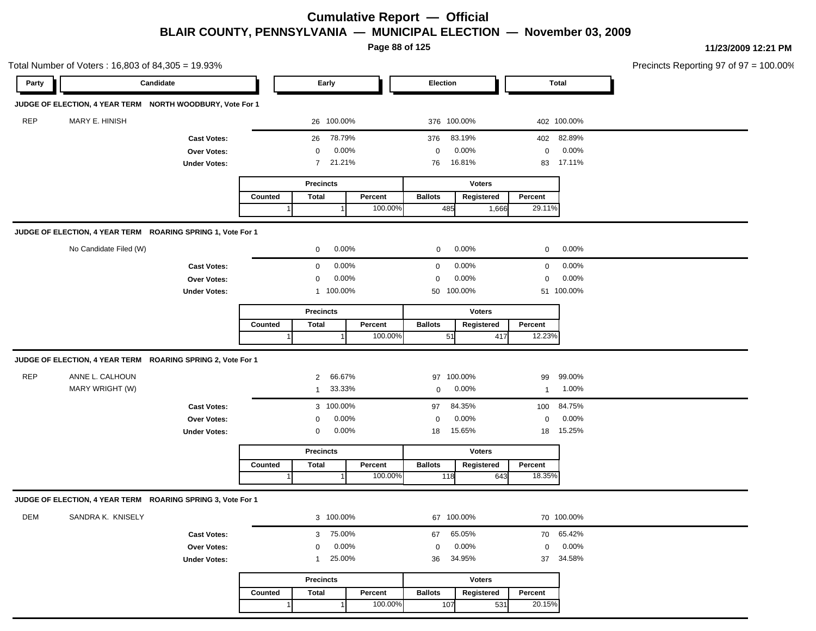**Page 88 of 125**

| Total Number of Voters: 16,803 of 84,305 = 19.93%           |                     |         |                  |          |                 |               |              |              | Precincts Reporting 97 of 97 = 100.00% |
|-------------------------------------------------------------|---------------------|---------|------------------|----------|-----------------|---------------|--------------|--------------|----------------------------------------|
| Candidate<br>Party                                          |                     |         | Early            |          | <b>Election</b> |               |              | <b>Total</b> |                                        |
| JUDGE OF ELECTION, 4 YEAR TERM NORTH WOODBURY, Vote For 1   |                     |         |                  |          |                 |               |              |              |                                        |
| <b>REP</b><br>MARY E. HINISH                                |                     |         | 26 100.00%       |          | 376 100.00%     |               |              | 402 100.00%  |                                        |
|                                                             | <b>Cast Votes:</b>  |         | 26               | 78.79%   | 376             | 83.19%        |              | 402 82.89%   |                                        |
|                                                             | Over Votes:         |         | $\mathbf 0$      | 0.00%    | $\mathbf 0$     | 0.00%         | 0            | 0.00%        |                                        |
|                                                             | <b>Under Votes:</b> |         | $\overline{7}$   | 21.21%   | 76              | 16.81%        | 83           | 17.11%       |                                        |
|                                                             |                     |         | <b>Precincts</b> |          |                 | <b>Voters</b> |              |              |                                        |
|                                                             |                     | Counted | <b>Total</b>     | Percent  | <b>Ballots</b>  | Registered    | Percent      |              |                                        |
|                                                             |                     |         |                  | 100.00%  | 485             | 1,666         | 29.11%       |              |                                        |
| JUDGE OF ELECTION, 4 YEAR TERM ROARING SPRING 1, Vote For 1 |                     |         |                  |          |                 |               |              |              |                                        |
| No Candidate Filed (W)                                      |                     |         | $\mathbf 0$      | $0.00\%$ | $\mathbf{0}$    | 0.00%         | $\mathbf 0$  | 0.00%        |                                        |
|                                                             | <b>Cast Votes:</b>  |         | $\mathbf 0$      | 0.00%    | $\mathbf 0$     | 0.00%         | $\mathbf 0$  | 0.00%        |                                        |
|                                                             | Over Votes:         |         | $\mathbf 0$      | 0.00%    | $\mathbf 0$     | 0.00%         | $\mathbf 0$  | 0.00%        |                                        |
|                                                             | <b>Under Votes:</b> |         | 1 100.00%        |          | 50 100.00%      |               |              | 51 100.00%   |                                        |
|                                                             |                     |         | <b>Precincts</b> |          |                 | <b>Voters</b> |              |              |                                        |
|                                                             |                     | Counted | <b>Total</b>     | Percent  | <b>Ballots</b>  | Registered    | Percent      |              |                                        |
|                                                             |                     |         |                  | 100.00%  | 51              | 417           | 12.23%       |              |                                        |
| JUDGE OF ELECTION, 4 YEAR TERM ROARING SPRING 2, Vote For 1 |                     |         |                  |          |                 |               |              |              |                                        |
| <b>REP</b><br>ANNE L. CALHOUN                               |                     |         | $\overline{2}$   | 66.67%   | 97 100.00%      |               | 99           | 99.00%       |                                        |
| MARY WRIGHT (W)                                             |                     |         | $\mathbf{1}$     | 33.33%   | 0               | 0.00%         | $\mathbf{1}$ | 1.00%        |                                        |
|                                                             | <b>Cast Votes:</b>  |         | 3 100.00%        |          | 97              | 84.35%        | 100          | 84.75%       |                                        |
|                                                             | Over Votes:         |         | 0                | 0.00%    | 0               | 0.00%         | $\mathbf 0$  | 0.00%        |                                        |
|                                                             | <b>Under Votes:</b> |         | 0                | 0.00%    | 18              | 15.65%        | 18           | 15.25%       |                                        |
|                                                             |                     |         | <b>Precincts</b> |          |                 | <b>Voters</b> |              |              |                                        |
|                                                             |                     | Counted | <b>Total</b>     | Percent  | <b>Ballots</b>  | Registered    | Percent      |              |                                        |
|                                                             |                     |         |                  | 100.00%  | 118             | 643           | 18.35%       |              |                                        |
| JUDGE OF ELECTION, 4 YEAR TERM ROARING SPRING 3, Vote For 1 |                     |         |                  |          |                 |               |              |              |                                        |
| <b>DEM</b><br>SANDRA K. KNISELY                             |                     |         | 3 100.00%        |          | 67 100.00%      |               |              | 70 100.00%   |                                        |
|                                                             | <b>Cast Votes:</b>  |         | 3 75.00%         |          | 67              | 65.05%        |              | 70 65.42%    |                                        |
|                                                             | Over Votes:         |         | $\mathbf 0$      | 0.00%    | $\mathbf 0$     | 0.00%         | $\mathbf 0$  | 0.00%        |                                        |
|                                                             | <b>Under Votes:</b> |         |                  | 25.00%   | 36              | 34.95%        | 37           | 34.58%       |                                        |
|                                                             |                     |         | <b>Precincts</b> |          |                 | Voters        |              |              |                                        |
|                                                             |                     | Counted | <b>Total</b>     | Percent  | <b>Ballots</b>  | Registered    | Percent      |              |                                        |
|                                                             |                     |         |                  | 100.00%  | 107             | 531           | 20.15%       |              |                                        |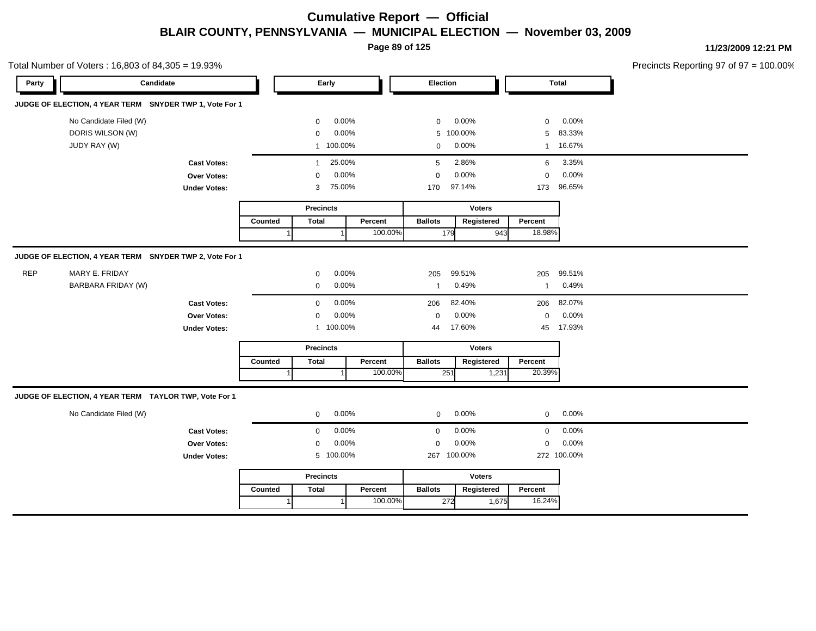**Page 89 of 125**

|       | Total Number of Voters: 16,803 of 84,305 = 19.93%                         |                     |         |                        |          |                |               |                |                  | Precincts Reporting 97 of 97 = 100.00% |
|-------|---------------------------------------------------------------------------|---------------------|---------|------------------------|----------|----------------|---------------|----------------|------------------|----------------------------------------|
| Party | Candidate                                                                 |                     |         | Early                  |          | Election       |               | <b>Total</b>   |                  |                                        |
|       | JUDGE OF ELECTION, 4 YEAR TERM SNYDER TWP 1, Vote For 1                   |                     |         |                        |          |                |               |                |                  |                                        |
|       | No Candidate Filed (W)                                                    |                     |         | $\mathbf 0$            | 0.00%    | $\mathbf 0$    | 0.00%         | $\mathbf 0$    | 0.00%            |                                        |
|       | DORIS WILSON (W)                                                          |                     |         | $\mathbf 0$            | 0.00%    |                | 5 100.00%     |                | 5 83.33%         |                                        |
|       | JUDY RAY (W)                                                              |                     |         | 1 100.00%              |          | $\overline{0}$ | $0.00\%$      |                | 1 16.67%         |                                        |
|       |                                                                           | <b>Cast Votes:</b>  |         | 25.00%<br>$\mathbf{1}$ |          | 5              | 2.86%         | 6              | 3.35%            |                                        |
|       |                                                                           | Over Votes:         |         | $\mathbf{0}$           | 0.00%    | $\mathbf{0}$   | 0.00%         | $\overline{0}$ | 0.00%            |                                        |
|       |                                                                           | <b>Under Votes:</b> |         | 75.00%<br>3            |          | 170            | 97.14%        |                | 173 96.65%       |                                        |
|       |                                                                           |                     |         | <b>Precincts</b>       |          |                | <b>Voters</b> |                |                  |                                        |
|       |                                                                           |                     | Counted | Total                  | Percent  | <b>Ballots</b> | Registered    | Percent        |                  |                                        |
|       |                                                                           |                     |         |                        | 100.00%  | 179            | 943           | 18.98%         |                  |                                        |
| REP   | JUDGE OF ELECTION, 4 YEAR TERM SNYDER TWP 2, Vote For 1<br>MARY E. FRIDAY |                     |         | $\mathbf{0}$           | 0.00%    | 205            | 99.51%        | 205            | 99.51%           |                                        |
|       | <b>BARBARA FRIDAY (W)</b>                                                 |                     |         | $\mathbf 0$            | 0.00%    | $\overline{1}$ | 0.49%         | $\overline{1}$ | 0.49%            |                                        |
|       |                                                                           | <b>Cast Votes:</b>  |         | $\mathbf 0$            | 0.00%    | 206            | 82.40%        |                | 206 82.07%       |                                        |
|       |                                                                           | Over Votes:         |         | $\mathbf 0$            | 0.00%    | $\mathbf 0$    | 0.00%         | $\mathbf{0}$   | 0.00%            |                                        |
|       |                                                                           | <b>Under Votes:</b> |         | 1 100.00%              |          | 44             | 17.60%        | 45             | 17.93%           |                                        |
|       |                                                                           |                     |         | <b>Precincts</b>       |          |                | <b>Voters</b> |                |                  |                                        |
|       |                                                                           |                     | Counted | <b>Total</b>           | Percent  | <b>Ballots</b> | Registered    | Percent        |                  |                                        |
|       |                                                                           |                     |         |                        | 100.00%  | 251            | 1,231         | 20.39%         |                  |                                        |
|       | JUDGE OF ELECTION, 4 YEAR TERM TAYLOR TWP, Vote For 1                     |                     |         |                        |          |                |               |                |                  |                                        |
|       | No Candidate Filed (W)                                                    |                     |         | $\mathbf 0$            | $0.00\%$ | $\overline{0}$ | $0.00\%$      |                | $0 0.00\%$       |                                        |
|       |                                                                           | <b>Cast Votes:</b>  |         | $\mathbf{0}$           | 0.00%    | $\mathbf{0}$   | 0.00%         |                | $0\qquad 0.00\%$ |                                        |
|       |                                                                           | Over Votes:         |         | $\mathbf 0$            | 0.00%    | $\mathbf 0$    | 0.00%         | $\mathbf 0$    | 0.00%            |                                        |
|       |                                                                           | <b>Under Votes:</b> |         | 5 100.00%              |          |                | 267 100.00%   |                | 272 100.00%      |                                        |
|       |                                                                           |                     |         | <b>Precincts</b>       |          |                | <b>Voters</b> |                |                  |                                        |
|       |                                                                           |                     | Counted | <b>Total</b>           | Percent  | <b>Ballots</b> | Registered    | Percent        |                  |                                        |
|       |                                                                           |                     |         |                        | 100.00%  | 272            | 1,675         | 16.24%         |                  |                                        |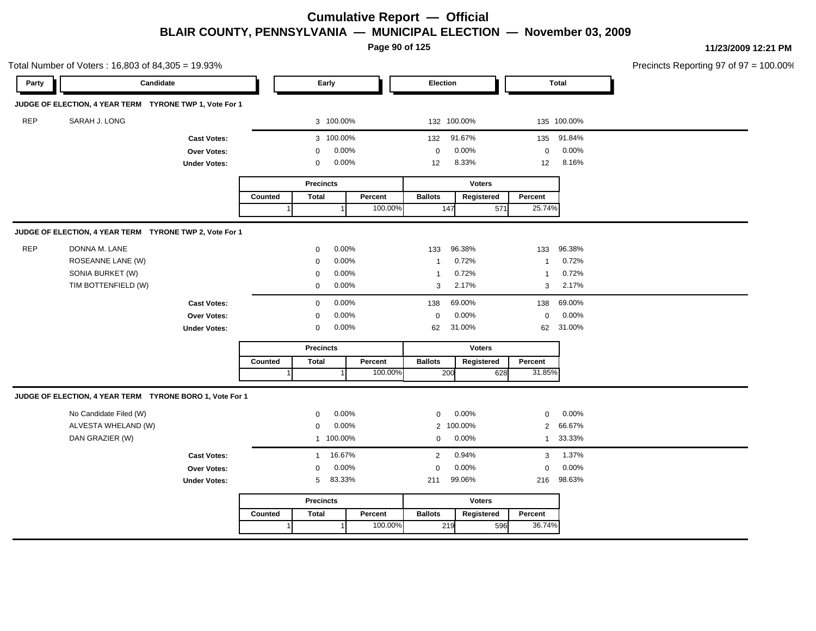**Page 90 of 125**

|            | Total Number of Voters: 16,803 of 84,305 = 19.93%        |                     |                      |                  |           |         |                |               |               |              | Precincts Reporting 97 of 97 = 100.00% |
|------------|----------------------------------------------------------|---------------------|----------------------|------------------|-----------|---------|----------------|---------------|---------------|--------------|----------------------------------------|
| Party      | Candidate                                                |                     |                      |                  | Early     |         | Election       |               |               | <b>Total</b> |                                        |
|            | JUDGE OF ELECTION, 4 YEAR TERM TYRONE TWP 1, Vote For 1  |                     |                      |                  |           |         |                |               |               |              |                                        |
| <b>REP</b> | SARAH J. LONG                                            |                     |                      |                  | 3 100.00% |         |                | 132 100.00%   |               | 135 100.00%  |                                        |
|            |                                                          | <b>Cast Votes:</b>  |                      |                  | 3 100.00% |         | 132            | 91.67%        |               | 135 91.84%   |                                        |
|            |                                                          | Over Votes:         |                      | 0                | 0.00%     |         | $\mathbf 0$    | 0.00%         | $\mathbf 0$   | 0.00%        |                                        |
|            |                                                          | <b>Under Votes:</b> |                      | 0                | 0.00%     |         | 12             | 8.33%         | 12            | 8.16%        |                                        |
|            |                                                          |                     |                      | <b>Precincts</b> |           |         |                | <b>Voters</b> |               |              |                                        |
|            |                                                          |                     | Counted              | <b>Total</b>     |           | Percent | <b>Ballots</b> | Registered    | Percent       |              |                                        |
|            |                                                          |                     | $\blacktriangleleft$ |                  |           | 100.00% | 147            |               | 25.74%<br>571 |              |                                        |
|            | JUDGE OF ELECTION, 4 YEAR TERM TYRONE TWP 2, Vote For 1  |                     |                      |                  |           |         |                |               |               |              |                                        |
| <b>REP</b> | DONNA M. LANE                                            |                     |                      | 0                | 0.00%     |         | 133            | 96.38%        | 133           | 96.38%       |                                        |
|            | ROSEANNE LANE (W)                                        |                     |                      | $\mathbf 0$      | 0.00%     |         | -1             | 0.72%         | $\mathbf{1}$  | 0.72%        |                                        |
|            | SONIA BURKET (W)                                         |                     |                      | $\mathbf 0$      | 0.00%     |         | $\overline{1}$ | 0.72%         | $\mathbf{1}$  | 0.72%        |                                        |
|            | TIM BOTTENFIELD (W)                                      |                     |                      | 0                | 0.00%     |         | 3              | 2.17%         | 3             | 2.17%        |                                        |
|            |                                                          | <b>Cast Votes:</b>  |                      | $\mathbf 0$      | 0.00%     |         | 138            | 69.00%        | 138           | 69.00%       |                                        |
|            |                                                          | Over Votes:         |                      | 0                | 0.00%     |         | $\mathbf 0$    | 0.00%         | $\mathbf 0$   | 0.00%        |                                        |
|            |                                                          | <b>Under Votes:</b> |                      | 0                | 0.00%     |         | 62             | 31.00%        |               | 62 31.00%    |                                        |
|            |                                                          |                     |                      | <b>Precincts</b> |           |         |                | <b>Voters</b> |               |              |                                        |
|            |                                                          |                     | Counted              | <b>Total</b>     |           | Percent | <b>Ballots</b> | Registered    | Percent       |              |                                        |
|            |                                                          |                     | $\mathbf 1$          |                  |           | 100.00% | 200            |               | 31.85%<br>628 |              |                                        |
|            | JUDGE OF ELECTION, 4 YEAR TERM TYRONE BORO 1, Vote For 1 |                     |                      |                  |           |         |                |               |               |              |                                        |
|            | No Candidate Filed (W)                                   |                     |                      | $\mathbf{0}$     | 0.00%     |         | $\mathbf 0$    | 0.00%         | $\mathbf 0$   | 0.00%        |                                        |
|            | ALVESTA WHELAND (W)                                      |                     |                      | 0                | 0.00%     |         |                | 2 100.00%     | $2^{\circ}$   | 66.67%       |                                        |
|            | DAN GRAZIER (W)                                          |                     |                      |                  | 1 100.00% |         | $\mathbf{0}$   | 0.00%         |               | 1 33.33%     |                                        |
|            |                                                          | <b>Cast Votes:</b>  |                      | $\mathbf 1$      | 16.67%    |         | $\overline{2}$ | 0.94%         | 3             | 1.37%        |                                        |
|            |                                                          | Over Votes:         |                      | $\mathbf{0}$     | 0.00%     |         | $\mathbf 0$    | 0.00%         | $\mathbf 0$   | 0.00%        |                                        |
|            |                                                          | <b>Under Votes:</b> |                      | 5                | 83.33%    |         | 211            | 99.06%        |               | 216 98.63%   |                                        |
|            |                                                          |                     |                      | <b>Precincts</b> |           |         |                | <b>Voters</b> |               |              |                                        |
|            |                                                          |                     | Counted              | <b>Total</b>     |           | Percent | <b>Ballots</b> | Registered    | Percent       |              |                                        |
|            |                                                          |                     |                      |                  |           | 100.00% | 219            |               | 36.74%<br>596 |              |                                        |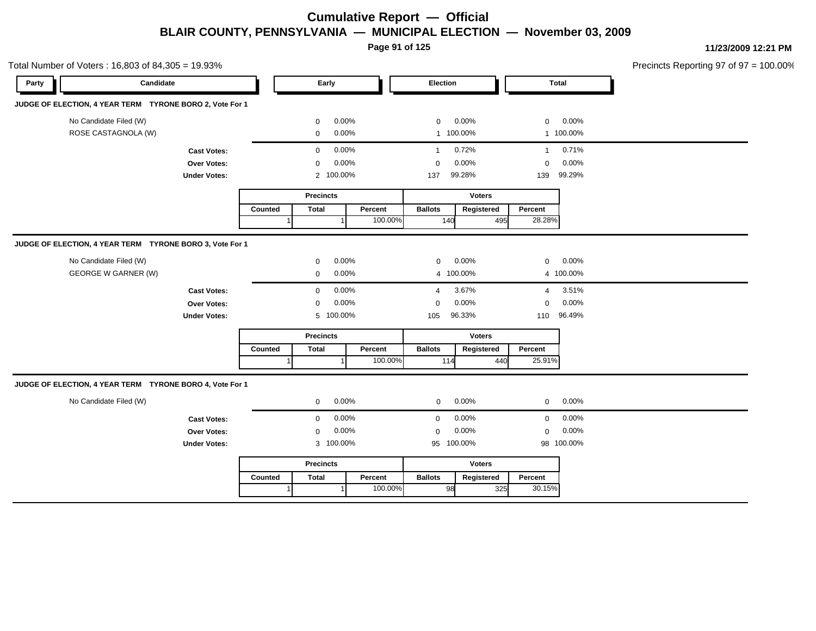**Page 91 of 125**

Total Number of Voters : 16,803 of 84,305 = 19.93% Precincts Reporting 97 of 97 = 100.00% **Party Candidate Early Election Total JUDGE OF ELECTION, 4 YEAR TERM TYRONE BORO 2, Vote For 1** No Candidate Filed (W)  $0.00\%$  0.00% 0 0.00% 0 0.00% 0 0.00% ROSE CASTAGNOLA (W) 0 0.00% 1 100.00% 1 100.00% **Cast Votes:** 0 0.00% 1 0.72% 1 0.71% **Over Votes:** 0 0.00% **Under Votes:** 0.00% 0 100.00% 99.28% 139 0.00% 0 0.00% 99.28% 99.29% **Precincts** Counted | Total 1 **Percent** Ballots 1 100.00% **Voters** 140 495 **Ballots Registered Percent** 28.28% **JUDGE OF ELECTION, 4 YEAR TERM TYRONE BORO 3, Vote For 1** No Candidate Filed (W) 0 0.00% 0 0.00% 0 0.00% GEORGE W GARNER (W)  $0.00\%$   $0.00\%$   $4.100.00\%$   $4.100.00\%$   $4.100.00\%$ **Cast Votes:** 0 0.00% 4 3.67% 4 3.51% **Over Votes:** 0 0.00% **Under Votes:** 0.00% 0 100.00% 105 110 96.33% 96.49% 0.00% 0 0.00% **Precincts Counted** 1 **Percent Ballots**  1 100.00% **Voters** 114 **Ballots Registered Percent** 25.91% **JUDGE OF ELECTION, 4 YEAR TERM TYRONE BORO 4, Vote For 1** No Candidate Filed (W)  $0.00\%$  0.00% 0 0.00% 0 0.00% 0 0.00% **Cast Votes:** 0 0.00% 0 0.00% 0 0.00% **Over Votes:** 0 0.00% Under Votes: 3 100.00% 0.00% 0 100.00% 95 98 0.00% 0 0.00% 100.00% 100.00% **Precincts Counted** 1 **Percent Ballots**  1 100.00% **Voters** 98 **Ballots Registered Percent** 30.15%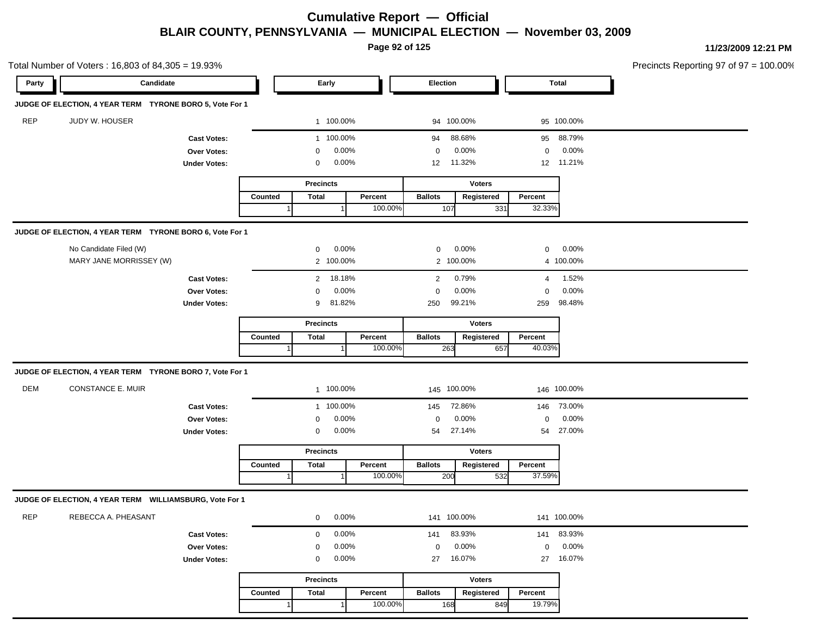**Page 92 of 125**

|            | Total Number of Voters: 16,803 of 84,305 = 19.93%        |                     |         |                  |          |         |                |               |                |             | Precincts Reporting 97 of 97 = 100.00% |
|------------|----------------------------------------------------------|---------------------|---------|------------------|----------|---------|----------------|---------------|----------------|-------------|----------------------------------------|
| Party      | Candidate                                                |                     |         | Early            |          |         | Election       |               |                | Total       |                                        |
|            | JUDGE OF ELECTION, 4 YEAR TERM TYRONE BORO 5, Vote For 1 |                     |         |                  |          |         |                |               |                |             |                                        |
| <b>REP</b> | JUDY W. HOUSER                                           |                     |         | 1 100.00%        |          |         | 94 100.00%     |               |                | 95 100.00%  |                                        |
|            |                                                          | <b>Cast Votes:</b>  |         | 1 100.00%        |          |         | 94             | 88.68%        | 95             | 88.79%      |                                        |
|            |                                                          | <b>Over Votes:</b>  |         | 0                | 0.00%    |         | 0              | 0.00%         | $\mathbf 0$    | 0.00%       |                                        |
|            |                                                          | <b>Under Votes:</b> |         | 0                | 0.00%    |         | 12             | 11.32%        |                | 12 11.21%   |                                        |
|            |                                                          |                     |         | <b>Precincts</b> |          |         |                | <b>Voters</b> |                |             |                                        |
|            |                                                          |                     | Counted | <b>Total</b>     |          | Percent | <b>Ballots</b> | Registered    | Percent        |             |                                        |
|            |                                                          |                     |         |                  |          | 100.00% | 107            | 331           | 32.33%         |             |                                        |
|            | JUDGE OF ELECTION, 4 YEAR TERM TYRONE BORO 6, Vote For 1 |                     |         |                  |          |         |                |               |                |             |                                        |
|            | No Candidate Filed (W)                                   |                     |         | 0                | 0.00%    |         | $\mathbf 0$    | 0.00%         | $\mathbf 0$    | 0.00%       |                                        |
|            | MARY JANE MORRISSEY (W)                                  |                     |         | 2 100.00%        |          |         |                | 2 100.00%     |                | 4 100.00%   |                                        |
|            |                                                          | <b>Cast Votes:</b>  |         | $\overline{2}$   | 18.18%   |         | $\overline{2}$ | 0.79%         | $\overline{4}$ | 1.52%       |                                        |
|            |                                                          | <b>Over Votes:</b>  |         | 0                | $0.00\%$ |         | $\mathbf 0$    | 0.00%         | $\mathbf 0$    | 0.00%       |                                        |
|            |                                                          | <b>Under Votes:</b> |         | 9                | 81.82%   |         | 250            | 99.21%        | 259            | 98.48%      |                                        |
|            |                                                          |                     |         | <b>Precincts</b> |          |         |                | <b>Voters</b> |                |             |                                        |
|            |                                                          |                     | Counted | <b>Total</b>     |          | Percent | <b>Ballots</b> | Registered    | Percent        |             |                                        |
|            |                                                          |                     |         |                  |          | 100.00% | 263            | 657           | 40.03%         |             |                                        |
|            | JUDGE OF ELECTION, 4 YEAR TERM TYRONE BORO 7, Vote For 1 |                     |         |                  |          |         |                |               |                |             |                                        |
| <b>DEM</b> | CONSTANCE E. MUIR                                        |                     |         | 1 100.00%        |          |         | 145 100.00%    |               |                | 146 100.00% |                                        |
|            |                                                          | <b>Cast Votes:</b>  |         | 1 100.00%        |          |         | 145            | 72.86%        | 146            | 73.00%      |                                        |
|            |                                                          | <b>Over Votes:</b>  |         | 0                | 0.00%    |         | $\mathbf 0$    | 0.00%         | $\mathbf 0$    | 0.00%       |                                        |
|            |                                                          | <b>Under Votes:</b> |         | 0                | 0.00%    |         | 54             | 27.14%        | 54             | 27.00%      |                                        |
|            |                                                          |                     |         | <b>Precincts</b> |          |         |                | <b>Voters</b> |                |             |                                        |
|            |                                                          |                     | Counted | <b>Total</b>     |          | Percent | <b>Ballots</b> | Registered    | Percent        |             |                                        |
|            |                                                          |                     |         |                  |          | 100.00% | 200            | 532           | 37.59%         |             |                                        |
|            | JUDGE OF ELECTION, 4 YEAR TERM WILLIAMSBURG, Vote For 1  |                     |         |                  |          |         |                |               |                |             |                                        |
| <b>REP</b> | REBECCA A. PHEASANT                                      |                     |         | 0                | 0.00%    |         | 141 100.00%    |               |                | 141 100.00% |                                        |
|            |                                                          | <b>Cast Votes:</b>  |         | 0                | 0.00%    |         | 141            | 83.93%        |                | 141 83.93%  |                                        |
|            |                                                          | Over Votes:         |         | 0                | 0.00%    |         | 0              | 0.00%         | $\mathbf 0$    | 0.00%       |                                        |
|            |                                                          | <b>Under Votes:</b> |         | 0                | 0.00%    |         | 27             | 16.07%        | 27             | 16.07%      |                                        |
|            |                                                          |                     |         | <b>Precincts</b> |          |         |                | <b>Voters</b> |                |             |                                        |
|            |                                                          |                     | Counted | <b>Total</b>     |          | Percent | <b>Ballots</b> | Registered    | Percent        |             |                                        |
|            |                                                          |                     |         |                  | -1       | 100.00% | 168            | 849           | 19.79%         |             |                                        |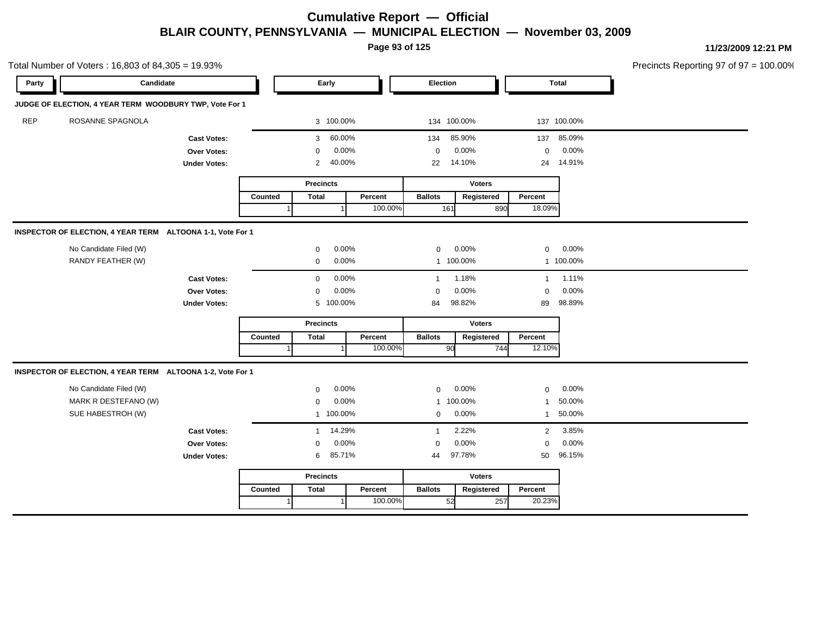**Page 93 of 125**

|            | Total Number of Voters: 16,803 of 84,305 = 19.93%          |                      |                |                  |           |           |                |               |              |              | Precincts Reporting 97 of 97 = 100.00% |
|------------|------------------------------------------------------------|----------------------|----------------|------------------|-----------|-----------|----------------|---------------|--------------|--------------|----------------------------------------|
| Party      | Candidate                                                  |                      |                | Early            |           |           | Election       |               |              | <b>Total</b> |                                        |
|            | JUDGE OF ELECTION, 4 YEAR TERM WOODBURY TWP, Vote For 1    |                      |                |                  |           |           |                |               |              |              |                                        |
| <b>REP</b> | ROSANNE SPAGNOLA                                           |                      |                | 3 100.00%        |           |           | 134 100.00%    |               |              | 137 100.00%  |                                        |
|            |                                                            | <b>Cast Votes:</b>   |                | 3                | 60.00%    |           | 134            | 85.90%        | 137          | 85.09%       |                                        |
|            |                                                            | Over Votes:          |                | $\mathbf 0$      | 0.00%     |           | $\mathbf 0$    | 0.00%         | $\mathbf 0$  | 0.00%        |                                        |
|            |                                                            | <b>Under Votes:</b>  |                | 2                | 40.00%    |           | 22             | 14.10%        |              | 24 14.91%    |                                        |
|            |                                                            |                      |                | <b>Precincts</b> |           |           |                | <b>Voters</b> |              |              |                                        |
|            |                                                            |                      | Counted        | <b>Total</b>     |           | Percent   | <b>Ballots</b> | Registered    | Percent      |              |                                        |
|            |                                                            |                      |                |                  |           | 100.00%   | 161            | 890           | 18.09%       |              |                                        |
|            | INSPECTOR OF ELECTION, 4 YEAR TERM ALTOONA 1-1, Vote For 1 |                      |                |                  |           |           |                |               |              |              |                                        |
|            | No Candidate Filed (W)                                     |                      |                | 0                | 0.00%     |           | 0              | 0.00%         | $\mathbf 0$  | 0.00%        |                                        |
|            | RANDY FEATHER (W)                                          | 0.00%<br>$\mathbf 0$ |                |                  |           | 1 100.00% | 1 100.00%      |               |              |              |                                        |
|            |                                                            | <b>Cast Votes:</b>   |                | 0                | 0.00%     |           | $\overline{1}$ | 1.18%         | $\mathbf{1}$ | 1.11%        |                                        |
|            |                                                            | Over Votes:          |                | $\mathbf 0$      | 0.00%     |           | $\mathbf 0$    | 0.00%         | $\mathbf 0$  | 0.00%        |                                        |
|            |                                                            | <b>Under Votes:</b>  |                | 5 100.00%        |           |           | 84             | 98.82%        | 89           | 98.89%       |                                        |
|            |                                                            |                      |                | <b>Precincts</b> |           |           |                | <b>Voters</b> |              |              |                                        |
|            |                                                            |                      | Counted        | <b>Total</b>     |           | Percent   | <b>Ballots</b> | Registered    | Percent      |              |                                        |
|            |                                                            |                      | $\overline{1}$ |                  |           | 100.00%   | 90             | 744           | 12.10%       |              |                                        |
|            | INSPECTOR OF ELECTION, 4 YEAR TERM ALTOONA 1-2, Vote For 1 |                      |                |                  |           |           |                |               |              |              |                                        |
|            | No Candidate Filed (W)                                     |                      |                | $\mathbf 0$      | 0.00%     |           | $\mathbf 0$    | 0.00%         | $\mathbf 0$  | 0.00%        |                                        |
|            | MARK R DESTEFANO (W)                                       |                      |                | $\mathbf 0$      | 0.00%     |           | $\mathbf{1}$   | 100.00%       | 1            | 50.00%       |                                        |
|            | SUE HABESTROH (W)                                          |                      |                | 1 100.00%        |           |           | $\mathbf 0$    | 0.00%         | $\mathbf{1}$ | 50.00%       |                                        |
|            |                                                            | <b>Cast Votes:</b>   |                | $\mathbf{1}$     | 14.29%    |           | $\overline{1}$ | 2.22%         | 2            | 3.85%        |                                        |
|            |                                                            | Over Votes:          |                | $\mathbf 0$      | 0.00%     |           | 0              | 0.00%         | $\mathbf 0$  | 0.00%        |                                        |
|            |                                                            | <b>Under Votes:</b>  |                | 6                | 85.71%    |           | 44             | 97.78%        | 50           | 96.15%       |                                        |
|            |                                                            |                      |                | <b>Precincts</b> |           |           |                | <b>Voters</b> |              |              |                                        |
|            |                                                            |                      | Counted        | <b>Total</b>     |           | Percent   | <b>Ballots</b> | Registered    | Percent      |              |                                        |
|            |                                                            |                      | 1              |                  | $\vert$ 1 | 100.00%   | 52             | 257           | 20.23%       |              |                                        |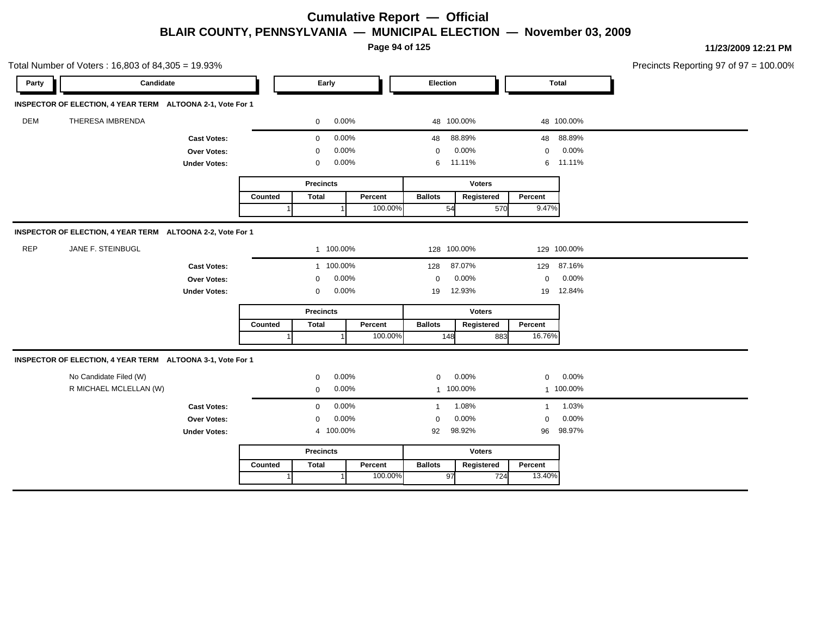**Page 94 of 125**

| Candidate<br>Election<br>Early<br><b>Total</b><br>Party<br>INSPECTOR OF ELECTION, 4 YEAR TERM ALTOONA 2-1, Vote For 1<br>DEM<br>THERESA IMBRENDA<br>0.00%<br>48 100.00%<br>48 100.00%<br>0<br>0.00%<br>88.89%<br>48 88.89%<br>$\mathbf 0$<br>48<br><b>Cast Votes:</b><br>0.00%<br>0.00%<br>0.00%<br>0<br>$\mathbf 0$<br>$\mathbf 0$<br><b>Over Votes:</b><br>0.00%<br>11.11%<br>6 11.11%<br>6<br><b>Under Votes:</b><br>0<br><b>Precincts</b><br><b>Voters</b><br><b>Total</b><br><b>Ballots</b><br>Registered<br>Counted<br>Percent<br>Percent<br>9.47%<br>100.00%<br>54<br>570<br>INSPECTOR OF ELECTION, 4 YEAR TERM ALTOONA 2-2, Vote For 1<br><b>REP</b><br>JANE F. STEINBUGL<br>1 100.00%<br>128 100.00%<br>129 100.00%<br>1 100.00%<br>87.07%<br>129 87.16%<br><b>Cast Votes:</b><br>128<br>0.00%<br>0.00%<br>0.00%<br>Over Votes:<br>$\mathbf 0$<br>$\mathbf 0$<br>0<br>12.84%<br>0.00%<br>12.93%<br><b>Under Votes:</b><br>0<br>19<br>19<br><b>Precincts</b><br><b>Voters</b><br><b>Ballots</b><br><b>Total</b><br>Percent<br>Registered<br>Percent<br>Counted<br>100.00%<br>16.76%<br>148<br>883<br>INSPECTOR OF ELECTION, 4 YEAR TERM ALTOONA 3-1, Vote For 1<br>No Candidate Filed (W)<br>0.00%<br>0.00%<br>0.00%<br>$\mathbf{0}$<br>$\mathbf{0}$<br>$\mathbf 0$<br>R MICHAEL MCLELLAN (W)<br>0.00%<br>1 100.00%<br>1 100.00%<br>$\mathbf 0$<br>1.08%<br>0.00%<br>1.03%<br>$\mathbf 0$<br><b>Cast Votes:</b><br>1<br>$\mathbf{1}$<br>0.00%<br>0.00%<br>0.00%<br>Over Votes:<br>$\mathbf 0$<br>$\mathbf 0$<br>0<br>98.92%<br>98.97%<br>4 100.00%<br><b>Under Votes:</b><br>92<br>96<br><b>Precincts</b><br><b>Voters</b><br>Counted<br>Percent<br><b>Ballots</b><br>Percent<br>Total<br>Registered<br>97<br>13.40%<br>100.00%<br>724 | Total Number of Voters: 16,803 of 84,305 = 19.93% |  |  |  |  | Precincts Reporting 97 of 97 = 100.00% |  |
|------------------------------------------------------------------------------------------------------------------------------------------------------------------------------------------------------------------------------------------------------------------------------------------------------------------------------------------------------------------------------------------------------------------------------------------------------------------------------------------------------------------------------------------------------------------------------------------------------------------------------------------------------------------------------------------------------------------------------------------------------------------------------------------------------------------------------------------------------------------------------------------------------------------------------------------------------------------------------------------------------------------------------------------------------------------------------------------------------------------------------------------------------------------------------------------------------------------------------------------------------------------------------------------------------------------------------------------------------------------------------------------------------------------------------------------------------------------------------------------------------------------------------------------------------------------------------------------------------------------------------------------------------------------------------------------------------------------------------------------------|---------------------------------------------------|--|--|--|--|----------------------------------------|--|
|                                                                                                                                                                                                                                                                                                                                                                                                                                                                                                                                                                                                                                                                                                                                                                                                                                                                                                                                                                                                                                                                                                                                                                                                                                                                                                                                                                                                                                                                                                                                                                                                                                                                                                                                                |                                                   |  |  |  |  |                                        |  |
|                                                                                                                                                                                                                                                                                                                                                                                                                                                                                                                                                                                                                                                                                                                                                                                                                                                                                                                                                                                                                                                                                                                                                                                                                                                                                                                                                                                                                                                                                                                                                                                                                                                                                                                                                |                                                   |  |  |  |  |                                        |  |
|                                                                                                                                                                                                                                                                                                                                                                                                                                                                                                                                                                                                                                                                                                                                                                                                                                                                                                                                                                                                                                                                                                                                                                                                                                                                                                                                                                                                                                                                                                                                                                                                                                                                                                                                                |                                                   |  |  |  |  |                                        |  |
|                                                                                                                                                                                                                                                                                                                                                                                                                                                                                                                                                                                                                                                                                                                                                                                                                                                                                                                                                                                                                                                                                                                                                                                                                                                                                                                                                                                                                                                                                                                                                                                                                                                                                                                                                |                                                   |  |  |  |  |                                        |  |
|                                                                                                                                                                                                                                                                                                                                                                                                                                                                                                                                                                                                                                                                                                                                                                                                                                                                                                                                                                                                                                                                                                                                                                                                                                                                                                                                                                                                                                                                                                                                                                                                                                                                                                                                                |                                                   |  |  |  |  |                                        |  |
|                                                                                                                                                                                                                                                                                                                                                                                                                                                                                                                                                                                                                                                                                                                                                                                                                                                                                                                                                                                                                                                                                                                                                                                                                                                                                                                                                                                                                                                                                                                                                                                                                                                                                                                                                |                                                   |  |  |  |  |                                        |  |
|                                                                                                                                                                                                                                                                                                                                                                                                                                                                                                                                                                                                                                                                                                                                                                                                                                                                                                                                                                                                                                                                                                                                                                                                                                                                                                                                                                                                                                                                                                                                                                                                                                                                                                                                                |                                                   |  |  |  |  |                                        |  |
|                                                                                                                                                                                                                                                                                                                                                                                                                                                                                                                                                                                                                                                                                                                                                                                                                                                                                                                                                                                                                                                                                                                                                                                                                                                                                                                                                                                                                                                                                                                                                                                                                                                                                                                                                |                                                   |  |  |  |  |                                        |  |
|                                                                                                                                                                                                                                                                                                                                                                                                                                                                                                                                                                                                                                                                                                                                                                                                                                                                                                                                                                                                                                                                                                                                                                                                                                                                                                                                                                                                                                                                                                                                                                                                                                                                                                                                                |                                                   |  |  |  |  |                                        |  |
|                                                                                                                                                                                                                                                                                                                                                                                                                                                                                                                                                                                                                                                                                                                                                                                                                                                                                                                                                                                                                                                                                                                                                                                                                                                                                                                                                                                                                                                                                                                                                                                                                                                                                                                                                |                                                   |  |  |  |  |                                        |  |
|                                                                                                                                                                                                                                                                                                                                                                                                                                                                                                                                                                                                                                                                                                                                                                                                                                                                                                                                                                                                                                                                                                                                                                                                                                                                                                                                                                                                                                                                                                                                                                                                                                                                                                                                                |                                                   |  |  |  |  |                                        |  |
|                                                                                                                                                                                                                                                                                                                                                                                                                                                                                                                                                                                                                                                                                                                                                                                                                                                                                                                                                                                                                                                                                                                                                                                                                                                                                                                                                                                                                                                                                                                                                                                                                                                                                                                                                |                                                   |  |  |  |  |                                        |  |
|                                                                                                                                                                                                                                                                                                                                                                                                                                                                                                                                                                                                                                                                                                                                                                                                                                                                                                                                                                                                                                                                                                                                                                                                                                                                                                                                                                                                                                                                                                                                                                                                                                                                                                                                                |                                                   |  |  |  |  |                                        |  |
|                                                                                                                                                                                                                                                                                                                                                                                                                                                                                                                                                                                                                                                                                                                                                                                                                                                                                                                                                                                                                                                                                                                                                                                                                                                                                                                                                                                                                                                                                                                                                                                                                                                                                                                                                |                                                   |  |  |  |  |                                        |  |
|                                                                                                                                                                                                                                                                                                                                                                                                                                                                                                                                                                                                                                                                                                                                                                                                                                                                                                                                                                                                                                                                                                                                                                                                                                                                                                                                                                                                                                                                                                                                                                                                                                                                                                                                                |                                                   |  |  |  |  |                                        |  |
|                                                                                                                                                                                                                                                                                                                                                                                                                                                                                                                                                                                                                                                                                                                                                                                                                                                                                                                                                                                                                                                                                                                                                                                                                                                                                                                                                                                                                                                                                                                                                                                                                                                                                                                                                |                                                   |  |  |  |  |                                        |  |
|                                                                                                                                                                                                                                                                                                                                                                                                                                                                                                                                                                                                                                                                                                                                                                                                                                                                                                                                                                                                                                                                                                                                                                                                                                                                                                                                                                                                                                                                                                                                                                                                                                                                                                                                                |                                                   |  |  |  |  |                                        |  |
|                                                                                                                                                                                                                                                                                                                                                                                                                                                                                                                                                                                                                                                                                                                                                                                                                                                                                                                                                                                                                                                                                                                                                                                                                                                                                                                                                                                                                                                                                                                                                                                                                                                                                                                                                |                                                   |  |  |  |  |                                        |  |
|                                                                                                                                                                                                                                                                                                                                                                                                                                                                                                                                                                                                                                                                                                                                                                                                                                                                                                                                                                                                                                                                                                                                                                                                                                                                                                                                                                                                                                                                                                                                                                                                                                                                                                                                                |                                                   |  |  |  |  |                                        |  |
|                                                                                                                                                                                                                                                                                                                                                                                                                                                                                                                                                                                                                                                                                                                                                                                                                                                                                                                                                                                                                                                                                                                                                                                                                                                                                                                                                                                                                                                                                                                                                                                                                                                                                                                                                |                                                   |  |  |  |  |                                        |  |
|                                                                                                                                                                                                                                                                                                                                                                                                                                                                                                                                                                                                                                                                                                                                                                                                                                                                                                                                                                                                                                                                                                                                                                                                                                                                                                                                                                                                                                                                                                                                                                                                                                                                                                                                                |                                                   |  |  |  |  |                                        |  |
|                                                                                                                                                                                                                                                                                                                                                                                                                                                                                                                                                                                                                                                                                                                                                                                                                                                                                                                                                                                                                                                                                                                                                                                                                                                                                                                                                                                                                                                                                                                                                                                                                                                                                                                                                |                                                   |  |  |  |  |                                        |  |
|                                                                                                                                                                                                                                                                                                                                                                                                                                                                                                                                                                                                                                                                                                                                                                                                                                                                                                                                                                                                                                                                                                                                                                                                                                                                                                                                                                                                                                                                                                                                                                                                                                                                                                                                                |                                                   |  |  |  |  |                                        |  |
|                                                                                                                                                                                                                                                                                                                                                                                                                                                                                                                                                                                                                                                                                                                                                                                                                                                                                                                                                                                                                                                                                                                                                                                                                                                                                                                                                                                                                                                                                                                                                                                                                                                                                                                                                |                                                   |  |  |  |  |                                        |  |
|                                                                                                                                                                                                                                                                                                                                                                                                                                                                                                                                                                                                                                                                                                                                                                                                                                                                                                                                                                                                                                                                                                                                                                                                                                                                                                                                                                                                                                                                                                                                                                                                                                                                                                                                                |                                                   |  |  |  |  |                                        |  |
|                                                                                                                                                                                                                                                                                                                                                                                                                                                                                                                                                                                                                                                                                                                                                                                                                                                                                                                                                                                                                                                                                                                                                                                                                                                                                                                                                                                                                                                                                                                                                                                                                                                                                                                                                |                                                   |  |  |  |  |                                        |  |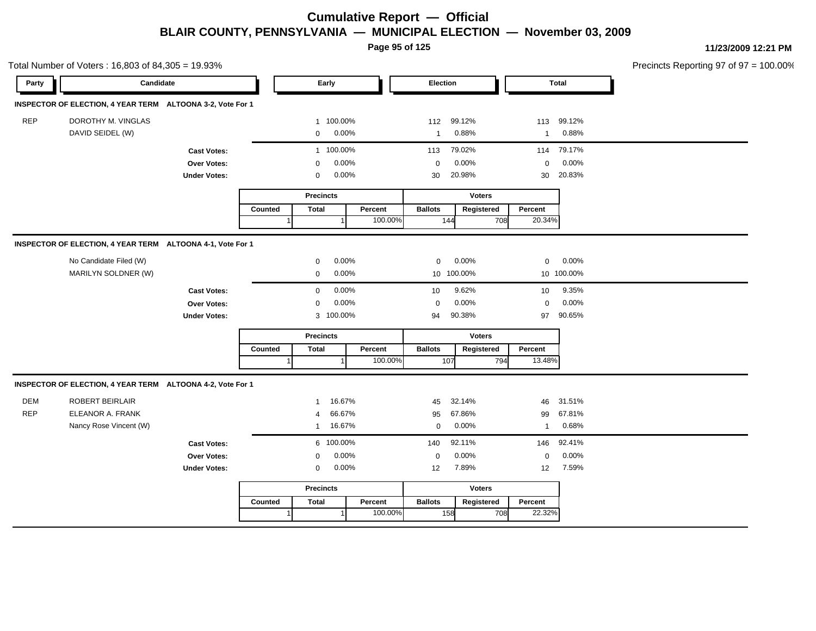**Page 95 of 125**

Total Number of Voters : 16,803 of 84,305 = 19.93%

**11/23/2009 12:21 PM** Precincts Reporting 97 of 97 = 100.00%

| Party      | Candidate                                                  |                                   |         | Early                              |         | Election       |               |                | <b>Total</b> |  |
|------------|------------------------------------------------------------|-----------------------------------|---------|------------------------------------|---------|----------------|---------------|----------------|--------------|--|
|            | INSPECTOR OF ELECTION, 4 YEAR TERM ALTOONA 3-2, Vote For 1 |                                   |         |                                    |         |                |               |                |              |  |
| <b>REP</b> | DOROTHY M. VINGLAS                                         |                                   |         | 1 100.00%                          |         | 112            | 99.12%        | 113            | 99.12%       |  |
|            | DAVID SEIDEL (W)                                           |                                   |         | 0.00%<br>$\mathbf 0$               |         | $\mathbf{1}$   | 0.88%         | $\mathbf{1}$   | 0.88%        |  |
|            |                                                            | <b>Cast Votes:</b>                |         | 1 100.00%                          |         | 113            | 79.02%        | 114            | 79.17%       |  |
|            |                                                            | Over Votes:                       |         | 0.00%<br>$\Omega$                  |         | $\mathbf 0$    | 0.00%         | $\mathbf 0$    | 0.00%        |  |
|            |                                                            | <b>Under Votes:</b>               |         | 0.00%<br>$\mathbf 0$               |         | 30             | 20.98%        | 30             | 20.83%       |  |
|            |                                                            |                                   |         | <b>Precincts</b>                   |         |                | <b>Voters</b> |                |              |  |
|            |                                                            |                                   | Counted | <b>Total</b>                       | Percent | <b>Ballots</b> | Registered    | Percent        |              |  |
|            |                                                            |                                   |         |                                    | 100.00% | 144            | 708           | 20.34%         |              |  |
|            |                                                            |                                   |         |                                    |         |                |               |                |              |  |
|            | INSPECTOR OF ELECTION, 4 YEAR TERM ALTOONA 4-1, Vote For 1 |                                   |         |                                    |         |                |               |                |              |  |
|            | No Candidate Filed (W)                                     |                                   |         | 0.00%<br>$\mathbf{0}$              |         | $\mathbf 0$    | 0.00%         | $\mathbf 0$    | 0.00%        |  |
|            | MARILYN SOLDNER (W)                                        |                                   |         | 0.00%<br>$\mathbf 0$               |         |                | 10 100.00%    |                | 10 100.00%   |  |
|            |                                                            | <b>Cast Votes:</b>                |         | 0.00%<br>$\mathbf 0$               |         | 10             | 9.62%         | 10             | 9.35%        |  |
|            |                                                            | Over Votes:                       |         | 0.00%<br>$\Omega$                  |         | $\mathbf 0$    | 0.00%         | $\mathbf 0$    | 0.00%        |  |
|            |                                                            | <b>Under Votes:</b>               |         | 3 100.00%                          |         | 94             | 90.38%        | 97             | 90.65%       |  |
|            |                                                            |                                   |         | <b>Precincts</b>                   |         |                | <b>Voters</b> |                |              |  |
|            |                                                            |                                   | Counted | <b>Total</b>                       | Percent | <b>Ballots</b> | Registered    | Percent        |              |  |
|            |                                                            |                                   |         |                                    | 100.00% | 107            | 794           | 13.48%         |              |  |
|            | INSPECTOR OF ELECTION, 4 YEAR TERM ALTOONA 4-2, Vote For 1 |                                   |         |                                    |         |                |               |                |              |  |
| <b>DEM</b> | <b>ROBERT BEIRLAIR</b>                                     |                                   |         | 16.67%                             |         | 45             | 32.14%        | 46             | 31.51%       |  |
| <b>REP</b> | ELEANOR A. FRANK                                           |                                   |         | 66.67%<br>$\boldsymbol{\varDelta}$ |         | 95             | 67.86%        | 99             | 67.81%       |  |
|            | Nancy Rose Vincent (W)                                     |                                   |         | 16.67%<br>$\mathbf{1}$             |         | $\mathbf 0$    | 0.00%         | $\overline{1}$ | 0.68%        |  |
|            |                                                            |                                   |         | 6 100.00%                          |         | 140            | 92.11%        | 146            | 92.41%       |  |
|            |                                                            | <b>Cast Votes:</b><br>Over Votes: |         | 0.00%<br>$\mathbf 0$               |         | $\mathbf 0$    | 0.00%         | $\mathbf 0$    | 0.00%        |  |
|            |                                                            | <b>Under Votes:</b>               |         | 0.00%<br>$\mathbf 0$               |         | 12             | 7.89%         | 12             | 7.59%        |  |
|            |                                                            |                                   |         |                                    |         |                |               |                |              |  |
|            |                                                            |                                   |         | <b>Precincts</b>                   |         |                | <b>Voters</b> |                |              |  |
|            |                                                            |                                   |         |                                    |         | <b>Ballots</b> | Registered    |                |              |  |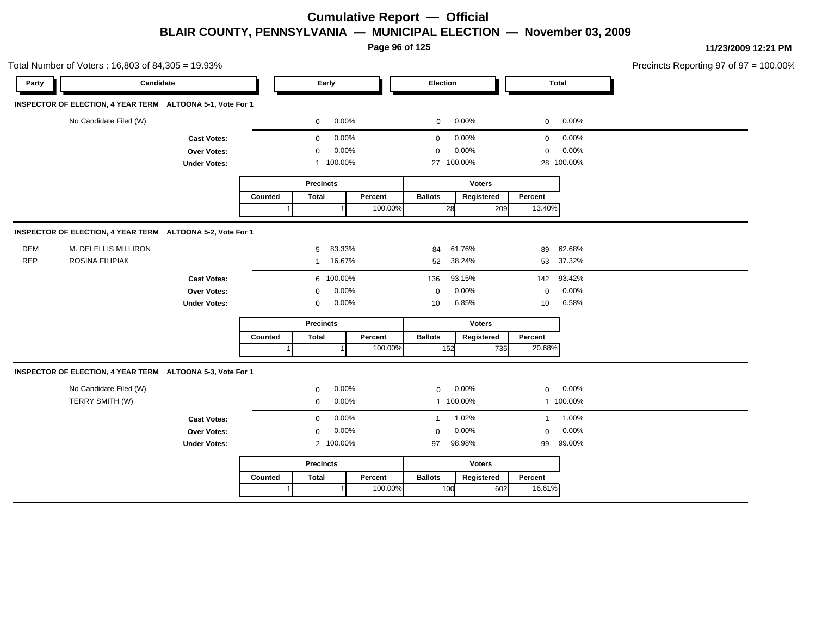**Page 96 of 125**

Total Number of Voters : 16,803 of 84,305 = 19.93% Precincts Reporting 97 of 97 = 100.00% **Party Candidate Early Election Total INSPECTOR OF ELECTION, 4 YEAR TERM ALTOONA 5-1, Vote For 1** No Candidate Filed (W)  $0.00\%$  0.00% 0 0.00% 0 0.00% 0 0.00% **Cast Votes:** 0 0.00% 0 0.00% 0 0.00% **Over Votes:** 0 0.00% Under Votes: 1 100.00% 0.00% 0 100.00% 27 28 0.00% 0 0.00% 100.00% 100.00% **Precincts Counted** 1 **Percent** | **Ballots**  1 100.00% **Voters** 28 **Ballots Registered Percent** 13.40% **INSPECTOR OF ELECTION, 4 YEAR TERM ALTOONA 5-2, Vote For 1** DEM M. DELELLIS MILLIRON 5 83.33% 84 61.76% 89 62.68% REP ROSINA FILIPIAK 1 16.67% 52 38.24% 53 37.32% **Cast Votes:** 6 100.00% 136 93.15% 142 93.42% **Over Votes:** 0 0.00% **Under Votes:** 0 0.00% 0 10 6.85% 10 6.85% 10 6.58% 0.00% 0 0.00% 6.85% 6.58% **Precincts** Counted | Total 1 **Percent** | **Ballots**  1 100.00% **Voters** 152 735 **Ballots Registered Percent** 20.68% **INSPECTOR OF ELECTION, 4 YEAR TERM ALTOONA 5-3, Vote For 1** No Candidate Filed (W) **0 0.00%** 0 0.00% 0 0.00% 0 0.00% 0 0.00% 0 0.00% 0 0.00% 0 0.00% 0 0.00% 0 0.00% 0 0.00% 0 0.00% 0 0.00% 0 0.00% 0 0.00% 0 0.00% 0 0.00% 0 0.00% 0 0.00% 0 0.00% 0 0.00% 0 0.00% 0 0.00% 0 0.00% 0 0.0 TERRY SMITH (W) 0 0.00% 1 100.00% 1 100.00% **Cast Votes:** 0 0.00% 1 1.02% 1 1.00% **Over Votes:** 0 0.00% **Under Votes:** 0.00% 0 100.00% 97 99 98.98% 99.00% 0.00% 0 0.00% **Precincts Counted** 1 **Percent Ballots**  1 100.00% **Voters** 100 **Ballots Registered Percent** 16.61%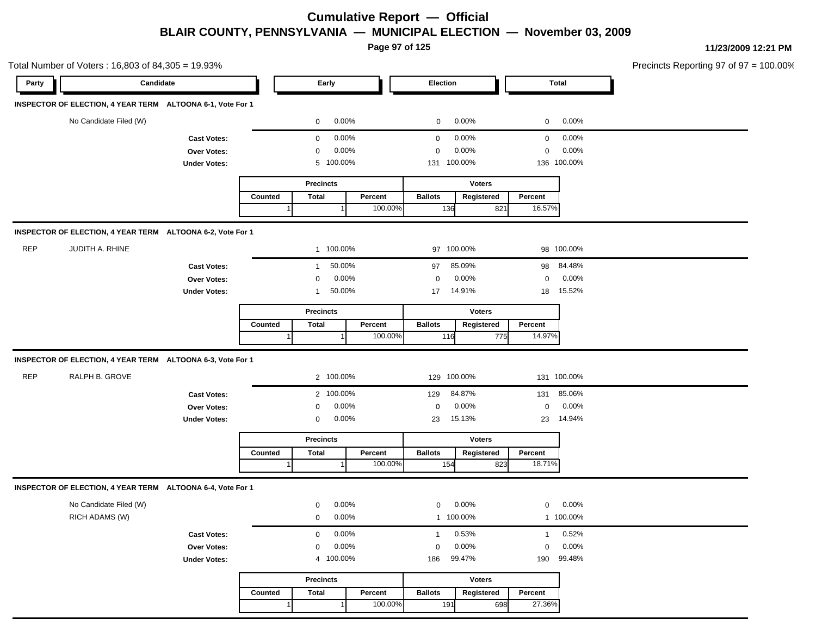**Page 97 of 125**

Total Number of Voters : 16,803 of 84,305 = 19.93% Precincts Reporting 97 of 97 = 100.00% **Party Candidate Early Election Total INSPECTOR OF ELECTION, 4 YEAR TERM ALTOONA 6-1, Vote For 1** No Candidate Filed (W)  $0.00\%$  0.00% 0 0.00% 0 0.00% 0 0.00% **Cast Votes:** 0 0.00% 0 0.00% 0 0.00% **Over Votes:** 0 0.00% Under Votes: 5 100.00% 0.00% 0 100.00% 131 136 0.00% 0 0.00% 100.00% 100.00% **Precincts Counted** 1 **Percent** Ballots 1 100.00% **Voters** 136 **Ballots Registered Percent** 16.57% **INSPECTOR OF ELECTION, 4 YEAR TERM ALTOONA 6-2, Vote For 1** REP JUDITH A. RHINE 1 100.00% 97 100.00% 98 100.00% **Cast Votes:** 1 50.00% 97 85.09% 98 84.48% **Over Votes:** 0 0.00% Under Votes: 1 50.00% 0.00% 0 50.00% 17 14.91% 18 15.52% 0.00% 0 0.00% 14.91% 15.52% **Precincts Counted** 1 **Percent** | **Ballots**  1 100.00% **Voters** 116 **Ballots Registered Percent** 14.97% **INSPECTOR OF ELECTION, 4 YEAR TERM ALTOONA 6-3, Vote For 1** REP RALPH B. GROVE 2 100.00% 129 100.00% 131 100.00% **Cast Votes:** 2 100.00% 129 84.87% 131 85.06% **Over Votes:** 0 0.00% **Under Votes:** 0 0.00% 0 0.00% 23 23 0.00% 0 0.00% 15.13% 14.94% **Precincts Counted** 1 **Percent Ballots**  1 100.00% **Voters** 154 823 **Ballots Registered Percent** 18.71% **INSPECTOR OF ELECTION, 4 YEAR TERM ALTOONA 6-4, Vote For 1** No Candidate Filed (W) **0 0.00%** 0 0.00% 0 0.00% 0 0.00% 0 0.00% 0 0.00% 0 0.00% 0 0.00% 0 0.00% 0 0.00% 0 0.00% 0 0.00% 0 0.00% 0 0.00% 0 0.00% 0 0.00% 0 0.00% 0 0.00% 0 0.00% 0 0.00% 0 0.00% 0 0.00% 0 0.00% 0 0.00% 0 0.0 RICH ADAMS (W) 0 0.00% 1 100.00% 1 100.00% **Cast Votes:** 0 0.00% 1 0.53% 1 0.52% **Over Votes:** 0 0.00% **Under Votes:** 0.00% 0 100.00% 99.47% 190 0.00% 0 0.00% 99.47% 99.48%

|         | <b>Precincts</b> |         |                | <b>Voters</b> |         |
|---------|------------------|---------|----------------|---------------|---------|
| Counted | Total            | Percent | <b>Ballots</b> | Registered    | Percent |
|         |                  | 100.00% | 191            | 698l          | 27.36%  |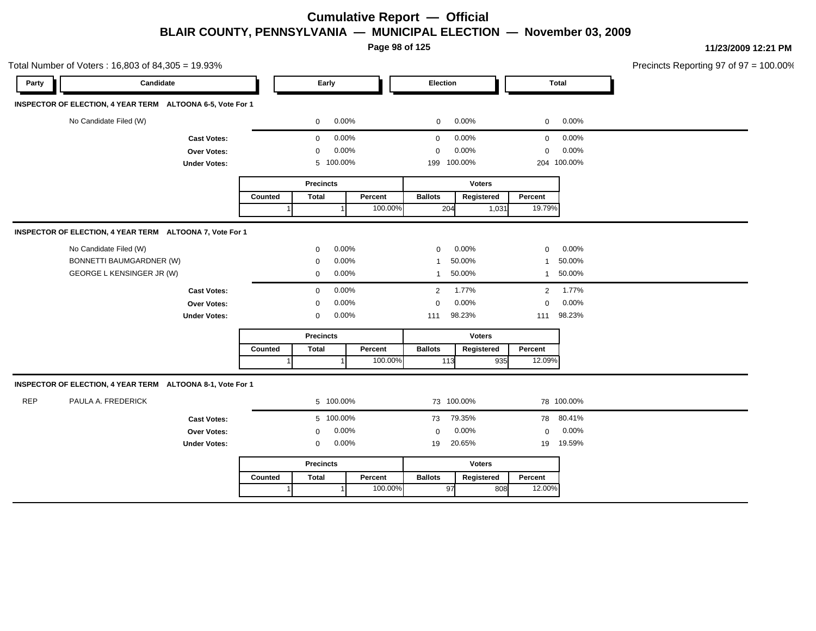**Page 98 of 125**

Total Number of Voters : 16,803 of 84,305 = 19.93% Precincts Reporting 97 of 97 = 100.00% **Party Candidate Early Election Total INSPECTOR OF ELECTION, 4 YEAR TERM ALTOONA 6-5, Vote For 1** No Candidate Filed (W)  $0.00\%$  0.00% 0 0.00% 0 0.00% 0 0.00% **Cast Votes:** 0 0.00% 0 0.00% 0 0.00% **Over Votes:** 0 0.00% **Under Votes:** 0.00% 0 100.00% 199 204 100.00% 100.00% 0.00% 0 0.00% **Precincts Counted** 1 **Percent** | **Ballots**  1 100.00% **Voters** 204 1,031 **Ballots Registered Percent** 19.79% **INSPECTOR OF ELECTION, 4 YEAR TERM ALTOONA 7, Vote For 1** No Candidate Filed (W) 0 0.00% 0 0.00% 0 0.00% BONNETTI BAUMGARDNER (W) 0 0.00% 1 50.00% 1 50.00% GEORGE L KENSINGER JR (W)  $0.00\%$  1 50.00% 1 50.00% 1 50.00% **Cast Votes:** 0 0.00% 2 1.77% 2 1.77% **Over Votes:** 0 0.00% **Under Votes:** 0 0.00% 0  $0.00\%$  111  $98.23\%$  111  $98.23\%$ 0.00% 0 0.00% 98.23% 98.23% **Precincts Counted** 1 **Percent Ballots**  1 100.00% **Voters** 113 935 **Ballots Registered Percent** 12.09% **INSPECTOR OF ELECTION, 4 YEAR TERM ALTOONA 8-1, Vote For 1** REP PAULA A. FREDERICK 5 100.00% 73 100.00% 78 100.00% **Cast Votes:** 5 100.00% 73 79.35% 78 80.41% **Over Votes:** 0 0.00% **Under Votes:** 0 0.00% 0 19 20.65% 19 19 20.65% 19.59% 0.00% 0 0.00% **Precincts Counted** 1 **Percent Ballots**  1 100.00% **Voters** 97 808 **Ballots Registered Percent** 12.00%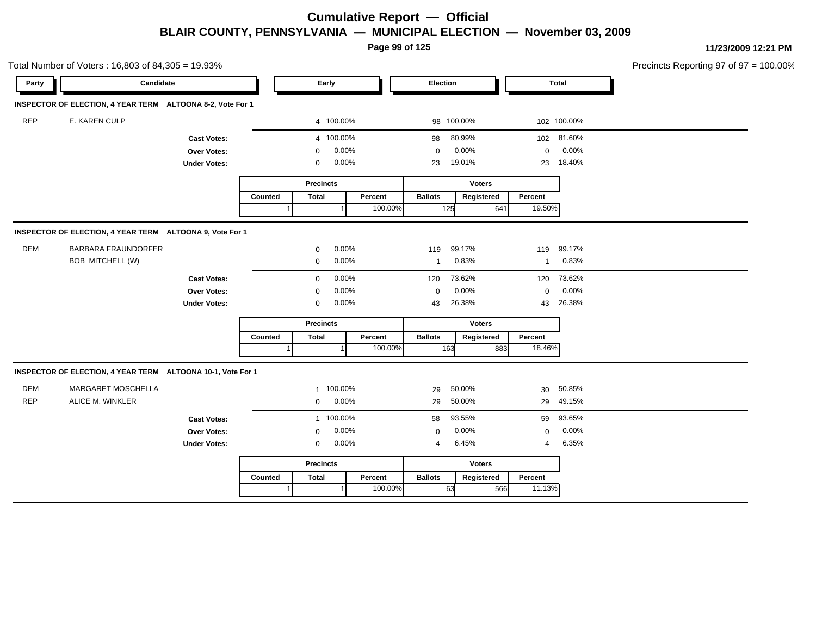**Page 99 of 125**

**11/23/2009 12:21 PM**

|            | Total Number of Voters: 16,803 of 84,305 = 19.93%           |                     |         |                  |         |                |               |                |              | Precincts Reporting 97 of 97 = $1$ |
|------------|-------------------------------------------------------------|---------------------|---------|------------------|---------|----------------|---------------|----------------|--------------|------------------------------------|
| Party      | Candidate                                                   |                     |         | Early            |         | Election       |               |                | <b>Total</b> |                                    |
|            | INSPECTOR OF ELECTION, 4 YEAR TERM ALTOONA 8-2, Vote For 1  |                     |         |                  |         |                |               |                |              |                                    |
| <b>REP</b> | E. KAREN CULP                                               |                     |         | 4 100.00%        |         |                | 98 100.00%    |                | 102 100.00%  |                                    |
|            |                                                             | <b>Cast Votes:</b>  |         | 4 100.00%        |         | 98             | 80.99%        |                | 102 81.60%   |                                    |
|            |                                                             | Over Votes:         |         | 0                | 0.00%   | $\mathbf 0$    | 0.00%         | $\mathbf 0$    | 0.00%        |                                    |
|            |                                                             | <b>Under Votes:</b> |         | 0                | 0.00%   | 23             | 19.01%        | 23             | 18.40%       |                                    |
|            |                                                             |                     |         | <b>Precincts</b> |         |                | <b>Voters</b> |                |              |                                    |
|            |                                                             |                     | Counted | <b>Total</b>     | Percent | <b>Ballots</b> | Registered    | Percent        |              |                                    |
|            |                                                             |                     |         |                  | 100.00% |                | 641<br>125    | 19.50%         |              |                                    |
|            | INSPECTOR OF ELECTION, 4 YEAR TERM ALTOONA 9, Vote For 1    |                     |         |                  |         |                |               |                |              |                                    |
| <b>DEM</b> | <b>BARBARA FRAUNDORFER</b>                                  |                     |         | 0                | 0.00%   | 119            | 99.17%        |                | 119 99.17%   |                                    |
|            | BOB MITCHELL (W)                                            |                     |         | 0                | 0.00%   | $\mathbf{1}$   | 0.83%         | $\mathbf{1}$   | 0.83%        |                                    |
|            |                                                             | <b>Cast Votes:</b>  |         | $\mathbf 0$      | 0.00%   | 120            | 73.62%        | 120            | 73.62%       |                                    |
|            |                                                             | Over Votes:         |         | 0                | 0.00%   | $\mathbf 0$    | 0.00%         | $\mathbf 0$    | 0.00%        |                                    |
|            |                                                             | <b>Under Votes:</b> |         | 0                | 0.00%   | 43             | 26.38%        | 43             | 26.38%       |                                    |
|            |                                                             |                     |         | <b>Precincts</b> |         |                | <b>Voters</b> |                |              |                                    |
|            |                                                             |                     | Counted | <b>Total</b>     | Percent | <b>Ballots</b> | Registered    | Percent        |              |                                    |
|            |                                                             |                     |         |                  | 100.00% |                | 163<br>883    | 18.46%         |              |                                    |
|            | INSPECTOR OF ELECTION, 4 YEAR TERM ALTOONA 10-1, Vote For 1 |                     |         |                  |         |                |               |                |              |                                    |
| <b>DEM</b> | MARGARET MOSCHELLA                                          |                     |         | 1                | 100.00% | 29             | 50.00%        | 30             | 50.85%       |                                    |
| <b>REP</b> | ALICE M. WINKLER                                            |                     |         | $\mathbf{0}$     | 0.00%   | 29             | 50.00%        | 29             | 49.15%       |                                    |
|            |                                                             | <b>Cast Votes:</b>  |         | 1 100.00%        |         | 58             | 93.55%        | 59             | 93.65%       |                                    |
|            |                                                             | <b>Over Votes:</b>  |         | 0                | 0.00%   | $\mathbf 0$    | 0.00%         | $\mathbf 0$    | 0.00%        |                                    |
|            |                                                             | <b>Under Votes:</b> |         | 0                | 0.00%   | 4              | 6.45%         | $\overline{4}$ | 6.35%        |                                    |
|            |                                                             |                     |         | <b>Precincts</b> |         |                | <b>Voters</b> |                |              |                                    |
|            |                                                             |                     | Counted | <b>Total</b>     | Percent | <b>Ballots</b> | Registered    | Percent        |              |                                    |
|            |                                                             |                     |         |                  | 100.00% |                | 63<br>566     | 11.13%         |              |                                    |

 $100.00\%$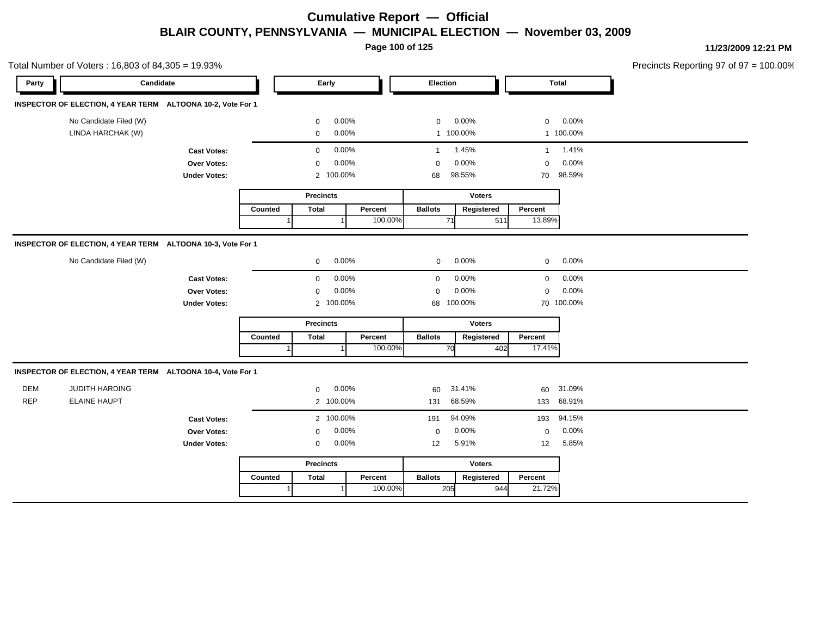**Page 100 of 125**

|            | Total Number of Voters: 16,803 of 84,305 = 19.93%           |                     |         |                  |           |         |                |               |     |              |            | Precincts Reporting 97 of 97 = 100.00% |
|------------|-------------------------------------------------------------|---------------------|---------|------------------|-----------|---------|----------------|---------------|-----|--------------|------------|----------------------------------------|
| Party      | Candidate                                                   |                     |         |                  | Early     |         | Election       |               |     | <b>Total</b> |            |                                        |
|            | INSPECTOR OF ELECTION, 4 YEAR TERM ALTOONA 10-2, Vote For 1 |                     |         |                  |           |         |                |               |     |              |            |                                        |
|            | No Candidate Filed (W)                                      |                     |         | $\mathbf 0$      | 0.00%     |         | $\mathbf 0$    | 0.00%         |     | $\mathbf 0$  | 0.00%      |                                        |
|            | LINDA HARCHAK (W)                                           |                     |         | $\mathbf 0$      | 0.00%     |         |                | 1 100.00%     |     |              | 1 100.00%  |                                        |
|            |                                                             | <b>Cast Votes:</b>  |         | $\mathbf 0$      | 0.00%     |         | $\overline{1}$ | 1.45%         |     | $\mathbf{1}$ | 1.41%      |                                        |
|            |                                                             | Over Votes:         |         | 0                | 0.00%     |         | $\overline{0}$ | 0.00%         |     | $\mathbf 0$  | 0.00%      |                                        |
|            |                                                             | <b>Under Votes:</b> |         |                  | 2 100.00% |         | 68             | 98.55%        |     | 70           | 98.59%     |                                        |
|            |                                                             |                     |         | <b>Precincts</b> |           |         |                | <b>Voters</b> |     |              |            |                                        |
|            |                                                             |                     | Counted | <b>Total</b>     |           | Percent | <b>Ballots</b> | Registered    |     | Percent      |            |                                        |
|            |                                                             |                     |         |                  |           | 100.00% |                | 71            | 511 | 13.89%       |            |                                        |
|            | INSPECTOR OF ELECTION, 4 YEAR TERM ALTOONA 10-3, Vote For 1 |                     |         |                  |           |         |                |               |     |              |            |                                        |
|            | No Candidate Filed (W)                                      |                     |         | $\mathbf 0$      | 0.00%     |         | $\mathbf 0$    | 0.00%         |     | $\mathbf{0}$ | 0.00%      |                                        |
|            |                                                             | <b>Cast Votes:</b>  |         | 0                | 0.00%     |         | $\mathbf 0$    | 0.00%         |     | $\mathbf 0$  | 0.00%      |                                        |
|            |                                                             | Over Votes:         |         | 0                | 0.00%     |         | $\mathbf 0$    | 0.00%         |     | $\mathbf 0$  | 0.00%      |                                        |
|            |                                                             | <b>Under Votes:</b> |         |                  | 2 100.00% |         |                | 68 100.00%    |     |              | 70 100.00% |                                        |
|            |                                                             |                     |         | <b>Precincts</b> |           |         |                | <b>Voters</b> |     |              |            |                                        |
|            |                                                             |                     | Counted | <b>Total</b>     |           | Percent | <b>Ballots</b> | Registered    |     | Percent      |            |                                        |
|            |                                                             |                     |         |                  |           | 100.00% |                | 70            | 402 | 17.41%       |            |                                        |
|            | INSPECTOR OF ELECTION, 4 YEAR TERM ALTOONA 10-4, Vote For 1 |                     |         |                  |           |         |                |               |     |              |            |                                        |
| <b>DEM</b> | JUDITH HARDING                                              |                     |         | $\mathbf 0$      | 0.00%     |         | 60             | 31.41%        |     | 60           | 31.09%     |                                        |
| <b>REP</b> | <b>ELAINE HAUPT</b>                                         |                     |         |                  | 2 100.00% |         | 131            | 68.59%        |     |              | 133 68.91% |                                        |
|            |                                                             | <b>Cast Votes:</b>  |         |                  | 2 100.00% |         | 191            | 94.09%        |     | 193          | 94.15%     |                                        |
|            |                                                             | Over Votes:         |         | 0                | 0.00%     |         | 0              | 0.00%         |     | $\mathbf 0$  | 0.00%      |                                        |
|            |                                                             | <b>Under Votes:</b> |         | $\mathbf 0$      | 0.00%     |         | 12             | 5.91%         |     | 12           | 5.85%      |                                        |
|            |                                                             |                     |         | <b>Precincts</b> |           |         |                | <b>Voters</b> |     |              |            |                                        |
|            |                                                             |                     | Counted | <b>Total</b>     |           | Percent | <b>Ballots</b> | Registered    |     | Percent      |            |                                        |
|            |                                                             |                     |         |                  |           | 100.00% |                |               |     |              |            |                                        |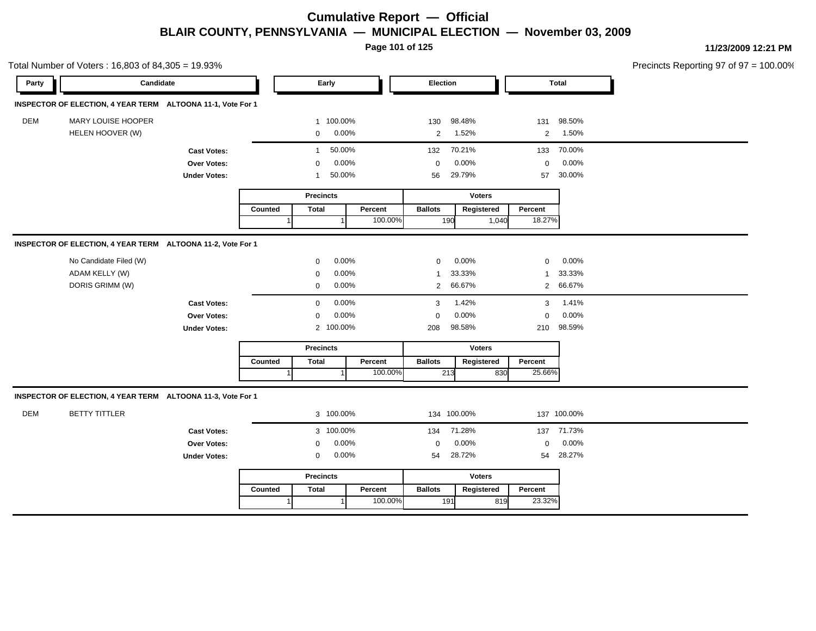**Page 101 of 125**

Total Number of Voters : 16,803 of 84,305 = 19.93% Precincts Reporting 97 of 97 = 100.00% **Party Candidate Early Election Total INSPECTOR OF ELECTION, 4 YEAR TERM ALTOONA 11-1, Vote For 1** DEM MARY LOUISE HOOPER 1 100.00% 130 98.48% 131 98.50% HELEN HOOVER (W) 0 0.00% 2 1.52% 2 1.50% **Cast Votes:** 1 50.00% 132 70.21% 133 70.00% **Over Votes:** 0 0.00% Under Votes: 1 50.00% 0.00% 0 50.00% 56 57 0.00% 0 0.00% 29.79% 30.00% **Precincts Counted** 1 **Percent** Ballots 1 100.00% **Voters** 190 1,040 **Ballots Registered Percent** 18.27% **INSPECTOR OF ELECTION, 4 YEAR TERM ALTOONA 11-2, Vote For 1** No Candidate Filed (W) 0 0.00% 0 0.00% 0 0.00% ADAM KELLY (W) 0 0.00% 1 33.33% 1 33.33% DORIS GRIMM (W) 0 0.00% 2 66.67% 2 66.67% **Cast Votes:** 0 0.00% 3 1.42% 3 1.41% **Over Votes:** 0 0.00% **Under Votes:** 0.00% 0 100.00% 98.58% 210 0.00% 0 0.00% 98.58% 98.59% **Precincts Counted** 1 **Percent Ballots**  1 100.00% **Voters** 213 **Ballots Registered Percent** 25.66% **INSPECTOR OF ELECTION, 4 YEAR TERM ALTOONA 11-3, Vote For 1** DEM BETTY TITTLER 3 100.00% 134 100.00% 137 100.00% **Cast Votes:** 3 100.00% 134 71.28% 137 71.73% **Over Votes:** 0 0.00% **Under Votes:** 0 0.00% 0 54 28.72% 54 54 28.72% 28.27% 0.00% 0 0.00% **Precincts Counted** 1 **Percent Ballots**  1 100.00% **Voters** 191 819 **Ballots Registered Percent** 23.32%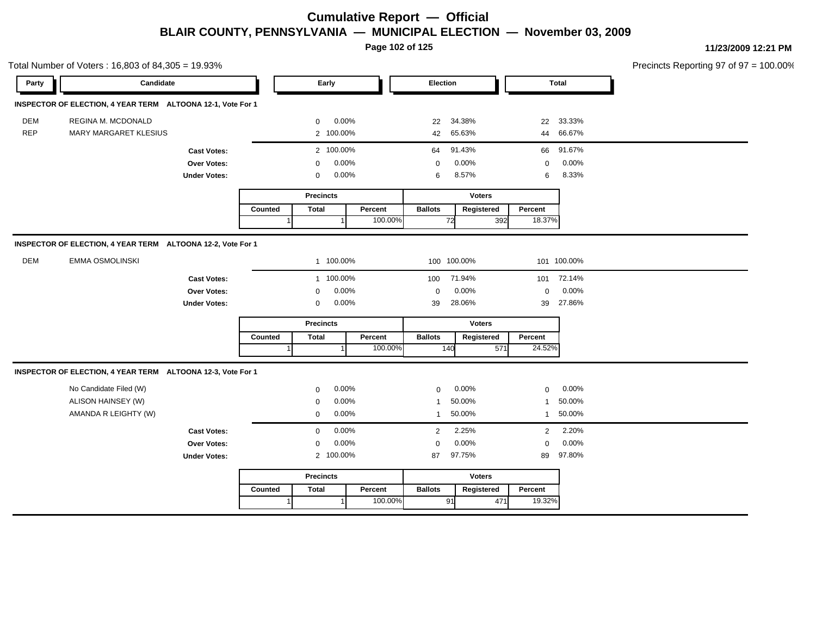**Page 102 of 125**

|            | Total Number of Voters: 16,803 of 84,305 = 19.93%           |                     |         |                  |           |         |                |             |               |              |              | Precincts Reporting 97 of 97 = 100.00% |
|------------|-------------------------------------------------------------|---------------------|---------|------------------|-----------|---------|----------------|-------------|---------------|--------------|--------------|----------------------------------------|
| Party      | Candidate                                                   |                     |         | Early            |           |         | Election       |             |               |              | <b>Total</b> |                                        |
|            | INSPECTOR OF ELECTION, 4 YEAR TERM ALTOONA 12-1, Vote For 1 |                     |         |                  |           |         |                |             |               |              |              |                                        |
| <b>DEM</b> | REGINA M. MCDONALD                                          |                     |         | 0                | 0.00%     |         | 22             | 34.38%      |               | 22           | 33.33%       |                                        |
| <b>REP</b> | MARY MARGARET KLESIUS                                       |                     |         |                  | 2 100.00% |         |                | 42 65.63%   |               | 44           | 66.67%       |                                        |
|            |                                                             | <b>Cast Votes:</b>  |         |                  | 2 100.00% |         | 64             | 91.43%      |               |              | 66 91.67%    |                                        |
|            |                                                             | Over Votes:         |         | $\mathbf 0$      | 0.00%     |         | $\mathbf 0$    | 0.00%       |               | $\mathbf 0$  | 0.00%        |                                        |
|            |                                                             | <b>Under Votes:</b> |         | 0                | 0.00%     |         | 6              | 8.57%       |               | 6            | 8.33%        |                                        |
|            |                                                             |                     |         | <b>Precincts</b> |           |         |                |             | <b>Voters</b> |              |              |                                        |
|            |                                                             |                     | Counted | <b>Total</b>     |           | Percent | <b>Ballots</b> |             | Registered    | Percent      |              |                                        |
|            |                                                             |                     |         |                  |           | 100.00% |                | 72          | 392           | 18.37%       |              |                                        |
|            | INSPECTOR OF ELECTION, 4 YEAR TERM ALTOONA 12-2, Vote For 1 |                     |         |                  |           |         |                |             |               |              |              |                                        |
| <b>DEM</b> | <b>EMMA OSMOLINSKI</b>                                      |                     |         |                  | 1 100.00% |         |                | 100 100.00% |               |              | 101 100.00%  |                                        |
|            |                                                             | <b>Cast Votes:</b>  |         |                  | 1 100.00% |         | 100            | 71.94%      |               | 101          | 72.14%       |                                        |
|            |                                                             | Over Votes:         |         | $\mathbf 0$      | 0.00%     |         | $\mathbf 0$    | 0.00%       |               | $\mathbf 0$  | 0.00%        |                                        |
|            |                                                             | <b>Under Votes:</b> |         | 0                | 0.00%     |         | 39             | 28.06%      |               | 39           | 27.86%       |                                        |
|            |                                                             |                     |         | <b>Precincts</b> |           |         |                |             | <b>Voters</b> |              |              |                                        |
|            |                                                             |                     |         | <b>Total</b>     |           | Percent | <b>Ballots</b> |             | Registered    | Percent      |              |                                        |
|            |                                                             |                     |         |                  |           | 100.00% | 140            |             | 571           | 24.52%       |              |                                        |
|            | INSPECTOR OF ELECTION, 4 YEAR TERM ALTOONA 12-3, Vote For 1 |                     |         |                  |           |         |                |             |               |              |              |                                        |
|            | No Candidate Filed (W)                                      |                     |         | $\mathbf 0$      | 0.00%     |         | $\mathbf 0$    | 0.00%       |               | 0            | 0.00%        |                                        |
|            | ALISON HAINSEY (W)                                          |                     |         | $\mathbf 0$      | 0.00%     |         | -1             | 50.00%      |               | $\mathbf{1}$ | 50.00%       |                                        |
|            | AMANDA R LEIGHTY (W)                                        |                     |         | 0                | 0.00%     |         | $\overline{1}$ | 50.00%      |               | $\mathbf{1}$ | 50.00%       |                                        |
|            |                                                             | <b>Cast Votes:</b>  |         | $\mathbf 0$      | 0.00%     |         | 2              | 2.25%       |               | 2            | 2.20%        |                                        |
|            |                                                             | Over Votes:         |         | 0                | 0.00%     |         | $\mathbf 0$    | 0.00%       |               | 0            | 0.00%        |                                        |
|            |                                                             | <b>Under Votes:</b> |         |                  | 2 100.00% |         | 87             | 97.75%      |               | 89           | 97.80%       |                                        |
|            |                                                             |                     |         | <b>Precincts</b> |           |         | <b>Voters</b>  |             |               |              |              |                                        |
|            |                                                             |                     | Counted | <b>Total</b>     |           | Percent | <b>Ballots</b> |             | Registered    | Percent      |              |                                        |
|            |                                                             |                     | 1       |                  | $\vert$ 1 | 100.00% |                | 91          | 471           | 19.32%       |              |                                        |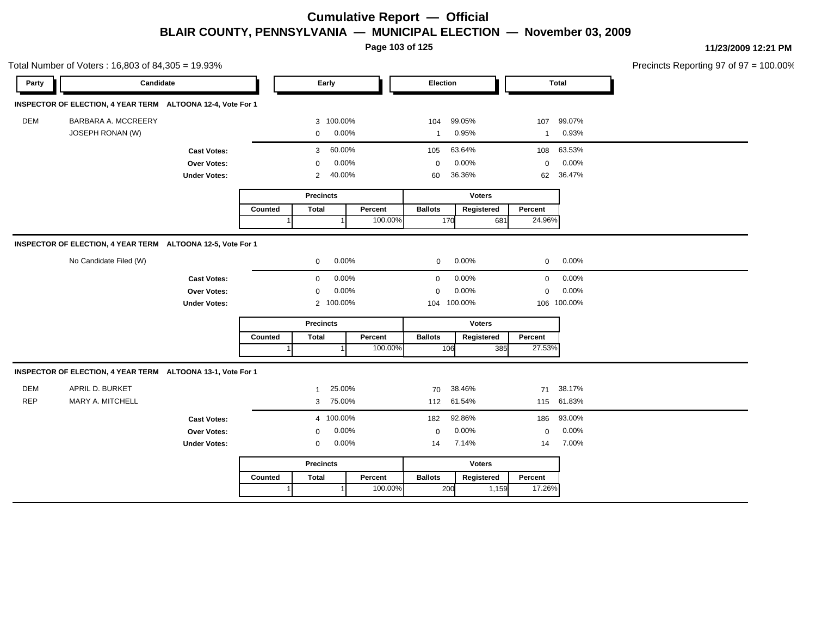**Page 103 of 125**

|            | Total Number of Voters: 16,803 of 84,305 = 19.93%           |                     |         |                  |           |         |                |             |               |             |              | Precincts Reporting 97 of 97 = 100.00% |
|------------|-------------------------------------------------------------|---------------------|---------|------------------|-----------|---------|----------------|-------------|---------------|-------------|--------------|----------------------------------------|
| Party      | Candidate                                                   |                     |         | Early            |           |         | Election       |             |               |             | <b>Total</b> |                                        |
|            | INSPECTOR OF ELECTION, 4 YEAR TERM ALTOONA 12-4, Vote For 1 |                     |         |                  |           |         |                |             |               |             |              |                                        |
| DEM        | BARBARA A. MCCREERY                                         |                     |         |                  | 3 100.00% |         | 104            | 99.05%      |               | 107         | 99.07%       |                                        |
|            | JOSEPH RONAN (W)                                            |                     |         | 0                | 0.00%     |         | $\overline{1}$ | 0.95%       |               | 1           | 0.93%        |                                        |
|            |                                                             | <b>Cast Votes:</b>  |         | 3                | 60.00%    |         | 105            | 63.64%      |               | 108         | 63.53%       |                                        |
|            |                                                             | Over Votes:         |         | $\mathbf 0$      | 0.00%     |         | $\mathbf 0$    | 0.00%       |               | $\mathbf 0$ | 0.00%        |                                        |
|            |                                                             | <b>Under Votes:</b> |         | 2                | 40.00%    |         | 60             | 36.36%      |               | 62          | 36.47%       |                                        |
|            |                                                             |                     |         | <b>Precincts</b> |           |         |                |             | <b>Voters</b> |             |              |                                        |
|            |                                                             |                     | Counted | <b>Total</b>     |           | Percent | <b>Ballots</b> |             | Registered    | Percent     |              |                                        |
|            |                                                             |                     |         |                  |           | 100.00% |                | 170         | 681           | 24.96%      |              |                                        |
|            | INSPECTOR OF ELECTION, 4 YEAR TERM ALTOONA 12-5, Vote For 1 |                     |         |                  |           |         |                |             |               |             |              |                                        |
|            | No Candidate Filed (W)                                      |                     |         | 0                | 0.00%     |         | $\mathbf 0$    | $0.00\%$    |               | 0           | 0.00%        |                                        |
|            |                                                             | <b>Cast Votes:</b>  |         | 0                | 0.00%     |         | $\mathbf 0$    | 0.00%       |               | $\mathbf 0$ | 0.00%        |                                        |
|            |                                                             | Over Votes:         |         | $\mathbf 0$      | 0.00%     |         | $\mathbf 0$    | 0.00%       |               | $\mathbf 0$ | 0.00%        |                                        |
|            |                                                             | <b>Under Votes:</b> |         |                  | 2 100.00% |         |                | 104 100.00% |               |             | 106 100.00%  |                                        |
|            |                                                             |                     |         | <b>Precincts</b> |           |         |                |             | Voters        |             |              |                                        |
|            |                                                             |                     | Counted | <b>Total</b>     |           | Percent | <b>Ballots</b> |             | Registered    | Percent     |              |                                        |
|            |                                                             |                     |         |                  |           | 100.00% |                | 106         | 385           | 27.53%      |              |                                        |
|            | INSPECTOR OF ELECTION, 4 YEAR TERM ALTOONA 13-1, Vote For 1 |                     |         |                  |           |         |                |             |               |             |              |                                        |
| <b>DEM</b> | APRIL D. BURKET                                             |                     |         | -1               | 25.00%    |         | 70             | 38.46%      |               | 71          | 38.17%       |                                        |
| <b>REP</b> | MARY A. MITCHELL                                            |                     |         | 3                | 75.00%    |         |                | 112 61.54%  |               |             | 115 61.83%   |                                        |
|            |                                                             | <b>Cast Votes:</b>  |         |                  | 4 100.00% |         | 182            | 92.86%      |               | 186         | 93.00%       |                                        |
|            |                                                             | Over Votes:         |         | $\Omega$         | 0.00%     |         | $\mathbf 0$    | 0.00%       |               | $\mathbf 0$ | 0.00%        |                                        |
|            |                                                             | <b>Under Votes:</b> |         | 0                | 0.00%     |         | 14             | 7.14%       |               | 14          | 7.00%        |                                        |
|            |                                                             |                     |         | <b>Precincts</b> |           |         |                |             | <b>Voters</b> |             |              |                                        |
|            |                                                             |                     | Counted | <b>Total</b>     |           | Percent | <b>Ballots</b> |             | Registered    | Percent     |              |                                        |
|            |                                                             |                     |         |                  |           | 100.00% |                | 200         | 1,159         | 17.26%      |              |                                        |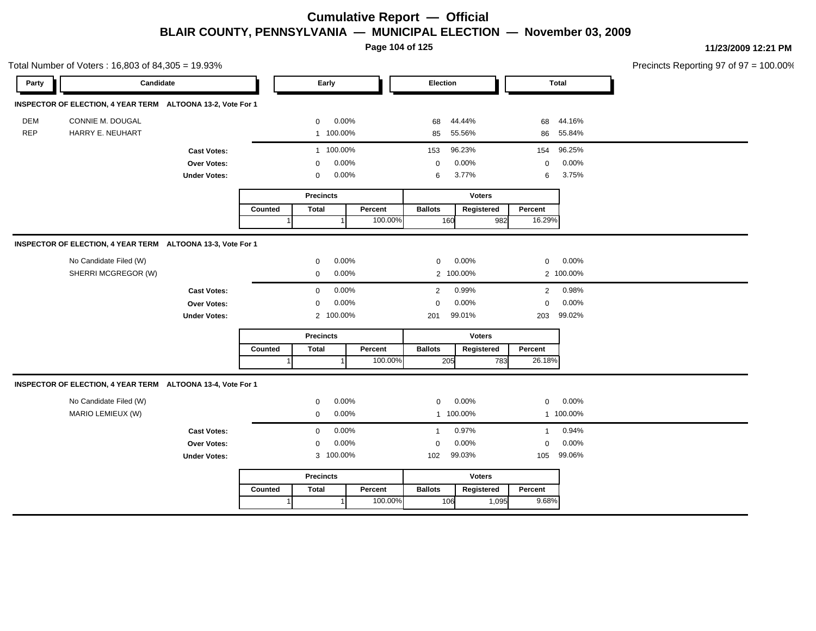**Page 104 of 125**

|            | Total Number of Voters: 16,803 of 84,305 = 19.93%           |                     |         |                  |           |         |                |               |              |              | Precincts Reporting 97 of 97 = 100.00% |
|------------|-------------------------------------------------------------|---------------------|---------|------------------|-----------|---------|----------------|---------------|--------------|--------------|----------------------------------------|
| Party      | Candidate                                                   |                     |         |                  | Early     |         | Election       |               |              | <b>Total</b> |                                        |
|            | INSPECTOR OF ELECTION, 4 YEAR TERM ALTOONA 13-2, Vote For 1 |                     |         |                  |           |         |                |               |              |              |                                        |
| <b>DEM</b> | CONNIE M. DOUGAL                                            |                     |         | $\mathbf 0$      | 0.00%     |         | 68             | 44.44%        | 68           | 44.16%       |                                        |
| <b>REP</b> | HARRY E. NEUHART                                            |                     |         |                  | 1 100.00% |         | 85             | 55.56%        |              | 86 55.84%    |                                        |
|            |                                                             | <b>Cast Votes:</b>  |         |                  | 1 100.00% |         | 153            | 96.23%        | 154          | 96.25%       |                                        |
|            |                                                             | Over Votes:         |         | 0                | 0.00%     |         | $\mathbf 0$    | 0.00%         | $\mathsf 0$  | 0.00%        |                                        |
|            |                                                             | <b>Under Votes:</b> |         | 0                | 0.00%     |         | 6              | 3.77%         | 6            | 3.75%        |                                        |
|            |                                                             |                     |         | <b>Precincts</b> |           |         |                | <b>Voters</b> |              |              |                                        |
|            |                                                             |                     | Counted | <b>Total</b>     |           | Percent | <b>Ballots</b> | Registered    | Percent      |              |                                        |
|            |                                                             |                     |         |                  |           | 100.00% | 160            | 982           | 16.29%       |              |                                        |
|            | INSPECTOR OF ELECTION, 4 YEAR TERM ALTOONA 13-3, Vote For 1 |                     |         |                  |           |         |                |               |              |              |                                        |
|            | No Candidate Filed (W)                                      |                     |         | 0                | 0.00%     |         | 0              | 0.00%         | 0            | 0.00%        |                                        |
|            | SHERRI MCGREGOR (W)                                         |                     |         | 0                | 0.00%     |         |                | 2 100.00%     |              | 2 100.00%    |                                        |
|            |                                                             | <b>Cast Votes:</b>  |         | $\mathbf 0$      | 0.00%     |         | $\overline{2}$ | 0.99%         | 2            | 0.98%        |                                        |
|            |                                                             | Over Votes:         |         | $\mathbf 0$      | 0.00%     |         | $\mathbf 0$    | 0.00%         | $\mathsf 0$  | 0.00%        |                                        |
|            |                                                             | <b>Under Votes:</b> |         |                  | 2 100.00% |         | 201            | 99.01%        | 203          | 99.02%       |                                        |
|            |                                                             |                     |         | <b>Precincts</b> |           |         |                | Voters        |              |              |                                        |
|            |                                                             |                     | Counted | <b>Total</b>     |           | Percent | <b>Ballots</b> | Registered    | Percent      |              |                                        |
|            |                                                             |                     |         |                  |           | 100.00% | 205            | 783           | 26.18%       |              |                                        |
|            | INSPECTOR OF ELECTION, 4 YEAR TERM ALTOONA 13-4, Vote For 1 |                     |         |                  |           |         |                |               |              |              |                                        |
|            | No Candidate Filed (W)                                      |                     |         | $\mathbf 0$      | 0.00%     |         | $\mathbf 0$    | 0.00%         | 0            | 0.00%        |                                        |
|            | MARIO LEMIEUX (W)                                           |                     |         | 0                | 0.00%     |         |                | 1 100.00%     |              | 1 100.00%    |                                        |
|            |                                                             | <b>Cast Votes:</b>  |         | $\mathbf 0$      | 0.00%     |         | $\overline{1}$ | 0.97%         | $\mathbf{1}$ | 0.94%        |                                        |
|            |                                                             | Over Votes:         |         | 0                | 0.00%     |         | 0              | 0.00%         | 0            | 0.00%        |                                        |
|            |                                                             | <b>Under Votes:</b> |         |                  | 3 100.00% |         | 102            | 99.03%        | 105          | 99.06%       |                                        |
|            |                                                             |                     |         | <b>Precincts</b> |           |         |                | <b>Voters</b> |              |              |                                        |
|            |                                                             |                     | Counted | <b>Total</b>     |           | Percent | <b>Ballots</b> | Registered    | Percent      |              |                                        |
|            |                                                             |                     | 1       |                  | $\vert$ 1 | 100.00% | 106            | 1,095         | 9.68%        |              |                                        |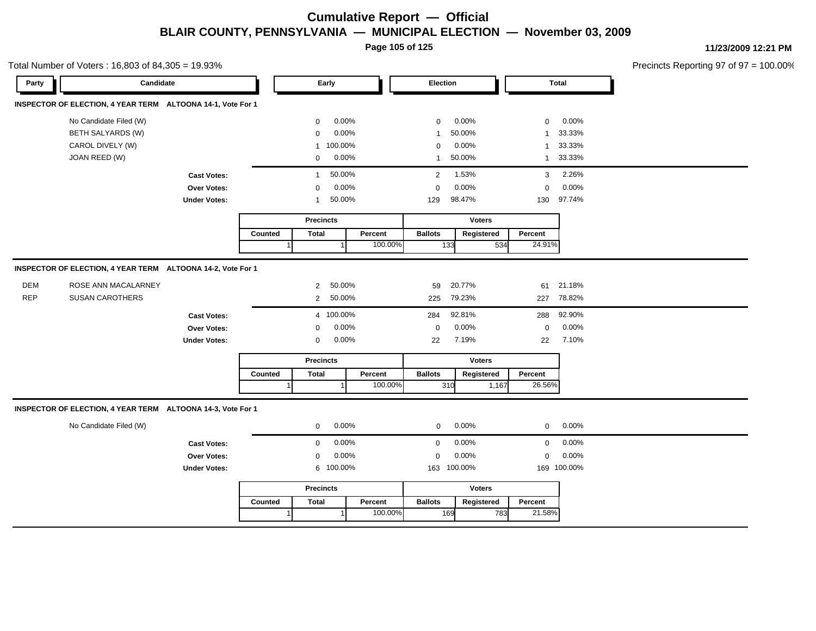**Page 105 of 125**

**11/23/2009 12:21 PM**

Precincts Reporting 97 of 97 = 100.00%

|            | Total Number of Voters: 16,803 of 84,305 = 19.93%           |                     |         |                  |           |         |                  |               |                |              | Precincts Reporting 97 of 97 |
|------------|-------------------------------------------------------------|---------------------|---------|------------------|-----------|---------|------------------|---------------|----------------|--------------|------------------------------|
| Party      | Candidate                                                   |                     |         |                  | Early     |         | Election         |               |                | <b>Total</b> |                              |
|            | INSPECTOR OF ELECTION, 4 YEAR TERM ALTOONA 14-1, Vote For 1 |                     |         |                  |           |         |                  |               |                |              |                              |
|            | No Candidate Filed (W)                                      |                     |         | 0                | 0.00%     |         | 0                | 0.00%         | $\mathbf 0$    | 0.00%        |                              |
|            | BETH SALYARDS (W)                                           |                     |         | $\mathbf 0$      | 0.00%     |         | $\mathbf{1}$     | 50.00%        | 1              | 33.33%       |                              |
|            | CAROL DIVELY (W)                                            |                     |         | $\mathbf{1}$     | 100.00%   |         | $\mathbf 0$      | 0.00%         | $\overline{1}$ | 33.33%       |                              |
|            | JOAN REED (W)                                               |                     |         | $\mathbf 0$      | 0.00%     |         | $\mathbf{1}$     | 50.00%        | $\mathbf{1}$   | 33.33%       |                              |
|            |                                                             | <b>Cast Votes:</b>  |         | $\mathbf{1}$     | 50.00%    |         | $\overline{2}$   | 1.53%         | 3              | 2.26%        |                              |
|            |                                                             | Over Votes:         |         | 0                | 0.00%     |         | $\mathbf 0$      | 0.00%         | 0              | 0.00%        |                              |
|            |                                                             | <b>Under Votes:</b> |         | -1               | 50.00%    |         | 129              | 98.47%        | 130            | 97.74%       |                              |
|            |                                                             |                     |         | <b>Precincts</b> |           |         |                  | <b>Voters</b> |                |              |                              |
|            |                                                             |                     | Counted | <b>Total</b>     |           | Percent | <b>Ballots</b>   | Registered    | Percent        |              |                              |
|            |                                                             |                     |         |                  |           | 100.00% |                  | 133<br>534    | 24.91%         |              |                              |
|            | INSPECTOR OF ELECTION, 4 YEAR TERM ALTOONA 14-2, Vote For 1 |                     |         |                  |           |         |                  |               |                |              |                              |
| DEM        | ROSE ANN MACALARNEY                                         |                     |         | $\overline{2}$   | 50.00%    |         | 59               | 20.77%        | 61             | 21.18%       |                              |
| <b>REP</b> | <b>SUSAN CAROTHERS</b>                                      |                     |         | $\overline{2}$   | 50.00%    |         | 225              | 79.23%        | 227            | 78.82%       |                              |
|            |                                                             | <b>Cast Votes:</b>  |         |                  | 4 100.00% |         | 284              | 92.81%        | 288            | 92.90%       |                              |
|            |                                                             | Over Votes:         |         | 0                | 0.00%     |         | $\boldsymbol{0}$ | 0.00%         | $\pmb{0}$      | 0.00%        |                              |
|            |                                                             | <b>Under Votes:</b> |         | 0                | 0.00%     |         | 22               | 7.19%         | 22             | 7.10%        |                              |
|            |                                                             |                     |         | <b>Precincts</b> |           |         |                  | <b>Voters</b> |                |              |                              |
|            |                                                             |                     | Counted | <b>Total</b>     |           | Percent | <b>Ballots</b>   | Registered    | Percent        |              |                              |
|            |                                                             |                     |         |                  |           | 100.00% |                  | 310<br>1,167  | 26.56%         |              |                              |
|            | INSPECTOR OF ELECTION, 4 YEAR TERM ALTOONA 14-3, Vote For 1 |                     |         |                  |           |         |                  |               |                |              |                              |
|            | No Candidate Filed (W)                                      |                     |         | $\mathbf 0$      | 0.00%     |         | $\mathbf 0$      | 0.00%         | $\mathbf 0$    | 0.00%        |                              |
|            |                                                             | <b>Cast Votes:</b>  |         | $\mathbf{0}$     | 0.00%     |         | $\mathbf 0$      | 0.00%         | $\mathbf 0$    | 0.00%        |                              |
|            |                                                             | Over Votes:         |         | $\mathbf 0$      | 0.00%     |         | $\mathbf 0$      | 0.00%         | $\mathbf 0$    | 0.00%        |                              |
|            |                                                             | <b>Under Votes:</b> |         |                  | 6 100.00% |         |                  | 163 100.00%   |                | 169 100.00%  |                              |
|            |                                                             |                     |         | <b>Precincts</b> |           |         |                  | <b>Voters</b> |                |              |                              |
|            |                                                             |                     | Counted | <b>Total</b>     |           | Percent | <b>Ballots</b>   | Registered    | Percent        |              |                              |
|            |                                                             |                     |         |                  |           | 100.00% |                  | 169<br>783    | 21.58%         |              |                              |
|            |                                                             |                     |         |                  |           |         |                  |               |                |              |                              |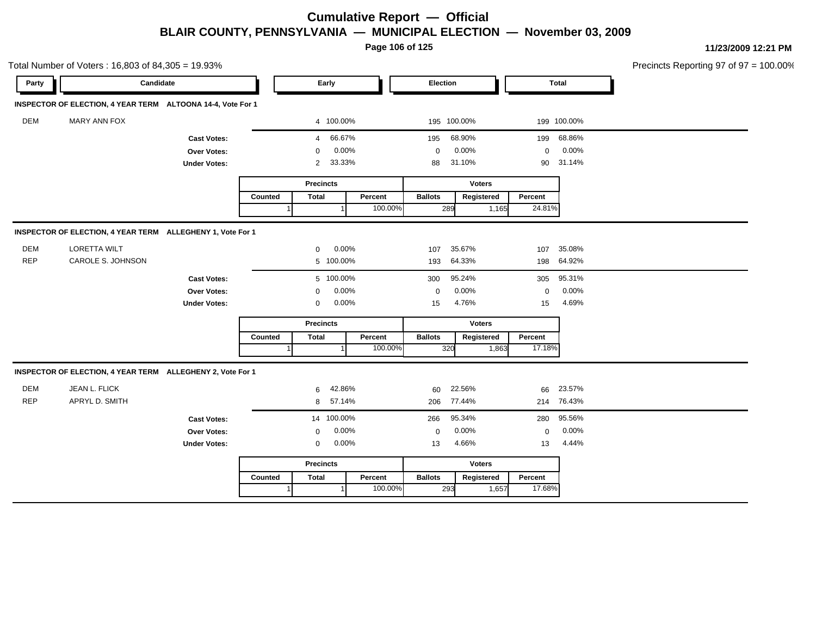**Page 106 of 125**

|            | Total Number of Voters: 16,803 of 84,305 = 19.93%           |                     |                  |                  |        |               |                |               |            |             |              | Precincts Reporting 97 of 97 = 100.00% |
|------------|-------------------------------------------------------------|---------------------|------------------|------------------|--------|---------------|----------------|---------------|------------|-------------|--------------|----------------------------------------|
| Party      | Candidate                                                   |                     |                  | Early            |        |               | Election       |               |            |             | <b>Total</b> |                                        |
|            | INSPECTOR OF ELECTION, 4 YEAR TERM ALTOONA 14-4, Vote For 1 |                     |                  |                  |        |               |                |               |            |             |              |                                        |
| DEM        | MARY ANN FOX                                                |                     |                  | 4 100.00%        |        |               |                | 195 100.00%   |            |             | 199 100.00%  |                                        |
|            |                                                             | <b>Cast Votes:</b>  |                  | $\overline{4}$   | 66.67% |               | 195            | 68.90%        |            | 199         | 68.86%       |                                        |
|            |                                                             | Over Votes:         |                  | $\mathbf 0$      | 0.00%  |               | $\mathbf 0$    | 0.00%         |            | $\mathbf 0$ | 0.00%        |                                        |
|            |                                                             | <b>Under Votes:</b> |                  | $\overline{2}$   | 33.33% |               | 88             | 31.10%        |            | 90          | 31.14%       |                                        |
|            |                                                             |                     |                  | <b>Precincts</b> |        |               |                | <b>Voters</b> |            |             |              |                                        |
|            |                                                             |                     | Counted          | <b>Total</b>     |        | Percent       | <b>Ballots</b> |               | Registered | Percent     |              |                                        |
|            |                                                             |                     |                  |                  |        | 100.00%       | 289            |               | 1,165      | 24.81%      |              |                                        |
|            | INSPECTOR OF ELECTION, 4 YEAR TERM ALLEGHENY 1, Vote For 1  |                     |                  |                  |        |               |                |               |            |             |              |                                        |
| DEM        | LORETTA WILT                                                |                     |                  | 0                | 0.00%  |               | 107            | 35.67%        |            | 107         | 35.08%       |                                        |
| <b>REP</b> | CAROLE S. JOHNSON                                           |                     |                  | 5 100.00%        |        |               | 193            | 64.33%        |            |             | 198 64.92%   |                                        |
|            |                                                             | <b>Cast Votes:</b>  |                  | 5 100.00%        |        |               | 300            | 95.24%        |            | 305         | 95.31%       |                                        |
|            |                                                             | Over Votes:         |                  | 0                | 0.00%  |               | 0              | 0.00%         |            | $\mathbf 0$ | 0.00%        |                                        |
|            |                                                             | <b>Under Votes:</b> |                  | $\mathbf 0$      | 0.00%  |               | 15             | 4.76%         |            | 15          | 4.69%        |                                        |
|            |                                                             |                     | <b>Precincts</b> |                  |        | <b>Voters</b> |                |               |            |             |              |                                        |
|            |                                                             |                     | Counted          | <b>Total</b>     |        | Percent       | <b>Ballots</b> |               | Registered | Percent     |              |                                        |
|            |                                                             |                     |                  |                  |        | 100.00%       | 320            |               | 1,863      | 17.18%      |              |                                        |
|            | INSPECTOR OF ELECTION, 4 YEAR TERM ALLEGHENY 2, Vote For 1  |                     |                  |                  |        |               |                |               |            |             |              |                                        |
| <b>DEM</b> | JEAN L. FLICK                                               |                     |                  | 6                | 42.86% |               | 60             | 22.56%        |            | 66          | 23.57%       |                                        |
| <b>REP</b> | APRYL D. SMITH                                              |                     |                  | 8                | 57.14% |               | 206            | 77.44%        |            |             | 214 76.43%   |                                        |
|            |                                                             | <b>Cast Votes:</b>  |                  | 14 100.00%       |        |               | 266            | 95.34%        |            | 280         | 95.56%       |                                        |
|            |                                                             | Over Votes:         |                  | $\mathbf 0$      | 0.00%  |               | $\mathbf 0$    | 0.00%         |            | $\mathbf 0$ | 0.00%        |                                        |
|            |                                                             | <b>Under Votes:</b> |                  | 0                | 0.00%  |               | 13             | 4.66%         |            | 13          | 4.44%        |                                        |
|            |                                                             |                     |                  |                  |        | Voters        |                |               |            |             |              |                                        |
|            |                                                             |                     | Counted          | <b>Total</b>     |        | Percent       | <b>Ballots</b> |               | Registered | Percent     |              |                                        |
|            |                                                             |                     |                  |                  |        | 100.00%       | 293            |               | 1,657      | 17.68%      |              |                                        |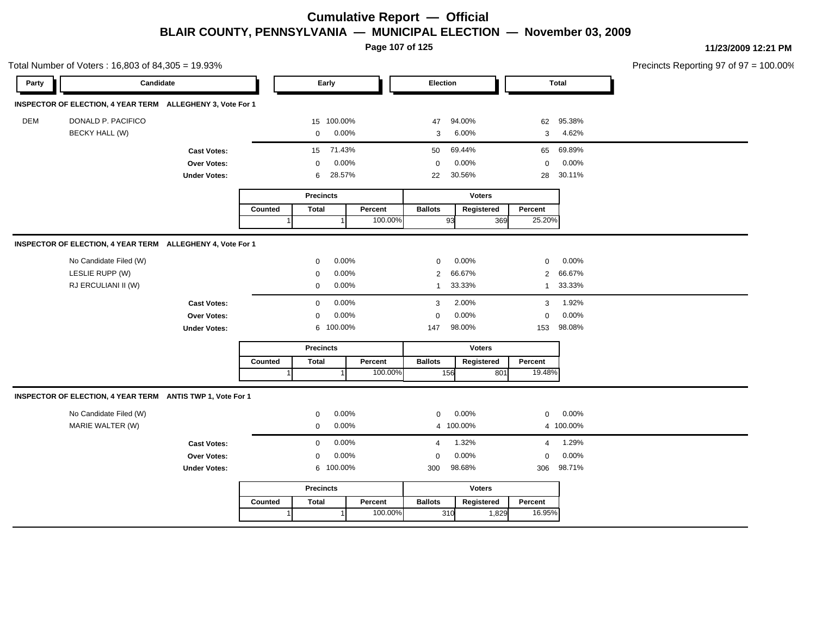**Page 107 of 125**

|            | Total Number of Voters: 16,803 of 84,305 = 19.93%          |                     |         |                  |            |         |                |               |                 |              | Precincts Reporting 97 of 97 = 100.00% |
|------------|------------------------------------------------------------|---------------------|---------|------------------|------------|---------|----------------|---------------|-----------------|--------------|----------------------------------------|
| Party      | Candidate                                                  |                     |         |                  | Early      |         | Election       |               |                 | <b>Total</b> |                                        |
|            | INSPECTOR OF ELECTION, 4 YEAR TERM ALLEGHENY 3, Vote For 1 |                     |         |                  |            |         |                |               |                 |              |                                        |
| <b>DEM</b> | DONALD P. PACIFICO                                         |                     |         |                  | 15 100.00% |         | 47             | 94.00%        | 62              | 95.38%       |                                        |
|            | <b>BECKY HALL (W)</b>                                      |                     |         | $\mathbf 0$      | 0.00%      |         | 3              | 6.00%         | 3               | 4.62%        |                                        |
|            |                                                            | <b>Cast Votes:</b>  |         | 15               | 71.43%     |         | 50             | 69.44%        | 65              | 69.89%       |                                        |
|            |                                                            | Over Votes:         |         | $\mathbf{0}$     | 0.00%      |         | $\mathbf 0$    | 0.00%         | $\mathbf 0$     | 0.00%        |                                        |
|            |                                                            | <b>Under Votes:</b> |         | 6                | 28.57%     |         | 22             | 30.56%        | 28              | 30.11%       |                                        |
|            |                                                            |                     |         | <b>Precincts</b> |            |         |                | <b>Voters</b> |                 |              |                                        |
|            |                                                            |                     | Counted | <b>Total</b>     |            | Percent | <b>Ballots</b> | Registered    | Percent         |              |                                        |
|            |                                                            |                     |         |                  |            | 100.00% |                | 93            | 25.20%<br>369   |              |                                        |
|            | INSPECTOR OF ELECTION, 4 YEAR TERM ALLEGHENY 4, Vote For 1 |                     |         |                  |            |         |                |               |                 |              |                                        |
|            | No Candidate Filed (W)                                     |                     |         | $\mathbf{0}$     | 0.00%      |         | $\mathbf 0$    | 0.00%         | $\mathbf 0$     | 0.00%        |                                        |
|            | LESLIE RUPP (W)                                            |                     |         | $\mathbf 0$      | 0.00%      |         | 2              | 66.67%        | 2               | 66.67%       |                                        |
|            | RJ ERCULIANI II (W)                                        |                     |         | $\mathbf{0}$     | 0.00%      |         | $\mathbf{1}$   | 33.33%        | $\mathbf{1}$    | 33.33%       |                                        |
|            |                                                            | <b>Cast Votes:</b>  |         | $\mathbf{0}$     | 0.00%      |         | 3              | 2.00%         | 3               | 1.92%        |                                        |
|            |                                                            | Over Votes:         |         | $\mathbf{0}$     | 0.00%      |         | $\Omega$       | 0.00%         | $\mathbf 0$     | 0.00%        |                                        |
|            |                                                            | <b>Under Votes:</b> |         |                  | 6 100.00%  |         | 147            | 98.00%        | 153             | 98.08%       |                                        |
|            |                                                            |                     |         | <b>Precincts</b> |            |         |                | Voters        |                 |              |                                        |
|            |                                                            |                     | Counted | <b>Total</b>     |            | Percent | <b>Ballots</b> | Registered    | Percent         |              |                                        |
|            |                                                            |                     |         |                  |            | 100.00% |                | 156           | 19.48%<br>801   |              |                                        |
|            | INSPECTOR OF ELECTION, 4 YEAR TERM ANTIS TWP 1, Vote For 1 |                     |         |                  |            |         |                |               |                 |              |                                        |
|            | No Candidate Filed (W)                                     |                     |         | $\mathbf 0$      | 0.00%      |         | $\mathbf 0$    | 0.00%         | $\mathbf 0$     | 0.00%        |                                        |
|            | MARIE WALTER (W)                                           |                     |         | $\mathbf 0$      | 0.00%      |         |                | 4 100.00%     |                 | 4 100.00%    |                                        |
|            |                                                            | <b>Cast Votes:</b>  |         | $\mathbf 0$      | 0.00%      |         | $\overline{4}$ | 1.32%         | 4               | 1.29%        |                                        |
|            |                                                            | Over Votes:         |         | $\mathbf{0}$     | 0.00%      |         | 0              | 0.00%         | $\mathbf 0$     | 0.00%        |                                        |
|            |                                                            | <b>Under Votes:</b> |         |                  | 6 100.00%  |         | 300            | 98.68%        | 306             | 98.71%       |                                        |
|            |                                                            |                     |         | <b>Precincts</b> |            |         |                | Voters        |                 |              |                                        |
|            |                                                            |                     | Counted | <b>Total</b>     |            | Percent | <b>Ballots</b> | Registered    | Percent         |              |                                        |
|            |                                                            |                     | 1       |                  |            | 100.00% |                | 310           | 16.95%<br>1,829 |              |                                        |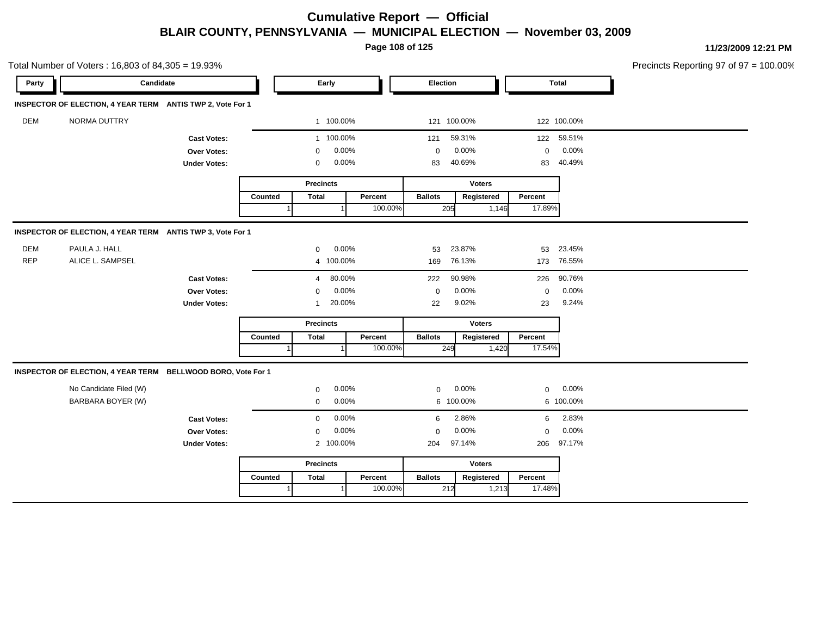**Page 108 of 125**

| Candidate<br><b>Total</b><br>Early<br>Election<br>Party<br>INSPECTOR OF ELECTION, 4 YEAR TERM ANTIS TWP 2, Vote For 1<br><b>DEM</b><br>NORMA DUTTRY<br>1 100.00%<br>121 100.00%<br>122 100.00%<br>1 100.00%<br>59.31%<br>59.51%<br>122<br>121<br><b>Cast Votes:</b><br>0.00%<br>0.00%<br>0.00%<br>$\mathbf 0$<br>Over Votes:<br>$\mathbf 0$<br>$\mathbf{0}$<br>0.00%<br>40.69%<br>40.49%<br><b>Under Votes:</b><br>$\mathbf 0$<br>83<br>83<br><b>Precincts</b><br><b>Voters</b><br><b>Total</b><br><b>Ballots</b><br>Registered<br>Percent<br>Counted<br>Percent<br>100.00%<br>17.89%<br>205<br>1,146<br>INSPECTOR OF ELECTION, 4 YEAR TERM ANTIS TWP 3, Vote For 1<br>DEM<br>PAULA J. HALL<br>23.87%<br>0.00%<br>53<br>23.45%<br>$\mathbf 0$<br>53<br><b>REP</b><br>ALICE L. SAMPSEL<br>76.13%<br>76.55%<br>4 100.00%<br>169<br>173<br>80.00%<br>90.98%<br>90.76%<br><b>Cast Votes:</b><br>222<br>226<br>$\overline{4}$<br>0.00%<br>0.00%<br>0.00%<br>Over Votes:<br>$\mathbf 0$<br>$\Omega$<br>$\mathbf 0$<br>9.02%<br>20.00%<br>9.24%<br>22<br>23<br><b>Under Votes:</b><br>$\mathbf{1}$<br><b>Precincts</b><br><b>Voters</b><br><b>Ballots</b><br>Percent<br>Counted<br><b>Total</b><br>Percent<br>Registered<br>100.00%<br>17.54%<br>249<br>1,420<br>INSPECTOR OF ELECTION, 4 YEAR TERM BELLWOOD BORO, Vote For 1<br>0.00%<br>No Candidate Filed (W)<br>0.00%<br>0.00%<br>$\mathbf{0}$<br>$\mathbf 0$<br>$\mathbf 0$<br>BARBARA BOYER (W)<br>0.00%<br>6 100.00%<br>6 100.00%<br>$\mathbf{0}$<br>0.00%<br>2.86%<br>2.83%<br><b>Cast Votes:</b><br>6<br>6<br>$\mathbf 0$<br>0.00%<br>0.00%<br>0.00%<br>Over Votes:<br>$\mathbf 0$<br>$\Omega$<br>$\Omega$<br>97.17%<br>2 100.00%<br>97.14%<br><b>Under Votes:</b><br>204<br>206<br><b>Precincts</b><br><b>Voters</b><br><b>Ballots</b><br>Counted<br><b>Total</b><br>Percent<br>Registered | Total Number of Voters: 16,803 of 84,305 = 19.93% |  |  |  |  |  |         | Precincts Reporting 97 of 97 = 100.00% |
|-----------------------------------------------------------------------------------------------------------------------------------------------------------------------------------------------------------------------------------------------------------------------------------------------------------------------------------------------------------------------------------------------------------------------------------------------------------------------------------------------------------------------------------------------------------------------------------------------------------------------------------------------------------------------------------------------------------------------------------------------------------------------------------------------------------------------------------------------------------------------------------------------------------------------------------------------------------------------------------------------------------------------------------------------------------------------------------------------------------------------------------------------------------------------------------------------------------------------------------------------------------------------------------------------------------------------------------------------------------------------------------------------------------------------------------------------------------------------------------------------------------------------------------------------------------------------------------------------------------------------------------------------------------------------------------------------------------------------------------------------------------------------------------------------------------------------------------------------|---------------------------------------------------|--|--|--|--|--|---------|----------------------------------------|
|                                                                                                                                                                                                                                                                                                                                                                                                                                                                                                                                                                                                                                                                                                                                                                                                                                                                                                                                                                                                                                                                                                                                                                                                                                                                                                                                                                                                                                                                                                                                                                                                                                                                                                                                                                                                                                               |                                                   |  |  |  |  |  |         |                                        |
|                                                                                                                                                                                                                                                                                                                                                                                                                                                                                                                                                                                                                                                                                                                                                                                                                                                                                                                                                                                                                                                                                                                                                                                                                                                                                                                                                                                                                                                                                                                                                                                                                                                                                                                                                                                                                                               |                                                   |  |  |  |  |  |         |                                        |
|                                                                                                                                                                                                                                                                                                                                                                                                                                                                                                                                                                                                                                                                                                                                                                                                                                                                                                                                                                                                                                                                                                                                                                                                                                                                                                                                                                                                                                                                                                                                                                                                                                                                                                                                                                                                                                               |                                                   |  |  |  |  |  |         |                                        |
|                                                                                                                                                                                                                                                                                                                                                                                                                                                                                                                                                                                                                                                                                                                                                                                                                                                                                                                                                                                                                                                                                                                                                                                                                                                                                                                                                                                                                                                                                                                                                                                                                                                                                                                                                                                                                                               |                                                   |  |  |  |  |  |         |                                        |
|                                                                                                                                                                                                                                                                                                                                                                                                                                                                                                                                                                                                                                                                                                                                                                                                                                                                                                                                                                                                                                                                                                                                                                                                                                                                                                                                                                                                                                                                                                                                                                                                                                                                                                                                                                                                                                               |                                                   |  |  |  |  |  |         |                                        |
|                                                                                                                                                                                                                                                                                                                                                                                                                                                                                                                                                                                                                                                                                                                                                                                                                                                                                                                                                                                                                                                                                                                                                                                                                                                                                                                                                                                                                                                                                                                                                                                                                                                                                                                                                                                                                                               |                                                   |  |  |  |  |  |         |                                        |
|                                                                                                                                                                                                                                                                                                                                                                                                                                                                                                                                                                                                                                                                                                                                                                                                                                                                                                                                                                                                                                                                                                                                                                                                                                                                                                                                                                                                                                                                                                                                                                                                                                                                                                                                                                                                                                               |                                                   |  |  |  |  |  |         |                                        |
|                                                                                                                                                                                                                                                                                                                                                                                                                                                                                                                                                                                                                                                                                                                                                                                                                                                                                                                                                                                                                                                                                                                                                                                                                                                                                                                                                                                                                                                                                                                                                                                                                                                                                                                                                                                                                                               |                                                   |  |  |  |  |  |         |                                        |
|                                                                                                                                                                                                                                                                                                                                                                                                                                                                                                                                                                                                                                                                                                                                                                                                                                                                                                                                                                                                                                                                                                                                                                                                                                                                                                                                                                                                                                                                                                                                                                                                                                                                                                                                                                                                                                               |                                                   |  |  |  |  |  |         |                                        |
|                                                                                                                                                                                                                                                                                                                                                                                                                                                                                                                                                                                                                                                                                                                                                                                                                                                                                                                                                                                                                                                                                                                                                                                                                                                                                                                                                                                                                                                                                                                                                                                                                                                                                                                                                                                                                                               |                                                   |  |  |  |  |  |         |                                        |
|                                                                                                                                                                                                                                                                                                                                                                                                                                                                                                                                                                                                                                                                                                                                                                                                                                                                                                                                                                                                                                                                                                                                                                                                                                                                                                                                                                                                                                                                                                                                                                                                                                                                                                                                                                                                                                               |                                                   |  |  |  |  |  |         |                                        |
|                                                                                                                                                                                                                                                                                                                                                                                                                                                                                                                                                                                                                                                                                                                                                                                                                                                                                                                                                                                                                                                                                                                                                                                                                                                                                                                                                                                                                                                                                                                                                                                                                                                                                                                                                                                                                                               |                                                   |  |  |  |  |  |         |                                        |
|                                                                                                                                                                                                                                                                                                                                                                                                                                                                                                                                                                                                                                                                                                                                                                                                                                                                                                                                                                                                                                                                                                                                                                                                                                                                                                                                                                                                                                                                                                                                                                                                                                                                                                                                                                                                                                               |                                                   |  |  |  |  |  |         |                                        |
|                                                                                                                                                                                                                                                                                                                                                                                                                                                                                                                                                                                                                                                                                                                                                                                                                                                                                                                                                                                                                                                                                                                                                                                                                                                                                                                                                                                                                                                                                                                                                                                                                                                                                                                                                                                                                                               |                                                   |  |  |  |  |  |         |                                        |
|                                                                                                                                                                                                                                                                                                                                                                                                                                                                                                                                                                                                                                                                                                                                                                                                                                                                                                                                                                                                                                                                                                                                                                                                                                                                                                                                                                                                                                                                                                                                                                                                                                                                                                                                                                                                                                               |                                                   |  |  |  |  |  |         |                                        |
|                                                                                                                                                                                                                                                                                                                                                                                                                                                                                                                                                                                                                                                                                                                                                                                                                                                                                                                                                                                                                                                                                                                                                                                                                                                                                                                                                                                                                                                                                                                                                                                                                                                                                                                                                                                                                                               |                                                   |  |  |  |  |  |         |                                        |
|                                                                                                                                                                                                                                                                                                                                                                                                                                                                                                                                                                                                                                                                                                                                                                                                                                                                                                                                                                                                                                                                                                                                                                                                                                                                                                                                                                                                                                                                                                                                                                                                                                                                                                                                                                                                                                               |                                                   |  |  |  |  |  |         |                                        |
|                                                                                                                                                                                                                                                                                                                                                                                                                                                                                                                                                                                                                                                                                                                                                                                                                                                                                                                                                                                                                                                                                                                                                                                                                                                                                                                                                                                                                                                                                                                                                                                                                                                                                                                                                                                                                                               |                                                   |  |  |  |  |  |         |                                        |
|                                                                                                                                                                                                                                                                                                                                                                                                                                                                                                                                                                                                                                                                                                                                                                                                                                                                                                                                                                                                                                                                                                                                                                                                                                                                                                                                                                                                                                                                                                                                                                                                                                                                                                                                                                                                                                               |                                                   |  |  |  |  |  |         |                                        |
|                                                                                                                                                                                                                                                                                                                                                                                                                                                                                                                                                                                                                                                                                                                                                                                                                                                                                                                                                                                                                                                                                                                                                                                                                                                                                                                                                                                                                                                                                                                                                                                                                                                                                                                                                                                                                                               |                                                   |  |  |  |  |  |         |                                        |
|                                                                                                                                                                                                                                                                                                                                                                                                                                                                                                                                                                                                                                                                                                                                                                                                                                                                                                                                                                                                                                                                                                                                                                                                                                                                                                                                                                                                                                                                                                                                                                                                                                                                                                                                                                                                                                               |                                                   |  |  |  |  |  |         |                                        |
|                                                                                                                                                                                                                                                                                                                                                                                                                                                                                                                                                                                                                                                                                                                                                                                                                                                                                                                                                                                                                                                                                                                                                                                                                                                                                                                                                                                                                                                                                                                                                                                                                                                                                                                                                                                                                                               |                                                   |  |  |  |  |  |         |                                        |
|                                                                                                                                                                                                                                                                                                                                                                                                                                                                                                                                                                                                                                                                                                                                                                                                                                                                                                                                                                                                                                                                                                                                                                                                                                                                                                                                                                                                                                                                                                                                                                                                                                                                                                                                                                                                                                               |                                                   |  |  |  |  |  |         |                                        |
|                                                                                                                                                                                                                                                                                                                                                                                                                                                                                                                                                                                                                                                                                                                                                                                                                                                                                                                                                                                                                                                                                                                                                                                                                                                                                                                                                                                                                                                                                                                                                                                                                                                                                                                                                                                                                                               |                                                   |  |  |  |  |  |         |                                        |
|                                                                                                                                                                                                                                                                                                                                                                                                                                                                                                                                                                                                                                                                                                                                                                                                                                                                                                                                                                                                                                                                                                                                                                                                                                                                                                                                                                                                                                                                                                                                                                                                                                                                                                                                                                                                                                               |                                                   |  |  |  |  |  |         |                                        |
|                                                                                                                                                                                                                                                                                                                                                                                                                                                                                                                                                                                                                                                                                                                                                                                                                                                                                                                                                                                                                                                                                                                                                                                                                                                                                                                                                                                                                                                                                                                                                                                                                                                                                                                                                                                                                                               |                                                   |  |  |  |  |  | Percent |                                        |
|                                                                                                                                                                                                                                                                                                                                                                                                                                                                                                                                                                                                                                                                                                                                                                                                                                                                                                                                                                                                                                                                                                                                                                                                                                                                                                                                                                                                                                                                                                                                                                                                                                                                                                                                                                                                                                               |                                                   |  |  |  |  |  |         |                                        |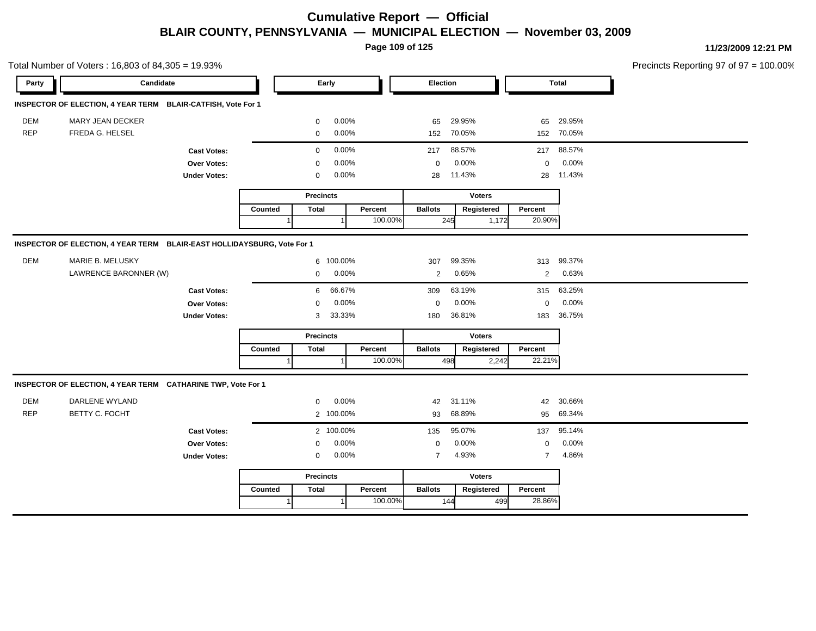**Page 109 of 125**

|            | Total Number of Voters: 16,803 of 84,305 = 19.93%                       |                     |         |              |                  |         |                |               |       |                |              | Precincts Reporting 97 of 97 = 100.00% |
|------------|-------------------------------------------------------------------------|---------------------|---------|--------------|------------------|---------|----------------|---------------|-------|----------------|--------------|----------------------------------------|
| Party      | Candidate                                                               |                     |         |              | Early            |         | Election       |               |       |                | <b>Total</b> |                                        |
|            | INSPECTOR OF ELECTION, 4 YEAR TERM BLAIR-CATFISH, Vote For 1            |                     |         |              |                  |         |                |               |       |                |              |                                        |
| DEM        | MARY JEAN DECKER                                                        |                     |         | 0            | 0.00%            |         | 65             | 29.95%        |       | 65             | 29.95%       |                                        |
| <b>REP</b> | FREDA G. HELSEL                                                         |                     |         | 0            | 0.00%            |         |                | 152 70.05%    |       |                | 152 70.05%   |                                        |
|            |                                                                         | <b>Cast Votes:</b>  |         | $\mathbf 0$  | 0.00%            |         | 217            | 88.57%        |       |                | 217 88.57%   |                                        |
|            |                                                                         | Over Votes:         |         | $\mathbf 0$  | 0.00%            |         | $\mathbf 0$    | 0.00%         |       | $\mathbf 0$    | 0.00%        |                                        |
|            |                                                                         | <b>Under Votes:</b> |         | 0            | 0.00%            |         | 28             | 11.43%        |       |                | 28 11.43%    |                                        |
|            |                                                                         |                     |         |              | <b>Precincts</b> |         |                | <b>Voters</b> |       |                |              |                                        |
|            |                                                                         |                     | Counted | <b>Total</b> |                  | Percent | <b>Ballots</b> | Registered    |       | Percent        |              |                                        |
|            |                                                                         |                     |         |              |                  | 100.00% |                | 245           | 1,172 | 20.90%         |              |                                        |
|            | INSPECTOR OF ELECTION, 4 YEAR TERM BLAIR-EAST HOLLIDAYSBURG, Vote For 1 |                     |         |              |                  |         |                |               |       |                |              |                                        |
| DEM        | MARIE B. MELUSKY                                                        |                     |         |              | 6 100.00%        |         | 307            | 99.35%        |       | 313            | 99.37%       |                                        |
|            | LAWRENCE BARONNER (W)                                                   |                     |         | $\mathbf 0$  | 0.00%            |         | $\overline{2}$ | 0.65%         |       | 2              | 0.63%        |                                        |
|            |                                                                         | <b>Cast Votes:</b>  |         | 6            | 66.67%           |         | 309            | 63.19%        |       | 315            | 63.25%       |                                        |
|            |                                                                         | Over Votes:         |         | $\Omega$     | 0.00%            |         | $\mathbf 0$    | 0.00%         |       | $\mathbf 0$    | 0.00%        |                                        |
|            |                                                                         | <b>Under Votes:</b> |         | 3            | 33.33%           |         | 180            | 36.81%        |       | 183            | 36.75%       |                                        |
|            |                                                                         |                     |         |              | <b>Precincts</b> |         |                | <b>Voters</b> |       |                |              |                                        |
|            |                                                                         |                     | Counted | <b>Total</b> |                  | Percent | <b>Ballots</b> | Registered    |       | Percent        |              |                                        |
|            |                                                                         |                     |         |              |                  | 100.00% |                | 498           | 2,242 | 22.21%         |              |                                        |
|            | INSPECTOR OF ELECTION, 4 YEAR TERM CATHARINE TWP, Vote For 1            |                     |         |              |                  |         |                |               |       |                |              |                                        |
| <b>DEM</b> | DARLENE WYLAND                                                          |                     |         | 0            | 0.00%            |         | 42             | 31.11%        |       | 42             | 30.66%       |                                        |
| <b>REP</b> | BETTY C. FOCHT                                                          |                     |         |              | 2 100.00%        |         | 93             | 68.89%        |       |                | 95 69.34%    |                                        |
|            |                                                                         | <b>Cast Votes:</b>  |         |              | 2 100.00%        |         | 135            | 95.07%        |       | 137            | 95.14%       |                                        |
|            |                                                                         | Over Votes:         |         | 0            | 0.00%            |         | $\mathbf 0$    | 0.00%         |       | $\mathbf 0$    | 0.00%        |                                        |
|            |                                                                         | <b>Under Votes:</b> |         | 0            | 0.00%            |         | $\overline{7}$ | 4.93%         |       | $\overline{7}$ | 4.86%        |                                        |
|            |                                                                         |                     |         |              | <b>Precincts</b> |         |                | <b>Voters</b> |       |                |              |                                        |
|            |                                                                         |                     | Counted | <b>Total</b> |                  | Percent | <b>Ballots</b> | Registered    |       | Percent        |              |                                        |
|            |                                                                         |                     |         | 1            | $\mathbf{1}$     | 100.00% |                | 144           | 499   | 28.86%         |              |                                        |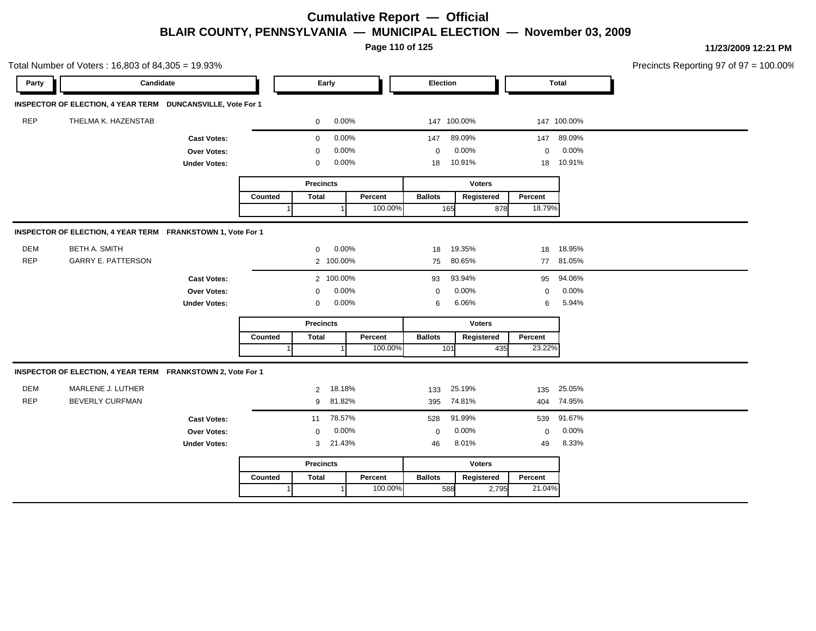**Page 110 of 125**

|            | Total Number of Voters: 16,803 of 84,305 = 19.93%           |                     |         |                  |        |         |                |               |             |             | Precincts Reporting 97 of 97 = 100.00% |
|------------|-------------------------------------------------------------|---------------------|---------|------------------|--------|---------|----------------|---------------|-------------|-------------|----------------------------------------|
| Party      | Candidate                                                   |                     |         | Early            |        |         | Election       |               |             | Total       |                                        |
|            | INSPECTOR OF ELECTION, 4 YEAR TERM DUNCANSVILLE, Vote For 1 |                     |         |                  |        |         |                |               |             |             |                                        |
| REP        | THELMA K. HAZENSTAB                                         |                     |         | $\mathbf 0$      | 0.00%  |         | 147 100.00%    |               |             | 147 100.00% |                                        |
|            |                                                             | <b>Cast Votes:</b>  |         | $\mathbf 0$      | 0.00%  |         | 147            | 89.09%        |             | 147 89.09%  |                                        |
|            |                                                             | Over Votes:         |         | 0                | 0.00%  |         | $\mathbf 0$    | 0.00%         | $\mathbf 0$ | 0.00%       |                                        |
|            |                                                             | <b>Under Votes:</b> |         | 0                | 0.00%  |         | 18             | 10.91%        |             | 18 10.91%   |                                        |
|            |                                                             |                     |         | <b>Precincts</b> |        |         |                | <b>Voters</b> |             |             |                                        |
|            |                                                             |                     | Counted | <b>Total</b>     |        | Percent | <b>Ballots</b> | Registered    | Percent     |             |                                        |
|            |                                                             |                     |         |                  |        | 100.00% | 165            | 878           | 18.79%      |             |                                        |
|            | INSPECTOR OF ELECTION, 4 YEAR TERM FRANKSTOWN 1, Vote For 1 |                     |         |                  |        |         |                |               |             |             |                                        |
| <b>DEM</b> | <b>BETH A. SMITH</b>                                        |                     |         | 0                | 0.00%  |         | 18             | 19.35%        |             | 18 18.95%   |                                        |
| <b>REP</b> | <b>GARRY E. PATTERSON</b>                                   |                     |         | 2 100.00%        |        |         | 75             | 80.65%        |             | 77 81.05%   |                                        |
|            |                                                             | <b>Cast Votes:</b>  |         | 2 100.00%        |        |         | 93             | 93.94%        | 95          | 94.06%      |                                        |
|            |                                                             | Over Votes:         |         | 0                | 0.00%  |         | $\mathbf 0$    | 0.00%         | $\mathbf 0$ | 0.00%       |                                        |
|            |                                                             | <b>Under Votes:</b> |         | 0                | 0.00%  |         | 6              | 6.06%         | 6           | 5.94%       |                                        |
|            |                                                             |                     |         | <b>Precincts</b> |        |         |                | <b>Voters</b> |             |             |                                        |
|            |                                                             |                     | Counted | <b>Total</b>     |        | Percent | <b>Ballots</b> | Registered    | Percent     |             |                                        |
|            |                                                             |                     |         |                  |        | 100.00% | 101            | 435           | 23.22%      |             |                                        |
|            | INSPECTOR OF ELECTION, 4 YEAR TERM FRANKSTOWN 2, Vote For 1 |                     |         |                  |        |         |                |               |             |             |                                        |
| DEM        | MARLENE J. LUTHER                                           |                     |         | 2 18.18%         |        |         | 133            | 25.19%        |             | 135 25.05%  |                                        |
| <b>REP</b> | <b>BEVERLY CURFMAN</b>                                      |                     |         | 9                | 81.82% |         | 395            | 74.81%        |             | 404 74.95%  |                                        |
|            |                                                             | <b>Cast Votes:</b>  |         | 11               | 78.57% |         | 528            | 91.99%        | 539         | 91.67%      |                                        |
|            |                                                             | Over Votes:         |         | $\mathbf 0$      | 0.00%  |         | $\mathbf 0$    | 0.00%         | $\mathbf 0$ | 0.00%       |                                        |
|            |                                                             | <b>Under Votes:</b> |         | 3                | 21.43% |         | 46             | 8.01%         | 49          | 8.33%       |                                        |
|            |                                                             |                     |         | <b>Precincts</b> |        |         |                | <b>Voters</b> |             |             |                                        |
|            |                                                             |                     | Counted | <b>Total</b>     |        | Percent | <b>Ballots</b> | Registered    | Percent     |             |                                        |
|            |                                                             |                     | 1       |                  |        | 100.00% | 588            | 2,795         | 21.04%      |             |                                        |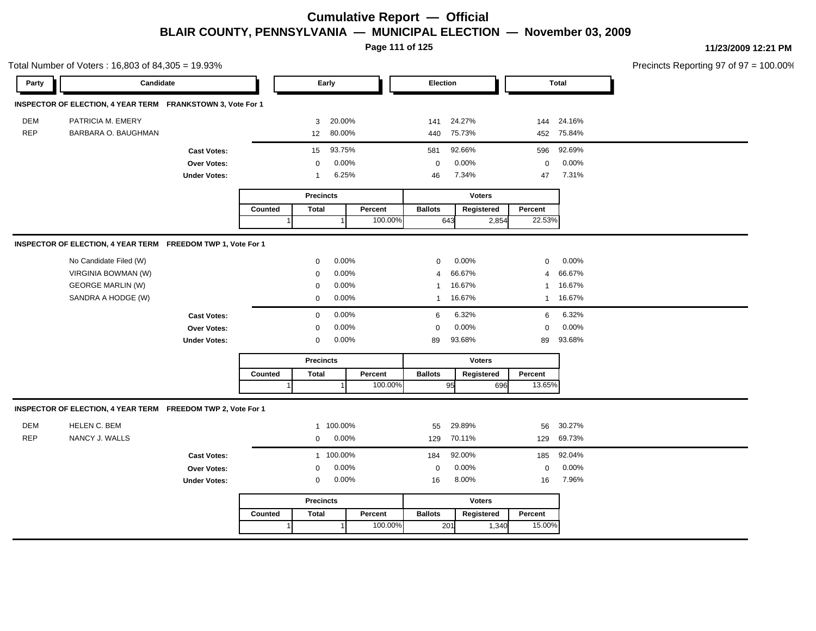**Page 111 of 125**

|            | Total Number of Voters: 16,803 of 84,305 = 19.93%            |                     |         |                  |           |         |                |               |                |              | Precincts Reporting 97 of 97 = 100.00% |
|------------|--------------------------------------------------------------|---------------------|---------|------------------|-----------|---------|----------------|---------------|----------------|--------------|----------------------------------------|
| Party      | Candidate                                                    |                     |         |                  | Early     |         | Election       |               |                | <b>Total</b> |                                        |
|            | INSPECTOR OF ELECTION, 4 YEAR TERM FRANKSTOWN 3, Vote For 1  |                     |         |                  |           |         |                |               |                |              |                                        |
| <b>DEM</b> | PATRICIA M. EMERY                                            |                     |         | 3                | 20.00%    |         | 141            | 24.27%        |                | 144 24.16%   |                                        |
| <b>REP</b> | BARBARA O. BAUGHMAN                                          |                     |         | 12               | 80.00%    |         | 440            | 75.73%        |                | 452 75.84%   |                                        |
|            |                                                              | <b>Cast Votes:</b>  |         | 15               | 93.75%    |         | 581            | 92.66%        | 596            | 92.69%       |                                        |
|            |                                                              | Over Votes:         |         | 0                | 0.00%     |         | $\mathbf 0$    | 0.00%         | $\mathbf 0$    | 0.00%        |                                        |
|            |                                                              | <b>Under Votes:</b> |         | $\overline{1}$   | 6.25%     |         | 46             | 7.34%         | 47             | 7.31%        |                                        |
|            |                                                              |                     |         | <b>Precincts</b> |           |         |                | <b>Voters</b> |                |              |                                        |
|            |                                                              |                     | Counted | <b>Total</b>     |           | Percent | <b>Ballots</b> | Registered    | Percent        |              |                                        |
|            |                                                              |                     | 1       |                  |           | 100.00% | 643            | 2,854         | 22.53%         |              |                                        |
|            | INSPECTOR OF ELECTION, 4 YEAR TERM FREEDOM TWP 1, Vote For 1 |                     |         |                  |           |         |                |               |                |              |                                        |
|            | No Candidate Filed (W)                                       |                     |         | $\mathbf 0$      | 0.00%     |         | $\mathbf 0$    | 0.00%         | $\mathbf 0$    | 0.00%        |                                        |
|            | VIRGINIA BOWMAN (W)                                          |                     |         | $\mathbf 0$      | 0.00%     |         | $\overline{4}$ | 66.67%        | $\overline{4}$ | 66.67%       |                                        |
|            | <b>GEORGE MARLIN (W)</b>                                     |                     |         | $\mathbf 0$      | 0.00%     |         | $\mathbf{1}$   | 16.67%        | $\mathbf{1}$   | 16.67%       |                                        |
|            | SANDRA A HODGE (W)                                           |                     |         | $\mathbf 0$      | 0.00%     |         | $\mathbf{1}$   | 16.67%        |                | 1 16.67%     |                                        |
|            |                                                              | <b>Cast Votes:</b>  |         | 0                | 0.00%     |         | 6              | 6.32%         | 6              | 6.32%        |                                        |
|            |                                                              | Over Votes:         |         | 0                | 0.00%     |         | $\mathbf 0$    | 0.00%         | $\mathbf 0$    | 0.00%        |                                        |
|            |                                                              | <b>Under Votes:</b> |         | 0                | 0.00%     |         | 89             | 93.68%        | 89             | 93.68%       |                                        |
|            |                                                              |                     |         | <b>Precincts</b> |           |         |                | <b>Voters</b> |                |              |                                        |
|            |                                                              |                     | Counted | <b>Total</b>     |           | Percent | <b>Ballots</b> | Registered    | Percent        |              |                                        |
|            |                                                              |                     |         |                  |           | 100.00% |                | 95            | 13.65%<br>696  |              |                                        |
|            | INSPECTOR OF ELECTION, 4 YEAR TERM FREEDOM TWP 2, Vote For 1 |                     |         |                  |           |         |                |               |                |              |                                        |
| DEM        | HELEN C. BEM                                                 |                     |         |                  | 1 100.00% |         | 55             | 29.89%        | 56             | 30.27%       |                                        |
| <b>REP</b> | NANCY J. WALLS                                               |                     |         | 0                | 0.00%     |         | 129            | 70.11%        |                | 129 69.73%   |                                        |
|            |                                                              | <b>Cast Votes:</b>  |         |                  | 1 100.00% |         | 184            | 92.00%        | 185            | 92.04%       |                                        |
|            |                                                              | Over Votes:         |         | $\mathbf 0$      | 0.00%     |         | $\mathbf 0$    | 0.00%         | $\mathbf 0$    | 0.00%        |                                        |
|            |                                                              | <b>Under Votes:</b> |         | 0                | 0.00%     |         | 16             | 8.00%         | 16             | 7.96%        |                                        |
|            |                                                              |                     |         | <b>Precincts</b> |           |         |                | <b>Voters</b> |                |              |                                        |
|            |                                                              |                     | Counted | <b>Total</b>     |           | Percent | <b>Ballots</b> | Registered    | Percent        |              |                                        |
|            |                                                              |                     |         |                  |           | 100.00% | 201            | 1,340         | 15.00%         |              |                                        |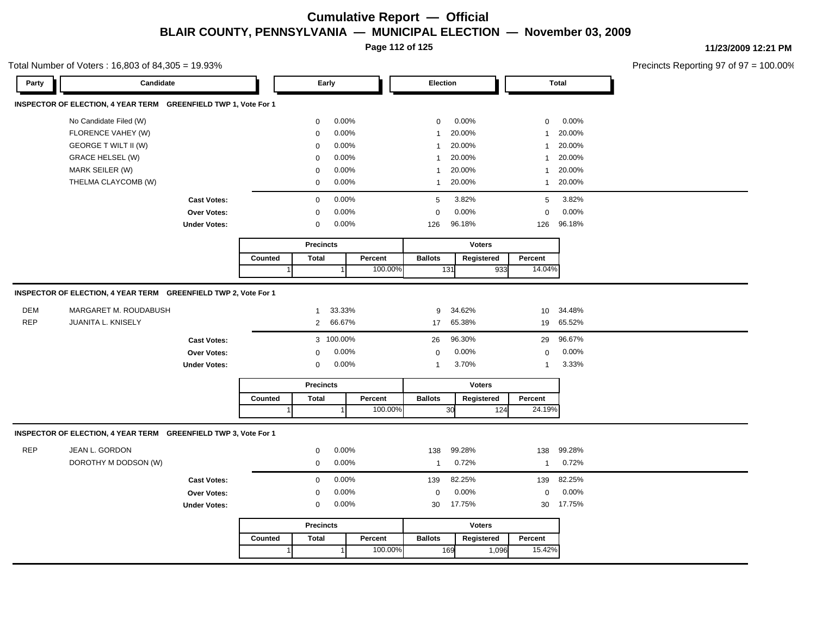**Page 112 of 125**

**11/23/2009 12:21 PM**

Total Number of Voters : 16,803 of 84,305 = 19.93%

Precincts Reporting 97 of 97 = 100.00%

| Party             | Candidate                                                       |                     |         | Early               |                               |         | Election       |                            |                             | <b>Total</b>               |  |
|-------------------|-----------------------------------------------------------------|---------------------|---------|---------------------|-------------------------------|---------|----------------|----------------------------|-----------------------------|----------------------------|--|
|                   | INSPECTOR OF ELECTION, 4 YEAR TERM GREENFIELD TWP 1, Vote For 1 |                     |         |                     |                               |         |                |                            |                             |                            |  |
|                   | No Candidate Filed (W)                                          |                     |         | 0                   | 0.00%                         |         | $\mathbf 0$    | 0.00%                      | 0                           | 0.00%                      |  |
|                   | FLORENCE VAHEY (W)                                              |                     |         | 0                   | 0.00%                         |         | $\mathbf{1}$   | 20.00%                     | $\mathbf{1}$                | 20.00%                     |  |
|                   | <b>GEORGE T WILT II (W)</b>                                     |                     |         | $\mathbf 0$         | 0.00%                         |         | $\mathbf{1}$   | 20.00%                     | $\overline{1}$              | 20.00%                     |  |
|                   | <b>GRACE HELSEL (W)</b>                                         |                     |         | $\mathbf 0$         | 0.00%                         |         | $\mathbf{1}$   | 20.00%                     | $\mathbf 1$                 | 20.00%                     |  |
|                   | MARK SEILER (W)                                                 |                     |         | 0                   | 0.00%                         |         | $\mathbf{1}$   | 20.00%                     | $\mathbf{1}$                | 20.00%                     |  |
|                   | THELMA CLAYCOMB (W)                                             |                     |         | $\mathbf 0$         | 0.00%                         |         | $\mathbf{1}$   | 20.00%                     | $\mathbf{1}$                | 20.00%                     |  |
|                   |                                                                 | <b>Cast Votes:</b>  |         | $\mathbf 0$         | 0.00%                         |         | 5              | 3.82%                      | 5                           | 3.82%                      |  |
|                   |                                                                 | Over Votes:         |         | 0                   | 0.00%                         |         | $\mathbf 0$    | 0.00%                      | $\mathbf 0$                 | 0.00%                      |  |
|                   |                                                                 | <b>Under Votes:</b> |         | $\mathbf 0$         | 0.00%                         |         | 126            | 96.18%                     | 126                         | 96.18%                     |  |
|                   |                                                                 |                     |         | <b>Precincts</b>    |                               |         |                | <b>Voters</b>              |                             |                            |  |
|                   |                                                                 |                     | Counted | <b>Total</b>        |                               | Percent | <b>Ballots</b> | Registered                 | Percent                     |                            |  |
|                   |                                                                 |                     |         |                     |                               | 100.00% |                | 131                        | 14.04%<br>933               |                            |  |
| DEM<br><b>REP</b> | MARGARET M. ROUDABUSH<br>JUANITA L. KNISELY                     | <b>Cast Votes:</b>  |         | 1<br>$\overline{2}$ | 33.33%<br>66.67%<br>3 100.00% |         | 9<br>17<br>26  | 34.62%<br>65.38%<br>96.30% | 10 <sup>°</sup><br>19<br>29 | 34.48%<br>65.52%<br>96.67% |  |
|                   |                                                                 | <b>Over Votes:</b>  |         | 0                   | 0.00%                         |         | $\mathbf 0$    | 0.00%                      | $\mathbf 0$                 | 0.00%                      |  |
|                   |                                                                 | <b>Under Votes:</b> |         | $\mathbf 0$         | 0.00%                         |         | $\mathbf{1}$   | 3.70%                      | $\overline{1}$              | 3.33%                      |  |
|                   |                                                                 |                     |         | <b>Precincts</b>    |                               |         |                | <b>Voters</b>              |                             |                            |  |
|                   |                                                                 |                     | Counted | <b>Total</b>        |                               | Percent | <b>Ballots</b> | Registered                 | Percent                     |                            |  |
|                   |                                                                 |                     |         |                     | $\mathbf 1$                   | 100.00% |                | 30                         | 24.19%<br>124               |                            |  |
|                   | INSPECTOR OF ELECTION, 4 YEAR TERM GREENFIELD TWP 3, Vote For 1 |                     |         |                     |                               |         |                |                            |                             |                            |  |
| REP               | JEAN L. GORDON                                                  |                     |         | $\mathbf 0$         | 0.00%                         |         | 138            | 99.28%                     | 138                         | 99.28%                     |  |
|                   | DOROTHY M DODSON (W)                                            |                     |         | $\mathbf 0$         | 0.00%                         |         | $\mathbf{1}$   | 0.72%                      | $\overline{1}$              | 0.72%                      |  |
|                   |                                                                 | <b>Cast Votes:</b>  |         | $\pmb{0}$           | 0.00%                         |         | 139            | 82.25%                     | 139                         | 82.25%                     |  |
|                   |                                                                 | <b>Over Votes:</b>  |         | $\mathbf 0$         | 0.00%                         |         | $\pmb{0}$      | 0.00%                      | $\mathbf 0$                 | 0.00%                      |  |
|                   |                                                                 | <b>Under Votes:</b> |         | $\mathbf 0$         | 0.00%                         |         | 30             | 17.75%                     |                             | 30 17.75%                  |  |
|                   |                                                                 |                     |         | <b>Precincts</b>    |                               |         |                | <b>Voters</b>              |                             |                            |  |
|                   |                                                                 |                     | Counted | <b>Total</b>        |                               | Percent | <b>Ballots</b> | Registered                 | Percent                     |                            |  |
|                   |                                                                 |                     |         |                     |                               | 100.00% |                | 169                        | 15.42%<br>1,096             |                            |  |
|                   |                                                                 |                     |         |                     |                               |         |                |                            |                             |                            |  |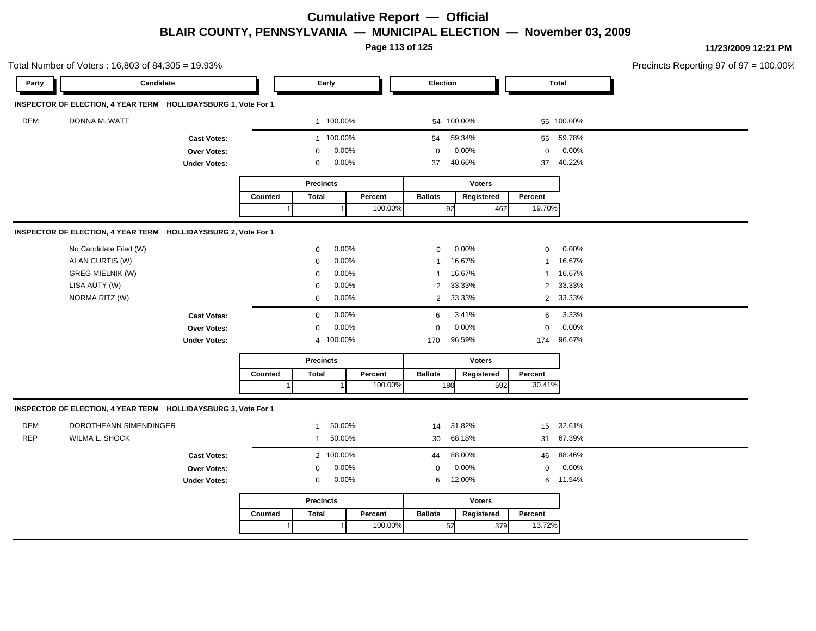**Page 113 of 125**

|            | Total Number of Voters: 16,803 of 84,305 = 19.93%              |                     |         |                  |              |         |                |               |                |              | Precincts Reporting 97 of 97 = 100.00% |
|------------|----------------------------------------------------------------|---------------------|---------|------------------|--------------|---------|----------------|---------------|----------------|--------------|----------------------------------------|
| Party      | Candidate                                                      |                     |         |                  | Early        |         | Election       |               |                | <b>Total</b> |                                        |
|            | INSPECTOR OF ELECTION, 4 YEAR TERM HOLLIDAYSBURG 1, Vote For 1 |                     |         |                  |              |         |                |               |                |              |                                        |
| <b>DEM</b> | DONNA M. WATT                                                  |                     |         |                  | 1 100.00%    |         |                | 54 100.00%    |                | 55 100.00%   |                                        |
|            |                                                                | <b>Cast Votes:</b>  |         |                  | 1 100.00%    |         | 54             | 59.34%        |                | 55 59.78%    |                                        |
|            |                                                                | Over Votes:         |         | $\mathbf 0$      | 0.00%        |         | $\mathbf 0$    | 0.00%         | $\mathbf 0$    | 0.00%        |                                        |
|            |                                                                | <b>Under Votes:</b> |         | $\mathbf 0$      | $0.00\%$     |         | 37             | 40.66%        | 37             | 40.22%       |                                        |
|            |                                                                |                     |         | <b>Precincts</b> |              |         |                | <b>Voters</b> |                |              |                                        |
|            |                                                                |                     | Counted | <b>Total</b>     |              | Percent | <b>Ballots</b> | Registered    | Percent        |              |                                        |
|            |                                                                |                     |         |                  | $\mathbf{1}$ | 100.00% | 92             | 467           | 19.70%         |              |                                        |
|            | INSPECTOR OF ELECTION, 4 YEAR TERM HOLLIDAYSBURG 2, Vote For 1 |                     |         |                  |              |         |                |               |                |              |                                        |
|            | No Candidate Filed (W)                                         |                     |         | $\mathbf 0$      | 0.00%        |         | $\mathbf 0$    | 0.00%         | $\mathbf 0$    | 0.00%        |                                        |
|            | ALAN CURTIS (W)                                                |                     |         | $\mathbf 0$      | 0.00%        |         | $\mathbf{1}$   | 16.67%        | $\mathbf{1}$   | 16.67%       |                                        |
|            | <b>GREG MIELNIK (W)</b>                                        |                     |         | $\mathbf 0$      | 0.00%        |         | $\mathbf{1}$   | 16.67%        | $\mathbf{1}$   | 16.67%       |                                        |
|            | LISA AUTY (W)                                                  |                     |         | $\mathbf 0$      | 0.00%        |         | 2              | 33.33%        | $\overline{2}$ | 33.33%       |                                        |
|            | NORMA RITZ (W)                                                 |                     |         | $\mathbf 0$      | 0.00%        |         | $\overline{2}$ | 33.33%        |                | 2 33.33%     |                                        |
|            |                                                                | <b>Cast Votes:</b>  |         | $\mathbf 0$      | 0.00%        |         | 6              | 3.41%         | 6              | 3.33%        |                                        |
|            |                                                                | Over Votes:         |         | $\mathbf 0$      | 0.00%        |         | $\mathbf 0$    | 0.00%         | $\mathbf 0$    | 0.00%        |                                        |
|            |                                                                | <b>Under Votes:</b> |         |                  | 4 100.00%    |         | 170            | 96.59%        | 174            | 96.67%       |                                        |
|            |                                                                |                     |         | <b>Precincts</b> |              |         |                | <b>Voters</b> |                |              |                                        |
|            |                                                                |                     | Counted | <b>Total</b>     |              | Percent | <b>Ballots</b> | Registered    | Percent        |              |                                        |
|            |                                                                |                     |         |                  |              | 100.00% | 180            | 592           | 30.41%         |              |                                        |
|            | INSPECTOR OF ELECTION, 4 YEAR TERM HOLLIDAYSBURG 3, Vote For 1 |                     |         |                  |              |         |                |               |                |              |                                        |
| DEM        | DOROTHEANN SIMENDINGER                                         |                     |         | $\mathbf{1}$     | 50.00%       |         | 14             | 31.82%        |                | 15 32.61%    |                                        |
| <b>REP</b> | WILMA L. SHOCK                                                 |                     |         | $\mathbf{1}$     | 50.00%       |         |                | 30 68.18%     |                | 31 67.39%    |                                        |
|            |                                                                | <b>Cast Votes:</b>  |         |                  | 2 100.00%    |         | 44             | 88.00%        | 46             | 88.46%       |                                        |
|            |                                                                | Over Votes:         |         | $\mathbf 0$      | 0.00%        |         | $\mathbf 0$    | 0.00%         | $\mathbf 0$    | 0.00%        |                                        |
|            |                                                                | <b>Under Votes:</b> |         | $\mathbf 0$      | $0.00\%$     |         | 6              | 12.00%        |                | 6 11.54%     |                                        |
|            |                                                                |                     |         | <b>Precincts</b> |              |         |                | <b>Voters</b> |                |              |                                        |
|            |                                                                |                     | Counted | <b>Total</b>     |              | Percent | <b>Ballots</b> | Registered    | Percent        |              |                                        |
|            |                                                                |                     |         |                  |              | 100.00% | 52             | 379           | 13.72%         |              |                                        |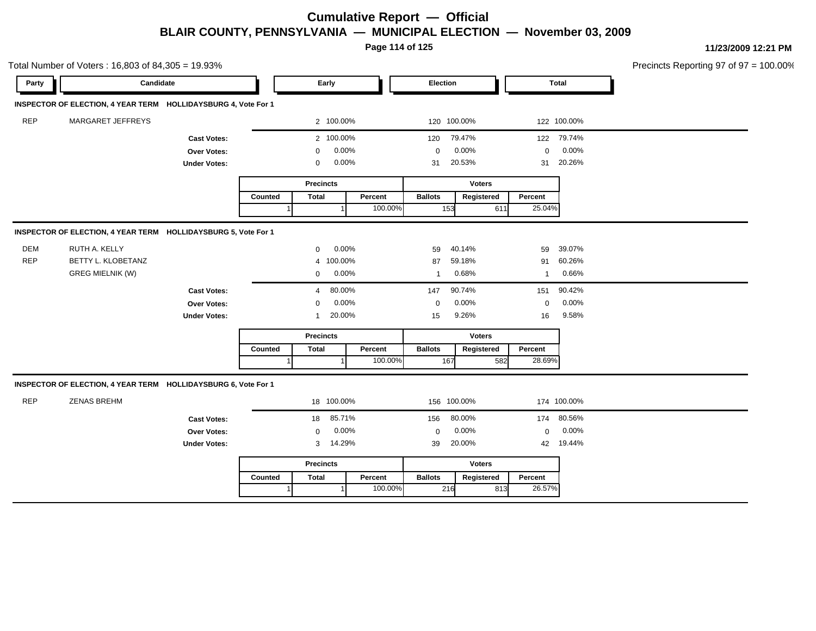**Page 114 of 125**

|            | Total Number of Voters: 16,803 of 84,305 = 19.93%              |                     |         |                  |         |                |               |               |             | Precincts Reporting 97 of 97 = 100.00% |
|------------|----------------------------------------------------------------|---------------------|---------|------------------|---------|----------------|---------------|---------------|-------------|----------------------------------------|
| Party      | Candidate                                                      |                     |         | Early            |         | Election       |               |               | Total       |                                        |
|            | INSPECTOR OF ELECTION, 4 YEAR TERM HOLLIDAYSBURG 4, Vote For 1 |                     |         |                  |         |                |               |               |             |                                        |
| <b>REP</b> | MARGARET JEFFREYS                                              |                     |         | 2 100.00%        |         |                | 120 100.00%   |               | 122 100.00% |                                        |
|            |                                                                | <b>Cast Votes:</b>  |         | 2 100.00%        |         | 120            | 79.47%        |               | 122 79.74%  |                                        |
|            |                                                                | Over Votes:         |         | 0                | 0.00%   | $\mathbf 0$    | 0.00%         | $\mathbf 0$   | 0.00%       |                                        |
|            |                                                                | <b>Under Votes:</b> |         | 0                | 0.00%   | 31             | 20.53%        | 31            | 20.26%      |                                        |
|            |                                                                |                     |         | <b>Precincts</b> |         |                | <b>Voters</b> |               |             |                                        |
|            |                                                                |                     | Counted | <b>Total</b>     | Percent | <b>Ballots</b> | Registered    | Percent       |             |                                        |
|            |                                                                |                     |         |                  | 100.00% |                | 153           | 25.04%<br>611 |             |                                        |
|            | INSPECTOR OF ELECTION, 4 YEAR TERM HOLLIDAYSBURG 5, Vote For 1 |                     |         |                  |         |                |               |               |             |                                        |
| <b>DEM</b> | RUTH A. KELLY                                                  |                     |         | $\mathbf{0}$     | 0.00%   | 59             | 40.14%        | 59            | 39.07%      |                                        |
| <b>REP</b> | BETTY L. KLOBETANZ                                             |                     |         | 4 100.00%        |         | 87             | 59.18%        | 91            | 60.26%      |                                        |
|            | <b>GREG MIELNIK (W)</b>                                        |                     |         | 0                | 0.00%   | $\mathbf{1}$   | 0.68%         | $\mathbf{1}$  | 0.66%       |                                        |
|            |                                                                | <b>Cast Votes:</b>  |         | $\overline{4}$   | 80.00%  | 147            | 90.74%        | 151           | 90.42%      |                                        |
|            |                                                                | Over Votes:         |         | 0                | 0.00%   | $\mathbf 0$    | 0.00%         | $\mathbf 0$   | 0.00%       |                                        |
|            |                                                                | <b>Under Votes:</b> |         | $\mathbf{1}$     | 20.00%  | 15             | 9.26%         | 16            | 9.58%       |                                        |
|            |                                                                |                     |         | <b>Precincts</b> |         |                | <b>Voters</b> |               |             |                                        |
|            |                                                                |                     | Counted | <b>Total</b>     | Percent | <b>Ballots</b> | Registered    | Percent       |             |                                        |
|            |                                                                |                     |         |                  | 100.00% |                | 167           | 28.69%<br>582 |             |                                        |
|            | INSPECTOR OF ELECTION, 4 YEAR TERM HOLLIDAYSBURG 6, Vote For 1 |                     |         |                  |         |                |               |               |             |                                        |
| <b>REP</b> | <b>ZENAS BREHM</b>                                             |                     |         | 18 100.00%       |         |                | 156 100.00%   |               | 174 100.00% |                                        |
|            |                                                                | <b>Cast Votes:</b>  |         | 18               | 85.71%  | 156            | 80.00%        | 174           | 80.56%      |                                        |
|            |                                                                | Over Votes:         |         | $\mathbf{0}$     | 0.00%   | $\mathbf 0$    | 0.00%         | $\mathbf 0$   | 0.00%       |                                        |
|            |                                                                | <b>Under Votes:</b> |         | 3 <sup>1</sup>   | 14.29%  | 39             | 20.00%        | 42            | 19.44%      |                                        |
|            |                                                                |                     |         | <b>Precincts</b> |         |                | <b>Voters</b> |               |             |                                        |
|            |                                                                |                     | Counted | <b>Total</b>     | Percent | <b>Ballots</b> | Registered    | Percent       |             |                                        |
|            |                                                                |                     |         |                  | 100.00% |                | 216           | 26.57%<br>813 |             |                                        |
|            |                                                                |                     |         |                  |         |                |               |               |             |                                        |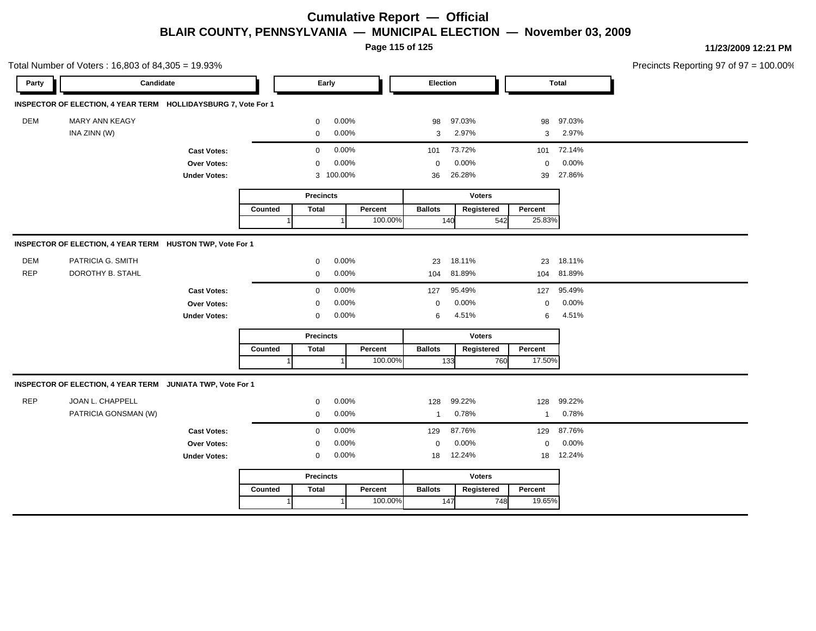**Page 115 of 125**

|            | Total Number of Voters: 16,803 of 84,305 = 19.93%              |                     |         |                  |           |         |                |               |     |              |            | Precincts Reporting 97 of 97 = 100.00% |
|------------|----------------------------------------------------------------|---------------------|---------|------------------|-----------|---------|----------------|---------------|-----|--------------|------------|----------------------------------------|
| Party      | Candidate                                                      |                     |         |                  | Early     |         | Election       |               |     |              | Total      |                                        |
|            | INSPECTOR OF ELECTION, 4 YEAR TERM HOLLIDAYSBURG 7, Vote For 1 |                     |         |                  |           |         |                |               |     |              |            |                                        |
| DEM        | MARY ANN KEAGY                                                 |                     |         | 0                | 0.00%     |         | 98             | 97.03%        |     | 98           | 97.03%     |                                        |
|            | INA ZINN (W)                                                   |                     |         | 0                | 0.00%     |         | 3              | 2.97%         |     | 3            | 2.97%      |                                        |
|            |                                                                | <b>Cast Votes:</b>  |         | $\mathbf 0$      | 0.00%     |         | 101            | 73.72%        |     | 101          | 72.14%     |                                        |
|            |                                                                | Over Votes:         |         | $\mathbf 0$      | 0.00%     |         | $\mathbf 0$    | 0.00%         |     | $\mathbf 0$  | 0.00%      |                                        |
|            |                                                                | <b>Under Votes:</b> |         |                  | 3 100.00% |         | 36             | 26.28%        |     | 39           | 27.86%     |                                        |
|            |                                                                |                     |         | <b>Precincts</b> |           |         |                | Voters        |     |              |            |                                        |
|            |                                                                |                     | Counted | <b>Total</b>     |           | Percent | <b>Ballots</b> | Registered    |     | Percent      |            |                                        |
|            |                                                                |                     |         |                  |           | 100.00% |                | 140           | 542 | 25.83%       |            |                                        |
|            | INSPECTOR OF ELECTION, 4 YEAR TERM HUSTON TWP, Vote For 1      |                     |         |                  |           |         |                |               |     |              |            |                                        |
| DEM        | PATRICIA G. SMITH                                              |                     |         | 0                | 0.00%     |         | 23             | 18.11%        |     |              | 23 18.11%  |                                        |
| <b>REP</b> | DOROTHY B. STAHL                                               |                     |         | $\mathbf 0$      | 0.00%     |         | 104            | 81.89%        |     |              | 104 81.89% |                                        |
|            |                                                                | <b>Cast Votes:</b>  |         | $\mathbf 0$      | 0.00%     |         | 127            | 95.49%        |     | 127          | 95.49%     |                                        |
|            |                                                                | Over Votes:         |         | $\mathbf 0$      | 0.00%     |         | $\mathbf 0$    | 0.00%         |     | $\mathbf 0$  | 0.00%      |                                        |
|            |                                                                | <b>Under Votes:</b> |         | 0                | 0.00%     |         | 6              | 4.51%         |     | 6            | 4.51%      |                                        |
|            |                                                                |                     |         | <b>Precincts</b> |           |         |                | <b>Voters</b> |     |              |            |                                        |
|            |                                                                |                     | Counted | <b>Total</b>     |           | Percent | <b>Ballots</b> | Registered    |     | Percent      |            |                                        |
|            |                                                                |                     |         |                  |           | 100.00% |                | 133           | 760 | 17.50%       |            |                                        |
|            | INSPECTOR OF ELECTION, 4 YEAR TERM JUNIATA TWP, Vote For 1     |                     |         |                  |           |         |                |               |     |              |            |                                        |
| <b>REP</b> | JOAN L. CHAPPELL                                               |                     |         | $\mathbf 0$      | 0.00%     |         | 128            | 99.22%        |     | 128          | 99.22%     |                                        |
|            | PATRICIA GONSMAN (W)                                           |                     |         | $\mathbf 0$      | 0.00%     |         | $\overline{1}$ | 0.78%         |     | $\mathbf{1}$ | 0.78%      |                                        |
|            |                                                                | <b>Cast Votes:</b>  |         | $\mathbf 0$      | 0.00%     |         | 129            | 87.76%        |     | 129          | 87.76%     |                                        |
|            |                                                                | Over Votes:         |         | $\mathbf 0$      | 0.00%     |         | $\mathbf 0$    | 0.00%         |     | $\mathbf 0$  | 0.00%      |                                        |
|            |                                                                | <b>Under Votes:</b> |         | 0                | 0.00%     |         | 18             | 12.24%        |     | 18           | 12.24%     |                                        |
|            |                                                                |                     |         | <b>Precincts</b> |           |         |                | <b>Voters</b> |     |              |            |                                        |
|            |                                                                |                     | Counted | <b>Total</b>     |           | Percent | <b>Ballots</b> | Registered    |     | Percent      |            |                                        |
|            |                                                                |                     | 1       |                  | $\vert$ 1 | 100.00% |                | 147           | 748 | 19.65%       |            |                                        |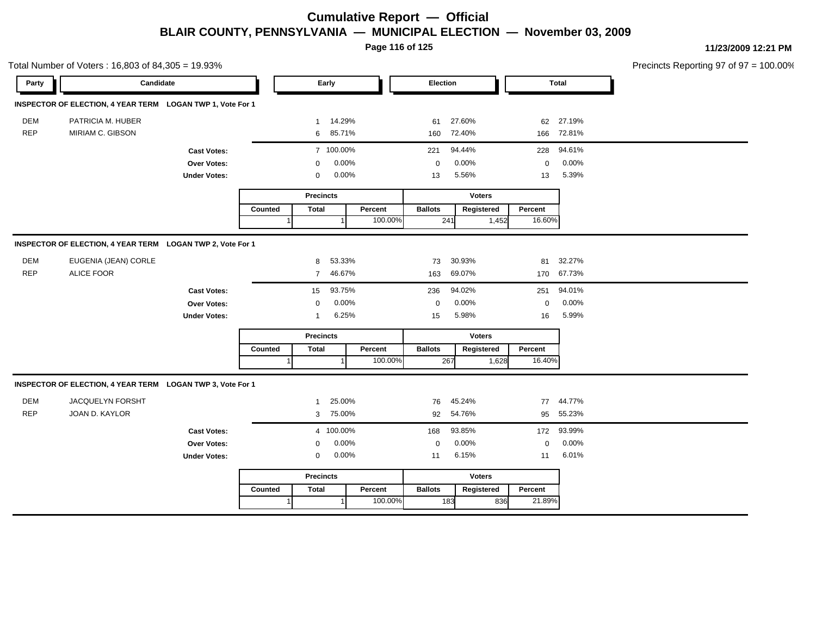**Page 116 of 125**

|            | Total Number of Voters: 16,803 of 84,305 = 19.93%          |                     |         |                  |           |         |                |               |       |             |              | Precincts Reporting 97 of 97 = 100.00% |
|------------|------------------------------------------------------------|---------------------|---------|------------------|-----------|---------|----------------|---------------|-------|-------------|--------------|----------------------------------------|
| Party      | Candidate                                                  |                     |         |                  | Early     |         | Election       |               |       |             | <b>Total</b> |                                        |
|            | INSPECTOR OF ELECTION, 4 YEAR TERM LOGAN TWP 1, Vote For 1 |                     |         |                  |           |         |                |               |       |             |              |                                        |
| <b>DEM</b> | PATRICIA M. HUBER                                          |                     |         | 1                | 14.29%    |         | 61             | 27.60%        |       |             | 62 27.19%    |                                        |
| <b>REP</b> | MIRIAM C. GIBSON                                           |                     |         | 6                | 85.71%    |         |                | 160 72.40%    |       |             | 166 72.81%   |                                        |
|            |                                                            | <b>Cast Votes:</b>  |         |                  | 7 100.00% |         | 221            | 94.44%        |       | 228         | 94.61%       |                                        |
|            |                                                            | Over Votes:         |         | $\Omega$         | 0.00%     |         | $\mathbf 0$    | 0.00%         |       | $\mathbf 0$ | 0.00%        |                                        |
|            |                                                            | <b>Under Votes:</b> |         | $\mathbf 0$      | 0.00%     |         | 13             | 5.56%         |       | 13          | 5.39%        |                                        |
|            |                                                            |                     |         | <b>Precincts</b> |           |         |                | <b>Voters</b> |       |             |              |                                        |
|            |                                                            |                     | Counted | <b>Total</b>     |           | Percent | <b>Ballots</b> | Registered    |       | Percent     |              |                                        |
|            |                                                            |                     |         |                  |           | 100.00% |                | 241           | 1,452 | 16.60%      |              |                                        |
|            | INSPECTOR OF ELECTION, 4 YEAR TERM LOGAN TWP 2, Vote For 1 |                     |         |                  |           |         |                |               |       |             |              |                                        |
| <b>DEM</b> | EUGENIA (JEAN) CORLE                                       |                     |         | 8                | 53.33%    |         | 73             | 30.93%        |       | 81          | 32.27%       |                                        |
| <b>REP</b> | <b>ALICE FOOR</b>                                          |                     |         | $\overline{7}$   | 46.67%    |         | 163            | 69.07%        |       | 170         | 67.73%       |                                        |
|            |                                                            | <b>Cast Votes:</b>  |         | 15               | 93.75%    |         | 236            | 94.02%        |       | 251         | 94.01%       |                                        |
|            |                                                            | Over Votes:         |         | $\mathbf 0$      | 0.00%     |         | $\mathbf 0$    | 0.00%         |       | $\mathbf 0$ | 0.00%        |                                        |
|            |                                                            | <b>Under Votes:</b> |         | $\mathbf{1}$     | 6.25%     |         | 15             | 5.98%         |       | 16          | 5.99%        |                                        |
|            |                                                            |                     |         | <b>Precincts</b> |           |         |                | <b>Voters</b> |       |             |              |                                        |
|            |                                                            |                     | Counted | <b>Total</b>     |           | Percent | <b>Ballots</b> | Registered    |       | Percent     |              |                                        |
|            |                                                            |                     |         |                  |           | 100.00% |                | 267           | 1,628 | 16.40%      |              |                                        |
|            | INSPECTOR OF ELECTION, 4 YEAR TERM LOGAN TWP 3, Vote For 1 |                     |         |                  |           |         |                |               |       |             |              |                                        |
| <b>DEM</b> | JACQUELYN FORSHT                                           |                     |         | $\mathbf{1}$     | 25.00%    |         | 76             | 45.24%        |       |             | 77 44.77%    |                                        |
| <b>REP</b> | JOAN D. KAYLOR                                             |                     |         |                  | 3 75.00%  |         |                | 92 54.76%     |       |             | 95 55.23%    |                                        |
|            |                                                            | <b>Cast Votes:</b>  |         |                  | 4 100.00% |         | 168            | 93.85%        |       | 172         | 93.99%       |                                        |
|            |                                                            | Over Votes:         |         | $\Omega$         | 0.00%     |         | $\mathbf 0$    | 0.00%         |       | $\mathsf 0$ | 0.00%        |                                        |
|            |                                                            | <b>Under Votes:</b> |         | $\mathbf 0$      | 0.00%     |         | 11             | 6.15%         |       | 11          | 6.01%        |                                        |
|            |                                                            |                     |         | <b>Precincts</b> |           |         |                | <b>Voters</b> |       |             |              |                                        |
|            |                                                            |                     | Counted | <b>Total</b>     |           | Percent | <b>Ballots</b> | Registered    |       | Percent     |              |                                        |
|            |                                                            |                     |         |                  |           | 100.00% |                | 183           | 836   | 21.89%      |              |                                        |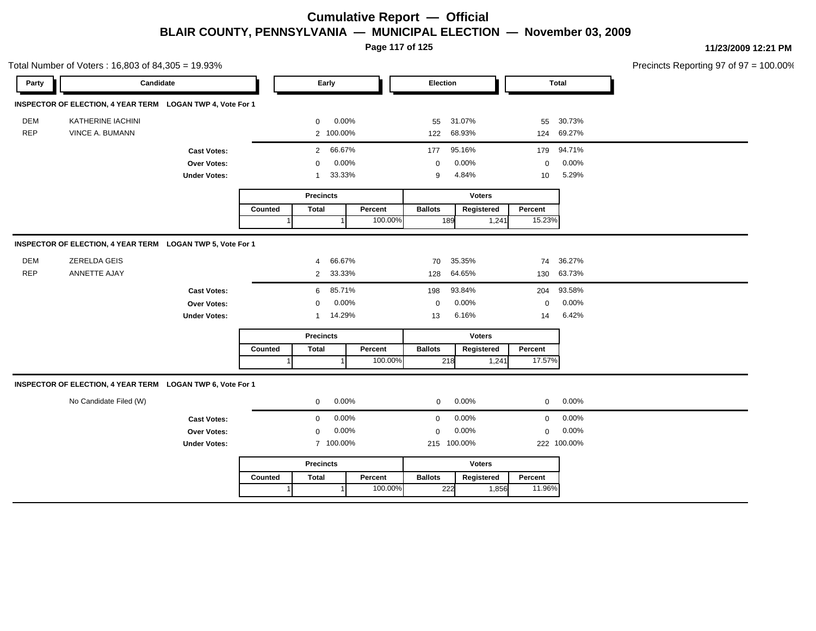**Page 117 of 125**

Total Number of Voters : 16,803 of 84,305 = 19.93% Precincts Reporting 97 of 97 = 100.00% **Party Candidate Early Election Total INSPECTOR OF ELECTION, 4 YEAR TERM LOGAN TWP 4, Vote For 1** DEM KATHERINE IACHINI 0 0.00% 55 31.07% 55 30.73% REP VINCE A. BUMANN 2 100.00% 122 68.93% 124 69.27% **Cast Votes:** 2 66.67% 177 95.16% 179 94.71% **Over Votes:** 0 0.00% **Under Votes:** 1 0.00% 0 33.33% 9 10 4.84% 5.29% 0.00% 0 0.00% **Precincts** Counted | Total 1 **Percent** Ballots 1 100.00% **Voters** 189 1,24 **Ballots Registered Percent** 15.23% **INSPECTOR OF ELECTION, 4 YEAR TERM LOGAN TWP 5, Vote For 1** DEM ZERELDA GEIS 4 66.67% 70 35.35% 74 36.27% REP ANNETTE AJAY 2 33.33% 128 64.65% 130 63.73% **Cast Votes:** 6 85.71% 198 93.84% 204 93.58% **Over Votes:** 0 0.00% **Under Votes:** 1 0.00% 0 14.29% 13 6.16% 14 6.42% 0.00% 0 0.00% 6.16% 6.42% **Precincts Counted** 1 **Percent Ballots**  1 100.00% **Voters** 218  $1,24$ **Ballots Registered Percent** 17.57% **INSPECTOR OF ELECTION, 4 YEAR TERM LOGAN TWP 6, Vote For 1** No Candidate Filed (W)  $0.00\%$  0.00% 0 0.00% 0 0.00% 0 0.00% **Cast Votes:** 0 0.00% 0 0.00% 0 0.00% **Over Votes:** 0 0.00% Under Votes: 7 100.00% 0.00% 0 100.00% 215 222 0.00% 0 0.00% 100.00% 100.00% **Precincts Counted** 1 **Percent Ballots**  1 100.00% **Voters** 222 1,856 **Ballots Registered Percent** 11.96%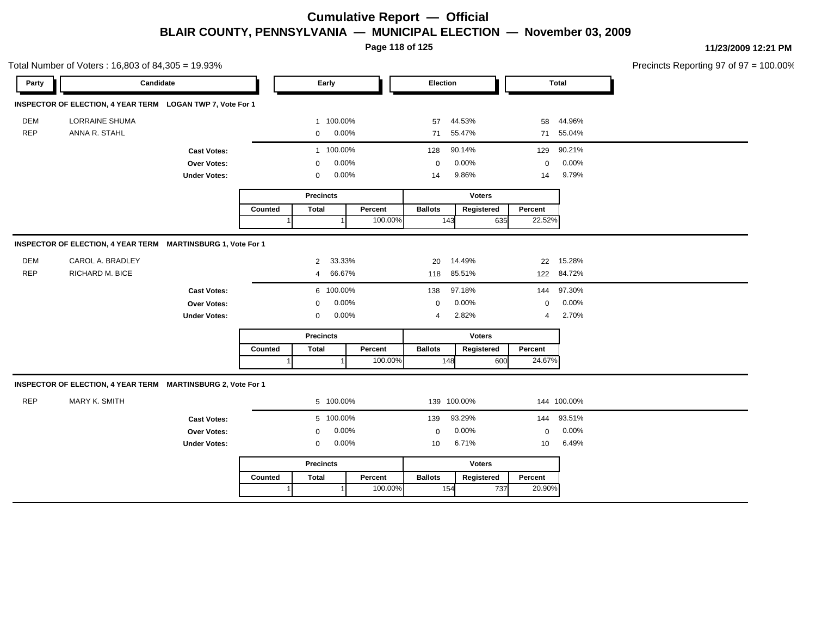**Page 118 of 125**

|            | Total Number of Voters: 16,803 of 84,305 = 19.93%            |                     |                |                  |           |         |                |               |                |              | Precincts Reporting 97 of 97 = 100.00% |
|------------|--------------------------------------------------------------|---------------------|----------------|------------------|-----------|---------|----------------|---------------|----------------|--------------|----------------------------------------|
| Party      | Candidate                                                    |                     |                |                  | Early     |         | Election       |               |                | <b>Total</b> |                                        |
|            | INSPECTOR OF ELECTION, 4 YEAR TERM LOGAN TWP 7, Vote For 1   |                     |                |                  |           |         |                |               |                |              |                                        |
| DEM        | <b>LORRAINE SHUMA</b>                                        |                     |                |                  | 1 100.00% |         | 57             | 44.53%        | 58             | 44.96%       |                                        |
| <b>REP</b> | ANNA R. STAHL                                                |                     |                | $\mathbf 0$      | 0.00%     |         | 71             | 55.47%        | 71             | 55.04%       |                                        |
|            |                                                              | <b>Cast Votes:</b>  |                |                  | 1 100.00% |         | 128            | 90.14%        | 129            | 90.21%       |                                        |
|            |                                                              | Over Votes:         |                | 0                | 0.00%     |         | $\mathbf 0$    | 0.00%         | $\mathbf 0$    | 0.00%        |                                        |
|            |                                                              | <b>Under Votes:</b> |                | $\mathbf 0$      | 0.00%     |         | 14             | 9.86%         | 14             | 9.79%        |                                        |
|            |                                                              |                     |                | <b>Precincts</b> |           |         |                | <b>Voters</b> |                |              |                                        |
|            |                                                              |                     | Counted        | <b>Total</b>     |           | Percent | <b>Ballots</b> | Registered    | Percent        |              |                                        |
|            |                                                              |                     | $\overline{1}$ |                  |           | 100.00% |                | 143           | 22.52%<br>635  |              |                                        |
|            | INSPECTOR OF ELECTION, 4 YEAR TERM MARTINSBURG 1, Vote For 1 |                     |                |                  |           |         |                |               |                |              |                                        |
| DEM        | CAROL A. BRADLEY                                             |                     |                | 2                | 33.33%    |         | 20             | 14.49%        |                | 22 15.28%    |                                        |
| <b>REP</b> | RICHARD M. BICE                                              |                     |                | $\overline{4}$   | 66.67%    |         |                | 118 85.51%    |                | 122 84.72%   |                                        |
|            |                                                              | <b>Cast Votes:</b>  |                |                  | 6 100.00% |         | 138            | 97.18%        | 144            | 97.30%       |                                        |
|            |                                                              | Over Votes:         |                | $\mathbf 0$      | 0.00%     |         | $\mathbf 0$    | 0.00%         | $\mathbf 0$    | 0.00%        |                                        |
|            |                                                              | <b>Under Votes:</b> |                | 0                | 0.00%     |         | $\overline{4}$ | 2.82%         | $\overline{4}$ | 2.70%        |                                        |
|            |                                                              |                     |                | <b>Precincts</b> |           |         |                | <b>Voters</b> |                |              |                                        |
|            |                                                              |                     | Counted        | <b>Total</b>     |           | Percent | <b>Ballots</b> | Registered    | Percent        |              |                                        |
|            |                                                              |                     |                |                  |           | 100.00% |                | 148           | 24.67%<br>600  |              |                                        |
|            | INSPECTOR OF ELECTION, 4 YEAR TERM MARTINSBURG 2, Vote For 1 |                     |                |                  |           |         |                |               |                |              |                                        |
| <b>REP</b> | MARY K. SMITH                                                |                     |                |                  | 5 100.00% |         |                | 139 100.00%   |                | 144 100.00%  |                                        |
|            |                                                              | <b>Cast Votes:</b>  |                |                  | 5 100.00% |         | 139            | 93.29%        | 144            | 93.51%       |                                        |
|            |                                                              | Over Votes:         |                | 0                | 0.00%     |         | $\mathbf 0$    | 0.00%         | $\mathbf 0$    | 0.00%        |                                        |
|            |                                                              | <b>Under Votes:</b> |                | $\mathbf 0$      | 0.00%     |         | 10             | 6.71%         | 10             | 6.49%        |                                        |
|            |                                                              |                     |                | <b>Precincts</b> |           |         |                | <b>Voters</b> |                |              |                                        |
|            |                                                              |                     | Counted        | <b>Total</b>     |           | Percent | <b>Ballots</b> | Registered    | Percent        |              |                                        |
|            |                                                              |                     |                |                  |           | 100.00% |                | 154           | 20.90%<br>737  |              |                                        |
|            |                                                              |                     |                |                  |           |         |                |               |                |              |                                        |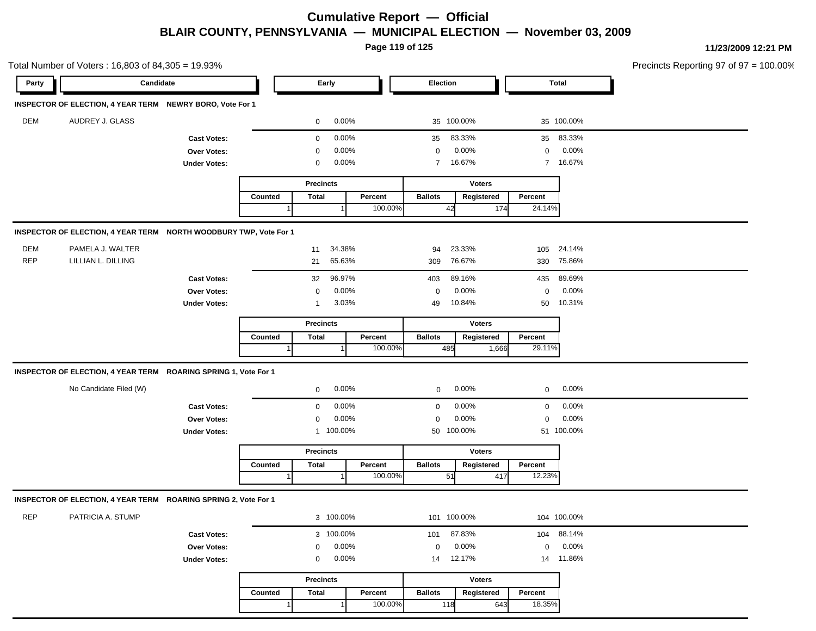**Page 119 of 125**

|            | Total Number of Voters: 16,803 of 84,305 = 19.93%                 |                     |         |                  |           |         |                 |               |             |             | Precincts Reporting 97 of 97 = 100.00% |
|------------|-------------------------------------------------------------------|---------------------|---------|------------------|-----------|---------|-----------------|---------------|-------------|-------------|----------------------------------------|
| Party      | Candidate                                                         |                     |         | Early            |           |         | <b>Election</b> |               |             | Total       |                                        |
|            | INSPECTOR OF ELECTION, 4 YEAR TERM NEWRY BORO, Vote For 1         |                     |         |                  |           |         |                 |               |             |             |                                        |
| DEM        | AUDREY J. GLASS                                                   |                     |         | $\mathbf 0$      | 0.00%     |         |                 | 35 100.00%    |             | 35 100.00%  |                                        |
|            |                                                                   | <b>Cast Votes:</b>  |         | 0                | 0.00%     |         | 35              | 83.33%        |             | 35 83.33%   |                                        |
|            |                                                                   | Over Votes:         |         | 0                | 0.00%     |         | 0               | 0.00%         | 0           | 0.00%       |                                        |
|            |                                                                   | <b>Under Votes:</b> |         | 0                | 0.00%     |         | $\overline{7}$  | 16.67%        | $7^{\circ}$ | 16.67%      |                                        |
|            |                                                                   |                     |         | <b>Precincts</b> |           |         |                 | <b>Voters</b> |             |             |                                        |
|            |                                                                   |                     | Counted | <b>Total</b>     |           | Percent | <b>Ballots</b>  | Registered    | Percent     |             |                                        |
|            |                                                                   |                     |         |                  |           | 100.00% | 42              | 174           | 24.14%      |             |                                        |
|            | INSPECTOR OF ELECTION, 4 YEAR TERM NORTH WOODBURY TWP, Vote For 1 |                     |         |                  |           |         |                 |               |             |             |                                        |
| DEM        | PAMELA J. WALTER                                                  |                     |         | 11               | 34.38%    |         | 94              | 23.33%        | 105         | 24.14%      |                                        |
| <b>REP</b> | LILLIAN L. DILLING                                                |                     |         | 21               | 65.63%    |         | 309             | 76.67%        |             | 330 75.86%  |                                        |
|            |                                                                   | <b>Cast Votes:</b>  |         | 32               | 96.97%    |         | 403             | 89.16%        | 435         | 89.69%      |                                        |
|            |                                                                   | <b>Over Votes:</b>  |         | $\mathbf 0$      | $0.00\%$  |         | 0               | 0.00%         | $\mathbf 0$ | 0.00%       |                                        |
|            |                                                                   | <b>Under Votes:</b> |         | $\mathbf 1$      | 3.03%     |         | 49              | 10.84%        | 50          | 10.31%      |                                        |
|            |                                                                   |                     |         | <b>Precincts</b> |           |         |                 | <b>Voters</b> |             |             |                                        |
|            |                                                                   |                     | Counted | <b>Total</b>     |           | Percent | <b>Ballots</b>  | Registered    | Percent     |             |                                        |
|            |                                                                   |                     |         |                  |           | 100.00% | 485             | 1,666         | 29.11%      |             |                                        |
|            | INSPECTOR OF ELECTION, 4 YEAR TERM ROARING SPRING 1, Vote For 1   |                     |         |                  |           |         |                 |               |             |             |                                        |
|            | No Candidate Filed (W)                                            |                     |         | 0                | 0.00%     |         |                 | 0.00%         | 0           | 0.00%       |                                        |
|            |                                                                   |                     |         |                  |           |         | 0               |               |             |             |                                        |
|            |                                                                   | <b>Cast Votes:</b>  |         | $\mathbf 0$      | 0.00%     |         | 0               | 0.00%         | $\mathbf 0$ | 0.00%       |                                        |
|            |                                                                   | Over Votes:         |         | $\mathbf 0$      | 0.00%     |         | 0               | 0.00%         | $\mathbf 0$ | 0.00%       |                                        |
|            |                                                                   | <b>Under Votes:</b> |         |                  | 1 100.00% |         |                 | 50 100.00%    |             | 51 100.00%  |                                        |
|            |                                                                   |                     |         | <b>Precincts</b> |           |         |                 | <b>Voters</b> |             |             |                                        |
|            |                                                                   |                     | Counted | <b>Total</b>     |           | Percent | <b>Ballots</b>  | Registered    | Percent     |             |                                        |
|            |                                                                   |                     |         |                  |           | 100.00% | 51              | 417           | 12.23%      |             |                                        |
|            | INSPECTOR OF ELECTION, 4 YEAR TERM ROARING SPRING 2, Vote For 1   |                     |         |                  |           |         |                 |               |             |             |                                        |
|            | PATRICIA A. STUMP                                                 |                     |         |                  | 3 100.00% |         | 101 100.00%     |               |             | 104 100.00% |                                        |
|            |                                                                   | <b>Cast Votes:</b>  |         |                  | 3 100.00% |         | 101             | 87.83%        |             | 104 88.14%  |                                        |
|            |                                                                   | Over Votes:         |         | 0                | 0.00%     |         | 0               | 0.00%         | $\mathbf 0$ | 0.00%       |                                        |
|            |                                                                   | <b>Under Votes:</b> |         | 0                | 0.00%     |         | 14              | 12.17%        |             | 14 11.86%   |                                        |
| <b>REP</b> |                                                                   |                     |         | <b>Precincts</b> |           |         |                 | <b>Voters</b> |             |             |                                        |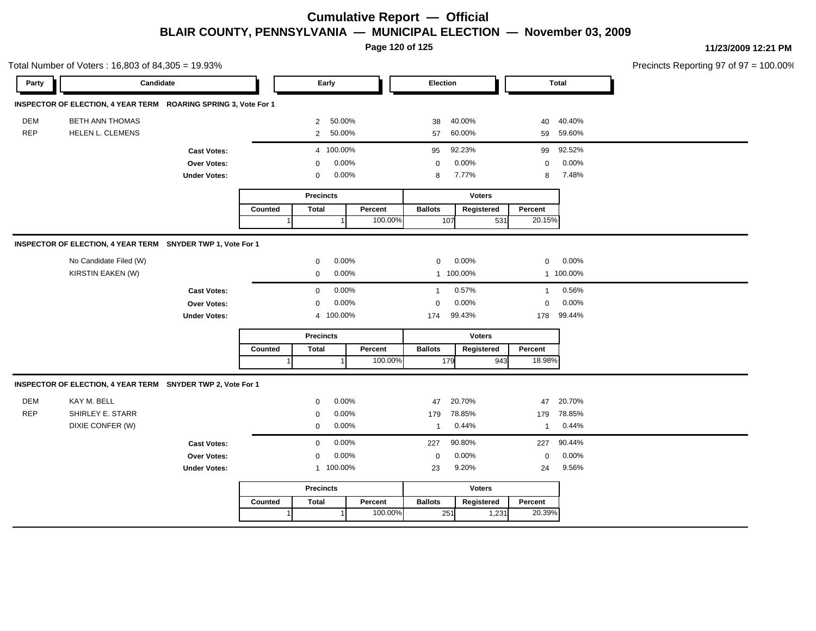**Page 120 of 125**

|            | Total Number of Voters: 16,803 of 84,305 = 19.93%               |                     |         |                         |         |                |               |              |                  | Precincts Reporting 97 of 97 = 100.00% |
|------------|-----------------------------------------------------------------|---------------------|---------|-------------------------|---------|----------------|---------------|--------------|------------------|----------------------------------------|
| Party      | Candidate                                                       |                     |         | Early                   |         | Election       |               |              | Total            |                                        |
|            | INSPECTOR OF ELECTION, 4 YEAR TERM ROARING SPRING 3, Vote For 1 |                     |         |                         |         |                |               |              |                  |                                        |
| <b>DEM</b> | <b>BETH ANN THOMAS</b>                                          |                     |         | 2 50.00%                |         | 38             | 40.00%        |              | 40 40.40%        |                                        |
| REP        | HELEN L. CLEMENS                                                |                     |         | 2 50.00%                |         | 57             | 60.00%        |              | 59 59.60%        |                                        |
|            |                                                                 | <b>Cast Votes:</b>  |         | 4 100.00%               |         | 95             | 92.23%        |              | 99 92.52%        |                                        |
|            |                                                                 | Over Votes:         |         | 0.00%<br>$\Omega$       |         | $\Omega$       | 0.00%         | $\mathbf 0$  | 0.00%            |                                        |
|            |                                                                 | <b>Under Votes:</b> |         | $0.00\%$<br>$\mathbf 0$ |         | 8              | 7.77%         | 8            | 7.48%            |                                        |
|            |                                                                 |                     |         | <b>Precincts</b>        |         |                | <b>Voters</b> |              |                  |                                        |
|            |                                                                 |                     | Counted | <b>Total</b>            | Percent | <b>Ballots</b> | Registered    | Percent      |                  |                                        |
|            |                                                                 |                     |         |                         | 100.00% | 107            | 531           | 20.15%       |                  |                                        |
|            | INSPECTOR OF ELECTION, 4 YEAR TERM SNYDER TWP 1, Vote For 1     |                     |         |                         |         |                |               |              |                  |                                        |
|            | No Candidate Filed (W)                                          |                     |         | 0.00%<br>$\mathbf{0}$   |         | $\overline{0}$ | 0.00%         |              | $0\qquad 0.00\%$ |                                        |
|            | KIRSTIN EAKEN (W)                                               |                     |         | 0.00%<br>$\mathbf 0$    |         |                | 1 100.00%     |              | 1 100.00%        |                                        |
|            |                                                                 | <b>Cast Votes:</b>  |         | 0.00%<br>$\mathbf 0$    |         | $\mathbf{1}$   | 0.57%         |              | 1 0.56%          |                                        |
|            |                                                                 | Over Votes:         |         | 0.00%<br>$\Omega$       |         | $\mathbf 0$    | 0.00%         | $\Omega$     | 0.00%            |                                        |
|            |                                                                 | <b>Under Votes:</b> |         | 4 100.00%               |         | 174            | 99.43%        |              | 178 99.44%       |                                        |
|            |                                                                 |                     |         | <b>Precincts</b>        |         |                | <b>Voters</b> |              |                  |                                        |
|            |                                                                 |                     | Counted | Total                   | Percent | <b>Ballots</b> | Registered    | Percent      |                  |                                        |
|            |                                                                 |                     |         |                         | 100.00% | 179            | 943           | 18.98%       |                  |                                        |
|            | INSPECTOR OF ELECTION, 4 YEAR TERM SNYDER TWP 2, Vote For 1     |                     |         |                         |         |                |               |              |                  |                                        |
| DEM        | KAY M. BELL                                                     |                     |         | 0.00%<br>$\Omega$       |         | 47             | 20.70%        | 47           | 20.70%           |                                        |
| REP        | SHIRLEY E. STARR                                                |                     |         | $\Omega$                | 0.00%   | 179            | 78.85%        | 179          | 78.85%           |                                        |
|            | DIXIE CONFER (W)                                                |                     |         | 0.00%<br>$\mathbf 0$    |         | 1              | 0.44%         | $\mathbf{1}$ | 0.44%            |                                        |
|            |                                                                 | <b>Cast Votes:</b>  |         | 0.00%<br>$\overline{0}$ |         | 227            | 90.80%        |              | 227 90.44%       |                                        |
|            |                                                                 | Over Votes:         |         | 0.00%<br>$\Omega$       |         | $\Omega$       | 0.00%         | $\mathbf 0$  | 0.00%            |                                        |
|            |                                                                 | <b>Under Votes:</b> |         | 1 100.00%               |         | 23             | 9.20%         | 24           | 9.56%            |                                        |
|            |                                                                 |                     |         | <b>Precincts</b>        |         |                | <b>Voters</b> |              |                  |                                        |
|            |                                                                 |                     | Counted | <b>Total</b>            | Percent | <b>Ballots</b> | Registered    | Percent      |                  |                                        |
|            |                                                                 |                     |         | 1                       | 100.00% | 251            | 1,231         | 20.39%       |                  |                                        |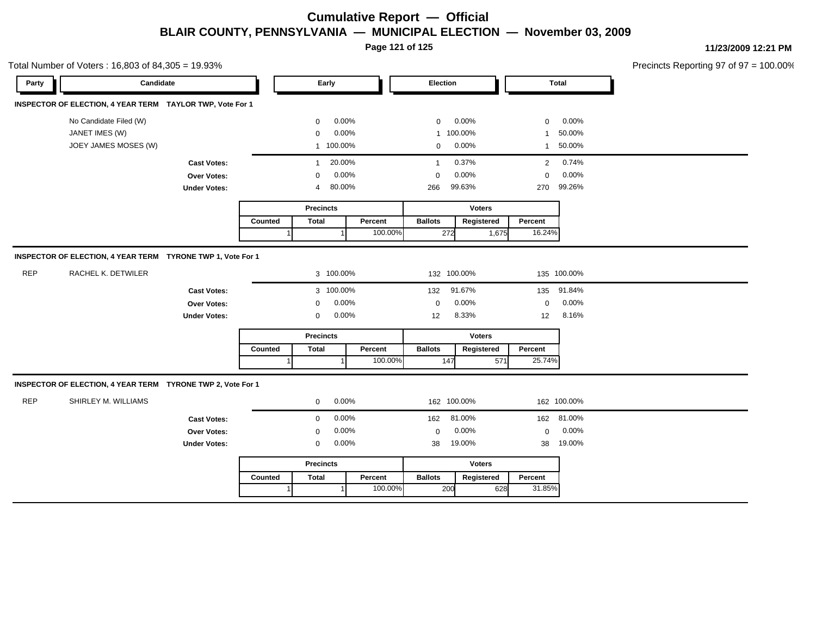**Page 121 of 125**

| Precincts Reporting 97 of $97 = 100.00\%$ |
|-------------------------------------------|
|-------------------------------------------|

|            | Total Number of Voters: 16,803 of 84,305 = 19.93%           |                     |         |                  |           |          |                |               |                 |             | Precincts Reporting 97 of 97 |
|------------|-------------------------------------------------------------|---------------------|---------|------------------|-----------|----------|----------------|---------------|-----------------|-------------|------------------------------|
| Party      | Candidate                                                   |                     | Early   |                  |           | Election |                |               | Total           |             |                              |
|            | INSPECTOR OF ELECTION, 4 YEAR TERM TAYLOR TWP, Vote For 1   |                     |         |                  |           |          |                |               |                 |             |                              |
|            | No Candidate Filed (W)                                      |                     |         | $\mathbf 0$      | 0.00%     |          | $\mathbf 0$    | 0.00%         | $\mathbf 0$     | 0.00%       |                              |
|            | JANET IMES (W)                                              |                     |         | $\mathbf 0$      | 0.00%     |          |                | 1 100.00%     | $\mathbf{1}$    | 50.00%      |                              |
|            | JOEY JAMES MOSES (W)                                        |                     |         |                  | 1 100.00% |          | $\mathbf 0$    | 0.00%         | $\mathbf{1}$    | 50.00%      |                              |
|            |                                                             | <b>Cast Votes:</b>  |         | $\mathbf{1}$     | 20.00%    |          | $\mathbf{1}$   | 0.37%         | 2               | 0.74%       |                              |
|            |                                                             | Over Votes:         |         | $\mathbf 0$      | 0.00%     |          | $\mathbf 0$    | 0.00%         | $\mathbf 0$     | 0.00%       |                              |
|            |                                                             | <b>Under Votes:</b> |         | 4                | 80.00%    |          | 266            | 99.63%        | 270             | 99.26%      |                              |
|            |                                                             |                     |         | <b>Precincts</b> |           |          |                | <b>Voters</b> |                 |             |                              |
|            |                                                             |                     | Counted | <b>Total</b>     |           | Percent  | <b>Ballots</b> | Registered    | Percent         |             |                              |
|            |                                                             |                     |         |                  |           | 100.00%  | 272            |               | 1,675<br>16.24% |             |                              |
|            | INSPECTOR OF ELECTION, 4 YEAR TERM TYRONE TWP 1, Vote For 1 |                     |         |                  |           |          |                |               |                 |             |                              |
| <b>REP</b> | RACHEL K. DETWILER                                          |                     |         |                  | 3 100.00% |          |                | 132 100.00%   |                 | 135 100.00% |                              |
|            |                                                             | <b>Cast Votes:</b>  |         |                  | 3 100.00% |          | 132            | 91.67%        | 135             | 91.84%      |                              |
|            |                                                             | Over Votes:         |         | $\mathbf 0$      | 0.00%     |          | $\mathbf 0$    | 0.00%         | $\mathbf 0$     | 0.00%       |                              |
|            |                                                             | <b>Under Votes:</b> |         | $\mathbf 0$      | 0.00%     |          | 12             | 8.33%         | 12              | 8.16%       |                              |
|            |                                                             |                     |         | <b>Precincts</b> |           |          |                | <b>Voters</b> |                 |             |                              |
|            |                                                             |                     | Counted | <b>Total</b>     |           | Percent  | <b>Ballots</b> | Registered    | Percent         |             |                              |
|            |                                                             |                     |         |                  |           | 100.00%  | 147            |               | 25.74%<br>571   |             |                              |
|            | INSPECTOR OF ELECTION, 4 YEAR TERM TYRONE TWP 2, Vote For 1 |                     |         |                  |           |          |                |               |                 |             |                              |
| <b>REP</b> | SHIRLEY M. WILLIAMS                                         |                     |         | $\mathbf 0$      | 0.00%     |          |                | 162 100.00%   |                 | 162 100.00% |                              |
|            |                                                             | <b>Cast Votes:</b>  |         | $\mathbf 0$      | 0.00%     |          | 162            | 81.00%        |                 | 162 81.00%  |                              |
|            |                                                             | <b>Over Votes:</b>  |         | $\mathbf 0$      | 0.00%     |          | $\mathbf 0$    | 0.00%         | $\mathbf 0$     | 0.00%       |                              |
|            |                                                             | <b>Under Votes:</b> |         | 0                | 0.00%     |          | 38             | 19.00%        | 38              | 19.00%      |                              |
|            |                                                             |                     |         | <b>Precincts</b> |           |          |                | <b>Voters</b> |                 |             |                              |
|            |                                                             |                     | Counted | <b>Total</b>     |           | Percent  | <b>Ballots</b> | Registered    | Percent         |             |                              |
|            |                                                             |                     | -1      |                  |           | 100.00%  | 200            |               | 31.85%<br>628   |             |                              |
|            |                                                             |                     |         |                  |           |          |                |               |                 |             |                              |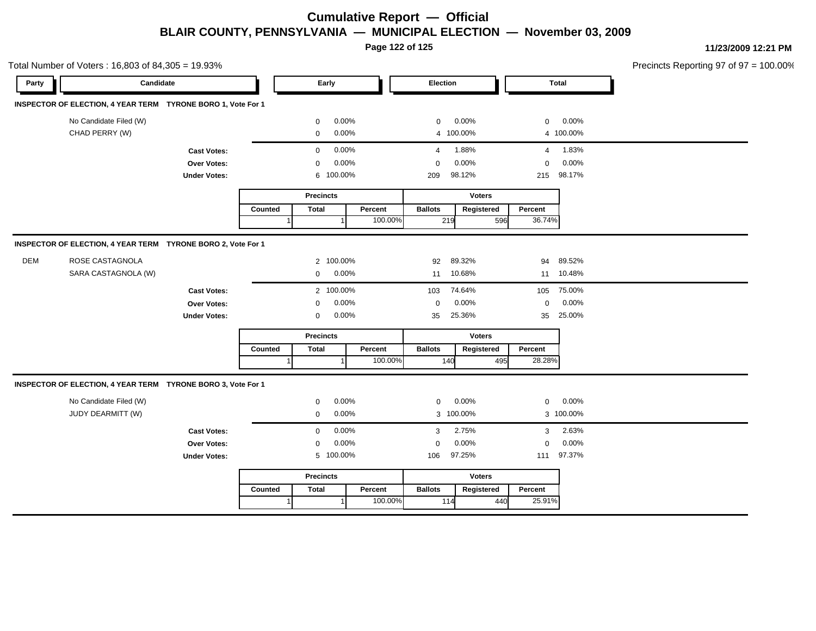**Page 122 of 125**

Total Number of Voters : 16,803 of 84,305 = 19.93% Precincts Reporting 97 of 97 = 100.00% **Party Candidate Early Election Total INSPECTOR OF ELECTION, 4 YEAR TERM TYRONE BORO 1, Vote For 1** No Candidate Filed (W)  $0.00\%$  0.00% 0 0.00% 0 0.00% 0 0.00% CHAD PERRY (W) 0 0.00% 4 100.00% 4 100.00% **Cast Votes:** 0 0.00% 4 1.88% 4 1.83% **Over Votes:** 0 0.00% **Under Votes:** 0.00% 0 100.00% 209 215 98.12% 98.17% 0.00% 0 0.00% **Precincts Counted** 1 **Percent** Ballots 1 100.00% **Voters** 219 **Ballots Registered Percent** 596 36.74% **INSPECTOR OF ELECTION, 4 YEAR TERM TYRONE BORO 2, Vote For 1** DEM ROSE CASTAGNOLA 2 100.00% 92 89.32% 94 89.52% SARA CASTAGNOLA (W) 0 0.00% 11 10.68% 11 10.48% **Cast Votes:** 2 100.00% 103 74.64% 105 75.00% **Over Votes:** 0 0.00% **Under Votes:** 0 0.00% 0 35 25.36% 35 35 25.36% 25.00% 0.00% 0 0.00% **Precincts Counted** 1 **Percent Ballots**  1 100.00% **Voters** 140 495 **Ballots Registered Percent** 28.28% **INSPECTOR OF ELECTION, 4 YEAR TERM TYRONE BORO 3, Vote For 1** No Candidate Filed (W)  $0.00\%$  0.00% 0 0.00% 0 0.00% 0 0.00% JUDY DEARMITT (W) 0 0.00% 3 100.00% 3 100.00% **Cast Votes:** 0 0.00% 3 2.75% 3 2.63% **Over Votes:** 0 0.00% **Under Votes:** 0.00% 0 100.00% 106 111 97.25% 97.37% 0.00% 0 0.00% **Precincts Counted** 1 **Percent Ballots**  1 100.00% **Voters** 114 440 **Ballots Registered Percent** 25.91%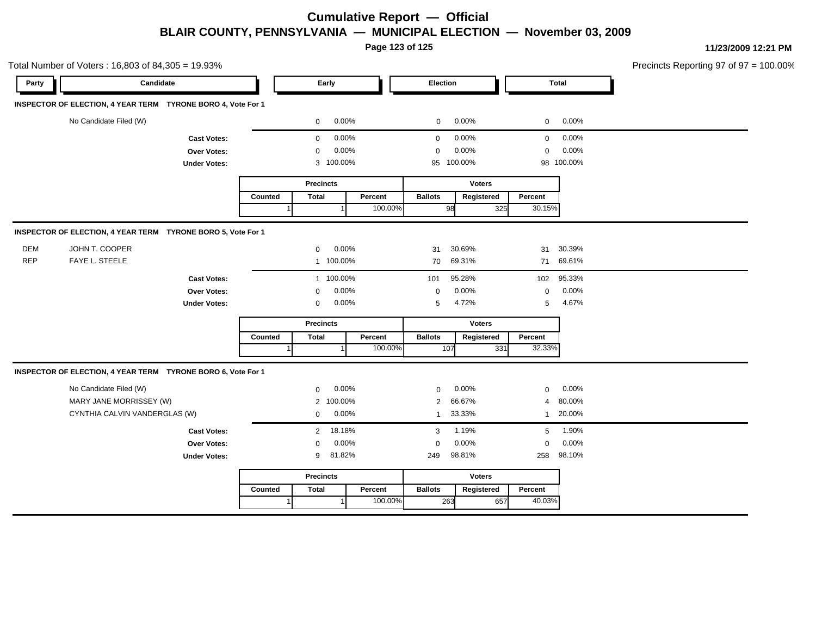**Page 123 of 125**

|            | Total Number of Voters: 16,803 of 84,305 = 19.93%            |                     |                  |                  |           |         |                         |               |              |              | Precincts Reporting 97 of 97 = 100.00% |
|------------|--------------------------------------------------------------|---------------------|------------------|------------------|-----------|---------|-------------------------|---------------|--------------|--------------|----------------------------------------|
| Party      | Candidate                                                    |                     |                  | Early            |           |         | Election                |               |              | <b>Total</b> |                                        |
|            | INSPECTOR OF ELECTION, 4 YEAR TERM TYRONE BORO 4, Vote For 1 |                     |                  |                  |           |         |                         |               |              |              |                                        |
|            | No Candidate Filed (W)                                       |                     |                  | 0                | $0.00\%$  |         | $\mathbf 0$             | 0.00%         | $\mathbf 0$  | 0.00%        |                                        |
|            |                                                              | <b>Cast Votes:</b>  |                  | $\mathbf 0$      | 0.00%     |         | $\mathbf 0$             | 0.00%         | $\mathbf 0$  | 0.00%        |                                        |
|            |                                                              | Over Votes:         |                  | $\mathbf 0$      | 0.00%     |         | $\mathbf 0$             | 0.00%         | $\mathbf 0$  | 0.00%        |                                        |
|            |                                                              | <b>Under Votes:</b> |                  |                  | 3 100.00% |         |                         | 95 100.00%    |              | 98 100.00%   |                                        |
|            |                                                              |                     | <b>Precincts</b> |                  |           |         |                         | <b>Voters</b> |              |              |                                        |
|            |                                                              |                     | Counted          | <b>Total</b>     |           | Percent | <b>Ballots</b>          | Registered    | Percent      |              |                                        |
|            |                                                              |                     |                  |                  |           | 100.00% | 98                      | 325           | 30.15%       |              |                                        |
|            | INSPECTOR OF ELECTION, 4 YEAR TERM TYRONE BORO 5, Vote For 1 |                     |                  |                  |           |         |                         |               |              |              |                                        |
| <b>DEM</b> | JOHN T. COOPER                                               |                     |                  | $\mathbf 0$      | 0.00%     |         | 31                      | 30.69%        | 31           | 30.39%       |                                        |
| <b>REP</b> | FAYE L. STEELE                                               |                     |                  |                  | 1 100.00% |         | 70                      | 69.31%        | 71           | 69.61%       |                                        |
|            |                                                              | <b>Cast Votes:</b>  |                  |                  | 1 100.00% |         | 101                     | 95.28%        | 102          | 95.33%       |                                        |
|            |                                                              | Over Votes:         |                  | $\mathbf 0$      | 0.00%     |         | $\pmb{0}$               | 0.00%         | $\mathbf 0$  | 0.00%        |                                        |
|            |                                                              | <b>Under Votes:</b> |                  | 0                | 0.00%     |         | $\sqrt{5}$              | 4.72%         | 5            | 4.67%        |                                        |
|            |                                                              |                     |                  | <b>Precincts</b> |           |         |                         | <b>Voters</b> |              |              |                                        |
|            |                                                              |                     | Counted          | <b>Total</b>     |           | Percent | <b>Ballots</b>          | Registered    | Percent      |              |                                        |
|            |                                                              |                     |                  |                  |           | 100.00% | 107                     | 331           | 32.33%       |              |                                        |
|            | INSPECTOR OF ELECTION, 4 YEAR TERM TYRONE BORO 6, Vote For 1 |                     |                  |                  |           |         |                         |               |              |              |                                        |
|            | No Candidate Filed (W)                                       |                     |                  | $\mathbf 0$      | 0.00%     |         | $\mathbf{0}$            | 0.00%         | $\mathbf 0$  | 0.00%        |                                        |
|            | MARY JANE MORRISSEY (W)                                      |                     |                  | 2                | 100.00%   |         | 2                       | 66.67%        | 4            | 80.00%       |                                        |
|            | CYNTHIA CALVIN VANDERGLAS (W)                                |                     |                  | 0                | 0.00%     |         | $\overline{\mathbf{1}}$ | 33.33%        | $\mathbf{1}$ | 20.00%       |                                        |
|            |                                                              | <b>Cast Votes:</b>  |                  | $\overline{2}$   | 18.18%    |         | 3                       | 1.19%         | 5            | 1.90%        |                                        |
|            | Over Votes:                                                  |                     |                  | $\mathbf 0$      | 0.00%     |         | 0                       | 0.00%         | $\mathbf 0$  | 0.00%        |                                        |
|            | <b>Under Votes:</b>                                          |                     |                  | 9                | 81.82%    |         | 98.81%<br>249           |               |              | 98.10%       |                                        |
|            |                                                              |                     |                  | <b>Precincts</b> |           |         | <b>Voters</b>           |               |              |              |                                        |
|            |                                                              |                     | Counted          | <b>Total</b>     |           | Percent | <b>Ballots</b>          | Registered    | Percent      |              |                                        |
|            |                                                              |                     |                  |                  |           | 100.00% | 263                     | 657           | 40.03%       |              |                                        |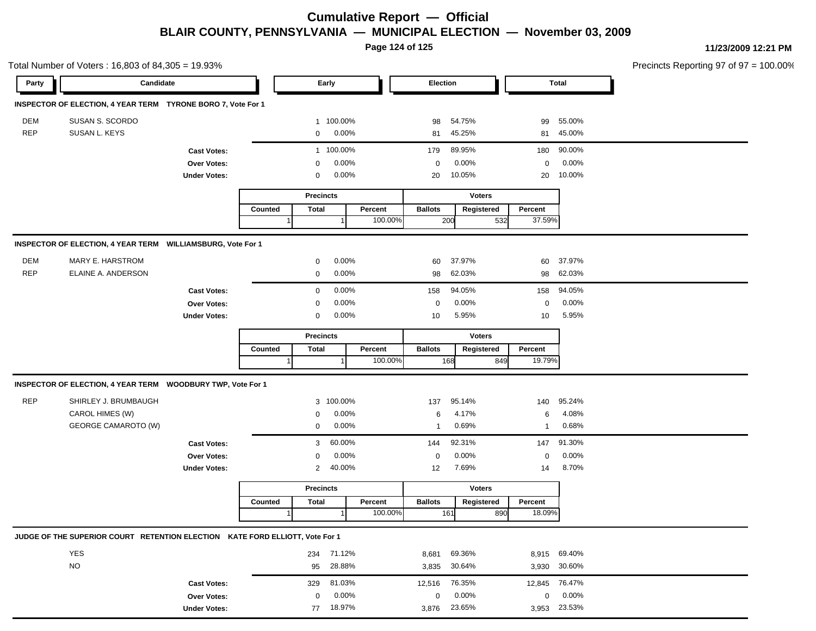**Page 124 of 125**

|            | Total Number of Voters: 16,803 of 84,305 = 19.93%                            |                     |                          |                  |                  |               |                |               |             |               |              | Precincts Reporting 97 of 97 = 100.00% |
|------------|------------------------------------------------------------------------------|---------------------|--------------------------|------------------|------------------|---------------|----------------|---------------|-------------|---------------|--------------|----------------------------------------|
| Party      | Candidate                                                                    |                     | Early                    |                  |                  |               | Election       |               |             |               | <b>Total</b> |                                        |
|            | INSPECTOR OF ELECTION, 4 YEAR TERM TYRONE BORO 7, Vote For 1                 |                     |                          |                  |                  |               |                |               |             |               |              |                                        |
| DEM        | SUSAN S. SCORDO                                                              |                     |                          |                  | 1 100.00%        |               | 98             | 54.75%        |             | 99            | 55.00%       |                                        |
| <b>REP</b> | SUSAN L. KEYS                                                                |                     |                          | 0                | 0.00%            |               | 81             | 45.25%        |             | 81            | 45.00%       |                                        |
|            |                                                                              | <b>Cast Votes:</b>  |                          |                  | 1 100.00%        |               | 179            | 89.95%        |             | 180           | 90.00%       |                                        |
|            |                                                                              | Over Votes:         |                          | $\Omega$         | 0.00%            |               | 0              | 0.00%         |             | $\mathbf 0$   | 0.00%        |                                        |
|            |                                                                              | <b>Under Votes:</b> |                          | 0                | 0.00%            |               | 20             | 10.05%        |             | 20            | 10.00%       |                                        |
|            |                                                                              |                     |                          |                  | <b>Precincts</b> |               |                | <b>Voters</b> |             |               |              |                                        |
|            |                                                                              |                     | Counted                  | <b>Total</b>     |                  | Percent       | <b>Ballots</b> | Registered    |             | Percent       |              |                                        |
|            |                                                                              |                     |                          |                  |                  | 100.00%       | 200            |               | 532         | 37.59%        |              |                                        |
|            | INSPECTOR OF ELECTION, 4 YEAR TERM WILLIAMSBURG, Vote For 1                  |                     |                          |                  |                  |               |                |               |             |               |              |                                        |
| DEM        | MARY E. HARSTROM                                                             |                     |                          | 0                | 0.00%            |               | 60             | 37.97%        |             | 60            | 37.97%       |                                        |
| <b>REP</b> | ELAINE A. ANDERSON                                                           |                     |                          | $\mathbf 0$      | 0.00%            |               | 98             | 62.03%        |             | 98            | 62.03%       |                                        |
|            |                                                                              | <b>Cast Votes:</b>  |                          | $\mathbf 0$      | 0.00%            |               | 158            | 94.05%        |             | 158           | 94.05%       |                                        |
|            |                                                                              | Over Votes:         |                          | 0.00%<br>0       |                  |               |                | 0.00%         | $\mathbf 0$ | 0.00%         |              |                                        |
|            |                                                                              | <b>Under Votes:</b> | 0.00%<br>$\mathbf 0$     |                  |                  |               | 5.95%<br>10    |               |             | 10            | 5.95%        |                                        |
|            |                                                                              |                     |                          | <b>Precincts</b> |                  |               | <b>Voters</b>  |               |             |               |              |                                        |
|            |                                                                              |                     | Counted                  | Total            |                  | Percent       | <b>Ballots</b> | Registered    |             | Percent       |              |                                        |
|            |                                                                              |                     |                          |                  |                  | 100.00%       | 168            |               | 849         | 19.79%        |              |                                        |
|            | INSPECTOR OF ELECTION, 4 YEAR TERM WOODBURY TWP, Vote For 1                  |                     |                          |                  |                  |               |                |               |             |               |              |                                        |
| <b>REP</b> | SHIRLEY J. BRUMBAUGH                                                         |                     |                          |                  | 3 100.00%        |               | 137            | 95.14%        |             | 140           | 95.24%       |                                        |
|            | CAROL HIMES (W)                                                              |                     |                          | 0                | 0.00%            |               | 6              | 4.17%         |             | 6             | 4.08%        |                                        |
|            | <b>GEORGE CAMAROTO (W)</b>                                                   |                     |                          | 0                | 0.00%            |               | $\mathbf 1$    | 0.69%         |             | $\mathbf{1}$  | 0.68%        |                                        |
|            |                                                                              | <b>Cast Votes:</b>  |                          | 3                | 60.00%           |               | 144            | 92.31%        |             | 147           | 91.30%       |                                        |
|            |                                                                              | Over Votes:         |                          | 0                | 0.00%            |               | 0              | 0.00%         |             | $\mathbf 0$   | 0.00%        |                                        |
|            |                                                                              | <b>Under Votes:</b> | 40.00%<br>$\overline{2}$ |                  | 7.69%<br>12      |               |                | 14            | 8.70%       |               |              |                                        |
|            |                                                                              |                     |                          | <b>Precincts</b> |                  | <b>Voters</b> |                |               |             |               |              |                                        |
|            |                                                                              |                     | Counted                  | <b>Total</b>     |                  | Percent       | <b>Ballots</b> | Registered    |             | Percent       |              |                                        |
|            |                                                                              |                     | 1                        |                  |                  | 100.00%       | 161            |               | 890         | 18.09%        |              |                                        |
|            | JUDGE OF THE SUPERIOR COURT RETENTION ELECTION KATE FORD ELLIOTT, Vote For 1 |                     |                          |                  |                  |               |                |               |             |               |              |                                        |
|            | YES                                                                          |                     |                          |                  | 234 71.12%       |               | 8,681          | 69.36%        |             |               | 8,915 69.40% |                                        |
|            | <b>NO</b>                                                                    |                     |                          | 95               | 28.88%           |               | 3,835          | 30.64%        |             |               | 3,930 30.60% |                                        |
|            |                                                                              | <b>Cast Votes:</b>  |                          | 329              | 81.03%           |               | 12,516         | 76.35%        |             | 12,845 76.47% |              |                                        |
|            |                                                                              | Over Votes:         |                          | 0                | 0.00%            |               | 0              | 0.00%         |             | $\mathbf 0$   | 0.00%        |                                        |
|            |                                                                              | <b>Under Votes:</b> |                          |                  | 77 18.97%        |               | 3,876 23.65%   |               |             |               | 3,953 23.53% |                                        |